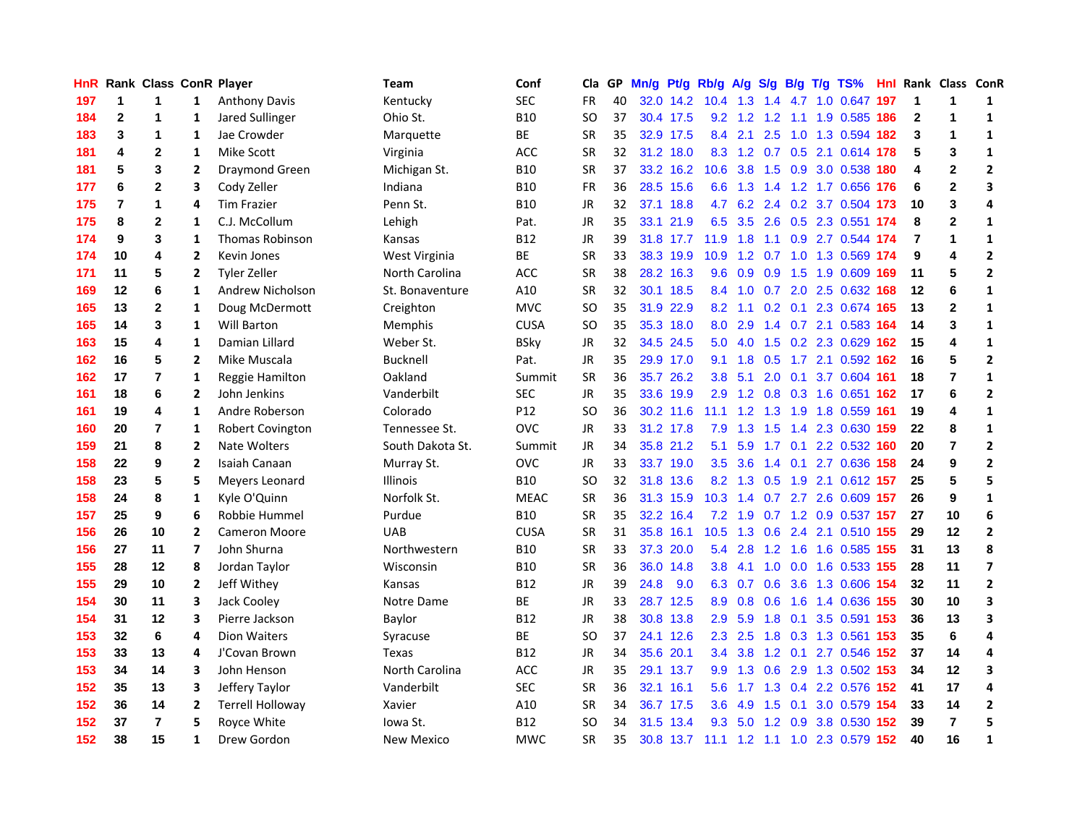| HnR |                         | Rank Class ConR Player |                |                         | Team              | Conf        | Cla           |    | GP Mn/g Pt/g Rb/g A/g |           |                  |             |                 |     |     | S/g B/g T/g TS%                |     |                | Hnl Rank Class ConR     |                         |
|-----|-------------------------|------------------------|----------------|-------------------------|-------------------|-------------|---------------|----|-----------------------|-----------|------------------|-------------|-----------------|-----|-----|--------------------------------|-----|----------------|-------------------------|-------------------------|
| 197 | 1                       | 1                      | 1              | <b>Anthony Davis</b>    | Kentucky          | <b>SEC</b>  | <b>FR</b>     | 40 |                       | 32.0 14.2 | 10.4             | 1.3         | 1.4             | 4.7 | 1.0 | 0.647                          | 197 | 1              | 1                       | 1                       |
| 184 | $\mathbf{2}$            | 1                      | 1              | Jared Sullinger         | Ohio St.          | <b>B10</b>  | <sub>SO</sub> | 37 |                       | 30.4 17.5 | 9.2              | 1.2         | 1.2             | 1.1 |     | 1.9 0.585                      | 186 | $\mathbf{2}$   | 1                       | 1                       |
| 183 | 3                       | 1                      | 1              | Jae Crowder             | Marquette         | ВE          | <b>SR</b>     | 35 |                       | 32.9 17.5 | 8.4              | 2.1         | 2.5             | 1.0 |     | 1.3 0.594                      | 182 | 3              | 1                       | 1                       |
| 181 | 4                       | $\mathbf 2$            | $\mathbf{1}$   | <b>Mike Scott</b>       | Virginia          | <b>ACC</b>  | <b>SR</b>     | 32 |                       | 31.2 18.0 |                  |             |                 |     |     | 8.3 1.2 0.7 0.5 2.1 0.614      | 178 | 5              | 3                       | $\mathbf{1}$            |
| 181 | 5                       | 3                      | $\mathbf{2}$   | Draymond Green          | Michigan St.      | <b>B10</b>  | <b>SR</b>     | 37 |                       | 33.2 16.2 |                  |             |                 |     |     | 10.6 3.8 1.5 0.9 3.0 0.538 180 |     | 4              | $\mathbf 2$             | $\mathbf{2}$            |
| 177 | 6                       | $\mathbf{2}$           | 3              | Cody Zeller             | Indiana           | <b>B10</b>  | <b>FR</b>     | 36 |                       | 28.5 15.6 | 6.6              |             |                 |     |     | 1.3 1.4 1.2 1.7 0.656 176      |     | 6              | $\mathbf{2}$            | 3                       |
| 175 | $\overline{\mathbf{r}}$ | $\mathbf 1$            | 4              | <b>Tim Frazier</b>      | Penn St.          | <b>B10</b>  | JR            | 32 |                       | 37.1 18.8 |                  |             |                 |     |     | 4.7 6.2 2.4 0.2 3.7 0.504 173  |     | 10             | 3                       | 4                       |
| 175 | 8                       | $\mathbf 2$            | 1              | C.J. McCollum           | Lehigh            | Pat.        | <b>JR</b>     | 35 |                       | 33.1 21.9 | 6.5              | 3.5         |                 |     |     | 2.6 0.5 2.3 0.551 174          |     | 8              | $\mathbf{2}$            | $\mathbf{1}$            |
| 174 | 9                       | 3                      | 1              | <b>Thomas Robinson</b>  | Kansas            | <b>B12</b>  | <b>JR</b>     | 39 |                       | 31.8 17.7 | 11.9             | 1.8         | 1.1             |     |     | 0.9 2.7 0.544 174              |     | $\overline{7}$ | 1                       | $\mathbf{1}$            |
| 174 | 10                      | 4                      | $\overline{2}$ | Kevin Jones             | West Virginia     | ВE          | <b>SR</b>     | 33 |                       | 38.3 19.9 | 10.9             |             | $1.2 \quad 0.7$ |     |     | 1.0 1.3 0.569                  | 174 | 9              | $\overline{\mathbf{4}}$ | $\mathbf{2}$            |
| 171 | 11                      | 5                      | $\overline{2}$ | <b>Tyler Zeller</b>     | North Carolina    | ACC         | <b>SR</b>     | 38 |                       | 28.2 16.3 | 9.6              | 0.9         | 0.9             | 1.5 |     | 1.9 0.609                      | 169 | 11             | 5                       | $\mathbf{2}$            |
| 169 | 12                      | 6                      | 1              | Andrew Nicholson        | St. Bonaventure   | A10         | <b>SR</b>     | 32 |                       | 30.1 18.5 |                  | 8.4 1.0     | 0.7             |     |     | 2.0 2.5 0.632                  | 168 | 12             | 6                       | 1                       |
| 165 | 13                      | $\overline{2}$         | $\mathbf{1}$   | Doug McDermott          | Creighton         | <b>MVC</b>  | SO            | 35 | 31.9                  | 22.9      | 8.2              | 1.1         | 0.2             | 0.1 |     | 2.3 0.674                      | 165 | 13             | $\mathbf{2}$            | $\mathbf{1}$            |
| 165 | 14                      | 3                      | 1              | Will Barton             | Memphis           | <b>CUSA</b> | <b>SO</b>     | 35 |                       | 35.3 18.0 | 8.0              | 2.9         |                 |     |     | 1.4 0.7 2.1 0.583              | 164 | 14             | 3                       | $\mathbf{1}$            |
| 163 | 15                      | 4                      | 1              | Damian Lillard          | Weber St.         | <b>BSky</b> | <b>JR</b>     | 32 |                       | 34.5 24.5 | 5.0              | 4.0         | 1.5             |     |     | 0.2 2.3 0.629                  | 162 | 15             | 4                       | $\mathbf{1}$            |
| 162 | 16                      | 5                      | $\mathbf{2}$   | Mike Muscala            | <b>Bucknell</b>   | Pat.        | <b>JR</b>     | 35 |                       | 29.9 17.0 | 9.1              | 1.8         | 0.5             |     |     | 1.7 2.1 0.592 162              |     | 16             | 5                       | $\mathbf{2}$            |
| 162 | 17                      | 7                      | 1              | Reggie Hamilton         | Oakland           | Summit      | <b>SR</b>     | 36 |                       | 35.7 26.2 | 3.8 <sub>1</sub> | 5.1         | 2.0             |     |     | 0.1 3.7 0.604 161              |     | 18             | $\overline{7}$          | 1                       |
| 161 | 18                      | 6                      | $\mathbf{2}$   | John Jenkins            | Vanderbilt        | <b>SEC</b>  | <b>JR</b>     | 35 |                       | 33.6 19.9 |                  |             |                 |     |     | 2.9 1.2 0.8 0.3 1.6 0.651 162  |     | 17             | 6                       | $\mathbf{2}$            |
| 161 | 19                      | 4                      | $\mathbf{1}$   | Andre Roberson          | Colorado          | P12         | <sub>SO</sub> | 36 |                       | 30.2 11.6 |                  |             |                 |     |     | 11.1 1.2 1.3 1.9 1.8 0.559 161 |     | 19             | 4                       | $\mathbf{1}$            |
| 160 | 20                      | $\overline{7}$         | 1              | <b>Robert Covington</b> | Tennessee St.     | <b>OVC</b>  | JR            | 33 |                       | 31.2 17.8 | 7.9              |             | $1.3 \quad 1.5$ |     |     | 1.4 2.3 0.630 159              |     | 22             | 8                       | $\mathbf{1}$            |
| 159 | 21                      | 8                      | 2              | Nate Wolters            | South Dakota St.  | Summit      | JR.           | 34 |                       | 35.8 21.2 | 5.1              | 5.9         |                 |     |     | 1.7 0.1 2.2 0.532 160          |     | 20             | $\overline{7}$          | $\overline{2}$          |
| 158 | 22                      | 9                      | $\overline{2}$ | Isaiah Canaan           | Murray St.        | <b>OVC</b>  | JR.           | 33 |                       | 33.7 19.0 | 3.5              | 3.6         |                 |     |     | 1.4 0.1 2.7 0.636 158          |     | 24             | 9                       | $\mathbf{2}$            |
| 158 | 23                      | 5                      | 5              | Meyers Leonard          | <b>Illinois</b>   | <b>B10</b>  | <sub>SO</sub> | 32 |                       | 31.8 13.6 | 8.2              |             | $1.3 \quad 0.5$ |     |     | 1.9 2.1 0.612 157              |     | 25             | 5                       | 5                       |
| 158 | 24                      | 8                      | $\mathbf{1}$   | Kyle O'Quinn            | Norfolk St.       | <b>MEAC</b> | <b>SR</b>     | 36 |                       | 31.3 15.9 | 10.3             | 1.4         |                 |     |     | 0.7 2.7 2.6 0.609 157          |     | 26             | 9                       | $\mathbf{1}$            |
| 157 | 25                      | 9                      | 6              | Robbie Hummel           | Purdue            | <b>B10</b>  | <b>SR</b>     | 35 |                       | 32.2 16.4 | 7.2              | 1.9         | 0.7             |     |     | 1.2 0.9 0.537                  | 157 | 27             | 10                      | 6                       |
| 156 | 26                      | 10                     | $\overline{2}$ | Cameron Moore           | <b>UAB</b>        | <b>CUSA</b> | <b>SR</b>     | 31 |                       | 35.8 16.1 | 10.5             | 1.3         | 0.6             | 2.4 |     | 2.1 0.510 155                  |     | 29             | 12                      | $\mathbf{2}$            |
| 156 | 27                      | 11                     | $\overline{ }$ | John Shurna             | Northwestern      | <b>B10</b>  | <b>SR</b>     | 33 |                       | 37.3 20.0 | 5.4              | 2.8         | $1.2^{\circ}$   | 1.6 |     | 1.6 0.585 155                  |     | 31             | 13                      | 8                       |
| 155 | 28                      | $12 \,$                | 8              | Jordan Taylor           | Wisconsin         | <b>B10</b>  | <b>SR</b>     | 36 |                       | 36.0 14.8 | 3.8              | 4.1         | 1.0             |     |     | 0.0 1.6 0.533 155              |     | 28             | 11                      | $\overline{\mathbf{z}}$ |
| 155 | 29                      | 10                     | $\mathbf{2}$   | Jeff Withey             | Kansas            | <b>B12</b>  | JR            | 39 | 24.8                  | 9.0       | 6.3              | 0.7         | 0.6             | 3.6 |     | 1.3 0.606                      | 154 | 32             | 11                      | $\mathbf{2}$            |
| 154 | 30                      | 11                     | 3              | Jack Cooley             | Notre Dame        | ВE          | JR            | 33 |                       | 28.7 12.5 | 8.9              | 0.8         | 0.6             | 1.6 |     | 1.4 0.636 155                  |     | 30             | 10                      | 3                       |
| 154 | 31                      | 12                     | 3              | Pierre Jackson          | Baylor            | <b>B12</b>  | <b>JR</b>     | 38 |                       | 30.8 13.8 | 2.9 <sup>°</sup> | 5.9         | 1.8             | 0.1 |     | 3.5 0.591 153                  |     | 36             | 13                      | 3                       |
| 153 | 32                      | 6                      | 4              | <b>Dion Waiters</b>     | Syracuse          | BE          | <b>SO</b>     | 37 |                       | 24.1 12.6 |                  | $2.3$ 2.5   |                 |     |     | 1.8 0.3 1.3 0.561 153          |     | 35             | 6                       | 4                       |
| 153 | 33                      | 13                     | 4              | J'Covan Brown           | Texas             | <b>B12</b>  | <b>JR</b>     | 34 |                       | 35.6 20.1 |                  | $3.4$ $3.8$ |                 |     |     | 1.2 0.1 2.7 0.546 152          |     | 37             | 14                      | 4                       |
| 153 | 34                      | 14                     | 3              | John Henson             | North Carolina    | <b>ACC</b>  | JR            | 35 |                       | 29.1 13.7 | 9.9 <sub>°</sub> | 1.3         | 0.6             | 2.9 |     | 1.3 0.502 153                  |     | 34             | 12                      | 3                       |
| 152 | 35                      | 13                     | 3              | Jeffery Taylor          | Vanderbilt        | <b>SEC</b>  | SR            | 36 |                       | 32.1 16.1 | 5.6              | 1.7         |                 |     |     | 1.3 0.4 2.2 0.576 152          |     | 41             | 17                      | 4                       |
| 152 | 36                      | 14                     | 2              | <b>Terrell Holloway</b> | Xavier            | A10         | <b>SR</b>     | 34 |                       | 36.7 17.5 | 3.6 <sup>°</sup> | 4.9         | 1.5             | 0.1 |     | 3.0 0.579 154                  |     | 33             | 14                      | $\mathbf{2}$            |
| 152 | 37                      | $\overline{7}$         | 5              | Royce White             | lowa St.          | <b>B12</b>  | SO            | 34 |                       | 31.5 13.4 | 9.3              | 5.0         | 1.2             | 0.9 |     | 3.8 0.530                      | 152 | 39             | $\overline{7}$          | 5                       |
| 152 | 38                      | 15                     | 1              | Drew Gordon             | <b>New Mexico</b> | <b>MWC</b>  | <b>SR</b>     | 35 |                       | 30.8 13.7 |                  |             |                 |     |     | 11.1 1.2 1.1 1.0 2.3 0.579 152 |     | 40             | 16                      | $\mathbf{1}$            |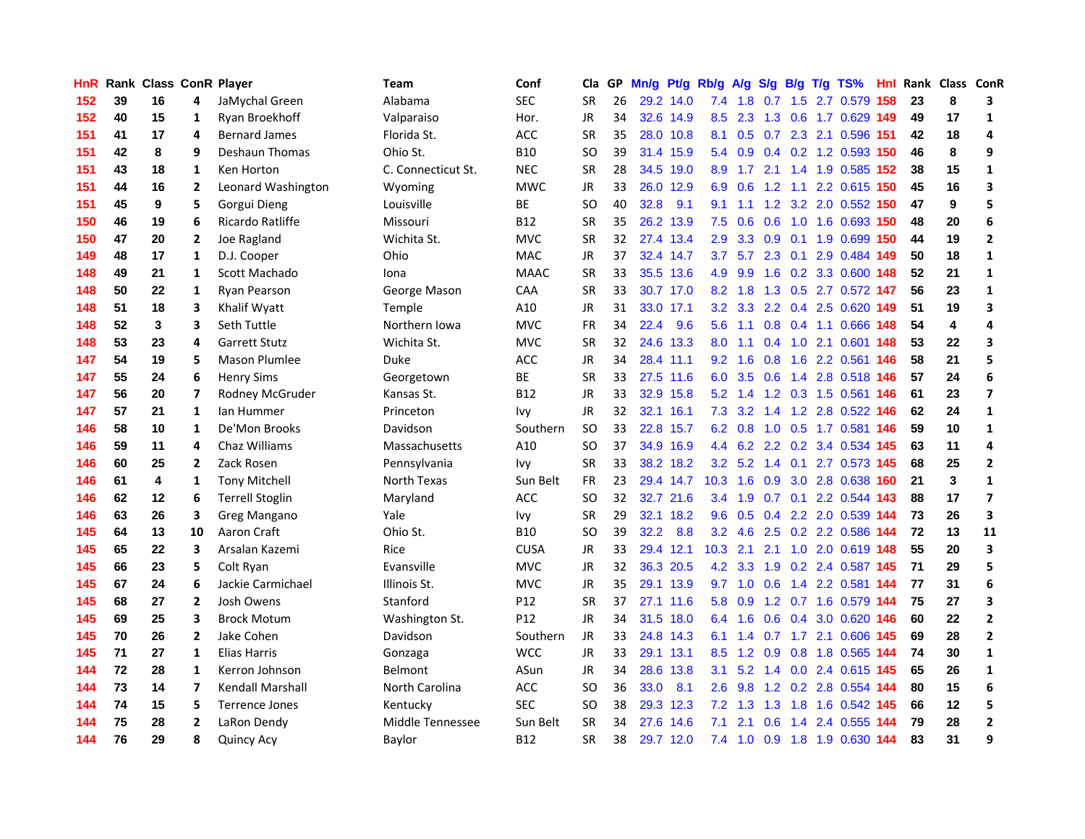| HnR |    | Rank Class ConR Player |                |                         | <b>Team</b>        | Conf            | Cla       |    | GP Mn/g Pt/g Rb/g A/g |           |                  |                 |               |                 | S/g B/g T/g TS%               | Hnl  |    | Rank Class ConR |                          |
|-----|----|------------------------|----------------|-------------------------|--------------------|-----------------|-----------|----|-----------------------|-----------|------------------|-----------------|---------------|-----------------|-------------------------------|------|----|-----------------|--------------------------|
| 152 | 39 | 16                     | 4              | JaMychal Green          | Alabama            | <b>SEC</b>      | <b>SR</b> | 26 |                       | 29.2 14.0 | 7.4              | 1.8             | 0.7           | 1.5             | 2.7 0.579                     | 158  | 23 | 8               | 3                        |
| 152 | 40 | 15                     | 1              | Ryan Broekhoff          | Valparaiso         | Hor.            | JR        | 34 |                       | 32.6 14.9 | 8.5              | 2.3             | 1.3           | 0.6             | 1.7 0.629                     | 149  | 49 | 17              | 1                        |
| 151 | 41 | 17                     | 4              | <b>Bernard James</b>    | Florida St.        | ACC             | <b>SR</b> | 35 |                       | 28.0 10.8 | 8.1              | 0.5             | 0.7           |                 | 2.3 2.1 0.596                 | -151 | 42 | 18              | 4                        |
| 151 | 42 | 8                      | 9              | <b>Deshaun Thomas</b>   | Ohio St.           | <b>B10</b>      | <b>SO</b> | 39 |                       | 31.4 15.9 |                  | 5.4 0.9         |               |                 | 0.4 0.2 1.2 0.593 150         |      | 46 | 8               | 9                        |
| 151 | 43 | 18                     | 1              | Ken Horton              | C. Connecticut St. | <b>NEC</b>      | <b>SR</b> | 28 |                       | 34.5 19.0 |                  |                 |               |                 | 8.9 1.7 2.1 1.4 1.9 0.585 152 |      | 38 | 15              | $\mathbf{1}$             |
| 151 | 44 | 16                     | $\overline{2}$ | Leonard Washington      | Wyoming            | <b>MWC</b>      | <b>JR</b> | 33 |                       | 26.0 12.9 | 6.9              | 0.6             |               |                 | 1.2 1.1 2.2 0.615 150         |      | 45 | 16              | 3                        |
| 151 | 45 | 9                      | 5              | Gorgui Dieng            | Louisville         | ВE              | SO.       | 40 | 32.8                  | 9.1       | 9.1              | 1.1             |               |                 | 1.2 3.2 2.0 0.552 150         |      | 47 | 9               | 5                        |
| 150 | 46 | 19                     | 6              | Ricardo Ratliffe        | Missouri           | <b>B12</b>      | <b>SR</b> | 35 |                       | 26.2 13.9 | 7.5              | 0.6             | 0.6           |                 | 1.0 1.6 0.693 150             |      | 48 | 20              | 6                        |
| 150 | 47 | 20                     | $\overline{2}$ | Joe Ragland             | Wichita St.        | <b>MVC</b>      | <b>SR</b> | 32 |                       | 27.4 13.4 | 2.9              | 3.3             | 0.9           | 0.1             | 1.9 0.699 150                 |      | 44 | 19              | $\mathbf{2}$             |
| 149 | 48 | 17                     | $\mathbf{1}$   | D.J. Cooper             | Ohio               | <b>MAC</b>      | JR        | 37 |                       | 32.4 14.7 | 3.7              | 5.7             |               | $2.3 \quad 0.1$ | 2.9 0.484                     | 149  | 50 | 18              | 1                        |
| 148 | 49 | 21                     | $\mathbf{1}$   | Scott Machado           | Iona               | <b>MAAC</b>     | <b>SR</b> | 33 |                       | 35.5 13.6 | 4.9              | 9.9             | 1.6           |                 | 0.2 3.3 0.600 148             |      | 52 | 21              | $\mathbf{1}$             |
| 148 | 50 | 22                     | $\mathbf{1}$   | Ryan Pearson            | George Mason       | CAA             | <b>SR</b> | 33 |                       | 30.7 17.0 |                  | 8.2 1.8         | 1.3           | 0.5             | 2.7 0.572 147                 |      | 56 | 23              | $\mathbf{1}$             |
| 148 | 51 | 18                     | 3              | Khalif Wyatt            | Temple             | A10             | JR        | 31 |                       | 33.0 17.1 | 3.2 <sub>2</sub> | 3.3             | $2.2^{\circ}$ | 0.4             | 2.5 0.620 149                 |      | 51 | 19              | 3                        |
| 148 | 52 | 3                      | 3              | Seth Tuttle             | Northern Iowa      | <b>MVC</b>      | <b>FR</b> | 34 | 22.4                  | 9.6       | 5.6              | 1.1             | 0.8           |                 | $0.4$ 1.1 0.666               | 148  | 54 | 4               | 4                        |
| 148 | 53 | 23                     | 4              | <b>Garrett Stutz</b>    | Wichita St.        | <b>MVC</b>      | <b>SR</b> | 32 |                       | 24.6 13.3 | 8.0              | 1.1             | $0.4^{\circ}$ | 1.0             | 2.1 0.601                     | 148  | 53 | 22              | 3                        |
| 147 | 54 | 19                     | 5              | <b>Mason Plumlee</b>    | <b>Duke</b>        | <b>ACC</b>      | JR        | 34 |                       | 28.4 11.1 | 9.2              | 1.6             | 0.8           |                 | 1.6 2.2 0.561 146             |      | 58 | 21              | 5                        |
| 147 | 55 | 24                     | 6              | <b>Henry Sims</b>       | Georgetown         | ВE              | <b>SR</b> | 33 |                       | 27.5 11.6 | 6.0              | 3.5             | 0.6           |                 | 1.4 2.8 0.518 146             |      | 57 | 24              | 6                        |
| 147 | 56 | 20                     | 7              | Rodney McGruder         | Kansas St.         | <b>B12</b>      | JR        | 33 |                       | 32.9 15.8 |                  | $5.2 \quad 1.4$ |               |                 | 1.2 0.3 1.5 0.561 146         |      | 61 | 23              | $\overline{\phantom{a}}$ |
| 147 | 57 | 21                     | 1              | lan Hummer              | Princeton          | Ivy             | JR        | 32 |                       | 32.1 16.1 |                  | $7.3$ $3.2$     |               |                 | 1.4 1.2 2.8 0.522 146         |      | 62 | 24              | $\mathbf{1}$             |
| 146 | 58 | 10                     | 1              | De'Mon Brooks           | Davidson           | Southern        | <b>SO</b> | 33 |                       | 22.8 15.7 |                  | $6.2 \quad 0.8$ |               |                 | 1.0 0.5 1.7 0.581 146         |      | 59 | 10              | 1                        |
| 146 | 59 | 11                     | 4              | Chaz Williams           | Massachusetts      | A10             | <b>SO</b> | 37 |                       | 34.9 16.9 |                  |                 |               |                 | 4.4 6.2 2.2 0.2 3.4 0.534 145 |      | 63 | 11              | 4                        |
| 146 | 60 | 25                     | $\overline{2}$ | Zack Rosen              | Pennsylvania       | Ivy             | <b>SR</b> | 33 |                       | 38.2 18.2 |                  | $3.2$ 5.2       |               | $1.4 \quad 0.1$ | 2.7 0.573 145                 |      | 68 | 25              | $\mathbf{2}$             |
| 146 | 61 | 4                      | 1              | <b>Tony Mitchell</b>    | North Texas        | Sun Belt        | <b>FR</b> | 23 |                       | 29.4 14.7 | 10.3             | 1.6             | 0.9           |                 | 3.0 2.8 0.638                 | 160  | 21 | 3               | $\mathbf{1}$             |
| 146 | 62 | 12                     | 6              | <b>Terrell Stoglin</b>  | Maryland           | <b>ACC</b>      | <b>SO</b> | 32 |                       | 32.7 21.6 | 3.4              | 1.9             |               | $0.7 \quad 0.1$ | 2.2 0.544                     | 143  | 88 | 17              | $\overline{7}$           |
| 146 | 63 | 26                     | 3              | Greg Mangano            | Yale               | lvy.            | <b>SR</b> | 29 |                       | 32.1 18.2 | 9.6              | 0.5             | 0.4           |                 | 2.2 2.0 0.539 144             |      | 73 | 26              | 3                        |
| 145 | 64 | 13                     | 10             | Aaron Craft             | Ohio St.           | <b>B10</b>      | <b>SO</b> | 39 | 32.2                  | 8.8       | 3.2              | 4.6             | 2.5           | 0.2             | 2.2 0.586                     | -144 | 72 | 13              | 11                       |
| 145 | 65 | 22                     | 3              | Arsalan Kazemi          | Rice               | <b>CUSA</b>     | <b>JR</b> | 33 |                       | 29.4 12.1 | 10.3             | 2.1             | 2.1           | 1.0             | 2.0 0.619 148                 |      | 55 | 20              | 3                        |
| 145 | 66 | 23                     | 5              | Colt Ryan               | Evansville         | <b>MVC</b>      | JR        | 32 |                       | 36.3 20.5 | 4.2              | 3.3             | 1.9           |                 | 0.2 2.4 0.587 145             |      | 71 | 29              | 5                        |
| 145 | 67 | 24                     | 6              | Jackie Carmichael       | Illinois St.       | <b>MVC</b>      | JR        | 35 |                       | 29.1 13.9 | 9.7              | 1.0             | 0.6           |                 | 1.4 2.2 0.581 144             |      | 77 | 31              | 6                        |
| 145 | 68 | 27                     | $\overline{2}$ | Josh Owens              | Stanford           | P <sub>12</sub> | <b>SR</b> | 37 |                       | 27.1 11.6 |                  | 5.8 0.9         |               |                 | 1.2 0.7 1.6 0.579 144         |      | 75 | 27              | 3                        |
| 145 | 69 | 25                     | 3              | <b>Brock Motum</b>      | Washington St.     | P <sub>12</sub> | <b>JR</b> | 34 |                       | 31.5 18.0 |                  | 6.4 1.6         |               |                 | 0.6 0.4 3.0 0.620 146         |      | 60 | 22              | $\mathbf{2}$             |
| 145 | 70 | 26                     | $\overline{2}$ | Jake Cohen              | Davidson           | Southern        | JR        | 33 |                       | 24.8 14.3 |                  | $6.1 \quad 1.4$ |               |                 | 0.7 1.7 2.1 0.606 145         |      | 69 | 28              | $\mathbf{2}$             |
| 145 | 71 | 27                     | 1              | <b>Elias Harris</b>     | Gonzaga            | <b>WCC</b>      | <b>JR</b> | 33 |                       | 29.1 13.1 |                  |                 |               |                 | 8.5 1.2 0.9 0.8 1.8 0.565 144 |      | 74 | 30              | $\mathbf{1}$             |
| 144 | 72 | 28                     | 1              | Kerron Johnson          | Belmont            | ASun            | JR        | 34 |                       | 28.6 13.8 | 3.1              | 5.2             |               |                 | 1.4 0.0 2.4 0.615 145         |      | 65 | 26              | $\mathbf{1}$             |
| 144 | 73 | 14                     | 7              | <b>Kendall Marshall</b> | North Carolina     | <b>ACC</b>      | <b>SO</b> | 36 | 33.0                  | 8.1       | 2.6              | 9.8             |               |                 | 1.2 0.2 2.8 0.554 144         |      | 80 | 15              | 6                        |
| 144 | 74 | 15                     | 5              | <b>Terrence Jones</b>   | Kentucky           | <b>SEC</b>      | <b>SO</b> | 38 |                       | 29.3 12.3 | 7.2              | 1.3             | 1.3           | 1.8             | 1.6 0.542 145                 |      | 66 | 12              | 5                        |
| 144 | 75 | 28                     | $\overline{2}$ | LaRon Dendy             | Middle Tennessee   | Sun Belt        | <b>SR</b> | 34 | 27.6                  | 14.6      | 7.1              | 2.1             | 0.6           | 1.4             | 2.4 0.555                     | 144  | 79 | 28              | $\mathbf{2}$             |
| 144 | 76 | 29                     | 8              | <b>Quincy Acy</b>       | Baylor             | <b>B12</b>      | <b>SR</b> | 38 |                       | 29.7 12.0 |                  |                 | 7.4 1.0 0.9   |                 | 1.8 1.9 0.630 144             |      | 83 | 31              | 9                        |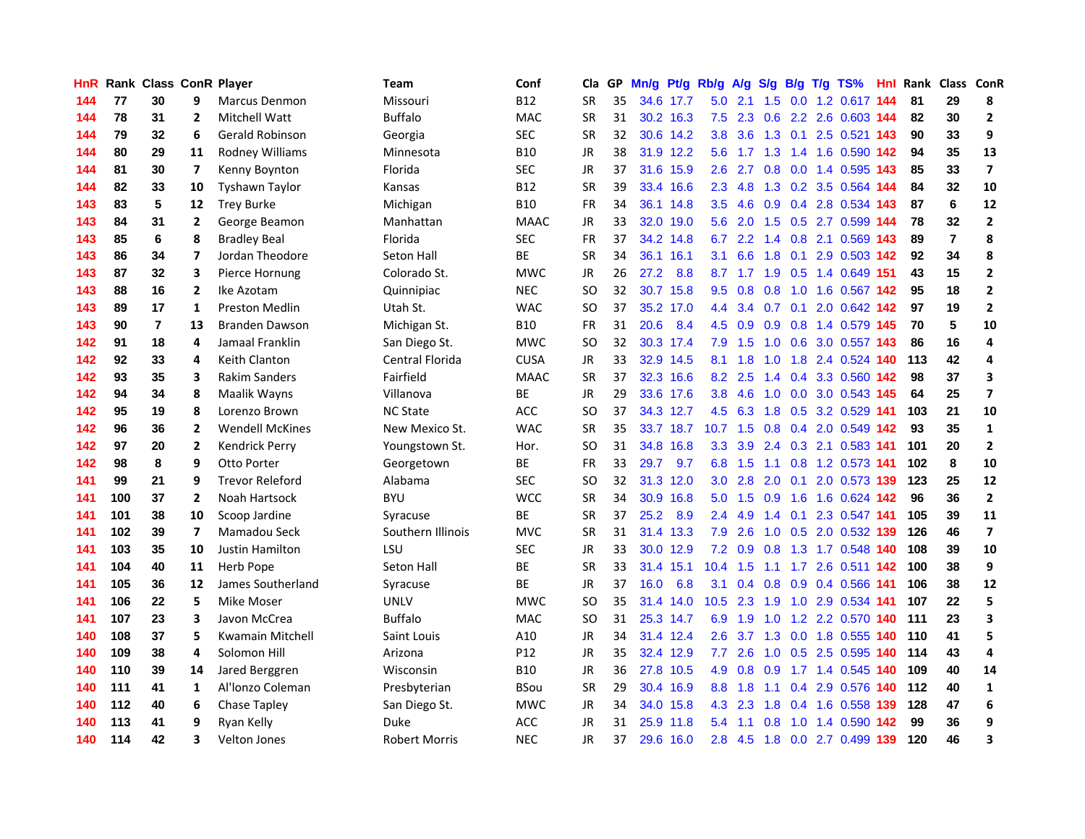| HnR |     | Rank Class ConR Player  |                         |                         | Team                 | Conf        | Cla           |    | GP Mn/g Pt/g Rb/g |           |                  | <b>A/g</b>     |               |               | S/g B/g T/g TS%       | Hnl | Rank Class ConR |                |                         |
|-----|-----|-------------------------|-------------------------|-------------------------|----------------------|-------------|---------------|----|-------------------|-----------|------------------|----------------|---------------|---------------|-----------------------|-----|-----------------|----------------|-------------------------|
| 144 | 77  | 30                      | 9                       | <b>Marcus Denmon</b>    | Missouri             | <b>B12</b>  | <b>SR</b>     | 35 |                   | 34.6 17.7 | 5.0              | 2.1            | 1.5           | 0.0           | 1.2 0.617             | 144 | 81              | 29             | 8                       |
| 144 | 78  | 31                      | $\overline{2}$          | Mitchell Watt           | <b>Buffalo</b>       | <b>MAC</b>  | <b>SR</b>     | 31 |                   | 30.2 16.3 | 7.5              | 2.3            | 0.6           | $2.2^{\circ}$ | 2.6 0.603 144         |     | 82              | 30             | $\mathbf{2}$            |
| 144 | 79  | 32                      | 6                       | <b>Gerald Robinson</b>  | Georgia              | <b>SEC</b>  | <b>SR</b>     | 32 |                   | 30.6 14.2 | 3.8              | 3.6            | 1.3           | 0.1           | 2.5 0.521 143         |     | 90              | 33             | 9                       |
| 144 | 80  | 29                      | 11                      | Rodney Williams         | Minnesota            | <b>B10</b>  | <b>JR</b>     | 38 |                   | 31.9 12.2 | 5.6              | 1.7            | 1.3           |               | 1.4 1.6 0.590 142     |     | 94              | 35             | 13                      |
| 144 | 81  | 30                      | 7                       | Kenny Boynton           | Florida              | <b>SEC</b>  | JR            | 37 |                   | 31.6 15.9 | 2.6              | 2.7            |               |               | 0.8 0.0 1.4 0.595 143 |     | 85              | 33             | $\overline{\mathbf{z}}$ |
| 144 | 82  | 33                      | 10                      | <b>Tyshawn Taylor</b>   | Kansas               | <b>B12</b>  | <b>SR</b>     | 39 |                   | 33.4 16.6 | 2.3              | 4.8            |               |               | 1.3 0.2 3.5 0.564 144 |     | 84              | 32             | 10                      |
| 143 | 83  | 5                       | 12                      | <b>Trey Burke</b>       | Michigan             | <b>B10</b>  | FR            | 34 |                   | 36.1 14.8 | 3.5              | 4.6            |               |               | 0.9 0.4 2.8 0.534 143 |     | 87              | 6              | 12                      |
| 143 | 84  | 31                      | $\mathbf{2}$            | George Beamon           | Manhattan            | <b>MAAC</b> | <b>JR</b>     | 33 |                   | 32.0 19.0 | 5.6              | 2.0            |               |               | 1.5 0.5 2.7 0.599 144 |     | 78              | 32             | $\overline{2}$          |
| 143 | 85  | 6                       | 8                       | <b>Bradley Beal</b>     | Florida              | <b>SEC</b>  | <b>FR</b>     | 37 |                   | 34.2 14.8 | 6.7              | 2.2            | $1.4^{\circ}$ |               | 0.8 2.1 0.569 143     |     | 89              | $\overline{7}$ | 8                       |
| 143 | 86  | 34                      | $\overline{\mathbf{z}}$ | Jordan Theodore         | <b>Seton Hall</b>    | <b>BE</b>   | <b>SR</b>     | 34 |                   | 36.1 16.1 | 3.1              | 6.6            | 1.8           | 0.1           | 2.9 0.503 142         |     | 92              | 34             | 8                       |
| 143 | 87  | 32                      | 3                       | Pierce Hornung          | Colorado St.         | <b>MWC</b>  | JR            | 26 | 27.2              | 8.8       | 8.7              | 1.7            | 1.9           |               | 0.5 1.4 0.649 151     |     | 43              | 15             | $\mathbf{2}$            |
| 143 | 88  | 16                      | $\mathbf{2}$            | Ike Azotam              | Quinnipiac           | <b>NEC</b>  | <b>SO</b>     | 32 |                   | 30.7 15.8 | 9.5              | 0.8            | 0.8           | 1.0           | 1.6 0.567 142         |     | 95              | 18             | $\mathbf{2}$            |
| 143 | 89  | 17                      | $\mathbf{1}$            | <b>Preston Medlin</b>   | Utah St.             | <b>WAC</b>  | <b>SO</b>     | 37 |                   | 35.2 17.0 | $4.4^{\circ}$    | 3.4            | 0.7           | 0.1           | 2.0 0.642 142         |     | 97              | 19             | $\mathbf{2}$            |
| 143 | 90  | $\overline{\mathbf{r}}$ | 13                      | <b>Branden Dawson</b>   | Michigan St.         | <b>B10</b>  | FR            | 31 | 20.6              | 8.4       | 4.5              | 0.9            | 0.9           | 0.8           | 1.4 0.579 145         |     | 70              | 5              | 10                      |
| 142 | 91  | 18                      | 4                       | Jamaal Franklin         | San Diego St.        | <b>MWC</b>  | <sub>SO</sub> | 32 |                   | 30.3 17.4 | 7.9              | 1.5            | 1.0           | 0.6           | 3.0 0.557 143         |     | 86              | 16             | 4                       |
| 142 | 92  | 33                      | 4                       | <b>Keith Clanton</b>    | Central Florida      | <b>CUSA</b> | JR            | 33 |                   | 32.9 14.5 | 8.1              | 1.8            | 1.0           |               | 1.8 2.4 0.524 140     |     | 113             | 42             | 4                       |
| 142 | 93  | 35                      | 3                       | <b>Rakim Sanders</b>    | Fairfield            | <b>MAAC</b> | <b>SR</b>     | 37 |                   | 32.3 16.6 |                  | 8.2 2.5        |               |               | 1.4 0.4 3.3 0.560 142 |     | 98              | 37             | 3                       |
| 142 | 94  | 34                      | 8                       | Maalik Wayns            | Villanova            | <b>BE</b>   | <b>JR</b>     | 29 |                   | 33.6 17.6 | 3.8 <sub>1</sub> | 4.6            |               |               | 1.0 0.0 3.0 0.543 145 |     | 64              | 25             | $\overline{\mathbf{z}}$ |
| 142 | 95  | 19                      | 8                       | Lorenzo Brown           | <b>NC State</b>      | <b>ACC</b>  | SO            | 37 |                   | 34.3 12.7 |                  | $4.5\quad 6.3$ |               |               | 1.8 0.5 3.2 0.529 141 |     | 103             | 21             | 10                      |
| 142 | 96  | 36                      | 2                       | <b>Wendell McKines</b>  | New Mexico St.       | <b>WAC</b>  | <b>SR</b>     | 35 |                   | 33.7 18.7 | $10.7$ 1.5       |                |               |               | 0.8 0.4 2.0 0.549 142 |     | 93              | 35             | $\mathbf{1}$            |
| 142 | 97  | 20                      | 2                       | <b>Kendrick Perry</b>   | Youngstown St.       | Hor.        | SO            | 31 |                   | 34.8 16.8 | 3.3 <sub>2</sub> | 3.9            |               |               | 2.4 0.3 2.1 0.583 141 |     | 101             | 20             | $\overline{2}$          |
| 142 | 98  | 8                       | 9                       | Otto Porter             | Georgetown           | ВE          | <b>FR</b>     | 33 | 29.7              | 9.7       | 6.8              | 1.5            | 1.1           |               | 0.8 1.2 0.573 141     |     | 102             | 8              | 10                      |
| 141 | 99  | 21                      | 9                       | <b>Trevor Releford</b>  | Alabama              | <b>SEC</b>  | <sub>SO</sub> | 32 |                   | 31.3 12.0 | 3.0 <sub>1</sub> | 2.8            | 2.0           | 0.1           | 2.0 0.573 139         |     | 123             | 25             | 12                      |
| 141 | 100 | 37                      | $\overline{2}$          | Noah Hartsock           | <b>BYU</b>           | <b>WCC</b>  | <b>SR</b>     | 34 |                   | 30.9 16.8 | 5.0              | 1.5            | 0.9           |               | 1.6 1.6 0.624 142     |     | 96              | 36             | $\mathbf{2}$            |
| 141 | 101 | 38                      | 10                      | Scoop Jardine           | Syracuse             | <b>BE</b>   | <b>SR</b>     | 37 | 25.2              | 8.9       | $2.4^{\circ}$    | 4.9            | $1.4^{\circ}$ | 0.1           | 2.3 0.547 141         |     | 105             | 39             | 11                      |
| 141 | 102 | 39                      | 7                       | Mamadou Seck            | Southern Illinois    | <b>MVC</b>  | <b>SR</b>     | 31 |                   | 31.4 13.3 | 7.9              | 2.6            | 1.0           | 0.5           | 2.0 0.532 139         |     | 126             | 46             | $\overline{\mathbf{z}}$ |
| 141 | 103 | 35                      | 10                      | Justin Hamilton         | LSU                  | <b>SEC</b>  | <b>JR</b>     | 33 |                   | 30.0 12.9 | 7.2              | 0.9            | 0.8           |               | 1.3 1.7 0.548 140     |     | 108             | 39             | 10                      |
| 141 | 104 | 40                      | 11                      | Herb Pope               | Seton Hall           | BE          | SR            | 33 |                   | 31.4 15.1 | 10.4             | 1.5            | 1.1           |               | 1.7 2.6 0.511 142     |     | 100             | 38             | 9                       |
| 141 | 105 | 36                      | 12                      | James Southerland       | Syracuse             | <b>BE</b>   | <b>JR</b>     | 37 | 16.0              | 6.8       | 3.1              | 0.4            | 0.8           | 0.9           | 0.4 0.566 141         |     | 106             | 38             | 12                      |
| 141 | 106 | 22                      | 5                       | Mike Moser              | UNLV                 | <b>MWC</b>  | <b>SO</b>     | 35 |                   | 31.4 14.0 | 10.5             | 2.3            | $-1.9$        |               | 1.0 2.9 0.534 141     |     | 107             | 22             | 5                       |
| 141 | 107 | 23                      | 3                       | Javon McCrea            | <b>Buffalo</b>       | <b>MAC</b>  | <b>SO</b>     | 31 |                   | 25.3 14.7 | 6.9              | 1.9            | 1.0           |               | 1.2 2.2 0.570 140     |     | 111             | 23             | 3                       |
| 140 | 108 | 37                      | 5                       | <b>Kwamain Mitchell</b> | Saint Louis          | A10         | JR            | 34 |                   | 31.4 12.4 | 2.6              | 3.7            |               |               | 1.3 0.0 1.8 0.555 140 |     | 110             | 41             | 5                       |
| 140 | 109 | 38                      | 4                       | Solomon Hill            | Arizona              | P12         | <b>JR</b>     | 35 |                   | 32.4 12.9 | 7.7              | 2.6            |               |               | 1.0 0.5 2.5 0.595 140 |     | 114             | 43             | 4                       |
| 140 | 110 | 39                      | 14                      | Jared Berggren          | Wisconsin            | <b>B10</b>  | JR            | 36 |                   | 27.8 10.5 | 4.9              | 0.8            | 0.9           |               | 1.7 1.4 0.545 140     |     | 109             | 40             | 14                      |
| 140 | 111 | 41                      | 1                       | Al'Ionzo Coleman        | Presbyterian         | <b>BSou</b> | <b>SR</b>     | 29 |                   | 30.4 16.9 | 8.8              | 1.8            | 1.1           |               | 0.4 2.9 0.576 140     |     | 112             | 40             | $\mathbf{1}$            |
| 140 | 112 | 40                      | 6                       | Chase Tapley            | San Diego St.        | <b>MWC</b>  | JR            | 34 | 34.0              | 15.8      | 4.3              | 2.3            | 1.8           | 0.4           | 1.6 0.558             | 139 | 128             | 47             | 6                       |
| 140 | 113 | 41                      | 9                       | Ryan Kelly              | Duke                 | <b>ACC</b>  | <b>JR</b>     | 31 | 25.9              | 11.8      | 5.4              | 1.1            | 0.8           | 1.0           | 1.4 0.590             | 142 | 99              | 36             | 9                       |
| 140 | 114 | 42                      | 3                       | <b>Velton Jones</b>     | <b>Robert Morris</b> | <b>NEC</b>  | <b>JR</b>     | 37 |                   | 29.6 16.0 |                  | $2.8$ 4.5      |               |               | 1.8 0.0 2.7 0.499 139 |     | 120             | 46             | 3                       |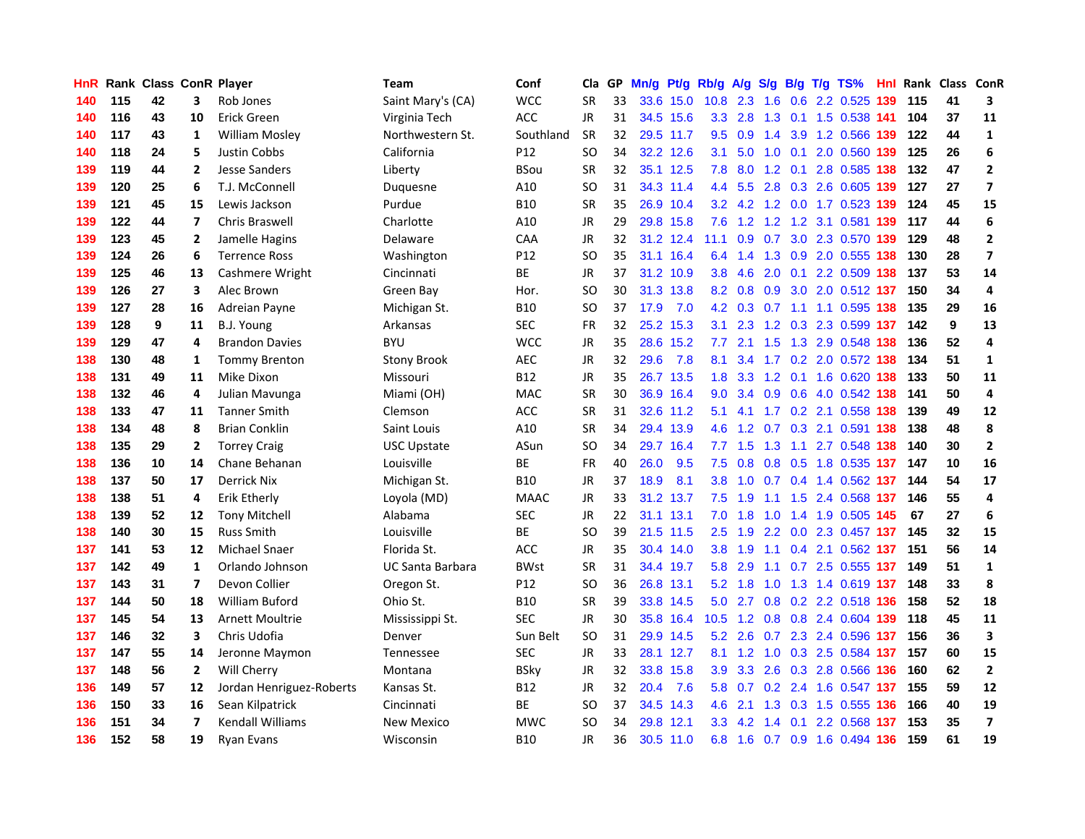| HnR. |     | Rank Class ConR Player |                |                          | Team               | Conf        | Cla           | GP. | Mn/g Pt/g |           | Rb/g A/g         |           |                 |                 | S/g B/g T/g TS%               | Hnl |     | Rank Class ConR  |                         |
|------|-----|------------------------|----------------|--------------------------|--------------------|-------------|---------------|-----|-----------|-----------|------------------|-----------|-----------------|-----------------|-------------------------------|-----|-----|------------------|-------------------------|
| 140  | 115 | 42                     | 3              | Rob Jones                | Saint Mary's (CA)  | <b>WCC</b>  | <b>SR</b>     | 33  |           | 33.6 15.0 | 10.8             | 2.3       | $1.6\,$         | 0.6             | 2.2 0.525                     | 139 | 115 | 41               | 3                       |
| 140  | 116 | 43                     | 10             | Erick Green              | Virginia Tech      | ACC         | <b>JR</b>     | 31  |           | 34.5 15.6 | 3.3 <sub>2</sub> | 2.8       | 1.3             |                 | 0.1 1.5 0.538 141             |     | 104 | 37               | 11                      |
| 140  | 117 | 43                     | $\mathbf{1}$   | <b>William Mosley</b>    | Northwestern St.   | Southland   | <b>SR</b>     | 32  |           | 29.5 11.7 | 9.5              | 0.9       | 1.4             | 3.9             | 1.2 0.566 139                 |     | 122 | 44               | $\mathbf{1}$            |
| 140  | 118 | 24                     | 5              | Justin Cobbs             | California         | P12         | <b>SO</b>     | 34  |           | 32.2 12.6 | 3.1              | 5.0       | 1.0             | 0.1             | 2.0 0.560 139                 |     | 125 | 26               | 6                       |
| 139  | 119 | 44                     | 2              | <b>Jesse Sanders</b>     | Liberty            | <b>BSou</b> | <b>SR</b>     | 32  |           | 35.1 12.5 | 7.8              | 8.0       |                 |                 | 1.2 0.1 2.8 0.585 138         |     | 132 | 47               | $\mathbf{2}$            |
| 139  | 120 | 25                     | 6              | T.J. McConnell           | Duquesne           | A10         | SO            | 31  |           | 34.3 11.4 |                  |           |                 |                 | 4.4 5.5 2.8 0.3 2.6 0.605 139 |     | 127 | 27               | $\overline{ }$          |
| 139  | 121 | 45                     | 15             | Lewis Jackson            | Purdue             | <b>B10</b>  | <b>SR</b>     | 35  |           | 26.9 10.4 |                  |           |                 |                 | 3.2 4.2 1.2 0.0 1.7 0.523 139 |     | 124 | 45               | 15                      |
| 139  | 122 | 44                     | 7              | <b>Chris Braswell</b>    | Charlotte          | A10         | JR            | 29  |           | 29.8 15.8 | 7.6              |           |                 |                 | 1.2 1.2 1.2 3.1 0.581 139     |     | 117 | 44               | 6                       |
| 139  | 123 | 45                     | $\mathbf{2}$   | Jamelle Hagins           | Delaware           | CAA         | <b>JR</b>     | 32  |           | 31.2 12.4 | 11.1             | 0.9       | 0.7             |                 | 3.0 2.3 0.570 139             |     | 129 | 48               | $\mathbf{2}$            |
| 139  | 124 | 26                     | 6              | <b>Terrence Ross</b>     | Washington         | P12         | <sub>SO</sub> | 35  |           | 31.1 16.4 | 6.4              | 1.4       | 1.3             |                 | 0.9 2.0 0.555 138             |     | 130 | 28               | $\overline{\mathbf{z}}$ |
| 139  | 125 | 46                     | 13             | Cashmere Wright          | Cincinnati         | ВE          | JR            | 37  |           | 31.2 10.9 | 3.8 <sub>2</sub> | 4.6       | 2.0             | 0.1             | 2.2 0.509 138                 |     | 137 | 53               | 14                      |
| 139  | 126 | 27                     | 3              | Alec Brown               | Green Bay          | Hor.        | <b>SO</b>     | 30  |           | 31.3 13.8 |                  | 8.2 0.8   | 0.9             |                 | 3.0 2.0 0.512 137             |     | 150 | 34               | 4                       |
| 139  | 127 | 28                     | 16             | Adreian Payne            | Michigan St.       | <b>B10</b>  | <b>SO</b>     | 37  | 17.9      | 7.0       | 4.2              | 0.3       | 0.7             | 1.1             | 1.1 0.595 138                 |     | 135 | 29               | 16                      |
| 139  | 128 | 9                      | 11             | B.J. Young               | Arkansas           | <b>SEC</b>  | <b>FR</b>     | 32  |           | 25.2 15.3 | 3.1              | 2.3       | 1.2             | 0.3             | 2.3 0.599 137                 |     | 142 | $\boldsymbol{9}$ | 13                      |
| 139  | 129 | 47                     | 4              | <b>Brandon Davies</b>    | <b>BYU</b>         | <b>WCC</b>  | JR            | 35  |           | 28.6 15.2 | 7.7              | 2.1       | 1.5             | 1.3             | 2.9 0.548                     | 138 | 136 | 52               | 4                       |
| 138  | 130 | 48                     | 1              | <b>Tommy Brenton</b>     | <b>Stony Brook</b> | <b>AEC</b>  | <b>JR</b>     | 32  | 29.6      | 7.8       | 8.1              | 3.4       | 1.7             | 0.2             | 2.0 0.572 138                 |     | 134 | 51               | $\mathbf{1}$            |
| 138  | 131 | 49                     | 11             | Mike Dixon               | Missouri           | <b>B12</b>  | JR            | 35  |           | 26.7 13.5 | 1.8 <sup>°</sup> | 3.3       |                 | $1.2 \quad 0.1$ | 1.6 0.620 138                 |     | 133 | 50               | 11                      |
| 138  | 132 | 46                     | 4              | Julian Mavunga           | Miami (OH)         | <b>MAC</b>  | <b>SR</b>     | 30  |           | 36.9 16.4 | 9.0 <sub>1</sub> | 3.4       |                 |                 | 0.9 0.6 4.0 0.542 138         |     | 141 | 50               | 4                       |
| 138  | 133 | 47                     | 11             | <b>Tanner Smith</b>      | Clemson            | <b>ACC</b>  | <b>SR</b>     | 31  |           | 32.6 11.2 | 5.1              | 4.1       |                 |                 | 1.7 0.2 2.1 0.558 138         |     | 139 | 49               | 12                      |
| 138  | 134 | 48                     | 8              | <b>Brian Conklin</b>     | Saint Louis        | A10         | <b>SR</b>     | 34  |           | 29.4 13.9 | 4.6              |           |                 |                 | 1.2 0.7 0.3 2.1 0.591 138     |     | 138 | 48               | 8                       |
| 138  | 135 | 29                     | $\overline{2}$ | <b>Torrey Craig</b>      | <b>USC Upstate</b> | ASun        | <sub>SO</sub> | 34  |           | 29.7 16.4 |                  | $7.7$ 1.5 |                 |                 | 1.3 1.1 2.7 0.548 138         |     | 140 | 30               | $\overline{2}$          |
| 138  | 136 | 10                     | 14             | Chane Behanan            | Louisville         | BE          | <b>FR</b>     | 40  | 26.0      | 9.5       | 7.5              | 0.8       |                 |                 | 0.8 0.5 1.8 0.535 137         |     | 147 | 10               | 16                      |
| 138  | 137 | 50                     | 17             | <b>Derrick Nix</b>       | Michigan St.       | <b>B10</b>  | <b>JR</b>     | 37  | 18.9      | 8.1       | 3.8 <sub>1</sub> | 1.0       |                 |                 | 0.7 0.4 1.4 0.562 137         |     | 144 | 54               | 17                      |
| 138  | 138 | 51                     | 4              | Erik Etherly             | Loyola (MD)        | <b>MAAC</b> | <b>JR</b>     | 33  |           | 31.2 13.7 | 7.5              | 1.9       | 1.1             |                 | 1.5 2.4 0.568 137             |     | 146 | 55               | 4                       |
| 138  | 139 | 52                     | 12             | <b>Tony Mitchell</b>     | Alabama            | <b>SEC</b>  | JR            | 22  |           | 31.1 13.1 | 7.0              | 1.8       | 1.0             |                 | 1.4 1.9 0.505 145             |     | 67  | 27               | 6                       |
| 138  | 140 | 30                     | 15             | <b>Russ Smith</b>        | Louisville         | <b>BE</b>   | <b>SO</b>     | 39  |           | 21.5 11.5 | 2.5              | 1.9       |                 |                 | 2.2 0.0 2.3 0.457 137         |     | 145 | 32               | 15                      |
| 137  | 141 | 53                     | 12             | <b>Michael Snaer</b>     | Florida St.        | <b>ACC</b>  | JR            | 35  |           | 30.4 14.0 | 3.8 <sub>1</sub> | 1.9       | 1.1             | 0.4             | 2.1 0.562                     | 137 | 151 | 56               | 14                      |
| 137  | 142 | 49                     | $\mathbf{1}$   | Orlando Johnson          | UC Santa Barbara   | <b>BWst</b> | <b>SR</b>     | 31  |           | 34.4 19.7 | 5.8              | 2.9       | 1.1             |                 | 0.7 2.5 0.555 137             |     | 149 | 51               | $\mathbf{1}$            |
| 137  | 143 | 31                     | 7              | Devon Collier            | Oregon St.         | P12         | <sub>SO</sub> | 36  |           | 26.8 13.1 | 5.2              | 1.8       | 1.0             |                 | 1.3 1.4 0.619 137             |     | 148 | 33               | 8                       |
| 137  | 144 | 50                     | 18             | <b>William Buford</b>    | Ohio St.           | <b>B10</b>  | SR            | 39  |           | 33.8 14.5 | 5.0              | 2.7       | 0.8             |                 | 0.2 2.2 0.518 136             |     | 158 | 52               | 18                      |
| 137  | 145 | 54                     | 13             | <b>Arnett Moultrie</b>   | Mississippi St.    | <b>SEC</b>  | <b>JR</b>     | 30  |           | 35.8 16.4 | 10.5             |           | $1.2 \quad 0.8$ |                 | 0.8 2.4 0.604 139             |     | 118 | 45               | 11                      |
| 137  | 146 | 32                     | 3              | Chris Udofia             | Denver             | Sun Belt    | <b>SO</b>     | 31  |           | 29.9 14.5 |                  | $5.2$ 2.6 |                 |                 | 0.7 2.3 2.4 0.596 137         |     | 156 | 36               | 3                       |
| 137  | 147 | 55                     | 14             | Jeronne Maymon           | <b>Tennessee</b>   | <b>SEC</b>  | <b>JR</b>     | 33  |           | 28.1 12.7 |                  | 8.1 1.2   |                 |                 | 1.0 0.3 2.5 0.584 137         |     | 157 | 60               | 15                      |
| 137  | 148 | 56                     | $\mathbf{2}$   | Will Cherry              | Montana            | <b>BSky</b> | JR            | 32  |           | 33.8 15.8 | 3.9              | 3.3       | 2.6             |                 | 0.3 2.8 0.566 136             |     | 160 | 62               | $\mathbf{2}$            |
| 136  | 149 | 57                     | 12             | Jordan Henriguez-Roberts | Kansas St.         | <b>B12</b>  | JR            | 32  | 20.4      | 7.6       | 5.8              | 0.7       |                 |                 | 0.2 2.4 1.6 0.547 137         |     | 155 | 59               | 12                      |
| 136  | 150 | 33                     | 16             | Sean Kilpatrick          | Cincinnati         | <b>BE</b>   | SO            | 37  |           | 34.5 14.3 | 4.6              | 2.1       | 1.3             |                 | $0.3$ 1.5 0.555               | 136 | 166 | 40               | 19                      |
| 136  | 151 | 34                     | 7              | <b>Kendall Williams</b>  | New Mexico         | <b>MWC</b>  | <b>SO</b>     | 34  | 29.8      | 12.1      | 3.3 <sub>1</sub> | 4.2       | 1.4             | 0.1             | 2.2 0.568                     | 137 | 153 | 35               | $\overline{\mathbf{z}}$ |
| 136  | 152 | 58                     | 19             | <b>Ryan Evans</b>        | Wisconsin          | <b>B10</b>  | JR            | 36  |           | 30.5 11.0 | 6.8              | 1.6       |                 |                 | 0.7 0.9 1.6 0.494 136         |     | 159 | 61               | 19                      |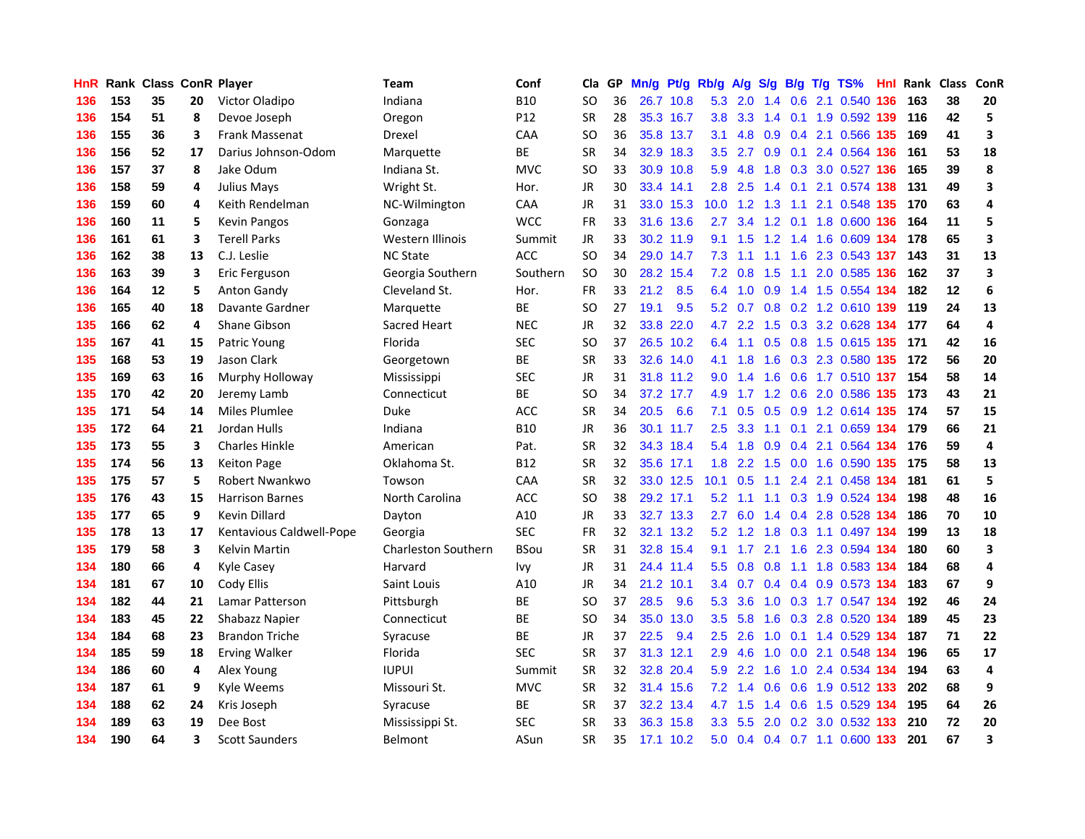| <b>HnR</b> |     | Rank Class ConR Player |    |                          | <b>Team</b>                | Conf            | Cla       |    | GP Mn/g Pt/g Rb/g |           |                  | A/g     |     |                | S/g B/g T/g TS%               | Hnl  |       | Rank Class | ConR       |
|------------|-----|------------------------|----|--------------------------|----------------------------|-----------------|-----------|----|-------------------|-----------|------------------|---------|-----|----------------|-------------------------------|------|-------|------------|------------|
| 136        | 153 | 35                     | 20 | Victor Oladipo           | Indiana                    | <b>B10</b>      | SO.       | 36 |                   | 26.7 10.8 | 5.3              | 2.0     | 1.4 | 0.6            | 2.1 0.540                     | 136  | 163   | 38         | 20         |
| 136        | 154 | 51                     | 8  | Devoe Joseph             | Oregon                     | P <sub>12</sub> | <b>SR</b> | 28 |                   | 35.3 16.7 | 3.8              | 3.3     | 1.4 | 0.1            | 1.9 0.592 139                 |      | 116   | 42         | 5          |
| 136        | 155 | 36                     | 3  | <b>Frank Massenat</b>    | Drexel                     | <b>CAA</b>      | SO.       | 36 |                   | 35.8 13.7 | 3.1              | 4.8     | 0.9 | 0.4            | 2.1 0.566 135                 |      | 169   | 41         | 3          |
| 136        | 156 | 52                     | 17 | Darius Johnson-Odom      | Marquette                  | ВE              | <b>SR</b> | 34 |                   | 32.9 18.3 | 3.5              | 2.7     |     | $0.9\quad 0.1$ | 2.4 0.564 136                 |      | 161   | 53         | 18         |
| 136        | 157 | 37                     | 8  | Jake Odum                | Indiana St.                | <b>MVC</b>      | <b>SO</b> | 33 |                   | 30.9 10.8 | 5.9              | 4.8     |     |                | 1.8 0.3 3.0 0.527 136         |      | 165   | 39         | 8          |
| 136        | 158 | 59                     | 4  | Julius Mays              | Wright St.                 | Hor.            | <b>JR</b> | 30 |                   | 33.4 14.1 | 2.8              | 2.5     |     |                | 1.4 0.1 2.1 0.574 138         |      | 131   | 49         | 3          |
| 136        | 159 | 60                     | 4  | Keith Rendelman          | NC-Wilmington              | <b>CAA</b>      | JR        | 31 |                   | 33.0 15.3 | 10.0             | 1.2     | 1.3 |                | 1.1 2.1 0.548 135             |      | 170   | 63         | 4          |
| 136        | 160 | 11                     | 5  | <b>Kevin Pangos</b>      | Gonzaga                    | <b>WCC</b>      | FR        | 33 |                   | 31.6 13.6 | 2.7              | 3.4     |     |                | 1.2 0.1 1.8 0.600 136         |      | 164   | 11         | 5          |
| 136        | 161 | 61                     | 3  | <b>Terell Parks</b>      | Western Illinois           | Summit          | <b>JR</b> | 33 |                   | 30.2 11.9 | 9.1              | 1.5     | 1.2 |                | 1.4 1.6 0.609 134             |      | 178   | 65         | 3          |
| 136        | 162 | 38                     | 13 | C.J. Leslie              | <b>NC State</b>            | <b>ACC</b>      | <b>SO</b> | 34 |                   | 29.0 14.7 | 7.3              | 1.1     | 1.1 | 1.6            | 2.3 0.543 137                 |      | 143   | 31         | 13         |
| 136        | 163 | 39                     | 3  | Eric Ferguson            | Georgia Southern           | Southern        | <b>SO</b> | 30 |                   | 28.2 15.4 | 7.2              | 0.8     | 1.5 | 1.1            | 2.0 0.585 136                 |      | 162   | 37         | 3          |
| 136        | 164 | 12                     | 5  | <b>Anton Gandy</b>       | Cleveland St.              | Hor.            | <b>FR</b> | 33 | 21.2              | 8.5       | 6.4              | 1.0     | 0.9 | 1.4            | 1.5 0.554                     | -134 | 182   | 12         | 6          |
| 136        | 165 | 40                     | 18 | Davante Gardner          | Marquette                  | <b>BE</b>       | <b>SO</b> | 27 | 19.1              | 9.5       | 5.2              | 0.7     | 0.8 |                | 0.2 1.2 0.610 139             |      | 119   | 24         | 13         |
| 135        | 166 | 62                     | 4  | Shane Gibson             | Sacred Heart               | <b>NEC</b>      | <b>JR</b> | 32 | 33.8              | 22.0      | 4.7              | 2.2     | 1.5 | 0.3            | 3.2 0.628 134                 |      | 177   | 64         | 4          |
| 135        | 167 | 41                     | 15 | Patric Young             | Florida                    | <b>SEC</b>      | <b>SO</b> | 37 |                   | 26.5 10.2 | 6.4              | 1.1     | 0.5 | 0.8            | 1.5 0.615 135                 |      | 171   | 42         | 16         |
| 135        | 168 | 53                     | 19 | Jason Clark              | Georgetown                 | <b>BE</b>       | <b>SR</b> | 33 |                   | 32.6 14.0 | 4.1              | 1.8     | 1.6 |                | 0.3 2.3 0.580 135             |      | 172   | 56         | 20         |
| 135        | 169 | 63                     | 16 | Murphy Holloway          | Mississippi                | <b>SEC</b>      | JR        | 31 |                   | 31.8 11.2 | 9.0              | 1.4     |     |                | 1.6 0.6 1.7 0.510 137         |      | 154   | 58         | ${\bf 14}$ |
| 135        | 170 | 42                     | 20 | Jeremy Lamb              | Connecticut                | <b>BE</b>       | SO.       | 34 |                   | 37.2 17.7 |                  | 4.9 1.7 |     |                | 1.2 0.6 2.0 0.586 135         |      | - 173 | 43         | 21         |
| 135        | 171 | 54                     | 14 | Miles Plumlee            | <b>Duke</b>                | ACC             | <b>SR</b> | 34 | 20.5              | 6.6       | 7.1              | 0.5     |     |                | 0.5 0.9 1.2 0.614 135         |      | 174   | 57         | 15         |
| 135        | 172 | 64                     | 21 | Jordan Hulls             | Indiana                    | <b>B10</b>      | JR        | 36 |                   | 30.1 11.7 | $2.5^{\circ}$    | 3.3     |     |                | 1.1 0.1 2.1 0.659 134         |      | 179   | 66         | 21         |
| 135        | 173 | 55                     | 3  | <b>Charles Hinkle</b>    | American                   | Pat.            | <b>SR</b> | 32 |                   | 34.3 18.4 | 5.4              | 1.8     |     |                | 0.9 0.4 2.1 0.564 134         |      | 176   | 59         | 4          |
| 135        | 174 | 56                     | 13 | <b>Keiton Page</b>       | Oklahoma St.               | <b>B12</b>      | <b>SR</b> | 32 |                   | 35.6 17.1 | 1.8              | 2.2     | 1.5 |                | 0.0 1.6 0.590 135             |      | 175   | 58         | 13         |
| 135        | 175 | 57                     | 5  | Robert Nwankwo           | Towson                     | CAA             | <b>SR</b> | 32 |                   | 33.0 12.5 | 10.1             | 0.5     | 1.1 |                | 2.4 2.1 0.458 134             |      | 181   | 61         | 5          |
| 135        | 176 | 43                     | 15 | <b>Harrison Barnes</b>   | North Carolina             | ACC             | SO.       | 38 |                   | 29.2 17.1 | 5.2              | 1.1     | 1.1 |                | 0.3 1.9 0.524 134             |      | 198   | 48         | 16         |
| 135        | 177 | 65                     | 9  | <b>Kevin Dillard</b>     | Dayton                     | A10             | <b>JR</b> | 33 |                   | 32.7 13.3 | 2.7              | 6.0     |     |                | 1.4 0.4 2.8 0.528 134         |      | 186   | 70         | 10         |
| 135        | 178 | 13                     | 17 | Kentavious Caldwell-Pope | Georgia                    | <b>SEC</b>      | <b>FR</b> | 32 |                   | 32.1 13.2 | 5.2              | 1.2     | 1.8 |                | 0.3 1.1 0.497 134             |      | 199   | 13         | 18         |
| 135        | 179 | 58                     | 3  | Kelvin Martin            | <b>Charleston Southern</b> | <b>BSou</b>     | <b>SR</b> | 31 |                   | 32.8 15.4 | 9.1              | 1.7     | 2.1 | 1.6            | 2.3 0.594 134                 |      | 180   | 60         | 3          |
| 134        | 180 | 66                     | 4  | <b>Kyle Casey</b>        | Harvard                    | Ivy             | JR        | 31 |                   | 24.4 11.4 | 5.5 <sub>1</sub> | 0.8     | 0.8 |                | 1.1 1.8 0.583 134             |      | 184   | 68         | 4          |
| 134        | 181 | 67                     | 10 | Cody Ellis               | Saint Louis                | A10             | JR        | 34 |                   | 21.2 10.1 | $3.4^{\circ}$    | 0.7     |     |                | 0.4 0.4 0.9 0.573 134         |      | 183   | 67         | 9          |
| 134        | 182 | 44                     | 21 | Lamar Patterson          | Pittsburgh                 | ВE              | SO.       | 37 | 28.5              | 9.6       | 5.3              | 3.6     |     |                | 1.0 0.3 1.7 0.547 134         |      | 192   | 46         | 24         |
| 134        | 183 | 45                     | 22 | Shabazz Napier           | Connecticut                | BE              | SO.       | 34 |                   | 35.0 13.0 | 3.5              | 5.8     |     |                | 1.6 0.3 2.8 0.520 134         |      | 189   | 45         | 23         |
| 134        | 184 | 68                     | 23 | <b>Brandon Triche</b>    | Syracuse                   | <b>BE</b>       | <b>JR</b> | 37 | 22.5              | 9.4       | 2.5              | 2.6     | 1.0 |                | 0.1 1.4 0.529 134             |      | 187   | 71         | 22         |
| 134        | 185 | 59                     | 18 | <b>Erving Walker</b>     | Florida                    | <b>SEC</b>      | <b>SR</b> | 37 |                   | 31.3 12.1 | 2.9              | 4.6     | 1.0 |                | 0.0 2.1 0.548 134             |      | 196   | 65         | 17         |
| 134        | 186 | 60                     | 4  | Alex Young               | <b>IUPUI</b>               | Summit          | <b>SR</b> | 32 |                   | 32.8 20.4 | 5.9              | 2.2     | 1.6 | 1.0            | 2.4 0.534 134                 |      | 194   | 63         | 4          |
| 134        | 187 | 61                     | 9  | Kyle Weems               | Missouri St.               | <b>MVC</b>      | <b>SR</b> | 32 |                   | 31.4 15.6 | 7.2              | 1.4     | 0.6 | 0.6            | 1.9 0.512 133                 |      | 202   | 68         | 9          |
| 134        | 188 | 62                     | 24 | Kris Joseph              | Syracuse                   | BE              | <b>SR</b> | 37 |                   | 32.2 13.4 | 4.7              | 1.5     | 1.4 | 0.6            | 1.5 0.529                     | -134 | 195   | 64         | 26         |
| 134        | 189 | 63                     | 19 | Dee Bost                 | Mississippi St.            | <b>SEC</b>      | <b>SR</b> | 33 | 36.3              | 15.8      | 3.3 <sub>2</sub> | 5.5     | 2.0 | 0.2            | 3.0 0.532                     | 133  | 210   | 72         | 20         |
| 134        | 190 | 64                     | 3  | <b>Scott Saunders</b>    | <b>Belmont</b>             | ASun            | <b>SR</b> | 35 |                   | 17.1 10.2 |                  |         |     |                | 5.0 0.4 0.4 0.7 1.1 0.600 133 |      | 201   | 67         | 3          |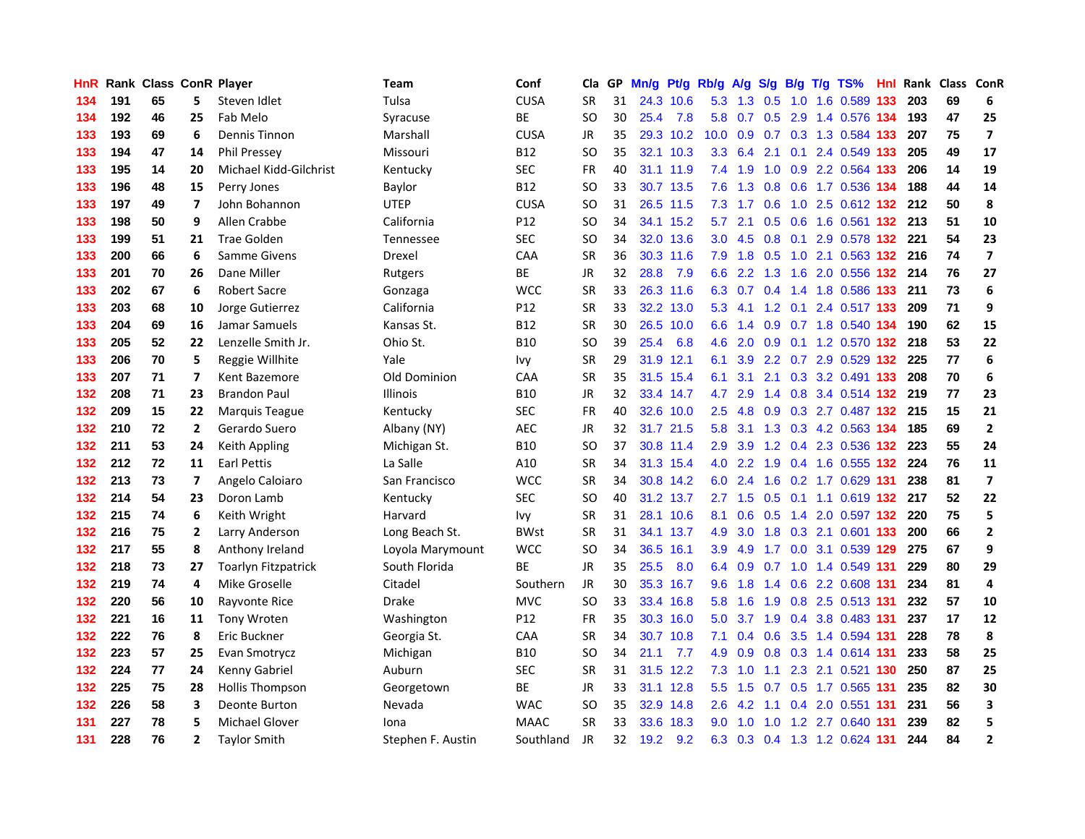| HnR |     | Rank Class ConR Player |                          |                            | Team                | Conf        | Cla           |    | GP Mn/g Pt/g Rb/g A/g |           |                  |               |                                  |     | S/g B/g T/g TS%               | Hnl  |      | Rank Class ConR |                          |
|-----|-----|------------------------|--------------------------|----------------------------|---------------------|-------------|---------------|----|-----------------------|-----------|------------------|---------------|----------------------------------|-----|-------------------------------|------|------|-----------------|--------------------------|
| 134 | 191 | 65                     | 5                        | Steven Idlet               | Tulsa               | <b>CUSA</b> | <b>SR</b>     | 31 |                       | 24.3 10.6 | 5.3              | 1.3           | 0.5                              | 1.0 | 1.6 0.589                     | 133  | 203  | 69              | 6                        |
| 134 | 192 | 46                     | 25                       | Fab Melo                   | Syracuse            | <b>BE</b>   | <sub>SO</sub> | 30 | 25.4                  | 7.8       | 5.8              | 0.7           | 0.5                              | 2.9 | 1.4 0.576 134                 |      | 193  | 47              | 25                       |
| 133 | 193 | 69                     | 6                        | <b>Dennis Tinnon</b>       | Marshall            | <b>CUSA</b> | <b>JR</b>     | 35 |                       | 29.3 10.2 | 10.0             | 0.9           | 0.7                              | 0.3 | 1.3 0.584 133                 |      | 207  | 75              | $\overline{\phantom{a}}$ |
| 133 | 194 | 47                     | 14                       | <b>Phil Pressey</b>        | Missouri            | <b>B12</b>  | <b>SO</b>     | 35 |                       | 32.1 10.3 |                  |               | $3.3\quad 6.4\quad 2.1\quad 0.1$ |     | 2.4 0.549 133                 |      | 205  | 49              | 17                       |
| 133 | 195 | 14                     | 20                       | Michael Kidd-Gilchrist     | Kentucky            | <b>SEC</b>  | FR            | 40 |                       | 31.1 11.9 |                  | $7.4$ 1.9     |                                  |     | 1.0 0.9 2.2 0.564 133         |      | 206  | 14              | 19                       |
| 133 | 196 | 48                     | 15                       | Perry Jones                | Baylor              | <b>B12</b>  | <b>SO</b>     | 33 |                       | 30.7 13.5 | 7.6              |               |                                  |     | 1.3 0.8 0.6 1.7 0.536 134     |      | 188  | 44              | 14                       |
| 133 | 197 | 49                     | 7                        | John Bohannon              | <b>UTEP</b>         | <b>CUSA</b> | <b>SO</b>     | 31 |                       | 26.5 11.5 | 7.3              | $1.7^{\circ}$ | 0.6                              |     | 1.0 2.5 0.612 132             |      | 212  | 50              | 8                        |
| 133 | 198 | 50                     | 9                        | Allen Crabbe               | California          | P12         | SO            | 34 |                       | 34.1 15.2 | 5.7              | 2.1           |                                  |     | 0.5 0.6 1.6 0.561 132         |      | 213  | 51              | 10                       |
| 133 | 199 | 51                     | 21                       | <b>Trae Golden</b>         | <b>Tennessee</b>    | <b>SEC</b>  | <sub>SO</sub> | 34 |                       | 32.0 13.6 | 3.0 <sub>2</sub> | 4.5           | 0.8                              | 0.1 | 2.9 0.578 132                 |      | 221  | 54              | 23                       |
| 133 | 200 | 66                     | 6                        | Samme Givens               | Drexel              | CAA         | <b>SR</b>     | 36 |                       | 30.3 11.6 | 7.9              | 1.8           | 0.5                              |     | 1.0 2.1 0.563 132             |      | 216  | 74              | $\overline{\mathbf{z}}$  |
| 133 | 201 | 70                     | 26                       | Dane Miller                | Rutgers             | BE          | <b>JR</b>     | 32 | 28.8                  | 7.9       | 6.6              | 2.2           | 1.3                              | 1.6 | 2.0 0.556 132                 |      | -214 | 76              | 27                       |
| 133 | 202 | 67                     | 6                        | <b>Robert Sacre</b>        | Gonzaga             | <b>WCC</b>  | <b>SR</b>     | 33 |                       | 26.3 11.6 |                  | 6.3 0.7       | 0.4                              |     | 1.4 1.8 0.586 133             |      | 211  | 73              | 6                        |
| 133 | 203 | 68                     | 10                       | Jorge Gutierrez            | California          | P12         | <b>SR</b>     | 33 |                       | 32.2 13.0 | 5.3              | 4.1           | 1.2                              | 0.1 | 2.4 0.517 133                 |      | 209  | 71              | 9                        |
| 133 | 204 | 69                     | 16                       | Jamar Samuels              | Kansas St.          | <b>B12</b>  | <b>SR</b>     | 30 |                       | 26.5 10.0 | 6.6              | 1.4           | 0.9                              |     | 0.7 1.8 0.540 134             |      | 190  | 62              | 15                       |
| 133 | 205 | 52                     | 22                       | Lenzelle Smith Jr.         | Ohio St.            | <b>B10</b>  | SO            | 39 | 25.4                  | 6.8       | 4.6              | 2.0           | 0.9                              |     | 0.1 1.2 0.570 132             |      | 218  | 53              | 22                       |
| 133 | 206 | 70                     | 5                        | Reggie Willhite            | Yale                | Ivy         | <b>SR</b>     | 29 |                       | 31.9 12.1 | 6.1              | 3.9           | $2.2^{\circ}$                    |     | 0.7 2.9 0.529 132             |      | -225 | 77              | 6                        |
| 133 | 207 | 71                     | $\overline{\phantom{a}}$ | Kent Bazemore              | <b>Old Dominion</b> | <b>CAA</b>  | <b>SR</b>     | 35 |                       | 31.5 15.4 | 6.1              | 3.1           |                                  |     | 2.1 0.3 3.2 0.491 133         |      | 208  | 70              | 6                        |
| 132 | 208 | 71                     | 23                       | <b>Brandon Paul</b>        | Illinois            | <b>B10</b>  | JR            | 32 |                       | 33.4 14.7 | 4.7              | 2.9           |                                  |     | 1.4 0.8 3.4 0.514 132 219     |      |      | 77              | 23                       |
| 132 | 209 | 15                     | 22                       | Marquis Teague             | Kentucky            | <b>SEC</b>  | <b>FR</b>     | 40 |                       | 32.6 10.0 | 2.5              | 4.8           |                                  |     | 0.9 0.3 2.7 0.487 132 215     |      |      | 15              | 21                       |
| 132 | 210 | 72                     | $\mathbf{2}$             | Gerardo Suero              | Albany (NY)         | <b>AEC</b>  | JR            | 32 |                       | 31.7 21.5 | 5.8              | 3.1           |                                  |     | 1.3 0.3 4.2 0.563 134         |      | 185  | 69              | $\mathbf{2}$             |
| 132 | 211 | 53                     | 24                       | Keith Appling              | Michigan St.        | <b>B10</b>  | <b>SO</b>     | 37 |                       | 30.8 11.4 | 2.9              | 3.9           |                                  |     | 1.2 0.4 2.3 0.536 132         |      | 223  | 55              | 24                       |
| 132 | 212 | 72                     | 11                       | <b>Earl Pettis</b>         | La Salle            | A10         | <b>SR</b>     | 34 |                       | 31.3 15.4 | 4.0              | 2.2           |                                  |     | 1.9 0.4 1.6 0.555 132         |      | -224 | 76              | 11                       |
| 132 | 213 | 73                     | 7                        | Angelo Caloiaro            | San Francisco       | <b>WCC</b>  | <b>SR</b>     | 34 |                       | 30.8 14.2 | 6.0              | 2.4           | 1.6                              |     | 0.2 1.7 0.629 131             |      | 238  | 81              | $\overline{\mathbf{z}}$  |
| 132 | 214 | 54                     | 23                       | Doron Lamb                 | Kentucky            | <b>SEC</b>  | <b>SO</b>     | 40 |                       | 31.2 13.7 | 2.7              | 1.5           | 0.5                              | 0.1 | 1.1 0.619 132                 |      | -217 | 52              | 22                       |
| 132 | 215 | 74                     | 6                        | Keith Wright               | Harvard             | Ivy         | <b>SR</b>     | 31 |                       | 28.1 10.6 | 8.1              | 0.6           | 0.5                              |     | 1.4 2.0 0.597 132             |      | 220  | 75              | 5                        |
| 132 | 216 | 75                     | $\mathbf{2}$             | Larry Anderson             | Long Beach St.      | <b>BWst</b> | <b>SR</b>     | 31 |                       | 34.1 13.7 | 4.9              | 3.0           | 1.8                              | 0.3 | 2.1 0.601 133                 |      | 200  | 66              | $\mathbf{2}$             |
| 132 | 217 | 55                     | 8                        | Anthony Ireland            | Loyola Marymount    | <b>WCC</b>  | <b>SO</b>     | 34 |                       | 36.5 16.1 | 3.9              | 4.9           | 1.7                              | 0.0 | 3.1 0.539 129                 |      | 275  | 67              | 9                        |
| 132 | 218 | 73                     | 27                       | <b>Toarlyn Fitzpatrick</b> | South Florida       | <b>BE</b>   | <b>JR</b>     | 35 | 25.5                  | 8.0       | 6.4              | 0.9           | 0.7                              |     | 1.0 1.4 0.549 131             |      | 229  | 80              | 29                       |
| 132 | 219 | 74                     | 4                        | Mike Groselle              | Citadel             | Southern    | <b>JR</b>     | 30 |                       | 35.3 16.7 | 9.6              | 1.8           | 1.4                              |     | 0.6 2.2 0.608 131             |      | 234  | 81              | 4                        |
| 132 | 220 | 56                     | 10                       | Rayvonte Rice              | <b>Drake</b>        | <b>MVC</b>  | <b>SO</b>     | 33 |                       | 33.4 16.8 | 5.8              | 1.6           | 1.9                              |     | 0.8 2.5 0.513 131             |      | 232  | 57              | 10                       |
| 132 | 221 | 16                     | 11                       | <b>Tony Wroten</b>         | Washington          | P12         | <b>FR</b>     | 35 |                       | 30.3 16.0 | 5.0              | 3.7           | 1.9                              |     | 0.4 3.8 0.483 131             |      | 237  | 17              | 12                       |
| 132 | 222 | 76                     | 8                        | Eric Buckner               | Georgia St.         | CAA         | <b>SR</b>     | 34 |                       | 30.7 10.8 |                  |               | 7.1 0.4 0.6                      |     | 3.5 1.4 0.594 131             |      | 228  | 78              | 8                        |
| 132 | 223 | 57                     | 25                       | Evan Smotrycz              | Michigan            | <b>B10</b>  | SO            | 34 | 21.1                  | 7.7       | 4.9              | 0.9           |                                  |     | 0.8 0.3 1.4 0.614 131         |      | 233  | 58              | 25                       |
| 132 | 224 | 77                     | 24                       | Kenny Gabriel              | Auburn              | <b>SEC</b>  | <b>SR</b>     | 31 |                       | 31.5 12.2 | 7.3              | 1.0           | 1.1                              |     | 2.3 2.1 0.521 130             |      | 250  | 87              | 25                       |
| 132 | 225 | 75                     | 28                       | <b>Hollis Thompson</b>     | Georgetown          | BE          | JR            | 33 |                       | 31.1 12.8 | 5.5              | 1.5           |                                  |     | 0.7 0.5 1.7 0.565 131         |      | 235  | 82              | 30                       |
| 132 | 226 | 58                     | 3                        | Deonte Burton              | Nevada              | <b>WAC</b>  | <b>SO</b>     | 35 |                       | 32.9 14.8 | 2.6              | 4.2           | 1.1                              |     | $0.4$ 2.0 $0.551$             | -131 | 231  | 56              | 3                        |
| 131 | 227 | 78                     | 5                        | Michael Glover             | Iona                | <b>MAAC</b> | <b>SR</b>     | 33 | 33.6                  | 18.3      | 9.0              | 1.0           | 1.0                              |     | 1.2 2.7 0.640                 | 131  | 239  | 82              | 5                        |
| 131 | 228 | 76                     | $\overline{2}$           | <b>Taylor Smith</b>        | Stephen F. Austin   | Southland   | <b>JR</b>     | 32 | 19.2                  | 9.2       |                  |               |                                  |     | 6.3 0.3 0.4 1.3 1.2 0.624 131 |      | 244  | 84              | $\overline{\mathbf{2}}$  |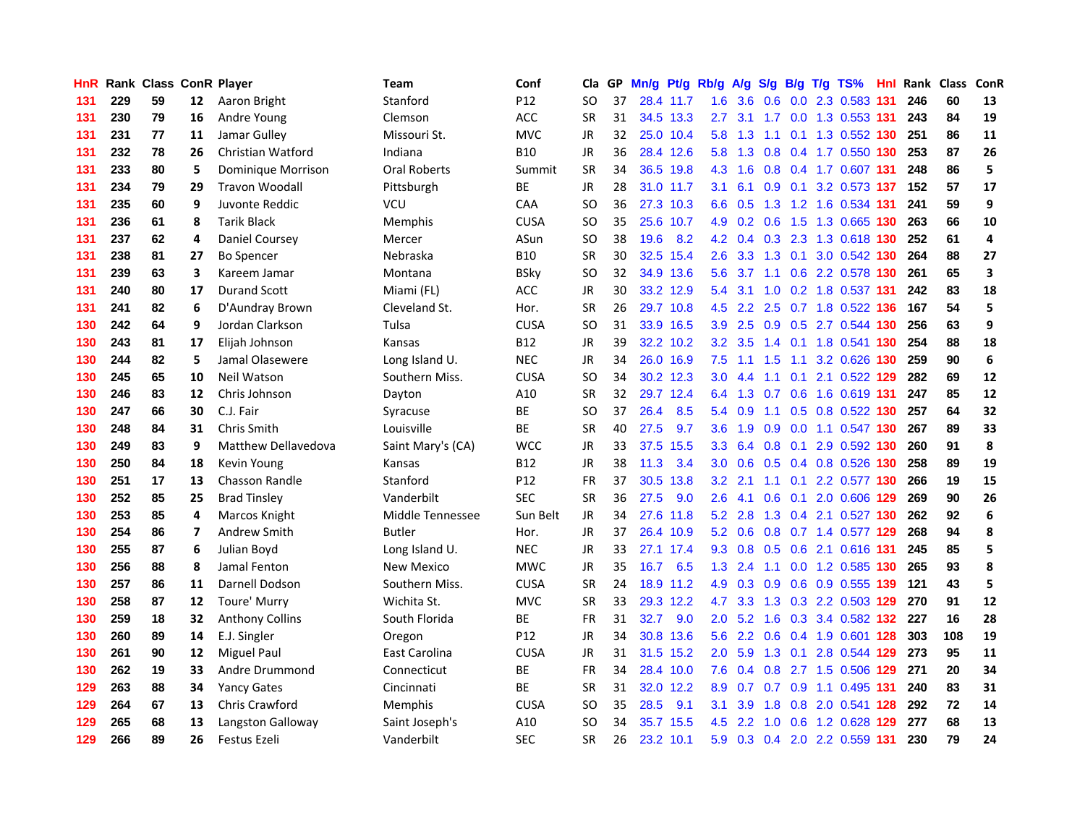| <b>HnR</b> |     | Rank Class ConR Player |    |                            | <b>Team</b>         | Conf            | Cla       |    | GP Mn/g Pt/g Rb/g |           |                  | A/g             |     |                | S/g B/g T/g TS%               | Hnl |     | Rank Class | ConR                    |
|------------|-----|------------------------|----|----------------------------|---------------------|-----------------|-----------|----|-------------------|-----------|------------------|-----------------|-----|----------------|-------------------------------|-----|-----|------------|-------------------------|
| 131        | 229 | 59                     | 12 | Aaron Bright               | Stanford            | P <sub>12</sub> | SO.       | 37 |                   | 28.4 11.7 | 1.6              | 3.6             | 0.6 | 0.0            | 2.3 0.583                     | 131 | 246 | 60         | 13                      |
| 131        | 230 | 79                     | 16 | Andre Young                | Clemson             | ACC             | <b>SR</b> | 31 |                   | 34.5 13.3 | 2.7              | 3.1             | 1.7 | 0.0            | 1.3 0.553 131                 |     | 243 | 84         | 19                      |
| 131        | 231 | 77                     | 11 | Jamar Gulley               | Missouri St.        | <b>MVC</b>      | JR        | 32 |                   | 25.0 10.4 | 5.8              | 1.3             | 1.1 | 0.1            | 1.3 0.552 130                 |     | 251 | 86         | 11                      |
| 131        | 232 | 78                     | 26 | <b>Christian Watford</b>   | Indiana             | <b>B10</b>      | JR        | 36 |                   | 28.4 12.6 |                  | $5.8$ 1.3       |     |                | 0.8 0.4 1.7 0.550 130         |     | 253 | 87         | 26                      |
| 131        | 233 | 80                     | 5  | Dominique Morrison         | <b>Oral Roberts</b> | Summit          | <b>SR</b> | 34 |                   | 36.5 19.8 |                  | $4.3 \quad 1.6$ |     |                | 0.8 0.4 1.7 0.607 131         |     | 248 | 86         | 5                       |
| 131        | 234 | 79                     | 29 | <b>Travon Woodall</b>      | Pittsburgh          | <b>BE</b>       | <b>JR</b> | 28 |                   | 31.0 11.7 | 3.1              | 6.1             |     |                | 0.9 0.1 3.2 0.573 137         |     | 152 | 57         | 17                      |
| 131        | 235 | 60                     | 9  | Juvonte Reddic             | VCU                 | <b>CAA</b>      | SO.       | 36 |                   | 27.3 10.3 | 6.6              | 0.5             |     |                | 1.3 1.2 1.6 0.534 131         |     | 241 | 59         | 9                       |
| 131        | 236 | 61                     | 8  | <b>Tarik Black</b>         | <b>Memphis</b>      | <b>CUSA</b>     | <b>SO</b> | 35 |                   | 25.6 10.7 | 4.9              | 0.2             | 0.6 |                | 1.5 1.3 0.665 130             |     | 263 | 66         | 10                      |
| 131        | 237 | 62                     | 4  | Daniel Coursey             | Mercer              | ASun            | <b>SO</b> | 38 | 19.6              | 8.2       | 4.2              | 0.4             |     |                | 0.3 2.3 1.3 0.618 130         |     | 252 | 61         | $\overline{\mathbf{4}}$ |
| 131        | 238 | 81                     | 27 | <b>Bo Spencer</b>          | Nebraska            | <b>B10</b>      | <b>SR</b> | 30 |                   | 32.5 15.4 | 2.6              | 3.3             |     | $1.3$ 0.1      | 3.0 0.542 130                 |     | 264 | 88         | 27                      |
| 131        | 239 | 63                     | 3  | Kareem Jamar               | Montana             | <b>BSky</b>     | <b>SO</b> | 32 |                   | 34.9 13.6 | 5.6              | 3.7             |     |                | 1.1 0.6 2.2 0.578 130         |     | 261 | 65         | 3                       |
| 131        | 240 | 80                     | 17 | <b>Durand Scott</b>        | Miami (FL)          | ACC             | <b>JR</b> | 30 |                   | 33.2 12.9 | 5.4              | 3.1             | 1.0 |                | 0.2 1.8 0.537 131             |     | 242 | 83         | 18                      |
| 131        | 241 | 82                     | 6  | D'Aundray Brown            | Cleveland St.       | Hor.            | <b>SR</b> | 26 |                   | 29.7 10.8 | 4.5              | 2.2             | 2.5 |                | $0.7$ 1.8 $0.522$             | 136 | 167 | 54         | 5                       |
| 130        | 242 | 64                     | 9  | Jordan Clarkson            | Tulsa               | <b>CUSA</b>     | <b>SO</b> | 31 |                   | 33.9 16.5 | 3.9              | 2.5             | 0.9 | 0.5            | 2.7 0.544 130                 |     | 256 | 63         | 9                       |
| 130        | 243 | 81                     | 17 | Elijah Johnson             | Kansas              | <b>B12</b>      | <b>JR</b> | 39 |                   | 32.2 10.2 | 3.2              | 3.5             | 1.4 | 0.1            | 1.8 0.541 130                 |     | 254 | 88         | 18                      |
| 130        | 244 | 82                     | 5  | Jamal Olasewere            | Long Island U.      | <b>NEC</b>      | <b>JR</b> | 34 |                   | 26.0 16.9 | 7.5              | 1.1             | 1.5 | 1.1            | 3.2 0.626 130                 |     | 259 | 90         | 6                       |
| 130        | 245 | 65                     | 10 | Neil Watson                | Southern Miss.      | <b>CUSA</b>     | <b>SO</b> | 34 |                   | 30.2 12.3 | 3.0 <sub>2</sub> | 4.4             | 1.1 | 0.1            | 2.1 0.522 129                 |     | 282 | 69         | 12                      |
| 130        | 246 | 83                     | 12 | Chris Johnson              | Dayton              | A10             | <b>SR</b> | 32 |                   | 29.7 12.4 |                  |                 |     |                | 6.4 1.3 0.7 0.6 1.6 0.619 131 |     | 247 | 85         | 12                      |
| 130        | 247 | 66                     | 30 | C.J. Fair                  | Syracuse            | ВE              | <b>SO</b> | 37 | 26.4              | 8.5       |                  | 5.4 0.9         |     |                | 1.1 0.5 0.8 0.522 130         |     | 257 | 64         | 32                      |
| 130        | 248 | 84                     | 31 | Chris Smith                | Louisville          | <b>BE</b>       | <b>SR</b> | 40 | 27.5              | 9.7       |                  | $3.6$ 1.9       |     |                | 0.9 0.0 1.1 0.547 130         |     | 267 | 89         | 33                      |
| 130        | 249 | 83                     | 9  | <b>Matthew Dellavedova</b> | Saint Mary's (CA)   | <b>WCC</b>      | JR        | 33 | 37.5              | 15.5      |                  | 3.3 6.4         |     |                | 0.8 0.1 2.9 0.592 130         |     | 260 | 91         | 8                       |
| 130        | 250 | 84                     | 18 | Kevin Young                | Kansas              | <b>B12</b>      | JR        | 38 | 11.3              | 3.4       | 3.0 <sub>2</sub> | 0.6             |     |                | 0.5 0.4 0.8 0.526 130         |     | 258 | 89         | 19                      |
| 130        | 251 | 17                     | 13 | Chasson Randle             | Stanford            | P12             | FR        | 37 | 30.5              | 13.8      | 3.2              | 2.1             | 1.1 | 0.1            | 2.2 0.577 130                 |     | 266 | 19         | 15                      |
| 130        | 252 | 85                     | 25 | <b>Brad Tinsley</b>        | Vanderbilt          | <b>SEC</b>      | <b>SR</b> | 36 | 27.5              | 9.0       | 2.6              | 4.1             | 0.6 | 0.1            | 2.0 0.606 129                 |     | 269 | 90         | 26                      |
| 130        | 253 | 85                     | 4  | Marcos Knight              | Middle Tennessee    | Sun Belt        | JR        | 34 |                   | 27.6 11.8 | 5.2              | 2.8             |     |                | 1.3 0.4 2.1 0.527 130         |     | 262 | 92         | 6                       |
| 130        | 254 | 86                     | 7  | Andrew Smith               | Butler              | Hor.            | <b>JR</b> | 37 |                   | 26.4 10.9 | 5.2              | 0.6             |     |                | 0.8 0.7 1.4 0.577 129         |     | 268 | 94         | 8                       |
| 130        | 255 | 87                     | 6  | Julian Boyd                | Long Island U.      | <b>NEC</b>      | JR        | 33 |                   | 27.1 17.4 | 9.3              | 0.8             |     |                | 0.5 0.6 2.1 0.616 131         |     | 245 | 85         | 5                       |
| 130        | 256 | 88                     | 8  | Jamal Fenton               | <b>New Mexico</b>   | <b>MWC</b>      | JR        | 35 | 16.7              | 6.5       | 1.3 <sub>1</sub> | 2.4             | 1.1 |                | 0.0 1.2 0.585 130             |     | 265 | 93         | 8                       |
| 130        | 257 | 86                     | 11 | Darnell Dodson             | Southern Miss.      | <b>CUSA</b>     | <b>SR</b> | 24 |                   | 18.9 11.2 | 4.9              | 0.3             | 0.9 | 0.6            | 0.9 0.555 139                 |     | 121 | 43         | 5                       |
| 130        | 258 | 87                     | 12 | Toure' Murry               | Wichita St.         | <b>MVC</b>      | <b>SR</b> | 33 |                   | 29.3 12.2 | 4.7              | 3.3             |     |                | 1.3 0.3 2.2 0.503 129         |     | 270 | 91         | 12                      |
| 130        | 259 | 18                     | 32 | <b>Anthony Collins</b>     | South Florida       | <b>BE</b>       | <b>FR</b> | 31 | 32.7              | 9.0       | 2.0 <sub>2</sub> | 5.2             | 1.6 |                | 0.3 3.4 0.582 132 227         |     |     | 16         | 28                      |
| 130        | 260 | 89                     | 14 | E.J. Singler               | Oregon              | P <sub>12</sub> | JR        | 34 |                   | 30.8 13.6 |                  |                 |     |                | 5.6 2.2 0.6 0.4 1.9 0.601 128 |     | 303 | 108        | 19                      |
| 130        | 261 | 90                     | 12 | <b>Miguel Paul</b>         | East Carolina       | <b>CUSA</b>     | JR        | 31 |                   | 31.5 15.2 | 2.0              | 5.9             |     |                | 1.3 0.1 2.8 0.544 129         |     | 273 | 95         | 11                      |
| 130        | 262 | 19                     | 33 | Andre Drummond             | Connecticut         | ВE              | <b>FR</b> | 34 |                   | 28.4 10.0 | 7.6              | 0.4             | 0.8 |                | 2.7 1.5 0.506 129             |     | 271 | 20         | 34                      |
| 129        | 263 | 88                     | 34 | <b>Yancy Gates</b>         | Cincinnati          | BE              | <b>SR</b> | 31 |                   | 32.0 12.2 | 8.9              | 0.7             |     | $0.7\quad 0.9$ | 1.1 0.495 131                 |     | 240 | 83         | 31                      |
| 129        | 264 | 67                     | 13 | <b>Chris Crawford</b>      | <b>Memphis</b>      | <b>CUSA</b>     | <b>SO</b> | 35 | 28.5              | 9.1       | 3.1              | 3.9             | 1.8 | 0.8            | 2.0 0.541 128                 |     | 292 | 72         | 14                      |
| 129        | 265 | 68                     | 13 | Langston Galloway          | Saint Joseph's      | A10             | SO.       | 34 | 35.7              | 15.5      | 4.5              | 2.2             | 1.0 | 0.6            | 1.2 0.628                     | 129 | 277 | 68         | 13                      |
| 129        | 266 | 89                     | 26 | Festus Ezeli               | Vanderbilt          | <b>SEC</b>      | <b>SR</b> | 26 |                   | 23.2 10.1 | 5.9              |                 |     |                | 0.3 0.4 2.0 2.2 0.559 131     |     | 230 | 79         | 24                      |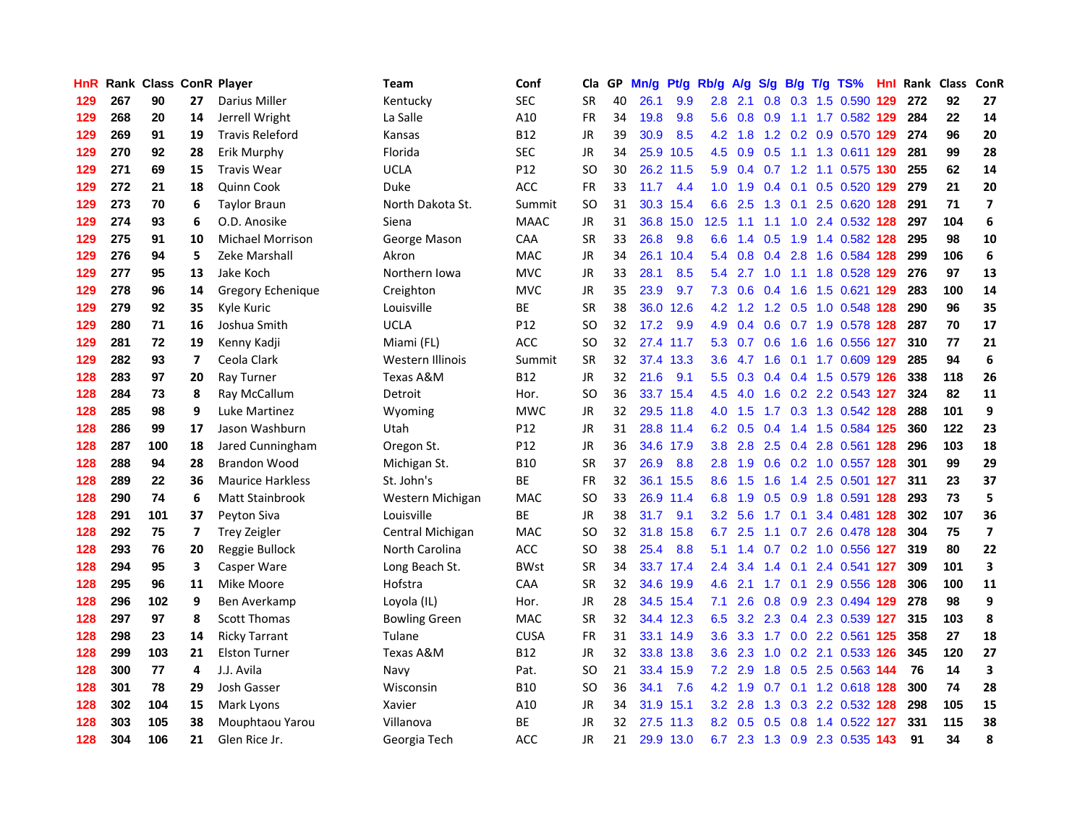| HnR |     | <b>Rank Class ConR Player</b> |    |                         | Team                 | Conf        | Cla           |    | GP Mn/g | Pt/g      | Rb/g             | <b>A/g</b>  |               |     | S/g B/g T/g TS%               | Hnl |     | Rank Class | ConR                    |
|-----|-----|-------------------------------|----|-------------------------|----------------------|-------------|---------------|----|---------|-----------|------------------|-------------|---------------|-----|-------------------------------|-----|-----|------------|-------------------------|
| 129 | 267 | 90                            | 27 | Darius Miller           | Kentucky             | <b>SEC</b>  | <b>SR</b>     | 40 | 26.1    | 9.9       | 2.8              | 2.1         | 0.8           | 0.3 | 1.5 0.590                     | 129 | 272 | 92         | 27                      |
| 129 | 268 | 20                            | 14 | Jerrell Wright          | La Salle             | A10         | <b>FR</b>     | 34 | 19.8    | 9.8       | 5.6              | 0.8         | 0.9           | 1.1 | 1.7 0.582 129                 |     | 284 | 22         | 14                      |
| 129 | 269 | 91                            | 19 | <b>Travis Releford</b>  | Kansas               | <b>B12</b>  | JR            | 39 | 30.9    | 8.5       | 4.2              | 1.8         |               |     | 1.2 0.2 0.9 0.570 129         |     | 274 | 96         | 20                      |
| 129 | 270 | 92                            | 28 | Erik Murphy             | Florida              | <b>SEC</b>  | <b>JR</b>     | 34 | 25.9    | 10.5      |                  | 4.5 0.9     | 0.5           |     | 1.1 1.3 0.611 129             |     | 281 | 99         | 28                      |
| 129 | 271 | 69                            | 15 | <b>Travis Wear</b>      | <b>UCLA</b>          | P12         | SO            | 30 |         | 26.2 11.5 | 5.9              |             |               |     | 0.4 0.7 1.2 1.1 0.575 130     |     | 255 | 62         | 14                      |
| 129 | 272 | 21                            | 18 | <b>Quinn Cook</b>       | <b>Duke</b>          | <b>ACC</b>  | <b>FR</b>     | 33 | 11.7    | 4.4       | 1.0 <sub>1</sub> | 1.9         |               |     | 0.4 0.1 0.5 0.520 129         |     | 279 | 21         | 20                      |
| 129 | 273 | 70                            | 6  | <b>Taylor Braun</b>     | North Dakota St.     | Summit      | <b>SO</b>     | 31 |         | 30.3 15.4 | 6.6              | 2.5         |               |     | 1.3 0.1 2.5 0.620 128         |     | 291 | 71         | $\overline{\mathbf{z}}$ |
| 129 | 274 | 93                            | 6  | O.D. Anosike            | Siena                | <b>MAAC</b> | <b>JR</b>     | 31 |         | 36.8 15.0 | 12.5             | 1.1         | 1.1           | 1.0 | 2.4 0.532 128                 |     | 297 | 104        | 6                       |
| 129 | 275 | 91                            | 10 | <b>Michael Morrison</b> | George Mason         | CAA         | <b>SR</b>     | 33 | 26.8    | 9.8       | 6.6              | 1.4         | 0.5           | 1.9 | 1.4 0.582 128                 |     | 295 | 98         | 10                      |
| 129 | 276 | 94                            | 5  | Zeke Marshall           | Akron                | <b>MAC</b>  | <b>JR</b>     | 34 |         | 26.1 10.4 | 5.4              | 0.8         | 0.4           | 2.8 | 1.6 0.584 128                 |     | 299 | 106        | $\boldsymbol{6}$        |
| 129 | 277 | 95                            | 13 | Jake Koch               | Northern Iowa        | <b>MVC</b>  | JR            | 33 | 28.1    | 8.5       | 5.4              | 2.7         | 1.0           | 1.1 | 1.8 0.528 129                 |     | 276 | 97         | 13                      |
| 129 | 278 | 96                            | 14 | Gregory Echenique       | Creighton            | <b>MVC</b>  | <b>JR</b>     | 35 | 23.9    | 9.7       | 7.3              | 0.6         | 0.4           | 1.6 | 1.5 0.621                     | 129 | 283 | 100        | 14                      |
| 129 | 279 | 92                            | 35 | Kyle Kuric              | Louisville           | <b>BE</b>   | SR            | 38 | 36.0    | 12.6      | 4.2              | 1.2         | $1.2^{\circ}$ | 0.5 | 1.0 0.548                     | 128 | 290 | 96         | 35                      |
| 129 | 280 | 71                            | 16 | Joshua Smith            | <b>UCLA</b>          | P12         | SO            | 32 | 17.2    | 9.9       | 4.9              | 0.4         | 0.6           |     | 0.7 1.9 0.578 128             |     | 287 | 70         | 17                      |
| 129 | 281 | 72                            | 19 | Kenny Kadji             | Miami (FL)           | ACC         | <sub>SO</sub> | 32 |         | 27.4 11.7 | 5.3              | 0.7         | 0.6           | 1.6 | 1.6 0.556 127                 |     | 310 | 77         | 21                      |
| 129 | 282 | 93                            | 7  | Ceola Clark             | Western Illinois     | Summit      | <b>SR</b>     | 32 |         | 37.4 13.3 | 3.6 <sup>°</sup> | 4.7         | 1.6           |     | 0.1 1.7 0.609 129             |     | 285 | 94         | 6                       |
| 128 | 283 | 97                            | 20 | Ray Turner              | Texas A&M            | <b>B12</b>  | JR            | 32 | 21.6    | 9.1       |                  |             |               |     | 5.5 0.3 0.4 0.4 1.5 0.579 126 |     | 338 | 118        | 26                      |
| 128 | 284 | 73                            | 8  | Ray McCallum            | Detroit              | Hor.        | SO            | 36 |         | 33.7 15.4 | 4.5              | 4.0         |               |     | 1.6 0.2 2.2 0.543 127         |     | 324 | 82         | 11                      |
| 128 | 285 | 98                            | 9  | Luke Martinez           | Wyoming              | <b>MWC</b>  | JR            | 32 |         | 29.5 11.8 | 4.0              | 1.5         |               |     | 1.7 0.3 1.3 0.542 128         |     | 288 | 101        | 9                       |
| 128 | 286 | 99                            | 17 | Jason Washburn          | Utah                 | P12         | JR            | 31 |         | 28.8 11.4 |                  | 6.2 0.5     | 0.4           |     | 1.4 1.5 0.584 125             |     | 360 | 122        | 23                      |
| 128 | 287 | 100                           | 18 | Jared Cunningham        | Oregon St.           | P12         | <b>JR</b>     | 36 |         | 34.6 17.9 | 3.8 <sub>1</sub> | 2.8         |               |     | 2.5 0.4 2.8 0.561 128         |     | 296 | 103        | 18                      |
| 128 | 288 | 94                            | 28 | <b>Brandon Wood</b>     | Michigan St.         | <b>B10</b>  | <b>SR</b>     | 37 | 26.9    | 8.8       | 2.8              | 1.9         |               |     | 0.6 0.2 1.0 0.557 128         |     | 301 | 99         | 29                      |
| 128 | 289 | 22                            | 36 | <b>Maurice Harkless</b> | St. John's           | ВE          | <b>FR</b>     | 32 |         | 36.1 15.5 | 8.6              | 1.5         | 1.6           |     | 1.4 2.5 0.501 127             |     | 311 | 23         | 37                      |
| 128 | 290 | 74                            | 6  | Matt Stainbrook         | Western Michigan     | <b>MAC</b>  | <b>SO</b>     | 33 |         | 26.9 11.4 | 6.8              | 1.9         | 0.5           |     | 0.9 1.8 0.591                 | 128 | 293 | 73         | 5                       |
| 128 | 291 | 101                           | 37 | Peyton Siva             | Louisville           | <b>BE</b>   | <b>JR</b>     | 38 | 31.7    | 9.1       | 3.2 <sub>2</sub> | 5.6         | 1.7           | 0.1 | 3.4 0.481 128                 |     | 302 | 107        | 36                      |
| 128 | 292 | 75                            | 7  | <b>Trey Zeigler</b>     | Central Michigan     | MAC         | <b>SO</b>     | 32 | 31.8    | 15.8      | 6.7              | 2.5         | 1.1           | 0.7 | 2.6 0.478                     | 128 | 304 | 75         | $\overline{\mathbf{z}}$ |
| 128 | 293 | 76                            | 20 | Reggie Bullock          | North Carolina       | ACC         | SO            | 38 | 25.4    | 8.8       | 5.1              | 1.4         | 0.7           | 0.2 | 1.0 0.556 127                 |     | 319 | 80         | 22                      |
| 128 | 294 | 95                            | 3  | Casper Ware             | Long Beach St.       | <b>BWst</b> | SR            | 34 |         | 33.7 17.4 | 2.4              | 3.4         | $1.4^{\circ}$ | 0.1 | 2.4 0.541 127                 |     | 309 | 101        | 3                       |
| 128 | 295 | 96                            | 11 | Mike Moore              | Hofstra              | CAA         | <b>SR</b>     | 32 |         | 34.6 19.9 | 4.6              | 2.1         | 1.7           | 0.1 | 2.9 0.556 128                 |     | 306 | 100        | 11                      |
| 128 | 296 | 102                           | 9  | Ben Averkamp            | Loyola (IL)          | Hor.        | JR            | 28 |         | 34.5 15.4 | 7.1              |             |               |     | 2.6 0.8 0.9 2.3 0.494 129     |     | 278 | 98         | 9                       |
| 128 | 297 | 97                            | 8  | <b>Scott Thomas</b>     | <b>Bowling Green</b> | <b>MAC</b>  | SR            | 32 |         | 34.4 12.3 | 6.5              |             |               |     | 3.2 2.3 0.4 2.3 0.539 127     |     | 315 | 103        | 8                       |
| 128 | 298 | 23                            | 14 | <b>Ricky Tarrant</b>    | Tulane               | <b>CUSA</b> | <b>FR</b>     | 31 |         | 33.1 14.9 |                  | $3.6$ $3.3$ |               |     | 1.7 0.0 2.2 0.561 125         |     | 358 | 27         | 18                      |
| 128 | 299 | 103                           | 21 | <b>Elston Turner</b>    | Texas A&M            | <b>B12</b>  | <b>JR</b>     | 32 |         | 33.8 13.8 | 3.6 <sup>°</sup> | 2.3         | 1.0           |     | 0.2 2.1 0.533 126             |     | 345 | 120        | 27                      |
| 128 | 300 | 77                            | 4  | J.J. Avila              | Navy                 | Pat.        | SO            | 21 |         | 33.4 15.9 | 7.2              | 2.9         | 1.8           |     | 0.5 2.5 0.563 144             |     | 76  | 14         | 3                       |
| 128 | 301 | 78                            | 29 | Josh Gasser             | Wisconsin            | <b>B10</b>  | <b>SO</b>     | 36 | 34.1    | 7.6       | 4.2              | 1.9         | 0.7           |     | 0.1 1.2 0.618 128             |     | 300 | 74         | 28                      |
| 128 | 302 | 104                           | 15 | Mark Lyons              | Xavier               | A10         | JR            | 34 | 31.9    | 15.1      | 3.2 <sub>2</sub> | 2.8         | 1.3           |     | 0.3 2.2 0.532 128             |     | 298 | 105        | 15                      |
| 128 | 303 | 105                           | 38 | Mouphtaou Yarou         | Villanova            | ВE          | <b>JR</b>     | 32 | 27.5    | 11.3      | 8.2              | 0.5         | 0.5           | 0.8 | 1.4 0.522                     | 127 | 331 | 115        | 38                      |
| 128 | 304 | 106                           | 21 | Glen Rice Jr.           | Georgia Tech         | ACC         | <b>JR</b>     | 21 |         | 29.9 13.0 |                  |             |               |     | 6.7 2.3 1.3 0.9 2.3 0.535 143 |     | 91  | 34         | 8                       |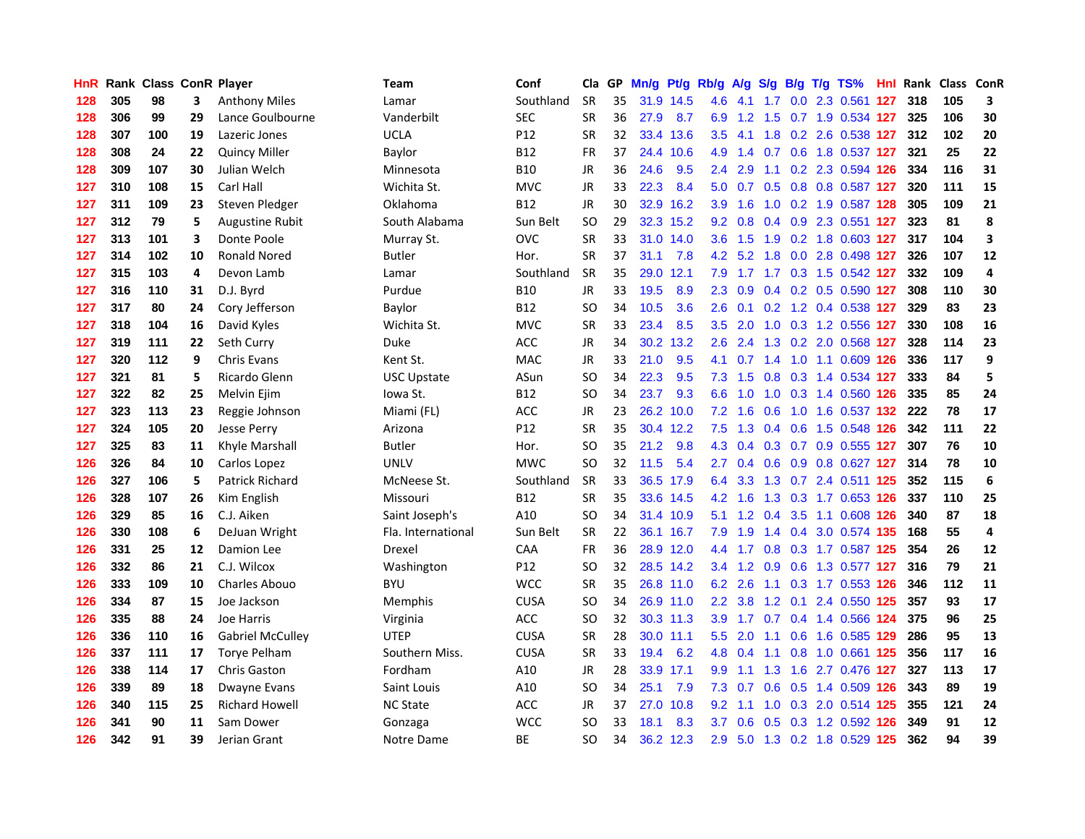| HnR |     | Rank Class ConR Player |    |                         | Team               | Conf        |           |    | Cla GP Mn/g | Pt/g      | Rb/g A/g         |                 | <b>S/g</b>      |                 | B/g T/g TS%                   | Hnl | Rank Class ConR |     |                         |
|-----|-----|------------------------|----|-------------------------|--------------------|-------------|-----------|----|-------------|-----------|------------------|-----------------|-----------------|-----------------|-------------------------------|-----|-----------------|-----|-------------------------|
| 128 | 305 | 98                     | 3  | <b>Anthony Miles</b>    | Lamar              | Southland   | <b>SR</b> | 35 |             | 31.9 14.5 | 4.6              | 4.1             | 1.7             | 0.0             | 2.3 0.561                     | 127 | 318             | 105 | 3                       |
| 128 | 306 | 99                     | 29 | Lance Goulbourne        | Vanderbilt         | <b>SEC</b>  | <b>SR</b> | 36 | 27.9        | 8.7       | 6.9              | 1.2             | 1.5             |                 | 0.7 1.9 0.534 127             |     | 325             | 106 | 30                      |
| 128 | 307 | 100                    | 19 | Lazeric Jones           | <b>UCLA</b>        | P12         | <b>SR</b> | 32 | 33.4        | 13.6      | $3.5^{\circ}$    | 4.1             | 1.8             |                 | 0.2 2.6 0.538 127             |     | 312             | 102 | 20                      |
| 128 | 308 | 24                     | 22 | <b>Quincy Miller</b>    | Baylor             | <b>B12</b>  | <b>FR</b> | 37 |             | 24.4 10.6 | 4.9              |                 |                 |                 | 1.4 0.7 0.6 1.8 0.537 127     |     | 321             | 25  | 22                      |
| 128 | 309 | 107                    | 30 | Julian Welch            | Minnesota          | B10         | JR        | 36 | 24.6        | 9.5       | $2.4^{\circ}$    | 2.9             |                 |                 | 1.1 0.2 2.3 0.594 126         |     | 334             | 116 | 31                      |
| 127 | 310 | 108                    | 15 | Carl Hall               | Wichita St.        | <b>MVC</b>  | JR        | 33 | 22.3        | 8.4       |                  |                 |                 |                 | 5.0 0.7 0.5 0.8 0.8 0.587 127 |     | 320             | 111 | 15                      |
| 127 | 311 | 109                    | 23 | Steven Pledger          | Oklahoma           | B12         | JR        | 30 |             | 32.9 16.2 | 3.9 <sup>°</sup> | 1.6             |                 |                 | 1.0 0.2 1.9 0.587 128         |     | 305             | 109 | 21                      |
| 127 | 312 | 79                     | 5  | <b>Augustine Rubit</b>  | South Alabama      | Sun Belt    | <b>SO</b> | 29 |             | 32.3 15.2 | 9.2              | 0.8             |                 |                 | 0.4 0.9 2.3 0.551 127         |     | 323             | 81  | 8                       |
| 127 | 313 | 101                    | 3  | Donte Poole             | Murray St.         | <b>OVC</b>  | SR        | 33 | 31.0        | 14.0      | 3.6              | 1.5             |                 |                 | 1.9 0.2 1.8 0.603 127         |     | 317             | 104 | 3                       |
| 127 | 314 | 102                    | 10 | <b>Ronald Nored</b>     | <b>Butler</b>      | Hor.        | <b>SR</b> | 37 | 31.1        | 7.8       |                  | $4.2\quad 5.2$  | 1.8             |                 | 0.0 2.8 0.498 127             |     | 326             | 107 | 12                      |
| 127 | 315 | 103                    | 4  | Devon Lamb              | Lamar              | Southland   | <b>SR</b> | 35 |             | 29.0 12.1 | 7.9              | 1.7             |                 |                 | 1.7 0.3 1.5 0.542 127         |     | 332             | 109 | 4                       |
| 127 | 316 | 110                    | 31 | D.J. Byrd               | Purdue             | <b>B10</b>  | JR.       | 33 | 19.5        | 8.9       | $2.3^{\circ}$    | 0.9             |                 |                 | 0.4 0.2 0.5 0.590 127         |     | 308             | 110 | 30                      |
| 127 | 317 | 80                     | 24 | Cory Jefferson          | Baylor             | B12         | <b>SO</b> | 34 | 10.5        | 3.6       | 2.6              | 0.1             | 0.2             |                 | 1.2 0.4 0.538                 | 127 | 329             | 83  | 23                      |
| 127 | 318 | 104                    | 16 | David Kyles             | Wichita St.        | <b>MVC</b>  | <b>SR</b> | 33 | 23.4        | 8.5       | 3.5              | 2.0             | 1.0             |                 | 0.3 1.2 0.556 127             |     | 330             | 108 | 16                      |
| 127 | 319 | 111                    | 22 | Seth Curry              | Duke               | <b>ACC</b>  | JR        | 34 |             | 30.2 13.2 | 2.6              | 2.4             | 1.3             | 0.2             | 2.0 0.568 127                 |     | 328             | 114 | 23                      |
| 127 | 320 | 112                    | 9  | <b>Chris Evans</b>      | Kent St.           | <b>MAC</b>  | JR        | 33 | 21.0        | 9.5       | 4.1              | 0.7             | 1.4             |                 | 1.0 1.1 0.609 126             |     | 336             | 117 | 9                       |
| 127 | 321 | 81                     | 5. | Ricardo Glenn           | <b>USC Upstate</b> | ASun        | SO        | 34 | 22.3        | 9.5       |                  |                 |                 |                 | 7.3 1.5 0.8 0.3 1.4 0.534 127 |     | 333             | 84  | 5                       |
| 127 | 322 | 82                     | 25 | Melvin Ejim             | lowa St.           | B12         | SO        | 34 | 23.7        | 9.3       | 6.6              | 1.0             |                 |                 | 1.0 0.3 1.4 0.560 126         |     | 335             | 85  | 24                      |
| 127 | 323 | 113                    | 23 | Reggie Johnson          | Miami (FL)         | <b>ACC</b>  | JR        | 23 |             | 26.2 10.0 |                  | $7.2 \quad 1.6$ | 0.6             |                 | 1.0 1.6 0.537 132 222         |     |                 | 78  | 17                      |
| 127 | 324 | 105                    | 20 | <b>Jesse Perry</b>      | Arizona            | P12         | <b>SR</b> | 35 |             | 30.4 12.2 | 7.5              |                 |                 |                 | 1.3 0.4 0.6 1.5 0.548 126     |     | 342             | 111 | 22                      |
| 127 | 325 | 83                     | 11 | Khyle Marshall          | <b>Butler</b>      | Hor.        | SO        | 35 | 21.2        | 9.8       |                  |                 |                 |                 | 4.3 0.4 0.3 0.7 0.9 0.555 127 |     | 307             | 76  | 10                      |
| 126 | 326 | 84                     | 10 | Carlos Lopez            | <b>UNLV</b>        | <b>MWC</b>  | <b>SO</b> | 32 | 11.5        | 5.4       |                  | $2.7 \quad 0.4$ |                 |                 | 0.6 0.9 0.8 0.627 127         |     | 314             | 78  | 10                      |
| 126 | 327 | 106                    | 5  | Patrick Richard         | McNeese St.        | Southland   | <b>SR</b> | 33 | 36.5        | 17.9      | 6.4              | 3.3             |                 |                 | 1.3 0.7 2.4 0.511 125         |     | 352             | 115 | $\boldsymbol{6}$        |
| 126 | 328 | 107                    | 26 | Kim English             | Missouri           | <b>B12</b>  | <b>SR</b> | 35 |             | 33.6 14.5 | 4.2              | 1.6             |                 |                 | 1.3 0.3 1.7 0.653 126         |     | 337             | 110 | 25                      |
| 126 | 329 | 85                     | 16 | C.J. Aiken              | Saint Joseph's     | A10         | SO        | 34 |             | 31.4 10.9 | 5.1              |                 | $1.2 \quad 0.4$ |                 | 3.5 1.1 0.608 126             |     | 340             | 87  | 18                      |
| 126 | 330 | 108                    | 6  | DeJuan Wright           | Fla. International | Sun Belt    | <b>SR</b> | 22 |             | 36.1 16.7 | 7.9              | 1.9             |                 | $1.4 \quad 0.4$ | 3.0 0.574 135                 |     | 168             | 55  | $\overline{\mathbf{4}}$ |
| 126 | 331 | 25                     | 12 | Damion Lee              | Drexel             | <b>CAA</b>  | <b>FR</b> | 36 |             | 28.9 12.0 | 4.4              | 1.7             |                 |                 | 0.8 0.3 1.7 0.587 125         |     | 354             | 26  | 12                      |
| 126 | 332 | 86                     | 21 | C.J. Wilcox             | Washington         | P12         | SO        | 32 |             | 28.5 14.2 | 3.4              | 1.2             | 0.9             |                 | 0.6 1.3 0.577 127             |     | 316             | 79  | 21                      |
| 126 | 333 | 109                    | 10 | <b>Charles Abouo</b>    | <b>BYU</b>         | <b>WCC</b>  | SR        | 35 |             | 26.8 11.0 | 6.2              | 2.6             | 1.1             |                 | 0.3 1.7 0.553 126             |     | 346             | 112 | 11                      |
| 126 | 334 | 87                     | 15 | Joe Jackson             | Memphis            | <b>CUSA</b> | SO        | 34 |             | 26.9 11.0 | 2.2 <sub>2</sub> | 3.8             |                 | $1.2 \quad 0.1$ | 2.4 0.550 125                 |     | 357             | 93  | 17                      |
| 126 | 335 | 88                     | 24 | Joe Harris              | Virginia           | <b>ACC</b>  | SO        | 32 |             | 30.3 11.3 | 3.9 <sup>°</sup> |                 |                 |                 | 1.7 0.7 0.4 1.4 0.566 124     |     | 375             | 96  | 25                      |
| 126 | 336 | 110                    | 16 | <b>Gabriel McCulley</b> | <b>UTEP</b>        | <b>CUSA</b> | <b>SR</b> | 28 |             | 30.0 11.1 |                  | $5.5$ 2.0       |                 |                 | 1.1 0.6 1.6 0.585 129         |     | 286             | 95  | 13                      |
| 126 | 337 | 111                    | 17 | <b>Torve Pelham</b>     | Southern Miss.     | <b>CUSA</b> | <b>SR</b> | 33 | 19.4        | 6.2       |                  | 4.8 0.4         |                 |                 | 1.1 0.8 1.0 0.661 125         |     | 356             | 117 | 16                      |
| 126 | 338 | 114                    | 17 | Chris Gaston            | Fordham            | A10         | JR        | 28 |             | 33.9 17.1 | 9.9 <sub>°</sub> | 1.1             | 1.3             |                 | 1.6 2.7 0.476 127             |     | 327             | 113 | 17                      |
| 126 | 339 | 89                     | 18 | Dwayne Evans            | Saint Louis        | A10         | SO        | 34 | 25.1        | 7.9       | 7.3              | 0.7             |                 |                 | 0.6 0.5 1.4 0.509 126         |     | 343             | 89  | 19                      |
| 126 | 340 | 115                    | 25 | <b>Richard Howell</b>   | <b>NC State</b>    | ACC         | JR        | 37 | 27.0        | 10.8      | 9.2              | 1.1             | 1.0             |                 | 0.3 2.0 0.514 125             |     | 355             | 121 | 24                      |
| 126 | 341 | 90                     | 11 | Sam Dower               | Gonzaga            | WCC         | SO        | 33 | 18.1        | 8.3       | 3.7              | 0.6             | 0.5             | 0.3             | 1.2 0.592                     | 126 | 349             | 91  | 12                      |
| 126 | 342 | 91                     | 39 | Jerian Grant            | Notre Dame         | ВE          | SO        | 34 |             | 36.2 12.3 | 2.9              |                 |                 |                 | 5.0 1.3 0.2 1.8 0.529 125     |     | 362             | 94  | 39                      |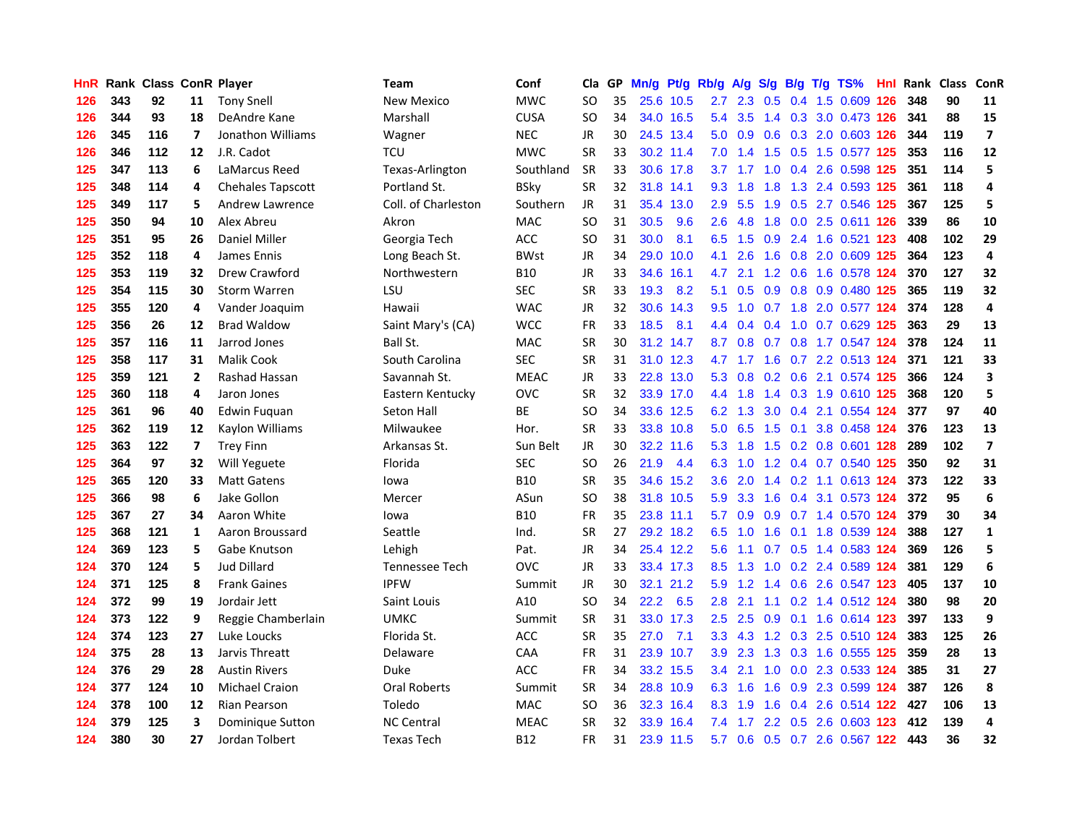| HnR |     | <b>Rank Class ConR Player</b> |              |                       | Team                | Conf        | Cla           |    | GP Mn/g Pt/g Rb/g |           |                  | <b>A/g</b>      |     |     | S/g B/g T/g TS%               | Hnl  |     | Rank Class | ConR                    |
|-----|-----|-------------------------------|--------------|-----------------------|---------------------|-------------|---------------|----|-------------------|-----------|------------------|-----------------|-----|-----|-------------------------------|------|-----|------------|-------------------------|
| 126 | 343 | 92                            | 11           | <b>Tony Snell</b>     | New Mexico          | <b>MWC</b>  | SO            | 35 |                   | 25.6 10.5 | 2.7              | 2.3             | 0.5 | 0.4 | 1.5 0.609                     | 126  | 348 | 90         | 11                      |
| 126 | 344 | 93                            | 18           | DeAndre Kane          | Marshall            | <b>CUSA</b> | <sub>SO</sub> | 34 |                   | 34.0 16.5 | 5.4              | 3.5             | 1.4 | 0.3 | 3.0 0.473 126                 |      | 341 | 88         | 15                      |
| 126 | 345 | 116                           | 7            | Jonathon Williams     | Wagner              | <b>NEC</b>  | JR            | 30 |                   | 24.5 13.4 | 5.0              | 0.9             | 0.6 |     | 0.3 2.0 0.603 126             |      | 344 | 119        | $\overline{\mathbf{z}}$ |
| 126 | 346 | 112                           | 12           | J.R. Cadot            | <b>TCU</b>          | <b>MWC</b>  | <b>SR</b>     | 33 |                   | 30.2 11.4 | 7.0              | 1.4             |     |     | 1.5 0.5 1.5 0.577 125         |      | 353 | 116        | 12                      |
| 125 | 347 | 113                           | 6            | LaMarcus Reed         | Texas-Arlington     | Southland   | <b>SR</b>     | 33 |                   | 30.6 17.8 |                  | $3.7 \quad 1.7$ |     |     | 1.0 0.4 2.6 0.598 125         |      | 351 | 114        | 5                       |
| 125 | 348 | 114                           | 4            | Chehales Tapscott     | Portland St.        | <b>BSky</b> | <b>SR</b>     | 32 |                   | 31.8 14.1 | 9.3              | 1.8             | 1.8 |     | 1.3 2.4 0.593 125             |      | 361 | 118        | 4                       |
| 125 | 349 | 117                           | 5            | Andrew Lawrence       | Coll. of Charleston | Southern    | <b>JR</b>     | 31 |                   | 35.4 13.0 | 2.9              | 5.5             | 1.9 |     | 0.5 2.7 0.546 125             |      | 367 | 125        | 5                       |
| 125 | 350 | 94                            | 10           | Alex Abreu            | Akron               | <b>MAC</b>  | <b>SO</b>     | 31 | 30.5              | 9.6       | 2.6              | 4.8             | 1.8 |     | 0.0 2.5 0.611 126             |      | 339 | 86         | 10                      |
| 125 | 351 | 95                            | 26           | <b>Daniel Miller</b>  | Georgia Tech        | <b>ACC</b>  | <sub>SO</sub> | 31 | 30.0              | 8.1       | 6.5              | 1.5             | 0.9 |     | 2.4 1.6 0.521                 | -123 | 408 | 102        | 29                      |
| 125 | 352 | 118                           | 4            | James Ennis           | Long Beach St.      | <b>BWst</b> | <b>JR</b>     | 34 | 29.0              | 10.0      | 4.1              | 2.6             | 1.6 |     | 0.8 2.0 0.609 125             |      | 364 | 123        | 4                       |
| 125 | 353 | 119                           | 32           | Drew Crawford         | Northwestern        | <b>B10</b>  | JR            | 33 |                   | 34.6 16.1 | 4.7              | 2.1             |     |     | 1.2 0.6 1.6 0.578 124         |      | 370 | 127        | 32                      |
| 125 | 354 | 115                           | 30           | <b>Storm Warren</b>   | LSU                 | <b>SEC</b>  | <b>SR</b>     | 33 | 19.3              | 8.2       | 5.1              | 0.5             | 0.9 |     | 0.8 0.9 0.480 125             |      | 365 | 119        | 32                      |
| 125 | 355 | 120                           | 4            | Vander Joaquim        | Hawaii              | <b>WAC</b>  | JR            | 32 | 30.6              | 14.3      | 9.5              | 1.0             | 0.7 | 1.8 | 2.0 0.577 124                 |      | 374 | 128        | 4                       |
| 125 | 356 | 26                            | 12           | <b>Brad Waldow</b>    | Saint Mary's (CA)   | <b>WCC</b>  | FR            | 33 | 18.5              | 8.1       | 4.4              | 0.4             | 0.4 | 1.0 | 0.7 0.629 125                 |      | 363 | 29         | 13                      |
| 125 | 357 | 116                           | 11           | Jarrod Jones          | Ball St.            | <b>MAC</b>  | <b>SR</b>     | 30 |                   | 31.2 14.7 | 8.7              | 0.8             | 0.7 | 0.8 | 1.7 0.547 124                 |      | 378 | 124        | 11                      |
| 125 | 358 | 117                           | 31           | <b>Malik Cook</b>     | South Carolina      | <b>SEC</b>  | <b>SR</b>     | 31 |                   | 31.0 12.3 |                  | $4.7$ 1.7       | 1.6 |     | 0.7 2.2 0.513 124             |      | 371 | 121        | 33                      |
| 125 | 359 | 121                           | 2            | Rashad Hassan         | Savannah St.        | <b>MEAC</b> | JR            | 33 |                   | 22.8 13.0 |                  |                 |     |     | 5.3 0.8 0.2 0.6 2.1 0.574 125 |      | 366 | 124        | 3                       |
| 125 | 360 | 118                           | 4            | Jaron Jones           | Eastern Kentucky    | <b>OVC</b>  | <b>SR</b>     | 32 |                   | 33.9 17.0 |                  | 4.4 1.8         |     |     | 1.4 0.3 1.9 0.610 125         |      | 368 | 120        | 5                       |
| 125 | 361 | 96                            | 40           | Edwin Fuguan          | Seton Hall          | <b>BE</b>   | SO            | 34 |                   | 33.6 12.5 |                  | $6.2 \quad 1.3$ |     |     | 3.0 0.4 2.1 0.554 124         |      | 377 | 97         | 40                      |
| 125 | 362 | 119                           | 12           | Kaylon Williams       | Milwaukee           | Hor.        | <b>SR</b>     | 33 |                   | 33.8 10.8 |                  | 5.0 6.5         |     |     | 1.5 0.1 3.8 0.458 124         |      | 376 | 123        | 13                      |
| 125 | 363 | 122                           | 7            | <b>Trey Finn</b>      | Arkansas St.        | Sun Belt    | <b>JR</b>     | 30 |                   | 32.2 11.6 | 5.3              | 1.8             |     |     | 1.5 0.2 0.8 0.601 128         |      | 289 | 102        | $\overline{\mathbf{z}}$ |
| 125 | 364 | 97                            | 32           | Will Yeguete          | Florida             | <b>SEC</b>  | <sub>SO</sub> | 26 | 21.9              | 4.4       | 6.3              | 1.0             |     |     | 1.2 0.4 0.7 0.540 125         |      | 350 | 92         | 31                      |
| 125 | 365 | 120                           | 33           | <b>Matt Gatens</b>    | lowa                | <b>B10</b>  | <b>SR</b>     | 35 |                   | 34.6 15.2 | 3.6 <sup>°</sup> | 2.0             | 1.4 |     | 0.2 1.1 0.613 124             |      | 373 | 122        | 33                      |
| 125 | 366 | 98                            | 6            | Jake Gollon           | Mercer              | ASun        | SO            | 38 |                   | 31.8 10.5 | 5.9              | 3.3             | 1.6 |     | 0.4 3.1 0.573 124             |      | 372 | 95         | 6                       |
| 125 | 367 | 27                            | 34           | Aaron White           | lowa                | <b>B10</b>  | <b>FR</b>     | 35 |                   | 23.8 11.1 | 5.7              | 0.9             | 0.9 |     | 0.7 1.4 0.570 124             |      | 379 | 30         | 34                      |
| 125 | 368 | 121                           | $\mathbf{1}$ | Aaron Broussard       | Seattle             | Ind.        | <b>SR</b>     | 27 |                   | 29.2 18.2 | 6.5              | 1.0             | 1.6 |     | 0.1 1.8 0.539 124             |      | 388 | 127        | $\mathbf{1}$            |
| 124 | 369 | 123                           | 5            | Gabe Knutson          | Lehigh              | Pat.        | <b>JR</b>     | 34 |                   | 25.4 12.2 | 5.6              | 1.1             | 0.7 | 0.5 | 1.4 0.583 124                 |      | 369 | 126        | 5                       |
| 124 | 370 | 124                           | 5            | <b>Jud Dillard</b>    | Tennessee Tech      | <b>OVC</b>  | <b>JR</b>     | 33 |                   | 33.4 17.3 | 8.5              | 1.3             | 1.0 |     | 0.2 2.4 0.589 124             |      | 381 | 129        | 6                       |
| 124 | 371 | 125                           | 8            | <b>Frank Gaines</b>   | <b>IPFW</b>         | Summit      | <b>JR</b>     | 30 |                   | 32.1 21.2 | 5.9              | 1.2             | 1.4 | 0.6 | 2.6 0.547 123                 |      | 405 | 137        | 10                      |
| 124 | 372 | 99                            | 19           | Jordair Jett          | Saint Louis         | A10         | <b>SO</b>     | 34 | 22.2              | 6.5       | 2.8              | 2.1             |     |     | 1.1 0.2 1.4 0.512 124         |      | 380 | 98         | 20                      |
| 124 | 373 | 122                           | 9            | Reggie Chamberlain    | <b>UMKC</b>         | Summit      | <b>SR</b>     | 31 |                   | 33.0 17.3 | 2.5              | 2.5             |     |     | 0.9 0.1 1.6 0.614 123         |      | 397 | 133        | 9                       |
| 124 | 374 | 123                           | 27           | Luke Loucks           | Florida St.         | <b>ACC</b>  | <b>SR</b>     | 35 | 27.0              | 7.1       | 3.3 <sub>2</sub> |                 |     |     | 4.3 1.2 0.3 2.5 0.510 124     |      | 383 | 125        | 26                      |
| 124 | 375 | 28                            | 13           | Jarvis Threatt        | Delaware            | CAA         | <b>FR</b>     | 31 |                   | 23.9 10.7 | 3.9              | 2.3             |     |     | 1.3 0.3 1.6 0.555 125         |      | 359 | 28         | 13                      |
| 124 | 376 | 29                            | 28           | <b>Austin Rivers</b>  | Duke                | <b>ACC</b>  | FR            | 34 |                   | 33.2 15.5 | $3.4^{\circ}$    | 2.1             | 1.0 |     | 0.0 2.3 0.533 124             |      | 385 | 31         | 27                      |
| 124 | 377 | 124                           | 10           | <b>Michael Craion</b> | <b>Oral Roberts</b> | Summit      | <b>SR</b>     | 34 |                   | 28.8 10.9 |                  | 6.3 1.6         | 1.6 |     | 0.9 2.3 0.599 124             |      | 387 | 126        | 8                       |
| 124 | 378 | 100                           | 12           | <b>Rian Pearson</b>   | Toledo              | <b>MAC</b>  | <sub>SO</sub> | 36 |                   | 32.3 16.4 | 8.3              | 1.9             | 1.6 | 0.4 | 2.6 0.514 122                 |      | 427 | 106        | 13                      |
| 124 | 379 | 125                           | 3            | Dominique Sutton      | <b>NC Central</b>   | <b>MEAC</b> | <b>SR</b>     | 32 | 33.9              | 16.4      | 7.4              | 1.7             | 2.2 | 0.5 | 2.6 0.603 123                 |      | 412 | 139        | 4                       |
| 124 | 380 | 30                            | 27           | Jordan Tolbert        | <b>Texas Tech</b>   | <b>B12</b>  | <b>FR</b>     | 31 |                   | 23.9 11.5 |                  |                 |     |     | 5.7 0.6 0.5 0.7 2.6 0.567 122 |      | 443 | 36         | 32                      |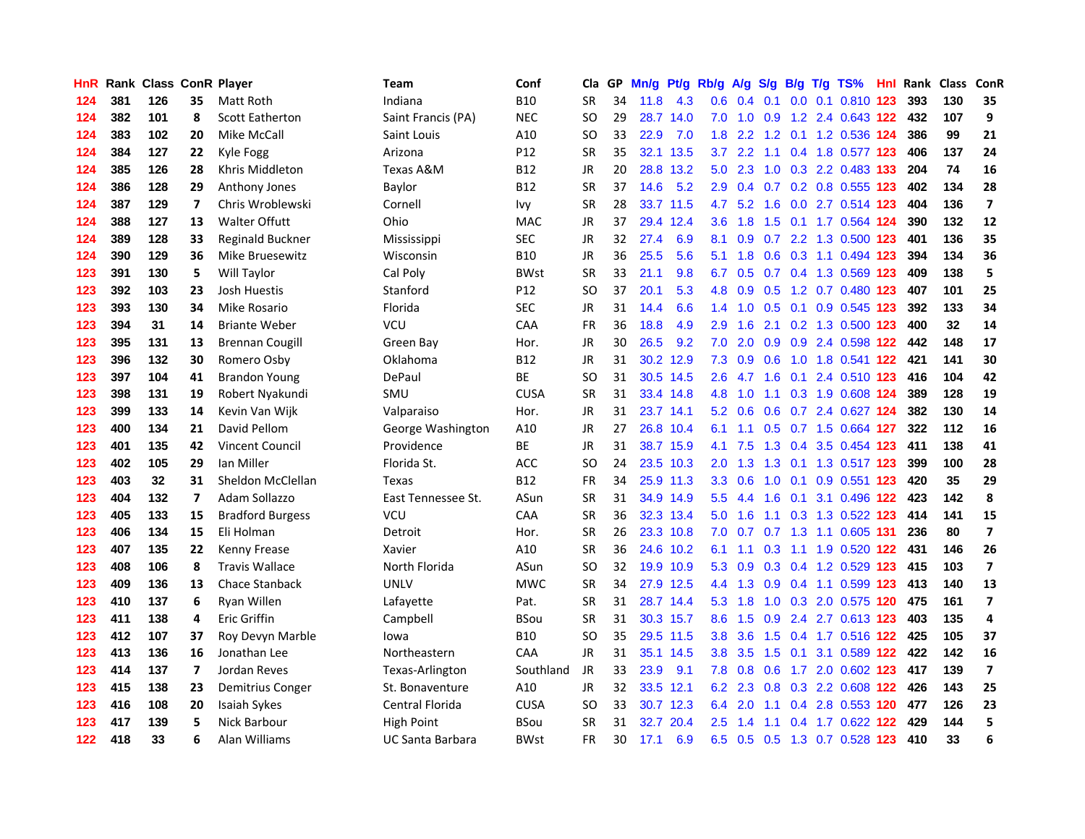| HnR. |     |     |                         | Rank Class ConR Player  | Team                    | Conf        | Cla       |    | GP Mn/g | Pt/g      | Rb/g             | A/g             | <b>S/g</b> |     | B/g T/g TS%                   | Hnl |     | Rank Class | ConR                    |
|------|-----|-----|-------------------------|-------------------------|-------------------------|-------------|-----------|----|---------|-----------|------------------|-----------------|------------|-----|-------------------------------|-----|-----|------------|-------------------------|
| 124  | 381 | 126 | 35                      | Matt Roth               | Indiana                 | <b>B10</b>  | <b>SR</b> | 34 | 11.8    | 4.3       | 0.6              | 0.4             | 0.1        | 0.0 | $0.1$ $0.810$                 | 123 | 393 | 130        | 35                      |
| 124  | 382 | 101 | 8                       | <b>Scott Eatherton</b>  | Saint Francis (PA)      | <b>NEC</b>  | SO        | 29 |         | 28.7 14.0 | 7.0              | 1.0             | 0.9        |     | 1.2 2.4 0.643 122             |     | 432 | 107        | 9                       |
| 124  | 383 | 102 | 20                      | Mike McCall             | Saint Louis             | A10         | SO        | 33 | 22.9    | 7.0       | 1.8              | 2.2             | 1.2        |     | 0.1 1.2 0.536 124             |     | 386 | 99         | 21                      |
| 124  | 384 | 127 | 22                      | Kyle Fogg               | Arizona                 | P12         | <b>SR</b> | 35 |         | 32.1 13.5 | 3.7              | 2.2             |            |     | 1.1 0.4 1.8 0.577 123         |     | 406 | 137        | 24                      |
| 124  | 385 | 126 | 28                      | Khris Middleton         | Texas A&M               | B12         | JR        | 20 |         | 28.8 13.2 | 5.0              |                 |            |     | 2.3 1.0 0.3 2.2 0.483 133     |     | 204 | 74         | 16                      |
| 124  | 386 | 128 | 29                      | Anthony Jones           | Baylor                  | B12         | <b>SR</b> | 37 | 14.6    | 5.2       | $2.9^{\circ}$    |                 |            |     | 0.4 0.7 0.2 0.8 0.555 123     |     | 402 | 134        | 28                      |
| 124  | 387 | 129 | $\overline{\mathbf{z}}$ | Chris Wroblewski        | Cornell                 | lvy         | SR        | 28 |         | 33.7 11.5 | 4.7              | 5.2             | 1.6        |     | 0.0 2.7 0.514 123             |     | 404 | 136        | $\overline{\mathbf{z}}$ |
| 124  | 388 | 127 | 13                      | <b>Walter Offutt</b>    | Ohio                    | <b>MAC</b>  | JR        | 37 |         | 29.4 12.4 | 3.6 <sup>°</sup> | 1.8             | 1.5        |     | 0.1 1.7 0.564 124             |     | 390 | 132        | 12                      |
| 124  | 389 | 128 | 33                      | Reginald Buckner        | Mississippi             | <b>SEC</b>  | <b>JR</b> | 32 | 27.4    | 6.9       | 8.1              | 0.9             |            |     | 0.7 2.2 1.3 0.500 123         |     | 401 | 136        | 35                      |
| 124  | 390 | 129 | 36                      | Mike Bruesewitz         | Wisconsin               | <b>B10</b>  | JR.       | 36 | 25.5    | 5.6       | 5.1              | 1.8             | 0.6        |     | 0.3 1.1 0.494 123             |     | 394 | 134        | 36                      |
| 123  | 391 | 130 | 5                       | Will Taylor             | Cal Poly                | <b>BWst</b> | <b>SR</b> | 33 | 21.1    | 9.8       | 6.7              | 0.5             |            |     | 0.7 0.4 1.3 0.569 123         |     | 409 | 138        | 5                       |
| 123  | 392 | 103 | 23                      | Josh Huestis            | Stanford                | P12         | <b>SO</b> | 37 | 20.1    | 5.3       | 4.8              | 0.9             | 0.5        |     | 1.2 0.7 0.480 123             |     | 407 | 101        | 25                      |
| 123  | 393 | 130 | 34                      | Mike Rosario            | Florida                 | <b>SEC</b>  | JR        | 31 | 14.4    | 6.6       | $1.4^{\circ}$    | 1.0             | 0.5        | 0.1 | 0.9 0.545 123                 |     | 392 | 133        | 34                      |
| 123  | 394 | 31  | 14                      | <b>Briante Weber</b>    | VCU                     | CAA         | FR        | 36 | 18.8    | 4.9       | 2.9              | 1.6             | 2.1        |     | 0.2 1.3 0.500 123             |     | 400 | 32         | 14                      |
| 123  | 395 | 131 | 13                      | <b>Brennan Cougill</b>  | Green Bay               | Hor.        | <b>JR</b> | 30 | 26.5    | 9.2       | 7.0              | 2.0             | 0.9        | 0.9 | 2.4 0.598 122                 |     | 442 | 148        | 17                      |
| 123  | 396 | 132 | 30                      | Romero Osby             | Oklahoma                | <b>B12</b>  | JR.       | 31 |         | 30.2 12.9 | 7.3              | 0.9             | 0.6        |     | 1.0 1.8 0.541 122             |     | 421 | 141        | 30                      |
| 123  | 397 | 104 | 41                      | <b>Brandon Young</b>    | DePaul                  | ВE          | SO        | 31 |         | 30.5 14.5 | 2.6              | 4.7             |            |     | 1.6 0.1 2.4 0.510 123         |     | 416 | 104        | 42                      |
| 123  | 398 | 131 | 19                      | Robert Nyakundi         | SMU                     | <b>CUSA</b> | <b>SR</b> | 31 |         | 33.4 14.8 |                  | 4.8 1.0         |            |     | 1.1 0.3 1.9 0.608 124         |     | 389 | 128        | 19                      |
| 123  | 399 | 133 | 14                      | Kevin Van Wijk          | Valparaiso              | Hor.        | JR        | 31 |         | 23.7 14.1 |                  | $5.2 \quad 0.6$ |            |     | 0.6 0.7 2.4 0.627 124         |     | 382 | 130        | 14                      |
| 123  | 400 | 134 | 21                      | David Pellom            | George Washington       | A10         | JR.       | 27 |         | 26.8 10.4 | 6.1              | 1.1             |            |     | 0.5 0.7 1.5 0.664 127         |     | 322 | 112        | 16                      |
| 123  | 401 | 135 | 42                      | <b>Vincent Council</b>  | Providence              | BE          | JR        | 31 |         | 38.7 15.9 |                  | 4.1 7.5         |            |     | 1.3 0.4 3.5 0.454 123         |     | 411 | 138        | 41                      |
| 123  | 402 | 105 | 29                      | Ian Miller              | Florida St.             | ACC         | <b>SO</b> | 24 |         | 23.5 10.3 | 2.0 <sub>1</sub> | 1.3             | 1.3        |     | 0.1 1.3 0.517 123             |     | 399 | 100        | 28                      |
| 123  | 403 | 32  | 31                      | Sheldon McClellan       | Texas                   | <b>B12</b>  | <b>FR</b> | 34 |         | 25.9 11.3 | 3.3 <sub>1</sub> | 0.6             | 1.0        | 0.1 | 0.9 0.551 123                 |     | 420 | 35         | 29                      |
| 123  | 404 | 132 | $\overline{7}$          | Adam Sollazzo           | East Tennessee St.      | ASun        | <b>SR</b> | 31 |         | 34.9 14.9 | 5.5 <sub>1</sub> | 4.4             | 1.6        | 0.1 | 3.1 0.496 122                 |     | 423 | 142        | 8                       |
| 123  | 405 | 133 | 15                      | <b>Bradford Burgess</b> | <b>VCU</b>              | CAA         | <b>SR</b> | 36 |         | 32.3 13.4 | 5.0              | 1.6             |            |     | 1.1 0.3 1.3 0.522 123         |     | 414 | 141        | 15                      |
| 123  | 406 | 134 | 15                      | Eli Holman              | Detroit                 | Hor.        | <b>SR</b> | 26 |         | 23.3 10.8 | 7.0              | 0.7             |            |     | 0.7 1.3 1.1 0.605 131         |     | 236 | 80         | $\overline{\mathbf{z}}$ |
| 123  | 407 | 135 | 22                      | Kenny Frease            | Xavier                  | A10         | <b>SR</b> | 36 |         | 24.6 10.2 | 6.1              | 1.1             | 0.3        |     | 1.1 1.9 0.520 122             |     | 431 | 146        | 26                      |
| 123  | 408 | 106 | 8                       | <b>Travis Wallace</b>   | North Florida           | ASun        | <b>SO</b> | 32 |         | 19.9 10.9 | 5.3              | 0.9             | 0.3        |     | 0.4 1.2 0.529 123             |     | 415 | 103        | $\overline{\mathbf{z}}$ |
| 123  | 409 | 136 | 13                      | <b>Chace Stanback</b>   | <b>UNLV</b>             | <b>MWC</b>  | <b>SR</b> | 34 |         | 27.9 12.5 |                  |                 |            |     | 4.4 1.3 0.9 0.4 1.1 0.599 123 |     | 413 | 140        | 13                      |
| 123  | 410 | 137 | 6                       | Ryan Willen             | Lafayette               | Pat.        | SR        | 31 |         | 28.7 14.4 | 5.3              | 1.8             |            |     | 1.0 0.3 2.0 0.575 120         |     | 475 | 161        | $\overline{\mathbf{z}}$ |
| 123  | 411 | 138 | 4                       | <b>Eric Griffin</b>     | Campbell                | BSou        | <b>SR</b> | 31 |         | 30.3 15.7 | 8.6              | 1.5             |            |     | 0.9 2.4 2.7 0.613 123         |     | 403 | 135        | 4                       |
| 123  | 412 | 107 | 37                      | Roy Devyn Marble        | Iowa                    | <b>B10</b>  | SO        | 35 |         | 29.5 11.5 | 3.8 <sup>°</sup> | 3.6             |            |     | 1.5 0.4 1.7 0.516 122         |     | 425 | 105        | 37                      |
| 123  | 413 | 136 | 16                      | Jonathan Lee            | Northeastern            | CAA         | JR        | 31 |         | 35.1 14.5 | 3.8 <sup>°</sup> | 3.5             | 1.5        |     | 0.1 3.1 0.589 122             |     | 422 | 142        | 16                      |
| 123  | 414 | 137 | 7                       | Jordan Reves            | Texas-Arlington         | Southland   | JR        | 33 | 23.9    | 9.1       | 7.8              | 0.8             | 0.6        |     | 1.7 2.0 0.602 123             |     | 417 | 139        | $\overline{\mathbf{z}}$ |
| 123  | 415 | 138 | 23                      | Demitrius Conger        | St. Bonaventure         | A10         | JR        | 32 |         | 33.5 12.1 | 6.2              | 2.3             | 0.8        |     | 0.3 2.2 0.608 122             |     | 426 | 143        | 25                      |
| 123  | 416 | 108 | 20                      | Isaiah Sykes            | Central Florida         | <b>CUSA</b> | SO        | 33 |         | 30.7 12.3 | 6.4              | 2.0             | 1.1        |     | 0.4 2.8 0.553 120             |     | 477 | 126        | 23                      |
| 123  | 417 | 139 | 5                       | Nick Barbour            | High Point              | <b>BSou</b> | <b>SR</b> | 31 | 32.7    | 20.4      | $2.5\,$          | 1.4             | 1.1        | 0.4 | 1.7 0.622                     | 122 | 429 | 144        | 5                       |
| 122  | 418 | 33  | 6                       | Alan Williams           | <b>UC Santa Barbara</b> | <b>BWst</b> | <b>FR</b> | 30 | 17.1    | 6.9       |                  |                 |            |     | 6.5 0.5 0.5 1.3 0.7 0.528 123 |     | 410 | 33         | 6                       |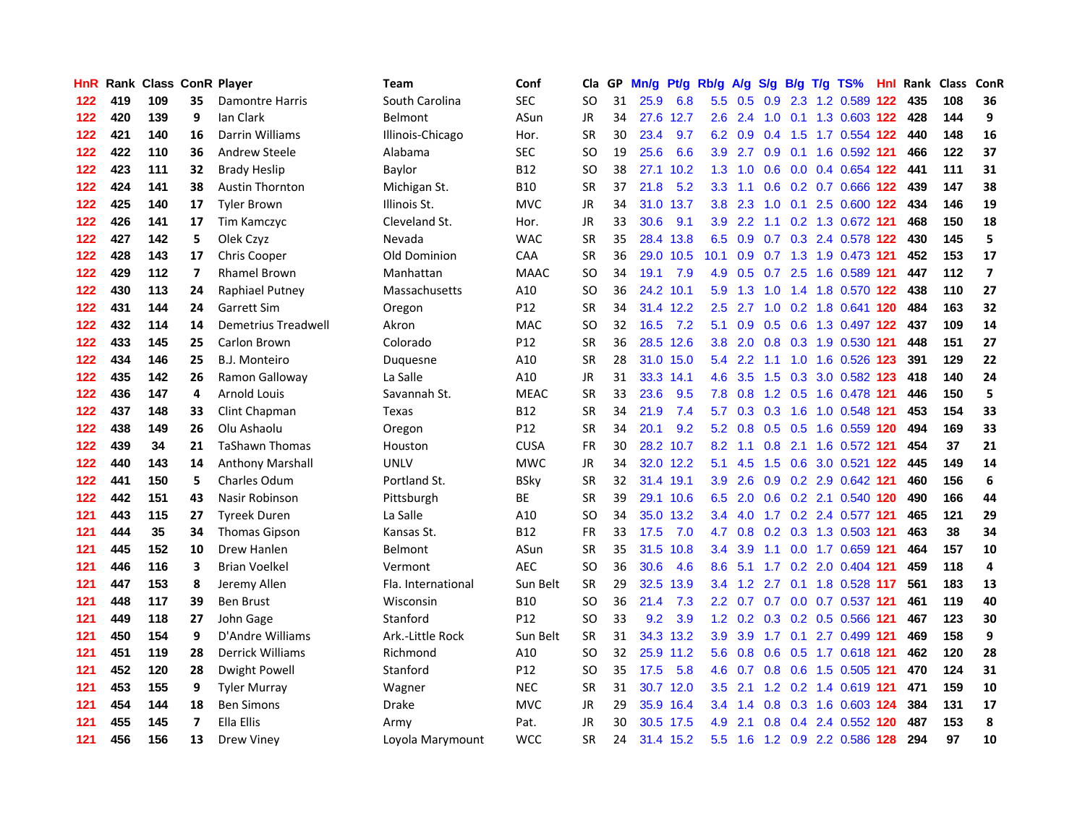| HnR |     | <b>Rank Class ConR Player</b> |                |                         | Team               | Conf            | Cla           |    | GP Mn/g | Pt/g      | Rb/g             | <b>A/g</b>      |     |     | S/g B/g T/g TS%               | Hnl | Rank Class |     | ConR                    |
|-----|-----|-------------------------------|----------------|-------------------------|--------------------|-----------------|---------------|----|---------|-----------|------------------|-----------------|-----|-----|-------------------------------|-----|------------|-----|-------------------------|
| 122 | 419 | 109                           | 35             | Damontre Harris         | South Carolina     | <b>SEC</b>      | SO            | 31 | 25.9    | 6.8       | 5.5              | 0.5             | 0.9 | 2.3 | 1.2 0.589                     | 122 | 435        | 108 | 36                      |
| 122 | 420 | 139                           | 9              | lan Clark               | <b>Belmont</b>     | ASun            | <b>JR</b>     | 34 |         | 27.6 12.7 | 2.6              | 2.4             | 1.0 | 0.1 | 1.3 0.603 122                 |     | 428        | 144 | 9                       |
| 122 | 421 | 140                           | 16             | Darrin Williams         | Illinois-Chicago   | Hor.            | <b>SR</b>     | 30 | 23.4    | 9.7       | 6.2              | 0.9             | 0.4 | 1.5 | 1.7 0.554 122                 |     | 440        | 148 | 16                      |
| 122 | 422 | 110                           | 36             | <b>Andrew Steele</b>    | Alabama            | <b>SEC</b>      | SO            | 19 | 25.6    | 6.6       | 3.9              | 2.7             |     |     | 0.9 0.1 1.6 0.592 121         |     | 466        | 122 | 37                      |
| 122 | 423 | 111                           | 32             | <b>Brady Heslip</b>     | Baylor             | <b>B12</b>      | SO            | 38 |         | 27.1 10.2 |                  |                 |     |     | 1.3 1.0 0.6 0.0 0.4 0.654 122 |     | 441        | 111 | 31                      |
| 122 | 424 | 141                           | 38             | <b>Austin Thornton</b>  | Michigan St.       | <b>B10</b>      | <b>SR</b>     | 37 | 21.8    | 5.2       | 3.3 <sub>1</sub> | 1.1             |     |     | 0.6 0.2 0.7 0.666 122         |     | 439        | 147 | 38                      |
| 122 | 425 | 140                           | 17             | <b>Tyler Brown</b>      | Illinois St.       | <b>MVC</b>      | <b>JR</b>     | 34 |         | 31.0 13.7 | 3.8 <sup>°</sup> | 2.3             | 1.0 |     | 0.1 2.5 0.600 122             |     | 434        | 146 | 19                      |
| 122 | 426 | 141                           | 17             | Tim Kamczyc             | Cleveland St.      | Hor.            | JR            | 33 | 30.6    | 9.1       | 3.9              | 2.2             | 1.1 |     | 0.2 1.3 0.672 121             |     | 468        | 150 | 18                      |
| 122 | 427 | 142                           | 5              | Olek Czyz               | Nevada             | <b>WAC</b>      | <b>SR</b>     | 35 |         | 28.4 13.8 | 6.5              | 0.9             |     |     | 0.7 0.3 2.4 0.578 122         |     | 430        | 145 | 5                       |
| 122 | 428 | 143                           | 17             | <b>Chris Cooper</b>     | Old Dominion       | <b>CAA</b>      | <b>SR</b>     | 36 | 29.0    | 10.5      | 10.1             | 0.9             | 0.7 |     | 1.3 1.9 0.473 121             |     | 452        | 153 | 17                      |
| 122 | 429 | 112                           | $\overline{ }$ | <b>Rhamel Brown</b>     | Manhattan          | <b>MAAC</b>     | <b>SO</b>     | 34 | 19.1    | 7.9       | 4.9              | 0.5             | 0.7 | 2.5 | 1.6 0.589 121                 |     | 447        | 112 | $\overline{\mathbf{z}}$ |
| 122 | 430 | 113                           | 24             | Raphiael Putney         | Massachusetts      | A10             | SO            | 36 |         | 24.2 10.1 | 5.9              | 1.3             | 1.0 | 1.4 | 1.8 0.570 122                 |     | 438        | 110 | 27                      |
| 122 | 431 | 144                           | 24             | <b>Garrett Sim</b>      | Oregon             | P12             | <b>SR</b>     | 34 |         | 31.4 12.2 | 2.5              | 2.7             | 1.0 | 0.2 | 1.8 0.641 120                 |     | 484        | 163 | 32                      |
| 122 | 432 | 114                           | 14             | Demetrius Treadwell     | Akron              | <b>MAC</b>      | <b>SO</b>     | 32 | 16.5    | 7.2       | 5.1              | 0.9             | 0.5 | 0.6 | 1.3 0.497 122                 |     | 437        | 109 | 14                      |
| 122 | 433 | 145                           | 25             | Carlon Brown            | Colorado           | P <sub>12</sub> | <b>SR</b>     | 36 |         | 28.5 12.6 | 3.8 <sub>2</sub> | 2.0             | 0.8 |     | 0.3 1.9 0.530 121             |     | 448        | 151 | 27                      |
| 122 | 434 | 146                           | 25             | B.J. Monteiro           | Duquesne           | A10             | <b>SR</b>     | 28 |         | 31.0 15.0 | 5.4              | 2.2             | 1.1 | 1.0 | 1.6 0.526 123                 |     | 391        | 129 | 22                      |
| 122 | 435 | 142                           | 26             | Ramon Galloway          | La Salle           | A10             | JR            | 31 |         | 33.3 14.1 | 4.6              | 3.5             | 1.5 |     | 0.3 3.0 0.582 123             |     | 418        | 140 | 24                      |
| 122 | 436 | 147                           | 4              | <b>Arnold Louis</b>     | Savannah St.       | <b>MEAC</b>     | <b>SR</b>     | 33 | 23.6    | 9.5       | 7.8              | 0.8             |     |     | 1.2 0.5 1.6 0.478 121         |     | 446        | 150 | 5                       |
| 122 | 437 | 148                           | 33             | Clint Chapman           | Texas              | <b>B12</b>      | <b>SR</b>     | 34 | 21.9    | 7.4       |                  |                 |     |     | 5.7 0.3 0.3 1.6 1.0 0.548 121 |     | 453        | 154 | 33                      |
| 122 | 438 | 149                           | 26             | Olu Ashaolu             | Oregon             | P12             | <b>SR</b>     | 34 | 20.1    | 9.2       |                  |                 |     |     | 5.2 0.8 0.5 0.5 1.6 0.559 120 |     | 494        | 169 | 33                      |
| 122 | 439 | 34                            | 21             | <b>TaShawn Thomas</b>   | Houston            | <b>CUSA</b>     | <b>FR</b>     | 30 |         | 28.2 10.7 | 8.2              | 1.1             |     |     | 0.8 2.1 1.6 0.572 121         |     | 454        | 37  | 21                      |
| 122 | 440 | 143                           | 14             | Anthony Marshall        | <b>UNLV</b>        | <b>MWC</b>      | <b>JR</b>     | 34 |         | 32.0 12.2 | 5.1              | 4.5             |     |     | 1.5 0.6 3.0 0.521 122         |     | 445        | 149 | 14                      |
| 122 | 441 | 150                           | 5              | <b>Charles Odum</b>     | Portland St.       | <b>BSky</b>     | <b>SR</b>     | 32 |         | 31.4 19.1 | 3.9              | 2.6             |     |     | 0.9 0.2 2.9 0.642 121         |     | 460        | 156 | $\boldsymbol{6}$        |
| 122 | 442 | 151                           | 43             | Nasir Robinson          | Pittsburgh         | ВE              | <b>SR</b>     | 39 |         | 29.1 10.6 | 6.5              | 2.0             |     |     | 0.6 0.2 2.1 0.540 120         |     | 490        | 166 | 44                      |
| 121 | 443 | 115                           | 27             | <b>Tyreek Duren</b>     | La Salle           | A10             | SO            | 34 |         | 35.0 13.2 | $3.4^{\circ}$    | 4.0             |     |     | 1.7 0.2 2.4 0.577 121         |     | 465        | 121 | 29                      |
| 121 | 444 | 35                            | 34             | <b>Thomas Gipson</b>    | Kansas St.         | <b>B12</b>      | <b>FR</b>     | 33 | 17.5    | 7.0       | 4.7              | 0.8             |     |     | 0.2 0.3 1.3 0.503 121         |     | 463        | 38  | 34                      |
| 121 | 445 | 152                           | 10             | Drew Hanlen             | Belmont            | ASun            | <b>SR</b>     | 35 | 31.5    | 10.8      | 3.4              | 3.9             | 1.1 |     | 0.0 1.7 0.659 121             |     | 464        | 157 | 10                      |
| 121 | 446 | 116                           | 3              | <b>Brian Voelkel</b>    | Vermont            | <b>AEC</b>      | <b>SO</b>     | 36 | 30.6    | 4.6       | 8.6              | 5.1             |     |     | 1.7 0.2 2.0 0.404 121         |     | 459        | 118 | 4                       |
| 121 | 447 | 153                           | 8              | Jeremy Allen            | Fla. International | Sun Belt        | SR            | 29 | 32.5    | 13.9      |                  | $3.4$ 1.2       | 2.7 |     | 0.1 1.8 0.528 117             |     | 561        | 183 | 13                      |
| 121 | 448 | 117                           | 39             | <b>Ben Brust</b>        | Wisconsin          | <b>B10</b>      | SO            | 36 | 21.4    | 7.3       |                  | $2.2 \quad 0.7$ |     |     | 0.7 0.0 0.7 0.537 121         |     | 461        | 119 | 40                      |
| 121 | 449 | 118                           | 27             | John Gage               | Stanford           | P <sub>12</sub> | <sub>SO</sub> | 33 | 9.2     | 3.9       |                  |                 |     |     | 1.2 0.2 0.3 0.2 0.5 0.566 121 |     | 467        | 123 | 30                      |
| 121 | 450 | 154                           | 9              | D'Andre Williams        | Ark.-Little Rock   | Sun Belt        | <b>SR</b>     | 31 |         | 34.3 13.2 | 3.9 <sup>°</sup> | 3.9             |     |     | 1.7 0.1 2.7 0.499 121         |     | 469        | 158 | 9                       |
| 121 | 451 | 119                           | 28             | <b>Derrick Williams</b> | Richmond           | A10             | <b>SO</b>     | 32 |         | 25.9 11.2 |                  |                 |     |     | 5.6 0.8 0.6 0.5 1.7 0.618 121 |     | 462        | 120 | 28                      |
| 121 | 452 | 120                           | 28             | <b>Dwight Powell</b>    | Stanford           | P12             | <sub>SO</sub> | 35 | 17.5    | 5.8       | 4.6              | 0.7             |     |     | 0.8 0.6 1.5 0.505 121         |     | 470        | 124 | 31                      |
| 121 | 453 | 155                           | 9              | <b>Tyler Murray</b>     | Wagner             | <b>NEC</b>      | <b>SR</b>     | 31 |         | 30.7 12.0 | 3.5              | 2.1             |     |     | 1.2 0.2 1.4 0.619 121         |     | 471        | 159 | 10                      |
| 121 | 454 | 144                           | 18             | <b>Ben Simons</b>       | Drake              | <b>MVC</b>      | <b>JR</b>     | 29 |         | 35.9 16.4 | 3.4              | 1.4             | 0.8 |     | 0.3 1.6 0.603 124             |     | 384        | 131 | 17                      |
| 121 | 455 | 145                           | 7              | Ella Ellis              | Army               | Pat.            | <b>JR</b>     | 30 | 30.5    | 17.5      | 4.9              | 2.1             | 0.8 | 0.4 | 2.4 0.552 120                 |     | 487        | 153 | 8                       |
| 121 | 456 | 156                           | 13             | Drew Viney              | Loyola Marymount   | <b>WCC</b>      | SR            | 24 |         | 31.4 15.2 |                  |                 |     |     | 5.5 1.6 1.2 0.9 2.2 0.586 128 |     | 294        | 97  | 10                      |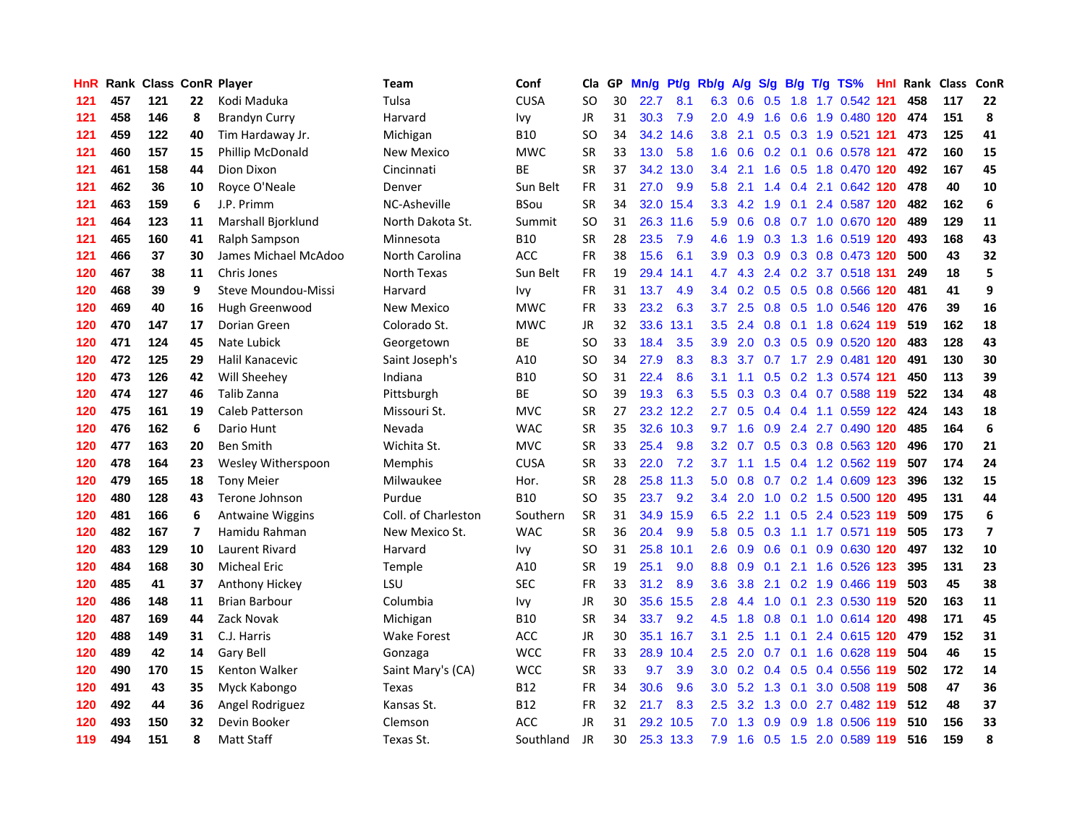| <b>HnR</b> |     | Rank Class ConR Player |    |                         | <b>Team</b>         | Conf        | Cla       |    | GP Mn/g Pt/g Rb/g A/g |           |                  |           |     |                 | S/g B/g T/g TS%               | Hnl |     | Rank Class | <b>ConR</b>             |
|------------|-----|------------------------|----|-------------------------|---------------------|-------------|-----------|----|-----------------------|-----------|------------------|-----------|-----|-----------------|-------------------------------|-----|-----|------------|-------------------------|
| 121        | 457 | 121                    | 22 | Kodi Maduka             | Tulsa               | <b>CUSA</b> | SO.       | 30 | 22.7                  | 8.1       | 6.3              | 0.6       | 0.5 | 1.8             | 1.7 0.542                     | 121 | 458 | 117        | 22                      |
| 121        | 458 | 146                    | 8  | <b>Brandyn Curry</b>    | Harvard             | Ivy         | JR        | 31 | 30.3                  | 7.9       | 2.0              | 4.9       | 1.6 | 0.6             | 1.9 0.480 120                 |     | 474 | 151        | 8                       |
| 121        | 459 | 122                    | 40 | Tim Hardaway Jr.        | Michigan            | <b>B10</b>  | SO.       | 34 |                       | 34.2 14.6 | 3.8              | 2.1       | 0.5 | 0.3             | 1.9 0.521 121                 |     | 473 | 125        | 41                      |
| 121        | 460 | 157                    | 15 | <b>Phillip McDonald</b> | New Mexico          | <b>MWC</b>  | <b>SR</b> | 33 | 13.0                  | 5.8       | 1.6              | 0.6       |     | $0.2 \quad 0.1$ | 0.6 0.578 121                 |     | 472 | 160        | 15                      |
| 121        | 461 | 158                    | 44 | Dion Dixon              | Cincinnati          | ВE          | <b>SR</b> | 37 |                       | 34.2 13.0 | 3.4              | 2.1       |     |                 | 1.6 0.5 1.8 0.470 120         |     | 492 | 167        | 45                      |
| 121        | 462 | 36                     | 10 | Royce O'Neale           | Denver              | Sun Belt    | <b>FR</b> | 31 | 27.0                  | 9.9       | 5.8              | 2.1       |     |                 | 1.4 0.4 2.1 0.642 120         |     | 478 | 40         | 10                      |
| 121        | 463 | 159                    | 6  | J.P. Primm              | NC-Asheville        | <b>BSou</b> | <b>SR</b> | 34 |                       | 32.0 15.4 |                  | 3.3 4.2   |     |                 | 1.9 0.1 2.4 0.587 120         |     | 482 | 162        | 6                       |
| 121        | 464 | 123                    | 11 | Marshall Bjorklund      | North Dakota St.    | Summit      | SO.       | 31 |                       | 26.3 11.6 | 5.9              | 0.6       |     |                 | 0.8 0.7 1.0 0.670 120         |     | 489 | 129        | 11                      |
| 121        | 465 | 160                    | 41 | Ralph Sampson           | Minnesota           | <b>B10</b>  | <b>SR</b> | 28 | 23.5                  | 7.9       | 4.6              | 1.9       | 0.3 |                 | 1.3 1.6 0.519 120             |     | 493 | 168        | 43                      |
| 121        | 466 | 37                     | 30 | James Michael McAdoo    | North Carolina      | ACC         | <b>FR</b> | 38 | 15.6                  | 6.1       | 3.9 <sup>°</sup> | 0.3       |     |                 | 0.9 0.3 0.8 0.473 120         |     | 500 | 43         | 32                      |
| 120        | 467 | 38                     | 11 | Chris Jones             | North Texas         | Sun Belt    | FR        | 19 | 29.4                  | 14.1      | 4.7              | 4.3       |     |                 | 2.4 0.2 3.7 0.518 131         |     | 249 | 18         | 5                       |
| 120        | 468 | 39                     | 9  | Steve Moundou-Missi     | Harvard             | Ivy         | FR        | 31 | 13.7                  | 4.9       |                  |           |     |                 | 3.4 0.2 0.5 0.5 0.8 0.566 120 |     | 481 | 41         | 9                       |
| 120        | 469 | 40                     | 16 | Hugh Greenwood          | <b>New Mexico</b>   | <b>MWC</b>  | FR        | 33 | 23.2                  | 6.3       | 3.7              | 2.5       | 0.8 | 0.5             | 1.0 0.546                     | 120 | 476 | 39         | 16                      |
| 120        | 470 | 147                    | 17 | Dorian Green            | Colorado St.        | <b>MWC</b>  | <b>JR</b> | 32 | 33.6                  | 13.1      | 3.5              | 2.4       | 0.8 |                 | 0.1 1.8 0.624 119             |     | 519 | 162        | 18                      |
| 120        | 471 | 124                    | 45 | Nate Lubick             | Georgetown          | <b>BE</b>   | SO.       | 33 | 18.4                  | 3.5       | 3.9              | 2.0       | 0.3 | 0.5             | 0.9 0.520 120                 |     | 483 | 128        | 43                      |
| 120        | 472 | 125                    | 29 | Halil Kanacevic         | Saint Joseph's      | A10         | SO.       | 34 | 27.9                  | 8.3       | 8.3              | 3.7       | 0.7 |                 | 1.7 2.9 0.481 120             |     | 491 | 130        | 30                      |
| 120        | 473 | 126                    | 42 | Will Sheehey            | Indiana             | <b>B10</b>  | <b>SO</b> | 31 | 22.4                  | 8.6       | 3.1              | 1.1       |     |                 | 0.5 0.2 1.3 0.574 121         |     | 450 | 113        | 39                      |
| 120        | 474 | 127                    | 46 | Talib Zanna             | Pittsburgh          | ВE          | <b>SO</b> | 39 | 19.3                  | 6.3       | 5.5 <sub>1</sub> |           |     |                 | 0.3 0.3 0.4 0.7 0.588 119     |     | 522 | 134        | 48                      |
| 120        | 475 | 161                    | 19 | <b>Caleb Patterson</b>  | Missouri St.        | <b>MVC</b>  | <b>SR</b> | 27 |                       | 23.2 12.2 | 2.7              | 0.5       |     |                 | 0.4 0.4 1.1 0.559 122         |     | 424 | 143        | 18                      |
| 120        | 476 | 162                    | 6  | Dario Hunt              | Nevada              | <b>WAC</b>  | <b>SR</b> | 35 |                       | 32.6 10.3 | 9.7              | 1.6       |     |                 | 0.9 2.4 2.7 0.490 120         |     | 485 | 164        | 6                       |
| 120        | 477 | 163                    | 20 | <b>Ben Smith</b>        | Wichita St.         | <b>MVC</b>  | <b>SR</b> | 33 | 25.4                  | 9.8       | 3.2              | 0.7       |     |                 | 0.5 0.3 0.8 0.563 120         |     | 496 | 170        | 21                      |
| 120        | 478 | 164                    | 23 | Wesley Witherspoon      | <b>Memphis</b>      | <b>CUSA</b> | <b>SR</b> | 33 | 22.0                  | 7.2       | 3.7              | 1.1       | 1.5 |                 | 0.4 1.2 0.562 119             |     | 507 | 174        | 24                      |
| 120        | 479 | 165                    | 18 | <b>Tony Meier</b>       | Milwaukee           | Hor.        | <b>SR</b> | 28 | 25.8                  | 11.3      | 5.0              | 0.8       |     |                 | 0.7 0.2 1.4 0.609 123         |     | 396 | 132        | 15                      |
| 120        | 480 | 128                    | 43 | Terone Johnson          | Purdue              | <b>B10</b>  | <b>SO</b> | 35 | 23.7                  | 9.2       | $3.4^{\circ}$    | 2.0       |     |                 | 1.0 0.2 1.5 0.500 120         |     | 495 | 131        | 44                      |
| 120        | 481 | 166                    | 6  | <b>Antwaine Wiggins</b> | Coll. of Charleston | Southern    | <b>SR</b> | 31 | 34.9                  | 15.9      | 6.5              | 2.2       |     |                 | 1.1 0.5 2.4 0.523 119         |     | 509 | 175        | 6                       |
| 120        | 482 | 167                    | 7  | Hamidu Rahman           | New Mexico St.      | <b>WAC</b>  | <b>SR</b> | 36 | 20.4                  | 9.9       | 5.8              | 0.5       | 0.3 | 1.1             | 1.7 0.571 119                 |     | 505 | 173        | $\overline{\mathbf{z}}$ |
| 120        | 483 | 129                    | 10 | Laurent Rivard          | Harvard             | lvy.        | SO.       | 31 | 25.8                  | 10.1      | 2.6              | 0.9       | 0.6 | 0.1             | 0.9 0.630 120                 |     | 497 | 132        | 10                      |
| 120        | 484 | 168                    | 30 | <b>Micheal Eric</b>     | Temple              | A10         | <b>SR</b> | 19 | 25.1                  | 9.0       | 8.8              | 0.9       | 0.1 |                 | 2.1 1.6 0.526 123             |     | 395 | 131        | 23                      |
| 120        | 485 | 41                     | 37 | Anthony Hickey          | LSU                 | <b>SEC</b>  | <b>FR</b> | 33 | 31.2                  | 8.9       | 3.6              | 3.8       | 2.1 |                 | 0.2 1.9 0.466 119             |     | 503 | 45         | 38                      |
| 120        | 486 | 148                    | 11 | <b>Brian Barbour</b>    | Columbia            | lvy         | JR        | 30 | 35.6                  | 15.5      | 2.8              | 4.4       |     |                 | 1.0 0.1 2.3 0.530 119         |     | 520 | 163        | 11                      |
| 120        | 487 | 169                    | 44 | Zack Novak              | Michigan            | <b>B10</b>  | <b>SR</b> | 34 | 33.7                  | 9.2       |                  | $4.5$ 1.8 |     |                 | 0.8 0.1 1.0 0.614 120         |     | 498 | 171        | 45                      |
| 120        | 488 | 149                    | 31 | C.J. Harris             | <b>Wake Forest</b>  | <b>ACC</b>  | JR        | 30 |                       | 35.1 16.7 | 3.1              | 2.5       |     |                 | 1.1 0.1 2.4 0.615 120         |     | 479 | 152        | 31                      |
| 120        | 489 | 42                     | 14 | Gary Bell               | Gonzaga             | <b>WCC</b>  | <b>FR</b> | 33 |                       | 28.9 10.4 | 2.5              | 2.0       | 0.7 |                 | 0.1 1.6 0.628 119             |     | 504 | 46         | 15                      |
| 120        | 490 | 170                    | 15 | <b>Kenton Walker</b>    | Saint Mary's (CA)   | <b>WCC</b>  | <b>SR</b> | 33 | 9.7                   | 3.9       | 3.0 <sub>2</sub> | 0.2       |     |                 | 0.4 0.5 0.4 0.556 119         |     | 502 | 172        | 14                      |
| 120        | 491 | 43                     | 35 | Myck Kabongo            | Texas               | <b>B12</b>  | <b>FR</b> | 34 | 30.6                  | 9.6       | 3.0              | 5.2       | 1.3 | 0.1             | 3.0 0.508 119                 |     | 508 | 47         | 36                      |
| 120        | 492 | 44                     | 36 | Angel Rodriguez         | Kansas St.          | <b>B12</b>  | <b>FR</b> | 32 | 21.7                  | 8.3       | 2.5              | 3.2       | 1.3 | 0.0             | 2.7 0.482                     | 119 | 512 | 48         | 37                      |
| 120        | 493 | 150                    | 32 | Devin Booker            | Clemson             | <b>ACC</b>  | JR        | 31 | 29.2                  | 10.5      | 7.0              | 1.3       | 0.9 | 0.9             | 1.8 0.506                     | 119 | 510 | 156        | 33                      |
| 119        | 494 | 151                    | 8  | Matt Staff              | Texas St.           | Southland   | JR        | 30 |                       | 25.3 13.3 | 7.9              | 1.6       |     |                 | 0.5 1.5 2.0 0.589 119         |     | 516 | 159        | 8                       |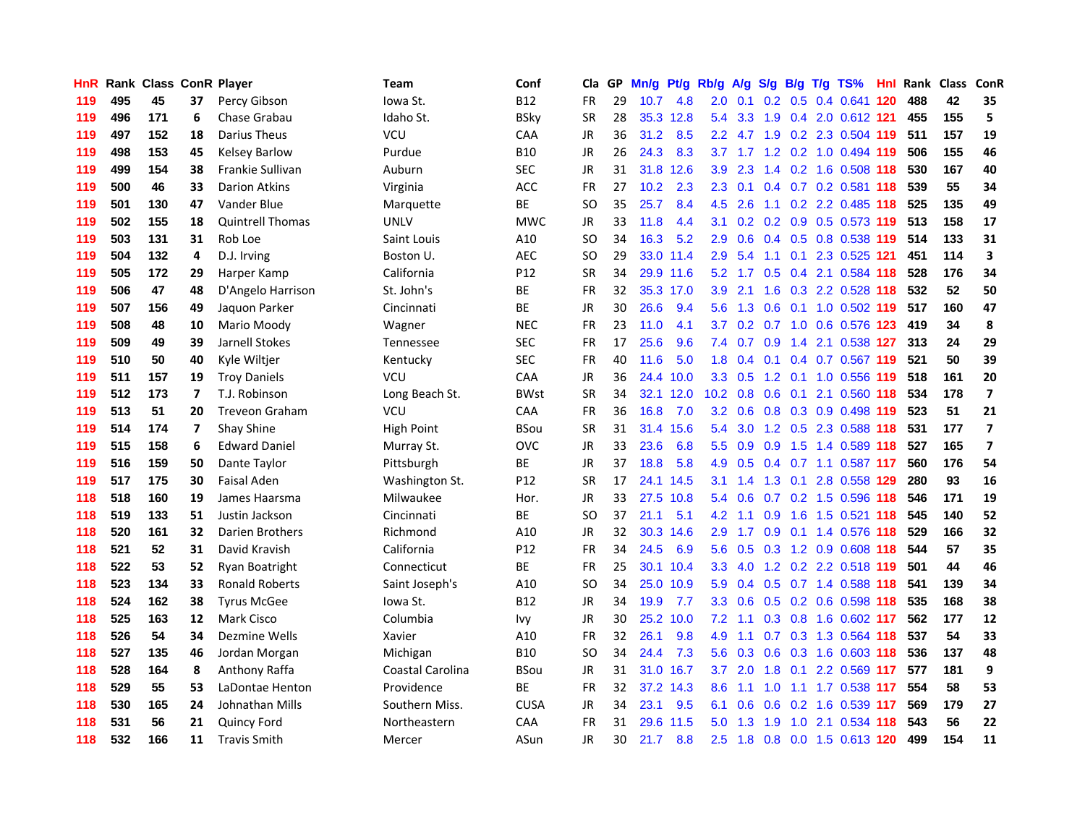| HnR |     | Rank Class ConR Player |    |                         | Team              | Conf        | Cla       |    | GP Mn/g | Pt/g      | Rb/g             | <b>A/g</b>      | S/g |     | B/g T/g TS%                    | Hnl |     | Rank Class | ConR                     |
|-----|-----|------------------------|----|-------------------------|-------------------|-------------|-----------|----|---------|-----------|------------------|-----------------|-----|-----|--------------------------------|-----|-----|------------|--------------------------|
| 119 | 495 | 45                     | 37 | Percy Gibson            | lowa St.          | B12         | FR        | 29 | 10.7    | 4.8       | 2.0              | 0.1             | 0.2 | 0.5 | 0.4 0.641                      | 120 | 488 | 42         | 35                       |
| 119 | 496 | 171                    | 6  | Chase Grabau            | Idaho St.         | <b>BSky</b> | <b>SR</b> | 28 | 35.3    | 12.8      | 5.4              | 3.3             | 1.9 | 0.4 | 2.0 0.612 121                  |     | 455 | 155        | 5                        |
| 119 | 497 | 152                    | 18 | <b>Darius Theus</b>     | <b>VCU</b>        | CAA         | JR        | 36 | 31.2    | 8.5       | 2.2 <sub>2</sub> | 4.7             | 1.9 |     | 0.2 2.3 0.504 119              |     | 511 | 157        | 19                       |
| 119 | 498 | 153                    | 45 | <b>Kelsey Barlow</b>    | Purdue            | B10         | JR        | 26 | 24.3    | 8.3       |                  | $3.7 \quad 1.7$ |     |     | 1.2 0.2 1.0 0.494 119          |     | 506 | 155        | 46                       |
| 119 | 499 | 154                    | 38 | Frankie Sullivan        | Auburn            | <b>SEC</b>  | JR        | 31 |         | 31.8 12.6 | 3.9 <sup>°</sup> | 2.3             |     |     | 1.4 0.2 1.6 0.508 118          |     | 530 | 167        | 40                       |
| 119 | 500 | 46                     | 33 | <b>Darion Atkins</b>    | Virginia          | <b>ACC</b>  | <b>FR</b> | 27 | 10.2    | 2.3       | 2.3              | 0.1             |     |     | 0.4 0.7 0.2 0.581 118          |     | 539 | 55         | 34                       |
| 119 | 501 | 130                    | 47 | Vander Blue             | Marquette         | ВE          | SO        | 35 | 25.7    | 8.4       | 4.5              | 2.6             |     |     | 1.1 0.2 2.2 0.485 118          |     | 525 | 135        | 49                       |
| 119 | 502 | 155                    | 18 | <b>Quintrell Thomas</b> | <b>UNLV</b>       | <b>MWC</b>  | JR        | 33 | 11.8    | 4.4       | 3.1              | 0.2             |     |     | 0.2 0.9 0.5 0.573 119          |     | 513 | 158        | 17                       |
| 119 | 503 | 131                    | 31 | Rob Loe                 | Saint Louis       | A10         | <b>SO</b> | 34 | 16.3    | 5.2       | 2.9              | 0.6             |     |     | 0.4 0.5 0.8 0.538 119          |     | 514 | 133        | 31                       |
| 119 | 504 | 132                    | 4  | D.J. Irving             | Boston U.         | <b>AEC</b>  | <b>SO</b> | 29 | 33.0    | 11.4      | 2.9              | 5.4             | 1.1 |     | 0.1 2.3 0.525 121              |     | 451 | 114        | $\overline{\mathbf{3}}$  |
| 119 | 505 | 172                    | 29 | Harper Kamp             | California        | P12         | <b>SR</b> | 34 |         | 29.9 11.6 | 5.2              | 1.7             |     |     | 0.5 0.4 2.1 0.584 118          |     | 528 | 176        | 34                       |
| 119 | 506 | 47                     | 48 | D'Angelo Harrison       | St. John's        | ВE          | <b>FR</b> | 32 |         | 35.3 17.0 | 3.9              | 2.1             | 1.6 |     | 0.3 2.2 0.528 118              |     | 532 | 52         | 50                       |
| 119 | 507 | 156                    | 49 | Jaquon Parker           | Cincinnati        | ВE          | <b>JR</b> | 30 | 26.6    | 9.4       | 5.6              | 1.3             | 0.6 |     | 0.1 1.0 0.502 119              |     | 517 | 160        | 47                       |
| 119 | 508 | 48                     | 10 | Mario Moody             | Wagner            | <b>NEC</b>  | FR        | 23 | 11.0    | 4.1       | 3.7 <sub>2</sub> | 0.2             | 0.7 | 1.0 | 0.6 0.576 123                  |     | 419 | 34         | 8                        |
| 119 | 509 | 49                     | 39 | Jarnell Stokes          | Tennessee         | <b>SEC</b>  | <b>FR</b> | 17 | 25.6    | 9.6       | 7.4              | 0.7             | 0.9 | 1.4 | 2.1 0.538 127                  |     | 313 | 24         | 29                       |
| 119 | 510 | 50                     | 40 | Kyle Wiltjer            | Kentucky          | <b>SEC</b>  | <b>FR</b> | 40 | 11.6    | 5.0       | 1.8              |                 |     |     | 0.4 0.1 0.4 0.7 0.567 119      |     | 521 | 50         | 39                       |
| 119 | 511 | 157                    | 19 | <b>Troy Daniels</b>     | VCU               | CAA         | JR        | 36 | 24.4    | 10.0      |                  | $3.3 \quad 0.5$ |     |     | 1.2 0.1 1.0 0.556 119          |     | 518 | 161        | 20                       |
| 119 | 512 | 173                    | 7  | T.J. Robinson           | Long Beach St.    | <b>BWst</b> | <b>SR</b> | 34 |         | 32.1 12.0 |                  |                 |     |     | 10.2 0.8 0.6 0.1 2.1 0.560 118 |     | 534 | 178        | $\overline{\phantom{a}}$ |
| 119 | 513 | 51                     | 20 | <b>Treveon Graham</b>   | <b>VCU</b>        | CAA         | <b>FR</b> | 36 | 16.8    | 7.0       |                  | $3.2 \quad 0.6$ |     |     | 0.8 0.3 0.9 0.498 119          |     | 523 | 51         | 21                       |
| 119 | 514 | 174                    | 7  | Shay Shine              | <b>High Point</b> | BSou        | SR        | 31 |         | 31.4 15.6 | 5.4              |                 |     |     | 3.0 1.2 0.5 2.3 0.588 118      |     | 531 | 177        | $\overline{\mathbf{z}}$  |
| 119 | 515 | 158                    | 6  | <b>Edward Daniel</b>    | Murray St.        | <b>OVC</b>  | <b>JR</b> | 33 | 23.6    | 6.8       | 5.5              | 0.9             | 0.9 |     | 1.5 1.4 0.589 118              |     | 527 | 165        | $\overline{\mathbf{z}}$  |
| 119 | 516 | 159                    | 50 | Dante Taylor            | Pittsburgh        | ВE          | JR        | 37 | 18.8    | 5.8       | 4.9              | 0.5             |     |     | 0.4 0.7 1.1 0.587 117          |     | 560 | 176        | 54                       |
| 119 | 517 | 175                    | 30 | <b>Faisal Aden</b>      | Washington St.    | P12         | <b>SR</b> | 17 | 24.1    | 14.5      | 3.1              | 1.4             |     |     | 1.3 0.1 2.8 0.558 129          |     | 280 | 93         | 16                       |
| 118 | 518 | 160                    | 19 | James Haarsma           | Milwaukee         | Hor.        | JR        | 33 | 27.5    | 10.8      | 5.4              | 0.6             |     |     | 0.7 0.2 1.5 0.596 118          |     | 546 | 171        | 19                       |
| 118 | 519 | 133                    | 51 | Justin Jackson          | Cincinnati        | ВE          | SO        | 37 | 21.1    | 5.1       | 4.2              | 1.1             | 0.9 | 1.6 | 1.5 0.521 118                  |     | 545 | 140        | 52                       |
| 118 | 520 | 161                    | 32 | Darien Brothers         | Richmond          | A10         | <b>JR</b> | 32 | 30.3    | 14.6      | 2.9              | 1.7             | 0.9 |     | 0.1 1.4 0.576 118              |     | 529 | 166        | 32                       |
| 118 | 521 | 52                     | 31 | David Kravish           | California        | P12         | FR        | 34 | 24.5    | 6.9       | 5.6              | 0.5             | 0.3 |     | 1.2 0.9 0.608 118              |     | 544 | 57         | 35                       |
| 118 | 522 | 53                     | 52 | Ryan Boatright          | Connecticut       | BE          | FR        | 25 |         | 30.1 10.4 | 3.3              | 4.0             |     |     | 1.2 0.2 2.2 0.518 119          |     | 501 | 44         | 46                       |
| 118 | 523 | 134                    | 33 | <b>Ronald Roberts</b>   | Saint Joseph's    | A10         | SO        | 34 | 25.0    | 10.9      | 5.9              | 0.4             |     |     | 0.5 0.7 1.4 0.588 118          |     | 541 | 139        | 34                       |
| 118 | 524 | 162                    | 38 | <b>Tyrus McGee</b>      | lowa St.          | <b>B12</b>  | JR        | 34 | 19.9    | 7.7       |                  |                 |     |     | 3.3 0.6 0.5 0.2 0.6 0.598 118  |     | 535 | 168        | 38                       |
| 118 | 525 | 163                    | 12 | <b>Mark Cisco</b>       | Columbia          | Ivy         | JR        | 30 |         | 25.2 10.0 | 7.2              | 1.1             |     |     | 0.3 0.8 1.6 0.602 117          |     | 562 | 177        | 12                       |
| 118 | 526 | 54                     | 34 | Dezmine Wells           | Xavier            | A10         | <b>FR</b> | 32 | 26.1    | 9.8       | 4.9              | 1.1             |     |     | 0.7 0.3 1.3 0.564 118          |     | 537 | 54         | 33                       |
| 118 | 527 | 135                    | 46 | Jordan Morgan           | Michigan          | <b>B10</b>  | SO        | 34 | 24.4    | 7.3       | 5.6              | 0.3             | 0.6 |     | 0.3 1.6 0.603 118              |     | 536 | 137        | 48                       |
| 118 | 528 | 164                    | 8  | Anthony Raffa           | Coastal Carolina  | BSou        | JR        | 31 | 31.0    | 16.7      | 3.7              | 2.0             | 1.8 | 0.1 | 2.2 0.569 117                  |     | 577 | 181        | 9                        |
| 118 | 529 | 55                     | 53 | LaDontae Henton         | Providence        | ВE          | <b>FR</b> | 32 |         | 37.2 14.3 | 8.6              | 1.1             | 1.0 | 1.1 | 1.7 0.538 117                  |     | 554 | 58         | 53                       |
| 118 | 530 | 165                    | 24 | Johnathan Mills         | Southern Miss.    | <b>CUSA</b> | JR        | 34 | 23.1    | 9.5       | 6.1              | 0.6             | 0.6 | 0.2 | 1.6 0.539 117                  |     | 569 | 179        | 27                       |
| 118 | 531 | 56                     | 21 | <b>Quincy Ford</b>      | Northeastern      | CAA         | FR        | 31 | 29.6    | 11.5      | 5.0              | 1.3             | 1.9 | 1.0 | 2.1 0.534                      | 118 | 543 | 56         | 22                       |
| 118 | 532 | 166                    | 11 | <b>Travis Smith</b>     | Mercer            | ASun        | <b>JR</b> | 30 | 21.7    | 8.8       |                  | $2.5$ 1.8       |     |     | 0.8 0.0 1.5 0.613 120          |     | 499 | 154        | 11                       |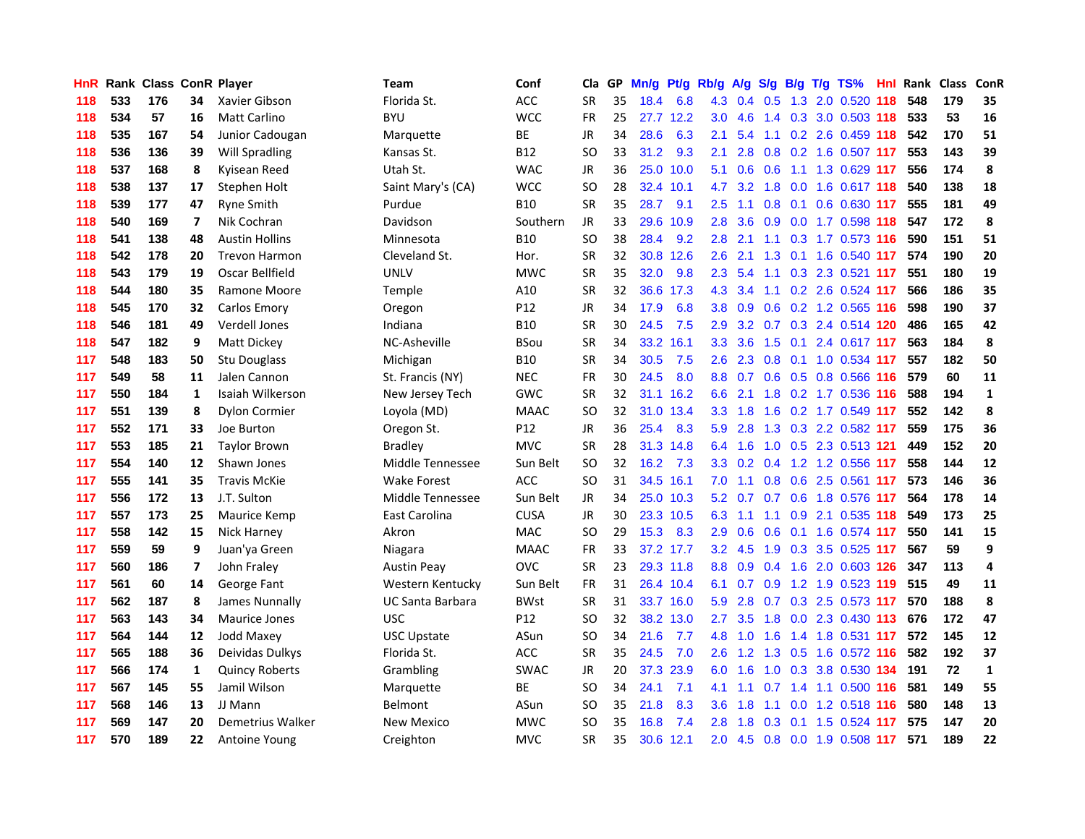| HnR |     | <b>Rank Class ConR Player</b> |                |                       | Team               | Conf        | Cla           |    | GP Mn/g | Pt/g      | Rb/g             | <b>A/g</b>      |                 |     | S/g B/g T/g TS%           | Hnl | Rank Class |     | ConR         |
|-----|-----|-------------------------------|----------------|-----------------------|--------------------|-------------|---------------|----|---------|-----------|------------------|-----------------|-----------------|-----|---------------------------|-----|------------|-----|--------------|
| 118 | 533 | 176                           | 34             | Xavier Gibson         | Florida St.        | ACC         | <b>SR</b>     | 35 | 18.4    | 6.8       | 4.3              | 0.4             | 0.5             | 1.3 | 2.0 0.520                 | 118 | 548        | 179 | 35           |
| 118 | 534 | 57                            | 16             | <b>Matt Carlino</b>   | <b>BYU</b>         | <b>WCC</b>  | <b>FR</b>     | 25 |         | 27.7 12.2 | 3.0              | 4.6             | 1.4             | 0.3 | 3.0 0.503 118             |     | 533        | 53  | 16           |
| 118 | 535 | 167                           | 54             | Junior Cadougan       | Marquette          | ВE          | <b>JR</b>     | 34 | 28.6    | 6.3       | 2.1              | 5.4             | 1.1             |     | 0.2 2.6 0.459 118         |     | 542        | 170 | 51           |
| 118 | 536 | 136                           | 39             | Will Spradling        | Kansas St.         | <b>B12</b>  | SO            | 33 | 31.2    | 9.3       | 2.1              | 2.8             |                 |     | 0.8 0.2 1.6 0.507 117     |     | 553        | 143 | 39           |
| 118 | 537 | 168                           | 8              | Kyisean Reed          | Utah St.           | <b>WAC</b>  | <b>JR</b>     | 36 |         | 25.0 10.0 | 5.1              |                 | $0.6 \quad 0.6$ |     | 1.1 1.3 0.629 117         |     | 556        | 174 | 8            |
| 118 | 538 | 137                           | 17             | Stephen Holt          | Saint Mary's (CA)  | <b>WCC</b>  | SO            | 28 |         | 32.4 10.1 | 4.7              | 3.2             |                 |     | 1.8 0.0 1.6 0.617 118     |     | 540        | 138 | 18           |
| 118 | 539 | 177                           | 47             | <b>Ryne Smith</b>     | Purdue             | <b>B10</b>  | <b>SR</b>     | 35 | 28.7    | 9.1       | $2.5^{\circ}$    | 1.1             | 0.8             |     | 0.1 0.6 0.630 117         |     | 555        | 181 | 49           |
| 118 | 540 | 169                           | $\overline{ }$ | Nik Cochran           | Davidson           | Southern    | <b>JR</b>     | 33 |         | 29.6 10.9 | 2.8              | 3.6             | 0.9             |     | 0.0 1.7 0.598 118         |     | 547        | 172 | 8            |
| 118 | 541 | 138                           | 48             | <b>Austin Hollins</b> | Minnesota          | <b>B10</b>  | <sub>SO</sub> | 38 | 28.4    | 9.2       | 2.8              | 2.1             | 1.1             |     | 0.3 1.7 0.573 116         |     | 590        | 151 | 51           |
| 118 | 542 | 178                           | 20             | <b>Trevon Harmon</b>  | Cleveland St.      | Hor.        | <b>SR</b>     | 32 |         | 30.8 12.6 | 2.6              | 2.1             | 1.3             | 0.1 | 1.6 0.540 117             |     | 574        | 190 | 20           |
| 118 | 543 | 179                           | 19             | Oscar Bellfield       | <b>UNLV</b>        | <b>MWC</b>  | <b>SR</b>     | 35 | 32.0    | 9.8       | 2.3              | 5.4             | 1.1             |     | 0.3 2.3 0.521 117         |     | 551        | 180 | 19           |
| 118 | 544 | 180                           | 35             | Ramone Moore          | Temple             | A10         | <b>SR</b>     | 32 |         | 36.6 17.3 | 4.3              | 3.4             | 1.1             |     | 0.2 2.6 0.524 117         |     | 566        | 186 | 35           |
| 118 | 545 | 170                           | 32             | Carlos Emory          | Oregon             | P12         | JR            | 34 | 17.9    | 6.8       | 3.8              | 0.9             | 0.6             |     | 0.2 1.2 0.565 116         |     | 598        | 190 | 37           |
| 118 | 546 | 181                           | 49             | <b>Verdell Jones</b>  | Indiana            | <b>B10</b>  | <b>SR</b>     | 30 | 24.5    | 7.5       | 2.9              | 3.2             | 0.7             | 0.3 | 2.4 0.514 120             |     | 486        | 165 | 42           |
| 118 | 547 | 182                           | 9              | Matt Dickey           | NC-Asheville       | <b>BSou</b> | <b>SR</b>     | 34 |         | 33.2 16.1 | 3.3 <sub>2</sub> | 3.6             | 1.5             | 0.1 | 2.4 0.617 117             |     | 563        | 184 | 8            |
| 117 | 548 | 183                           | 50             | <b>Stu Douglass</b>   | Michigan           | <b>B10</b>  | <b>SR</b>     | 34 | 30.5    | 7.5       | 2.6              | 2.3             | 0.8             | 0.1 | 1.0 0.534 117             |     | 557        | 182 | 50           |
| 117 | 549 | 58                            | 11             | Jalen Cannon          | St. Francis (NY)   | <b>NEC</b>  | <b>FR</b>     | 30 | 24.5    | 8.0       | 8.8              |                 |                 |     | 0.7 0.6 0.5 0.8 0.566 116 |     | 579        | 60  | 11           |
| 117 | 550 | 184                           | 1              | Isaiah Wilkerson      | New Jersey Tech    | GWC         | SR            | 32 |         | 31.1 16.2 | 6.6              | 2.1             |                 |     | 1.8 0.2 1.7 0.536 116     |     | 588        | 194 | $\mathbf{1}$ |
| 117 | 551 | 139                           | 8              | <b>Dylon Cormier</b>  | Loyola (MD)        | <b>MAAC</b> | <b>SO</b>     | 32 |         | 31.0 13.4 |                  | $3.3 \quad 1.8$ |                 |     | 1.6 0.2 1.7 0.549 117     |     | 552        | 142 | 8            |
| 117 | 552 | 171                           | 33             | Joe Burton            | Oregon St.         | P12         | JR            | 36 | 25.4    | 8.3       | 5.9              | 2.8             |                 |     | 1.3 0.3 2.2 0.582 117     |     | 559        | 175 | 36           |
| 117 | 553 | 185                           | 21             | <b>Taylor Brown</b>   | <b>Bradley</b>     | <b>MVC</b>  | <b>SR</b>     | 28 |         | 31.3 14.8 | 6.4              | 1.6             |                 |     | 1.0 0.5 2.3 0.513 121     |     | 449        | 152 | 20           |
| 117 | 554 | 140                           | 12             | Shawn Jones           | Middle Tennessee   | Sun Belt    | <b>SO</b>     | 32 | 16.2    | 7.3       |                  | $3.3 \quad 0.2$ |                 |     | 0.4 1.2 1.2 0.556 117     |     | 558        | 144 | 12           |
| 117 | 555 | 141                           | 35             | <b>Travis McKie</b>   | <b>Wake Forest</b> | <b>ACC</b>  | <sub>SO</sub> | 31 |         | 34.5 16.1 | 7.0              | 1.1             |                 |     | 0.8 0.6 2.5 0.561 117     |     | 573        | 146 | 36           |
| 117 | 556 | 172                           | 13             | J.T. Sulton           | Middle Tennessee   | Sun Belt    | JR            | 34 |         | 25.0 10.3 |                  | 5.2 0.7         |                 |     | 0.7 0.6 1.8 0.576 117     |     | 564        | 178 | 14           |
| 117 | 557 | 173                           | 25             | Maurice Kemp          | East Carolina      | <b>CUSA</b> | <b>JR</b>     | 30 |         | 23.3 10.5 | 6.3              | 1.1             | 1.1             |     | 0.9 2.1 0.535 118         |     | 549        | 173 | 25           |
| 117 | 558 | 142                           | 15             | Nick Harney           | Akron              | MAC         | SO            | 29 | 15.3    | 8.3       | 2.9              | 0.6             | 0.6             | 0.1 | 1.6 0.574 117             |     | 550        | 141 | 15           |
| 117 | 559 | 59                            | 9              | Juan'ya Green         | Niagara            | <b>MAAC</b> | <b>FR</b>     | 33 |         | 37.2 17.7 | 3.2 <sub>2</sub> | 4.5             | 1.9             | 0.3 | 3.5 0.525 117             |     | 567        | 59  | 9            |
| 117 | 560 | 186                           | $\overline{ }$ | John Fraley           | <b>Austin Peay</b> | <b>OVC</b>  | <b>SR</b>     | 23 |         | 29.3 11.8 | 8.8              | 0.9             | 0.4             | 1.6 | 2.0 0.603 126             |     | 347        | 113 | 4            |
| 117 | 561 | 60                            | 14             | George Fant           | Western Kentucky   | Sun Belt    | <b>FR</b>     | 31 |         | 26.4 10.4 | 6.1              | 0.7             | 0.9             |     | 1.2 1.9 0.523 119         |     | 515        | 49  | 11           |
| 117 | 562 | 187                           | 8              | James Nunnally        | UC Santa Barbara   | <b>BWst</b> | <b>SR</b>     | 31 |         | 33.7 16.0 | 5.9              | 2.8             | 0.7             |     | 0.3 2.5 0.573 117         |     | 570        | 188 | 8            |
| 117 | 563 | 143                           | 34             | <b>Maurice Jones</b>  | <b>USC</b>         | P12         | SO            | 32 |         | 38.2 13.0 | 2.7              | 3.5             | 1.8             |     | 0.0 2.3 0.430 113         |     | 676        | 172 | 47           |
| 117 | 564 | 144                           | 12             | Jodd Maxey            | <b>USC Upstate</b> | ASun        | SO            | 34 | 21.6    | 7.7       |                  | 4.8 1.0         | 1.6             |     | 1.4 1.8 0.531 117         |     | 572        | 145 | 12           |
| 117 | 565 | 188                           | 36             | Deividas Dulkys       | Florida St.        | ACC         | <b>SR</b>     | 35 | 24.5    | 7.0       | 2.6              | 1.2             |                 |     | 1.3 0.5 1.6 0.572 116     |     | 582        | 192 | 37           |
| 117 | 566 | 174                           | 1              | <b>Quincy Roberts</b> | Grambling          | <b>SWAC</b> | JR            | 20 |         | 37.3 23.9 | 6.0              | 1.6             |                 |     | 1.0 0.3 3.8 0.530 134     |     | 191        | 72  | $\mathbf{1}$ |
| 117 | 567 | 145                           | 55             | Jamil Wilson          | Marquette          | ВE          | SO            | 34 | 24.1    | 7.1       | 4.1              | 1.1             | 0.7             |     | 1.4 1.1 0.500 116         |     | 581        | 149 | 55           |
| 117 | 568 | 146                           | 13             | JJ Mann               | Belmont            | ASun        | SO            | 35 | 21.8    | 8.3       | 3.6              | 1.8             | 1.1             |     | $0.0$ 1.2 0.518 116       |     | 580        | 148 | 13           |
| 117 | 569 | 147                           | 20             | Demetrius Walker      | New Mexico         | <b>MWC</b>  | <sub>SO</sub> | 35 | 16.8    | 7.4       | 2.8              | 1.8             | 0.3             | 0.1 | 1.5 0.524                 | 117 | 575        | 147 | 20           |
| 117 | 570 | 189                           | 22             | Antoine Young         | Creighton          | <b>MVC</b>  | SR            | 35 |         | 30.6 12.1 | $2.0^{\circ}$    |                 |                 |     | 4.5 0.8 0.0 1.9 0.508 117 |     | 571        | 189 | 22           |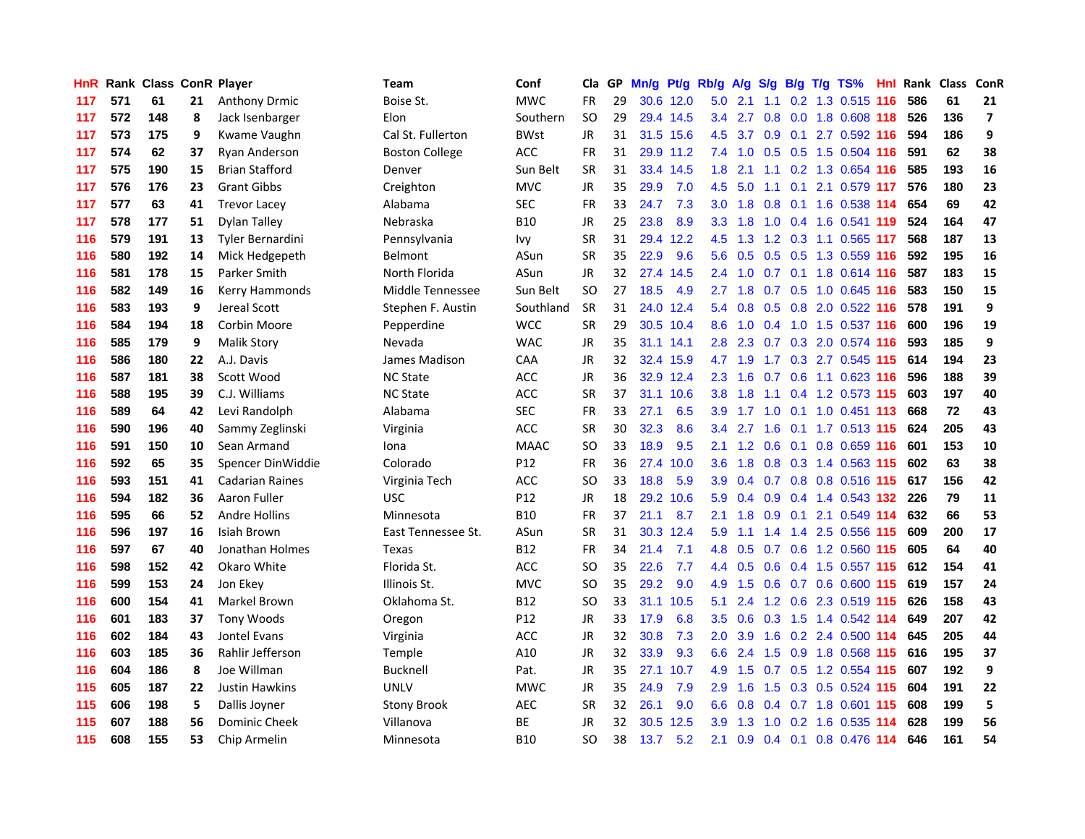| HnR. |     | Rank Class ConR Player |    |                         | Team                  | Conf        | Cla       |    | GP Mn/g |           | Pt/g Rb/g A/g    |            |             |     | S/g B/g T/g TS%               | Hnl  |      | Rank Class ConR |                          |
|------|-----|------------------------|----|-------------------------|-----------------------|-------------|-----------|----|---------|-----------|------------------|------------|-------------|-----|-------------------------------|------|------|-----------------|--------------------------|
| 117  | 571 | 61                     | 21 | <b>Anthony Drmic</b>    | Boise St.             | <b>MWC</b>  | <b>FR</b> | 29 |         | 30.6 12.0 | 5.0              | 2.1        | 1.1         |     | 0.2 1.3 0.515 116             |      | 586  | 61              | 21                       |
| 117  | 572 | 148                    | 8  | Jack Isenbarger         | Elon                  | Southern    | SO        | 29 |         | 29.4 14.5 | 3.4              | 2.7        | 0.8         |     | 0.0 1.8 0.608 118             |      | 526  | 136             | $\overline{\phantom{a}}$ |
| 117  | 573 | 175                    | 9  | Kwame Vaughn            | Cal St. Fullerton     | <b>BWst</b> | JR.       | 31 | 31.5    | 15.6      | 4.5              | 3.7        | 0.9         | 0.1 | 2.7 0.592 116                 |      | 594  | 186             | 9                        |
| 117  | 574 | 62                     | 37 | Ryan Anderson           | <b>Boston College</b> | <b>ACC</b>  | <b>FR</b> | 31 |         | 29.9 11.2 |                  |            |             |     | 7.4 1.0 0.5 0.5 1.5 0.504 116 |      | 591  | 62              | 38                       |
| 117  | 575 | 190                    | 15 | <b>Brian Stafford</b>   | Denver                | Sun Belt    | <b>SR</b> | 31 |         | 33.4 14.5 |                  | $1.8$ 2.1  |             |     | 1.1 0.2 1.3 0.654 116         |      | 585  | 193             | 16                       |
| 117  | 576 | 176                    | 23 | <b>Grant Gibbs</b>      | Creighton             | <b>MVC</b>  | JR        | 35 | 29.9    | 7.0       |                  | $4.5\ 5.0$ |             |     | 1.1 0.1 2.1 0.579 117         |      | 576  | 180             | 23                       |
| 117  | 577 | 63                     | 41 | <b>Trevor Lacey</b>     | Alabama               | <b>SEC</b>  | <b>FR</b> | 33 | 24.7    | 7.3       | 3.0 <sub>1</sub> | 1.8        |             |     | 0.8 0.1 1.6 0.538 114         |      | 654  | 69              | 42                       |
| 117  | 578 | 177                    | 51 | Dylan Talley            | Nebraska              | <b>B10</b>  | JR        | 25 | 23.8    | 8.9       | 3.3 <sup>°</sup> | 1.8        | 1.0         |     | 0.4 1.6 0.541 119             |      | 524  | 164             | 47                       |
| 116  | 579 | 191                    | 13 | <b>Tyler Bernardini</b> | Pennsylvania          | Ivy         | <b>SR</b> | 31 | 29.4    | 12.2      | 4.5              | 1.3        |             |     | 1.2 0.3 1.1 0.565 117         |      | 568  | 187             | 13                       |
| 116  | 580 | 192                    | 14 | Mick Hedgepeth          | <b>Belmont</b>        | ASun        | <b>SR</b> | 35 | 22.9    | 9.6       | 5.6              | 0.5        | 0.5         |     | 0.5 1.3 0.559 116             |      | 592  | 195             | 16                       |
| 116  | 581 | 178                    | 15 | Parker Smith            | North Florida         | ASun        | <b>JR</b> | 32 | 27.4    | 14.5      | $2.4^{\circ}$    | 1.0        | 0.7         | 0.1 | 1.8 0.614 116                 |      | 587  | 183             | 15                       |
| 116  | 582 | 149                    | 16 | Kerry Hammonds          | Middle Tennessee      | Sun Belt    | SO        | 27 | 18.5    | 4.9       | $2.7^{\circ}$    | 1.8        | 0.7         | 0.5 | 1.0 0.645 116                 |      | 583  | 150             | 15                       |
| 116  | 583 | 193                    | 9  | Jereal Scott            | Stephen F. Austin     | Southland   | <b>SR</b> | 31 | 24.0    | 12.4      | 5.4              | 0.8        | 0.5         | 0.8 | 2.0 0.522 116                 |      | 578  | 191             | 9                        |
| 116  | 584 | 194                    | 18 | Corbin Moore            | Pepperdine            | <b>WCC</b>  | <b>SR</b> | 29 |         | 30.5 10.4 | 8.6              | 1.0        | 0.4         |     | 1.0 1.5 0.537 116             |      | 600  | 196             | 19                       |
| 116  | 585 | 179                    | 9  | <b>Malik Story</b>      | Nevada                | <b>WAC</b>  | JR        | 35 |         | 31.1 14.1 | 2.8              | 2.3        | 0.7         | 0.3 | 2.0 0.574 116                 |      | 593  | 185             | 9                        |
| 116  | 586 | 180                    | 22 | A.J. Davis              | James Madison         | CAA         | JR        | 32 |         | 32.4 15.9 | 4.7              | 1.9        | 1.7         |     | 0.3 2.7 0.545 115             |      | 614  | 194             | 23                       |
| 116  | 587 | 181                    | 38 | Scott Wood              | <b>NC State</b>       | <b>ACC</b>  | JR        | 36 |         | 32.9 12.4 | $2.3^{\circ}$    | 1.6        |             |     | 0.7 0.6 1.1 0.623 116         |      | 596  | 188             | 39                       |
| 116  | 588 | 195                    | 39 | C.J. Williams           | <b>NC State</b>       | ACC         | <b>SR</b> | 37 |         | 31.1 10.6 | 3.8 <sub>1</sub> | 1.8        |             |     | 1.1 0.4 1.2 0.573 115         |      | 603  | 197             | 40                       |
| 116  | 589 | 64                     | 42 | Levi Randolph           | Alabama               | <b>SEC</b>  | <b>FR</b> | 33 | 27.1    | 6.5       | 3.9              | 1.7        |             |     | 1.0 0.1 1.0 0.451 113         |      | 668  | 72              | 43                       |
| 116  | 590 | 196                    | 40 | Sammy Zeglinski         | Virginia              | <b>ACC</b>  | <b>SR</b> | 30 | 32.3    | 8.6       | 3.4              |            | $2.7 \t1.6$ |     | 0.1 1.7 0.513 115             |      | 624  | 205             | 43                       |
| 116  | 591 | 150                    | 10 | Sean Armand             | Iona                  | <b>MAAC</b> | SO        | 33 | 18.9    | 9.5       | 2.1              |            | $1.2 \ 0.6$ |     | 0.1 0.8 0.659 116             |      | 601  | 153             | 10                       |
| 116  | 592 | 65                     | 35 | Spencer DinWiddie       | Colorado              | P12         | <b>FR</b> | 36 | 27.4    | 10.0      | 3.6 <sup>2</sup> | 1.8        |             |     | 0.8 0.3 1.4 0.563 115         |      | 602  | 63              | 38                       |
| 116  | 593 | 151                    | 41 | <b>Cadarian Raines</b>  | Virginia Tech         | ACC         | SO        | 33 | 18.8    | 5.9       | 3.9 <sup>°</sup> | 0.4        |             |     | 0.7 0.8 0.8 0.516 115         |      | 617  | 156             | 42                       |
| 116  | 594 | 182                    | 36 | Aaron Fuller            | <b>USC</b>            | P12         | <b>JR</b> | 18 |         | 29.2 10.6 | 5.9              | 0.4        | 0.9         |     | 0.4 1.4 0.543 132             |      | -226 | 79              | 11                       |
| 116  | 595 | 66                     | 52 | <b>Andre Hollins</b>    | Minnesota             | B10         | <b>FR</b> | 37 | 21.1    | 8.7       | 2.1              | 1.8        | 0.9         | 0.1 | 2.1 0.549 114                 |      | 632  | 66              | 53                       |
| 116  | 596 | 197                    | 16 | Isiah Brown             | East Tennessee St.    | ASun        | <b>SR</b> | 31 |         | 30.3 12.4 | 5.9              | 1.1        | 1.4         | 1.4 | 2.5 0.556 115                 |      | 609  | 200             | 17                       |
| 116  | 597 | 67                     | 40 | Jonathan Holmes         | Texas                 | B12         | FR        | 34 | 21.4    | 7.1       | 4.8              | 0.5        | 0.7         |     | 0.6 1.2 0.560 115             |      | 605  | 64              | 40                       |
| 116  | 598 | 152                    | 42 | Okaro White             | Florida St.           | ACC         | <b>SO</b> | 35 | 22.6    | 7.7       | 4.4              | 0.5        | 0.6         |     | 0.4 1.5 0.557 115             |      | 612  | 154             | 41                       |
| 116  | 599 | 153                    | 24 | Jon Ekey                | Illinois St.          | <b>MVC</b>  | <b>SO</b> | 35 | 29.2    | 9.0       | 4.9              | 1.5        | 0.6         |     | 0.7 0.6 0.600 115             |      | 619  | 157             | 24                       |
| 116  | 600 | 154                    | 41 | Markel Brown            | Oklahoma St.          | B12         | SO        | 33 |         | 31.1 10.5 | 5.1              | 2.4        |             |     | 1.2 0.6 2.3 0.519 115         |      | 626  | 158             | 43                       |
| 116  | 601 | 183                    | 37 | <b>Tony Woods</b>       | Oregon                | P12         | JR        | 33 | 17.9    | 6.8       | 3.5              |            |             |     | 0.6 0.3 1.5 1.4 0.542 114     |      | 649  | 207             | 42                       |
| 116  | 602 | 184                    | 43 | <b>Jontel Evans</b>     | Virginia              | <b>ACC</b>  | JR        | 32 | 30.8    | 7.3       | 2.0 <sub>1</sub> | 3.9        |             |     | 1.6 0.2 2.4 0.500 114         |      | 645  | 205             | 44                       |
| 116  | 603 | 185                    | 36 | Rahlir Jefferson        | Temple                | A10         | JR        | 32 | 33.9    | 9.3       | 6.6              | 2.4        |             |     | 1.5 0.9 1.8 0.568 115         |      | 616  | 195             | 37                       |
| 116  | 604 | 186                    | 8  | Joe Willman             | <b>Bucknell</b>       | Pat.        | JR        | 35 |         | 27.1 10.7 | 4.9              | 1.5        | 0.7         |     | 0.5 1.2 0.554 115             |      | 607  | 192             | 9                        |
| 115  | 605 | 187                    | 22 | Justin Hawkins          | <b>UNLV</b>           | <b>MWC</b>  | JR        | 35 | 24.9    | 7.9       | 2.9              | 1.6        | 1.5         |     | 0.3 0.5 0.524 115             |      | 604  | 191             | 22                       |
| 115  | 606 | 198                    | 5  | Dallis Joyner           | Stony Brook           | <b>AEC</b>  | <b>SR</b> | 32 | 26.1    | 9.0       | 6.6              | 0.8        | 0.4         |     | $0.7$ 1.8 $0.601$             | -115 | 608  | 199             | 5                        |
| 115  | 607 | 188                    | 56 | <b>Dominic Cheek</b>    | Villanova             | BE          | JR        | 32 | 30.5    | 12.5      | 3.9              | 1.3        | 1.0         |     | 0.2 1.6 0.535                 | 114  | 628  | 199             | 56                       |
| 115  | 608 | 155                    | 53 | Chip Armelin            | Minnesota             | <b>B10</b>  | <b>SO</b> | 38 | 13.7    | 5.2       |                  |            |             |     | 2.1 0.9 0.4 0.1 0.8 0.476 114 |      | 646  | 161             | 54                       |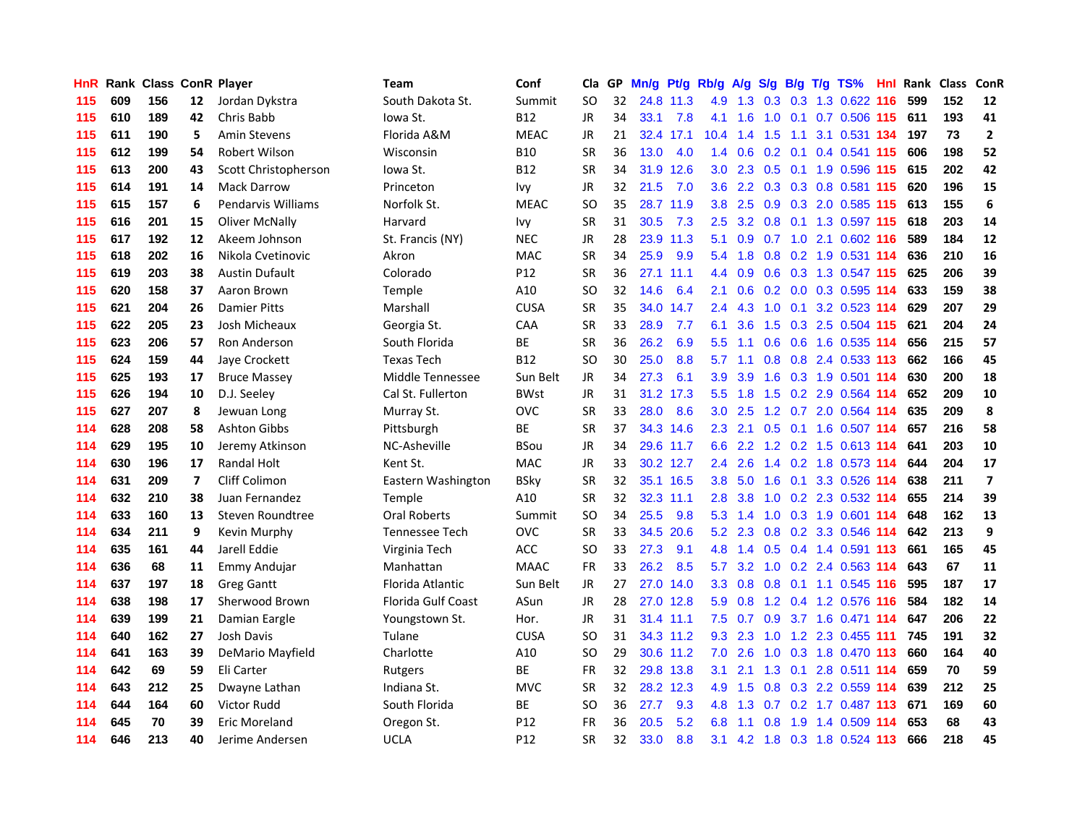| HnR. |     | Rank Class ConR Player |                 |                           | Team                | Conf        | Cla       |    | GP Mn/g |           | Pt/g Rb/g A/g    |                 |     |                 | S/g B/g T/g TS%               | Hnl |     | Rank Class | <b>ConR</b>             |
|------|-----|------------------------|-----------------|---------------------------|---------------------|-------------|-----------|----|---------|-----------|------------------|-----------------|-----|-----------------|-------------------------------|-----|-----|------------|-------------------------|
| 115  | 609 | 156                    | 12 <sup>2</sup> | Jordan Dykstra            | South Dakota St.    | Summit      | SO        | 32 |         | 24.8 11.3 | 4.9              | 1.3             | 0.3 | 0.3             | 1.3 0.622                     | 116 | 599 | 152        | 12                      |
| 115  | 610 | 189                    | 42              | Chris Babb                | lowa St.            | <b>B12</b>  | JR        | 34 | 33.1    | 7.8       | 4.1              | 1.6             | 1.0 | 0.1             | 0.7 0.506 115                 |     | 611 | 193        | 41                      |
| 115  | 611 | 190                    | 5.              | Amin Stevens              | Florida A&M         | <b>MEAC</b> | <b>JR</b> | 21 | 32.4    | 17.1      | 10.4             | 1.4             | 1.5 | 1.1             | 3.1 0.531 134                 |     | 197 | 73         | $\mathbf{2}$            |
| 115  | 612 | 199                    | 54              | Robert Wilson             | Wisconsin           | <b>B10</b>  | <b>SR</b> | 36 | 13.0    | 4.0       | $1.4^{\circ}$    | 0.6             |     | $0.2 \quad 0.1$ | 0.4 0.541 115                 |     | 606 | 198        | 52                      |
| 115  | 613 | 200                    | 43              | Scott Christopherson      | Iowa St.            | <b>B12</b>  | <b>SR</b> | 34 |         | 31.9 12.6 | 3.0 <sub>2</sub> |                 |     |                 | 2.3 0.5 0.1 1.9 0.596 115     |     | 615 | 202        | 42                      |
| 115  | 614 | 191                    | 14              | <b>Mack Darrow</b>        | Princeton           | Ivy         | JR        | 32 | 21.5    | 7.0       |                  |                 |     |                 | 3.6 2.2 0.3 0.3 0.8 0.581 115 |     | 620 | 196        | 15                      |
| 115  | 615 | 157                    | 6               | <b>Pendarvis Williams</b> | Norfolk St.         | <b>MEAC</b> | SO        | 35 |         | 28.7 11.9 | 3.8 <sup>°</sup> | 2.5             |     |                 | 0.9 0.3 2.0 0.585 115         |     | 613 | 155        | 6                       |
| 115  | 616 | 201                    | 15              | <b>Oliver McNally</b>     | Harvard             | Ivy         | SR        | 31 | 30.5    | 7.3       | 2.5              |                 |     |                 | 3.2 0.8 0.1 1.3 0.597 115     |     | 618 | 203        | 14                      |
| 115  | 617 | 192                    | 12              | Akeem Johnson             | St. Francis (NY)    | <b>NEC</b>  | <b>JR</b> | 28 |         | 23.9 11.3 | 5.1              | 0.9             |     |                 | 0.7 1.0 2.1 0.602 116         |     | 589 | 184        | 12                      |
| 115  | 618 | 202                    | 16              | Nikola Cvetinovic         | Akron               | <b>MAC</b>  | <b>SR</b> | 34 | 25.9    | 9.9       | 5.4              | 1.8             | 0.8 |                 | 0.2 1.9 0.531 114             |     | 636 | 210        | 16                      |
| 115  | 619 | 203                    | 38              | Austin Dufault            | Colorado            | P12         | <b>SR</b> | 36 |         | 27.1 11.1 | 4.4              | 0.9             |     |                 | 0.6 0.3 1.3 0.547 115         |     | 625 | 206        | 39                      |
| 115  | 620 | 158                    | 37              | Aaron Brown               | Temple              | A10         | SO        | 32 | 14.6    | 6.4       | 2.1              | 0.6             |     |                 | 0.2 0.0 0.3 0.595 114         |     | 633 | 159        | 38                      |
| 115  | 621 | 204                    | 26              | <b>Damier Pitts</b>       | Marshall            | <b>CUSA</b> | <b>SR</b> | 35 |         | 34.0 14.7 | $2.4^{\circ}$    | 4.3             | 1.0 | 0.1             | 3.2 0.523 114                 |     | 629 | 207        | 29                      |
| 115  | 622 | 205                    | 23              | Josh Micheaux             | Georgia St.         | CAA         | <b>SR</b> | 33 | 28.9    | 7.7       | 6.1              | 3.6             | 1.5 |                 | 0.3 2.5 0.504 115             |     | 621 | 204        | 24                      |
| 115  | 623 | 206                    | 57              | Ron Anderson              | South Florida       | ВE          | <b>SR</b> | 36 | 26.2    | 6.9       | 5.5 <sub>1</sub> | 1.1             | 0.6 | 0.6             | 1.6 0.535 114                 |     | 656 | 215        | 57                      |
| 115  | 624 | 159                    | 44              | Jaye Crockett             | <b>Texas Tech</b>   | B12         | SO        | 30 | 25.0    | 8.8       | 5.7              | 1.1             | 0.8 |                 | 0.8 2.4 0.533 113             |     | 662 | 166        | 45                      |
| 115  | 625 | 193                    | 17              | <b>Bruce Massey</b>       | Middle Tennessee    | Sun Belt    | JR.       | 34 | 27.3    | 6.1       | 3.9 <sup>°</sup> | 3.9             | 1.6 |                 | 0.3 1.9 0.501 114             |     | 630 | 200        | 18                      |
| 115  | 626 | 194                    | 10              | D.J. Seeley               | Cal St. Fullerton   | <b>BWst</b> | JR.       | 31 |         | 31.2 17.3 | 5.5 <sub>1</sub> | 1.8             |     |                 | 1.5 0.2 2.9 0.564 114         |     | 652 | 209        | 10                      |
| 115  | 627 | 207                    | 8               | Jewuan Long               | Murray St.          | <b>OVC</b>  | <b>SR</b> | 33 | 28.0    | 8.6       |                  | $3.0$ $2.5$     |     |                 | 1.2 0.7 2.0 0.564 114         |     | 635 | 209        | 8                       |
| 114  | 628 | 208                    | 58              | <b>Ashton Gibbs</b>       | Pittsburgh          | <b>BE</b>   | <b>SR</b> | 37 |         | 34.3 14.6 | 2.3              | 2.1             |     |                 | 0.5 0.1 1.6 0.507 114         |     | 657 | 216        | 58                      |
| 114  | 629 | 195                    | 10              | Jeremy Atkinson           | NC-Asheville        | <b>BSou</b> | JR        | 34 |         | 29.6 11.7 | 6.6              |                 |     |                 | 2.2 1.2 0.2 1.5 0.613 114     |     | 641 | 203        | 10                      |
| 114  | 630 | 196                    | 17              | Randal Holt               | Kent St.            | <b>MAC</b>  | JR        | 33 |         | 30.2 12.7 | $2.4^{\circ}$    | 2.6             |     |                 | 1.4 0.2 1.8 0.573 114         |     | 644 | 204        | 17                      |
| 114  | 631 | 209                    | $\overline{7}$  | <b>Cliff Colimon</b>      | Eastern Washington  | <b>BSky</b> | SR        | 32 |         | 35.1 16.5 | 3.8 <sub>1</sub> | 5.0             | 1.6 |                 | 0.1 3.3 0.526 114             |     | 638 | 211        | $\overline{\mathbf{z}}$ |
| 114  | 632 | 210                    | 38              | Juan Fernandez            | Temple              | A10         | <b>SR</b> | 32 |         | 32.3 11.1 | 2.8              | 3.8             | 1.0 |                 | 0.2 2.3 0.532 114             |     | 655 | 214        | 39                      |
| 114  | 633 | 160                    | 13              | Steven Roundtree          | <b>Oral Roberts</b> | Summit      | SO        | 34 | 25.5    | 9.8       | 5.3              | 1.4             |     |                 | 1.0 0.3 1.9 0.601 114         |     | 648 | 162        | 13                      |
| 114  | 634 | 211                    | 9               | Kevin Murphy              | Tennessee Tech      | <b>OVC</b>  | <b>SR</b> | 33 |         | 34.5 20.6 |                  |                 |     |                 | 5.2 2.3 0.8 0.2 3.3 0.546 114 |     | 642 | 213        | 9                       |
| 114  | 635 | 161                    | 44              | Jarell Eddie              | Virginia Tech       | <b>ACC</b>  | <b>SO</b> | 33 | 27.3    | 9.1       | 4.8              | 1.4             |     |                 | 0.5 0.4 1.4 0.591 113         |     | 661 | 165        | 45                      |
| 114  | 636 | 68                     | 11              | Emmy Andujar              | Manhattan           | <b>MAAC</b> | <b>FR</b> | 33 | 26.2    | 8.5       | 5.7              |                 |     |                 | 3.2 1.0 0.2 2.4 0.563 114     |     | 643 | 67         | 11                      |
| 114  | 637 | 197                    | 18              | <b>Greg Gantt</b>         | Florida Atlantic    | Sun Belt    | <b>JR</b> | 27 | 27.0    | 14.0      |                  | $3.3 \quad 0.8$ | 0.8 |                 | 0.1 1.1 0.545 116             |     | 595 | 187        | 17                      |
| 114  | 638 | 198                    | 17              | Sherwood Brown            | Florida Gulf Coast  | ASun        | JR.       | 28 | 27.0    | 12.8      | 5.9              | 0.8             |     |                 | 1.2 0.4 1.2 0.576 116         |     | 584 | 182        | 14                      |
| 114  | 639 | 199                    | 21              | Damian Eargle             | Youngstown St.      | Hor.        | JR.       | 31 |         | 31.4 11.1 | 7.5              | 0.7             |     |                 | 0.9 3.7 1.6 0.471 114         |     | 647 | 206        | 22                      |
| 114  | 640 | 162                    | 27              | Josh Davis                | Tulane              | <b>CUSA</b> | SO        | 31 |         | 34.3 11.2 | 9.3              | 2.3             |     |                 | 1.0 1.2 2.3 0.455 111         |     | 745 | 191        | 32                      |
| 114  | 641 | 163                    | 39              | DeMario Mayfield          | Charlotte           | A10         | SO        | 29 |         | 30.6 11.2 | 7.0              | 2.6             |     |                 | 1.0 0.3 1.8 0.470 113         |     | 660 | 164        | 40                      |
| 114  | 642 | 69                     | 59              | Eli Carter                | Rutgers             | <b>BE</b>   | <b>FR</b> | 32 |         | 29.8 13.8 | 3.1              | 2.1             |     |                 | 1.3 0.1 2.8 0.511 114         |     | 659 | 70         | 59                      |
| 114  | 643 | 212                    | 25              | Dwayne Lathan             | Indiana St.         | <b>MVC</b>  | <b>SR</b> | 32 |         | 28.2 12.3 | 4.9              | 1.5             | 0.8 |                 | 0.3 2.2 0.559 114             |     | 639 | 212        | 25                      |
| 114  | 644 | 164                    | 60              | <b>Victor Rudd</b>        | South Florida       | ВE          | SO        | 36 | 27.7    | 9.3       | 4.8              | 1.3             |     |                 | 0.7 0.2 1.7 0.487 113         |     | 671 | 169        | 60                      |
| 114  | 645 | 70                     | 39              | Eric Moreland             | Oregon St.          | P12         | <b>FR</b> | 36 | 20.5    | 5.2       | 6.8              | 1.1             | 0.8 | 1.9             | 1.4 0.509 114                 |     | 653 | 68         | 43                      |
| 114  | 646 | 213                    | 40              | Jerime Andersen           | <b>UCLA</b>         | P12         | SR        | 32 | 33.0    | 8.8       | 3.1              |                 |     |                 | 4.2 1.8 0.3 1.8 0.524 113     |     | 666 | 218        | 45                      |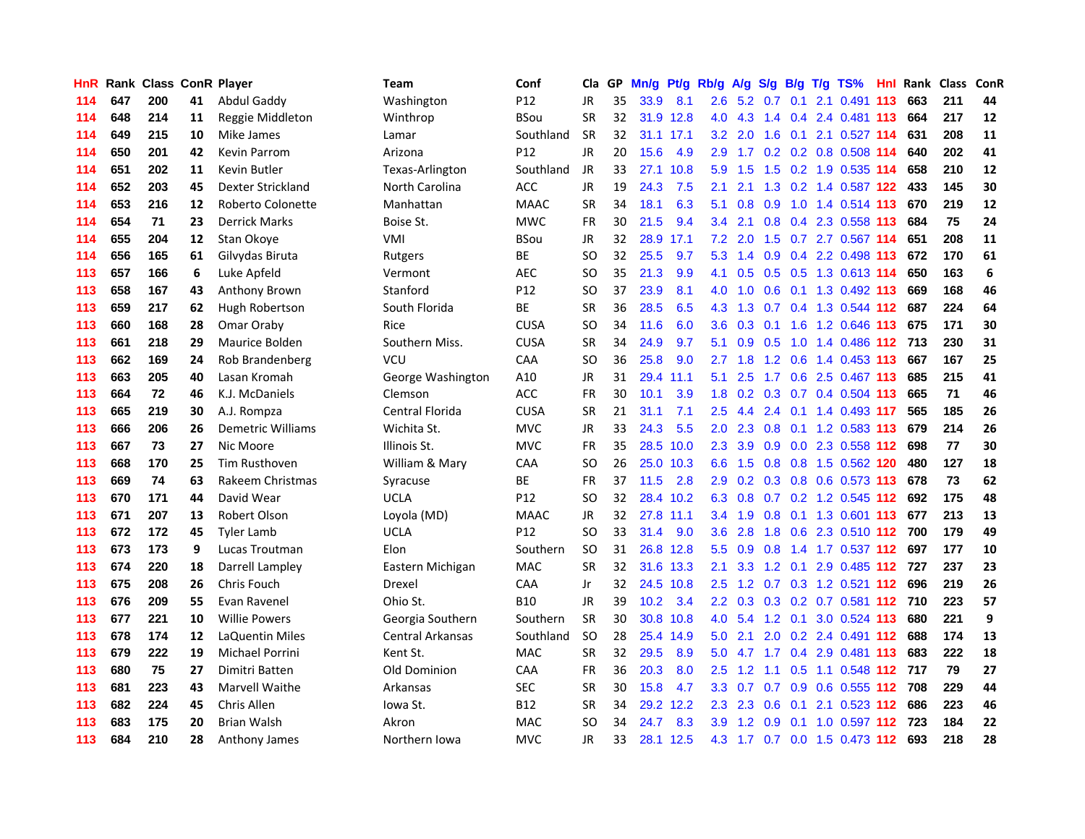| <b>HnR</b> |     | Rank Class ConR Player |    |                          | Team              | Conf        | Cla       |    | GP Mn/g |           | Pt/g Rb/g A/g    |                  | S/g |                 | B/g T/g TS%                   | Hnl |     | Rank Class | <b>ConR</b> |
|------------|-----|------------------------|----|--------------------------|-------------------|-------------|-----------|----|---------|-----------|------------------|------------------|-----|-----------------|-------------------------------|-----|-----|------------|-------------|
| 114        | 647 | 200                    | 41 | Abdul Gaddy              | Washington        | P12         | JR.       | 35 | 33.9    | 8.1       | 2.6              | 5.2              | 0.7 | 0.1             | 2.1 0.491 113                 |     | 663 | 211        | 44          |
| 114        | 648 | 214                    | 11 | Reggie Middleton         | Winthrop          | BSou        | <b>SR</b> | 32 |         | 31.9 12.8 | 4.0              | 4.3              | 1.4 |                 | 0.4 2.4 0.481 113             |     | 664 | 217        | 12          |
| 114        | 649 | 215                    | 10 | Mike James               | Lamar             | Southland   | <b>SR</b> | 32 |         | 31.1 17.1 | 3.2 <sub>2</sub> | 2.0              | 1.6 | 0.1             | 2.1 0.527 114                 |     | 631 | 208        | 11          |
| 114        | 650 | 201                    | 42 | <b>Kevin Parrom</b>      | Arizona           | P12         | JR.       | 20 | 15.6    | 4.9       | 2.9 <sup>°</sup> | 1.7              |     |                 | 0.2 0.2 0.8 0.508 114         |     | 640 | 202        | 41          |
| 114        | 651 | 202                    | 11 | Kevin Butler             | Texas-Arlington   | Southland   | JR        | 33 |         | 27.1 10.8 | 5.9              | 1.5              |     |                 | 1.5 0.2 1.9 0.535 114         |     | 658 | 210        | 12          |
| 114        | 652 | 203                    | 45 | Dexter Strickland        | North Carolina    | <b>ACC</b>  | JR        | 19 | 24.3    | 7.5       | 2.1              | 2.1              |     |                 | 1.3 0.2 1.4 0.587 122         |     | 433 | 145        | 30          |
| 114        | 653 | 216                    | 12 | Roberto Colonette        | Manhattan         | <b>MAAC</b> | <b>SR</b> | 34 | 18.1    | 6.3       | 5.1              | 0.8              | 0.9 |                 | 1.0 1.4 0.514 113             |     | 670 | 219        | 12          |
| 114        | 654 | 71                     | 23 | <b>Derrick Marks</b>     | Boise St.         | <b>MWC</b>  | <b>FR</b> | 30 | 21.5    | 9.4       | 3.4              | 2.1              |     |                 | 0.8 0.4 2.3 0.558 113         |     | 684 | 75         | 24          |
| 114        | 655 | 204                    | 12 | Stan Okoye               | VMI               | <b>BSou</b> | <b>JR</b> | 32 | 28.9    | 17.1      | 7.2              | 2.0              |     |                 | 1.5 0.7 2.7 0.567 114         |     | 651 | 208        | 11          |
| 114        | 656 | 165                    | 61 | Gilvydas Biruta          | Rutgers           | ВE          | SO        | 32 | 25.5    | 9.7       | 5.3              | 1.4              | 0.9 |                 | 0.4 2.2 0.498 113             |     | 672 | 170        | 61          |
| 113        | 657 | 166                    | 6  | Luke Apfeld              | Vermont           | <b>AEC</b>  | SO        | 35 | 21.3    | 9.9       | 4.1              | 0.5              |     |                 | 0.5 0.5 1.3 0.613 114         |     | 650 | 163        | 6           |
| 113        | 658 | 167                    | 43 | Anthony Brown            | Stanford          | P12         | <b>SO</b> | 37 | 23.9    | 8.1       | 4.0              | 1.0              | 0.6 |                 | 0.1 1.3 0.492 113             |     | 669 | 168        | 46          |
| 113        | 659 | 217                    | 62 | Hugh Robertson           | South Florida     | BE          | <b>SR</b> | 36 | 28.5    | 6.5       | 4.3              | 1.3              | 0.7 |                 | 0.4 1.3 0.544 112             |     | 687 | 224        | 64          |
| 113        | 660 | 168                    | 28 | Omar Oraby               | Rice              | <b>CUSA</b> | <b>SO</b> | 34 | 11.6    | 6.0       | 3.6 <sub>1</sub> | 0.3              | 0.1 | 1.6             | 1.2 0.646 113                 |     | 675 | 171        | 30          |
| 113        | 661 | 218                    | 29 | Maurice Bolden           | Southern Miss.    | <b>CUSA</b> | <b>SR</b> | 34 | 24.9    | 9.7       | 5.1              | 0.9              | 0.5 | 1.0             | 1.4 0.486 112                 |     | 713 | 230        | 31          |
| 113        | 662 | 169                    | 24 | Rob Brandenberg          | <b>VCU</b>        | CAA         | SO        | 36 | 25.8    | 9.0       | $2.7^{\circ}$    | 1.8              | 1.2 | 0.6             | 1.4 0.453 113                 |     | 667 | 167        | 25          |
| 113        | 663 | 205                    | 40 | Lasan Kromah             | George Washington | A10         | JR        | 31 | 29.4    | 11.1      | 5.1              | 2.5              | 1.7 |                 | 0.6 2.5 0.467 113             |     | 685 | 215        | 41          |
| 113        | 664 | 72                     | 46 | K.J. McDaniels           | Clemson           | <b>ACC</b>  | <b>FR</b> | 30 | 10.1    | 3.9       |                  |                  |     |                 | 1.8 0.2 0.3 0.7 0.4 0.504 113 |     | 665 | 71         | 46          |
| 113        | 665 | 219                    | 30 | A.J. Rompza              | Central Florida   | <b>CUSA</b> | <b>SR</b> | 21 | 31.1    | 7.1       | 2.5              | 4.4              |     |                 | 2.4 0.1 1.4 0.493 117         |     | 565 | 185        | 26          |
| 113        | 666 | 206                    | 26 | <b>Demetric Williams</b> | Wichita St.       | <b>MVC</b>  | JR        | 33 | 24.3    | 5.5       |                  |                  |     |                 | 2.0 2.3 0.8 0.1 1.2 0.583 113 |     | 679 | 214        | 26          |
| 113        | 667 | 73                     | 27 | Nic Moore                | Illinois St.      | <b>MVC</b>  | FR        | 35 | 28.5    | 10.0      | 2.3              | 3.9              |     |                 | 0.9 0.0 2.3 0.558 112         |     | 698 | 77         | 30          |
| 113        | 668 | 170                    | 25 | <b>Tim Rusthoven</b>     | William & Mary    | CAA         | SO        | 26 |         | 25.0 10.3 | 6.6              | 1.5              |     |                 | 0.8 0.8 1.5 0.562 120         |     | 480 | 127        | 18          |
| 113        | 669 | 74                     | 63 | Rakeem Christmas         | Syracuse          | BE          | FR        | 37 | $11.5$  | 2.8       | 2.9              |                  |     |                 | 0.2 0.3 0.8 0.6 0.573 113     |     | 678 | 73         | 62          |
| 113        | 670 | 171                    | 44 | David Wear               | <b>UCLA</b>       | P12         | <b>SO</b> | 32 | 28.4    | 10.2      | 6.3              | 0.8              |     |                 | 0.7 0.2 1.2 0.545 112         |     | 692 | 175        | 48          |
| 113        | 671 | 207                    | 13 | Robert Olson             | Loyola (MD)       | <b>MAAC</b> | JR        | 32 |         | 27.8 11.1 | $3.4^{\circ}$    | 1.9              | 0.8 |                 | 0.1 1.3 0.601 113             |     | 677 | 213        | 13          |
| 113        | 672 | 172                    | 45 | <b>Tyler Lamb</b>        | <b>UCLA</b>       | P12         | <b>SO</b> | 33 | 31.4    | 9.0       | 3.6 <sub>1</sub> | 2.8              | 1.8 |                 | 0.6 2.3 0.510 112             |     | 700 | 179        | 49          |
| 113        | 673 | 173                    | 9  | Lucas Troutman           | Elon              | Southern    | <b>SO</b> | 31 |         | 26.8 12.8 | 5.5              | 0.9              | 0.8 |                 | 1.4 1.7 0.537 112             |     | 697 | 177        | 10          |
| 113        | 674 | 220                    | 18 | Darrell Lampley          | Eastern Michigan  | <b>MAC</b>  | SR        | 32 |         | 31.6 13.3 | 2.1              | 3.3 <sub>2</sub> |     | $1.2 \quad 0.1$ | 2.9 0.485 112 727             |     |     | 237        | 23          |
| 113        | 675 | 208                    | 26 | Chris Fouch              | Drexel            | CAA         | Jr        | 32 |         | 24.5 10.8 | 2.5              |                  |     |                 | 1.2 0.7 0.3 1.2 0.521 112     |     | 696 | 219        | 26          |
| 113        | 676 | 209                    | 55 | Evan Ravenel             | Ohio St.          | <b>B10</b>  | <b>JR</b> | 39 | 10.2    | 3.4       | $2.2^{\circ}$    |                  |     |                 | 0.3 0.3 0.2 0.7 0.581 112 710 |     |     | 223        | 57          |
| 113        | 677 | 221                    | 10 | <b>Willie Powers</b>     | Georgia Southern  | Southern    | <b>SR</b> | 30 |         | 30.8 10.8 | 4.0              | 5.4              |     |                 | 1.2 0.1 3.0 0.524 113         |     | 680 | 221        | 9           |
| 113        | 678 | 174                    | 12 | LaQuentin Miles          | Central Arkansas  | Southland   | <b>SO</b> | 28 | 25.4    | 14.9      | 5.0              | 2.1              |     |                 | 2.0 0.2 2.4 0.491 112 688     |     |     | 174        | 13          |
| 113        | 679 | 222                    | 19 | <b>Michael Porrini</b>   | Kent St.          | MAC         | <b>SR</b> | 32 | 29.5    | 8.9       | 5.0              |                  |     |                 | 4.7 1.7 0.4 2.9 0.481 113     |     | 683 | 222        | 18          |
| 113        | 680 | 75                     | 27 | Dimitri Batten           | Old Dominion      | CAA         | FR        | 36 | 20.3    | 8.0       | 2.5              | 1.2              | 1.1 |                 | 0.5 1.1 0.548 112 717         |     |     | 79         | 27          |
| 113        | 681 | 223                    | 43 | Marvell Waithe           | Arkansas          | <b>SEC</b>  | <b>SR</b> | 30 | 15.8    | 4.7       | 3.3 <sub>1</sub> | 0.7              | 0.7 |                 | 0.9 0.6 0.555 112 708         |     |     | 229        | 44          |
| 113        | 682 | 224                    | 45 | Chris Allen              | lowa St.          | B12         | <b>SR</b> | 34 | 29.2    | 12.2      | $2.3^{\circ}$    | 2.3              | 0.6 | 0.1             | 2.1 0.523 112                 |     | 686 | 223        | 46          |
| 113        | 683 | 175                    | 20 | <b>Brian Walsh</b>       | Akron             | <b>MAC</b>  | <b>SO</b> | 34 | 24.7    | 8.3       | 3.9              | 1.2              | 0.9 | 0.1             | 1.0 0.597                     | 112 | 723 | 184        | 22          |
| 113        | 684 | 210                    | 28 | Anthony James            | Northern Iowa     | <b>MVC</b>  | JR        | 33 |         | 28.1 12.5 |                  |                  |     |                 | 4.3 1.7 0.7 0.0 1.5 0.473 112 |     | 693 | 218        | 28          |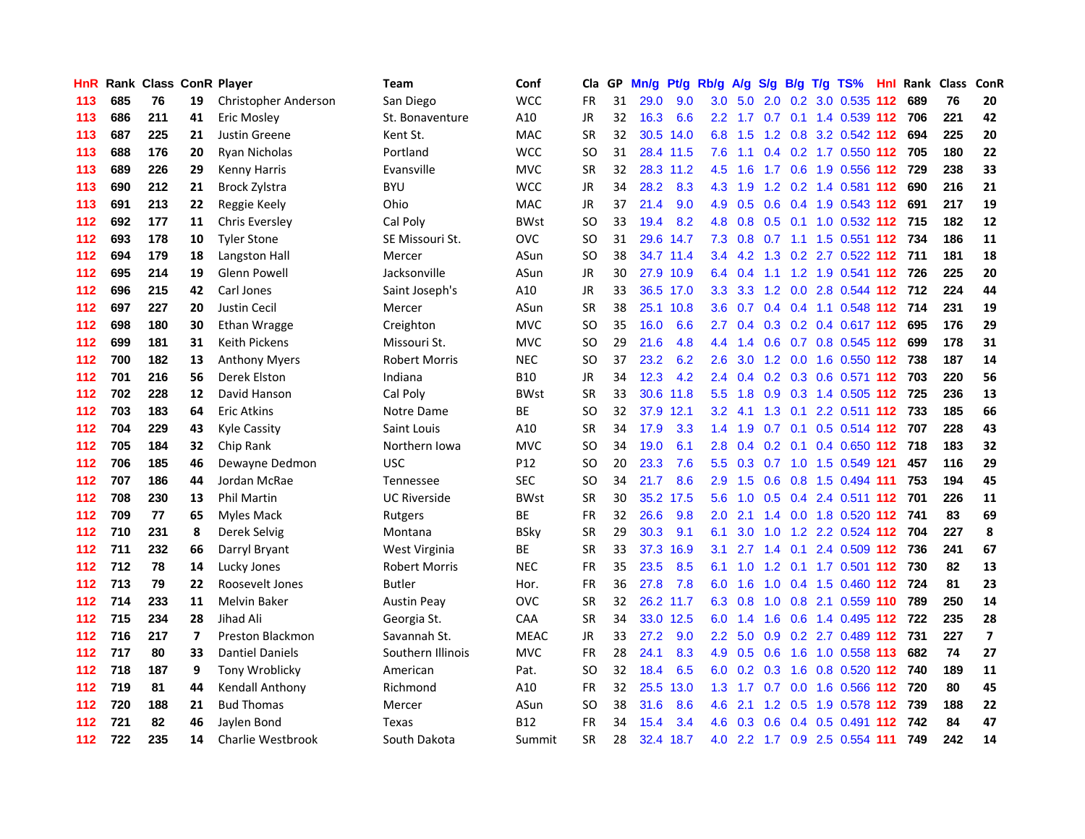| <b>HnR</b> |     | <b>Rank Class ConR Player</b> |                |                         | Team                 | Conf        | Cla       |    | GP Mn/g |           | Pt/g Rb/g A/g    |                 | <b>S/g</b>        |     | B/g T/g TS%                       |     |     | <b>Hnl Rank Class</b> | ConR                    |
|------------|-----|-------------------------------|----------------|-------------------------|----------------------|-------------|-----------|----|---------|-----------|------------------|-----------------|-------------------|-----|-----------------------------------|-----|-----|-----------------------|-------------------------|
| 113        | 685 | 76                            | 19             | Christopher Anderson    | San Diego            | <b>WCC</b>  | FR        | 31 | 29.0    | 9.0       | 3.0              | 5.0             | 2.0               | 0.2 | 3.0 0.535                         | 112 | 689 | 76                    | 20                      |
| 113        | 686 | 211                           | 41             | Eric Mosley             | St. Bonaventure      | A10         | <b>JR</b> | 32 | 16.3    | 6.6       |                  | $2.2 \quad 1.7$ | 0.7               |     | 0.1 1.4 0.539 112 706             |     |     | 221                   | 42                      |
| 113        | 687 | 225                           | 21             | Justin Greene           | Kent St.             | <b>MAC</b>  | <b>SR</b> | 32 | 30.5    | 14.0      | 6.8              | 1.5             | 1.2               | 0.8 | 3.2 0.542 112                     |     | 694 | 225                   | 20                      |
| 113        | 688 | 176                           | 20             | Ryan Nicholas           | Portland             | <b>WCC</b>  | <b>SO</b> | 31 |         | 28.4 11.5 | 7.6              | 1.1             |                   |     | 0.4 0.2 1.7 0.550 112 705         |     |     | 180                   | 22                      |
| 113        | 689 | 226                           | 29             | <b>Kenny Harris</b>     | Evansville           | <b>MVC</b>  | <b>SR</b> | 32 |         | 28.3 11.2 | 4.5              |                 |                   |     | 1.6 1.7 0.6 1.9 0.556 112 729     |     |     | 238                   | 33                      |
| 113        | 690 | 212                           | 21             | <b>Brock Zylstra</b>    | <b>BYU</b>           | <b>WCC</b>  | <b>JR</b> | 34 | 28.2    | 8.3       |                  | $4.3 \quad 1.9$ |                   |     | 1.2 0.2 1.4 0.581 112             |     | 690 | 216                   | 21                      |
| 113        | 691 | 213                           | 22             | Reggie Keely            | Ohio                 | <b>MAC</b>  | JR        | 37 | 21.4    | 9.0       | 4.9              | 0.5             |                   |     | 0.6 0.4 1.9 0.543 112             |     | 691 | 217                   | 19                      |
| 112        | 692 | 177                           | 11             | <b>Chris Eversley</b>   | Cal Poly             | BWst        | <b>SO</b> | 33 | 19.4    | 8.2       | 4.8              | 0.8             |                   |     | 0.5 0.1 1.0 0.532 112 715         |     |     | 182                   | 12                      |
| 112        | 693 | 178                           | 10             | <b>Tyler Stone</b>      | SE Missouri St.      | OVC         | <b>SO</b> | 31 | 29.6    | 14.7      | 7.3              | 0.8             |                   |     | 0.7 1.1 1.5 0.551 112             |     | 734 | 186                   | 11                      |
| 112        | 694 | 179                           | 18             | Langston Hall           | Mercer               | ASun        | <b>SO</b> | 38 |         | 34.7 11.4 | $3.4^{\circ}$    |                 |                   |     | 4.2 1.3 0.2 2.7 0.522 112 711     |     |     | 181                   | 18                      |
| 112        | 695 | 214                           | 19             | Glenn Powell            | Jacksonville         | ASun        | <b>JR</b> | 30 |         | 27.9 10.9 |                  | 6.4 0.4         | 1.1               |     | 1.2 1.9 0.541 112                 |     | 726 | 225                   | 20                      |
| 112        | 696 | 215                           | 42             | Carl Jones              | Saint Joseph's       | A10         | <b>JR</b> | 33 |         | 36.5 17.0 | 3.3 <sub>1</sub> | 3.3             | 1.2               |     | 0.0 2.8 0.544 112                 |     | 712 | 224                   | 44                      |
| 112        | 697 | 227                           | 20             | <b>Justin Cecil</b>     | Mercer               | ASun        | <b>SR</b> | 38 |         | 25.1 10.8 | 3.6              | 0.7             | 0.4               |     | 0.4 1.1 0.548 112 714             |     |     | 231                   | 19                      |
| 112        | 698 | 180                           | 30             | Ethan Wragge            | Creighton            | <b>MVC</b>  | SO        | 35 | 16.0    | 6.6       | 2.7              | 0.4             | 0.3               |     | 0.2 0.4 0.617 112 695             |     |     | 176                   | 29                      |
| 112        | 699 | 181                           | 31             | Keith Pickens           | Missouri St.         | <b>MVC</b>  | <b>SO</b> | 29 | 21.6    | 4.8       | 4.4              | 1.4             | 0.6               |     | 0.7 0.8 0.545 112                 |     | 699 | 178                   | 31                      |
| 112        | 700 | 182                           | 13             | <b>Anthony Myers</b>    | <b>Robert Morris</b> | <b>NEC</b>  | <b>SO</b> | 37 | 23.2    | 6.2       | 2.6              | 3.0             |                   |     | 1.2 0.0 1.6 0.550 112 738         |     |     | 187                   | 14                      |
| 112        | 701 | 216                           | 56             | Derek Elston            | Indiana              | B10         | JR        | 34 | 12.3    | 4.2       |                  |                 |                   |     | 2.4 0.4 0.2 0.3 0.6 0.571 112 703 |     |     | 220                   | 56                      |
| $112$      | 702 | 228                           | 12             | David Hanson            | Cal Poly             | <b>BWst</b> | <b>SR</b> | 33 |         | 30.6 11.8 |                  |                 |                   |     | 5.5 1.8 0.9 0.3 1.4 0.505 112 725 |     |     | 236                   | 13                      |
| 112        | 703 | 183                           | 64             | <b>Eric Atkins</b>      | Notre Dame           | BЕ          | SO        | 32 |         | 37.9 12.1 | 3.2 <sub>2</sub> | 4.1             |                   |     | 1.3 0.1 2.2 0.511 112 733         |     |     | 185                   | 66                      |
| 112        | 704 | 229                           | 43             | <b>Kyle Cassity</b>     | Saint Louis          | A10         | <b>SR</b> | 34 | 17.9    | 3.3       | 1.4              | 1.9             |                   |     | 0.7 0.1 0.5 0.514 112 707         |     |     | 228                   | 43                      |
| 112        | 705 | 184                           | 32             | Chip Rank               | Northern Iowa        | <b>MVC</b>  | SO        | 34 | 19.0    | 6.1       | 2.8 <sup>°</sup> |                 |                   |     | 0.4 0.2 0.1 0.4 0.650 112 718     |     |     | 183                   | 32                      |
| 112        | 706 | 185                           | 46             | Dewayne Dedmon          | <b>USC</b>           | P12         | SO        | 20 | 23.3    | 7.6       | 5.5              | 0.3             |                   |     | 0.7 1.0 1.5 0.549 121             |     | 457 | 116                   | 29                      |
| $112$      | 707 | 186                           | 44             | Jordan McRae            | Tennessee            | <b>SEC</b>  | <b>SO</b> | 34 | 21.7    | 8.6       | $2.9^{\circ}$    | 1.5             | 0.6               |     | 0.8 1.5 0.494 111                 |     | 753 | 194                   | 45                      |
| 112        | 708 | 230                           | 13             | <b>Phil Martin</b>      | <b>UC Riverside</b>  | BWst        | <b>SR</b> | 30 | 35.2    | 17.5      | 5.6              | 1.0             | 0.5               |     | 0.4 2.4 0.511 112                 |     | 701 | 226                   | 11                      |
| 112        | 709 | 77                            | 65             | Myles Mack              | Rutgers              | BE          | FR        | 32 | 26.6    | 9.8       | $2.0^{\circ}$    | 2.1             | 1.4               |     | 0.0 1.8 0.520 112 741             |     |     | 83                    | 69                      |
| 112        | 710 | 231                           | 8              | Derek Selvig            | Montana              | <b>BSky</b> | <b>SR</b> | 29 | 30.3    | 9.1       | 6.1              | 3.0             | 1.0               |     | 1.2 2.2 0.524 112                 |     | 704 | 227                   | 8                       |
| 112        | 711 | 232                           | 66             | Darryl Bryant           | West Virginia        | ВE          | <b>SR</b> | 33 | 37.3    | 16.9      | 3.1              | 2.7             | 1.4               |     | 0.1 2.4 0.509 112 736             |     |     | 241                   | 67                      |
| 112        | 712 | 78                            | 14             | Lucky Jones             | <b>Robert Morris</b> | <b>NEC</b>  | FR        | 35 | 23.5    | 8.5       | 6.1              | 1.0             | 1.2               |     | 0.1 1.7 0.501 112 730             |     |     | 82                    | 13                      |
| $112$      | 713 | 79                            | 22             | Roosevelt Jones         | <b>Butler</b>        | Hor.        | FR        | 36 | 27.8    | 7.8       | 6.0              | 1.6             | 1.0               |     | 0.4 1.5 0.460 112 724             |     |     | 81                    | 23                      |
| 112        | 714 | 233                           | 11             | <b>Melvin Baker</b>     | <b>Austin Peay</b>   | <b>OVC</b>  | <b>SR</b> | 32 |         | 26.2 11.7 | 6.3              | 0.8             | 1.0               |     | 0.8 2.1 0.559 110                 |     | 789 | 250                   | 14                      |
| 112        | 715 | 234                           | 28             | Jihad Ali               | Georgia St.          | CAA         | <b>SR</b> | 34 |         | 33.0 12.5 | 6.0              | 1.4             | 1.6               |     | 0.6 1.4 0.495 112 722             |     |     | 235                   | 28                      |
| 112        | 716 | 217                           | $\overline{ }$ | <b>Preston Blackmon</b> | Savannah St.         | <b>MEAC</b> | <b>JR</b> | 33 | 27.2    | 9.0       |                  |                 |                   |     | 2.2 5.0 0.9 0.2 2.7 0.489 112 731 |     |     | 227                   | $\overline{\mathbf{z}}$ |
| $112$      | 717 | 80                            | 33             | <b>Dantiel Daniels</b>  | Southern Illinois    | <b>MVC</b>  | <b>FR</b> | 28 | 24.1    | 8.3       |                  |                 | 4.9 0.5 0.6       |     | 1.6 1.0 0.558 113                 |     | 682 | 74                    | 27                      |
| 112        | 718 | 187                           | 9              | Tony Wroblicky          | American             | Pat.        | <b>SO</b> | 32 | 18.4    | 6.5       |                  |                 | $6.0$ $0.2$ $0.3$ |     | 1.6 0.8 0.520 112 740             |     |     | 189                   | 11                      |
| 112        | 719 | 81                            | 44             | <b>Kendall Anthony</b>  | Richmond             | A10         | FR        | 32 | 25.5    | 13.0      | 1.3              | 1.7             |                   |     | 0.7 0.0 1.6 0.566 112 720         |     |     | 80                    | 45                      |
| 112        | 720 | 188                           | 21             | <b>Bud Thomas</b>       | Mercer               | ASun        | <b>SO</b> | 38 | 31.6    | 8.6       | 4.6              | 2.1             | 1.2               | 0.5 | 1.9 0.578 112 739                 |     |     | 188                   | 22                      |
| 112        | 721 | 82                            | 46             | Jaylen Bond             | Texas                | B12         | <b>FR</b> | 34 | 15.4    | 3.4       | 4.6              | 0.3             | 0.6               | 0.4 | 0.5 0.491                         | 112 | 742 | 84                    | 47                      |
| 112        | 722 | 235                           | 14             | Charlie Westbrook       | South Dakota         | Summit      | SR        | 28 | 32.4    | 18.7      | 4.0              |                 |                   |     | 2.2 1.7 0.9 2.5 0.554 111         |     | 749 | 242                   | 14                      |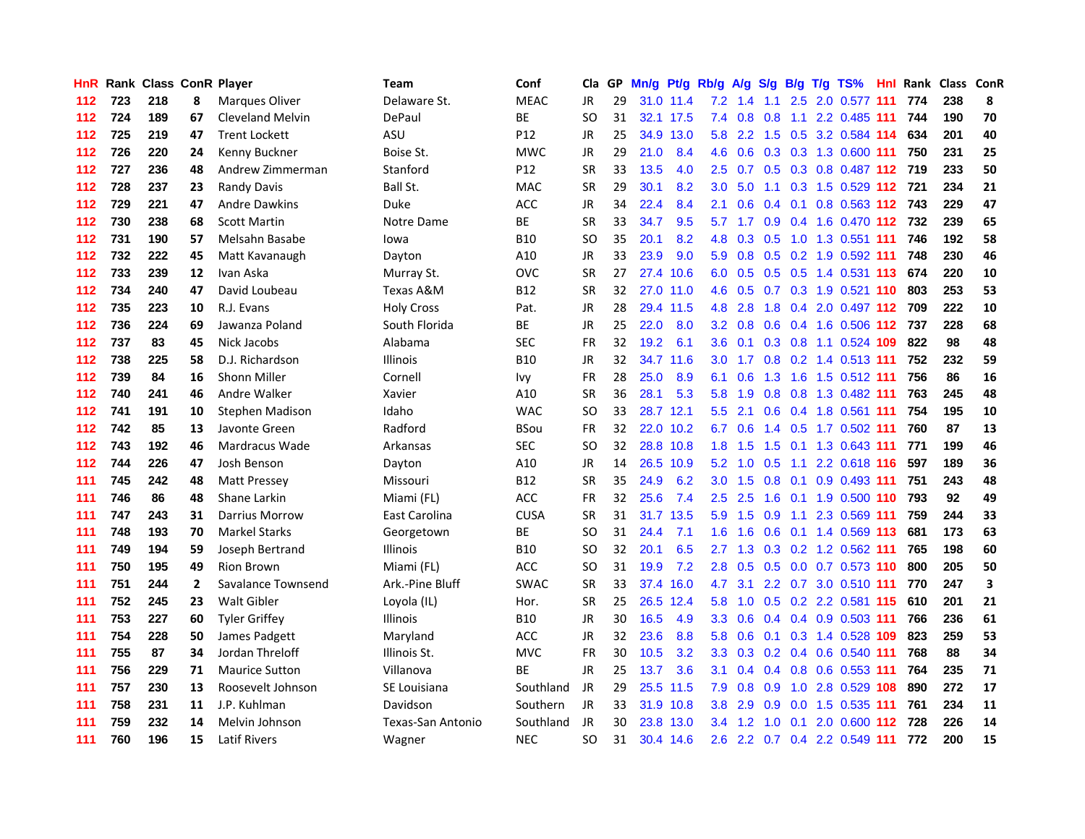| HnR. |     | <b>Rank Class ConR Player</b> |              |                         | Team              | Conf        | Cla       |    | GP Mn/g | Pt/g Rb/g |                  | <b>A/g</b>    |     |     | S/g B/g T/g TS%                   | Hnl | Rank Class ConR |     |    |
|------|-----|-------------------------------|--------------|-------------------------|-------------------|-------------|-----------|----|---------|-----------|------------------|---------------|-----|-----|-----------------------------------|-----|-----------------|-----|----|
| 112  | 723 | 218                           | 8            | <b>Marques Oliver</b>   | Delaware St.      | <b>MEAC</b> | JR.       | 29 |         | 31.0 11.4 | 7.2              | 1.4           | 1.1 | 2.5 | 2.0 0.577                         | 111 | 774             | 238 | 8  |
| 112  | 724 | 189                           | 67           | <b>Cleveland Melvin</b> | DePaul            | ВE          | SO        | 31 |         | 32.1 17.5 | 7.4              | 0.8           | 0.8 | 1.1 | 2.2 0.485 111                     |     | 744             | 190 | 70 |
| 112  | 725 | 219                           | 47           | <b>Trent Lockett</b>    | ASU               | P12         | JR        | 25 |         | 34.9 13.0 | 5.8              | $2.2^{\circ}$ | 1.5 | 0.5 | 3.2 0.584 114                     |     | 634             | 201 | 40 |
| 112  | 726 | 220                           | 24           | Kenny Buckner           | Boise St.         | <b>MWC</b>  | JR        | 29 | 21.0    | 8.4       | 4.6              |               |     |     | 0.6 0.3 0.3 1.3 0.600 111         |     | 750             | 231 | 25 |
| 112  | 727 | 236                           | 48           | Andrew Zimmerman        | Stanford          | P12         | <b>SR</b> | 33 | 13.5    | 4.0       |                  |               |     |     | 2.5 0.7 0.5 0.3 0.8 0.487 112 719 |     |                 | 233 | 50 |
| 112  | 728 | 237                           | 23           | <b>Randy Davis</b>      | Ball St.          | <b>MAC</b>  | <b>SR</b> | 29 | 30.1    | 8.2       | 3.0 <sub>1</sub> | 5.0           |     |     | 1.1 0.3 1.5 0.529 112 721         |     |                 | 234 | 21 |
| 112  | 729 | 221                           | 47           | <b>Andre Dawkins</b>    | <b>Duke</b>       | ACC         | JR        | 34 | 22.4    | 8.4       | 2.1              | 0.6           |     |     | 0.4 0.1 0.8 0.563 112 743         |     |                 | 229 | 47 |
| 112  | 730 | 238                           | 68           | <b>Scott Martin</b>     | Notre Dame        | ВE          | <b>SR</b> | 33 | 34.7    | 9.5       | 5.7              | 1.7           |     |     | 0.9 0.4 1.6 0.470 112 732         |     |                 | 239 | 65 |
| 112  | 731 | 190                           | 57           | Melsahn Basabe          | lowa              | <b>B10</b>  | SO        | 35 | 20.1    | 8.2       | 4.8              | 0.3           | 0.5 |     | 1.0 1.3 0.551 111                 |     | 746             | 192 | 58 |
| 112  | 732 | 222                           | 45           | Matt Kavanaugh          | Dayton            | A10         | JR.       | 33 | 23.9    | 9.0       | 5.9              | 0.8           | 0.5 |     | 0.2 1.9 0.592 111                 |     | 748             | 230 | 46 |
| 112  | 733 | 239                           | 12           | Ivan Aska               | Murray St.        | <b>OVC</b>  | <b>SR</b> | 27 |         | 27.4 10.6 | 6.0              | 0.5           |     |     | 0.5 0.5 1.4 0.531 113             |     | 674             | 220 | 10 |
| 112  | 734 | 240                           | 47           | David Loubeau           | Texas A&M         | <b>B12</b>  | <b>SR</b> | 32 |         | 27.0 11.0 | 4.6              | 0.5           |     |     | 0.7 0.3 1.9 0.521 110             |     | 803             | 253 | 53 |
| 112  | 735 | 223                           | 10           | R.J. Evans              | <b>Holy Cross</b> | Pat.        | JR        | 28 |         | 29.4 11.5 | 4.8              | 2.8           | 1.8 | 0.4 | 2.0 0.497 112                     |     | 709             | 222 | 10 |
| 112  | 736 | 224                           | 69           | Jawanza Poland          | South Florida     | BE          | JR        | 25 | 22.0    | 8.0       | 3.2 <sub>2</sub> | 0.8           | 0.6 |     | 0.4 1.6 0.506 112 737             |     |                 | 228 | 68 |
| 112  | 737 | 83                            | 45           | Nick Jacobs             | Alabama           | <b>SEC</b>  | <b>FR</b> | 32 | 19.2    | 6.1       | 3.6              | 0.1           | 0.3 | 0.8 | 1.1 0.524 109                     |     | 822             | 98  | 48 |
| 112  | 738 | 225                           | 58           | D.J. Richardson         | <b>Illinois</b>   | <b>B10</b>  | JR        | 32 |         | 34.7 11.6 | 3.0 <sub>2</sub> | 1.7           |     |     | 0.8 0.2 1.4 0.513 111             |     | 752             | 232 | 59 |
| 112  | 739 | 84                            | 16           | Shonn Miller            | Cornell           | Ivy         | FR        | 28 | 25.0    | 8.9       | 6.1              | 0.6           |     |     | 1.3 1.6 1.5 0.512 111             |     | 756             | 86  | 16 |
| 112  | 740 | 241                           | 46           | Andre Walker            | Xavier            | A10         | <b>SR</b> | 36 | 28.1    | 5.3       | 5.8              | 1.9           |     |     | 0.8 0.8 1.3 0.482 111             |     | 763             | 245 | 48 |
| 112  | 741 | 191                           | 10           | Stephen Madison         | Idaho             | <b>WAC</b>  | SO        | 33 |         | 28.7 12.1 | $5.5^{\circ}$    | 2.1           |     |     | 0.6 0.4 1.8 0.561 111             |     | 754             | 195 | 10 |
| 112  | 742 | 85                            | 13           | Javonte Green           | Radford           | BSou        | <b>FR</b> | 32 |         | 22.0 10.2 |                  | 6.7 0.6       |     |     | 1.4 0.5 1.7 0.502 111             |     | 760             | 87  | 13 |
| 112  | 743 | 192                           | 46           | Mardracus Wade          | Arkansas          | <b>SEC</b>  | SO        | 32 |         | 28.8 10.8 | 1.8              | 1.5           |     |     | 1.5 0.1 1.3 0.643 111             |     | 771             | 199 | 46 |
| 112  | 744 | 226                           | 47           | Josh Benson             | Dayton            | A10         | JR        | 14 |         | 26.5 10.9 | 5.2              | 1.0           | 0.5 | 1.1 | 2.2 0.618 116                     |     | 597             | 189 | 36 |
| 111  | 745 | 242                           | 48           | Matt Pressey            | Missouri          | B12         | <b>SR</b> | 35 | 24.9    | 6.2       | 3.0 <sub>1</sub> | 1.5           | 0.8 | 0.1 | 0.9 0.493 111                     |     | 751             | 243 | 48 |
| 111  | 746 | 86                            | 48           | Shane Larkin            | Miami (FL)        | ACC         | <b>FR</b> | 32 | 25.6    | 7.4       | 2.5              | 2.5           | 1.6 | 0.1 | 1.9 0.500 110                     |     | 793             | 92  | 49 |
| 111  | 747 | 243                           | 31           | Darrius Morrow          | East Carolina     | <b>CUSA</b> | SR        | 31 |         | 31.7 13.5 | 5.9              | 1.5           | 0.9 | 1.1 | 2.3 0.569 111                     |     | 759             | 244 | 33 |
| 111  | 748 | 193                           | 70           | <b>Markel Starks</b>    | Georgetown        | BE          | <b>SO</b> | 31 | 24.4    | 7.1       | 1.6 <sup>°</sup> | 1.6           | 0.6 |     | 0.1 1.4 0.569 113                 |     | 681             | 173 | 63 |
| 111  | 749 | 194                           | 59           | Joseph Bertrand         | Illinois          | <b>B10</b>  | SO        | 32 | 20.1    | 6.5       | $2.7^{\circ}$    | 1.3           | 0.3 |     | 0.2 1.2 0.562 111                 |     | 765             | 198 | 60 |
| 111  | 750 | 195                           | 49           | <b>Rion Brown</b>       | Miami (FL)        | <b>ACC</b>  | SO        | 31 | 19.9    | 7.2       | 2.8              | 0.5           | 0.5 |     | 0.0 0.7 0.573 110                 |     | 800             | 205 | 50 |
| 111  | 751 | 244                           | $\mathbf{2}$ | Savalance Townsend      | Ark.-Pine Bluff   | <b>SWAC</b> | <b>SR</b> | 33 | 37.4    | 16.0      | 4.7              | 3.1           |     |     | 2.2 0.7 3.0 0.510 111             |     | 770             | 247 | 3  |
| 111  | 752 | 245                           | 23           | <b>Walt Gibler</b>      | Loyola (IL)       | Hor.        | SR        | 25 |         | 26.5 12.4 | 5.8              |               |     |     | 1.0 0.5 0.2 2.2 0.581 115         |     | 610             | 201 | 21 |
| 111  | 753 | 227                           | 60           | <b>Tyler Griffey</b>    | Illinois          | B10         | <b>JR</b> | 30 | 16.5    | 4.9       | 3.3 <sub>2</sub> |               |     |     | 0.6 0.4 0.4 0.9 0.503 111         |     | 766             | 236 | 61 |
| 111  | 754 | 228                           | 50           | James Padgett           | Maryland          | <b>ACC</b>  | JR        | 32 | 23.6    | 8.8       | 5.8              | 0.6           |     |     | 0.1 0.3 1.4 0.528 109             |     | 823             | 259 | 53 |
| 111  | 755 | 87                            | 34           | Jordan Threloff         | Illinois St.      | <b>MVC</b>  | <b>FR</b> | 30 | 10.5    | 3.2       | 3.3 <sub>1</sub> |               |     |     | 0.3 0.2 0.4 0.6 0.540 111         |     | 768             | 88  | 34 |
| 111  | 756 | 229                           | 71           | <b>Maurice Sutton</b>   | Villanova         | ВE          | JR        | 25 | 13.7    | 3.6       | 3.1              | 0.4           |     |     | 0.4 0.8 0.6 0.553 111             |     | 764             | 235 | 71 |
| 111  | 757 | 230                           | 13           | Roosevelt Johnson       | SE Louisiana      | Southland   | JR        | 29 |         | 25.5 11.5 | 7.9              | 0.8           | 0.9 | 1.0 | 2.8 0.529 108                     |     | 890             | 272 | 17 |
| 111  | 758 | 231                           | 11           | J.P. Kuhlman            | Davidson          | Southern    | JR        | 33 | 31.9    | 10.8      | 3.8 <sub>2</sub> | 2.9           | 0.9 |     | $0.0$ 1.5 0.535 111               |     | 761             | 234 | 11 |
| 111  | 759 | 232                           | 14           | Melvin Johnson          | Texas-San Antonio | Southland   | JR        | 30 | 23.8    | 13.0      | $3.4^{\circ}$    | 1.2           | 1.0 | 0.1 | 2.0 0.600 112                     |     | 728             | 226 | 14 |
| 111  | 760 | 196                           | 15           | <b>Latif Rivers</b>     | Wagner            | <b>NEC</b>  | <b>SO</b> | 31 |         | 30.4 14.6 |                  |               |     |     | 2.6 2.2 0.7 0.4 2.2 0.549 111     |     | 772             | 200 | 15 |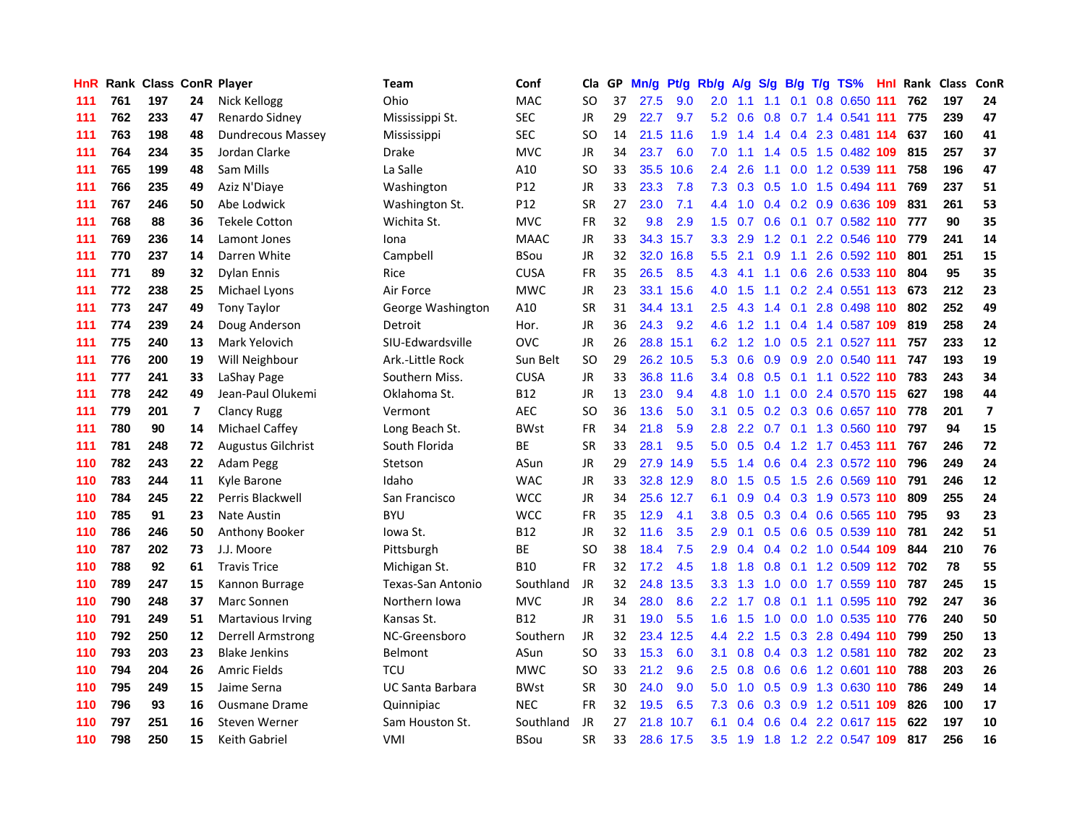| HnR. |     | Rank Class ConR Player |    |                           | Team              | Conf        | Cla       |    | GP Mn/g | Pt/g Rb/g |                  | <b>A/g</b>        |               |     | S/g B/g T/g TS%               | Hnl  | Rank Class |     | ConR                     |
|------|-----|------------------------|----|---------------------------|-------------------|-------------|-----------|----|---------|-----------|------------------|-------------------|---------------|-----|-------------------------------|------|------------|-----|--------------------------|
| 111  | 761 | 197                    | 24 | <b>Nick Kellogg</b>       | Ohio              | <b>MAC</b>  | SO        | 37 | 27.5    | 9.0       | 2.0              | 1.1               | 1.1           | 0.1 | 0.8 0.650                     | 111  | 762        | 197 | 24                       |
| 111  | 762 | 233                    | 47 | Renardo Sidney            | Mississippi St.   | SEC         | JR.       | 29 | 22.7    | 9.7       | 5.2              | 0.6               | 0.8           |     | 0.7 1.4 0.541 111             |      | 775        | 239 | 47                       |
| 111  | 763 | 198                    | 48 | <b>Dundrecous Massey</b>  | Mississippi       | <b>SEC</b>  | SO        | 14 | 21.5    | 11.6      | 1.9              | 1.4               | $1.4^{\circ}$ | 0.4 | 2.3 0.481 114                 |      | 637        | 160 | 41                       |
| 111  | 764 | 234                    | 35 | Jordan Clarke             | Drake             | <b>MVC</b>  | JR        | 34 | 23.7    | 6.0       | 7.0              | 1.1               |               |     | 1.4 0.5 1.5 0.482 109         |      | 815        | 257 | 37                       |
| 111  | 765 | 199                    | 48 | Sam Mills                 | La Salle          | A10         | SO        | 33 | 35.5    | 10.6      | $2.4^{\circ}$    | 2.6               |               |     | 1.1 0.0 1.2 0.539 111         |      | 758        | 196 | 47                       |
| 111  | 766 | 235                    | 49 | Aziz N'Diaye              | Washington        | P12         | JR        | 33 | 23.3    | 7.8       |                  |                   | 7.3 0.3 0.5   |     | 1.0 1.5 0.494 111             |      | 769        | 237 | 51                       |
| 111  | 767 | 246                    | 50 | Abe Lodwick               | Washington St.    | P12         | <b>SR</b> | 27 | 23.0    | 7.1       | 4.4              | 1.0               |               |     | 0.4 0.2 0.9 0.636 109         |      | 831        | 261 | 53                       |
| 111  | 768 | 88                     | 36 | <b>Tekele Cotton</b>      | Wichita St.       | <b>MVC</b>  | FR        | 32 | 9.8     | 2.9       | 1.5              | 0.7               | 0.6           |     | 0.1 0.7 0.582 110             |      | 777        | 90  | 35                       |
| 111  | 769 | 236                    | 14 | Lamont Jones              | Iona              | <b>MAAC</b> | JR        | 33 | 34.3    | 15.7      | 3.3              | 2.9               | 1.2           | 0.1 | 2.2 0.546 110                 |      | 779        | 241 | 14                       |
| 111  | 770 | 237                    | 14 | Darren White              | Campbell          | BSou        | JR        | 32 | 32.0    | 16.8      | $5.5^{\circ}$    | 2.1               | 0.9           | 1.1 | 2.6 0.592 110                 |      | 801        | 251 | 15                       |
| 111  | 771 | 89                     | 32 | <b>Dylan Ennis</b>        | Rice              | <b>CUSA</b> | FR        | 35 | 26.5    | 8.5       | 4.3              | 4.1               | 1.1           |     | 0.6 2.6 0.533 110             |      | 804        | 95  | 35                       |
| 111  | 772 | 238                    | 25 | Michael Lyons             | Air Force         | <b>MWC</b>  | JR.       | 23 |         | 33.1 15.6 | 4.0              | 1.5               | 1.1           |     | 0.2 2.4 0.551 113             |      | 673        | 212 | 23                       |
| 111  | 773 | 247                    | 49 | Tony Taylor               | George Washington | A10         | <b>SR</b> | 31 |         | 34.4 13.1 | 2.5              | 4.3               | $1.4^{\circ}$ | 0.1 | 2.8 0.498                     | -110 | 802        | 252 | 49                       |
| 111  | 774 | 239                    | 24 | Doug Anderson             | Detroit           | Hor.        | JR.       | 36 | 24.3    | 9.2       | 4.6              | 1.2               | 1.1           |     | 0.4 1.4 0.587 109             |      | 819        | 258 | 24                       |
| 111  | 775 | 240                    | 13 | Mark Yelovich             | SIU-Edwardsville  | <b>OVC</b>  | JR.       | 26 |         | 28.8 15.1 | 6.2              | 1.2               | 1.0           | 0.5 | 2.1 0.527 111                 |      | 757        | 233 | 12                       |
| 111  | 776 | 200                    | 19 | Will Neighbour            | Ark.-Little Rock  | Sun Belt    | <b>SO</b> | 29 |         | 26.2 10.5 | 5.3              | 0.6               | 0.9           | 0.9 | 2.0 0.540 111                 |      | 747        | 193 | 19                       |
| 111  | 777 | 241                    | 33 | LaShay Page               | Southern Miss.    | <b>CUSA</b> | JR.       | 33 |         | 36.8 11.6 |                  |                   |               |     | 3.4 0.8 0.5 0.1 1.1 0.522 110 |      | 783        | 243 | 34                       |
| 111  | 778 | 242                    | 49 | Jean-Paul Olukemi         | Oklahoma St.      | B12         | JR        | 13 | 23.0    | 9.4       | 4.8              | 1.0               |               |     | 1.1 0.0 2.4 0.570 115         |      | 627        | 198 | 44                       |
| 111  | 779 | 201                    | 7  | <b>Clancy Rugg</b>        | Vermont           | <b>AEC</b>  | SO        | 36 | 13.6    | 5.0       |                  |                   |               |     | 3.1 0.5 0.2 0.3 0.6 0.657 110 |      | 778        | 201 | $\overline{\phantom{a}}$ |
| 111  | 780 | 90                     | 14 | <b>Michael Caffey</b>     | Long Beach St.    | <b>BWst</b> | FR        | 34 | 21.8    | 5.9       | 2.8              |                   |               |     | 2.2 0.7 0.1 1.3 0.560 110     |      | 797        | 94  | 15                       |
| 111  | 781 | 248                    | 72 | <b>Augustus Gilchrist</b> | South Florida     | ВE          | <b>SR</b> | 33 | 28.1    | 9.5       |                  | $5.0\quad 0.5$    |               |     | 0.4 1.2 1.7 0.453 111         |      | 767        | 246 | 72                       |
| 110  | 782 | 243                    | 22 | Adam Pegg                 | Stetson           | ASun        | JR        | 29 | 27.9    | 14.9      | 5.5              | 1.4               |               |     | 0.6 0.4 2.3 0.572 110         |      | 796        | 249 | 24                       |
| 110  | 783 | 244                    | 11 | Kyle Barone               | Idaho             | <b>WAC</b>  | JR        | 33 | 32.8    | 12.9      | 8.0              | 1.5               | 0.5           |     | 1.5 2.6 0.569 110             |      | 791        | 246 | 12                       |
| 110  | 784 | 245                    | 22 | Perris Blackwell          | San Francisco     | <b>WCC</b>  | JR.       | 34 | 25.6    | 12.7      | 6.1              | 0.9               |               |     | 0.4 0.3 1.9 0.573 110         |      | 809        | 255 | 24                       |
| 110  | 785 | 91                     | 23 | <b>Nate Austin</b>        | <b>BYU</b>        | <b>WCC</b>  | FR        | 35 | 12.9    | 4.1       | 3.8 <sub>1</sub> | 0.5               |               |     | 0.3 0.4 0.6 0.565 110         |      | 795        | 93  | 23                       |
| 110  | 786 | 246                    | 50 | <b>Anthony Booker</b>     | Iowa St.          | <b>B12</b>  | JR.       | 32 | 11.6    | 3.5       | 2.9              | 0.1               | 0.5           |     | 0.6 0.5 0.539 110             |      | 781        | 242 | 51                       |
| 110  | 787 | 202                    | 73 | J.J. Moore                | Pittsburgh        | ВE          | <b>SO</b> | 38 | 18.4    | 7.5       | 2.9              | 0.4               |               |     | 0.4 0.2 1.0 0.544 109         |      | 844        | 210 | 76                       |
| 110  | 788 | 92                     | 61 | <b>Travis Trice</b>       | Michigan St.      | <b>B10</b>  | <b>FR</b> | 32 | 17.2    | 4.5       | 1.8 <sup>°</sup> | 1.8               | 0.8           |     | $0.1$ 1.2 0.509 112           |      | 702        | 78  | 55                       |
| 110  | 789 | 247                    | 15 | Kannon Burrage            | Texas-San Antonio | Southland   | <b>JR</b> | 32 | 24.8    | 13.5      | 3.3 <sub>2</sub> | 1.3               | 1.0           | 0.0 | 1.7 0.559 110                 |      | 787        | 245 | 15                       |
| 110  | 790 | 248                    | 37 | Marc Sonnen               | Northern Iowa     | <b>MVC</b>  | JR        | 34 | 28.0    | 8.6       | $2.2^{\circ}$    | 1.7               | 0.8           | 0.1 | 1.1 0.595 110                 |      | 792        | 247 | 36                       |
| 110  | 791 | 249                    | 51 | <b>Martavious Irving</b>  | Kansas St.        | <b>B12</b>  | JR        | 31 | 19.0    | 5.5       | 1.6              | 1.5               | 1.0           |     | 0.0 1.0 0.535 110             |      | 776        | 240 | 50                       |
| 110  | 792 | 250                    | 12 | <b>Derrell Armstrong</b>  | NC-Greensboro     | Southern    | JR        | 32 | 23.4    | 12.5      | $4.4^{\circ}$    | 2.2               |               |     | 1.5 0.3 2.8 0.494 110         |      | 799        | 250 | 13                       |
| 110  | 793 | 203                    | 23 | <b>Blake Jenkins</b>      | <b>Belmont</b>    | ASun        | SO        | 33 | 15.3    | 6.0       | 3.1              |                   |               |     | 0.8 0.4 0.3 1.2 0.581 110     |      | 782        | 202 | 23                       |
| 110  | 794 | 204                    | 26 | <b>Amric Fields</b>       | TCU               | <b>MWC</b>  | SO        | 33 | 21.2    | 9.6       | $2.5^{\circ}$    | 0.8               | 0.6           |     | 0.6 1.2 0.601 110             |      | 788        | 203 | 26                       |
| 110  | 795 | 249                    | 15 | Jaime Serna               | UC Santa Barbara  | BWst        | <b>SR</b> | 30 | 24.0    | 9.0       | 5.0              | 1.0               |               |     | 0.5 0.9 1.3 0.630 110         |      | 786        | 249 | 14                       |
| 110  | 796 | 93                     | 16 | <b>Ousmane Drame</b>      | Quinnipiac        | <b>NEC</b>  | <b>FR</b> | 32 | 19.5    | 6.5       | 7.3              | 0.6               | 0.3           |     | 0.9 1.2 0.511 109             |      | 826        | 100 | 17                       |
| 110  | 797 | 251                    | 16 | <b>Steven Werner</b>      | Sam Houston St.   | Southland   | JR        | 27 | 21.8    | 10.7      | 6.1              | $\mathbf{0}$<br>4 | 0.6           |     | 0.4 2.2 0.617 115             |      | 622        | 197 | 10                       |
| 110  | 798 | 250                    | 15 | <b>Keith Gabriel</b>      | VMI               | BSou        | SR        | 33 |         | 28.6 17.5 | $3.5^{\circ}$    | 1.9               | $-1.8$        |     | 1.2 2.2 0.547 109             |      | 817        | 256 | 16                       |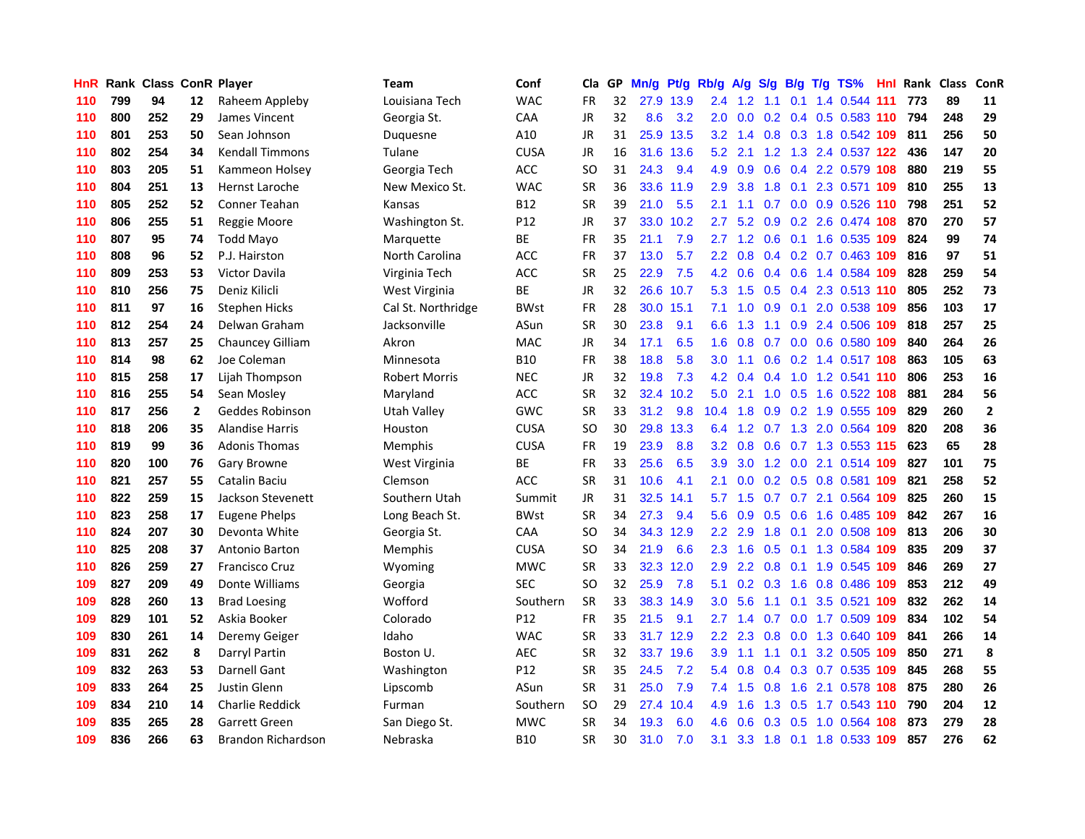| HnR |     | Rank Class ConR Player |              |                        | Team                 | Conf        | Cla       |    | GP Mn/g | Pt/g Rb/g |                  | <b>A/g</b> | S/g             |     | B/g T/g TS%               | Hnl |     | Rank Class ConR |              |
|-----|-----|------------------------|--------------|------------------------|----------------------|-------------|-----------|----|---------|-----------|------------------|------------|-----------------|-----|---------------------------|-----|-----|-----------------|--------------|
| 110 | 799 | 94                     | 12           | Raheem Appleby         | Louisiana Tech       | <b>WAC</b>  | FR        | 32 |         | 27.9 13.9 | $2.4\,$          | 1.2        | 1.1             | 0.1 | 1.4 0.544                 | 111 | 773 | 89              | 11           |
| 110 | 800 | 252                    | 29           | James Vincent          | Georgia St.          | CAA         | JR        | 32 | 8.6     | 3.2       | 2.0 <sub>1</sub> | 0.0        | 0.2             | 0.4 | 0.5 0.583 110             |     | 794 | 248             | 29           |
| 110 | 801 | 253                    | 50           | Sean Johnson           | Duquesne             | A10         | JR        | 31 | 25.9    | 13.5      | 3.2              | 1.4        |                 |     | 0.8 0.3 1.8 0.542 109     |     | 811 | 256             | 50           |
| 110 | 802 | 254                    | 34           | <b>Kendall Timmons</b> | Tulane               | <b>CUSA</b> | JR        | 16 |         | 31.6 13.6 |                  | $5.2$ 2.1  |                 |     | 1.2 1.3 2.4 0.537 122     |     | 436 | 147             | 20           |
| 110 | 803 | 205                    | 51           | Kammeon Holsey         | Georgia Tech         | <b>ACC</b>  | <b>SO</b> | 31 | 24.3    | 9.4       | 4.9              | 0.9        |                 |     | 0.6 0.4 2.2 0.579 108     |     | 880 | 219             | 55           |
| 110 | 804 | 251                    | 13           | Hernst Laroche         | New Mexico St.       | WAC         | <b>SR</b> | 36 | 33.6    | 11.9      | 2.9              | 3.8        | 1.8             |     | 0.1 2.3 0.571 109         |     | 810 | 255             | 13           |
| 110 | 805 | 252                    | 52           | Conner Teahan          | Kansas               | B12         | SR        | 39 | 21.0    | 5.5       | 2.1              | 1.1        |                 |     | 0.7 0.0 0.9 0.526 110     |     | 798 | 251             | 52           |
| 110 | 806 | 255                    | 51           | Reggie Moore           | Washington St.       | P12         | <b>JR</b> | 37 |         | 33.0 10.2 | 2.7              | 5.2        | 0.9             |     | 0.2 2.6 0.474 108         |     | 870 | 270             | 57           |
| 110 | 807 | 95                     | 74           | Todd Mayo              | Marquette            | ВE          | <b>FR</b> | 35 | 21.1    | 7.9       | 2.7              | 1.2        | 0.6             |     | 0.1 1.6 0.535 109         |     | 824 | 99              | 74           |
| 110 | 808 | 96                     | 52           | P.J. Hairston          | North Carolina       | <b>ACC</b>  | <b>FR</b> | 37 | 13.0    | 5.7       | 2.2 <sub>2</sub> | 0.8        | 0.4             |     | 0.2 0.7 0.463 109         |     | 816 | 97              | 51           |
| 110 | 809 | 253                    | 53           | Victor Davila          | Virginia Tech        | ACC         | <b>SR</b> | 25 | 22.9    | 7.5       | 4.2              | 0.6        |                 |     | 0.4 0.6 1.4 0.584 109     |     | 828 | 259             | 54           |
| 110 | 810 | 256                    | 75           | Deniz Kilicli          | West Virginia        | BE          | JR        | 32 | 26.6    | 10.7      | 5.3              | 1.5        | 0.5             |     | 0.4 2.3 0.513 110         |     | 805 | 252             | 73           |
| 110 | 811 | 97                     | 16           | Stephen Hicks          | Cal St. Northridge   | <b>BWst</b> | <b>FR</b> | 28 | 30.0    | 15.1      | 7.1              | 1.0        | 0.9             | 0.1 | 2.0 0.538                 | 109 | 856 | 103             | 17           |
| 110 | 812 | 254                    | 24           | Delwan Graham          | Jacksonville         | ASun        | <b>SR</b> | 30 | 23.8    | 9.1       | 6.6              | 1.3        | 1.1             | 0.9 | 2.4 0.506                 | 109 | 818 | 257             | 25           |
| 110 | 813 | 257                    | 25           | Chauncey Gilliam       | Akron                | MAC         | JR        | 34 | 17.1    | 6.5       | 1.6              | 0.8        | 0.7             | 0.0 | 0.6 0.580 109             |     | 840 | 264             | 26           |
| 110 | 814 | 98                     | 62           | Joe Coleman            | Minnesota            | <b>B10</b>  | FR        | 38 | 18.8    | 5.8       | 3.0 <sub>2</sub> | 1.1        | 0.6             |     | 0.2 1.4 0.517 108         |     | 863 | 105             | 63           |
| 110 | 815 | 258                    | 17           | Lijah Thompson         | <b>Robert Morris</b> | <b>NEC</b>  | JR        | 32 | 19.8    | 7.3       |                  |            | 4.2 0.4 0.4     |     | 1.0 1.2 0.541 110         |     | 806 | 253             | 16           |
| 110 | 816 | 255                    | 54           | Sean Mosley            | Maryland             | ACC         | <b>SR</b> | 32 | 32.4    | 10.2      | 5.0 <sub>1</sub> | 2.1        |                 |     | 1.0 0.5 1.6 0.522 108     |     | 881 | 284             | 56           |
| 110 | 817 | 256                    | $\mathbf{2}$ | Geddes Robinson        | Utah Valley          | GWC         | <b>SR</b> | 33 | 31.2    | 9.8       | 10.4             | 1.8        |                 |     | 0.9 0.2 1.9 0.555 109     |     | 829 | 260             | $\mathbf{2}$ |
| 110 | 818 | 206                    | 35           | <b>Alandise Harris</b> | Houston              | <b>CUSA</b> | <b>SO</b> | 30 |         | 29.8 13.3 | 6.4              |            |                 |     | 1.2 0.7 1.3 2.0 0.564 109 |     | 820 | 208             | 36           |
| 110 | 819 | 99                     | 36           | <b>Adonis Thomas</b>   | Memphis              | <b>CUSA</b> | <b>FR</b> | 19 | 23.9    | 8.8       | 3.2              | 0.8        |                 |     | 0.6 0.7 1.3 0.553 115     |     | 623 | 65              | 28           |
| 110 | 820 | 100                    | 76           | Gary Browne            | West Virginia        | BE          | <b>FR</b> | 33 | 25.6    | 6.5       | 3.9              | 3.0        |                 |     | 1.2 0.0 2.1 0.514 109     |     | 827 | 101             | 75           |
| 110 | 821 | 257                    | 55           | Catalin Baciu          | Clemson              | ACC         | <b>SR</b> | 31 | 10.6    | 4.1       | 2.1              | 0.0        |                 |     | 0.2 0.5 0.8 0.581 109     |     | 821 | 258             | 52           |
| 110 | 822 | 259                    | 15           | Jackson Stevenett      | Southern Utah        | Summit      | JR        | 31 | 32.5    | 14.1      | 5.7              | 1.5        |                 |     | 0.7 0.7 2.1 0.564 109     |     | 825 | 260             | 15           |
| 110 | 823 | 258                    | 17           | Eugene Phelps          | Long Beach St.       | BWst        | <b>SR</b> | 34 | 27.3    | 9.4       | 5.6              | 0.9        | 0.5             | 0.6 | 1.6 0.485 109             |     | 842 | 267             | 16           |
| 110 | 824 | 207                    | 30           | Devonta White          | Georgia St.          | CAA         | SO        | 34 |         | 34.3 12.9 | $2.2\phantom{0}$ | 2.9        | 1.8             | 0.1 | 2.0 0.508                 | 109 | 813 | 206             | 30           |
| 110 | 825 | 208                    | 37           | Antonio Barton         | Memphis              | CUSA        | SO        | 34 | 21.9    | 6.6       | 2.3              | 1.6        | 0.5             |     | $0.1$ 1.3 0.584           | 109 | 835 | 209             | 37           |
| 110 | 826 | 259                    | 27           | <b>Francisco Cruz</b>  | Wyoming              | <b>MWC</b>  | <b>SR</b> | 33 | 32.3    | 12.0      | 2.9              | 2.2        | 0.8             |     | 0.1 1.9 0.545             | 109 | 846 | 269             | 27           |
| 109 | 827 | 209                    | 49           | Donte Williams         | Georgia              | <b>SEC</b>  | <b>SO</b> | 32 | 25.9    | 7.8       | 5.1              |            | $0.2 \quad 0.3$ | 1.6 | 0.8 0.486 109             |     | 853 | 212             | 49           |
| 109 | 828 | 260                    | 13           | <b>Brad Loesing</b>    | Wofford              | Southern    | <b>SR</b> | 33 | 38.3    | 14.9      | 3.0 <sub>2</sub> | 5.6        | 1.1             | 0.1 | 3.5 0.521                 | 109 | 832 | 262             | 14           |
| 109 | 829 | 101                    | 52           | Askia Booker           | Colorado             | P12         | FR        | 35 | 21.5    | 9.1       | 2.7              | 1.4        |                 |     | 0.7 0.0 1.7 0.509 109     |     | 834 | 102             | 54           |
| 109 | 830 | 261                    | 14           | Deremy Geiger          | Idaho                | <b>WAC</b>  | <b>SR</b> | 33 |         | 31.7 12.9 | $2.2^{\circ}$    |            |                 |     | 2.3 0.8 0.0 1.3 0.640 109 |     | 841 | 266             | 14           |
| 109 | 831 | 262                    | 8            | Darryl Partin          | Boston U.            | <b>AEC</b>  | <b>SR</b> | 32 |         | 33.7 19.6 | 3.9              | 1.1        | 1.1             |     | 0.1 3.2 0.505 109         |     | 850 | 271             | 8            |
| 109 | 832 | 263                    | 53           | <b>Darnell Gant</b>    | Washington           | P12         | <b>SR</b> | 35 | 24.5    | 7.2       | 5.4              | 0.8        |                 |     | 0.4 0.3 0.7 0.535 109     |     | 845 | 268             | 55           |
| 109 | 833 | 264                    | 25           | Justin Glenn           | Lipscomb             | ASun        | <b>SR</b> | 31 | 25.0    | 7.9       | 7.4              | 1.5        | 0.8             | 1.6 | 2.1 0.578 108             |     | 875 | 280             | 26           |
| 109 | 834 | 210                    | 14           | <b>Charlie Reddick</b> | Furman               | Southern    | SO        | 29 | 27.4    | 10.4      | 4.9              | 1.6        | 1.3             | 0.5 | 1.7 0.543 110             |     | 790 | 204             | 12           |
| 109 | 835 | 265                    | 28           | Garrett Green          | San Diego St.        | MWC         | SR        | 34 | 19.3    | 6.0       | 4.6              | 0.6        | 0.3             | 0.5 | 1.0 0.564                 | 108 | 873 | 279             | 28           |
| 109 | 836 | 266                    | 63           | Brandon Richardson     | Nebraska             | <b>B10</b>  | <b>SR</b> | 30 | 31.0    | 7.0       | 3.1              | 3.3        | 1.8             | 0.1 | 1.8 0.533 109             |     | 857 | 276             | 62           |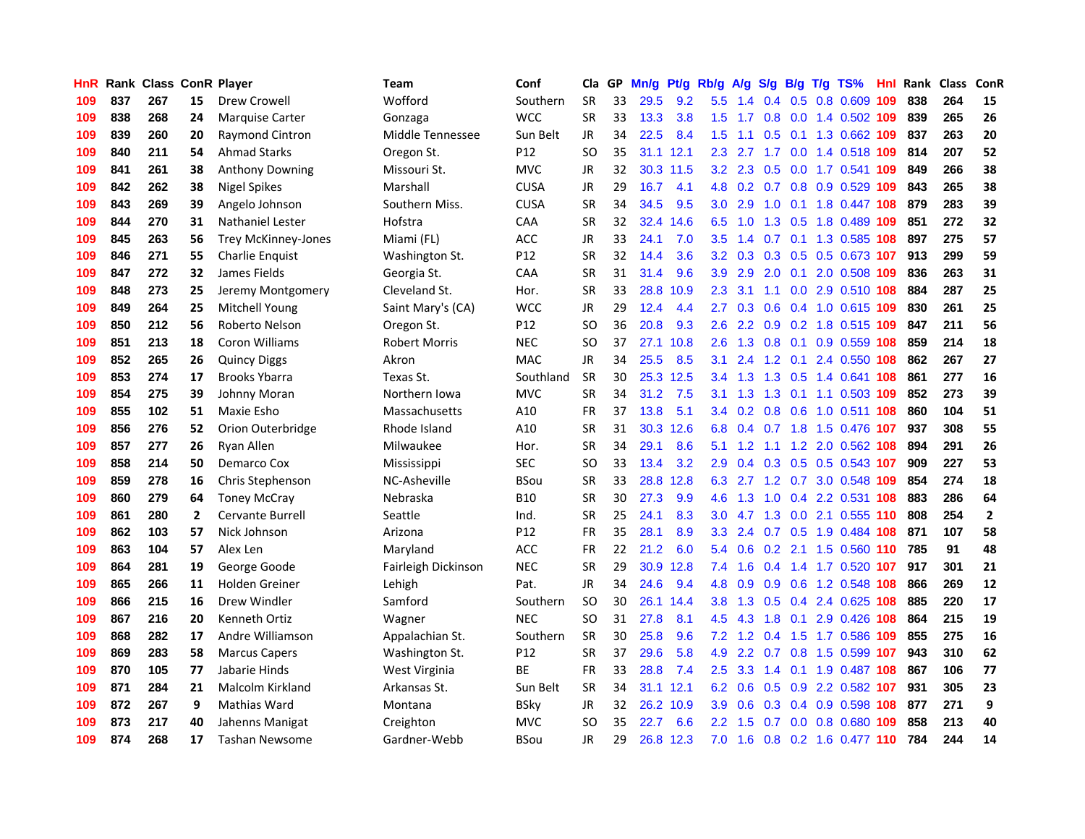| HnR. |     | Rank Class ConR Player |              |                        | Team                 | Conf        | Cla       |    | GP Mn/g | Pt/g      | Rb/g             | <b>A/g</b> | S/g                       |     | B/g T/g TS%                   | Hnl  |     | Rank Class | ConR                    |
|------|-----|------------------------|--------------|------------------------|----------------------|-------------|-----------|----|---------|-----------|------------------|------------|---------------------------|-----|-------------------------------|------|-----|------------|-------------------------|
| 109  | 837 | 267                    | 15           | Drew Crowell           | Wofford              | Southern    | <b>SR</b> | 33 | 29.5    | 9.2       | 5.5              | 1.4        | 0.4                       | 0.5 | 0.8 0.609                     | 109  | 838 | 264        | 15                      |
| 109  | 838 | 268                    | 24           | <b>Marquise Carter</b> | Gonzaga              | <b>WCC</b>  | <b>SR</b> | 33 | 13.3    | 3.8       | 1.5              | 1.7        | 0.8                       | 0.0 | 1.4 0.502 109                 |      | 839 | 265        | 26                      |
| 109  | 839 | 260                    | 20           | Raymond Cintron        | Middle Tennessee     | Sun Belt    | JR        | 34 | 22.5    | 8.4       | 1.5              | 1.1        | 0.5                       | 0.1 | 1.3 0.662 109                 |      | 837 | 263        | 20                      |
| 109  | 840 | 211                    | 54           | <b>Ahmad Starks</b>    | Oregon St.           | P12         | <b>SO</b> | 35 |         | 31.1 12.1 | 2.3              | 2.7        |                           |     | 1.7 0.0 1.4 0.518 109         |      | 814 | 207        | 52                      |
| 109  | 841 | 261                    | 38           | <b>Anthony Downing</b> | Missouri St.         | <b>MVC</b>  | JR        | 32 |         | 30.3 11.5 |                  |            |                           |     | 3.2 2.3 0.5 0.0 1.7 0.541 109 |      | 849 | 266        | 38                      |
| 109  | 842 | 262                    | 38           | <b>Nigel Spikes</b>    | Marshall             | <b>CUSA</b> | JR        | 29 | 16.7    | 4.1       |                  |            |                           |     | 4.8 0.2 0.7 0.8 0.9 0.529 109 |      | 843 | 265        | 38                      |
| 109  | 843 | 269                    | 39           | Angelo Johnson         | Southern Miss.       | <b>CUSA</b> | <b>SR</b> | 34 | 34.5    | 9.5       | 3.0 <sub>1</sub> | 2.9        | 1.0                       |     | 0.1 1.8 0.447 108             |      | 879 | 283        | 39                      |
| 109  | 844 | 270                    | 31           | Nathaniel Lester       | Hofstra              | CAA         | <b>SR</b> | 32 | 32.4    | 14.6      | 6.5              | 1.0        | 1.3                       |     | 0.5 1.8 0.489 109             |      | 851 | 272        | 32                      |
| 109  | 845 | 263                    | 56           | Trey McKinney-Jones    | Miami (FL)           | ACC         | JR        | 33 | 24.1    | 7.0       | 3.5              | 1.4        | 0.7                       | 0.1 | 1.3 0.585 108                 |      | 897 | 275        | 57                      |
| 109  | 846 | 271                    | 55           | <b>Charlie Enguist</b> | Washington St.       | P12         | <b>SR</b> | 32 | 14.4    | 3.6       | 3.2              | 0.3        | 0.3                       | 0.5 | 0.5 0.673 107                 |      | 913 | 299        | 59                      |
| 109  | 847 | 272                    | 32           | James Fields           | Georgia St.          | CAA         | <b>SR</b> | 31 | 31.4    | 9.6       | 3.9              | 2.9        | 2.0                       | 0.1 | 2.0 0.508                     | 109  | 836 | 263        | 31                      |
| 109  | 848 | 273                    | 25           | Jeremy Montgomery      | Cleveland St.        | Hor.        | <b>SR</b> | 33 | 28.8    | 10.9      | $2.3^{\circ}$    | 3.1        | 1.1                       |     | 0.0 2.9 0.510 108             |      | 884 | 287        | 25                      |
| 109  | 849 | 264                    | 25           | Mitchell Young         | Saint Mary's (CA)    | <b>WCC</b>  | JR        | 29 | 12.4    | 4.4       | 2.7              | 0.3        | 0.6                       |     | 0.4 1.0 0.615                 | 109  | 830 | 261        | 25                      |
| 109  | 850 | 212                    | 56           | Roberto Nelson         | Oregon St.           | P12         | SO        | 36 | 20.8    | 9.3       | 2.6              | 2.2        | 0.9                       |     | 0.2 1.8 0.515 109             |      | 847 | 211        | 56                      |
| 109  | 851 | 213                    | 18           | Coron Williams         | <b>Robert Morris</b> | <b>NEC</b>  | SO        | 37 | 27.1    | 10.8      | 2.6              | 1.3        | 0.8                       | 0.1 | 0.9 0.559 108                 |      | 859 | 214        | 18                      |
| 109  | 852 | 265                    | 26           | <b>Quincy Diggs</b>    | Akron                | <b>MAC</b>  | JR        | 34 | 25.5    | 8.5       | 3.1              | 2.4        | 1.2                       | 0.1 | 2.4 0.550 108                 |      | 862 | 267        | 27                      |
| 109  | 853 | 274                    | 17           | <b>Brooks Ybarra</b>   | Texas St.            | Southland   | <b>SR</b> | 30 | 25.3    | 12.5      | 3.4              | 1.3        | 1.3                       | 0.5 | 1.4 0.641 108                 |      | 861 | 277        | 16                      |
| 109  | 854 | 275                    | 39           | Johnny Moran           | Northern Iowa        | <b>MVC</b>  | SR        | 34 | 31.2    | 7.5       | 3.1              | 1.3        |                           |     | 1.3 0.1 1.1 0.503 109         |      | 852 | 273        | 39                      |
| 109  | 855 | 102                    | 51           | Maxie Esho             | Massachusetts        | A10         | <b>FR</b> | 37 | 13.8    | 5.1       |                  |            |                           |     | 3.4 0.2 0.8 0.6 1.0 0.511 108 |      | 860 | 104        | 51                      |
| 109  | 856 | 276                    | 52           | Orion Outerbridge      | Rhode Island         | A10         | SR        | 31 |         | 30.3 12.6 | 6.8              |            |                           |     | 0.4 0.7 1.8 1.5 0.476 107     |      | 937 | 308        | 55                      |
| 109  | 857 | 277                    | 26           | Ryan Allen             | Milwaukee            | Hor.        | <b>SR</b> | 34 | 29.1    | 8.6       | 5.1              | 1.2        |                           |     | 1.1 1.2 2.0 0.562 108         |      | 894 | 291        | 26                      |
| 109  | 858 | 214                    | 50           | Demarco Cox            | Mississippi          | <b>SEC</b>  | SO        | 33 | 13.4    | 3.2       | 2.9              | 0.4        |                           |     | 0.3 0.5 0.5 0.543 107         |      | 909 | 227        | 53                      |
| 109  | 859 | 278                    | 16           | Chris Stephenson       | NC-Asheville         | <b>BSou</b> | <b>SR</b> | 33 | 28.8    | 12.8      | 6.3              | 2.7        |                           |     | 1.2 0.7 3.0 0.548 109         |      | 854 | 274        | 18                      |
| 109  | 860 | 279                    | 64           | <b>Toney McCray</b>    | Nebraska             | B10         | SR        | 30 | 27.3    | 9.9       | 4.6              | 1.3        | 1.0                       |     | 0.4 2.2 0.531                 | 108  | 883 | 286        | 64                      |
| 109  | 861 | 280                    | $\mathbf{2}$ | Cervante Burrell       | Seattle              | Ind.        | <b>SR</b> | 25 | 24.1    | 8.3       | $3.0\,$          | 4.7        |                           |     | 1.3 0.0 2.1 0.555             | -110 | 808 | 254        | $\overline{\mathbf{2}}$ |
| 109  | 862 | 103                    | 57           | Nick Johnson           | Arizona              | P12         | <b>FR</b> | 35 | 28.1    | 8.9       | 3.3              | 2.4        | 0.7                       | 0.5 | 1.9 0.484                     | 108  | 871 | 107        | 58                      |
| 109  | 863 | 104                    | 57           | Alex Len               | Maryland             | ACC         | <b>FR</b> | 22 | 21.2    | 6.0       | 5.4              | 0.6        | 0.2                       |     | 2.1 1.5 0.560 110             |      | 785 | 91         | 48                      |
| 109  | 864 | 281                    | 19           | George Goode           | Fairleigh Dickinson  | <b>NEC</b>  | SR        | 29 | 30.9    | 12.8      | 7.4              | 1.6        | 0.4                       |     | 1.4 1.7 0.520 107             |      | 917 | 301        | 21                      |
| 109  | 865 | 266                    | 11           | Holden Greiner         | Lehigh               | Pat.        | <b>JR</b> | 34 | 24.6    | 9.4       | 4.8              | 0.9        | 0.9                       | 0.6 | 1.2 0.548 108                 |      | 866 | 269        | 12                      |
| 109  | 866 | 215                    | 16           | Drew Windler           | Samford              | Southern    | SO        | 30 | 26.1    | 14.4      | 3.8              | 1.3        | 0.5                       |     | 0.4 2.4 0.625                 | 108  | 885 | 220        | 17                      |
| 109  | 867 | 216                    | 20           | Kenneth Ortiz          | Wagner               | <b>NEC</b>  | <b>SO</b> | 31 | 27.8    | 8.1       | 4.5              | 4.3        | 1.8                       | 0.1 | 2.9 0.426 108                 |      | 864 | 215        | 19                      |
| 109  | 868 | 282                    | 17           | Andre Williamson       | Appalachian St.      | Southern    | <b>SR</b> | 30 | 25.8    | 9.6       | 7.2              |            | $1.2 \quad 0.4$           | 1.5 | 1.7 0.586 109                 |      | 855 | 275        | 16                      |
| 109  | 869 | 283                    | 58           | <b>Marcus Capers</b>   | Washington St.       | P12         | <b>SR</b> | 37 | 29.6    | 5.8       | 4.9              |            | $2.2 \quad 0.7 \quad 0.8$ |     | 1.5 0.599 107                 |      | 943 | 310        | 62                      |
| 109  | 870 | 105                    | 77           | Jabarie Hinds          | West Virginia        | <b>BE</b>   | <b>FR</b> | 33 | 28.8    | 7.4       | $2.5^{\circ}$    | 3.3        | 1.4                       |     | 0.1 1.9 0.487 108             |      | 867 | 106        | 77                      |
| 109  | 871 | 284                    | 21           | Malcolm Kirkland       | Arkansas St.         | Sun Belt    | <b>SR</b> | 34 |         | 31.1 12.1 | 6.2              | 0.6        | 0.5                       |     | 0.9 2.2 0.582 107             |      | 931 | 305        | 23                      |
| 109  | 872 | 267                    | 9            | Mathias Ward           | Montana              | BSky        | JR        | 32 |         | 26.2 10.9 | 3.9              | 0.6        | 0.3                       | 0.4 | 0.9 0.598                     | 108  | 877 | 271        | 9                       |
| 109  | 873 | 217                    | 40           | Jahenns Manigat        | Creighton            | <b>MVC</b>  | SO        | 35 | 22.7    | 6.6       | $2.2^{\circ}$    | 1.5        | 0.7                       | 0.0 | 0.8 0.680                     | 109  | 858 | 213        | 40                      |
| 109  | 874 | 268                    | 17           | Tashan Newsome         | Gardner-Webb         | BSou        | JR        | 29 | 26.8    | 12.3      | 7.0              | 1.6        | 0.8                       |     | 0.2 1.6 0.477 110             |      | 784 | 244        | 14                      |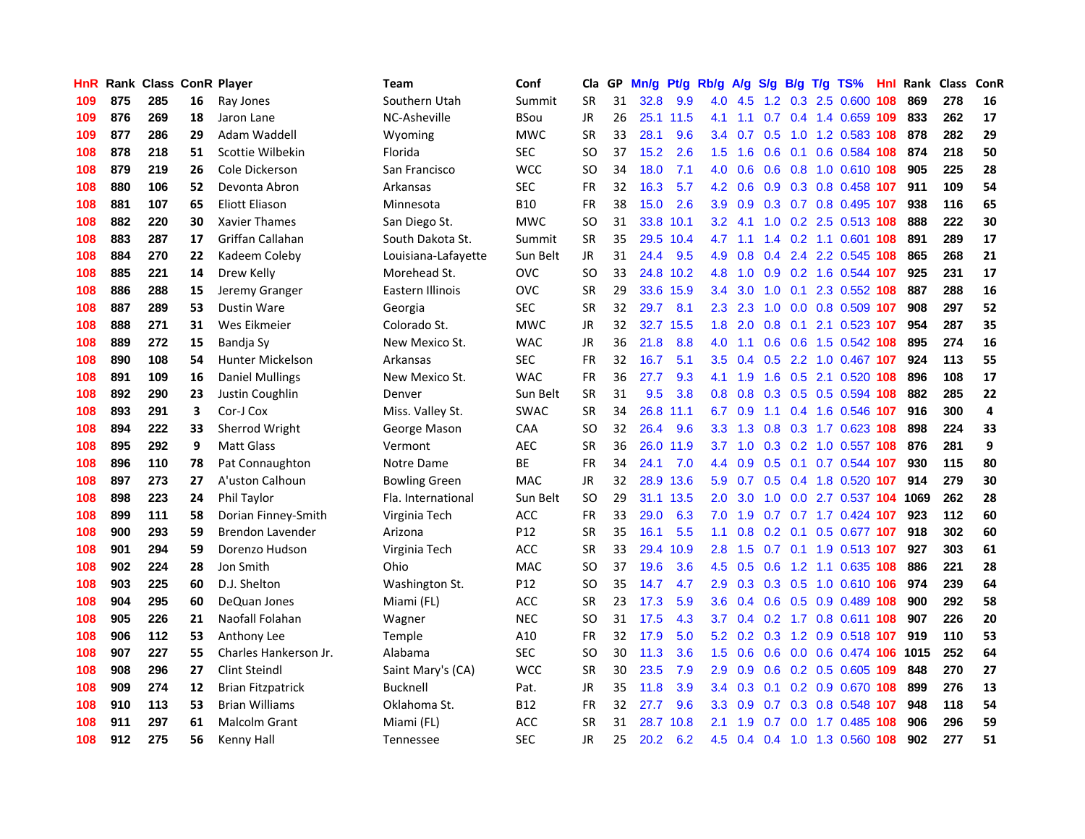| HnR. |     | <b>Rank Class ConR Player</b> |    |                          | Team                 | Conf        | Cla       | GP. | Mn/g | Pt/g      | Rb/g             | <b>A/g</b>     | S/g           |                 | B/g T/g TS%                        | Hnl | Rank Class |     | <b>ConR</b> |
|------|-----|-------------------------------|----|--------------------------|----------------------|-------------|-----------|-----|------|-----------|------------------|----------------|---------------|-----------------|------------------------------------|-----|------------|-----|-------------|
| 109  | 875 | 285                           | 16 | Ray Jones                | Southern Utah        | Summit      | SR        | 31  | 32.8 | 9.9       | 4.0              | 4.5            | $1.2^{\circ}$ | 0.3             | 2.5 0.600                          | 108 | 869        | 278 | 16          |
| 109  | 876 | 269                           | 18 | Jaron Lane               | NC-Asheville         | BSou        | <b>JR</b> | 26  |      | 25.1 11.5 | 4.1              | 1.1            | 0.7           |                 | 0.4 1.4 0.659 109                  |     | 833        | 262 | 17          |
| 109  | 877 | 286                           | 29 | Adam Waddell             | Wyoming              | <b>MWC</b>  | <b>SR</b> | 33  | 28.1 | 9.6       | 3.4              | 0.7            | 0.5           | 1.0             | 1.2 0.583 108                      |     | 878        | 282 | 29          |
| 108  | 878 | 218                           | 51 | Scottie Wilbekin         | Florida              | <b>SEC</b>  | <b>SO</b> | 37  | 15.2 | 2.6       | 1.5              | 1.6            | 0.6           | 0.1             | 0.6 0.584 108                      |     | 874        | 218 | 50          |
| 108  | 879 | 219                           | 26 | Cole Dickerson           | San Francisco        | <b>WCC</b>  | <b>SO</b> | 34  | 18.0 | 7.1       | 4.0              |                |               |                 | 0.6 0.6 0.8 1.0 0.610 108          |     | 905        | 225 | 28          |
| 108  | 880 | 106                           | 52 | Devonta Abron            | Arkansas             | <b>SEC</b>  | <b>FR</b> | 32  | 16.3 | 5.7       |                  | 4.2 0.6        |               |                 | 0.9 0.3 0.8 0.458 107              |     | 911        | 109 | 54          |
| 108  | 881 | 107                           | 65 | Eliott Eliason           | Minnesota            | <b>B10</b>  | FR        | 38  | 15.0 | 2.6       | 3.9 <sup>°</sup> | 0.9            |               |                 | 0.3 0.7 0.8 0.495 107              |     | 938        | 116 | 65          |
| 108  | 882 | 220                           | 30 | <b>Xavier Thames</b>     | San Diego St.        | <b>MWC</b>  | SO        | 31  | 33.8 | 10.1      | 3.2 <sub>1</sub> | 4.1            |               |                 | 1.0 0.2 2.5 0.513 108              |     | 888        | 222 | 30          |
| 108  | 883 | 287                           | 17 | Griffan Callahan         | South Dakota St.     | Summit      | SR        | 35  |      | 29.5 10.4 | 4.7              | 1.1            |               |                 | 1.4 0.2 1.1 0.601 108              |     | 891        | 289 | 17          |
| 108  | 884 | 270                           | 22 | Kadeem Coleby            | Louisiana-Lafayette  | Sun Belt    | JR        | 31  | 24.4 | 9.5       | 4.9              | 0.8            | 0.4           |                 | 2.4 2.2 0.545 108                  |     | 865        | 268 | 21          |
| 108  | 885 | 221                           | 14 | Drew Kelly               | Morehead St.         | <b>OVC</b>  | <b>SO</b> | 33  |      | 24.8 10.2 | 4.8              | 1.0            |               |                 | 0.9 0.2 1.6 0.544 107              |     | 925        | 231 | 17          |
| 108  | 886 | 288                           | 15 | Jeremy Granger           | Eastern Illinois     | OVC         | <b>SR</b> | 29  |      | 33.6 15.9 | $3.4^{\circ}$    | 3.0            | 1.0           | 0.1             | 2.3 0.552 108                      |     | 887        | 288 | 16          |
| 108  | 887 | 289                           | 53 | Dustin Ware              | Georgia              | <b>SEC</b>  | <b>SR</b> | 32  | 29.7 | 8.1       | $2.3^{\circ}$    | 2.3            | 1.0           |                 | $0.0$ 0.8 0.509 107                |     | 908        | 297 | 52          |
| 108  | 888 | 271                           | 31 | Wes Eikmeier             | Colorado St.         | <b>MWC</b>  | JR.       | 32  |      | 32.7 15.5 | 1.8              | 2.0            | 0.8           | 0.1             | 2.1 0.523                          | 107 | 954        | 287 | 35          |
| 108  | 889 | 272                           | 15 | Bandja Sy                | New Mexico St.       | <b>WAC</b>  | JR        | 36  | 21.8 | 8.8       | 4.0              | 1.1            | 0.6           | 0.6             | 1.5 0.542 108                      |     | 895        | 274 | 16          |
| 108  | 890 | 108                           | 54 | Hunter Mickelson         | Arkansas             | SEC         | <b>FR</b> | 32  | 16.7 | 5.1       | $3.5^{\circ}$    | 0.4            | 0.5           | 2.2             | 1.0 0.467 107                      |     | 924        | 113 | 55          |
| 108  | 891 | 109                           | 16 | Daniel Mullings          | New Mexico St.       | <b>WAC</b>  | FR        | 36  | 27.7 | 9.3       | 4.1              | 1.9            | 1.6           | 0.5             | 2.1 0.520 108                      |     | 896        | 108 | 17          |
| 108  | 892 | 290                           | 23 | Justin Coughlin          | Denver               | Sun Belt    | SR        | 31  | 9.5  | 3.8       | 0.8 <sub>0</sub> |                |               |                 | 0.8 0.3 0.5 0.5 0.594 108          |     | 882        | 285 | 22          |
| 108  | 893 | 291                           | 3  | Cor-J Cox                | Miss. Valley St.     | <b>SWAC</b> | <b>SR</b> | 34  |      | 26.8 11.1 |                  | 6.7 0.9        |               |                 | 1.1 0.4 1.6 0.546 107              |     | 916        | 300 | 4           |
| 108  | 894 | 222                           | 33 | Sherrod Wright           | George Mason         | CAA         | SO        | 32  | 26.4 | 9.6       | 3.3 <sub>2</sub> |                |               |                 | 1.3 0.8 0.3 1.7 0.623 108          |     | 898        | 224 | 33          |
| 108  | 895 | 292                           | 9  | <b>Matt Glass</b>        | Vermont              | <b>AEC</b>  | <b>SR</b> | 36  | 26.0 | 11.9      |                  |                |               |                 | 3.7 1.0 0.3 0.2 1.0 0.557 108      |     | 876        | 281 | 9           |
| 108  | 896 | 110                           | 78 | Pat Connaughton          | Notre Dame           | BE          | <b>FR</b> | 34  | 24.1 | 7.0       | 4.4              | 0.9            |               |                 | 0.5 0.1 0.7 0.544 107              |     | 930        | 115 | 80          |
| 108  | 897 | 273                           | 27 | A'uston Calhoun          | <b>Bowling Green</b> | MAC         | <b>JR</b> | 32  | 28.9 | 13.6      | 5.9              | 0.7            |               |                 | 0.5 0.4 1.8 0.520 107              |     | 914        | 279 | 30          |
| 108  | 898 | 223                           | 24 | Phil Taylor              | Fla. International   | Sun Belt    | <b>SO</b> | 29  |      | 31.1 13.5 | 2.0              | 3.0            | 1.0           |                 | 0.0 2.7 0.537 104 1069             |     |            | 262 | 28          |
| 108  | 899 | 111                           | 58 | Dorian Finney-Smith      | Virginia Tech        | <b>ACC</b>  | FR        | 33  | 29.0 | 6.3       | 7.0              | 1.9            | 0.7           |                 | 0.7 1.7 0.424 107                  |     | 923        | 112 | 60          |
| 108  | 900 | 293                           | 59 | <b>Brendon Lavender</b>  | Arizona              | P12         | <b>SR</b> | 35  | 16.1 | 5.5       | 1.1              | 0.8            |               | $0.2 \quad 0.1$ | 0.5 0.677 107                      |     | 918        | 302 | 60          |
| 108  | 901 | 294                           | 59 | Dorenzo Hudson           | Virginia Tech        | <b>ACC</b>  | <b>SR</b> | 33  | 29.4 | 10.9      | 2.8              | 1.5            | 0.7           |                 | 0.1 1.9 0.513 107                  |     | 927        | 303 | 61          |
| 108  | 902 | 224                           | 28 | Jon Smith                | Ohio                 | <b>MAC</b>  | SO        | 37  | 19.6 | 3.6       | 4.5              | 0.5            | 0.6           |                 | 1.2 1.1 0.635 108                  |     | 886        | 221 | 28          |
| 108  | 903 | 225                           | 60 | D.J. Shelton             | Washington St.       | P12         | SO        | 35  | 14.7 | 4.7       | 2.9              | 0.3            | 0.3           | 0.5             | 1.0 0.610 106                      |     | 974        | 239 | 64          |
| 108  | 904 | 295                           | 60 | DeQuan Jones             | Miami (FL)           | <b>ACC</b>  | <b>SR</b> | 23  | 17.3 | 5.9       | 3.6 <sup>°</sup> | 0.4            | 0.6           | 0.5             | 0.9 0.489 108                      |     | 900        | 292 | 58          |
| 108  | 905 | 226                           | 21 | Naofall Folahan          | Wagner               | <b>NEC</b>  | <b>SO</b> | 31  | 17.5 | 4.3       | 3.7              | 0.4            |               |                 | 0.2 1.7 0.8 0.611 108              |     | 907        | 226 | 20          |
| 108  | 906 | 112                           | 53 | Anthony Lee              | Temple               | A10         | <b>FR</b> | 32  | 17.9 | 5.0       |                  |                |               |                 | 5.2 0.2 0.3 1.2 0.9 0.518 107      |     | 919        | 110 | 53          |
| 108  | 907 | 227                           | 55 | Charles Hankerson Jr.    | Alabama              | <b>SEC</b>  | SO        | 30  | 11.3 | 3.6       |                  |                |               |                 | 1.5 0.6 0.6 0.0 0.6 0.474 106 1015 |     |            | 252 | 64          |
| 108  | 908 | 296                           | 27 | <b>Clint Steindl</b>     | Saint Mary's (CA)    | <b>WCC</b>  | <b>SR</b> | 30  | 23.5 | 7.9       | 2.9              | 0.9            | 0.6           |                 | 0.2 0.5 0.605 109                  |     | 848        | 270 | 27          |
| 108  | 909 | 274                           | 12 | <b>Brian Fitzpatrick</b> | <b>Bucknell</b>      | Pat.        | JR        | 35  | 11.8 | 3.9       |                  | $3.4\quad 0.3$ | 0.1           |                 | 0.2 0.9 0.670 108                  |     | 899        | 276 | 13          |
| 108  | 910 | 113                           | 53 | <b>Brian Williams</b>    | Oklahoma St.         | B12         | <b>FR</b> | 32  | 27.7 | 9.6       | 3.3              | 0.9            | 0.7           |                 | $0.3$ 0.8 0.548                    | 107 | 948        | 118 | 54          |
| 108  | 911 | 297                           | 61 | Malcolm Grant            | Miami (FL)           | ACC         | <b>SR</b> | 31  | 28.7 | 10.8      | 2.1              | 1.9            | 0.7           | 0.0             | 1.7 0.485                          | 108 | 906        | 296 | 59          |
| 108  | 912 | 275                           | 56 | Kenny Hall               | Tennessee            | <b>SEC</b>  | JR        | 25  | 20.2 | 6.2       | 4.5              |                |               |                 | 0.4 0.4 1.0 1.3 0.560 108          |     | 902        | 277 | 51          |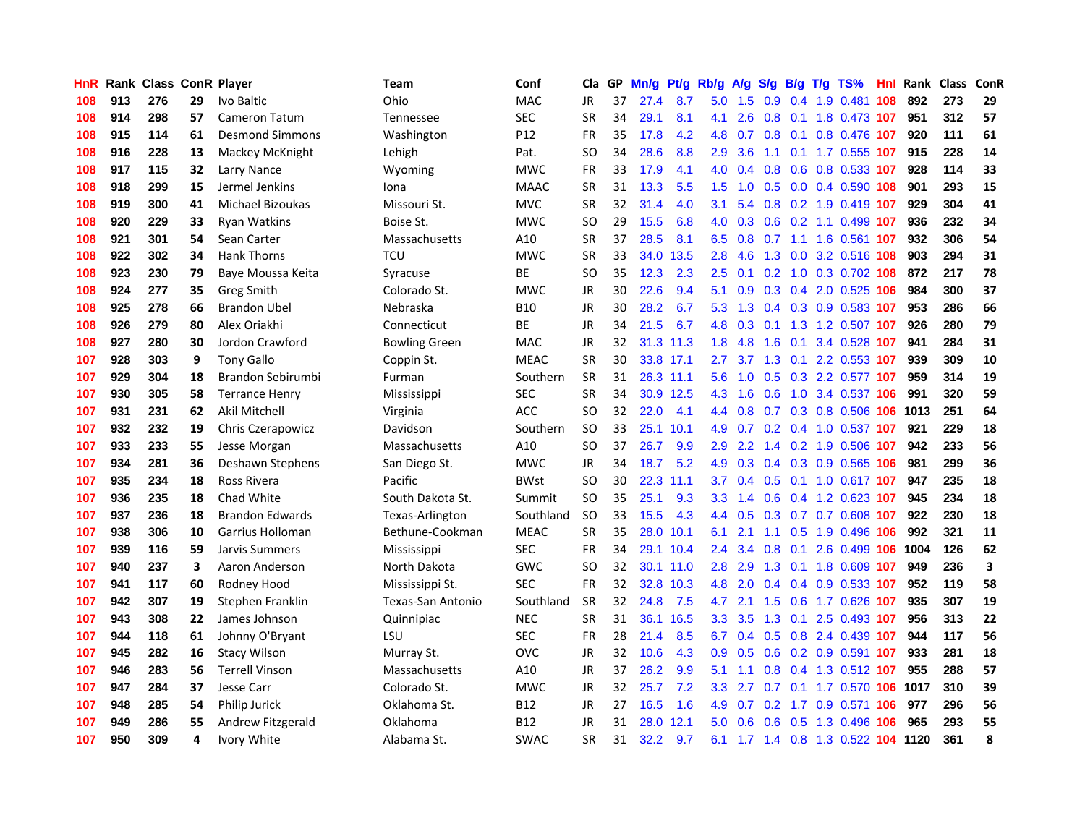| HnR. |     | <b>Rank Class ConR Player</b> |    |                        | Team                 | Conf        | Cla           |    | GP Mn/g | Pt/g      | Rb/g             | <b>A/g</b> |     |     | S/g B/g T/g TS%                            | Hnl | Rank Class |     | ConR                    |
|------|-----|-------------------------------|----|------------------------|----------------------|-------------|---------------|----|---------|-----------|------------------|------------|-----|-----|--------------------------------------------|-----|------------|-----|-------------------------|
| 108  | 913 | 276                           | 29 | Ivo Baltic             | Ohio                 | <b>MAC</b>  | JR            | 37 | 27.4    | 8.7       | 5.0              | 1.5        | 0.9 | 0.4 | 1.9 0.481                                  | 108 | 892        | 273 | 29                      |
| 108  | 914 | 298                           | 57 | <b>Cameron Tatum</b>   | Tennessee            | <b>SEC</b>  | <b>SR</b>     | 34 | 29.1    | 8.1       | 4.1              | 2.6        | 0.8 | 0.1 | 1.8 0.473 107                              |     | 951        | 312 | 57                      |
| 108  | 915 | 114                           | 61 | <b>Desmond Simmons</b> | Washington           | P12         | <b>FR</b>     | 35 | 17.8    | 4.2       | 4.8              | 0.7        | 0.8 | 0.1 | 0.8 0.476 107                              |     | 920        | 111 | 61                      |
| 108  | 916 | 228                           | 13 | Mackey McKnight        | Lehigh               | Pat.        | SO            | 34 | 28.6    | 8.8       | 2.9              | 3.6        |     |     | 1.1 0.1 1.7 0.555 107                      |     | 915        | 228 | 14                      |
| 108  | 917 | 115                           | 32 | Larry Nance            | Wyoming              | <b>MWC</b>  | FR            | 33 | 17.9    | 4.1       | 4.0              | 0.4        |     |     | 0.8 0.6 0.8 0.533 107                      |     | 928        | 114 | 33                      |
| 108  | 918 | 299                           | 15 | Jermel Jenkins         | Iona                 | <b>MAAC</b> | <b>SR</b>     | 31 | 13.3    | 5.5       | 1.5              | 1.0        |     |     | 0.5 0.0 0.4 0.590 108                      |     | 901        | 293 | 15                      |
| 108  | 919 | 300                           | 41 | Michael Bizoukas       | Missouri St.         | <b>MVC</b>  | SR            | 32 | 31.4    | 4.0       | 3.1              | 5.4        |     |     | 0.8 0.2 1.9 0.419 107                      |     | 929        | 304 | 41                      |
| 108  | 920 | 229                           | 33 | <b>Ryan Watkins</b>    | Boise St.            | <b>MWC</b>  | SO            | 29 | 15.5    | 6.8       | 4.0              | 0.3        |     |     | 0.6 0.2 1.1 0.499 107                      |     | 936        | 232 | 34                      |
| 108  | 921 | 301                           | 54 | Sean Carter            | Massachusetts        | A10         | <b>SR</b>     | 37 | 28.5    | 8.1       | 6.5              | 0.8        | 0.7 | 1.1 | 1.6 0.561                                  | 107 | 932        | 306 | 54                      |
| 108  | 922 | 302                           | 34 | <b>Hank Thorns</b>     | <b>TCU</b>           | <b>MWC</b>  | <b>SR</b>     | 33 | 34.0    | 13.5      | 2.8              | 4.6        | 1.3 |     | 0.0 3.2 0.516 108                          |     | 903        | 294 | 31                      |
| 108  | 923 | 230                           | 79 | Baye Moussa Keita      | Syracuse             | BE          | SO            | 35 | 12.3    | 2.3       | 2.5              | 0.1        | 0.2 |     | 1.0 0.3 0.702 108                          |     | 872        | 217 | 78                      |
| 108  | 924 | 277                           | 35 | Greg Smith             | Colorado St.         | <b>MWC</b>  | <b>JR</b>     | 30 | 22.6    | 9.4       | 5.1              | 0.9        | 0.3 | 0.4 | 2.0 0.525                                  | 106 | 984        | 300 | 37                      |
| 108  | 925 | 278                           | 66 | <b>Brandon Ubel</b>    | Nebraska             | <b>B10</b>  | JR            | 30 | 28.2    | 6.7       | 5.3              | 1.3        | 0.4 |     | $0.3$ 0.9 0.583                            | 107 | 953        | 286 | 66                      |
| 108  | 926 | 279                           | 80 | Alex Oriakhi           | Connecticut          | BE          | <b>JR</b>     | 34 | 21.5    | 6.7       | 4.8              | 0.3        | 0.1 | 1.3 | 1.2 0.507                                  | 107 | 926        | 280 | 79                      |
| 108  | 927 | 280                           | 30 | Jordon Crawford        | <b>Bowling Green</b> | <b>MAC</b>  | <b>JR</b>     | 32 |         | 31.3 11.3 | 1.8              | 4.8        | 1.6 | 0.1 | 3.4 0.528                                  | 107 | 941        | 284 | 31                      |
| 107  | 928 | 303                           | 9  | <b>Tony Gallo</b>      | Coppin St.           | <b>MEAC</b> | <b>SR</b>     | 30 |         | 33.8 17.1 | $2.7^{\circ}$    | 3.7        | 1.3 | 0.1 | 2.2 0.553 107                              |     | 939        | 309 | 10                      |
| 107  | 929 | 304                           | 18 | Brandon Sebirumbi      | Furman               | Southern    | <b>SR</b>     | 31 |         | 26.3 11.1 | 5.6              |            |     |     | 1.0 0.5 0.3 2.2 0.577 107                  |     | 959        | 314 | 19                      |
| 107  | 930 | 305                           | 58 | <b>Terrance Henry</b>  | Mississippi          | <b>SEC</b>  | <b>SR</b>     | 34 |         | 30.9 12.5 | 4.3              | 1.6        | 0.6 |     | 1.0 3.4 0.537 106                          |     | 991        | 320 | 59                      |
| 107  | 931 | 231                           | 62 | Akil Mitchell          | Virginia             | <b>ACC</b>  | <b>SO</b>     | 32 | 22.0    | 4.1       | 4.4              | 0.8        |     |     | 0.7 0.3 0.8 0.506 106                      |     | 1013       | 251 | 64                      |
| 107  | 932 | 232                           | 19 | Chris Czerapowicz      | Davidson             | Southern    | <b>SO</b>     | 33 |         | 25.1 10.1 | 4.9              |            |     |     | $0.7$ $0.2$ $0.4$ $1.0$ $0.537$ <b>107</b> |     | 921        | 229 | 18                      |
| 107  | 933 | 233                           | 55 | Jesse Morgan           | Massachusetts        | A10         | <b>SO</b>     | 37 | 26.7    | 9.9       | 2.9              | 2.2        |     |     | 1.4 0.2 1.9 0.506 107                      |     | 942        | 233 | 56                      |
| 107  | 934 | 281                           | 36 | Deshawn Stephens       | San Diego St.        | <b>MWC</b>  | JR            | 34 | 18.7    | 5.2       | 4.9              | 0.3        |     |     | 0.4 0.3 0.9 0.565 106                      |     | 981        | 299 | 36                      |
| 107  | 935 | 234                           | 18 | Ross Rivera            | Pacific              | <b>BWst</b> | <sub>SO</sub> | 30 | 22.3    | 11.1      | 3.7              | 0.4        |     |     | 0.5 0.1 1.0 0.617 107                      |     | 947        | 235 | 18                      |
| 107  | 936 | 235                           | 18 | Chad White             | South Dakota St.     | Summit      | SO            | 35 | 25.1    | 9.3       | 3.3              | 1.4        | 0.6 |     | 0.4 1.2 0.623 107                          |     | 945        | 234 | 18                      |
| 107  | 937 | 236                           | 18 | <b>Brandon Edwards</b> | Texas-Arlington      | Southland   | <b>SO</b>     | 33 | 15.5    | 4.3       | $4.4^{\circ}$    | 0.5        |     |     | 0.3 0.7 0.7 0.608 107                      |     | 922        | 230 | 18                      |
| 107  | 938 | 306                           | 10 | Garrius Holloman       | Bethune-Cookman      | <b>MEAC</b> | <b>SR</b>     | 35 | 28.0    | 10.1      | 6.1              | 2.1        | 1.1 | 0.5 | 1.9 0.496                                  | 106 | 992        | 321 | 11                      |
| 107  | 939 | 116                           | 59 | Jarvis Summers         | Mississippi          | <b>SEC</b>  | FR            | 34 |         | 29.1 10.4 | 2.4              | 3.4        | 0.8 | 0.1 | 2.6 0.499 106                              |     | 1004       | 126 | 62                      |
| 107  | 940 | 237                           | 3  | Aaron Anderson         | North Dakota         | <b>GWC</b>  | SO            | 32 |         | 30.1 11.0 | 2.8              | 2.9        | 1.3 | 0.1 | 1.8 0.609 107                              |     | 949        | 236 | $\overline{\mathbf{3}}$ |
| 107  | 941 | 117                           | 60 | Rodney Hood            | Mississippi St.      | <b>SEC</b>  | <b>FR</b>     | 32 |         | 32.8 10.3 | 4.8              | 2.0        | 0.4 | 0.4 | 0.9 0.533 107                              |     | 952        | 119 | 58                      |
| 107  | 942 | 307                           | 19 | Stephen Franklin       | Texas-San Antonio    | Southland   | <b>SR</b>     | 32 | 24.8    | 7.5       | 4.7              | 2.1        |     |     | 1.5 0.6 1.7 0.626 107                      |     | 935        | 307 | 19                      |
| 107  | 943 | 308                           | 22 | James Johnson          | Quinnipiac           | <b>NEC</b>  | SR            | 31 |         | 36.1 16.5 | 3.3 <sub>1</sub> | 3.5        |     |     | 1.3 0.1 2.5 0.493 107                      |     | 956        | 313 | 22                      |
| 107  | 944 | 118                           | 61 | Johnny O'Bryant        | LSU                  | <b>SEC</b>  | <b>FR</b>     | 28 | 21.4    | 8.5       | 6.7              | 0.4        |     |     | 0.5 0.8 2.4 0.439 107                      |     | 944        | 117 | 56                      |
| 107  | 945 | 282                           | 16 | <b>Stacy Wilson</b>    | Murray St.           | <b>OVC</b>  | <b>JR</b>     | 32 | 10.6    | 4.3       | 0.9              | 0.5        |     |     | 0.6 0.2 0.9 0.591 107                      |     | 933        | 281 | 18                      |
| 107  | 946 | 283                           | 56 | <b>Terrell Vinson</b>  | Massachusetts        | A10         | <b>JR</b>     | 37 | 26.2    | 9.9       | 5.1              |            | 0.8 |     | 0.4 1.3 0.512 107                          |     | 955        | 288 | 57                      |
| 107  | 947 | 284                           | 37 | Jesse Carr             | Colorado St.         | <b>MWC</b>  | <b>JR</b>     | 32 | 25.7    | 7.2       | 3.3 <sub>2</sub> | 2.7        | 0.7 | 0.1 | 1.7 0.570                                  | 106 | 1017       | 310 | 39                      |
| 107  | 948 | 285                           | 54 | <b>Philip Jurick</b>   | Oklahoma St.         | <b>B12</b>  | JR            | 27 | 16.5    | 1.6       | 4.9              | 0.7        | 0.2 | 1.7 | 0.9 0.571                                  | 106 | 977        | 296 | 56                      |
| 107  | 949 | 286                           | 55 | Andrew Fitzgerald      | Oklahoma             | <b>B12</b>  | <b>JR</b>     | 31 | 28.0    | 12.1      | 5.0              | 0.6        | 0.6 | 0.5 | 1.3 0.496                                  | 106 | 965        | 293 | 55                      |
| 107  | 950 | 309                           | 4  | Ivory White            | Alabama St.          | <b>SWAC</b> | <b>SR</b>     | 31 | 32.2    | 9.7       |                  |            |     |     | 6.1 1.7 1.4 0.8 1.3 0.522 104 1120         |     |            | 361 | 8                       |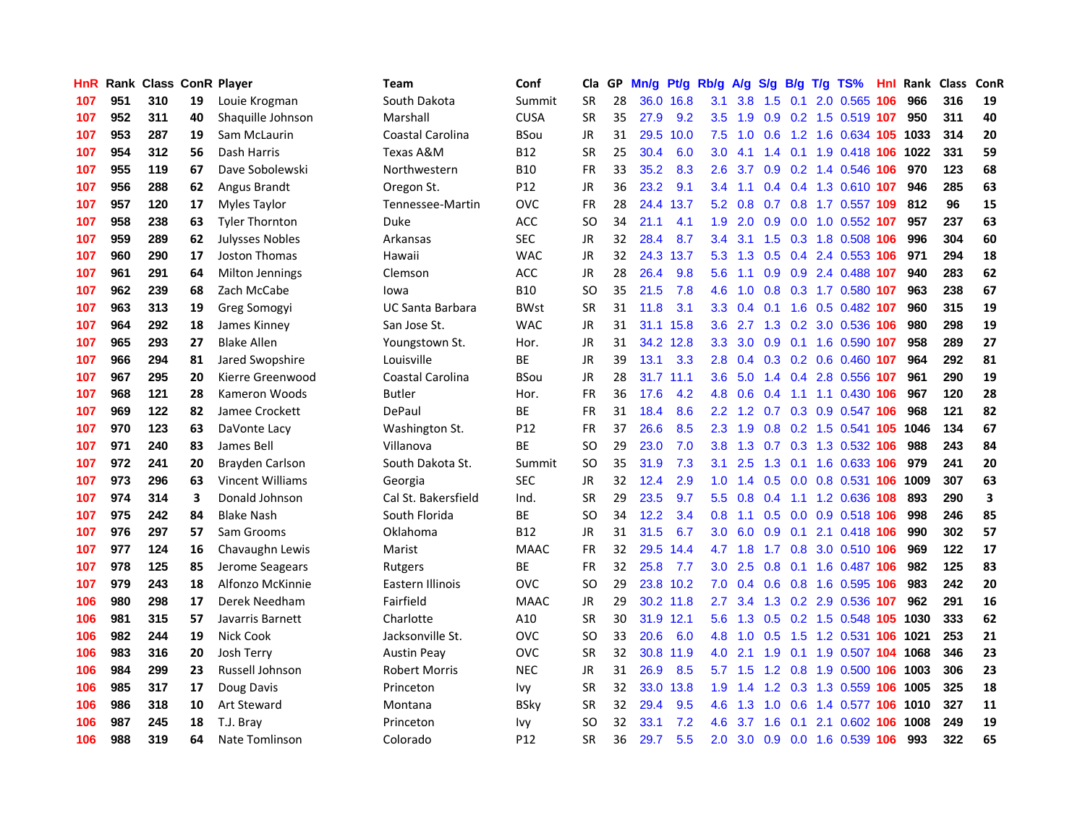| HnR |     | <b>Rank Class ConR Player</b> |    |                         | Team                    | Conf            | Cla           |    | GP Mn/g | Pt/g      | Rb/g             | <b>A/g</b>      | S/g |                 | B/g T/g TS%                    | Hnl | Rank Class |     | ConR                    |
|-----|-----|-------------------------------|----|-------------------------|-------------------------|-----------------|---------------|----|---------|-----------|------------------|-----------------|-----|-----------------|--------------------------------|-----|------------|-----|-------------------------|
| 107 | 951 | 310                           | 19 | Louie Krogman           | South Dakota            | Summit          | <b>SR</b>     | 28 |         | 36.0 16.8 | 3.1              | 3.8             | 1.5 | 0.1             | 2.0 0.565                      | 106 | 966        | 316 | 19                      |
| 107 | 952 | 311                           | 40 | Shaquille Johnson       | Marshall                | <b>CUSA</b>     | <b>SR</b>     | 35 | 27.9    | 9.2       | 3.5              | 1.9             | 0.9 | 0.2             | 1.5 0.519 107                  |     | 950        | 311 | 40                      |
| 107 | 953 | 287                           | 19 | Sam McLaurin            | Coastal Carolina        | <b>BSou</b>     | <b>JR</b>     | 31 | 29.5    | 10.0      | 7.5              | 1.0             | 0.6 | 1.2             | 1.6 0.634 105                  |     | 1033       | 314 | 20                      |
| 107 | 954 | 312                           | 56 | Dash Harris             | Texas A&M               | <b>B12</b>      | <b>SR</b>     | 25 | 30.4    | 6.0       | 3.0              | 4.1             |     | $1.4 \quad 0.1$ | 1.9 0.418 106                  |     | 1022       | 331 | 59                      |
| 107 | 955 | 119                           | 67 | Dave Sobolewski         | Northwestern            | <b>B10</b>      | <b>FR</b>     | 33 | 35.2    | 8.3       | $2.6^{\circ}$    | 3.7             |     |                 | 0.9 0.2 1.4 0.546 106          |     | 970        | 123 | 68                      |
| 107 | 956 | 288                           | 62 | Angus Brandt            | Oregon St.              | P <sub>12</sub> | JR            | 36 | 23.2    | 9.1       | $3.4^{\circ}$    | 1.1             |     |                 | 0.4 0.4 1.3 0.610 107          |     | 946        | 285 | 63                      |
| 107 | 957 | 120                           | 17 | Myles Taylor            | Tennessee-Martin        | <b>OVC</b>      | <b>FR</b>     | 28 |         | 24.4 13.7 | 5.2              | 0.8             |     |                 | 0.7 0.8 1.7 0.557 109          |     | 812        | 96  | 15                      |
| 107 | 958 | 238                           | 63 | <b>Tyler Thornton</b>   | Duke                    | <b>ACC</b>      | <sub>SO</sub> | 34 | 21.1    | 4.1       | 1.9              | 2.0             | 0.9 |                 | $0.0$ 1.0 0.552 107            |     | 957        | 237 | 63                      |
| 107 | 959 | 289                           | 62 | Julysses Nobles         | Arkansas                | <b>SEC</b>      | JR            | 32 | 28.4    | 8.7       | 3.4              | 3.1             | 1.5 |                 | 0.3 1.8 0.508                  | 106 | 996        | 304 | 60                      |
| 107 | 960 | 290                           | 17 | Joston Thomas           | Hawaii                  | <b>WAC</b>      | JR            | 32 |         | 24.3 13.7 | 5.3              | 1.3             | 0.5 |                 | 0.4 2.4 0.553 106              |     | 971        | 294 | 18                      |
| 107 | 961 | 291                           | 64 | <b>Milton Jennings</b>  | Clemson                 | ACC             | <b>JR</b>     | 28 | 26.4    | 9.8       | 5.6              | 1.1             | 0.9 |                 | 0.9 2.4 0.488                  | 107 | 940        | 283 | 62                      |
| 107 | 962 | 239                           | 68 | Zach McCabe             | lowa                    | <b>B10</b>      | <b>SO</b>     | 35 | 21.5    | 7.8       | 4.6              | 1.0             | 0.8 |                 | 0.3 1.7 0.580 107              |     | 963        | 238 | 67                      |
| 107 | 963 | 313                           | 19 | Greg Somogyi            | <b>UC Santa Barbara</b> | <b>BWst</b>     | <b>SR</b>     | 31 | 11.8    | 3.1       | 3.3              | 0.4             | 0.1 | 1.6             | 0.5 0.482 107                  |     | 960        | 315 | 19                      |
| 107 | 964 | 292                           | 18 | James Kinney            | San Jose St.            | <b>WAC</b>      | JR            | 31 |         | 31.1 15.8 | 3.6              | 2.7             | 1.3 | 0.2             | 3.0 0.536 106                  |     | 980        | 298 | 19                      |
| 107 | 965 | 293                           | 27 | <b>Blake Allen</b>      | Youngstown St.          | Hor.            | <b>JR</b>     | 31 |         | 34.2 12.8 | 3.3              | 3.0             | 0.9 |                 | 0.1 1.6 0.590 107              |     | 958        | 289 | 27                      |
| 107 | 966 | 294                           | 81 | Jared Swopshire         | Louisville              | <b>BE</b>       | <b>JR</b>     | 39 | 13.1    | 3.3       | 2.8              | 0.4             |     |                 | 0.3 0.2 0.6 0.460 107          |     | 964        | 292 | 81                      |
| 107 | 967 | 295                           | 20 | Kierre Greenwood        | Coastal Carolina        | <b>BSou</b>     | JR            | 28 |         | 31.7 11.1 | 3.6 <sup>°</sup> | 5.0             |     |                 | 1.4 0.4 2.8 0.556 107          |     | 961        | 290 | 19                      |
| 107 | 968 | 121                           | 28 | Kameron Woods           | <b>Butler</b>           | Hor.            | <b>FR</b>     | 36 | 17.6    | 4.2       | 4.8              | 0.6             | 0.4 |                 |                                |     | 967        | 120 | 28                      |
| 107 | 969 | 122                           | 82 | Jamee Crockett          | DePaul                  | ВE              | <b>FR</b>     | 31 | 18.4    | 8.6       | $2.2^{\circ}$    | 1.2             |     |                 | 0.7 0.3 0.9 0.547 106          |     | 968        | 121 | 82                      |
| 107 | 970 | 123                           | 63 | DaVonte Lacy            | Washington St.          | P12             | <b>FR</b>     | 37 | 26.6    | 8.5       |                  | $2.3 \quad 1.9$ |     |                 | 0.8 0.2 1.5 0.541 105          |     | 1046       | 134 | 67                      |
| 107 | 971 | 240                           | 83 | James Bell              | Villanova               | <b>BE</b>       | <b>SO</b>     | 29 | 23.0    | 7.0       | 3.8 <sup>°</sup> | 1.3             |     |                 | 0.7 0.3 1.3 0.532 106          |     | 988        | 243 | 84                      |
| 107 | 972 | 241                           | 20 | Brayden Carlson         | South Dakota St.        | Summit          | <b>SO</b>     | 35 | 31.9    | 7.3       | 3.1              | 2.5             | 1.3 |                 | 0.1 1.6 0.633 106              |     | 979        | 241 | 20                      |
| 107 | 973 | 296                           | 63 | <b>Vincent Williams</b> | Georgia                 | <b>SEC</b>      | <b>JR</b>     | 32 | 12.4    | 2.9       | 1.0              | 1.4             | 0.5 |                 | 0.0 0.8 0.531                  | 106 | 1009       | 307 | 63                      |
| 107 | 974 | 314                           | 3  | Donald Johnson          | Cal St. Bakersfield     | Ind.            | <b>SR</b>     | 29 | 23.5    | 9.7       | 5.5              | 0.8             | 0.4 | 1.1             | 1.2 0.636 108                  |     | 893        | 290 | $\overline{\mathbf{3}}$ |
| 107 | 975 | 242                           | 84 | <b>Blake Nash</b>       | South Florida           | ВE              | SO            | 34 | 12.2    | 3.4       | 0.8 <sub>0</sub> | 1.1             |     |                 | 0.5 0.0 0.9 0.518 106          |     | 998        | 246 | 85                      |
| 107 | 976 | 297                           | 57 | Sam Grooms              | Oklahoma                | <b>B12</b>      | <b>JR</b>     | 31 | 31.5    | 6.7       | 3.0              | 6.0             | 0.9 | 0.1             | 2.1 0.418 106                  |     | 990        | 302 | 57                      |
| 107 | 977 | 124                           | 16 | Chavaughn Lewis         | Marist                  | <b>MAAC</b>     | <b>FR</b>     | 32 | 29.5    | 14.4      | 4.7              | 1.8             | 1.7 | 0.8             | 3.0 0.510 106                  |     | 969        | 122 | 17                      |
| 107 | 978 | 125                           | 85 | Jerome Seagears         | Rutgers                 | <b>BE</b>       | <b>FR</b>     | 32 | 25.8    | 7.7       | 3.0              | 2.5             | 0.8 |                 | 0.1 1.6 0.487 106              |     | 982        | 125 | 83                      |
| 107 | 979 | 243                           | 18 | Alfonzo McKinnie        | Eastern Illinois        | <b>OVC</b>      | SO            | 29 |         | 23.8 10.2 | 7.0              | 0.4             | 0.6 | 0.8             | 1.6 0.595                      | 106 | 983        | 242 | 20                      |
| 106 | 980 | 298                           | 17 | Derek Needham           | Fairfield               | <b>MAAC</b>     | JR            | 29 |         | 30.2 11.8 | $2.7^{\circ}$    | 3.4             |     |                 | 1.3 0.2 2.9 0.536 107          |     | 962        | 291 | 16                      |
| 106 | 981 | 315                           | 57 | Javarris Barnett        | Charlotte               | A10             | <b>SR</b>     | 30 |         | 31.9 12.1 | 5.6              |                 |     |                 | 1.3 0.5 0.2 1.5 0.548 105      |     | 1030       | 333 | 62                      |
| 106 | 982 | 244                           | 19 | Nick Cook               | Jacksonville St.        | <b>OVC</b>      | <b>SO</b>     | 33 | 20.6    | 6.0       | 4.8              |                 |     |                 | 1.0 0.5 1.5 1.2 0.531 106 1021 |     |            | 253 | 21                      |
| 106 | 983 | 316                           | 20 | Josh Terry              | <b>Austin Peay</b>      | <b>OVC</b>      | <b>SR</b>     | 32 |         | 30.8 11.9 | 4.0              | 2.1             | 1.9 |                 | 0.1 1.9 0.507 104 1068         |     |            | 346 | 23                      |
| 106 | 984 | 299                           | 23 | Russell Johnson         | <b>Robert Morris</b>    | <b>NEC</b>      | <b>JR</b>     | 31 | 26.9    | 8.5       | 5.7              | 1.5             | 1.2 | 0.8             | 1.9 0.500 106                  |     | 1003       | 306 | 23                      |
| 106 | 985 | 317                           | 17 | Doug Davis              | Princeton               | Ivy             | <b>SR</b>     | 32 |         | 33.0 13.8 | 1.9              | 1.4             | 1.2 |                 | 0.3 1.3 0.559 106              |     | 1005       | 325 | 18                      |
| 106 | 986 | 318                           | 10 | <b>Art Steward</b>      | Montana                 | <b>BSky</b>     | <b>SR</b>     | 32 | 29.4    | 9.5       | 4.6              | 1.3             | 1.0 | 0.6             | 1.4 0.577 106                  |     | 1010       | 327 | 11                      |
| 106 | 987 | 245                           | 18 | T.J. Bray               | Princeton               | Ivy             | SO            | 32 | 33.1    | 7.2       | 4.6              | 3.7             | 1.6 | 0.1             | 2.1 0.602                      | 106 | 1008       | 249 | 19                      |
| 106 | 988 | 319                           | 64 | Nate Tomlinson          | Colorado                | P12             | <b>SR</b>     | 36 | 29.7    | 5.5       | 2.0              |                 |     |                 | 3.0 0.9 0.0 1.6 0.539 106      |     | 993        | 322 | 65                      |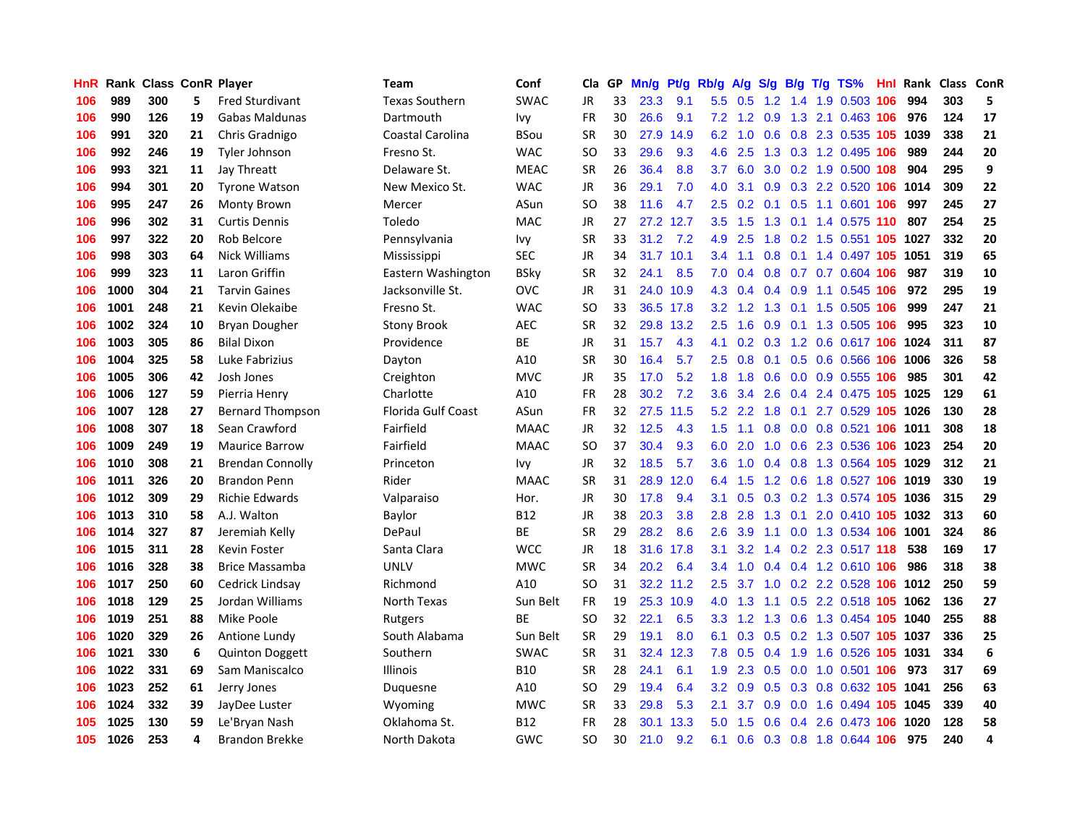| <b>HnR</b> |      |     |    | Rank Class ConR Player  | Team                  | Conf        | Cla       |    | GP Mn/g | Pt/g      | Rb/g             | <b>A/g</b> | S/g |                 | B/g T/g TS%                    | Hnl | Rank Class ConR |     |    |
|------------|------|-----|----|-------------------------|-----------------------|-------------|-----------|----|---------|-----------|------------------|------------|-----|-----------------|--------------------------------|-----|-----------------|-----|----|
| 106        | 989  | 300 | 5. | <b>Fred Sturdivant</b>  | <b>Texas Southern</b> | <b>SWAC</b> | JR.       | 33 | 23.3    | 9.1       | 5.5              | 0.5        | 1.2 | 1.4             | 1.9 0.503                      | 106 | 994             | 303 | 5  |
| 106        | 990  | 126 | 19 | Gabas Maldunas          | Dartmouth             | Ivy         | <b>FR</b> | 30 | 26.6    | 9.1       | 7.2              | 1.2        | 0.9 | 1.3             | 2.1 0.463 106                  |     | 976             | 124 | 17 |
| 106        | 991  | 320 | 21 | Chris Gradnigo          | Coastal Carolina      | BSou        | <b>SR</b> | 30 | 27.9    | 14.9      | 6.2              | 1.0        | 0.6 |                 | 0.8 2.3 0.535 105              |     | 1039            | 338 | 21 |
| 106        | 992  | 246 | 19 | Tyler Johnson           | Fresno St.            | <b>WAC</b>  | <b>SO</b> | 33 | 29.6    | 9.3       | 4.6              | 2.5        |     |                 | 1.3 0.3 1.2 0.495 106          |     | 989             | 244 | 20 |
| 106        | 993  | 321 | 11 | Jay Threatt             | Delaware St.          | <b>MEAC</b> | <b>SR</b> | 26 | 36.4    | 8.8       | 3.7              |            |     |                 | 6.0 3.0 0.2 1.9 0.500 108      |     | 904             | 295 | 9  |
| 106        | 994  | 301 | 20 | <b>Tyrone Watson</b>    | New Mexico St.        | <b>WAC</b>  | JR        | 36 | 29.1    | 7.0       | 4.0              | 3.1        |     |                 | 0.9 0.3 2.2 0.520 106          |     | 1014            | 309 | 22 |
| 106        | 995  | 247 | 26 | Monty Brown             | Mercer                | ASun        | SO        | 38 | 11.6    | 4.7       | $2.5^{\circ}$    |            |     |                 | 0.2 0.1 0.5 1.1 0.601 106      |     | 997             | 245 | 27 |
| 106        | 996  | 302 | 31 | <b>Curtis Dennis</b>    | Toledo                | <b>MAC</b>  | JR        | 27 |         | 27.2 12.7 | 3.5              | 1.5        | 1.3 |                 | 0.1 1.4 0.575 110              |     | 807             | 254 | 25 |
| 106        | 997  | 322 | 20 | Rob Belcore             | Pennsylvania          | lvy         | <b>SR</b> | 33 | 31.2    | 7.2       | 4.9              | 2.5        | 1.8 |                 | $0.2$ 1.5 $0.551$              | 105 | 1027            | 332 | 20 |
| 106        | 998  | 303 | 64 | <b>Nick Williams</b>    | Mississippi           | <b>SEC</b>  | JR.       | 34 |         | 31.7 10.1 | 3.4              | 1.1        | 0.8 |                 | 0.1 1.4 0.497 105              |     | 1051            | 319 | 65 |
| 106        | 999  | 323 | 11 | Laron Griffin           | Eastern Washington    | <b>BSky</b> | <b>SR</b> | 32 | 24.1    | 8.5       | 7.0              | 0.4        | 0.8 |                 | 0.7 0.7 0.604 106              |     | 987             | 319 | 10 |
| 106        | 1000 | 304 | 21 | <b>Tarvin Gaines</b>    | Jacksonville St.      | OVC         | JR        | 31 |         | 24.0 10.9 | 4.3              | 0.4        |     | $0.4 \quad 0.9$ | 1.1 0.545                      | 106 | 972             | 295 | 19 |
| 106        | 1001 | 248 | 21 | Kevin Olekaibe          | Fresno St.            | WAC         | SO        | 33 | 36.5    | 17.8      | 3.2              | 1.2        | 1.3 | 0.1             | 1.5 0.505                      | 106 | 999             | 247 | 21 |
| 106        | 1002 | 324 | 10 | Bryan Dougher           | Stony Brook           | AEC         | SR        | 32 |         | 29.8 13.2 | 2.5              | 1.6        | 0.9 |                 | 0.1 1.3 0.505 106              |     | 995             | 323 | 10 |
| 106        | 1003 | 305 | 86 | <b>Bilal Dixon</b>      | Providence            | <b>BE</b>   | <b>JR</b> | 31 | 15.7    | 4.3       | 4.1              | 0.2        | 0.3 | 1.2             | 0.6 0.617 106                  |     | 1024            | 311 | 87 |
| 106        | 1004 | 325 | 58 | Luke Fabrizius          | Dayton                | A10         | <b>SR</b> | 30 | 16.4    | 5.7       | 2.5              | 0.8        | 0.1 |                 | 0.5 0.6 0.566 106              |     | 1006            | 326 | 58 |
| 106        | 1005 | 306 | 42 | Josh Jones              | Creighton             | <b>MVC</b>  | JR        | 35 | 17.0    | 5.2       | 1.8              | 1.8        |     |                 | 0.6 0.0 0.9 0.555 106          |     | 985             | 301 | 42 |
| 106        | 1006 | 127 | 59 | Pierria Henry           | Charlotte             | A10         | FR        | 28 | 30.2    | 7.2       | 3.6 <sup>2</sup> | 3.4        | 2.6 |                 | 0.4 2.4 0.475 105 1025         |     |                 | 129 | 61 |
| 106        | 1007 | 128 | 27 | <b>Bernard Thompson</b> | Florida Gulf Coast    | ASun        | FR        | 32 | 27.5    | 11.5      |                  | $5.2$ 2.2  |     |                 | 1.8 0.1 2.7 0.529 105          |     | 1026            | 130 | 28 |
| 106        | 1008 | 307 | 18 | Sean Crawford           | Fairfield             | <b>MAAC</b> | JR        | 32 | 12.5    | 4.3       | 1.5              | 1.1        |     |                 | 0.8 0.0 0.8 0.521 106          |     | 1011            | 308 | 18 |
| 106        | 1009 | 249 | 19 | <b>Maurice Barrow</b>   | Fairfield             | <b>MAAC</b> | SO        | 37 | 30.4    | 9.3       | 6.0              | 2.0        | 1.0 |                 | 0.6 2.3 0.536 106              |     | 1023            | 254 | 20 |
| 106        | 1010 | 308 | 21 | <b>Brendan Connolly</b> | Princeton             | lvy         | JR        | 32 | 18.5    | 5.7       | 3.6              | 1.0        | 0.4 |                 | 0.8 1.3 0.564 105              |     | 1029            | 312 | 21 |
| 106        | 1011 | 326 | 20 | <b>Brandon Penn</b>     | Rider                 | <b>MAAC</b> | <b>SR</b> | 31 | 28.9    | 12.0      | 6.4              | 1.5        |     |                 | 1.2 0.6 1.8 0.527 106          |     | 1019            | 330 | 19 |
| 106        | 1012 | 309 | 29 | Richie Edwards          | Valparaiso            | Hor.        | JR        | 30 | 17.8    | 9.4       | 3.1              | 0.5        |     |                 | 0.3 0.2 1.3 0.574 105          |     | 1036            | 315 | 29 |
| 106        | 1013 | 310 | 58 | A.J. Walton             | Baylor                | B12         | JR.       | 38 | 20.3    | 3.8       | 2.8 <sup>°</sup> | 2.8        | 1.3 | 0.1             | 2.0 0.410 105                  |     | 1032            | 313 | 60 |
| 106        | 1014 | 327 | 87 | Jeremiah Kelly          | DePaul                | <b>BE</b>   | <b>SR</b> | 29 | 28.2    | 8.6       | 2.6              | 3.9        | 1.1 |                 | 0.0 1.3 0.534 106              |     | 1001            | 324 | 86 |
| 106        | 1015 | 311 | 28 | <b>Kevin Foster</b>     | Santa Clara           | <b>WCC</b>  | <b>JR</b> | 18 | 31.6    | 17.8      | 3.1              | 3.2        |     |                 | 1.4 0.2 2.3 0.517 118          |     | 538             | 169 | 17 |
| 106        | 1016 | 328 | 38 | <b>Brice Massamba</b>   | <b>UNLV</b>           | <b>MWC</b>  | SR        | 34 | 20.2    | 6.4       | 3.4              | 1.0        | 0.4 |                 | 0.4 1.2 0.610 106              |     | 986             | 318 | 38 |
| 106        | 1017 | 250 | 60 | Cedrick Lindsay         | Richmond              | A10         | <b>SO</b> | 31 |         | 32.2 11.2 | $2.5^{\circ}$    | 3.7        | 1.0 |                 | 0.2 2.2 0.528 106              |     | 1012            | 250 | 59 |
| 106        | 1018 | 129 | 25 | Jordan Williams         | North Texas           | Sun Belt    | <b>FR</b> | 19 |         | 25.3 10.9 | 4.0              | 1.3        |     |                 | 1.1 0.5 2.2 0.518 105 1062     |     |                 | 136 | 27 |
| 106        | 1019 | 251 | 88 | Mike Poole              | Rutgers               | ВE          | SO        | 32 | 22.1    | 6.5       | 3.3 <sub>2</sub> |            |     |                 | 1.2 1.3 0.6 1.3 0.454 105 1040 |     |                 | 255 | 88 |
| 106        | 1020 | 329 | 26 | Antione Lundy           | South Alabama         | Sun Belt    | <b>SR</b> | 29 | 19.1    | 8.0       | 6.1              |            |     |                 | 0.3 0.5 0.2 1.3 0.507 105 1037 |     |                 | 336 | 25 |
| 106        | 1021 | 330 | 6  | <b>Quinton Doggett</b>  | Southern              | <b>SWAC</b> | <b>SR</b> | 31 |         | 32.4 12.3 | 7.8              | 0.5        |     | $0.4$ 1.9       | 1.6 0.526 105                  |     | 1031            | 334 | 6  |
| 106        | 1022 | 331 | 69 | Sam Maniscalco          | Illinois              | B10         | <b>SR</b> | 28 | 24.1    | 6.1       | 1.9              | 2.3        | 0.5 |                 | 0.0 1.0 0.501 106              |     | 973             | 317 | 69 |
| 106        | 1023 | 252 | 61 | Jerry Jones             | Duguesne              | A10         | SO        | 29 | 19.4    | 6.4       | 3.2 <sub>2</sub> | 0.9        | 0.5 | 0.3             | 0.8 0.632                      | 105 | 1041            | 256 | 63 |
| 106        | 1024 | 332 | 39 | JayDee Luster           | Wyoming               | <b>MWC</b>  | SR        | 33 | 29.8    | 5.3       | 2.1              | 3.7        | 0.9 | 0.0             | 1.6 0.494 105                  |     | 1045            | 339 | 40 |
| 105        | 1025 | 130 | 59 | Le'Bryan Nash           | Oklahoma St.          | B12         | <b>FR</b> | 28 | 30.1    | 13.3      | 5.0              | 1.5        | 0.6 | 0.4             | 2.6 0.473                      | 106 | 1020            | 128 | 58 |
| 105        | 1026 | 253 | 4  | <b>Brandon Brekke</b>   | North Dakota          | GWC         | SΟ        | 30 | 21.0    | 9.2       |                  |            |     |                 | 6.1 0.6 0.3 0.8 1.8 0.644 106  |     | 975             | 240 | 4  |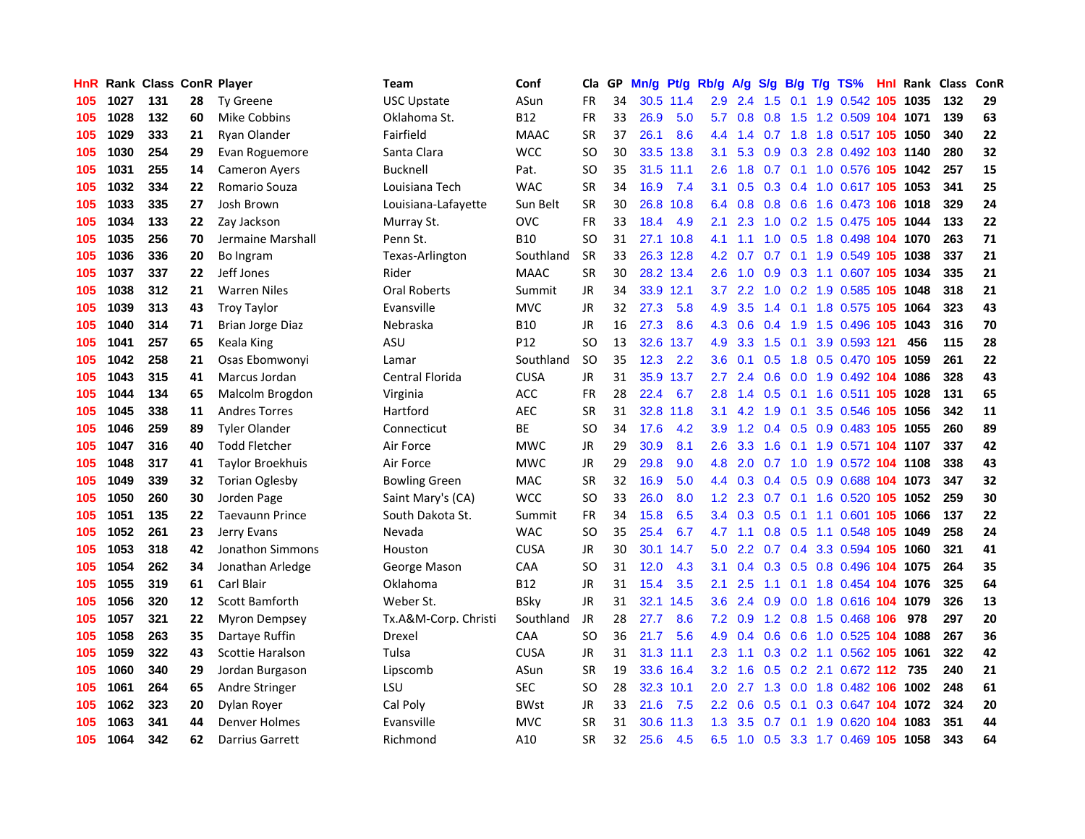| HnR. |      | Rank Class ConR Player |    |                         | Team                 | Conf        | Cla           |    | GP Mn/g | Pt/g      | Rb/g             | <b>A/g</b>    | S/g           |                 | B/g T/g TS%                    | Hnl | Rank Class |     | ConR |
|------|------|------------------------|----|-------------------------|----------------------|-------------|---------------|----|---------|-----------|------------------|---------------|---------------|-----------------|--------------------------------|-----|------------|-----|------|
| 105  | 1027 | 131                    | 28 | <b>Ty Greene</b>        | <b>USC Upstate</b>   | ASun        | FR            | 34 |         | 30.5 11.4 | 2.9              | 2.4           | 1.5           | 0.1             | 1.9 0.542                      | 105 | 1035       | 132 | 29   |
| 105  | 1028 | 132                    | 60 | Mike Cobbins            | Oklahoma St.         | B12         | <b>FR</b>     | 33 | 26.9    | 5.0       | 5.7              | 0.8           | 0.8           | 1.5             | 1.2 0.509 104 1071             |     |            | 139 | 63   |
| 105  | 1029 | 333                    | 21 | <b>Ryan Olander</b>     | Fairfield            | <b>MAAC</b> | <b>SR</b>     | 37 | 26.1    | 8.6       | 4.4              | 1.4           | 0.7           | 1.8             | 1.8 0.517 105 1050             |     |            | 340 | 22   |
| 105  | 1030 | 254                    | 29 | Evan Roguemore          | Santa Clara          | <b>WCC</b>  | SO            | 30 |         | 33.5 13.8 | 3.1              |               |               |                 | 5.3 0.9 0.3 2.8 0.492 103 1140 |     |            | 280 | 32   |
| 105  | 1031 | 255                    | 14 | <b>Cameron Ayers</b>    | <b>Bucknell</b>      | Pat.        | SO            | 35 |         | 31.5 11.1 | $2.6\,$          |               |               |                 | 1.8 0.7 0.1 1.0 0.576 105 1042 |     |            | 257 | 15   |
| 105  | 1032 | 334                    | 22 | Romario Souza           | Louisiana Tech       | WAC         | <b>SR</b>     | 34 | 16.9    | 7.4       | 3.1              |               |               |                 | 0.5 0.3 0.4 1.0 0.617 105 1053 |     |            | 341 | 25   |
| 105  | 1033 | 335                    | 27 | Josh Brown              | Louisiana-Lafayette  | Sun Belt    | <b>SR</b>     | 30 |         | 26.8 10.8 | 6.4              | 0.8           |               |                 | 0.8 0.6 1.6 0.473 106          |     | 1018       | 329 | 24   |
| 105  | 1034 | 133                    | 22 | Zay Jackson             | Murray St.           | <b>OVC</b>  | FR            | 33 | 18.4    | 4.9       | 2.1              | 2.3           | 1.0           |                 | 0.2 1.5 0.475 105 1044         |     |            | 133 | 22   |
| 105  | 1035 | 256                    | 70 | Jermaine Marshall       | Penn St.             | B10         | SO            | 31 | 27.1    | 10.8      | 4.1              | 1.1           | 1.0           |                 | 0.5 1.8 0.498 104 1070         |     |            | 263 | 71   |
| 105  | 1036 | 336                    | 20 | Bo Ingram               | Texas-Arlington      | Southland   | <b>SR</b>     | 33 |         | 26.3 12.8 | 4.2              | 0.7           | 0.7           |                 | $0.1$ 1.9 $0.549$ 105          |     | 1038       | 337 | 21   |
| 105  | 1037 | 337                    | 22 | Jeff Jones              | Rider                | <b>MAAC</b> | SR            | 30 |         | 28.2 13.4 | $2.6^{\circ}$    | 1.0           | 0.9           |                 | 0.3 1.1 0.607 105              |     | 1034       | 335 | 21   |
| 105  | 1038 | 312                    | 21 | <b>Warren Niles</b>     | <b>Oral Roberts</b>  | Summit      | JR            | 34 |         | 33.9 12.1 | 3.7              | 2.2           |               |                 | 1.0 0.2 1.9 0.585 105          |     | 1048       | 318 | 21   |
| 105  | 1039 | 313                    | 43 | <b>Troy Taylor</b>      | Evansville           | <b>MVC</b>  | JR            | 32 | 27.3    | 5.8       | 4.9              | 3.5           | 1.4           | 0.1             | 1.8 0.575 105                  |     | 1064       | 323 | 43   |
| 105  | 1040 | 314                    | 71 | Brian Jorge Diaz        | Nebraska             | <b>B10</b>  | <b>JR</b>     | 16 | 27.3    | 8.6       | 4.3              | 0.6           | 0.4           | 1.9             | 1.5 0.496 105                  |     | 1043       | 316 | 70   |
| 105  | 1041 | 257                    | 65 | Keala King              | <b>ASU</b>           | P12         | SO            | 13 | 32.6    | 13.7      | 4.9              | 3.3           | 1.5           | 0.1             | 3.9 0.593 121                  |     | 456        | 115 | 28   |
| 105  | 1042 | 258                    | 21 | Osas Ebomwonyi          | Lamar                | Southland   | <sub>SO</sub> | 35 | 12.3    | 2.2       | 3.6              | 0.1           | 0.5           | 1.8             | 0.5 0.470 105 1059             |     |            | 261 | 22   |
| 105  | 1043 | 315                    | 41 | Marcus Jordan           | Central Florida      | <b>CUSA</b> | JR.           | 31 | 35.9    | 13.7      | 2.7              | 2.4           | 0.6           |                 | 0.0 1.9 0.492 104 1086         |     |            | 328 | 43   |
| 105  | 1044 | 134                    | 65 | Malcolm Brogdon         | Virginia             | <b>ACC</b>  | FR            | 28 | 22.4    | 6.7       | 2.8              |               | $1.4$ 0.5 0.1 |                 | 1.6 0.511 105 1028             |     |            | 131 | 65   |
| 105  | 1045 | 338                    | 11 | <b>Andres Torres</b>    | Hartford             | <b>AEC</b>  | <b>SR</b>     | 31 |         | 32.8 11.8 | 3.1              | 4.2           |               |                 | 1.9 0.1 3.5 0.546 105 1056     |     |            | 342 | 11   |
| 105  | 1046 | 259                    | 89 | <b>Tyler Olander</b>    | Connecticut          | <b>BE</b>   | SO            | 34 | 17.6    | 4.2       | 3.9 <sup>°</sup> |               |               |                 | 1.2 0.4 0.5 0.9 0.483 105      |     | 1055       | 260 | 89   |
| 105  | 1047 | 316                    | 40 | <b>Todd Fletcher</b>    | Air Force            | <b>MWC</b>  | JR            | 29 | 30.9    | 8.1       | $2.6\,$          | 3.3           | 1.6           |                 | 0.1 1.9 0.571 104 1107         |     |            | 337 | 42   |
| 105  | 1048 | 317                    | 41 | <b>Taylor Broekhuis</b> | Air Force            | <b>MWC</b>  | JR            | 29 | 29.8    | 9.0       | 4.8              | 2.0           |               |                 | 0.7 1.0 1.9 0.572 104 1108     |     |            | 338 | 43   |
| 105  | 1049 | 339                    | 32 | <b>Torian Oglesby</b>   | <b>Bowling Green</b> | <b>MAC</b>  | <b>SR</b>     | 32 | 16.9    | 5.0       | 4.4              | 0.3           |               |                 | 0.4 0.5 0.9 0.688 104 1073     |     |            | 347 | 32   |
| 105  | 1050 | 260                    | 30 | Jorden Page             | Saint Mary's (CA)    | <b>WCC</b>  | SO            | 33 | 26.0    | 8.0       | 1.2 <sub>1</sub> | 2.3           |               |                 | 0.7 0.1 1.6 0.520 105          |     | 1052       | 259 | 30   |
| 105  | 1051 | 135                    | 22 | <b>Taevaunn Prince</b>  | South Dakota St.     | Summit      | FR            | 34 | 15.8    | 6.5       | $3.4^{\circ}$    | 0.3           | 0.5           |                 | 0.1 1.1 0.601 105              |     | 1066       | 137 | 22   |
| 105  | 1052 | 261                    | 23 | Jerry Evans             | Nevada               | <b>WAC</b>  | <b>SO</b>     | 35 | 25.4    | 6.7       | 4.7              | 1.1           | 0.8           | 0.5             | 1.1 0.548 105                  |     | 1049       | 258 | 24   |
| 105  | 1053 | 318                    | 42 | Jonathon Simmons        | Houston              | <b>CUSA</b> | JR.           | 30 | 30.1    | 14.7      | 5.0              | 2.2           | 0.7           | 0.4             | 3.3 0.594 105                  |     | 1060       | 321 | 41   |
| 105  | 1054 | 262                    | 34 | Jonathan Arledge        | George Mason         | CAA         | SO            | 31 | 12.0    | 4.3       | 3.1              | 0.4           | 0.3           | 0.5             | 0.8 0.496 104 1075             |     |            | 264 | 35   |
| 105  | 1055 | 319                    | 61 | Carl Blair              | Oklahoma             | <b>B12</b>  | <b>JR</b>     | 31 | 15.4    | 3.5       | 2.1              | 2.5           | 1.1           | 0.1             | 1.8 0.454 104 1076             |     |            | 325 | 64   |
| 105  | 1056 | 320                    | 12 | <b>Scott Bamforth</b>   | Weber St.            | <b>BSkv</b> | JR            | 31 | 32.1    | 14.5      | 3.6              | 2.4           | 0.9           | 0.0             | 1.8 0.616 104 1079             |     |            | 326 | 13   |
| 105  | 1057 | 321                    | 22 | <b>Myron Dempsey</b>    | Tx.A&M-Corp. Christi | Southland   | JR            | 28 | 27.7    | 8.6       |                  | $7.2\quad0.9$ |               | $1.2 \quad 0.8$ | 1.5 0.468 106                  |     | 978        | 297 | 20   |
| 105  | 1058 | 263                    | 35 | Dartaye Ruffin          | Drexel               | <b>CAA</b>  | SO            | 36 | 21.7    | 5.6       | 4.9              | 0.4           |               |                 | 0.6 0.6 1.0 0.525 104 1088     |     |            | 267 | 36   |
| 105  | 1059 | 322                    | 43 | Scottie Haralson        | Tulsa                | <b>CUSA</b> | JR            | 31 |         | 31.3 11.1 | 2.3              | 1.1           |               |                 | 0.3 0.2 1.1 0.562 105 1061     |     |            | 322 | 42   |
| 105  | 1060 | 340                    | 29 | Jordan Burgason         | Lipscomb             | ASun        | <b>SR</b>     | 19 |         | 33.6 16.4 | 3.2              | 1.6           |               |                 | 0.5 0.2 2.1 0.672 112 735      |     |            | 240 | 21   |
| 105  | 1061 | 264                    | 65 | Andre Stringer          | LSU                  | <b>SEC</b>  | SO            | 28 |         | 32.3 10.1 | 2.0              | 2.7           | 1.3           |                 | 0.0 1.8 0.482 106              |     | 1002       | 248 | 61   |
| 105  | 1062 | 323                    | 20 | Dylan Royer             | Cal Poly             | <b>BWst</b> | JR            | 33 | 21.6    | 7.5       | $2.2^{\circ}$    | 0.6           | 0.5           | 0.1             | 0.3 0.647 104 1072             |     |            | 324 | 20   |
| 105  | 1063 | 341                    | 44 | <b>Denver Holmes</b>    | Evansville           | MVC         | <b>SR</b>     | 31 | 30.6    | 11.3      | 1.3              | 3.5           | 0.7           | 0.1             | 1.9 0.620                      | 104 | 1083       | 351 | 44   |
| 105  | 1064 | 342                    | 62 | <b>Darrius Garrett</b>  | Richmond             | A10         | SR            | 32 | 25.6    | 4.5       | 6.5              |               |               |                 | 1.0 0.5 3.3 1.7 0.469 105 1058 |     |            | 343 | 64   |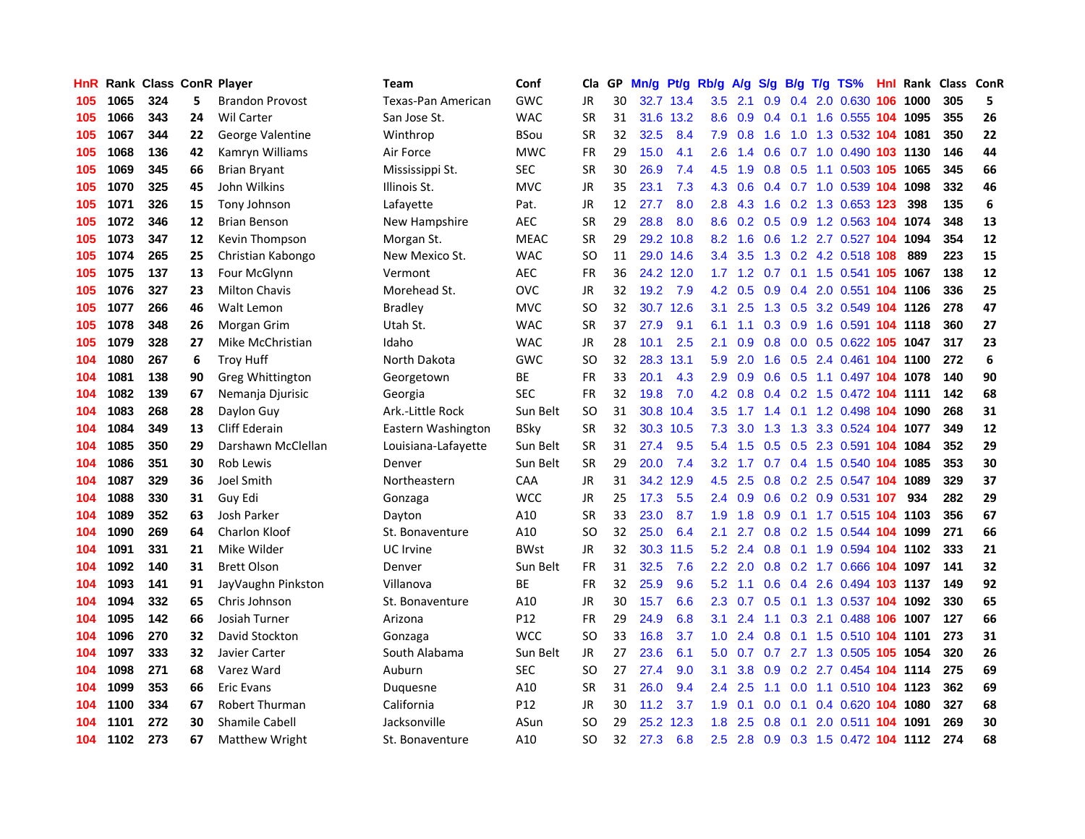| HnR. |      | Rank Class ConR Player |    |                        | Team                | Conf        | Cla       |    | GP Mn/g | Pt/g      | Rb/g             | <b>A/g</b>      | S/g |     | B/g T/g TS%                    | Hnl | Rank Class ConR |     |    |
|------|------|------------------------|----|------------------------|---------------------|-------------|-----------|----|---------|-----------|------------------|-----------------|-----|-----|--------------------------------|-----|-----------------|-----|----|
| 105  | 1065 | 324                    | 5. | <b>Brandon Provost</b> | Texas-Pan American  | GWC         | JR        | 30 |         | 32.7 13.4 | 3.5              | 2.1             | 0.9 | 0.4 | 2.0 0.630                      | 106 | 1000            | 305 | 5  |
| 105  | 1066 | 343                    | 24 | <b>Wil Carter</b>      | San Jose St.        | <b>WAC</b>  | <b>SR</b> | 31 | 31.6    | 13.2      | 8.6              | 0.9             | 0.4 | 0.1 | 1.6 0.555 104 1095             |     |                 | 355 | 26 |
| 105  | 1067 | 344                    | 22 | George Valentine       | Winthrop            | BSou        | SR        | 32 | 32.5    | 8.4       | 7.9              | 0.8             | 1.6 | 1.0 | 1.3 0.532 104 1081             |     |                 | 350 | 22 |
| 105  | 1068 | 136                    | 42 | Kamryn Williams        | Air Force           | <b>MWC</b>  | FR        | 29 | 15.0    | 4.1       | $2.6\,$          | 1.4             | 0.6 |     | 0.7 1.0 0.490 103 1130         |     |                 | 146 | 44 |
| 105  | 1069 | 345                    | 66 | <b>Brian Bryant</b>    | Mississippi St.     | <b>SEC</b>  | <b>SR</b> | 30 | 26.9    | 7.4       | 4.5              | 1.9             |     |     | 0.8 0.5 1.1 0.503 105 1065     |     |                 | 345 | 66 |
| 105  | 1070 | 325                    | 45 | John Wilkins           | Illinois St.        | <b>MVC</b>  | JR        | 35 | 23.1    | 7.3       | 4.3              | 0.6             |     |     | 0.4 0.7 1.0 0.539 104          |     | 1098            | 332 | 46 |
| 105  | 1071 | 326                    | 15 | Tony Johnson           | Lafayette           | Pat.        | JR        | 12 | 27.7    | 8.0       | 2.8 <sup>°</sup> | 4.3             |     |     | 1.6 0.2 1.3 0.653 123          |     | 398             | 135 | 6  |
| 105  | 1072 | 346                    | 12 | <b>Brian Benson</b>    | New Hampshire       | <b>AEC</b>  | <b>SR</b> | 29 | 28.8    | 8.0       | 8.6              | 0.2             |     |     | 0.5 0.9 1.2 0.563 104 1074     |     |                 | 348 | 13 |
| 105  | 1073 | 347                    | 12 | Kevin Thompson         | Morgan St.          | <b>MEAC</b> | <b>SR</b> | 29 | 29.2    | 10.8      | 8.2              | 1.6             | 0.6 |     | 1.2 2.7 0.527 104              |     | 1094            | 354 | 12 |
| 105  | 1074 | 265                    | 25 | Christian Kabongo      | New Mexico St.      | <b>WAC</b>  | SO        | 11 | 29.0    | 14.6      | 3.4              | 3.5             |     |     | 1.3 0.2 4.2 0.518 108          |     | 889             | 223 | 15 |
| 105  | 1075 | 137                    | 13 | Four McGlynn           | Vermont             | <b>AEC</b>  | <b>FR</b> | 36 |         | 24.2 12.0 | 1.7              |                 |     |     | 1.2 0.7 0.1 1.5 0.541 105 1067 |     |                 | 138 | 12 |
| 105  | 1076 | 327                    | 23 | <b>Milton Chavis</b>   | Morehead St.        | OVC         | JR        | 32 | 19.2    | 7.9       | 4.2              | 0.5             | 0.9 |     | 0.4 2.0 0.551 104              |     | 1106            | 336 | 25 |
| 105  | 1077 | 266                    | 46 | Walt Lemon             | <b>Bradley</b>      | MVC         | SO        | 32 |         | 30.7 12.6 | 3.1              | 2.5             | 1.3 | 0.5 | 3.2 0.549 104                  |     | 1126            | 278 | 47 |
| 105  | 1078 | 348                    | 26 | Morgan Grim            | Utah St.            | WAC         | SR        | 37 | 27.9    | 9.1       | 6.1              | 1.1             | 0.3 | 0.9 | 1.6 0.591 104                  |     | 1118            | 360 | 27 |
| 105  | 1079 | 328                    | 27 | Mike McChristian       | Idaho               | <b>WAC</b>  | <b>JR</b> | 28 | 10.1    | 2.5       | 2.1              | 0.9             | 0.8 | 0.0 | 0.5 0.622 105                  |     | 1047            | 317 | 23 |
| 104  | 1080 | 267                    | 6  | <b>Troy Huff</b>       | North Dakota        | GWC         | SO        | 32 | 28.3    | 13.1      | 5.9              | 2.0             | 1.6 |     | 0.5 2.4 0.461 104 1100         |     |                 | 272 | 6  |
| 104  | 1081 | 138                    | 90 | Greg Whittington       | Georgetown          | ВE          | FR        | 33 | 20.1    | 4.3       | $2.9^{\circ}$    |                 |     |     | 0.9 0.6 0.5 1.1 0.497 104 1078 |     |                 | 140 | 90 |
| 104  | 1082 | 139                    | 67 | Nemanja Djurisic       | Georgia             | <b>SEC</b>  | <b>FR</b> | 32 | 19.8    | 7.0       |                  | $4.2 \quad 0.8$ |     |     | 0.4 0.2 1.5 0.472 104 1111     |     |                 | 142 | 68 |
| 104  | 1083 | 268                    | 28 | Daylon Guy             | Ark.-Little Rock    | Sun Belt    | SO        | 31 |         | 30.8 10.4 | $3.5^{\circ}$    |                 |     |     | 1.7 1.4 0.1 1.2 0.498 104 1090 |     |                 | 268 | 31 |
| 104  | 1084 | 349                    | 13 | Cliff Ederain          | Eastern Washington  | BSkv        | SR        | 32 |         | 30.3 10.5 | 7.3              | 3.0             | 1.3 |     | 1.3 3.3 0.524 <b>104 1077</b>  |     |                 | 349 | 12 |
| 104  | 1085 | 350                    | 29 | Darshawn McClellan     | Louisiana-Lafayette | Sun Belt    | <b>SR</b> | 31 | 27.4    | 9.5       | 5.4              | 1.5             |     |     | 0.5 0.5 2.3 0.591 104 1084     |     |                 | 352 | 29 |
| 104  | 1086 | 351                    | 30 | <b>Rob Lewis</b>       | Denver              | Sun Belt    | <b>SR</b> | 29 | 20.0    | 7.4       | 3.2              | 1.7             |     |     | 0.7 0.4 1.5 0.540 104          |     | 1085            | 353 | 30 |
| 104  | 1087 | 329                    | 36 | Joel Smith             | Northeastern        | CAA         | <b>JR</b> | 31 |         | 34.2 12.9 | 4.5              | 2.5             | 0.8 |     | 0.2 2.5 0.547 104 1089         |     |                 | 329 | 37 |
| 104  | 1088 | 330                    | 31 | Guy Edi                | Gonzaga             | <b>WCC</b>  | JR        | 25 | 17.3    | 5.5       | $2.4^{\circ}$    | 0.9             |     |     | 0.6 0.2 0.9 0.531 107          |     | 934             | 282 | 29 |
| 104  | 1089 | 352                    | 63 | Josh Parker            | Dayton              | A10         | SR        | 33 | 23.0    | 8.7       | 1.9              | 1.8             | 0.9 |     | 0.1 1.7 0.515 104 1103         |     |                 | 356 | 67 |
| 104  | 1090 | 269                    | 64 | <b>Charlon Kloof</b>   | St. Bonaventure     | A10         | <b>SO</b> | 32 | 25.0    | 6.4       | 2.1              | 2.7             | 0.8 |     | 0.2 1.5 0.544 104              |     | 1099            | 271 | 66 |
| 104  | 1091 | 331                    | 21 | Mike Wilder            | <b>UC</b> Irvine    | <b>BWst</b> | JR.       | 32 | 30.3    | 11.5      | 5.2              | 2.4             | 0.8 |     | 0.1 1.9 0.594 104 1102         |     |                 | 333 | 21 |
| 104  | 1092 | 140                    | 31 | <b>Brett Olson</b>     | Denver              | Sun Belt    | <b>FR</b> | 31 | 32.5    | 7.6       | 2.2              | 2.0             | 0.8 |     | 0.2 1.7 0.666 104              |     | 1097            | 141 | 32 |
| 104  | 1093 | 141                    | 91 | JayVaughn Pinkston     | Villanova           | ВE          | <b>FR</b> | 32 | 25.9    | 9.6       | 5.2              | 1.1             | 0.6 |     | 0.4 2.6 0.494 103 1137         |     |                 | 149 | 92 |
| 104  | 1094 | 332                    | 65 | Chris Johnson          | St. Bonaventure     | A10         | JR        | 30 | 15.7    | 6.6       | $2.3^{\circ}$    | 0.7             |     |     | 0.5 0.1 1.3 0.537 104 1092     |     |                 | 330 | 65 |
| 104  | 1095 | 142                    | 66 | Josiah Turner          | Arizona             | P12         | FR        | 29 | 24.9    | 6.8       | 3.1              | 2.4             |     |     | 1.1 0.3 2.1 0.488 106 1007     |     |                 | 127 | 66 |
| 104  | 1096 | 270                    | 32 | David Stockton         | Gonzaga             | <b>WCC</b>  | SO        | 33 | 16.8    | 3.7       | 1.0 <sub>1</sub> | 2.4             |     |     | 0.8 0.1 1.5 0.510 104 1101     |     |                 | 273 | 31 |
| 104  | 1097 | 333                    | 32 | Javier Carter          | South Alabama       | Sun Belt    | JR        | 27 | 23.6    | 6.1       | 5.0 <sub>1</sub> |                 |     |     | 0.7 0.7 2.7 1.3 0.505 105 1054 |     |                 | 320 | 26 |
| 104  | 1098 | 271                    | 68 | Varez Ward             | Auburn              | <b>SEC</b>  | SO        | 27 | 27.4    | 9.0       | 3.1              | 3.8             | 0.9 |     | 0.2 2.7 0.454 104 1114         |     |                 | 275 | 69 |
| 104  | 1099 | 353                    | 66 | <b>Eric Evans</b>      | Duguesne            | A10         | <b>SR</b> | 31 | 26.0    | 9.4       | $2.4\,$          | 2.5             | 1.1 |     | 0.0 1.1 0.510 104 1123         |     |                 | 362 | 69 |
| 104  | 1100 | 334                    | 67 | <b>Robert Thurman</b>  | California          | P12         | JR        | 30 | 11.2    | 3.7       | 1.9              | 0.1             | 0.0 | 0.1 | 0.4 0.620                      |     | 104 1080        | 327 | 68 |
| 104  | 1101 | 272                    | 30 | <b>Shamile Cabell</b>  | Jacksonville        | ASun        | <b>SO</b> | 29 | 25.2    | 12.3      | 1.8              | 2.5             | 0.8 | 0.1 | 2.0 0.511 104                  |     | 1091            | 269 | 30 |
| 104  | 1102 | 273                    | 67 | <b>Matthew Wright</b>  | St. Bonaventure     | A10         | <b>SO</b> | 32 | 27.3    | 6.8       | 2.5              |                 |     |     | 2.8 0.9 0.3 1.5 0.472 104 1112 |     |                 | 274 | 68 |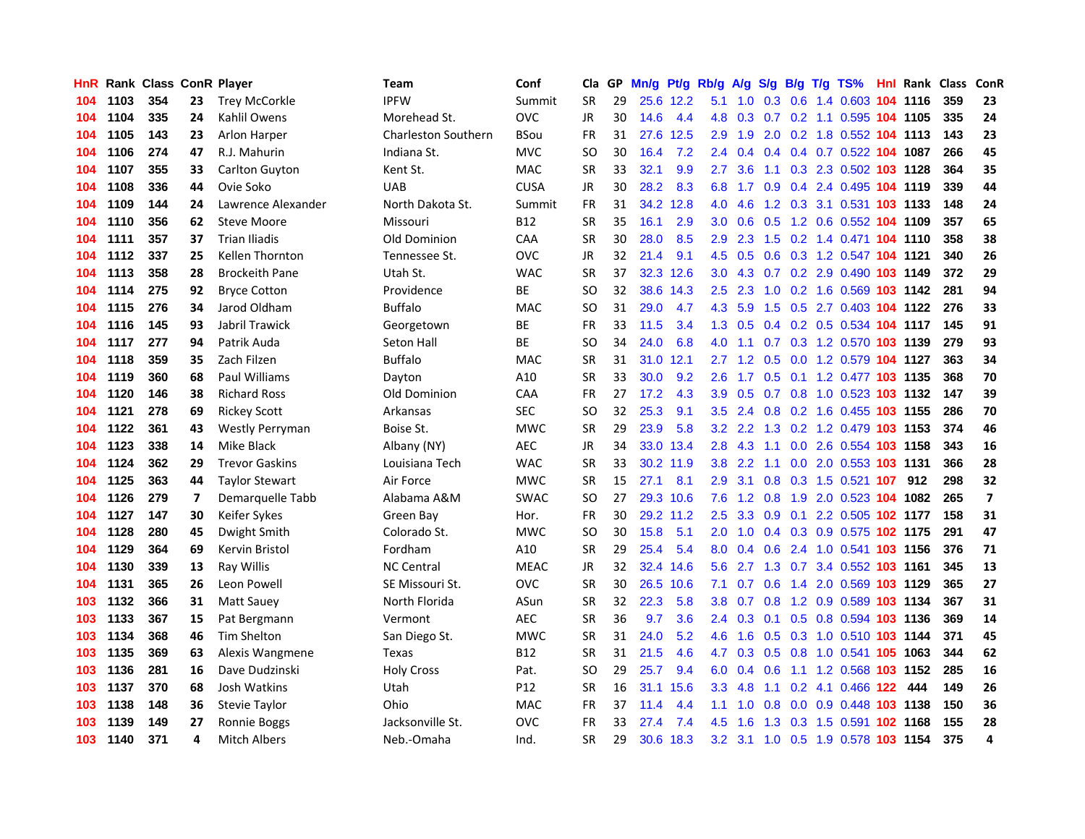| HnR |      |     |    | <b>Rank Class ConR Player</b> | Team                       | Conf        | Cla       |    | GP Mn/g | Pt/g Rb/g |                  | A/g         |                 |                 | S/g B/g T/g TS%                    | <b>Hnl Rank Class</b> |     | ConR           |
|-----|------|-----|----|-------------------------------|----------------------------|-------------|-----------|----|---------|-----------|------------------|-------------|-----------------|-----------------|------------------------------------|-----------------------|-----|----------------|
| 104 | 1103 | 354 | 23 | <b>Trey McCorkle</b>          | <b>IPFW</b>                | Summit      | SR        | 29 |         | 25.6 12.2 | 5.1              | 1.0         |                 | $0.3 \quad 0.6$ | 1.4 0.603                          | 104 1116              | 359 | 23             |
| 104 | 1104 | 335 | 24 | Kahlil Owens                  | Morehead St.               | <b>OVC</b>  | <b>JR</b> | 30 | 14.6    | 4.4       | 4.8              | 0.3         |                 |                 | 0.7 0.2 1.1 0.595 104 1105         |                       | 335 | 24             |
| 104 | 1105 | 143 | 23 | Arlon Harper                  | <b>Charleston Southern</b> | BSou        | FR        | 31 | 27.6    | 12.5      | 2.9 <sup>°</sup> | 1.9         | 2.0             |                 | 0.2 1.8 0.552 104 1113             |                       | 143 | 23             |
| 104 | 1106 | 274 | 47 | R.J. Mahurin                  | Indiana St.                | <b>MVC</b>  | SO        | 30 | 16.4    | 7.2       |                  |             |                 |                 | 2.4 0.4 0.4 0.4 0.7 0.522 104 1087 |                       | 266 | 45             |
| 104 | 1107 | 355 | 33 | Carlton Guyton                | Kent St.                   | MAC         | <b>SR</b> | 33 | 32.1    | 9.9       | $2.7^{\circ}$    | 3.6         |                 |                 | 1.1 0.3 2.3 0.502 103 1128         |                       | 364 | 35             |
| 104 | 1108 | 336 | 44 | Ovie Soko                     | <b>UAB</b>                 | <b>CUSA</b> | <b>JR</b> | 30 | 28.2    | 8.3       | 6.8              |             |                 |                 | 1.7 0.9 0.4 2.4 0.495 104 1119     |                       | 339 | 44             |
| 104 | 1109 | 144 | 24 | Lawrence Alexander            | North Dakota St.           | Summit      | FR        | 31 |         | 34.2 12.8 | 4.0              | 4.6         |                 |                 | 1.2 0.3 3.1 0.531 103 1133         |                       | 148 | 24             |
| 104 | 1110 | 356 | 62 | <b>Steve Moore</b>            | Missouri                   | B12         | <b>SR</b> | 35 | 16.1    | 2.9       | 3.0 <sub>1</sub> | 0.6         | 0.5             |                 | 1.2 0.6 0.552 104 1109             |                       | 357 | 65             |
| 104 | 1111 | 357 | 37 | <b>Trian Iliadis</b>          | Old Dominion               | CAA         | <b>SR</b> | 30 | 28.0    | 8.5       | 2.9              | 2.3         | 1.5             |                 | 0.2 1.4 0.471 104 1110             |                       | 358 | 38             |
| 104 | 1112 | 337 | 25 | Kellen Thornton               | Tennessee St.              | <b>OVC</b>  | <b>JR</b> | 32 | 21.4    | 9.1       | 4.5              | 0.5         | 0.6             |                 | 0.3 1.2 0.547 104 1121             |                       | 340 | 26             |
| 104 | 1113 | 358 | 28 | <b>Brockeith Pane</b>         | Utah St.                   | <b>WAC</b>  | <b>SR</b> | 37 |         | 32.3 12.6 | 3.0 <sub>2</sub> | 4.3         |                 |                 | 0.7 0.2 2.9 0.490 103 1149         |                       | 372 | 29             |
| 104 | 1114 | 275 | 92 | <b>Bryce Cotton</b>           | Providence                 | ВE          | SO        | 32 | 38.6    | 14.3      | 2.5              | 2.3         | 1.0             |                 | 0.2 1.6 0.569 103 1142             |                       | 281 | 94             |
| 104 | 1115 | 276 | 34 | Jarod Oldham                  | <b>Buffalo</b>             | <b>MAC</b>  | SO        | 31 | 29.0    | 4.7       | 4.3              | 5.9         | 1.5             |                 | 0.5 2.7 0.403 104 1122             |                       | 276 | 33             |
| 104 | 1116 | 145 | 93 | Jabril Trawick                | Georgetown                 | ВE          | FR        | 33 | 11.5    | 3.4       | 1.3 <sup>°</sup> | 0.5         |                 |                 | 0.4 0.2 0.5 0.534 104 1117         |                       | 145 | 91             |
| 104 | 1117 | 277 | 94 | Patrik Auda                   | Seton Hall                 | <b>BE</b>   | SO        | 34 | 24.0    | 6.8       | 4.0              | 1.1         | 0.7             |                 | 0.3 1.2 0.570 103 1139             |                       | 279 | 93             |
| 104 | 1118 | 359 | 35 | Zach Filzen                   | <b>Buffalo</b>             | <b>MAC</b>  | <b>SR</b> | 31 | 31.0    | 12.1      | 2.7              |             |                 |                 | 1.2 0.5 0.0 1.2 0.579 104 1127     |                       | 363 | 34             |
| 104 | 1119 | 360 | 68 | Paul Williams                 | Dayton                     | A10         | SR        | 33 | 30.0    | 9.2       | $2.6^{\circ}$    | 1.7         |                 |                 | 0.5 0.1 1.2 0.477 103 1135         |                       | 368 | 70             |
| 104 | 1120 | 146 | 38 | <b>Richard Ross</b>           | Old Dominion               | <b>CAA</b>  | <b>FR</b> | 27 | 17.2    | 4.3       |                  |             |                 |                 | 3.9 0.5 0.7 0.8 1.0 0.523 103 1132 |                       | 147 | 39             |
| 104 | 1121 | 278 | 69 | <b>Rickey Scott</b>           | Arkansas                   | <b>SEC</b>  | SO        | 32 | 25.3    | 9.1       | $3.5^{\circ}$    |             |                 |                 | 2.4 0.8 0.2 1.6 0.455 103 1155     |                       | 286 | 70             |
| 104 | 1122 | 361 | 43 | Westly Perryman               | Boise St.                  | <b>MWC</b>  | SR        | 29 | 23.9    | 5.8       |                  | $3.2$ $2.2$ |                 |                 | 1.3 0.2 1.2 0.479 103 1153         |                       | 374 | 46             |
| 104 | 1123 | 338 | 14 | Mike Black                    | Albany (NY)                | <b>AEC</b>  | <b>JR</b> | 34 |         | 33.0 13.4 | 2.8              | 4.3         | 1.1             |                 | 0.0 2.6 0.554 103 1158             |                       | 343 | 16             |
| 104 | 1124 | 362 | 29 | <b>Trevor Gaskins</b>         | Louisiana Tech             | <b>WAC</b>  | <b>SR</b> | 33 |         | 30.2 11.9 | 3.8 <sub>2</sub> | 2.2         | 1.1             |                 | 0.0 2.0 0.553 103 1131             |                       | 366 | 28             |
| 104 | 1125 | 363 | 44 | <b>Taylor Stewart</b>         | Air Force                  | <b>MWC</b>  | <b>SR</b> | 15 | 27.1    | 8.1       | 2.9              | 3.1         | 0.8             |                 | 0.3 1.5 0.521 107                  | 912                   | 298 | 32             |
| 104 | 1126 | 279 | 7  | Demarquelle Tabb              | Alabama A&M                | <b>SWAC</b> | SO        | 27 |         | 29.3 10.6 | 7.6              |             | $1.2 \quad 0.8$ |                 | 1.9 2.0 0.523 104 1082             |                       | 265 | $\overline{7}$ |
| 104 | 1127 | 147 | 30 | Keifer Sykes                  | Green Bay                  | Hor.        | <b>FR</b> | 30 |         | 29.2 11.2 | 2.5              | 3.3         |                 |                 | 0.9 0.1 2.2 0.505 102 1177         |                       | 158 | 31             |
| 104 | 1128 | 280 | 45 | Dwight Smith                  | Colorado St.               | <b>MWC</b>  | <b>SO</b> | 30 | 15.8    | 5.1       | 2.0              | 1.0         |                 |                 | 0.4 0.3 0.9 0.575 102 1175         |                       | 291 | 47             |
| 104 | 1129 | 364 | 69 | Kervin Bristol                | Fordham                    | A10         | <b>SR</b> | 29 | 25.4    | 5.4       | 8.0              | 0.4         | 0.6             |                 | 2.4 1.0 0.541 103 1156             |                       | 376 | 71             |
| 104 | 1130 | 339 | 13 | <b>Ray Willis</b>             | <b>NC Central</b>          | <b>MEAC</b> | JR        | 32 | 32.4    | 14.6      | 5.6              | 2.7         | 1.3             |                 | 0.7 3.4 0.552 103 1161             |                       | 345 | 13             |
| 104 | 1131 | 365 | 26 | Leon Powell                   | SE Missouri St.            | <b>OVC</b>  | <b>SR</b> | 30 | 26.5    | 10.6      | 7.1              | 0.7         | 0.6             |                 | 1.4 2.0 0.569 103 1129             |                       | 365 | 27             |
| 103 | 1132 | 366 | 31 | Matt Sauey                    | North Florida              | ASun        | SR        | 32 | 22.3    | 5.8       | 3.8 <sub>1</sub> |             |                 |                 | 0.7 0.8 1.2 0.9 0.589 103 1134     |                       | 367 | 31             |
| 103 | 1133 | 367 | 15 | Pat Bergmann                  | Vermont                    | <b>AEC</b>  | SR        | 36 | 9.7     | 3.6       |                  |             |                 |                 | 2.4 0.3 0.1 0.5 0.8 0.594 103 1136 |                       | 369 | 14             |
| 103 | 1134 | 368 | 46 | <b>Tim Shelton</b>            | San Diego St.              | <b>MWC</b>  | <b>SR</b> | 31 | 24.0    | 5.2       | 4.6              | 1.6         |                 |                 | 0.5 0.3 1.0 0.510 103 1144         |                       | 371 | 45             |
| 103 | 1135 | 369 | 63 | Alexis Wangmene               | Texas                      | <b>B12</b>  | SR        | 31 | 21.5    | 4.6       |                  |             |                 |                 | 4.7 0.3 0.5 0.8 1.0 0.541 105 1063 |                       | 344 | 62             |
| 103 | 1136 | 281 | 16 | Dave Dudzinski                | <b>Holy Cross</b>          | Pat.        | SO        | 29 | 25.7    | 9.4       | 6.0              | 0.4         | 0.6             |                 | 1.1 1.2 0.568 103 1152             |                       | 285 | 16             |
| 103 | 1137 | 370 | 68 | Josh Watkins                  | Utah                       | P12         | <b>SR</b> | 16 | 31.1    | 15.6      | 3.3 <sub>1</sub> | 4.8         | 1.1             |                 | 0.2 4.1 0.466 122                  | 444                   | 149 | 26             |
| 103 | 1138 | 148 | 36 | Stevie Taylor                 | Ohio                       | <b>MAC</b>  | FR        | 37 | 11.4    | 4.4       | 1.1              | 1.0         | 0.8             | 0.0             | 0.9 0.448 103 1138                 |                       | 150 | 36             |
| 103 | 1139 | 149 | 27 | Ronnie Boggs                  | Jacksonville St.           | OVC         | <b>FR</b> | 33 | 27.4    | 7.4       | 4.5              | 1.6         | 1.3             |                 | 0.3 1.5 0.591                      | 102 1168              | 155 | 28             |
| 103 | 1140 | 371 | 4  | Mitch Albers                  | Neb.-Omaha                 | Ind.        | <b>SR</b> | 29 |         | 30.6 18.3 |                  |             |                 |                 | 3.2 3.1 1.0 0.5 1.9 0.578 103 1154 |                       | 375 | 4              |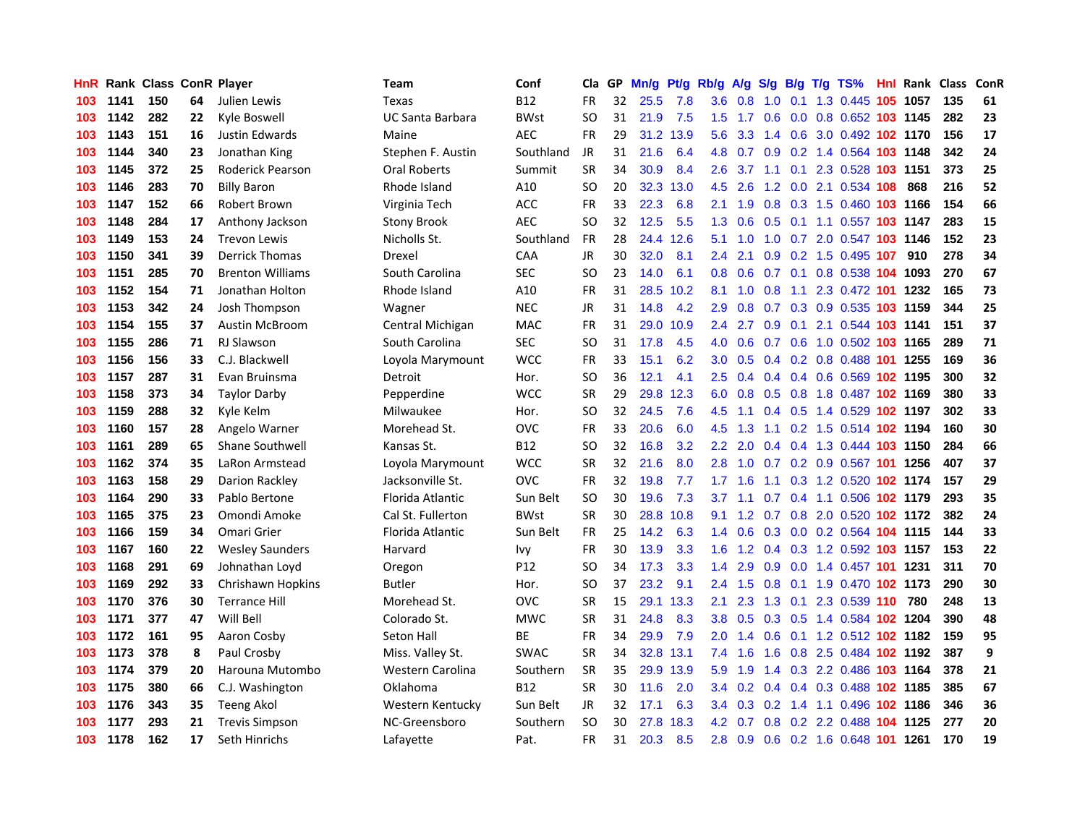| HnR. |      | <b>Rank Class ConR Player</b> |    |                         | Team               | Conf        | Cla       | GP. | Mn/g | Pt/g      | Rb/g A/g         |     |                  |                 | S/g B/g T/g TS%                | Hnl |          | Rank Class | ConR |
|------|------|-------------------------------|----|-------------------------|--------------------|-------------|-----------|-----|------|-----------|------------------|-----|------------------|-----------------|--------------------------------|-----|----------|------------|------|
| 103  | 1141 | 150                           | 64 | Julien Lewis            | Texas              | <b>B12</b>  | FR        | 32  | 25.5 | 7.8       | 3.6              | 0.8 | 1.0              | 0.1             | 1.3 0.445                      | 105 | 1057     | 135        | 61   |
| 103  | 1142 | 282                           | 22 | Kyle Boswell            | UC Santa Barbara   | <b>BWst</b> | SO        | 31  | 21.9 | 7.5       | $1.5^{\circ}$    | 1.7 | 0.6              | 0.0             | 0.8 0.652 103 1145             |     |          | 282        | 23   |
| 103  | 1143 | 151                           | 16 | Justin Edwards          | Maine              | <b>AEC</b>  | <b>FR</b> | 29  | 31.2 | 13.9      | 5.6              | 3.3 | 1.4              | 0.6             | 3.0 0.492 102 1170             |     |          | 156        | 17   |
| 103  | 1144 | 340                           | 23 | Jonathan King           | Stephen F. Austin  | Southland   | <b>JR</b> | 31  | 21.6 | 6.4       | 4.8              | 0.7 | 0.9              |                 | 0.2 1.4 0.564 103 1148         |     |          | 342        | 24   |
| 103  | 1145 | 372                           | 25 | Roderick Pearson        | Oral Roberts       | Summit      | SR        | 34  | 30.9 | 8.4       | 2.6              | 3.7 |                  |                 | 1.1 0.1 2.3 0.528 103 1151     |     |          | 373        | 25   |
| 103  | 1146 | 283                           | 70 | <b>Billy Baron</b>      | Rhode Island       | A10         | <b>SO</b> | 20  | 32.3 | 13.0      | 4.5              | 2.6 |                  |                 | 1.2 0.0 2.1 0.534 108          |     | 868      | 216        | 52   |
| 103  | 1147 | 152                           | 66 | Robert Brown            | Virginia Tech      | <b>ACC</b>  | FR        | 33  | 22.3 | 6.8       | 2.1              | 1.9 |                  |                 | 0.8 0.3 1.5 0.460 103 1166     |     |          | 154        | 66   |
| 103  | 1148 | 284                           | 17 | Anthony Jackson         | <b>Stony Brook</b> | <b>AEC</b>  | SO        | 32  | 12.5 | 5.5       | 1.3 <sup>°</sup> | 0.6 | 0.5              |                 | 0.1 1.1 0.557 103 1147         |     |          | 283        | 15   |
| 103  | 1149 | 153                           | 24 | <b>Trevon Lewis</b>     | Nicholls St.       | Southland   | FR        | 28  |      | 24.4 12.6 | 5.1              | 1.0 | 1.0              |                 | 0.7 2.0 0.547 103 1146         |     |          | 152        | 23   |
| 103  | 1150 | 341                           | 39 | <b>Derrick Thomas</b>   | Drexel             | CAA         | JR        | 30  | 32.0 | 8.1       | 2.4              | 2.1 | 0.9 <sub>o</sub> |                 | 0.2 1.5 0.495 107              |     | 910      | 278        | 34   |
| 103  | 1151 | 285                           | 70 | <b>Brenton Williams</b> | South Carolina     | <b>SEC</b>  | SO        | 23  | 14.0 | 6.1       | 0.8 <sub>0</sub> | 0.6 |                  | $0.7 \quad 0.1$ | 0.8 0.538 104 1093             |     |          | 270        | 67   |
| 103  | 1152 | 154                           | 71 | Jonathan Holton         | Rhode Island       | A10         | <b>FR</b> | 31  | 28.5 | 10.2      | 8.1              | 1.0 | 0.8              | 1.1             | 2.3 0.472 101 1232             |     |          | 165        | 73   |
| 103  | 1153 | 342                           | 24 | Josh Thompson           | Wagner             | <b>NEC</b>  | <b>JR</b> | 31  | 14.8 | 4.2       | 2.9              | 0.8 | 0.7              | 0.3             | $0.9$ $0.535$ 103              |     | 1159     | 344        | 25   |
| 103  | 1154 | 155                           | 37 | <b>Austin McBroom</b>   | Central Michigan   | <b>MAC</b>  | <b>FR</b> | 31  | 29.0 | 10.9      | $2.4^{\circ}$    | 2.7 | 0.9              | 0.1             | 2.1 0.544 103 1141             |     |          | 151        | 37   |
| 103  | 1155 | 286                           | 71 | <b>RJ Slawson</b>       | South Carolina     | <b>SEC</b>  | SO        | 31  | 17.8 | 4.5       | 4.0              | 0.6 | 0.7              | 0.6             | 1.0 0.502 103 1165             |     |          | 289        | 71   |
| 103  | 1156 | 156                           | 33 | C.J. Blackwell          | Loyola Marymount   | <b>WCC</b>  | <b>FR</b> | 33  | 15.1 | 6.2       | 3.0 <sub>2</sub> | 0.5 | 0.4              |                 | 0.2 0.8 0.488 101 1255         |     |          | 169        | 36   |
| 103  | 1157 | 287                           | 31 | Evan Bruinsma           | Detroit            | Hor.        | SO        | 36  | 12.1 | 4.1       | 2.5              | 0.4 |                  |                 | 0.4 0.4 0.6 0.569 102 1195     |     |          | 300        | 32   |
| 103  | 1158 | 373                           | 34 | <b>Taylor Darby</b>     | Pepperdine         | <b>WCC</b>  | SR        | 29  | 29.8 | 12.3      | 6.0              |     |                  |                 | 0.8 0.5 0.8 1.8 0.487 102 1169 |     |          | 380        | 33   |
| 103  | 1159 | 288                           | 32 | Kyle Kelm               | Milwaukee          | Hor.        | SO        | 32  | 24.5 | 7.6       | 4.5              | 1.1 |                  |                 | 0.4 0.5 1.4 0.529 102 1197     |     |          | 302        | 33   |
| 103  | 1160 | 157                           | 28 | Angelo Warner           | Morehead St.       | <b>OVC</b>  | FR        | 33  | 20.6 | 6.0       | 4.5              | 1.3 |                  |                 | 1.1 0.2 1.5 0.514 102 1194     |     |          | 160        | 30   |
| 103  | 1161 | 289                           | 65 | <b>Shane Southwell</b>  | Kansas St.         | <b>B12</b>  | SO        | 32  | 16.8 | 3.2       | $2.2^{\circ}$    | 2.0 |                  |                 | 0.4 0.4 1.3 0.444 103 1150     |     |          | 284        | 66   |
| 103  | 1162 | 374                           | 35 | LaRon Armstead          | Loyola Marymount   | <b>WCC</b>  | <b>SR</b> | 32  | 21.6 | 8.0       | 2.8              | 1.0 |                  |                 | 0.7 0.2 0.9 0.567 101 1256     |     |          | 407        | 37   |
| 103  | 1163 | 158                           | 29 | Darion Rackley          | Jacksonville St.   | <b>OVC</b>  | <b>FR</b> | 32  | 19.8 | 7.7       | 1.7              | 1.6 | 1.1              |                 | 0.3 1.2 0.520 102 1174         |     |          | 157        | 29   |
| 103  | 1164 | 290                           | 33 | Pablo Bertone           | Florida Atlantic   | Sun Belt    | <b>SO</b> | 30  | 19.6 | 7.3       | 3.7              | 1.1 | 0.7              |                 | 0.4 1.1 0.506 102 1179         |     |          | 293        | 35   |
| 103  | 1165 | 375                           | 23 | Omondi Amoke            | Cal St. Fullerton  | <b>BWst</b> | <b>SR</b> | 30  | 28.8 | 10.8      | 9.1              | 1.2 |                  |                 | 0.7 0.8 2.0 0.520 102 1172     |     |          | 382        | 24   |
| 103  | 1166 | 159                           | 34 | Omari Grier             | Florida Atlantic   | Sun Belt    | <b>FR</b> | 25  | 14.2 | 6.3       | $1.4^{\circ}$    | 0.6 | 0.3              |                 | 0.0 0.2 0.564 104 1115         |     |          | 144        | 33   |
| 103  | 1167 | 160                           | 22 | <b>Wesley Saunders</b>  | Harvard            | Ivy         | <b>FR</b> | 30  | 13.9 | 3.3       | 1.6              | 1.2 |                  |                 | 0.4 0.3 1.2 0.592 103 1157     |     |          | 153        | 22   |
| 103  | 1168 | 291                           | 69 | Johnathan Loyd          | Oregon             | P12         | SO        | 34  | 17.3 | 3.3       | $1.4^{\circ}$    | 2.9 | 0.9              | 0.0             | 1.4 0.457 101 1231             |     |          | 311        | 70   |
| 103  | 1169 | 292                           | 33 | Chrishawn Hopkins       | Butler             | Hor.        | <b>SO</b> | 37  | 23.2 | 9.1       | $2.4^{\circ}$    | 1.5 | 0.8              | 0.1             | 1.9 0.470 102 1173             |     |          | 290        | 30   |
| 103  | 1170 | 376                           | 30 | <b>Terrance Hill</b>    | Morehead St.       | <b>OVC</b>  | <b>SR</b> | 15  | 29.1 | 13.3      | 2.1              | 2.3 | 1.3              | 0.1             | 2.3 0.539 110                  |     | 780      | 248        | 13   |
| 103  | 1171 | 377                           | 47 | Will Bell               | Colorado St.       | <b>MWC</b>  | <b>SR</b> | 31  | 24.8 | 8.3       | 3.8 <sub>1</sub> | 0.5 |                  |                 | 0.3 0.5 1.4 0.584 102 1204     |     |          | 390        | 48   |
| 103  | 1172 | 161                           | 95 | Aaron Cosby             | Seton Hall         | <b>BE</b>   | <b>FR</b> | 34  | 29.9 | 7.9       | 2.0              | 1.4 |                  |                 | 0.6 0.1 1.2 0.512 102 1182     |     |          | 159        | 95   |
| 103  | 1173 | 378                           | 8  | Paul Crosby             | Miss. Valley St.   | <b>SWAC</b> | <b>SR</b> | 34  | 32.8 | 13.1      | 7.4              | 1.6 | 1.6              |                 | 0.8 2.5 0.484 102 1192         |     |          | 387        | 9    |
| 103  | 1174 | 379                           | 20 | Harouna Mutombo         | Western Carolina   | Southern    | <b>SR</b> | 35  |      | 29.9 13.9 | 5.9              | 1.9 |                  |                 | 1.4 0.3 2.2 0.486 103 1164     |     |          | 378        | 21   |
| 103  | 1175 | 380                           | 66 | C.J. Washington         | Oklahoma           | <b>B12</b>  | <b>SR</b> | 30  | 11.6 | 2.0       | $3.4^{\circ}$    | 0.2 |                  |                 | 0.4 0.4 0.3 0.488 102 1185     |     |          | 385        | 67   |
| 103  | 1176 | 343                           | 35 | <b>Teeng Akol</b>       | Western Kentucky   | Sun Belt    | <b>JR</b> | 32  | 17.1 | 6.3       | 3.4              | 0.3 | 0.2              | 1.4             | 1.1 0.496                      |     | 102 1186 | 346        | 36   |
| 103  | 1177 | 293                           | 21 | <b>Trevis Simpson</b>   | NC-Greensboro      | Southern    | <b>SO</b> | 30  | 27.8 | 18.3      | 4.2              | 0.7 | 0.8              |                 | $0.2$ 2.2 0.488                | 104 | 1125     | 277        | 20   |
| 103  | 1178 | 162                           | 17 | Seth Hinrichs           | Lafayette          | Pat.        | <b>FR</b> | 31  | 20.3 | 8.5       | 2.8              | 0.9 |                  |                 | 0.6 0.2 1.6 0.648 101 1261     |     |          | 170        | 19   |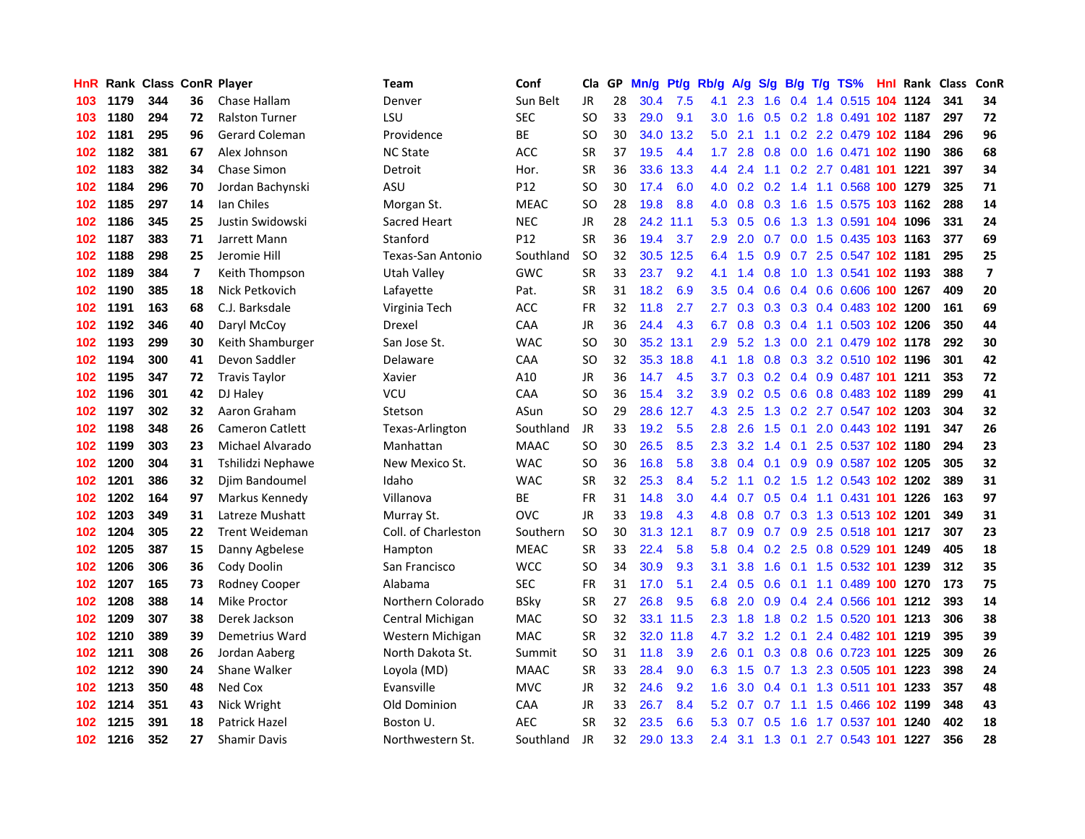| HnR |      | <b>Rank Class ConR Player</b> |    |                        | Team                | Conf        | Cla           |    | GP Mn/g | Pt/g      | Rb/g             | A/g     | <b>S/g</b>      |     | B/g T/g TS%                    | <b>Hnl Rank Class</b> |     | ConR                    |
|-----|------|-------------------------------|----|------------------------|---------------------|-------------|---------------|----|---------|-----------|------------------|---------|-----------------|-----|--------------------------------|-----------------------|-----|-------------------------|
| 103 | 1179 | 344                           | 36 | Chase Hallam           | Denver              | Sun Belt    | JR            | 28 | 30.4    | 7.5       | 4.1              | 2.3     | 1.6             | 0.4 | 1.4 0.515 104 1124             |                       | 341 | 34                      |
| 103 | 1180 | 294                           | 72 | <b>Ralston Turner</b>  | LSU                 | <b>SEC</b>  | <b>SO</b>     | 33 | 29.0    | 9.1       | 3.0              | 1.6     | 0.5             | 0.2 | 1.8 0.491 102 1187             |                       | 297 | 72                      |
| 102 | 1181 | 295                           | 96 | <b>Gerard Coleman</b>  | Providence          | ВE          | SO            | 30 | 34.0    | 13.2      | 5.0              | 2.1     | 1.1             |     | 0.2 2.2 0.479 102 1184         |                       | 296 | 96                      |
| 102 | 1182 | 381                           | 67 | Alex Johnson           | <b>NC State</b>     | <b>ACC</b>  | SR            | 37 | 19.5    | 4.4       | 1.7 <sub>z</sub> | 2.8     | 0.8             |     | 0.0 1.6 0.471 102 1190         |                       | 386 | 68                      |
| 102 | 1183 | 382                           | 34 | Chase Simon            | Detroit             | Hor.        | SR            | 36 |         | 33.6 13.3 | $4.4^{\circ}$    | 2.4     |                 |     | 1.1 0.2 2.7 0.481 101 1221     |                       | 397 | 34                      |
| 102 | 1184 | 296                           | 70 | Jordan Bachynski       | ASU                 | P12         | SO            | 30 | 17.4    | 6.0       | 4.0              |         | $0.2 \quad 0.2$ |     | 1.4 1.1 0.568 100 1279         |                       | 325 | 71                      |
| 102 | 1185 | 297                           | 14 | Ian Chiles             | Morgan St.          | <b>MEAC</b> | <b>SO</b>     | 28 | 19.8    | 8.8       | 4.0              | 0.8     |                 |     | 0.3 1.6 1.5 0.575 103 1162     |                       | 288 | 14                      |
| 102 | 1186 | 345                           | 25 | Justin Swidowski       | Sacred Heart        | <b>NEC</b>  | <b>JR</b>     | 28 |         | 24.2 11.1 | 5.3              | 0.5     | 0.6             |     | 1.3 1.3 0.591 104 1096         |                       | 331 | 24                      |
| 102 | 1187 | 383                           | 71 | Jarrett Mann           | Stanford            | P12         | <b>SR</b>     | 36 | 19.4    | 3.7       | 2.9              | 2.0     |                 |     | 0.7 0.0 1.5 0.435 103 1163     |                       | 377 | 69                      |
| 102 | 1188 | 298                           | 25 | Jeromie Hill           | Texas-San Antonio   | Southland   | <b>SO</b>     | 32 | 30.5    | 12.5      | 6.4              | 1.5     | 0.9             |     | 0.7 2.5 0.547 102 1181         |                       | 295 | 25                      |
| 102 | 1189 | 384                           | 7  | Keith Thompson         | Utah Valley         | <b>GWC</b>  | <b>SR</b>     | 33 | 23.7    | 9.2       | 4.1              | 1.4     | 0.8             |     | 1.0 1.3 0.541 102 1193         |                       | 388 | $\overline{\mathbf{z}}$ |
| 102 | 1190 | 385                           | 18 | Nick Petkovich         | Lafayette           | Pat.        | <b>SR</b>     | 31 | 18.2    | 6.9       | 3.5              | 0.4     | 0.6             |     | 0.4 0.6 0.606 100 1267         |                       | 409 | 20                      |
| 102 | 1191 | 163                           | 68 | C.J. Barksdale         | Virginia Tech       | ACC         | <b>FR</b>     | 32 | 11.8    | 2.7       | 2.7              | 0.3     | 0.3             |     | 0.3 0.4 0.483 102 1200         |                       | 161 | 69                      |
| 102 | 1192 | 346                           | 40 | Daryl McCoy            | Drexel              | <b>CAA</b>  | JR            | 36 | 24.4    | 4.3       | 6.7              | 0.8     | 0.3             |     | 0.4 1.1 0.503 102 1206         |                       | 350 | 44                      |
| 102 | 1193 | 299                           | 30 | Keith Shamburger       | San Jose St.        | <b>WAC</b>  | SO            | 30 |         | 35.2 13.1 | 2.9              | 5.2     | 1.3             | 0.0 | 2.1 0.479 102 1178             |                       | 292 | 30                      |
| 102 | 1194 | 300                           | 41 | Devon Saddler          | Delaware            | CAA         | <b>SO</b>     | 32 | 35.3    | 18.8      | 4.1              | 1.8     | 0.8             |     | 0.3 3.2 0.510 102 1196         |                       | 301 | 42                      |
| 102 | 1195 | 347                           | 72 | <b>Travis Taylor</b>   | Xavier              | A10         | JR            | 36 | 14.7    | 4.5       | 3.7              |         |                 |     | 0.3 0.2 0.4 0.9 0.487 101 1211 |                       | 353 | 72                      |
| 102 | 1196 | 301                           | 42 | DJ Haley               | VCU                 | <b>CAA</b>  | SO            | 36 | 15.4    | 3.2       | 3.9 <sup>°</sup> |         |                 |     | 0.2 0.5 0.6 0.8 0.483 102 1189 |                       | 299 | 41                      |
| 102 | 1197 | 302                           | 32 | Aaron Graham           | Stetson             | ASun        | <sub>SO</sub> | 29 |         | 28.6 12.7 |                  | 4.3 2.5 |                 |     | 1.3 0.2 2.7 0.547 102 1203     |                       | 304 | 32                      |
| 102 | 1198 | 348                           | 26 | <b>Cameron Catlett</b> | Texas-Arlington     | Southland   | JR            | 33 | 19.2    | 5.5       | 2.8              | 2.6     |                 |     | 1.5 0.1 2.0 0.443 102 1191     |                       | 347 | 26                      |
| 102 | 1199 | 303                           | 23 | Michael Alvarado       | Manhattan           | <b>MAAC</b> | SO            | 30 | 26.5    | 8.5       | 2.3              | 3.2     |                 |     | 1.4 0.1 2.5 0.537 102 1180     |                       | 294 | 23                      |
| 102 | 1200 | 304                           | 31 | Tshilidzi Nephawe      | New Mexico St.      | <b>WAC</b>  | SO            | 36 | 16.8    | 5.8       | 3.8              | 0.4     |                 |     | 0.1 0.9 0.9 0.587 102 1205     |                       | 305 | 32                      |
| 102 | 1201 | 386                           | 32 | Djim Bandoumel         | Idaho               | <b>WAC</b>  | <b>SR</b>     | 32 | 25.3    | 8.4       | 5.2              | 1.1     |                 |     | 0.2 1.5 1.2 0.543 102 1202     |                       | 389 | 31                      |
| 102 | 1202 | 164                           | 97 | Markus Kennedy         | Villanova           | ВE          | <b>FR</b>     | 31 | 14.8    | 3.0       | $4.4^{\circ}$    | 0.7     |                 |     | 0.5 0.4 1.1 0.431 101 1226     |                       | 163 | 97                      |
| 102 | 1203 | 349                           | 31 | Latreze Mushatt        | Murray St.          | <b>OVC</b>  | JR            | 33 | 19.8    | 4.3       | 4.8              | 0.8     |                 |     | 0.7 0.3 1.3 0.513 102 1201     |                       | 349 | 31                      |
| 102 | 1204 | 305                           | 22 | <b>Trent Weideman</b>  | Coll. of Charleston | Southern    | <b>SO</b>     | 30 |         | 31.3 12.1 | 8.7              | 0.9     |                 |     | 0.7 0.9 2.5 0.518 101 1217     |                       | 307 | 23                      |
| 102 | 1205 | 387                           | 15 | Danny Agbelese         | Hampton             | <b>MEAC</b> | <b>SR</b>     | 33 | 22.4    | 5.8       | 5.8              | 0.4     | 0.2             | 2.5 | 0.8 0.529 101                  | 1249                  | 405 | 18                      |
| 102 | 1206 | 306                           | 36 | Cody Doolin            | San Francisco       | <b>WCC</b>  | <b>SO</b>     | 34 | 30.9    | 9.3       | 3.1              | 3.8     | 1.6             |     | 0.1 1.5 0.532 101 1239         |                       | 312 | 35                      |
| 102 | 1207 | 165                           | 73 | Rodney Cooper          | Alabama             | <b>SEC</b>  | FR            | 31 | 17.0    | 5.1       | 2.4              | 0.5     | 0.6             | 0.1 | 1.1 0.489 100                  | 1270                  | 173 | 75                      |
| 102 | 1208 | 388                           | 14 | Mike Proctor           | Northern Colorado   | <b>BSky</b> | <b>SR</b>     | 27 | 26.8    | 9.5       | 6.8              | 2.0     | 0.9             |     | 0.4 2.4 0.566 101              | 1212                  | 393 | 14                      |
| 102 | 1209 | 307                           | 38 | Derek Jackson          | Central Michigan    | <b>MAC</b>  | SO            | 32 |         | 33.1 11.5 | $2.3^{\circ}$    | 1.8     | 1.8             |     | 0.2 1.5 0.520 101              | 1213                  | 306 | 38                      |
| 102 | 1210 | 389                           | 39 | Demetrius Ward         | Western Michigan    | <b>MAC</b>  | SR            | 32 |         | 32.0 11.8 | 4.7              | 3.2     |                 |     | 1.2 0.1 2.4 0.482 101 1219     |                       | 395 | 39                      |
| 102 | 1211 | 308                           | 26 | Jordan Aaberg          | North Dakota St.    | Summit      | SO            | 31 | 11.8    | 3.9       | 2.6              | 0.1     |                 |     | 0.3 0.8 0.6 0.723 101 1225     |                       | 309 | 26                      |
| 102 | 1212 | 390                           | 24 | Shane Walker           | Loyola (MD)         | <b>MAAC</b> | <b>SR</b>     | 33 | 28.4    | 9.0       |                  | 6.3 1.5 |                 |     | 0.7 1.3 2.3 0.505 101 1223     |                       | 398 | 24                      |
| 102 | 1213 | 350                           | 48 | Ned Cox                | Evansville          | <b>MVC</b>  | <b>JR</b>     | 32 | 24.6    | 9.2       | 1.6              | 3.0     |                 |     | 0.4 0.1 1.3 0.511 101 1233     |                       | 357 | 48                      |
| 102 | 1214 | 351                           | 43 | Nick Wright            | Old Dominion        | CAA         | JR            | 33 | 26.7    | 8.4       | 5.2              | 0.7     | 0.7             |     | 1.1 1.5 0.466 102 1199         |                       | 348 | 43                      |
| 102 | 1215 | 391                           | 18 | <b>Patrick Hazel</b>   | Boston U.           | <b>AEC</b>  | <b>SR</b>     | 32 | 23.5    | 6.6       | 5.3              | 0.7     | 0.5             | 1.6 | 1.7 0.537 101                  | 1240                  | 402 | 18                      |
| 102 | 1216 | 352                           | 27 | <b>Shamir Davis</b>    | Northwestern St.    | Southland   | JR            | 32 | 29.0    | 13.3      | $2.4^{\circ}$    | 3.1     |                 |     | 1.3 0.1 2.7 0.543 101 1227     |                       | 356 | 28                      |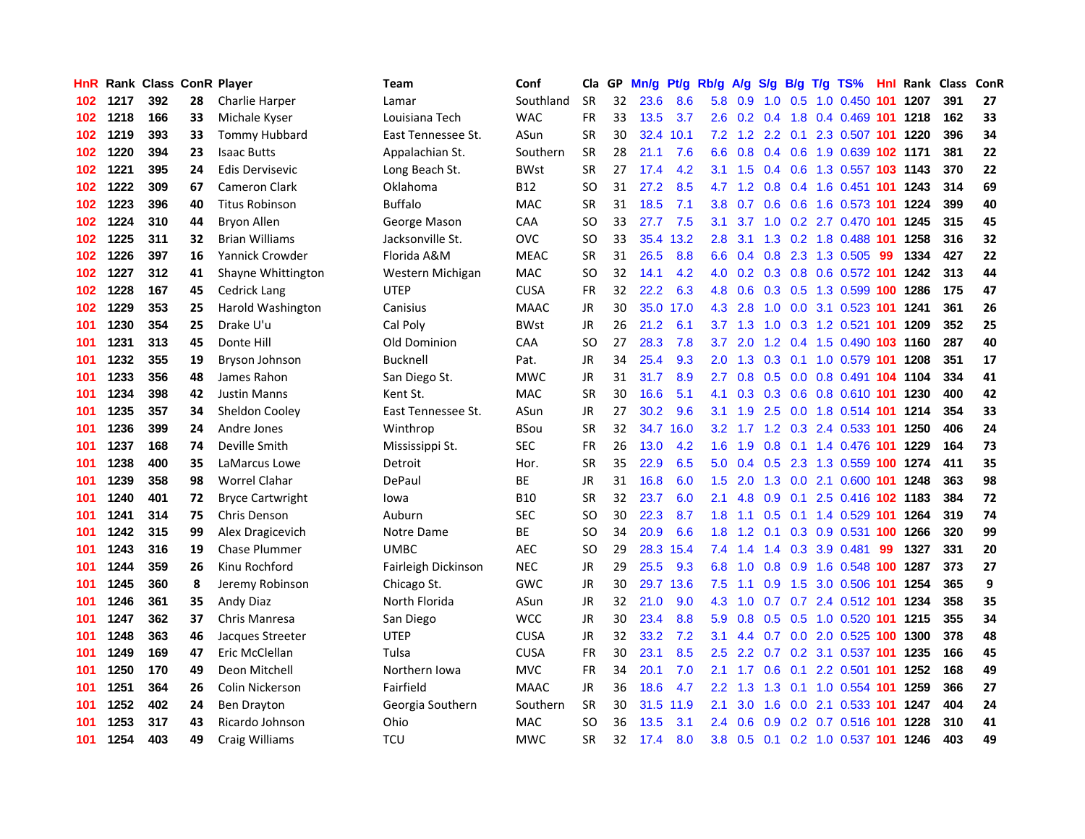| HnR. |      | <b>Rank Class ConR Player</b> |    |                         | Team                | Conf        | Cla       |    | GP Mn/g | Pt/g      | Rb/g A/g         |           | <b>S/g</b>     |                 | B/g T/g TS%                        |     | Hnl Rank Class ConR |     |    |
|------|------|-------------------------------|----|-------------------------|---------------------|-------------|-----------|----|---------|-----------|------------------|-----------|----------------|-----------------|------------------------------------|-----|---------------------|-----|----|
| 102  | 1217 | 392                           | 28 | Charlie Harper          | Lamar               | Southland   | <b>SR</b> | 32 | 23.6    | 8.6       | 5.8              | 0.9       | 1.0            | 0.5             | 1.0 0.450                          | 101 | 1207                | 391 | 27 |
| 102  | 1218 | 166                           | 33 | Michale Kyser           | Louisiana Tech      | <b>WAC</b>  | <b>FR</b> | 33 | 13.5    | 3.7       | 2.6              | 0.2       | 0.4            | 1.8             | 0.4 0.469 101                      |     | 1218                | 162 | 33 |
| 102  | 1219 | 393                           | 33 | <b>Tommy Hubbard</b>    | East Tennessee St.  | ASun        | <b>SR</b> | 30 | 32.4    | 10.1      | 7.2              |           | $1.2$ 2.2      | 0.1             | 2.3 0.507 101                      |     | 1220                | 396 | 34 |
| 102  | 1220 | 394                           | 23 | <b>Isaac Butts</b>      | Appalachian St.     | Southern    | <b>SR</b> | 28 | 21.1    | 7.6       | 6.6              | 0.8       | $0.4\quad 0.6$ |                 | 1.9 0.639 102 1171                 |     |                     | 381 | 22 |
| 102  | 1221 | 395                           | 24 | Edis Dervisevic         | Long Beach St.      | <b>BWst</b> | SR        | 27 | 17.4    | 4.2       | 3.1              |           |                |                 | 1.5 0.4 0.6 1.3 0.557 103 1143     |     |                     | 370 | 22 |
| 102  | 1222 | 309                           | 67 | <b>Cameron Clark</b>    | Oklahoma            | B12         | <b>SO</b> | 31 | 27.2    | 8.5       |                  |           |                |                 | 4.7 1.2 0.8 0.4 1.6 0.451 101 1243 |     |                     | 314 | 69 |
| 102  | 1223 | 396                           | 40 | <b>Titus Robinson</b>   | <b>Buffalo</b>      | <b>MAC</b>  | SR        | 31 | 18.5    | 7.1       | 3.8 <sup>°</sup> |           |                |                 | 0.7 0.6 0.6 1.6 0.573 101 1224     |     |                     | 399 | 40 |
| 102  | 1224 | 310                           | 44 | Bryon Allen             | George Mason        | <b>CAA</b>  | SO        | 33 | 27.7    | 7.5       | 3.1              | 3.7       |                |                 | 1.0 0.2 2.7 0.470 101              |     | 1245                | 315 | 45 |
| 102  | 1225 | 311                           | 32 | <b>Brian Williams</b>   | Jacksonville St.    | <b>OVC</b>  | SO        | 33 | 35.4    | 13.2      | 2.8              | 3.1       |                |                 | 1.3 0.2 1.8 0.488 101              |     | 1258                | 316 | 32 |
| 102  | 1226 | 397                           | 16 | Yannick Crowder         | Florida A&M         | <b>MEAC</b> | <b>SR</b> | 31 | 26.5    | 8.8       | 6.6              | 0.4       | 0.8            |                 | 2.3 1.3 0.505                      | 99  | 1334                | 427 | 22 |
| 102  | 1227 | 312                           | 41 | Shayne Whittington      | Western Michigan    | <b>MAC</b>  | SO        | 32 | 14.1    | 4.2       | 4.0              |           |                |                 | 0.2 0.3 0.8 0.6 0.572 101 1242     |     |                     | 313 | 44 |
| 102  | 1228 | 167                           | 45 | Cedrick Lang            | <b>UTEP</b>         | <b>CUSA</b> | <b>FR</b> | 32 | 22.2    | 6.3       | 4.8              | 0.6       |                |                 | 0.3 0.5 1.3 0.599 100 1286         |     |                     | 175 | 47 |
| 102  | 1229 | 353                           | 25 | Harold Washington       | Canisius            | <b>MAAC</b> | <b>JR</b> | 30 |         | 35.0 17.0 | 4.3              | 2.8       | 1.0            | 0.0             | 3.1 0.523 101                      |     | 1241                | 361 | 26 |
| 101  | 1230 | 354                           | 25 | Drake U'u               | Cal Poly            | <b>BWst</b> | JR.       | 26 | 21.2    | 6.1       |                  | $3.7$ 1.3 | 1.0            |                 | 0.3 1.2 0.521 101                  |     | 1209                | 352 | 25 |
| 101  | 1231 | 313                           | 45 | Donte Hill              | Old Dominion        | CAA         | SO        | 27 | 28.3    | 7.8       | 3.7              | 2.0       |                |                 | 1.2 0.4 1.5 0.490 103 1160         |     |                     | 287 | 40 |
| 101  | 1232 | 355                           | 19 | Bryson Johnson          | <b>Bucknell</b>     | Pat.        | JR        | 34 | 25.4    | 9.3       | 2.0 <sub>1</sub> | 1.3       | 0.3            | 0.1             | 1.0 0.579 101                      |     | 1208                | 351 | 17 |
| 101  | 1233 | 356                           | 48 | James Rahon             | San Diego St.       | <b>MWC</b>  | JR        | 31 | 31.7    | 8.9       | $2.7^{\circ}$    | 0.8       |                | $0.5\ 0.0$      | 0.8 0.491 104 1104                 |     |                     | 334 | 41 |
| 101  | 1234 | 398                           | 42 | <b>Justin Manns</b>     | Kent St.            | <b>MAC</b>  | SR        | 30 | 16.6    | 5.1       | 4.1              |           |                |                 | 0.3 0.3 0.6 0.8 0.610 101 1230     |     |                     | 400 | 42 |
| 101  | 1235 | 357                           | 34 | Sheldon Cooley          | East Tennessee St.  | ASun        | JR        | 27 | 30.2    | 9.6       |                  |           |                |                 | 3.1 1.9 2.5 0.0 1.8 0.514 101 1214 |     |                     | 354 | 33 |
| 101  | 1236 | 399                           | 24 | Andre Jones             | Winthrop            | <b>BSou</b> | <b>SR</b> | 32 | 34.7    | 16.0      |                  |           |                |                 | 3.2 1.7 1.2 0.3 2.4 0.533 101      |     | 1250                | 406 | 24 |
| 101  | 1237 | 168                           | 74 | Deville Smith           | Mississippi St.     | <b>SEC</b>  | FR        | 26 | 13.0    | 4.2       | 1.6              | 1.9       |                |                 | 0.8 0.1 1.4 0.476 101 1229         |     |                     | 164 | 73 |
| 101  | 1238 | 400                           | 35 | LaMarcus Lowe           | Detroit             | Hor.        | <b>SR</b> | 35 | 22.9    | 6.5       | 5.0              | 0.4       |                |                 | 0.5 2.3 1.3 0.559 100 1274         |     |                     | 411 | 35 |
| 101  | 1239 | 358                           | 98 | <b>Worrel Clahar</b>    | DePaul              | ВE          | <b>JR</b> | 31 | 16.8    | 6.0       | 1.5 <sub>1</sub> | 2.0       |                |                 | 1.3 0.0 2.1 0.600 101              |     | 1248                | 363 | 98 |
| 101  | 1240 | 401                           | 72 | <b>Bryce Cartwright</b> | lowa                | <b>B10</b>  | <b>SR</b> | 32 | 23.7    | 6.0       | 2.1              | 4.8       | 0.9            |                 | 0.1 2.5 0.416 102 1183             |     |                     | 384 | 72 |
| 101  | 1241 | 314                           | 75 | Chris Denson            | Auburn              | <b>SEC</b>  | SO        | 30 | 22.3    | 8.7       | 1.8              | 1.1       | 0.5            |                 | 0.1 1.4 0.529 101 1264             |     |                     | 319 | 74 |
| 101  | 1242 | 315                           | 99 | Alex Dragicevich        | Notre Dame          | BE          | <b>SO</b> | 34 | 20.9    | 6.6       | 1.8              | 1.2       |                |                 | 0.1 0.3 0.9 0.531 100              |     | 1266                | 320 | 99 |
| 101  | 1243 | 316                           | 19 | <b>Chase Plummer</b>    | <b>UMBC</b>         | AEC         | SΟ        | 29 | 28.3    | 15.4      | 7.4              | 1.4       |                | $1.4 \quad 0.3$ | 3.9 0.481                          | 99  | 1327                | 331 | 20 |
| 101  | 1244 | 359                           | 26 | Kinu Rochford           | Fairleigh Dickinson | <b>NEC</b>  | JR        | 29 | 25.5    | 9.3       | 6.8              | 1.0       | 0.8            | 0.9             | 1.6 0.548 100                      |     | 1287                | 373 | 27 |
| 101  | 1245 | 360                           | 8  | Jeremy Robinson         | Chicago St.         | GWC         | <b>JR</b> | 30 |         | 29.7 13.6 | 7.5              | 1.1       | 0.9            | 1.5             | 3.0 0.506 101                      |     | 1254                | 365 | 9  |
| 101  | 1246 | 361                           | 35 | Andy Diaz               | North Florida       | ASun        | JR        | 32 | 21.0    | 9.0       | 4.3              | 1.0       | 0.7            |                 | 0.7 2.4 0.512 101                  |     | 1234                | 358 | 35 |
| 101  | 1247 | 362                           | 37 | Chris Manresa           | San Diego           | <b>WCC</b>  | JR        | 30 | 23.4    | 8.8       | 5.9              | 0.8       |                | $0.5$ 0.5       | 1.0 0.520 101 1215                 |     |                     | 355 | 34 |
| 101  | 1248 | 363                           | 46 | Jacques Streeter        | <b>UTEP</b>         | <b>CUSA</b> | JR        | 32 | 33.2    | 7.2       | 3.1              | 4.4       |                |                 | 0.7 0.0 2.0 0.525 100              |     | 1300                | 378 | 48 |
| 101  | 1249 | 169                           | 47 | Eric McClellan          | Tulsa               | <b>CUSA</b> | <b>FR</b> | 30 | 23.1    | 8.5       | 2.5              |           |                |                 | 2.2 0.7 0.2 3.1 0.537 101 1235     |     |                     | 166 | 45 |
| 101  | 1250 | 170                           | 49 | Deon Mitchell           | Northern Iowa       | <b>MVC</b>  | <b>FR</b> | 34 | 20.1    | 7.0       | 2.1              | 1.7       | 0.6            |                 | 0.1 2.2 0.501 101 1252             |     |                     | 168 | 49 |
| 101  | 1251 | 364                           | 26 | <b>Colin Nickerson</b>  | Fairfield           | <b>MAAC</b> | JR        | 36 | 18.6    | 4.7       | 2.2 <sub>2</sub> | 1.3       | 1.3            |                 | 0.1 1.0 0.554 101                  |     | 1259                | 366 | 27 |
| 101  | 1252 | 402                           | 24 | <b>Ben Drayton</b>      | Georgia Southern    | Southern    | <b>SR</b> | 30 | 31.5    | 11.9      | 2.1              | 3.0       | 1.6            | 0.0             | 2.1 0.533 101                      |     | 1247                | 404 | 24 |
| 101  | 1253 | 317                           | 43 | Ricardo Johnson         | Ohio                | <b>MAC</b>  | <b>SO</b> | 36 | 13.5    | 3.1       | $2.4\,$          | 0.6       | 0.9            |                 | $0.2$ 0.7 0.516                    | 101 | 1228                | 310 | 41 |
| 101  | 1254 | 403                           | 49 | Craig Williams          | TCU                 | <b>MWC</b>  | SR        | 32 | 17.4    | 8.0       | 3.8 <sup>°</sup> |           |                |                 | 0.5 0.1 0.2 1.0 0.537 101 1246     |     |                     | 403 | 49 |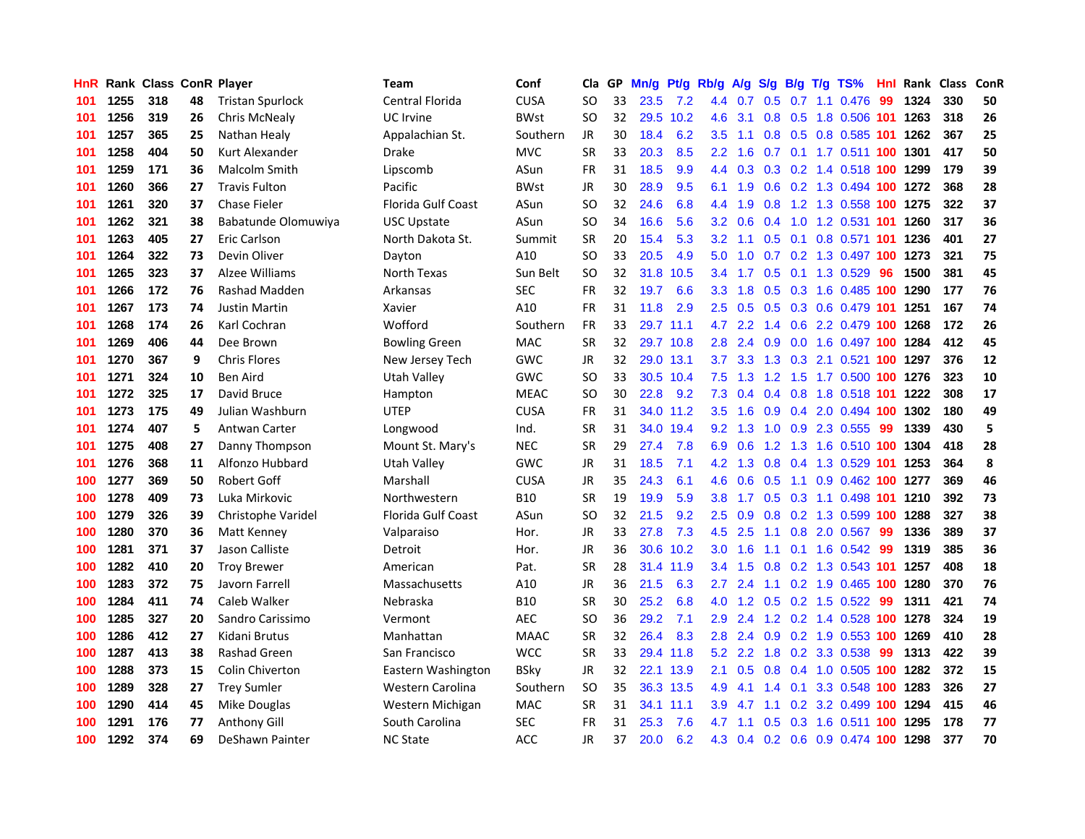| HnR. |      | Rank Class ConR Player |    |                         | Team                      | Conf        | Cla       |    | GP Mn/g | Pt/g      | Rb/g             | <b>A/g</b> | S/g |     | B/g T/g TS%                        | Hnl |      | Rank Class | ConR |
|------|------|------------------------|----|-------------------------|---------------------------|-------------|-----------|----|---------|-----------|------------------|------------|-----|-----|------------------------------------|-----|------|------------|------|
| 101  | 1255 | 318                    | 48 | <b>Tristan Spurlock</b> | Central Florida           | <b>CUSA</b> | SO        | 33 | 23.5    | 7.2       | 4.4              | 0.7        | 0.5 | 0.7 | 1.1 0.476                          | 99  | 1324 | 330        | 50   |
| 101  | 1256 | 319                    | 26 | Chris McNealy           | UC Irvine                 | <b>BWst</b> | SO        | 32 | 29.5    | 10.2      | 4.6              | 3.1        | 0.8 | 0.5 | 1.8 0.506 101                      |     | 1263 | 318        | 26   |
| 101  | 1257 | 365                    | 25 | Nathan Healy            | Appalachian St.           | Southern    | JR        | 30 | 18.4    | 6.2       | 3.5              | 1.1        | 0.8 | 0.5 | 0.8 0.585 101                      |     | 1262 | 367        | 25   |
| 101  | 1258 | 404                    | 50 | Kurt Alexander          | <b>Drake</b>              | <b>MVC</b>  | SR        | 33 | 20.3    | 8.5       | $2.2^{\circ}$    | 1.6        |     |     | 0.7 0.1 1.7 0.511 100 1301         |     |      | 417        | 50   |
| 101  | 1259 | 171                    | 36 | Malcolm Smith           | Lipscomb                  | ASun        | FR        | 31 | 18.5    | 9.9       |                  |            |     |     | 4.4 0.3 0.3 0.2 1.4 0.518 100 1299 |     |      | 179        | 39   |
| 101  | 1260 | 366                    | 27 | <b>Travis Fulton</b>    | Pacific                   | <b>BWst</b> | JR        | 30 | 28.9    | 9.5       | 6.1              | 1.9        |     |     | 0.6 0.2 1.3 0.494 100              |     | 1272 | 368        | 28   |
| 101  | 1261 | 320                    | 37 | <b>Chase Fieler</b>     | <b>Florida Gulf Coast</b> | ASun        | SO        | 32 | 24.6    | 6.8       | 4.4              | 1.9        |     |     | 0.8 1.2 1.3 0.558 100 1275         |     |      | 322        | 37   |
| 101  | 1262 | 321                    | 38 | Babatunde Olomuwiya     | <b>USC Upstate</b>        | ASun        | SO        | 34 | 16.6    | 5.6       | 3.2 <sub>1</sub> | 0.6        | 0.4 |     | 1.0 1.2 0.531 101                  |     | 1260 | 317        | 36   |
| 101  | 1263 | 405                    | 27 | Eric Carlson            | North Dakota St.          | Summit      | <b>SR</b> | 20 | 15.4    | 5.3       | 3.2 <sub>2</sub> | 1.1        |     |     | 0.5 0.1 0.8 0.571 101              |     | 1236 | 401        | 27   |
| 101  | 1264 | 322                    | 73 | Devin Oliver            | Dayton                    | A10         | SO        | 33 | 20.5    | 4.9       | 5.0              | 1.0        | 0.7 |     | 0.2 1.3 0.497 100                  |     | 1273 | 321        | 75   |
| 101  | 1265 | 323                    | 37 | <b>Alzee Williams</b>   | North Texas               | Sun Belt    | SO        | 32 | 31.8    | 10.5      | $3.4^{\circ}$    | 1.7        | 0.5 |     | 0.1 1.3 0.529                      | 96  | 1500 | 381        | 45   |
| 101  | 1266 | 172                    | 76 | Rashad Madden           | Arkansas                  | <b>SEC</b>  | <b>FR</b> | 32 | 19.7    | 6.6       | 3.3              | 1.8        | 0.5 |     | 0.3 1.6 0.485 100                  |     | 1290 | 177        | 76   |
| 101  | 1267 | 173                    | 74 | Justin Martin           | Xavier                    | A10         | <b>FR</b> | 31 | 11.8    | 2.9       | 2.5              | 0.5        | 0.5 | 0.3 | 0.6 0.479 101                      |     | 1251 | 167        | 74   |
| 101  | 1268 | 174                    | 26 | Karl Cochran            | Wofford                   | Southern    | <b>FR</b> | 33 |         | 29.7 11.1 | 4.7              | 2.2        | 1.4 | 0.6 | 2.2 0.479 100                      |     | 1268 | 172        | 26   |
| 101  | 1269 | 406                    | 44 | Dee Brown               | <b>Bowling Green</b>      | <b>MAC</b>  | <b>SR</b> | 32 |         | 29.7 10.8 | 2.8              | 2.4        | 0.9 |     | 0.0 1.6 0.497 100                  |     | 1284 | 412        | 45   |
| 101  | 1270 | 367                    | 9  | <b>Chris Flores</b>     | New Jersey Tech           | <b>GWC</b>  | JR        | 32 |         | 29.0 13.1 | 3.7              | 3.3        | 1.3 | 0.3 | 2.1 0.521                          | 100 | 1297 | 376        | 12   |
| 101  | 1271 | 324                    | 10 | Ben Aird                | Utah Valley               | <b>GWC</b>  | SO        | 33 |         | 30.5 10.4 | 7.5              | 1.3        | 1.2 | 1.5 | 1.7 0.500 100 1276                 |     |      | 323        | 10   |
| 101  | 1272 | 325                    | 17 | David Bruce             | Hampton                   | <b>MEAC</b> | SO        | 30 | 22.8    | 9.2       | 7.3              |            |     |     | 0.4 0.4 0.8 1.8 0.518 101 1222     |     |      | 308        | 17   |
| 101  | 1273 | 175                    | 49 | Julian Washburn         | <b>UTEP</b>               | CUSA        | <b>FR</b> | 31 |         | 34.0 11.2 |                  |            |     |     | 3.5 1.6 0.9 0.4 2.0 0.494 100      |     | 1302 | 180        | 49   |
| 101  | 1274 | 407                    | 5. | <b>Antwan Carter</b>    | Longwood                  | Ind.        | <b>SR</b> | 31 |         | 34.0 19.4 | 9.2              |            |     |     | 1.3 1.0 0.9 2.3 0.555              | -99 | 1339 | 430        | 5    |
| 101  | 1275 | 408                    | 27 | Danny Thompson          | Mount St. Mary's          | <b>NEC</b>  | SR        | 29 | 27.4    | 7.8       | 6.9              | 0.6        |     |     | 1.2 1.3 1.6 0.510 100              |     | 1304 | 418        | 28   |
| 101  | 1276 | 368                    | 11 | Alfonzo Hubbard         | Utah Valley               | GWC         | JR        | 31 | 18.5    | 7.1       | 4.2              | 1.3        | 0.8 |     | 0.4 1.3 0.529 101                  |     | 1253 | 364        | 8    |
| 100  | 1277 | 369                    | 50 | Robert Goff             | Marshall                  | <b>CUSA</b> | JR        | 35 | 24.3    | 6.1       | 4.6              | 0.6        | 0.5 | 1.1 | 0.9 0.462 100 1277                 |     |      | 369        | 46   |
| 100  | 1278 | 409                    | 73 | Luka Mirkovic           | Northwestern              | B10         | <b>SR</b> | 19 | 19.9    | 5.9       | 3.8 <sup>°</sup> | 1.7        | 0.5 |     | 0.3 1.1 0.498 101                  |     | 1210 | 392        | 73   |
| 100  | 1279 | 326                    | 39 | Christophe Varidel      | Florida Gulf Coast        | ASun        | SO        | 32 | 21.5    | 9.2       | $2.5^{\circ}$    | 0.9        | 0.8 |     | 0.2 1.3 0.599 100 1288             |     |      | 327        | 38   |
| 100  | 1280 | 370                    | 36 | Matt Kenney             | Valparaiso                | Hor.        | JR        | 33 | 27.8    | 7.3       | 4.5              | 2.5        | 1.1 |     | 0.8 2.0 0.567                      | -99 | 1336 | 389        | 37   |
| 100  | 1281 | 371                    | 37 | Jason Calliste          | Detroit                   | Hor.        | JR        | 36 | 30.6    | 10.2      | 3.0              | 1.6        | 1.1 |     | $0.1$ 1.6 $0.542$                  | -99 | 1319 | 385        | 36   |
| 100  | 1282 | 410                    | 20 | <b>Troy Brewer</b>      | American                  | Pat.        | <b>SR</b> | 28 |         | 31.4 11.9 | 3.4              | 1.5        | 0.8 |     | 0.2 1.3 0.543 101                  |     | 1257 | 408        | 18   |
| 100  | 1283 | 372                    | 75 | Javorn Farrell          | Massachusetts             | A10         | <b>JR</b> | 36 | 21.5    | 6.3       | $2.7^{\circ}$    | 2.4        | 1.1 |     | 0.2 1.9 0.465                      | 100 | 1280 | 370        | 76   |
| 100  | 1284 | 411                    | 74 | Caleb Walker            | Nebraska                  | B10         | <b>SR</b> | 30 | 25.2    | 6.8       | 4.0              | 1.2        | 0.5 |     | $0.2$ 1.5 0.522                    | -99 | 1311 | 421        | 74   |
| 100  | 1285 | 327                    | 20 | Sandro Carissimo        | Vermont                   | <b>AEC</b>  | SO        | 36 | 29.2    | 7.1       | 2.9              | 2.4        |     |     | 1.2 0.2 1.4 0.528 100              |     | 1278 | 324        | 19   |
| 100  | 1286 | 412                    | 27 | Kidani Brutus           | Manhattan                 | <b>MAAC</b> | <b>SR</b> | 32 | 26.4    | 8.3       | 2.8              | 2.4        |     |     | 0.9 0.2 1.9 0.553 100 1269         |     |      | 410        | 28   |
| 100  | 1287 | 413                    | 38 | <b>Rashad Green</b>     | San Francisco             | <b>WCC</b>  | <b>SR</b> | 33 |         | 29.4 11.8 |                  | $5.2$ 2.2  |     |     | 1.8 0.2 3.3 0.538                  | -99 | 1313 | 422        | 39   |
| 100  | 1288 | 373                    | 15 | <b>Colin Chiverton</b>  | Eastern Washington        | BSkv        | JR        | 32 |         | 22.1 13.9 | 2.1              | 0.5        |     |     | 0.8 0.4 1.0 0.505 100 1282         |     |      | 372        | 15   |
| 100  | 1289 | 328                    | 27 | <b>Trey Sumler</b>      | Western Carolina          | Southern    | SO        | 35 |         | 36.3 13.5 | 4.9              | 4.1        |     |     | 1.4 0.1 3.3 0.548 100              |     | 1283 | 326        | 27   |
| 100  | 1290 | 414                    | 45 | Mike Douglas            | Western Michigan          | <b>MAC</b>  | <b>SR</b> | 31 |         | 34.1 11.1 | 3.9              | 4.7        | 1.1 |     | $0.2$ 3.2 0.499 100                |     | 1294 | 415        | 46   |
| 100  | 1291 | 176                    | 77 | <b>Anthony Gill</b>     | South Carolina            | <b>SEC</b>  | <b>FR</b> | 31 | 25.3    | 7.6       | 4.7              | 1.1        | 0.5 | 0.3 | 1.6 0.511 100                      |     | 1295 | 178        | 77   |
| 100  | 1292 | 374                    | 69 | DeShawn Painter         | <b>NC State</b>           | <b>ACC</b>  | JR        | 37 | 20.0    | 6.2       | 4.3              |            |     |     | 0.4 0.2 0.6 0.9 0.474 100 1298     |     |      | 377        | 70   |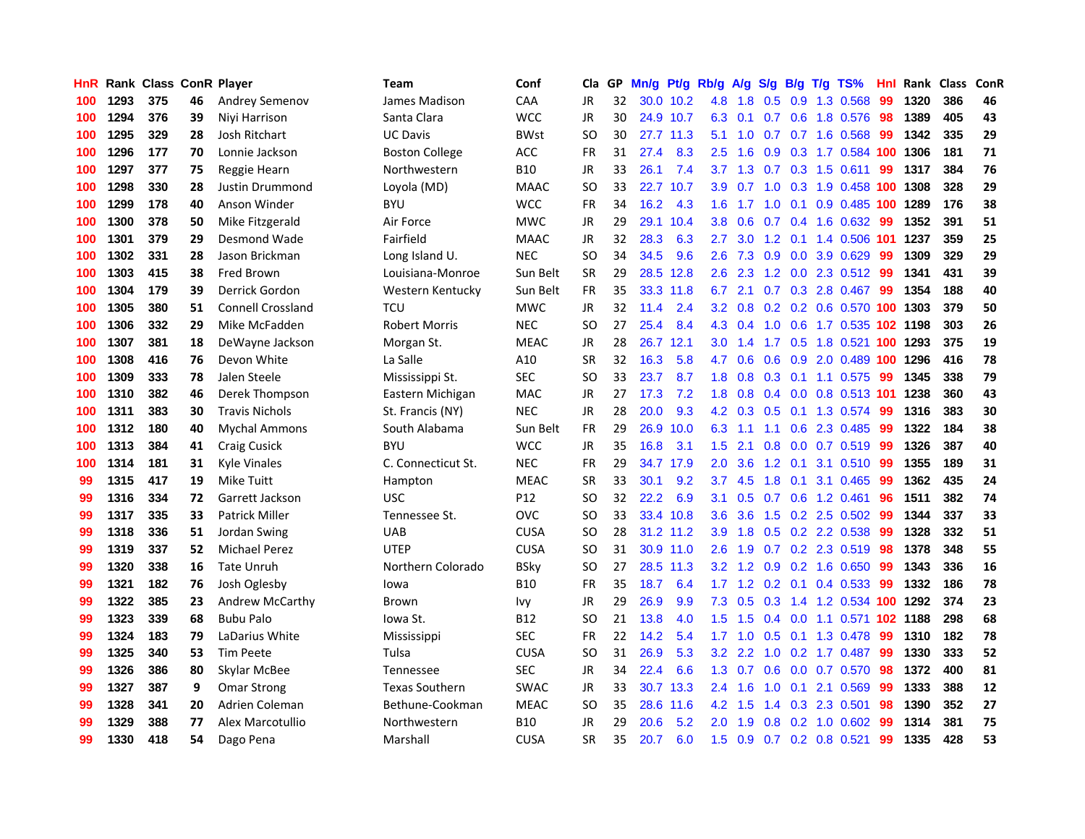| HnR |      | <b>Rank Class ConR Player</b> |    |                          | Team                  | Conf        | Cla           |    | GP Mn/g | Pt/g      | Rb/g             | <b>A/g</b>      |                 |                 | S/g B/g T/g TS%              | Hnl | Rank Class |     | ConR |
|-----|------|-------------------------------|----|--------------------------|-----------------------|-------------|---------------|----|---------|-----------|------------------|-----------------|-----------------|-----------------|------------------------------|-----|------------|-----|------|
| 100 | 1293 | 375                           | 46 | Andrey Semenov           | James Madison         | <b>CAA</b>  | JR            | 32 |         | 30.0 10.2 | 4.8              | 1.8             | 0.5             | 0.9             | 1.3 0.568                    | 99  | 1320       | 386 | 46   |
| 100 | 1294 | 376                           | 39 | Niyi Harrison            | Santa Clara           | <b>WCC</b>  | <b>JR</b>     | 30 |         | 24.9 10.7 | 6.3              | 0.1             |                 | $0.7 \quad 0.6$ | 1.8 0.576                    | 98  | 1389       | 405 | 43   |
| 100 | 1295 | 329                           | 28 | Josh Ritchart            | <b>UC Davis</b>       | <b>BWst</b> | <sub>SO</sub> | 30 |         | 27.7 11.3 | 5.1              | 1.0             | 0.7             | 0.7             | 1.6 0.568                    | -99 | 1342       | 335 | 29   |
| 100 | 1296 | 177                           | 70 | Lonnie Jackson           | <b>Boston College</b> | <b>ACC</b>  | <b>FR</b>     | 31 | 27.4    | 8.3       | 2.5              | 1.6             | 0.9             |                 | 0.3 1.7 0.584                | 100 | 1306       | 181 | 71   |
| 100 | 1297 | 377                           | 75 | Reggie Hearn             | Northwestern          | <b>B10</b>  | <b>JR</b>     | 33 | 26.1    | 7.4       |                  |                 |                 |                 | 3.7 1.3 0.7 0.3 1.5 0.611    | -99 | 1317       | 384 | 76   |
| 100 | 1298 | 330                           | 28 | Justin Drummond          | Loyola (MD)           | <b>MAAC</b> | <b>SO</b>     | 33 |         | 22.7 10.7 | 3.9 <sup>°</sup> | 0.7             |                 |                 | 1.0 0.3 1.9 0.458 100        |     | 1308       | 328 | 29   |
| 100 | 1299 | 178                           | 40 | Anson Winder             | <b>BYU</b>            | <b>WCC</b>  | <b>FR</b>     | 34 | 16.2    | 4.3       | 1.6              | 1.7             |                 |                 | 1.0 0.1 0.9 0.485 100        |     | 1289       | 176 | 38   |
| 100 | 1300 | 378                           | 50 | Mike Fitzgerald          | Air Force             | <b>MWC</b>  | <b>JR</b>     | 29 |         | 29.1 10.4 | 3.8              | 0.6             |                 |                 | 0.7 0.4 1.6 0.632            | 99  | 1352       | 391 | 51   |
| 100 | 1301 | 379                           | 29 | Desmond Wade             | Fairfield             | <b>MAAC</b> | JR            | 32 | 28.3    | 6.3       | 2.7              | 3.0             | 1.2             | 0.1             | 1.4 0.506                    | 101 | 1237       | 359 | 25   |
| 100 | 1302 | 331                           | 28 | Jason Brickman           | Long Island U.        | <b>NEC</b>  | <sub>SO</sub> | 34 | 34.5    | 9.6       | 2.6              | 7.3             | 0.9             |                 | 0.0 3.9 0.629                | -99 | 1309       | 329 | 29   |
| 100 | 1303 | 415                           | 38 | Fred Brown               | Louisiana-Monroe      | Sun Belt    | <b>SR</b>     | 29 |         | 28.5 12.8 | 2.6              | 2.3             |                 |                 | 1.2 0.0 2.3 0.512            | -99 | 1341       | 431 | 39   |
| 100 | 1304 | 179                           | 39 | Derrick Gordon           | Western Kentucky      | Sun Belt    | <b>FR</b>     | 35 |         | 33.3 11.8 | 6.7              | 2.1             |                 |                 | 0.7 0.3 2.8 0.467            | 99  | 1354       | 188 | 40   |
| 100 | 1305 | 380                           | 51 | <b>Connell Crossland</b> | <b>TCU</b>            | <b>MWC</b>  | JR            | 32 | 11.4    | 2.4       | 3.2              | 0.8             |                 |                 | 0.2 0.2 0.6 0.570 100        |     | 1303       | 379 | 50   |
| 100 | 1306 | 332                           | 29 | Mike McFadden            | <b>Robert Morris</b>  | <b>NEC</b>  | <b>SO</b>     | 27 | 25.4    | 8.4       | 4.3              | 0.4             | 1.0             |                 | 0.6 1.7 0.535 102 1198       |     |            | 303 | 26   |
| 100 | 1307 | 381                           | 18 | DeWayne Jackson          | Morgan St.            | <b>MEAC</b> | <b>JR</b>     | 28 |         | 26.7 12.1 | 3.0 <sub>1</sub> | 1.4             | $1.7^{\circ}$   | 0.5             | 1.8 0.521                    | 100 | 1293       | 375 | 19   |
| 100 | 1308 | 416                           | 76 | Devon White              | La Salle              | A10         | <b>SR</b>     | 32 | 16.3    | 5.8       | 4.7              | 0.6             | 0.6             | 0.9             | 2.0 0.489 100                |     | 1296       | 416 | 78   |
| 100 | 1309 | 333                           | 78 | Jalen Steele             | Mississippi St.       | <b>SEC</b>  | <sub>SO</sub> | 33 | 23.7    | 8.7       | 1.8              | 0.8             | $0.3 \quad 0.1$ |                 | 1.1 0.575                    | -99 | 1345       | 338 | 79   |
| 100 | 1310 | 382                           | 46 | Derek Thompson           | Eastern Michigan      | MAC         | JR            | 27 | 17.3    | 7.2       | 1.8              |                 |                 |                 | 0.8 0.4 0.0 0.8 0.513 101    |     | 1238       | 360 | 43   |
| 100 | 1311 | 383                           | 30 | <b>Travis Nichols</b>    | St. Francis (NY)      | <b>NEC</b>  | <b>JR</b>     | 28 | 20.0    | 9.3       |                  |                 |                 |                 | 4.2 0.3 0.5 0.1 1.3 0.574 99 |     | 1316       | 383 | 30   |
| 100 | 1312 | 180                           | 40 | <b>Mychal Ammons</b>     | South Alabama         | Sun Belt    | <b>FR</b>     | 29 | 26.9    | 10.0      | 6.3              | $-1.1$          |                 |                 | 1.1 0.6 2.3 0.485            | -99 | 1322       | 184 | 38   |
| 100 | 1313 | 384                           | 41 | <b>Craig Cusick</b>      | <b>BYU</b>            | <b>WCC</b>  | <b>JR</b>     | 35 | 16.8    | 3.1       | 1.5              | 2.1             |                 |                 | 0.8 0.0 0.7 0.519            | -99 | 1326       | 387 | 40   |
| 100 | 1314 | 181                           | 31 | <b>Kyle Vinales</b>      | C. Connecticut St.    | <b>NEC</b>  | FR            | 29 |         | 34.7 17.9 | 2.0              | 3.6             |                 |                 | 1.2 0.1 3.1 0.510            | -99 | 1355       | 189 | 31   |
| 99  | 1315 | 417                           | 19 | Mike Tuitt               | Hampton               | <b>MEAC</b> | <b>SR</b>     | 33 | 30.1    | 9.2       | 3.7              | 4.5             | 1.8             | 0.1             | 3.1 0.465                    | 99  | 1362       | 435 | 24   |
| 99  | 1316 | 334                           | 72 | Garrett Jackson          | <b>USC</b>            | P12         | <b>SO</b>     | 32 | 22.2    | 6.9       | 3.1              | 0.5             |                 |                 | $0.7$ $0.6$ 1.2 $0.461$      | 96  | 1511       | 382 | 74   |
| 99  | 1317 | 335                           | 33 | <b>Patrick Miller</b>    | Tennessee St.         | OVC         | <b>SO</b>     | 33 |         | 33.4 10.8 | 3.6 <sup>°</sup> | 3.6             |                 |                 | 1.5 0.2 2.5 0.502            | -99 | 1344       | 337 | 33   |
| 99  | 1318 | 336                           | 51 | Jordan Swing             | <b>UAB</b>            | <b>CUSA</b> | <b>SO</b>     | 28 |         | 31.2 11.2 | 3.9              | 1.8             |                 |                 | 0.5 0.2 2.2 0.538            | -99 | 1328       | 332 | 51   |
| 99  | 1319 | 337                           | 52 | <b>Michael Perez</b>     | <b>UTEP</b>           | <b>CUSA</b> | <b>SO</b>     | 31 |         | 30.9 11.0 | 2.6              | 1.9             |                 |                 | $0.7$ $0.2$ $2.3$ $0.519$    | 98  | 1378       | 348 | 55   |
| 99  | 1320 | 338                           | 16 | <b>Tate Unruh</b>        | Northern Colorado     | <b>BSky</b> | <b>SO</b>     | 27 |         | 28.5 11.3 |                  | $3.2 \quad 1.2$ |                 |                 | $0.9$ 0.2 1.6 0.650          | -99 | 1343       | 336 | 16   |
| 99  | 1321 | 182                           | 76 | Josh Oglesby             | lowa                  | <b>B10</b>  | <b>FR</b>     | 35 | 18.7    | 6.4       | 1.7 <sub>z</sub> | 1.2             |                 |                 | $0.2$ 0.1 0.4 0.533          | 99  | 1332       | 186 | 78   |
| 99  | 1322 | 385                           | 23 | Andrew McCarthy          | <b>Brown</b>          | Ivy         | JR            | 29 | 26.9    | 9.9       | 7.3              | 0.5             | 0.3             |                 | 1.4 1.2 0.534 100            |     | 1292       | 374 | 23   |
| 99  | 1323 | 339                           | 68 | <b>Bubu Palo</b>         | lowa St.              | <b>B12</b>  | <sub>SO</sub> | 21 | 13.8    | 4.0       | 1.5              | 1.5             |                 |                 | 0.4 0.0 1.1 0.571 102 1188   |     |            | 298 | 68   |
| 99  | 1324 | 183                           | 79 | LaDarius White           | Mississippi           | <b>SEC</b>  | <b>FR</b>     | 22 | 14.2    | 5.4       |                  |                 |                 |                 | 1.7 1.0 0.5 0.1 1.3 0.478    | -99 | 1310       | 182 | 78   |
| 99  | 1325 | 340                           | 53 | <b>Tim Peete</b>         | Tulsa                 | <b>CUSA</b> | <b>SO</b>     | 31 | 26.9    | 5.3       | 3.2              | 2.2             |                 |                 | 1.0 0.2 1.7 0.487            | -99 | 1330       | 333 | 52   |
| 99  | 1326 | 386                           | 80 | Skylar McBee             | Tennessee             | <b>SEC</b>  | <b>JR</b>     | 34 | 22.4    | 6.6       | 1.3 <sup>1</sup> | 0.7             | 0.6             |                 | 0.0 0.7 0.570                | -98 | 1372       | 400 | 81   |
| 99  | 1327 | 387                           | 9  | <b>Omar Strong</b>       | <b>Texas Southern</b> | <b>SWAC</b> | JR            | 33 |         | 30.7 13.3 | 2.4              | 1.6             | 1.0             | 0.1             | 2.1 0.569                    | 99  | 1333       | 388 | 12   |
| 99  | 1328 | 341                           | 20 | Adrien Coleman           | Bethune-Cookman       | <b>MEAC</b> | <b>SO</b>     | 35 |         | 28.6 11.6 | 4.2              | 1.5             | $1.4^{\circ}$   |                 | 0.3 2.3 0.501                | 98  | 1390       | 352 | 27   |
| 99  | 1329 | 388                           | 77 | Alex Marcotullio         | Northwestern          | <b>B10</b>  | <b>JR</b>     | 29 | 20.6    | 5.2       | 2.0              | 1.9             | 0.8             | 0.2             | 1.0 0.602                    | 99  | 1314       | 381 | 75   |
| 99  | 1330 | 418                           | 54 | Dago Pena                | Marshall              | <b>CUSA</b> | SR            | 35 | 20.7    | 6.0       | $1.5^{\circ}$    |                 |                 |                 | $0.9$ 0.7 0.2 0.8 0.521      | 99  | 1335       | 428 | 53   |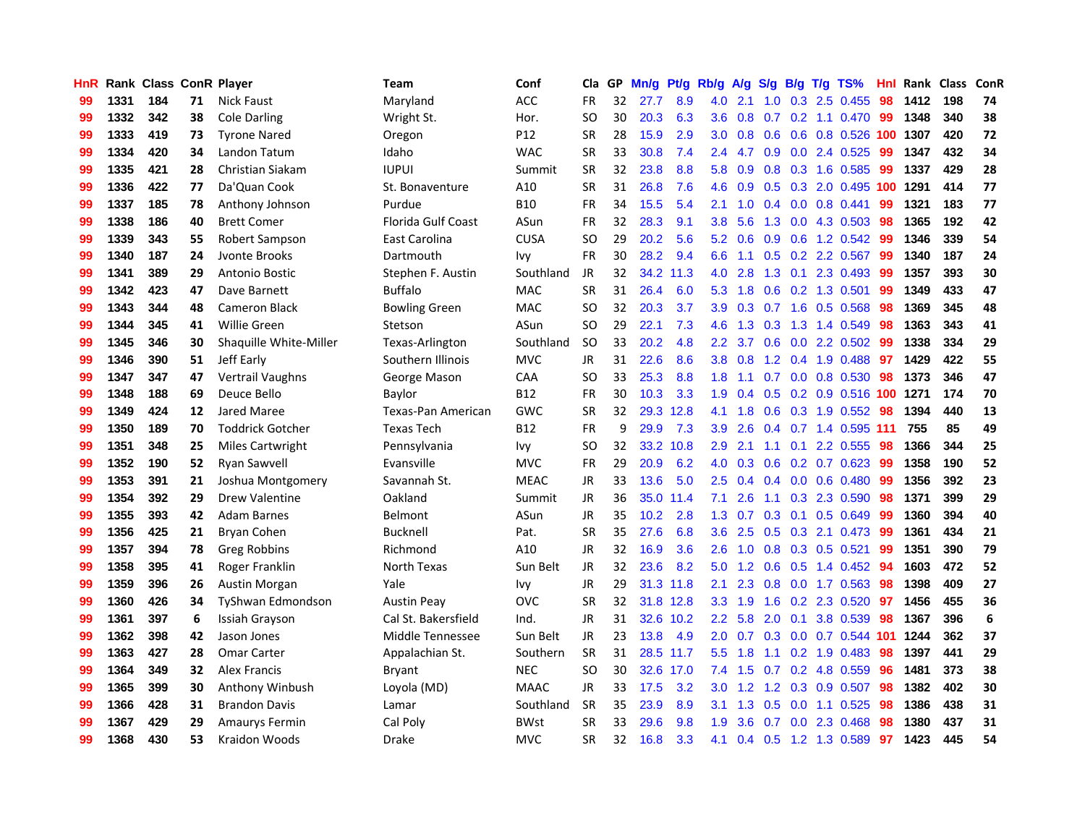| HnR |      |     |    | Rank Class ConR Player  | <b>Team</b>               | Conf        |               |    | Cla GP Mn/g Pt/g Rb/g A/g S/g B/g T/g TS% |           |                  |                 |     |                 |                            | Hnl |      | Rank Class | ConR |
|-----|------|-----|----|-------------------------|---------------------------|-------------|---------------|----|-------------------------------------------|-----------|------------------|-----------------|-----|-----------------|----------------------------|-----|------|------------|------|
| 99  | 1331 | 184 | 71 | <b>Nick Faust</b>       | Maryland                  | ACC         | <b>FR</b>     | 32 | 27.7                                      | 8.9       | 4.0              | 2.1             | 1.0 | 0.3             | 2.5 0.455                  | 98  | 1412 | 198        | 74   |
| 99  | 1332 | 342 | 38 | <b>Cole Darling</b>     | Wright St.                | Hor.        | <sub>SO</sub> | 30 | 20.3                                      | 6.3       | 3.6              | 0.8             | 0.7 | 0.2             | 1.1 0.470                  | -99 | 1348 | 340        | 38   |
| 99  | 1333 | 419 | 73 | <b>Tyrone Nared</b>     | Oregon                    | P12         | <b>SR</b>     | 28 | 15.9                                      | 2.9       | 3.0 <sub>1</sub> | 0.8             | 0.6 | 0.6             | 0.8 0.526                  | 100 | 1307 | 420        | 72   |
| 99  | 1334 | 420 | 34 | Landon Tatum            | Idaho                     | <b>WAC</b>  | <b>SR</b>     | 33 | 30.8                                      | 7.4       | $2.4^{\circ}$    | 4.7             |     |                 | 0.9 0.0 2.4 0.525          | -99 | 1347 | 432        | 34   |
| 99  | 1335 | 421 | 28 | Christian Siakam        | <b>IUPUI</b>              | Summit      | <b>SR</b>     | 32 | 23.8                                      | 8.8       | 5.8              | 0.9             |     |                 | 0.8 0.3 1.6 0.585          | -99 | 1337 | 429        | 28   |
| 99  | 1336 | 422 | 77 | Da'Quan Cook            | St. Bonaventure           | A10         | <b>SR</b>     | 31 | 26.8                                      | 7.6       | 4.6              | 0.9             |     |                 | 0.5 0.3 2.0 0.495 100      |     | 1291 | 414        | 77   |
| 99  | 1337 | 185 | 78 | Anthony Johnson         | Purdue                    | <b>B10</b>  | <b>FR</b>     | 34 | 15.5                                      | 5.4       | 2.1              | 1.0             |     |                 | $0.4$ 0.0 0.8 0.441        | -99 | 1321 | 183        | 77   |
| 99  | 1338 | 186 | 40 | <b>Brett Comer</b>      | <b>Florida Gulf Coast</b> | ASun        | <b>FR</b>     | 32 | 28.3                                      | 9.1       | 3.8              | 5.6             | 1.3 |                 | 0.0 4.3 0.503              | 98  | 1365 | 192        | 42   |
| 99  | 1339 | 343 | 55 | Robert Sampson          | East Carolina             | <b>CUSA</b> | <b>SO</b>     | 29 | 20.2                                      | 5.6       | 5.2              | 0.6             |     | $0.9\quad 0.6$  | 1.2 0.542                  | 99  | 1346 | 339        | 54   |
| 99  | 1340 | 187 | 24 | Jyonte Brooks           | Dartmouth                 | Ivy         | <b>FR</b>     | 30 | 28.2                                      | 9.4       | 6.6              | 1.1             |     |                 | 0.5 0.2 2.2 0.567          | -99 | 1340 | 187        | 24   |
| 99  | 1341 | 389 | 29 | <b>Antonio Bostic</b>   | Stephen F. Austin         | Southland   | JR            | 32 |                                           | 34.2 11.3 | 4.0              | 2.8             | 1.3 | 0.1             | 2.3 0.493                  | -99 | 1357 | 393        | 30   |
| 99  | 1342 | 423 | 47 | Dave Barnett            | <b>Buffalo</b>            | <b>MAC</b>  | <b>SR</b>     | 31 | 26.4                                      | 6.0       | 5.3              | 1.8             |     |                 | 0.6 0.2 1.3 0.501          | 99  | 1349 | 433        | 47   |
| 99  | 1343 | 344 | 48 | <b>Cameron Black</b>    | <b>Bowling Green</b>      | <b>MAC</b>  | <b>SO</b>     | 32 | 20.3                                      | 3.7       | 3.9              | 0.3             | 0.7 | 1.6             | 0.5 0.568                  | 98  | 1369 | 345        | 48   |
| 99  | 1344 | 345 | 41 | <b>Willie Green</b>     | Stetson                   | ASun        | <b>SO</b>     | 29 | 22.1                                      | 7.3       | 4.6              | 1.3             | 0.3 |                 | 1.3 1.4 0.549              | 98  | 1363 | 343        | 41   |
| 99  | 1345 | 346 | 30 | Shaquille White-Miller  | Texas-Arlington           | Southland   | <b>SO</b>     | 33 | 20.2                                      | 4.8       | 2.2 <sub>2</sub> | 3.7             | 0.6 | 0.0             | 2.2 0.502                  | 99  | 1338 | 334        | 29   |
| 99  | 1346 | 390 | 51 | Jeff Early              | Southern Illinois         | <b>MVC</b>  | <b>JR</b>     | 31 | 22.6                                      | 8.6       | 3.8              | 0.8             |     |                 | 1.2 0.4 1.9 0.488          | 97  | 1429 | 422        | 55   |
| 99  | 1347 | 347 | 47 | Vertrail Vaughns        | George Mason              | CAA         | <b>SO</b>     | 33 | 25.3                                      | 8.8       | 1.8              | 1.1             | 0.7 |                 | 0.0 0.8 0.530              | 98  | 1373 | 346        | 47   |
| 99  | 1348 | 188 | 69 | Deuce Bello             | Baylor                    | <b>B12</b>  | FR            | 30 | 10.3                                      | 3.3       |                  | $1.9 \quad 0.4$ |     |                 | 0.5 0.2 0.9 0.516 100 1271 |     |      | 174        | 70   |
| 99  | 1349 | 424 | 12 | Jared Maree             | Texas-Pan American        | <b>GWC</b>  | <b>SR</b>     | 32 |                                           | 29.3 12.8 | 4.1              | 1.8             |     |                 | 0.6 0.3 1.9 0.552 98       |     | 1394 | 440        | 13   |
| 99  | 1350 | 189 | 70 | <b>Toddrick Gotcher</b> | <b>Texas Tech</b>         | <b>B12</b>  | <b>FR</b>     | 9  | 29.9                                      | 7.3       | 3.9 <sup>°</sup> | 2.6             |     |                 | 0.4 0.7 1.4 0.595 111      |     | 755  | 85         | 49   |
| 99  | 1351 | 348 | 25 | <b>Miles Cartwright</b> | Pennsylvania              | Ivy         | <b>SO</b>     | 32 |                                           | 33.2 10.8 | 2.9              | 2.1             |     |                 | 1.1 0.1 2.2 0.555          | 98  | 1366 | 344        | 25   |
| 99  | 1352 | 190 | 52 | Ryan Sawvell            | Evansville                | <b>MVC</b>  | FR            | 29 | 20.9                                      | 6.2       | 4.0              | 0.3             |     |                 | $0.6$ $0.2$ $0.7$ $0.623$  | 99  | 1358 | 190        | 52   |
| 99  | 1353 | 391 | 21 | Joshua Montgomery       | Savannah St.              | <b>MEAC</b> | <b>JR</b>     | 33 | 13.6                                      | 5.0       | 2.5              | 0.4             |     |                 | $0.4$ 0.0 0.6 0.480        | -99 | 1356 | 392        | 23   |
| 99  | 1354 | 392 | 29 | <b>Drew Valentine</b>   | Oakland                   | Summit      | JR            | 36 |                                           | 35.0 11.4 | 7.1              | 2.6             | 1.1 |                 | 0.3 2.3 0.590              | 98  | 1371 | 399        | 29   |
| 99  | 1355 | 393 | 42 | <b>Adam Barnes</b>      | Belmont                   | ASun        | <b>JR</b>     | 35 | 10.2                                      | 2.8       | 1.3              | 0.7             |     | $0.3 \quad 0.1$ | 0.5 0.649                  | -99 | 1360 | 394        | 40   |
| 99  | 1356 | 425 | 21 | Bryan Cohen             | Bucknell                  | Pat.        | <b>SR</b>     | 35 | 27.6                                      | 6.8       | 3.6              | 2.5             |     |                 | 0.5 0.3 2.1 0.473          | -99 | 1361 | 434        | 21   |
| 99  | 1357 | 394 | 78 | Greg Robbins            | Richmond                  | A10         | <b>JR</b>     | 32 | 16.9                                      | 3.6       | 2.6              | 1.0             | 0.8 | 0.3             | $0.5$ 0.521                | -99 | 1351 | 390        | 79   |
| 99  | 1358 | 395 | 41 | Roger Franklin          | North Texas               | Sun Belt    | JR            | 32 | 23.6                                      | 8.2       | 5.0              | 1.2             | 0.6 | 0.5             | 1.4 0.452                  | 94  | 1603 | 472        | 52   |
| 99  | 1359 | 396 | 26 | Austin Morgan           | Yale                      | <b>Ivy</b>  | <b>JR</b>     | 29 |                                           | 31.3 11.8 | 2.1              | 2.3             | 0.8 | 0.0             | 1.7 0.563                  | 98  | 1398 | 409        | 27   |
| 99  | 1360 | 426 | 34 | TyShwan Edmondson       | <b>Austin Peay</b>        | <b>OVC</b>  | <b>SR</b>     | 32 |                                           | 31.8 12.8 | 3.3              | 1.9             | 1.6 |                 | 0.2 2.3 0.520              | 97  | 1456 | 455        | 36   |
| 99  | 1361 | 397 | 6  | Issiah Grayson          | Cal St. Bakersfield       | Ind.        | <b>JR</b>     | 31 |                                           | 32.6 10.2 | 2.2              | 5.8             | 2.0 | 0.1             | 3.8 0.539                  | 98  | 1367 | 396        | 6    |
| 99  | 1362 | 398 | 42 | Jason Jones             | Middle Tennessee          | Sun Belt    | <b>JR</b>     | 23 | 13.8                                      | 4.9       | 2.0              | 0.7             |     |                 | 0.3 0.0 0.7 0.544 101      |     | 1244 | 362        | 37   |
| 99  | 1363 | 427 | 28 | <b>Omar Carter</b>      | Appalachian St.           | Southern    | <b>SR</b>     | 31 |                                           | 28.5 11.7 | $5.5^{\circ}$    | 1.8             |     |                 | 1.1 0.2 1.9 0.483          | 98  | 1397 | 441        | 29   |
| 99  | 1364 | 349 | 32 | <b>Alex Francis</b>     | Bryant                    | <b>NEC</b>  | <b>SO</b>     | 30 |                                           | 32.6 17.0 | 7.4              | 1.5             | 0.7 |                 | 0.2 4.8 0.559              | 96  | 1481 | 373        | 38   |
| 99  | 1365 | 399 | 30 | Anthony Winbush         | Loyola (MD)               | <b>MAAC</b> | JR            | 33 | 17.5                                      | 3.2       | 3.0 <sub>1</sub> | 1.2             | 1.2 |                 | 0.3 0.9 0.507              | 98  | 1382 | 402        | 30   |
| 99  | 1366 | 428 | 31 | <b>Brandon Davis</b>    | Lamar                     | Southland   | <b>SR</b>     | 35 | 23.9                                      | 8.9       | 3.1              | 1.3             | 0.5 | 0.0             | 1.1 0.525                  | 98  | 1386 | 438        | 31   |
| 99  | 1367 | 429 | 29 | <b>Amaurys Fermin</b>   | Cal Poly                  | <b>BWst</b> | <b>SR</b>     | 33 | 29.6                                      | 9.8       | 1.9              | 3.6             | 0.7 | 0.0             | 2.3 0.468                  | 98  | 1380 | 437        | 31   |
| 99  | 1368 | 430 | 53 | Kraidon Woods           | Drake                     | <b>MVC</b>  | <b>SR</b>     | 32 | 16.8                                      | 3.3       | 4.1              |                 |     |                 | 0.4 0.5 1.2 1.3 0.589      | 97  | 1423 | 445        | 54   |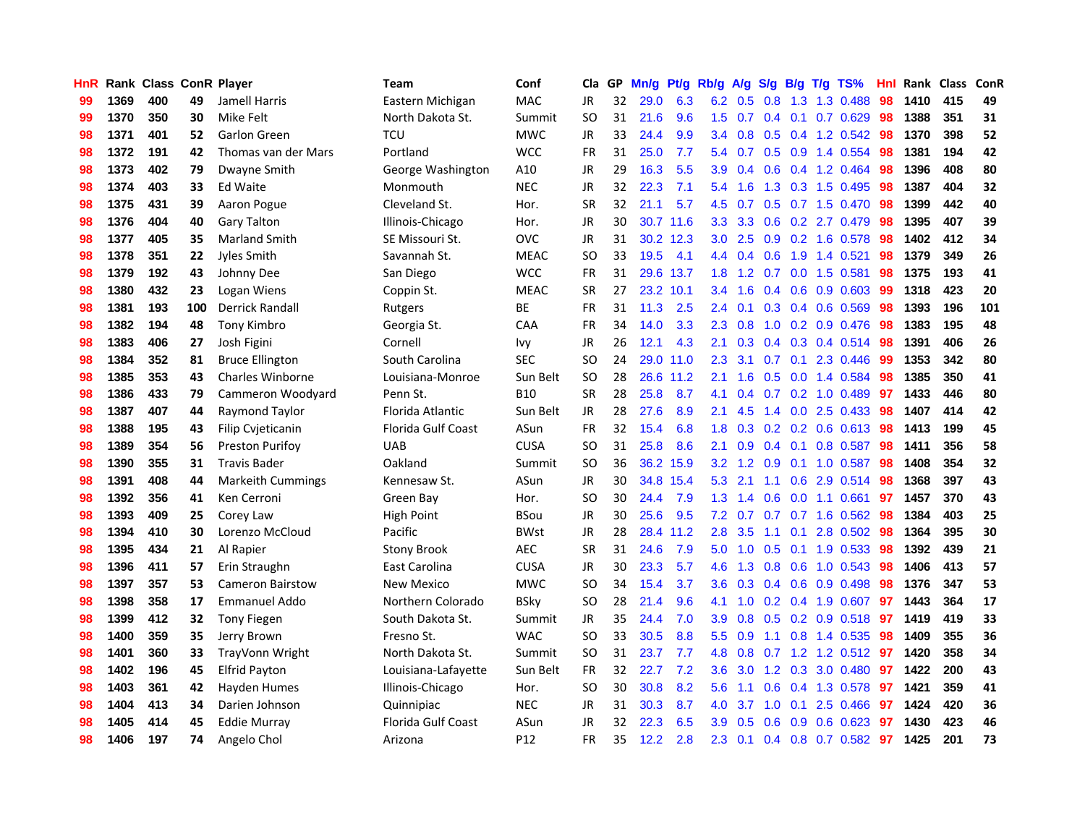| HnR |      | Rank Class ConR Player |     |                          | Team                      | Conf        | Cla       |     | GP Mn/g Pt/g Rb/g A/g |           |                  |         |     |                 | S/g B/g T/g TS%         | Hnl | Rank Class |     | ConR |
|-----|------|------------------------|-----|--------------------------|---------------------------|-------------|-----------|-----|-----------------------|-----------|------------------|---------|-----|-----------------|-------------------------|-----|------------|-----|------|
| 99  | 1369 | 400                    | 49  | Jamell Harris            | Eastern Michigan          | <b>MAC</b>  | JR        | 32  | 29.0                  | 6.3       | 6.2              | 0.5     | 0.8 | 1.3             | 1.3 0.488               | 98  | 1410       | 415 | 49   |
| 99  | 1370 | 350                    | 30  | Mike Felt                | North Dakota St.          | Summit      | <b>SO</b> | 31  | 21.6                  | 9.6       | 1.5              | 0.7     |     | $0.4 \quad 0.1$ | 0.7 0.629               | 98  | 1388       | 351 | 31   |
| 98  | 1371 | 401                    | 52  | <b>Garlon Green</b>      | <b>TCU</b>                | <b>MWC</b>  | <b>JR</b> | 33  | 24.4                  | 9.9       | $3.4^{\circ}$    | 0.8     |     |                 | $0.5$ $0.4$ 1.2 $0.542$ | 98  | 1370       | 398 | 52   |
| 98  | 1372 | 191                    | 42  | Thomas van der Mars      | Portland                  | <b>WCC</b>  | <b>FR</b> | 31  | 25.0                  | 7.7       |                  | 5.4 0.7 |     |                 | 0.5 0.9 1.4 0.554       | 98  | 1381       | 194 | 42   |
| 98  | 1373 | 402                    | 79  | Dwayne Smith             | George Washington         | A10         | JR        | 29  | 16.3                  | 5.5       | 3.9 <sup>°</sup> | 0.4     |     |                 | 0.6 0.4 1.2 0.464       | 98  | 1396       | 408 | 80   |
| 98  | 1374 | 403                    | 33  | Ed Waite                 | Monmouth                  | <b>NEC</b>  | JR        | 32. | 22.3                  | 7.1       | $5.4^{\circ}$    | 1.6     |     |                 | 1.3 0.3 1.5 0.495       | -98 | 1387       | 404 | 32   |
| 98  | 1375 | 431                    | 39  | Aaron Pogue              | Cleveland St.             | Hor.        | <b>SR</b> | 32  | 21.1                  | 5.7       | 4.5              | 0.7     |     |                 | $0.5$ $0.7$ 1.5 $0.470$ | -98 | 1399       | 442 | 40   |
| 98  | 1376 | 404                    | 40  | <b>Gary Talton</b>       | Illinois-Chicago          | Hor.        | <b>JR</b> | 30  |                       | 30.7 11.6 | 3.3 <sub>2</sub> | 3.3     |     |                 | 0.6 0.2 2.7 0.479       | 98  | 1395       | 407 | 39   |
| 98  | 1377 | 405                    | 35  | <b>Marland Smith</b>     | SE Missouri St.           | <b>OVC</b>  | JR        | 31  |                       | 30.2 12.3 | 3.0              | 2.5     |     |                 | 0.9 0.2 1.6 0.578       | 98  | 1402       | 412 | 34   |
| 98  | 1378 | 351                    | 22  | Jyles Smith              | Savannah St.              | <b>MEAC</b> | <b>SO</b> | 33  | 19.5                  | 4.1       | 4.4              | 0.4     | 0.6 | 1.9             | 1.4 0.521               | 98  | 1379       | 349 | 26   |
| 98  | 1379 | 192                    | 43  | Johnny Dee               | San Diego                 | <b>WCC</b>  | FR        | 31  |                       | 29.6 13.7 | 1.8 <sup>2</sup> | 1.2     | 0.7 |                 | $0.0$ 1.5 $0.581$       | 98  | 1375       | 193 | 41   |
| 98  | 1380 | 432                    | 23  | Logan Wiens              | Coppin St.                | <b>MEAC</b> | <b>SR</b> | 27  |                       | 23.2 10.1 | 3.4              | 1.6     |     | $0.4\quad 0.6$  | 0.9 0.603               | 99  | 1318       | 423 | 20   |
| 98  | 1381 | 193                    | 100 | <b>Derrick Randall</b>   | Rutgers                   | ВE          | <b>FR</b> | 31  | 11.3                  | 2.5       | 2.4              | 0.1     | 0.3 |                 | 0.4 0.6 0.569           | 98  | 1393       | 196 | 101  |
| 98  | 1382 | 194                    | 48  | Tony Kimbro              | Georgia St.               | CAA         | <b>FR</b> | 34  | 14.0                  | 3.3       | 2.3              | 0.8     | 1.0 |                 | 0.2 0.9 0.476           | 98  | 1383       | 195 | 48   |
| 98  | 1383 | 406                    | 27  | Josh Figini              | Cornell                   | Ivy         | JR        | 26  | 12.1                  | 4.3       | 2.1              | 0.3     |     |                 | $0.4$ 0.3 0.4 0.514     | 98  | 1391       | 406 | 26   |
| 98  | 1384 | 352                    | 81  | <b>Bruce Ellington</b>   | South Carolina            | <b>SEC</b>  | <b>SO</b> | 24  | 29.0                  | 11.0      | 2.3              | 3.1     | 0.7 | 0.1             | 2.3 0.446               | -99 | 1353       | 342 | 80   |
| 98  | 1385 | 353                    | 43  | <b>Charles Winborne</b>  | Louisiana-Monroe          | Sun Belt    | <b>SO</b> | 28  | 26.6                  | 11.2      | 2.1              | 1.6     | 0.5 | 0.0             | 1.4 0.584               | 98  | 1385       | 350 | 41   |
| 98  | 1386 | 433                    | 79  | Cammeron Woodyard        | Penn St.                  | <b>B10</b>  | <b>SR</b> | 28  | 25.8                  | 8.7       | 4.1              | 0.4     |     |                 | $0.7$ $0.2$ 1.0 $0.489$ | 97  | 1433       | 446 | 80   |
| 98  | 1387 | 407                    | 44  | Raymond Taylor           | Florida Atlantic          | Sun Belt    | JR        | 28  | 27.6                  | 8.9       | 2.1              | 4.5     |     |                 | 1.4 0.0 2.5 0.433       | -98 | 1407       | 414 | 42   |
| 98  | 1388 | 195                    | 43  | Filip Cvjeticanin        | Florida Gulf Coast        | ASun        | <b>FR</b> | 32  | 15.4                  | 6.8       | 1.8 <sup>°</sup> | 0.3     |     |                 | $0.2$ 0.2 0.6 0.613     | -98 | 1413       | 199 | 45   |
| 98  | 1389 | 354                    | 56  | <b>Preston Purifov</b>   | <b>UAB</b>                | <b>CUSA</b> | <b>SO</b> | 31  | 25.8                  | 8.6       | 2.1              | 0.9     |     |                 | $0.4$ 0.1 0.8 0.587     | 98  | 1411       | 356 | 58   |
| 98  | 1390 | 355                    | 31  | <b>Travis Bader</b>      | Oakland                   | Summit      | <b>SO</b> | 36  |                       | 36.2 15.9 | 3.2              | 1.2     |     |                 | 0.9 0.1 1.0 0.587       | -98 | 1408       | 354 | 32   |
| 98  | 1391 | 408                    | 44  | <b>Markeith Cummings</b> | Kennesaw St.              | ASun        | <b>JR</b> | 30  |                       | 34.8 15.4 | 5.3              | 2.1     | 1.1 |                 | 0.6 2.9 0.514           | 98  | 1368       | 397 | 43   |
| 98  | 1392 | 356                    | 41  | Ken Cerroni              | Green Bay                 | Hor.        | <b>SO</b> | 30  | 24.4                  | 7.9       | 1.3              | 1.4     | 0.6 |                 | $0.0$ 1.1 0.661         | 97  | 1457       | 370 | 43   |
| 98  | 1393 | 409                    | 25  | Corey Law                | High Point                | <b>BSou</b> | <b>JR</b> | 30  | 25.6                  | 9.5       | 7.2              | 0.7     |     |                 | 0.7 0.7 1.6 0.562       | 98  | 1384       | 403 | 25   |
| 98  | 1394 | 410                    | 30  | Lorenzo McCloud          | Pacific                   | <b>BWst</b> | JR        | 28  |                       | 28.4 11.2 | 2.8              | 3.5     | 1.1 | 0.1             | 2.8 0.502               | 98  | 1364       | 395 | 30   |
| 98  | 1395 | 434                    | 21  | Al Rapier                | <b>Stony Brook</b>        | AEC         | <b>SR</b> | 31  | 24.6                  | 7.9       | 5.0              | 1.0     | 0.5 |                 | $0.1$ 1.9 0.533         | 98  | 1392       | 439 | 21   |
| 98  | 1396 | 411                    | 57  | Erin Straughn            | East Carolina             | <b>CUSA</b> | JR        | 30  | 23.3                  | 5.7       | 4.6              | 1.3     | 0.8 | 0.6             | 1.0 0.543               | 98  | 1406       | 413 | 57   |
| 98  | 1397 | 357                    | 53  | Cameron Bairstow         | New Mexico                | <b>MWC</b>  | <b>SO</b> | 34  | 15.4                  | 3.7       | $3.6^{\circ}$    | 0.3     |     | $0.4\quad 0.6$  | 0.9 0.498               | 98  | 1376       | 347 | 53   |
| 98  | 1398 | 358                    | 17  | <b>Emmanuel Addo</b>     | Northern Colorado         | <b>BSkv</b> | <b>SO</b> | 28  | 21.4                  | 9.6       | 4.1              | 1.0     |     |                 | $0.2$ $0.4$ 1.9 $0.607$ | 97  | 1443       | 364 | 17   |
| 98  | 1399 | 412                    | 32  | <b>Tony Fiegen</b>       | South Dakota St.          | Summit      | JR        | 35  | 24.4                  | 7.0       | 3.9              | 0.8     |     |                 | 0.5 0.2 0.9 0.518       | -97 | 1419       | 419 | 33   |
| 98  | 1400 | 359                    | 35  | Jerry Brown              | Fresno St.                | <b>WAC</b>  | SO.       | 33  | 30.5                  | 8.8       | 5.5              | 0.9     |     |                 | 1.1 0.8 1.4 0.535       | -98 | 1409       | 355 | 36   |
| 98  | 1401 | 360                    | 33  | TrayVonn Wright          | North Dakota St.          | Summit      | <b>SO</b> | 31  | 23.7                  | 7.7       | 4.8              | 0.8     | 0.7 |                 | 1.2 1.2 0.512 97        |     | 1420       | 358 | 34   |
| 98  | 1402 | 196                    | 45  | <b>Elfrid Payton</b>     | Louisiana-Lafayette       | Sun Belt    | <b>FR</b> | 32  | 22.7                  | 7.2       | 3.6              | 3.0     |     |                 | 1.2 0.3 3.0 0.480       | 97  | 1422       | 200 | 43   |
| 98  | 1403 | 361                    | 42  | Hayden Humes             | Illinois-Chicago          | Hor.        | <b>SO</b> | 30  | 30.8                  | 8.2       | 5.6              | 1.1     | 0.6 |                 | 0.4 1.3 0.578           | 97  | 1421       | 359 | 41   |
| 98  | 1404 | 413                    | 34  | Darien Johnson           | Quinnipiac                | <b>NEC</b>  | JR        | 31  | 30.3                  | 8.7       | 4.0              | 3.7     | 1.0 | 0.1             | 2.5 0.466               | 97  | 1424       | 420 | 36   |
| 98  | 1405 | 414                    | 45  | <b>Eddie Murray</b>      | <b>Florida Gulf Coast</b> | ASun        | JR        | 32  | 22.3                  | 6.5       | 3.9              | 0.5     | 0.6 | 0.9             | 0.6 0.623               | 97  | 1430       | 423 | 46   |
| 98  | 1406 | 197                    | 74  | Angelo Chol              | Arizona                   | P12         | FR.       | 35  | 12.2                  | 2.8       | $2.3\phantom{0}$ | 0.1     |     |                 | $0.4$ 0.8 0.7 0.582     | 97  | 1425       | 201 | 73   |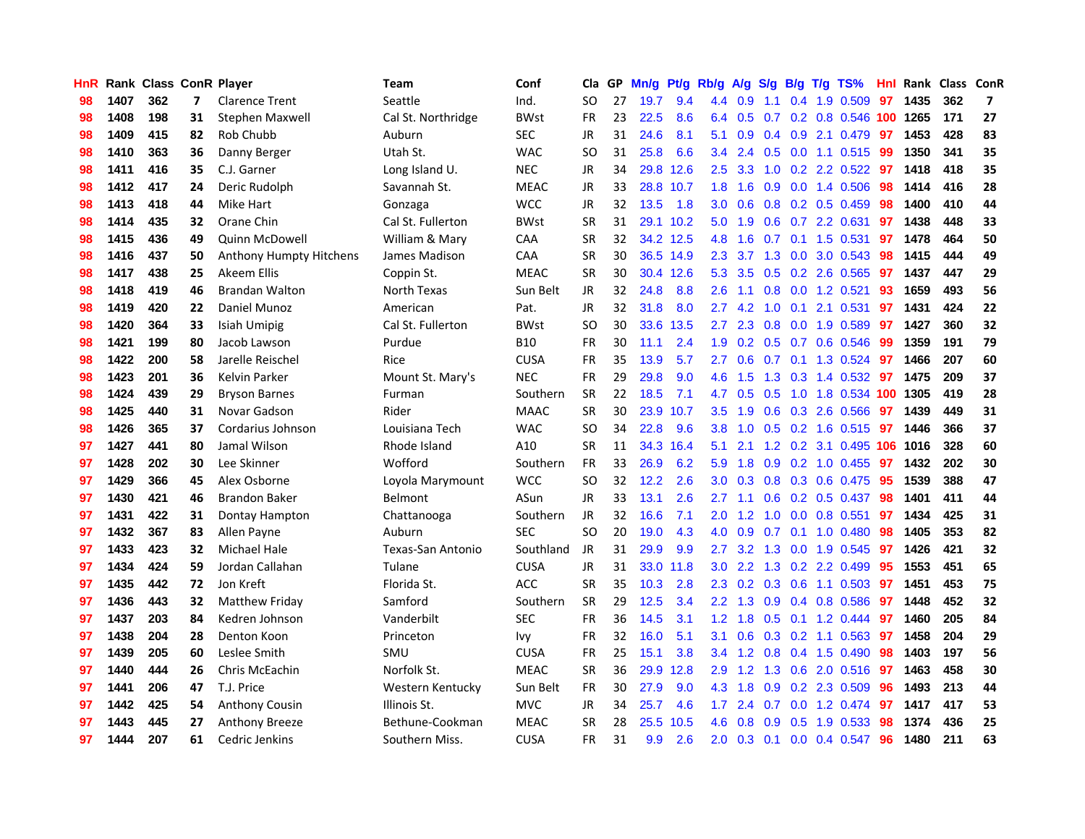|      |     |                |                         | <b>Team</b>                   | Conf        |               |    |      |                                                                                                                                                                                                                |                                                                                                                                                                                                                                                                                                                     |     |                                                                                                           |                                                                                                                                                                                   |                                                                                           |            | Hnl                                                                                                                                                                                                                                                                                                                                                                                                                                                                                                                                                                                                                           |                                                                                                                                   |                                                                                                         |                 |
|------|-----|----------------|-------------------------|-------------------------------|-------------|---------------|----|------|----------------------------------------------------------------------------------------------------------------------------------------------------------------------------------------------------------------|---------------------------------------------------------------------------------------------------------------------------------------------------------------------------------------------------------------------------------------------------------------------------------------------------------------------|-----|-----------------------------------------------------------------------------------------------------------|-----------------------------------------------------------------------------------------------------------------------------------------------------------------------------------|-------------------------------------------------------------------------------------------|------------|-------------------------------------------------------------------------------------------------------------------------------------------------------------------------------------------------------------------------------------------------------------------------------------------------------------------------------------------------------------------------------------------------------------------------------------------------------------------------------------------------------------------------------------------------------------------------------------------------------------------------------|-----------------------------------------------------------------------------------------------------------------------------------|---------------------------------------------------------------------------------------------------------|-----------------|
| 1407 | 362 | $\overline{7}$ | <b>Clarence Trent</b>   | Seattle                       | Ind.        | <b>SO</b>     | 27 | 19.7 | 9.4                                                                                                                                                                                                            | 4.4                                                                                                                                                                                                                                                                                                                 |     | 1.1                                                                                                       |                                                                                                                                                                                   |                                                                                           |            | 97                                                                                                                                                                                                                                                                                                                                                                                                                                                                                                                                                                                                                            | 1435                                                                                                                              | 362                                                                                                     | $\overline{7}$  |
| 1408 | 198 | 31             | Stephen Maxwell         | Cal St. Northridge            | <b>BWst</b> | <b>FR</b>     |    |      | 8.6                                                                                                                                                                                                            | 6.4                                                                                                                                                                                                                                                                                                                 |     | 0.7                                                                                                       |                                                                                                                                                                                   |                                                                                           |            |                                                                                                                                                                                                                                                                                                                                                                                                                                                                                                                                                                                                                               |                                                                                                                                   | 171                                                                                                     | 27              |
| 1409 | 415 | 82             | Rob Chubb               | Auburn                        | <b>SEC</b>  | JR            |    |      | 8.1                                                                                                                                                                                                            | 5.1                                                                                                                                                                                                                                                                                                                 |     |                                                                                                           |                                                                                                                                                                                   |                                                                                           |            | -97                                                                                                                                                                                                                                                                                                                                                                                                                                                                                                                                                                                                                           | 1453                                                                                                                              | 428                                                                                                     | 83              |
| 1410 | 363 | 36             | Danny Berger            | Utah St.                      | <b>WAC</b>  | <sub>SO</sub> |    |      | 6.6                                                                                                                                                                                                            | 3.4                                                                                                                                                                                                                                                                                                                 |     |                                                                                                           |                                                                                                                                                                                   |                                                                                           |            | -99                                                                                                                                                                                                                                                                                                                                                                                                                                                                                                                                                                                                                           | 1350                                                                                                                              | 341                                                                                                     | 35              |
| 1411 | 416 | 35             | C.J. Garner             | Long Island U.                | <b>NEC</b>  | JR            |    |      |                                                                                                                                                                                                                |                                                                                                                                                                                                                                                                                                                     |     |                                                                                                           |                                                                                                                                                                                   |                                                                                           |            |                                                                                                                                                                                                                                                                                                                                                                                                                                                                                                                                                                                                                               | 1418                                                                                                                              | 418                                                                                                     | 35              |
| 1412 | 417 | 24             | Deric Rudolph           | Savannah St.                  | <b>MEAC</b> | JR            |    |      |                                                                                                                                                                                                                | 1.8                                                                                                                                                                                                                                                                                                                 |     |                                                                                                           |                                                                                                                                                                                   |                                                                                           |            | 98                                                                                                                                                                                                                                                                                                                                                                                                                                                                                                                                                                                                                            | 1414                                                                                                                              | 416                                                                                                     | 28              |
| 1413 | 418 | 44             | Mike Hart               | Gonzaga                       | <b>WCC</b>  | JR            |    |      | 1.8                                                                                                                                                                                                            |                                                                                                                                                                                                                                                                                                                     | 0.6 |                                                                                                           |                                                                                                                                                                                   |                                                                                           |            | 98                                                                                                                                                                                                                                                                                                                                                                                                                                                                                                                                                                                                                            | 1400                                                                                                                              | 410                                                                                                     | 44              |
| 1414 | 435 | 32             | Orane Chin              | Cal St. Fullerton             | <b>BWst</b> | <b>SR</b>     |    |      |                                                                                                                                                                                                                |                                                                                                                                                                                                                                                                                                                     | 1.9 |                                                                                                           |                                                                                                                                                                                   |                                                                                           |            | 97                                                                                                                                                                                                                                                                                                                                                                                                                                                                                                                                                                                                                            | 1438                                                                                                                              | 448                                                                                                     | 33              |
| 1415 | 436 | 49             | Quinn McDowell          | William & Mary                | CAA         | <b>SR</b>     |    |      |                                                                                                                                                                                                                | 4.8                                                                                                                                                                                                                                                                                                                 | 1.6 | 0.7                                                                                                       |                                                                                                                                                                                   |                                                                                           |            | 97                                                                                                                                                                                                                                                                                                                                                                                                                                                                                                                                                                                                                            | 1478                                                                                                                              | 464                                                                                                     | 50              |
| 1416 | 437 | 50             | Anthony Humpty Hitchens | James Madison                 | CAA         | <b>SR</b>     |    |      |                                                                                                                                                                                                                | 2.3                                                                                                                                                                                                                                                                                                                 | 3.7 |                                                                                                           |                                                                                                                                                                                   |                                                                                           |            | 98                                                                                                                                                                                                                                                                                                                                                                                                                                                                                                                                                                                                                            | 1415                                                                                                                              | 444                                                                                                     | 49              |
| 1417 | 438 | 25             | Akeem Ellis             | Coppin St.                    | <b>MEAC</b> | <b>SR</b>     |    |      |                                                                                                                                                                                                                | 5.3                                                                                                                                                                                                                                                                                                                 | 3.5 |                                                                                                           |                                                                                                                                                                                   |                                                                                           |            | 97                                                                                                                                                                                                                                                                                                                                                                                                                                                                                                                                                                                                                            | 1437                                                                                                                              | 447                                                                                                     | 29              |
| 1418 | 419 | 46             | <b>Brandan Walton</b>   | North Texas                   | Sun Belt    | <b>JR</b>     |    |      | 8.8                                                                                                                                                                                                            | 2.6                                                                                                                                                                                                                                                                                                                 | 1.1 |                                                                                                           |                                                                                                                                                                                   |                                                                                           |            | 93                                                                                                                                                                                                                                                                                                                                                                                                                                                                                                                                                                                                                            | 1659                                                                                                                              | 493                                                                                                     | 56              |
| 1419 | 420 | 22             | Daniel Munoz            | American                      | Pat.        | JR            |    |      | 8.0                                                                                                                                                                                                            |                                                                                                                                                                                                                                                                                                                     |     | 1.0                                                                                                       |                                                                                                                                                                                   |                                                                                           |            | 97                                                                                                                                                                                                                                                                                                                                                                                                                                                                                                                                                                                                                            | 1431                                                                                                                              | 424                                                                                                     | 22              |
| 1420 | 364 | 33             | Isiah Umipig            | Cal St. Fullerton             | <b>BWst</b> | <b>SO</b>     |    |      |                                                                                                                                                                                                                | 2.7                                                                                                                                                                                                                                                                                                                 | 2.3 |                                                                                                           | 0.0                                                                                                                                                                               |                                                                                           |            | 97                                                                                                                                                                                                                                                                                                                                                                                                                                                                                                                                                                                                                            | 1427                                                                                                                              | 360                                                                                                     | 32              |
| 1421 | 199 | 80             | Jacob Lawson            | Purdue                        | <b>B10</b>  | <b>FR</b>     |    | 11.1 | 2.4                                                                                                                                                                                                            | 1.9                                                                                                                                                                                                                                                                                                                 |     |                                                                                                           |                                                                                                                                                                                   |                                                                                           |            | 99                                                                                                                                                                                                                                                                                                                                                                                                                                                                                                                                                                                                                            | 1359                                                                                                                              | 191                                                                                                     | 79              |
| 1422 | 200 | 58             | Jarelle Reischel        | Rice                          | <b>CUSA</b> | <b>FR</b>     | 35 |      | 5.7                                                                                                                                                                                                            |                                                                                                                                                                                                                                                                                                                     | 0.6 |                                                                                                           | 0.1                                                                                                                                                                               |                                                                                           |            | -97                                                                                                                                                                                                                                                                                                                                                                                                                                                                                                                                                                                                                           | 1466                                                                                                                              | 207                                                                                                     | 60              |
| 1423 | 201 | 36             | Kelvin Parker           | Mount St. Mary's              | <b>NEC</b>  | FR            |    |      | 9.0                                                                                                                                                                                                            |                                                                                                                                                                                                                                                                                                                     |     |                                                                                                           |                                                                                                                                                                                   |                                                                                           |            |                                                                                                                                                                                                                                                                                                                                                                                                                                                                                                                                                                                                                               |                                                                                                                                   | 209                                                                                                     | 37              |
| 1424 | 439 | 29             | <b>Bryson Barnes</b>    | Furman                        | Southern    | <b>SR</b>     |    |      | 7.1                                                                                                                                                                                                            |                                                                                                                                                                                                                                                                                                                     |     |                                                                                                           |                                                                                                                                                                                   |                                                                                           |            |                                                                                                                                                                                                                                                                                                                                                                                                                                                                                                                                                                                                                               |                                                                                                                                   | 419                                                                                                     | 28              |
| 1425 | 440 | 31             | Novar Gadson            | Rider                         | <b>MAAC</b> | <b>SR</b>     |    |      |                                                                                                                                                                                                                | 3.5                                                                                                                                                                                                                                                                                                                 | 1.9 |                                                                                                           |                                                                                                                                                                                   |                                                                                           |            | 97                                                                                                                                                                                                                                                                                                                                                                                                                                                                                                                                                                                                                            | 1439                                                                                                                              | 449                                                                                                     | 31              |
| 1426 | 365 | 37             | Cordarius Johnson       | Louisiana Tech                | <b>WAC</b>  | <b>SO</b>     |    |      | 9.6                                                                                                                                                                                                            | 3.8                                                                                                                                                                                                                                                                                                                 |     |                                                                                                           |                                                                                                                                                                                   |                                                                                           |            |                                                                                                                                                                                                                                                                                                                                                                                                                                                                                                                                                                                                                               |                                                                                                                                   | 366                                                                                                     | 37              |
| 1427 | 441 | 80             | Jamal Wilson            | Rhode Island                  | A10         | <b>SR</b>     |    |      |                                                                                                                                                                                                                | 5.1                                                                                                                                                                                                                                                                                                                 | 2.1 |                                                                                                           |                                                                                                                                                                                   |                                                                                           |            |                                                                                                                                                                                                                                                                                                                                                                                                                                                                                                                                                                                                                               |                                                                                                                                   | 328                                                                                                     | 60              |
| 1428 | 202 | 30             | Lee Skinner             | Wofford                       | Southern    | <b>FR</b>     |    |      | 6.2                                                                                                                                                                                                            | 5.9                                                                                                                                                                                                                                                                                                                 | 1.8 |                                                                                                           |                                                                                                                                                                                   |                                                                                           |            | 97                                                                                                                                                                                                                                                                                                                                                                                                                                                                                                                                                                                                                            | 1432                                                                                                                              | 202                                                                                                     | 30              |
| 1429 | 366 | 45             | Alex Osborne            | Loyola Marymount              | <b>WCC</b>  | <b>SO</b>     |    |      | 2.6                                                                                                                                                                                                            | 3.0 <sub>2</sub>                                                                                                                                                                                                                                                                                                    |     |                                                                                                           |                                                                                                                                                                                   |                                                                                           |            | 95                                                                                                                                                                                                                                                                                                                                                                                                                                                                                                                                                                                                                            | 1539                                                                                                                              | 388                                                                                                     | 47              |
| 1430 | 421 | 46             | <b>Brandon Baker</b>    | Belmont                       | ASun        | <b>JR</b>     |    | 13.1 | 2.6                                                                                                                                                                                                            | 2.7                                                                                                                                                                                                                                                                                                                 | 1.1 |                                                                                                           |                                                                                                                                                                                   |                                                                                           |            | 98                                                                                                                                                                                                                                                                                                                                                                                                                                                                                                                                                                                                                            | 1401                                                                                                                              | 411                                                                                                     | 44              |
| 1431 | 422 | 31             | Dontay Hampton          | Chattanooga                   | Southern    | <b>JR</b>     |    |      | 7.1                                                                                                                                                                                                            | 2.0                                                                                                                                                                                                                                                                                                                 |     |                                                                                                           |                                                                                                                                                                                   |                                                                                           |            | 97                                                                                                                                                                                                                                                                                                                                                                                                                                                                                                                                                                                                                            | 1434                                                                                                                              | 425                                                                                                     | 31              |
| 1432 | 367 | 83             | Allen Payne             | Auburn                        | <b>SEC</b>  | <b>SO</b>     |    |      | 4.3                                                                                                                                                                                                            | 4.0                                                                                                                                                                                                                                                                                                                 | 0.9 | 0.7                                                                                                       |                                                                                                                                                                                   |                                                                                           |            | 98                                                                                                                                                                                                                                                                                                                                                                                                                                                                                                                                                                                                                            | 1405                                                                                                                              | 353                                                                                                     | 82              |
| 1433 | 423 | 32             | <b>Michael Hale</b>     | Texas-San Antonio             | Southland   | <b>JR</b>     |    |      | 9.9                                                                                                                                                                                                            | 2.7                                                                                                                                                                                                                                                                                                                 |     |                                                                                                           | 0.0                                                                                                                                                                               |                                                                                           |            | 97                                                                                                                                                                                                                                                                                                                                                                                                                                                                                                                                                                                                                            | 1426                                                                                                                              | 421                                                                                                     | 32              |
| 1434 | 424 | 59             | Jordan Callahan         | Tulane                        | <b>CUSA</b> | <b>JR</b>     |    |      |                                                                                                                                                                                                                | 3.0                                                                                                                                                                                                                                                                                                                 |     |                                                                                                           |                                                                                                                                                                                   |                                                                                           |            | 95                                                                                                                                                                                                                                                                                                                                                                                                                                                                                                                                                                                                                            | 1553                                                                                                                              | 451                                                                                                     | 65              |
| 1435 | 442 | 72             | Jon Kreft               | Florida St.                   | <b>ACC</b>  | <b>SR</b>     |    |      | 2.8                                                                                                                                                                                                            |                                                                                                                                                                                                                                                                                                                     |     |                                                                                                           |                                                                                                                                                                                   |                                                                                           |            | 97                                                                                                                                                                                                                                                                                                                                                                                                                                                                                                                                                                                                                            | 1451                                                                                                                              | 453                                                                                                     | 75              |
| 1436 | 443 | 32             | <b>Matthew Friday</b>   | Samford                       | Southern    | <b>SR</b>     |    |      | 3.4                                                                                                                                                                                                            |                                                                                                                                                                                                                                                                                                                     |     |                                                                                                           |                                                                                                                                                                                   |                                                                                           |            | 97                                                                                                                                                                                                                                                                                                                                                                                                                                                                                                                                                                                                                            | 1448                                                                                                                              | 452                                                                                                     | 32              |
| 1437 | 203 | 84             | Kedren Johnson          | Vanderbilt                    | <b>SEC</b>  | <b>FR</b>     |    |      | 3.1                                                                                                                                                                                                            |                                                                                                                                                                                                                                                                                                                     |     |                                                                                                           |                                                                                                                                                                                   |                                                                                           |            | 97                                                                                                                                                                                                                                                                                                                                                                                                                                                                                                                                                                                                                            | 1460                                                                                                                              | 205                                                                                                     | 84              |
| 1438 | 204 | 28             | Denton Koon             | Princeton                     | <b>Ivy</b>  | <b>FR</b>     |    |      | 5.1                                                                                                                                                                                                            | 3.1                                                                                                                                                                                                                                                                                                                 |     |                                                                                                           |                                                                                                                                                                                   |                                                                                           |            | 97                                                                                                                                                                                                                                                                                                                                                                                                                                                                                                                                                                                                                            | 1458                                                                                                                              | 204                                                                                                     | 29              |
| 1439 | 205 | 60             | Leslee Smith            | SMU                           | <b>CUSA</b> | <b>FR</b>     |    | 15.1 | 3.8                                                                                                                                                                                                            |                                                                                                                                                                                                                                                                                                                     |     |                                                                                                           |                                                                                                                                                                                   |                                                                                           |            | 98                                                                                                                                                                                                                                                                                                                                                                                                                                                                                                                                                                                                                            | 1403                                                                                                                              | 197                                                                                                     | 56              |
| 1440 | 444 | 26             | Chris McEachin          | Norfolk St.                   | <b>MEAC</b> | <b>SR</b>     |    |      |                                                                                                                                                                                                                | 2.9                                                                                                                                                                                                                                                                                                                 |     |                                                                                                           |                                                                                                                                                                                   |                                                                                           |            | 97                                                                                                                                                                                                                                                                                                                                                                                                                                                                                                                                                                                                                            | 1463                                                                                                                              | 458                                                                                                     | 30              |
| 1441 | 206 | 47             | T.J. Price              | Western Kentucky              | Sun Belt    | <b>FR</b>     |    |      | 9.0                                                                                                                                                                                                            | 4.3                                                                                                                                                                                                                                                                                                                 | 1.8 |                                                                                                           |                                                                                                                                                                                   |                                                                                           |            | 96                                                                                                                                                                                                                                                                                                                                                                                                                                                                                                                                                                                                                            | 1493                                                                                                                              | 213                                                                                                     | 44              |
| 1442 | 425 | 54             | <b>Anthony Cousin</b>   | Illinois St.                  | <b>MVC</b>  | JR            |    | 25.7 | 4.6                                                                                                                                                                                                            | 1.7                                                                                                                                                                                                                                                                                                                 | 2.4 | 0.7                                                                                                       | 0.0                                                                                                                                                                               |                                                                                           |            | 97                                                                                                                                                                                                                                                                                                                                                                                                                                                                                                                                                                                                                            | 1417                                                                                                                              | 417                                                                                                     | 53              |
| 1443 | 445 | 27             | <b>Anthony Breeze</b>   | Bethune-Cookman               | <b>MEAC</b> | <b>SR</b>     |    |      | 10.5                                                                                                                                                                                                           | 4.6                                                                                                                                                                                                                                                                                                                 | 0.8 | 0.9                                                                                                       | 0.5                                                                                                                                                                               |                                                                                           |            | 98                                                                                                                                                                                                                                                                                                                                                                                                                                                                                                                                                                                                                            | 1374                                                                                                                              | 436                                                                                                     | 25              |
| 1444 | 207 | 61             | Cedric Jenkins          | Southern Miss.                | <b>CUSA</b> | <b>FR</b>     | 31 | 9.9  | 2.6                                                                                                                                                                                                            |                                                                                                                                                                                                                                                                                                                     |     |                                                                                                           |                                                                                                                                                                                   |                                                                                           |            | 96                                                                                                                                                                                                                                                                                                                                                                                                                                                                                                                                                                                                                            | 1480                                                                                                                              | 211                                                                                                     | 63              |
|      |     |                |                         | <b>Rank Class ConR Player</b> |             |               |    | Cla  | 23<br>31<br>31<br>34<br>33<br>32<br>31<br>32<br>30<br>30<br>32<br>32<br>30<br>30<br>29<br>22<br>30<br>34<br>11<br>33<br>32<br>33<br>32<br>20<br>31<br>31<br>35<br>29<br>36<br>32<br>25<br>36<br>30<br>34<br>28 | 22.5<br>24.6<br>25.8<br>29.8 12.6<br>28.8 10.7<br>13.5<br>29.1 10.2<br>34.2 12.5<br>36.5 14.9<br>30.4 12.6<br>24.8<br>31.8<br>33.6 13.5<br>13.9<br>29.8<br>18.5<br>23.9 10.7<br>22.8<br>34.3 16.4<br>26.9<br>12.2<br>16.6<br>19.0<br>29.9<br>33.0 11.8<br>10.3<br>12.5<br>14.5<br>16.0<br>29.9 12.8<br>27.9<br>25.5 |     | 2.5<br>3.0 <sub>1</sub><br>5.0<br>$2.7^{\circ}$<br>2.7<br>4.6<br>$2.3^{\circ}$<br>2.2 <sub>2</sub><br>3.4 | 0.9<br>0.5<br>0.9<br>2.4<br>3.3<br>1.6<br>4.2<br>0.2<br>1.5<br>4.7 0.5<br>1.0<br>0.3<br>1.2<br>3.2<br>2.2<br>0.2<br>1.3<br>$1.2 \quad 1.8$<br>0.6<br>1.2<br>1.2<br>$2.0\quad 0.3$ | $0.4\quad 0.9$<br>$0.8\ 0.0$<br>0.8<br>0.5<br>0.7<br>1.0<br>1.3<br>1.3<br>$0.3 \quad 0.6$ | 0.4<br>0.1 | GP Mn/g Pt/g Rb/g A/g S/g B/g T/g TS%<br>1.9 0.509<br>2.1 0.479<br>$0.9$ $0.0$ 1.4 $0.506$<br>$0.8$ 0.2 0.5 0.459<br>$0.6$ $0.7$ 2.2 $0.631$<br>$0.1$ 1.5 0.531<br>1.3 0.0 3.0 0.543<br>0.5 0.2 2.6 0.565<br>1.2 0.521<br>2.1 0.531<br>1.9 0.589<br>0.7 0.6 0.546<br>1.3 0.524<br>$0.6$ $0.3$ 2.6 $0.566$<br>0.9 0.2 1.0 0.455<br>0.8 0.3 0.6 0.475<br>0.6 0.2 0.5 0.437<br>$0.0$ 0.8 0.551<br>$0.1$ 1.0 $0.480$<br>1.9 0.545<br>0.2 2.2 0.499<br>1.1 0.503<br>$0.9$ 0.4 0.8 0.586<br>$0.5$ 0.1 1.2 0.444<br>$0.3$ $0.2$ 1.1 $0.563$<br>0.8 0.4 1.5 0.490<br>1.3 0.6 2.0 0.516<br>0.9 0.2 2.3 0.509<br>1.2 0.474<br>1.9 0.533 | $0.5$ 0.0 1.1 0.515<br>1.0 0.2 2.2 0.522 97<br>1.3 0.3 1.4 0.532 97<br>$0.5$ 0.2 1.6 0.515 <b>97</b><br>$0.1$ $0.0$ $0.4$ $0.547$ | $0.2$ 0.8 0.546 100<br>1265<br>1475<br>0.5 1.0 1.8 0.534 100 1305<br>1446<br>1.2 0.2 3.1 0.495 106 1016 | Rank Class ConR |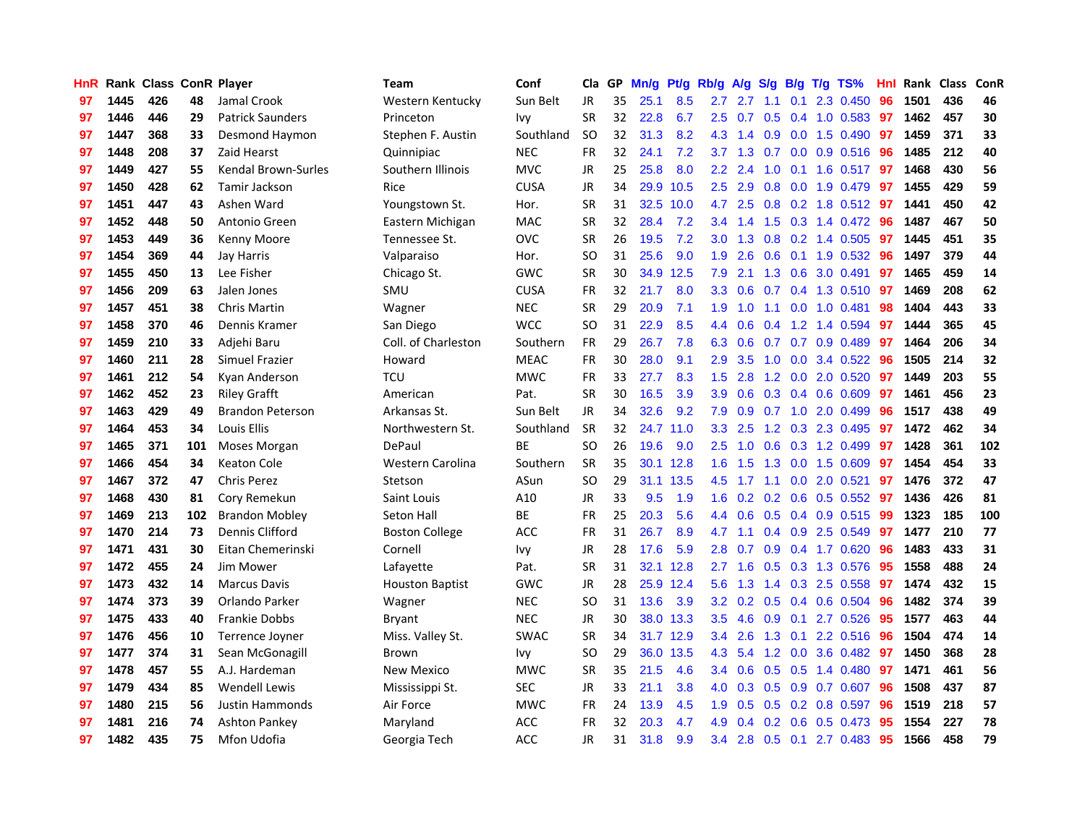| HnR |      | Rank Class ConR Player |     |                         | Team                   | Conf        | Cla       |    | GP Mn/g Pt/g Rb/g A/g S/g B/g T/g TS% |           |                  |                 |               |                 |                         | Hnl |      | Rank Class | ConR |
|-----|------|------------------------|-----|-------------------------|------------------------|-------------|-----------|----|---------------------------------------|-----------|------------------|-----------------|---------------|-----------------|-------------------------|-----|------|------------|------|
| 97  | 1445 | 426                    | 48  | Jamal Crook             | Western Kentucky       | Sun Belt    | <b>JR</b> | 35 | 25.1                                  | 8.5       | 2.7              | 2.7             | 1.1           | 0.1             | 2.3 0.450               | 96  | 1501 | 436        | 46   |
| 97  | 1446 | 446                    | 29  | <b>Patrick Saunders</b> | Princeton              | <b>Ivy</b>  | <b>SR</b> | 32 | 22.8                                  | 6.7       | 2.5              | 0.7             | 0.5           | 0.4             | 1.0 0.583               | 97  | 1462 | 457        | 30   |
| 97  | 1447 | 368                    | 33  | Desmond Haymon          | Stephen F. Austin      | Southland   | <b>SO</b> | 32 | 31.3                                  | 8.2       | 4.3              | 1.4             | 0.9           | 0.0             | 1.5 0.490               | 97  | 1459 | 371        | 33   |
| 97  | 1448 | 208                    | 37  | Zaid Hearst             | Quinnipiac             | <b>NEC</b>  | <b>FR</b> | 32 | 24.1                                  | 7.2       |                  | $3.7 \quad 1.3$ |               |                 | 0.7 0.0 0.9 0.516       | -96 | 1485 | 212        | 40   |
| 97  | 1449 | 427                    | 55  | Kendal Brown-Surles     | Southern Illinois      | <b>MVC</b>  | JR        | 25 | 25.8                                  | 8.0       |                  | $2.2$ 2.4       |               |                 | 1.0 0.1 1.6 0.517 97    |     | 1468 | 430        | 56   |
| 97  | 1450 | 428                    | 62  | Tamir Jackson           | Rice                   | <b>CUSA</b> | JR        | 34 |                                       | 29.9 10.5 | 2.5              | 2.9             |               |                 | 0.8 0.0 1.9 0.479       | 97  | 1455 | 429        | 59   |
| 97  | 1451 | 447                    | 43  | Ashen Ward              | Youngstown St.         | Hor.        | <b>SR</b> | 31 |                                       | 32.5 10.0 | 4.7              | 2.5             |               |                 | $0.8$ 0.2 1.8 0.512     | 97  | 1441 | 450        | 42   |
| 97  | 1452 | 448                    | 50  | Antonio Green           | Eastern Michigan       | <b>MAC</b>  | <b>SR</b> | 32 | 28.4                                  | 7.2       | 3.4              | 1.4             |               |                 | 1.5 0.3 1.4 0.472       | 96  | 1487 | 467        | 50   |
| 97  | 1453 | 449                    | 36  | Kenny Moore             | Tennessee St.          | <b>OVC</b>  | <b>SR</b> | 26 | 19.5                                  | 7.2       | 3.0 <sub>2</sub> | 1.3             |               |                 | 0.8 0.2 1.4 0.505       | 97  | 1445 | 451        | 35   |
| 97  | 1454 | 369                    | 44  | <b>Jay Harris</b>       | Valparaiso             | Hor.        | <b>SO</b> | 31 | 25.6                                  | 9.0       | 1.9              | 2.6             | 0.6           |                 | 0.1 1.9 0.532           | 96  | 1497 | 379        | 44   |
| 97  | 1455 | 450                    | 13  | Lee Fisher              | Chicago St.            | GWC         | <b>SR</b> | 30 |                                       | 34.9 12.5 | 7.9              | 2.1             |               | $1.3 \quad 0.6$ | 3.0 0.491               | 97  | 1465 | 459        | 14   |
| 97  | 1456 | 209                    | 63  | Jalen Jones             | SMU                    | <b>CUSA</b> | <b>FR</b> | 32 | 21.7                                  | 8.0       | 3.3              | 0.6             | 0.7           |                 | 0.4 1.3 0.510           | 97  | 1469 | 208        | 62   |
| 97  | 1457 | 451                    | 38  | <b>Chris Martin</b>     | Wagner                 | <b>NEC</b>  | <b>SR</b> | 29 | 20.9                                  | 7.1       | 1.9              | 1.0             | 1.1           | 0.0             | $1.0$ 0.481             | 98  | 1404 | 443        | 33   |
| 97  | 1458 | 370                    | 46  | Dennis Kramer           | San Diego              | <b>WCC</b>  | <b>SO</b> | 31 | 22.9                                  | 8.5       | 4.4              | 0.6             | $0.4^{\circ}$ |                 | 1.2 1.4 0.594           | 97  | 1444 | 365        | 45   |
| 97  | 1459 | 210                    | 33  | Adjehi Baru             | Coll. of Charleston    | Southern    | <b>FR</b> | 29 | 26.7                                  | 7.8       | 6.3              | 0.6             | 0.7           | 0.7             | 0.9 0.489               | 97  | 1464 | 206        | 34   |
| 97  | 1460 | 211                    | 28  | Simuel Frazier          | Howard                 | <b>MEAC</b> | <b>FR</b> | 30 | 28.0                                  | 9.1       | 2.9              | 3.5             | 1.0           | 0.0             | 3.4 0.522               | -96 | 1505 | 214        | 32   |
| 97  | 1461 | 212                    | 54  | Kyan Anderson           | <b>TCU</b>             | <b>MWC</b>  | <b>FR</b> | 33 | 27.7                                  | 8.3       | 1.5              | 2.8             |               |                 | 1.2 0.0 2.0 0.520       | -97 | 1449 | 203        | 55   |
| 97  | 1462 | 452                    | 23  | <b>Riley Grafft</b>     | American               | Pat.        | <b>SR</b> | 30 | 16.5                                  | 3.9       | 3.9              | 0.6             |               |                 | $0.3$ 0.4 0.6 0.609     | 97  | 1461 | 456        | 23   |
| 97  | 1463 | 429                    | 49  | <b>Brandon Peterson</b> | Arkansas St.           | Sun Belt    | <b>JR</b> | 34 | 32.6                                  | 9.2       |                  | $7.9\quad0.9$   |               |                 | 0.7 1.0 2.0 0.499       | 96  | 1517 | 438        | 49   |
| 97  | 1464 | 453                    | 34  | Louis Ellis             | Northwestern St.       | Southland   | <b>SR</b> | 32 |                                       | 24.7 11.0 | 3.3              | 2.5             |               |                 | 1.2 0.3 2.3 0.495       | 97  | 1472 | 462        | 34   |
| 97  | 1465 | 371                    | 101 | <b>Moses Morgan</b>     | DePaul                 | ВE          | <b>SO</b> | 26 | 19.6                                  | 9.0       | $2.5\,$          | 1.0             |               |                 | 0.6 0.3 1.2 0.499       | 97  | 1428 | 361        | 102  |
| 97  | 1466 | 454                    | 34  | <b>Keaton Cole</b>      | Western Carolina       | Southern    | <b>SR</b> | 35 |                                       | 30.1 12.8 | 1.6              | 1.5             | 1.3           |                 | 0.0 1.5 0.609           | 97  | 1454 | 454        | 33   |
| 97  | 1467 | 372                    | 47  | <b>Chris Perez</b>      | Stetson                | ASun        | <b>SO</b> | 29 |                                       | 31.1 13.5 | 4.5              | 1.7             | 1.1           | 0.0             | 2.0 0.521               | 97  | 1476 | 372        | 47   |
| 97  | 1468 | 430                    | 81  | Cory Remekun            | Saint Louis            | A10         | JR        | 33 | 9.5                                   | 1.9       | 1.6              | 0.2             |               |                 | $0.2$ 0.6 0.5 0.552     | 97  | 1436 | 426        | 81   |
| 97  | 1469 | 213                    | 102 | <b>Brandon Mobley</b>   | Seton Hall             | BE          | FR        | 25 | 20.3                                  | 5.6       | 4.4              | 0.6             |               |                 | $0.5$ 0.4 0.9 0.515     | -99 | 1323 | 185        | 100  |
| 97  | 1470 | 214                    | 73  | <b>Dennis Clifford</b>  | <b>Boston College</b>  | ACC         | <b>FR</b> | 31 | 26.7                                  | 8.9       | 4.7              | 1.1             |               |                 | 0.4 0.9 2.5 0.549       | 97  | 1477 | 210        | 77   |
| 97  | 1471 | 431                    | 30  | Eitan Chemerinski       | Cornell                | lvy         | JR        | 28 | 17.6                                  | 5.9       | 2.8              | 0.7             |               |                 | $0.9$ $0.4$ 1.7 $0.620$ | 96  | 1483 | 433        | 31   |
| 97  | 1472 | 455                    | 24  | Jim Mower               | Lafayette              | Pat.        | <b>SR</b> | 31 |                                       | 32.1 12.8 | 2.7              | 1.6             | 0.5           |                 | $0.3$ 1.3 0.576         | 95  | 1558 | 488        | 24   |
| 97  | 1473 | 432                    | 14  | <b>Marcus Davis</b>     | <b>Houston Baptist</b> | GWC         | JR        | 28 |                                       | 25.9 12.4 | 5.6              | 1.3             | 1.4           | 0.3             | 2.5 0.558               | 97  | 1474 | 432        | 15   |
| 97  | 1474 | 373                    | 39  | Orlando Parker          | Wagner                 | <b>NEC</b>  | <b>SO</b> | 31 | 13.6                                  | 3.9       |                  | $3.2 \quad 0.2$ |               | $0.5 \quad 0.4$ | 0.6 0.504               | 96  | 1482 | 374        | 39   |
| 97  | 1475 | 433                    | 40  | <b>Frankie Dobbs</b>    | Bryant                 | <b>NEC</b>  | JR        | 30 |                                       | 38.0 13.3 | 3.5              | 4.6             |               |                 | 0.9 0.1 2.7 0.526       | -95 | 1577 | 463        | 44   |
| 97  | 1476 | 456                    | 10  | Terrence Joyner         | Miss. Valley St.       | <b>SWAC</b> | <b>SR</b> | 34 |                                       | 31.7 12.9 | $3.4^{\circ}$    | 2.6             |               |                 | 1.3 0.1 2.2 0.516       | -96 | 1504 | 474        | 14   |
| 97  | 1477 | 374                    | 31  | Sean McGonagill         | Brown                  | <b>Ivy</b>  | <b>SO</b> | 29 |                                       | 36.0 13.5 | 4.3              | 5.4             |               |                 | 1.2 0.0 3.6 0.482 97    |     | 1450 | 368        | 28   |
| 97  | 1478 | 457                    | 55  | A.J. Hardeman           | New Mexico             | <b>MWC</b>  | <b>SR</b> | 35 | 21.5                                  | 4.6       | $3.4^{\circ}$    | 0.6             |               |                 | $0.5$ $0.5$ 1.4 $0.480$ | 97  | 1471 | 461        | 56   |
| 97  | 1479 | 434                    | 85  | <b>Wendell Lewis</b>    | Mississippi St.        | <b>SEC</b>  | JR        | 33 | 21.1                                  | 3.8       | 4.0              | 0.3             |               |                 | 0.5 0.9 0.7 0.607       | 96  | 1508 | 437        | 87   |
| 97  | 1480 | 215                    | 56  | <b>Justin Hammonds</b>  | Air Force              | <b>MWC</b>  | <b>FR</b> | 24 | 13.9                                  | 4.5       | 1.9              | 0.5             |               |                 | $0.5$ 0.2 0.8 0.597     | 96  | 1519 | 218        | 57   |
| 97  | 1481 | 216                    | 74  | <b>Ashton Pankey</b>    | Maryland               | ACC         | <b>FR</b> | 32 | 20.3                                  | 4.7       | 4.9              | 0.4             |               | $0.2 \quad 0.6$ | $0.5$ 0.473             | 95  | 1554 | 227        | 78   |
| 97  | 1482 | 435                    | 75  | Mfon Udofia             | Georgia Tech           | <b>ACC</b>  | JR        | 31 | 31.8                                  | 9.9       | $3.4^{\circ}$    | 2.8             |               |                 | $0.5$ 0.1 2.7 0.483     | 95  | 1566 | 458        | 79   |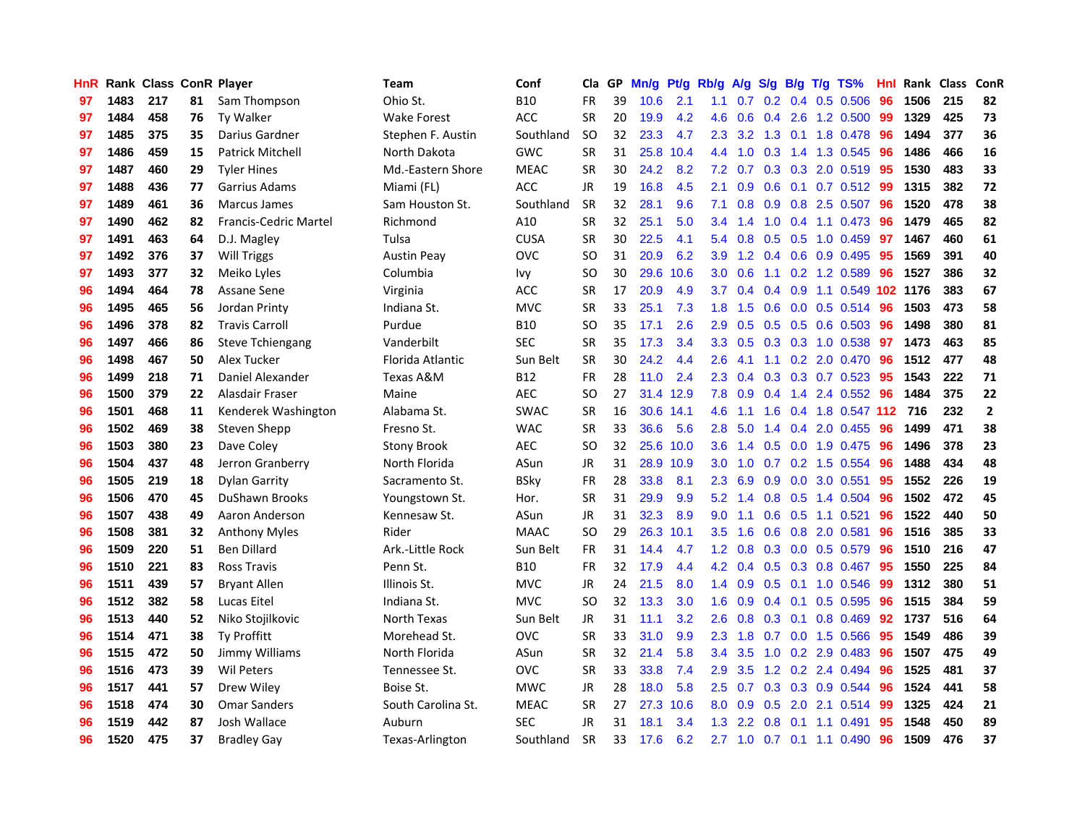| <b>HnR</b> |      |     |    | Rank Class ConR Player  | <b>Team</b>        | Conf        | Cla       |    | GP Mn/g Pt/g Rb/g |           |                  |                 |     |                 | A/g S/g B/g T/g TS%       | Hnl | Rank Class |     | ConR           |
|------------|------|-----|----|-------------------------|--------------------|-------------|-----------|----|-------------------|-----------|------------------|-----------------|-----|-----------------|---------------------------|-----|------------|-----|----------------|
| 97         | 1483 | 217 | 81 | Sam Thompson            | Ohio St.           | <b>B10</b>  | <b>FR</b> | 39 | 10.6              | 2.1       | 1.1              | 0.7             | 0.2 | 0.4             | 0.5 0.506                 | 96  | 1506       | 215 | 82             |
| 97         | 1484 | 458 | 76 | <b>Ty Walker</b>        | <b>Wake Forest</b> | ACC         | <b>SR</b> | 20 | 19.9              | 4.2       | 4.6              | 0.6             |     | $0.4$ 2.6       | 1.2 0.500                 | -99 | 1329       | 425 | 73             |
| 97         | 1485 | 375 | 35 | Darius Gardner          | Stephen F. Austin  | Southland   | <b>SO</b> | 32 | 23.3              | 4.7       | 2.3              | 3.2             | 1.3 | 0.1             | 1.8 0.478                 | 96  | 1494       | 377 | 36             |
| 97         | 1486 | 459 | 15 | <b>Patrick Mitchell</b> | North Dakota       | <b>GWC</b>  | <b>SR</b> | 31 |                   | 25.8 10.4 | 4.4              | 1.0             | 0.3 |                 | 1.4 1.3 0.545             | -96 | 1486       | 466 | 16             |
| 97         | 1487 | 460 | 29 | <b>Tyler Hines</b>      | Md.-Eastern Shore  | <b>MEAC</b> | <b>SR</b> | 30 | 24.2              | 8.2       |                  | $7.2\quad 0.7$  |     |                 | 0.3 0.3 2.0 0.519 95      |     | 1530       | 483 | 33             |
| 97         | 1488 | 436 | 77 | Garrius Adams           | Miami (FL)         | <b>ACC</b>  | JR        | 19 | 16.8              | 4.5       | 2.1              | 0.9             |     |                 | $0.6$ 0.1 0.7 0.512       | -99 | 1315       | 382 | 72             |
| 97         | 1489 | 461 | 36 | Marcus James            | Sam Houston St.    | Southland   | <b>SR</b> | 32 | 28.1              | 9.6       | 7.1              | 0.8             |     |                 | $0.9$ $0.8$ 2.5 0.507     | -96 | 1520       | 478 | 38             |
| 97         | 1490 | 462 | 82 | Francis-Cedric Martel   | Richmond           | A10         | <b>SR</b> | 32 | 25.1              | 5.0       | $3.4^{\circ}$    | 1.4             | 1.0 |                 | $0.4$ 1.1 $0.473$         | 96  | 1479       | 465 | 82             |
| 97         | 1491 | 463 | 64 | D.J. Magley             | Tulsa              | <b>CUSA</b> | <b>SR</b> | 30 | 22.5              | 4.1       | 5.4              | 0.8             |     |                 | 0.5 0.5 1.0 0.459         | 97  | 1467       | 460 | 61             |
| 97         | 1492 | 376 | 37 | <b>Will Triggs</b>      | <b>Austin Peay</b> | <b>OVC</b>  | <b>SO</b> | 31 | 20.9              | 6.2       | 3.9              | 1.2             |     |                 | 0.4 0.6 0.9 0.495         | 95  | 1569       | 391 | 40             |
| 97         | 1493 | 377 | 32 | Meiko Lyles             | Columbia           | lvy.        | SO.       | 30 |                   | 29.6 10.6 | 3.0              | 0.6             |     |                 | 1.1 0.2 1.2 0.589         | 96  | 1527       | 386 | 32             |
| 96         | 1494 | 464 | 78 | Assane Sene             | Virginia           | ACC         | <b>SR</b> | 17 | 20.9              | 4.9       | 3.7 <sup>2</sup> | 0.4             |     | $0.4\quad 0.9$  | 1.1 0.549 102 1176        |     |            | 383 | 67             |
| 96         | 1495 | 465 | 56 | Jordan Printy           | Indiana St.        | <b>MVC</b>  | <b>SR</b> | 33 | 25.1              | 7.3       | 1.8              | 1.5             | 0.6 | 0.0             | $0.5$ 0.514               | 96  | 1503       | 473 | 58             |
| 96         | 1496 | 378 | 82 | <b>Travis Carroll</b>   | Purdue             | <b>B10</b>  | <b>SO</b> | 35 | 17.1              | 2.6       | 2.9              | 0.5             | 0.5 |                 | 0.5 0.6 0.503             | 96  | 1498       | 380 | 81             |
| 96         | 1497 | 466 | 86 | <b>Steve Tchiengang</b> | Vanderbilt         | <b>SEC</b>  | <b>SR</b> | 35 | 17.3              | 3.4       | 3.3              | 0.5             | 0.3 | 0.3             | 1.0 0.538                 | 97  | 1473       | 463 | 85             |
| 96         | 1498 | 467 | 50 | Alex Tucker             | Florida Atlantic   | Sun Belt    | <b>SR</b> | 30 | 24.2              | 4.4       | 2.6              | 4.1             | 1.1 |                 | $0.2$ 2.0 $0.470$         | -96 | 1512       | 477 | 48             |
| 96         | 1499 | 218 | 71 | Daniel Alexander        | Texas A&M          | B12         | <b>FR</b> | 28 | 11.0              | 2.4       |                  | $2.3 \quad 0.4$ |     |                 | $0.3$ 0.3 0.7 0.523       | -95 | 1543       | 222 | 71             |
| 96         | 1500 | 379 | 22 | Alasdair Fraser         | Maine              | <b>AEC</b>  | <b>SO</b> | 27 |                   | 31.4 12.9 |                  | $7.8\quad 0.9$  |     |                 | 0.4 1.4 2.4 0.552 96      |     | 1484       | 375 | 22             |
| 96         | 1501 | 468 | 11 | Kenderek Washington     | Alabama St.        | <b>SWAC</b> | <b>SR</b> | 16 |                   | 30.6 14.1 | 4.6              | $-1.1$          |     |                 | 1.6 0.4 1.8 0.547 112 716 |     |            | 232 | $\overline{2}$ |
| 96         | 1502 | 469 | 38 | Steven Shepp            | Fresno St.         | <b>WAC</b>  | <b>SR</b> | 33 | 36.6              | 5.6       | 2.8              | 5.0             |     |                 | $1.4$ 0.4 2.0 0.455       | -96 | 1499       | 471 | 38             |
| 96         | 1503 | 380 | 23 | Dave Coley              | <b>Stony Brook</b> | <b>AEC</b>  | <b>SO</b> | 32 |                   | 25.6 10.0 | 3.6              | 1.4             |     |                 | $0.5$ 0.0 1.9 0.475       | 96  | 1496       | 378 | 23             |
| 96         | 1504 | 437 | 48 | Jerron Granberry        | North Florida      | ASun        | JR        | 31 |                   | 28.9 10.9 | 3.0              | 1.0             |     |                 | $0.7$ $0.2$ 1.5 $0.554$   | -96 | 1488       | 434 | 48             |
| 96         | 1505 | 219 | 18 | <b>Dylan Garrity</b>    | Sacramento St.     | <b>BSky</b> | <b>FR</b> | 28 | 33.8              | 8.1       | $2.3^{\circ}$    | 6.9             |     |                 | 0.9 0.0 3.0 0.551         | 95  | 1552       | 226 | 19             |
| 96         | 1506 | 470 | 45 | DuShawn Brooks          | Youngstown St.     | Hor.        | <b>SR</b> | 31 | 29.9              | 9.9       | 5.2              | 1.4             |     |                 | $0.8$ 0.5 1.4 0.504       | -96 | 1502       | 472 | 45             |
| 96         | 1507 | 438 | 49 | Aaron Anderson          | Kennesaw St.       | ASun        | JR        | 31 | 32.3              | 8.9       | 9.0              | 1.1             |     |                 | 0.6 0.5 1.1 0.521         | 96  | 1522       | 440 | 50             |
| 96         | 1508 | 381 | 32 | <b>Anthony Myles</b>    | Rider              | <b>MAAC</b> | SO.       | 29 |                   | 26.3 10.1 | 3.5              | 1.6             | 0.6 | 0.8             | 2.0 0.581                 | 96  | 1516       | 385 | 33             |
| 96         | 1509 | 220 | 51 | <b>Ben Dillard</b>      | Ark .- Little Rock | Sun Belt    | FR.       | 31 | 14.4              | 4.7       | $1.2^{\circ}$    | 0.8             |     |                 | $0.3$ 0.0 0.5 0.579       | 96  | 1510       | 216 | 47             |
| 96         | 1510 | 221 | 83 | <b>Ross Travis</b>      | Penn St.           | <b>B10</b>  | <b>FR</b> | 32 | 17.9              | 4.4       | 4.2              | 0.4             |     |                 | 0.5 0.3 0.8 0.467         | 95  | 1550       | 225 | 84             |
| 96         | 1511 | 439 | 57 | <b>Bryant Allen</b>     | Illinois St.       | <b>MVC</b>  | <b>JR</b> | 24 | 21.5              | 8.0       | 1.4              | 0.9             |     | $0.5$ 0.1       | 1.0 0.546                 | 99  | 1312       | 380 | 51             |
| 96         | 1512 | 382 | 58 | Lucas Eitel             | Indiana St.        | <b>MVC</b>  | <b>SO</b> | 32 | 13.3              | 3.0       | 1.6              | 0.9             |     | $0.4 \quad 0.1$ | $0.5$ 0.595               | -96 | 1515       | 384 | 59             |
| 96         | 1513 | 440 | 52 | Niko Stojilkovic        | North Texas        | Sun Belt    | JR        | 31 | 11.1              | 3.2       | 2.6              | 0.8             |     | $0.3 \quad 0.1$ | 0.8 0.469                 | 92  | 1737       | 516 | 64             |
| 96         | 1514 | 471 | 38 | Ty Proffitt             | Morehead St.       | <b>OVC</b>  | <b>SR</b> | 33 | 31.0              | 9.9       | 2.3              | 1.8             |     |                 | 0.7 0.0 1.5 0.566         | 95  | 1549       | 486 | 39             |
| 96         | 1515 | 472 | 50 | Jimmy Williams          | North Florida      | ASun        | <b>SR</b> | 32 | 21.4              | 5.8       | 3.4              | 3.5             |     |                 | 1.0 0.2 2.9 0.483         | 96  | 1507       | 475 | 49             |
| 96         | 1516 | 473 | 39 | <b>Wil Peters</b>       | Tennessee St.      | <b>OVC</b>  | <b>SR</b> | 33 | 33.8              | 7.4       | 2.9              | 3.5             |     |                 | 1.2 0.2 2.4 0.494         | 96  | 1525       | 481 | 37             |
| 96         | 1517 | 441 | 57 | Drew Wiley              | Boise St.          | <b>MWC</b>  | JR        | 28 | 18.0              | 5.8       | 2.5              | 0.7             |     |                 | 0.3 0.3 0.9 0.544         | 96  | 1524       | 441 | 58             |
| 96         | 1518 | 474 | 30 | Omar Sanders            | South Carolina St. | <b>MEAC</b> | <b>SR</b> | 27 | 27.3              | 10.6      | 8.0              | 0.9             | 0.5 | 2.0             | 2.1 0.514                 | 99  | 1325       | 424 | 21             |
| 96         | 1519 | 442 | 87 | Josh Wallace            | Auburn             | <b>SEC</b>  | JR        | 31 | 18.1              | 3.4       | 1.3              | 2.2             | 0.8 | 0.1             | 1.1 0.491                 | 95  | 1548       | 450 | 89             |
| 96         | 1520 | 475 | 37 | <b>Bradley Gay</b>      | Texas-Arlington    | Southland   | <b>SR</b> | 33 | 17.6              | 6.2       |                  |                 |     |                 | 2.7 1.0 0.7 0.1 1.1 0.490 | 96  | 1509       | 476 | 37             |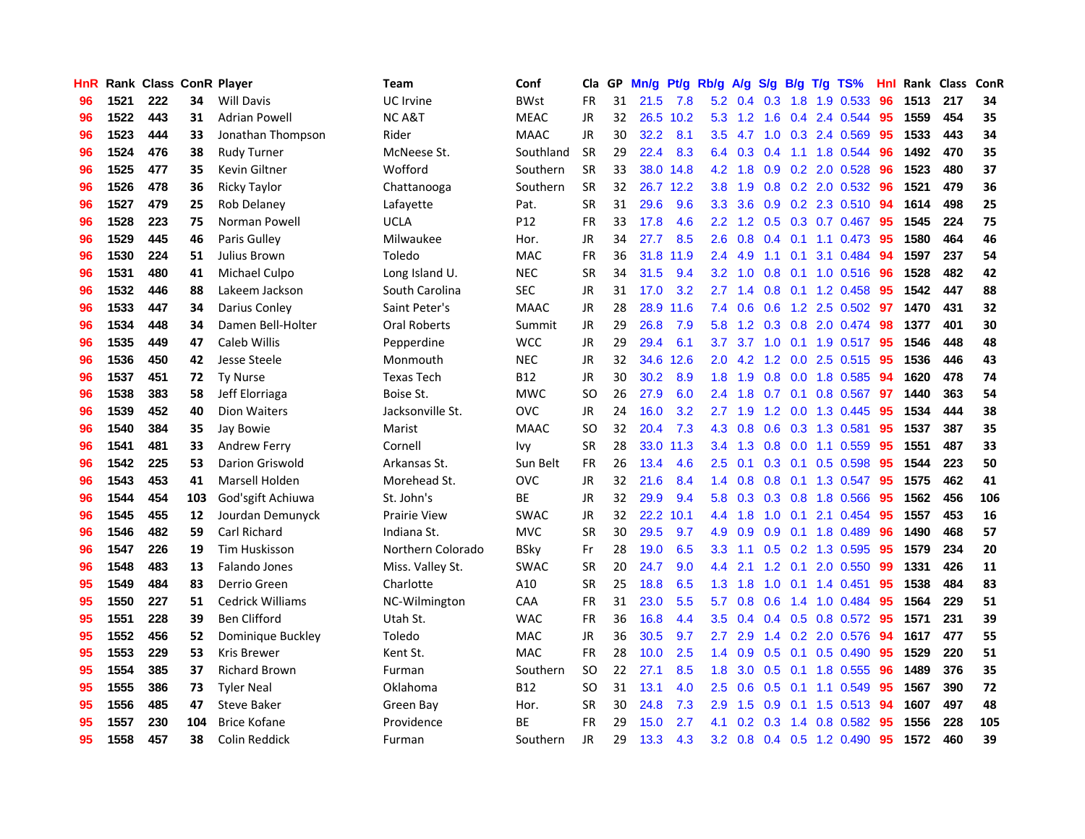| HnR |      | Rank Class ConR Player |     |                         | <b>Team</b>         | Conf        | Cla       |    | GP Mn/g Pt/g Rb/g A/g S/g B/g T/g TS% |           |                  |                 |     |                 |                           | Hnl | Rank Class |     | ConR |
|-----|------|------------------------|-----|-------------------------|---------------------|-------------|-----------|----|---------------------------------------|-----------|------------------|-----------------|-----|-----------------|---------------------------|-----|------------|-----|------|
| 96  | 1521 | 222                    | 34  | <b>Will Davis</b>       | UC Irvine           | <b>BWst</b> | <b>FR</b> | 31 | 21.5                                  | 7.8       | 5.2              | 0.4             | 0.3 | 1.8             | 1.9 0.533                 | 96  | 1513       | 217 | 34   |
| 96  | 1522 | 443                    | 31  | <b>Adrian Powell</b>    | <b>NCA&amp;T</b>    | <b>MEAC</b> | <b>JR</b> | 32 |                                       | 26.5 10.2 | 5.3              | 1.2             | 1.6 | 0.4             | 2.4 0.544                 | 95  | 1559       | 454 | 35   |
| 96  | 1523 | 444                    | 33  | Jonathan Thompson       | Rider               | <b>MAAC</b> | <b>JR</b> | 30 | 32.2                                  | 8.1       | 3.5              | 4.7             | 1.0 |                 | 0.3 2.4 0.569             | 95  | 1533       | 443 | 34   |
| 96  | 1524 | 476                    | 38  | Rudy Turner             | McNeese St.         | Southland   | <b>SR</b> | 29 | 22.4                                  | 8.3       |                  | 6.4 0.3         | 0.4 |                 | 1.1 1.8 0.544             | 96  | 1492       | 470 | 35   |
| 96  | 1525 | 477                    | 35  | Kevin Giltner           | Wofford             | Southern    | <b>SR</b> | 33 |                                       | 38.0 14.8 |                  | $4.2 \quad 1.8$ |     |                 | 0.9 0.2 2.0 0.528         | 96  | 1523       | 480 | 37   |
| 96  | 1526 | 478                    | 36  | Ricky Taylor            | Chattanooga         | Southern    | <b>SR</b> | 32 |                                       | 26.7 12.2 | 3.8              | 1.9             |     |                 | $0.8$ $0.2$ $2.0$ $0.532$ | 96  | 1521       | 479 | 36   |
| 96  | 1527 | 479                    | 25  | Rob Delaney             | Lafayette           | Pat.        | <b>SR</b> | 31 | 29.6                                  | 9.6       | 3.3 <sub>2</sub> | 3.6             |     |                 | $0.9$ $0.2$ $2.3$ $0.510$ | 94  | 1614       | 498 | 25   |
| 96  | 1528 | 223                    | 75  | Norman Powell           | <b>UCLA</b>         | P12         | <b>FR</b> | 33 | 17.8                                  | 4.6       | $2.2\phantom{0}$ | 1.2             |     |                 | 0.5 0.3 0.7 0.467         | 95  | 1545       | 224 | 75   |
| 96  | 1529 | 445                    | 46  | Paris Gulley            | Milwaukee           | Hor.        | <b>JR</b> | 34 | 27.7                                  | 8.5       | 2.6              | 0.8             |     |                 | 0.4 0.1 1.1 0.473         | 95  | 1580       | 464 | 46   |
| 96  | 1530 | 224                    | 51  | Julius Brown            | Toledo              | <b>MAC</b>  | <b>FR</b> | 36 | 31.8                                  | 11.9      | 2.4              | 4.9             | 1.1 | 0.1             | 3.1 0.484                 | 94  | 1597       | 237 | 54   |
| 96  | 1531 | 480                    | 41  | Michael Culpo           | Long Island U.      | <b>NEC</b>  | <b>SR</b> | 34 | 31.5                                  | 9.4       | 3.2              | 1.0             |     |                 | 0.8 0.1 1.0 0.516         | 96  | 1528       | 482 | 42   |
| 96  | 1532 | 446                    | 88  | Lakeem Jackson          | South Carolina      | <b>SEC</b>  | <b>JR</b> | 31 | 17.0                                  | 3.2       | 2.7              | 1.4             | 0.8 |                 | $0.1$ 1.2 0.458           | 95  | 1542       | 447 | 88   |
| 96  | 1533 | 447                    | 34  | Darius Conley           | Saint Peter's       | <b>MAAC</b> | JR        | 28 |                                       | 28.9 11.6 | 7.4              | 0.6             | 0.6 | 1.2             | 2.5 0.502                 | 97  | 1470       | 431 | 32   |
| 96  | 1534 | 448                    | 34  | Damen Bell-Holter       | <b>Oral Roberts</b> | Summit      | JR        | 29 | 26.8                                  | 7.9       | 5.8              | 1.2             | 0.3 | 0.8             | 2.0 0.474                 | -98 | 1377       | 401 | 30   |
| 96  | 1535 | 449                    | 47  | <b>Caleb Willis</b>     | Pepperdine          | <b>WCC</b>  | <b>JR</b> | 29 | 29.4                                  | 6.1       | 3.7              | 3.7             | 1.0 | 0.1             | 1.9 0.517                 | -95 | 1546       | 448 | 48   |
| 96  | 1536 | 450                    | 42  | Jesse Steele            | Monmouth            | <b>NEC</b>  | <b>JR</b> | 32 | 34.6                                  | 12.6      | 2.0 <sub>1</sub> | 4.2             |     |                 | 1.2 0.0 2.5 0.515         | -95 | 1536       | 446 | 43   |
| 96  | 1537 | 451                    | 72  | <b>Ty Nurse</b>         | <b>Texas Tech</b>   | <b>B12</b>  | JR        | 30 | 30.2                                  | 8.9       | 1.8              | 1.9             |     |                 | 0.8 0.0 1.8 0.585         | -94 | 1620       | 478 | 74   |
| 96  | 1538 | 383                    | 58  | Jeff Elorriaga          | Boise St.           | <b>MWC</b>  | <b>SO</b> | 26 | 27.9                                  | 6.0       |                  | $2.4$ 1.8       |     |                 | 0.7 0.1 0.8 0.567         | -97 | 1440       | 363 | 54   |
| 96  | 1539 | 452                    | 40  | <b>Dion Waiters</b>     | Jacksonville St.    | <b>OVC</b>  | JR        | 24 | 16.0                                  | 3.2       | $2.7^{\circ}$    | 1.9             |     |                 | 1.2 0.0 1.3 0.445         | 95  | 1534       | 444 | 38   |
| 96  | 1540 | 384                    | 35  | Jay Bowie               | Marist              | <b>MAAC</b> | <b>SO</b> | 32 | 20.4                                  | 7.3       |                  | 4.3 0.8         |     |                 | 0.6 0.3 1.3 0.581         | 95  | 1537       | 387 | 35   |
| 96  | 1541 | 481                    | 33  | Andrew Ferry            | Cornell             | Ivy         | <b>SR</b> | 28 |                                       | 33.0 11.3 | 3.4              | 1.3             |     |                 | 0.8 0.0 1.1 0.559         | 95  | 1551       | 487 | 33   |
| 96  | 1542 | 225                    | 53  | <b>Darion Griswold</b>  | Arkansas St.        | Sun Belt    | <b>FR</b> | 26 | 13.4                                  | 4.6       | 2.5              | 0.1             |     |                 | 0.3 0.1 0.5 0.598         | 95  | 1544       | 223 | 50   |
| 96  | 1543 | 453                    | 41  | Marsell Holden          | Morehead St.        | <b>OVC</b>  | <b>JR</b> | 32 | 21.6                                  | 8.4       | 1.4              | 0.8             |     |                 | 0.8 0.1 1.3 0.547         | 95  | 1575       | 462 | 41   |
| 96  | 1544 | 454                    | 103 | God'sgift Achiuwa       | St. John's          | BE          | JR        | 32 | 29.9                                  | 9.4       | 5.8              | 0.3             |     |                 | 0.3 0.8 1.8 0.566         | 95  | 1562       | 456 | 106  |
| 96  | 1545 | 455                    | 12  | Jourdan Demunyck        | Prairie View        | <b>SWAC</b> | JR        | 32 | 22.2 10.1                             |           | 4.4              | 1.8             | 1.0 | 0.1             | 2.1 0.454                 | 95  | 1557       | 453 | 16   |
| 96  | 1546 | 482                    | 59  | <b>Carl Richard</b>     | Indiana St.         | <b>MVC</b>  | <b>SR</b> | 30 | 29.5                                  | 9.7       | 4.9              | 0.9             | 0.9 |                 | 0.1 1.8 0.489             | 96  | 1490       | 468 | 57   |
| 96  | 1547 | 226                    | 19  | <b>Tim Huskisson</b>    | Northern Colorado   | <b>BSky</b> | Fr        | 28 | 19.0                                  | 6.5       | 3.3              | 1.1             |     |                 | 0.5 0.2 1.3 0.595         | 95  | 1579       | 234 | 20   |
| 96  | 1548 | 483                    | 13  | Falando Jones           | Miss. Valley St.    | <b>SWAC</b> | SR        | 20 | 24.7                                  | 9.0       | 4.4              | 2.1             |     | $1.2 \quad 0.1$ | 2.0 0.550                 | 99  | 1331       | 426 | 11   |
| 95  | 1549 | 484                    | 83  | Derrio Green            | Charlotte           | A10         | <b>SR</b> | 25 | 18.8                                  | 6.5       | 1.3              | 1.8             | 1.0 | 0.1             | 1.4 0.451                 | -95 | 1538       | 484 | 83   |
| 95  | 1550 | 227                    | 51  | <b>Cedrick Williams</b> | NC-Wilmington       | <b>CAA</b>  | <b>FR</b> | 31 | 23.0                                  | 5.5       | 5.7              | 0.8             | 0.6 |                 | 1.4 1.0 0.484             | -95 | 1564       | 229 | 51   |
| 95  | 1551 | 228                    | 39  | <b>Ben Clifford</b>     | Utah St.            | <b>WAC</b>  | <b>FR</b> | 36 | 16.8                                  | 4.4       | 3.5              | 0.4             |     |                 | 0.4 0.5 0.8 0.572 95      |     | 1571       | 231 | 39   |
| 95  | 1552 | 456                    | 52  | Dominique Buckley       | Toledo              | <b>MAC</b>  | <b>JR</b> | 36 | 30.5                                  | 9.7       | $2.7^{\circ}$    | 2.9             |     |                 | 1.4 0.2 2.0 0.576         | -94 | 1617       | 477 | 55   |
| 95  | 1553 | 229                    | 53  | <b>Kris Brewer</b>      | Kent St.            | <b>MAC</b>  | <b>FR</b> | 28 | 10.0                                  | 2.5       | $1.4^{\circ}$    | 0.9             |     |                 | 0.5 0.1 0.5 0.490         | 95  | 1529       | 220 | 51   |
| 95  | 1554 | 385                    | 37  | <b>Richard Brown</b>    | Furman              | Southern    | <b>SO</b> | 22 | 27.1                                  | 8.5       | 1.8              | 3.0             |     |                 | $0.5$ 0.1 1.8 0.555       | 96  | 1489       | 376 | 35   |
| 95  | 1555 | 386                    | 73  | <b>Tyler Neal</b>       | Oklahoma            | <b>B12</b>  | <b>SO</b> | 31 | 13.1                                  | 4.0       | $2.5\,$          | 0.6             |     | $0.5 \quad 0.1$ | 1.1 0.549                 | 95  | 1567       | 390 | 72   |
| 95  | 1556 | 485                    | 47  | <b>Steve Baker</b>      | Green Bay           | Hor.        | <b>SR</b> | 30 | 24.8                                  | 7.3       | 2.9              | 1.5             | 0.9 | 0.1             | 1.5 0.513                 | 94  | 1607       | 497 | 48   |
| 95  | 1557 | 230                    | 104 | <b>Brice Kofane</b>     | Providence          | ВE          | FR        | 29 | 15.0                                  | 2.7       | 4.1              | 0.2             | 0.3 | 1.4             | 0.8 0.582                 | 95  | 1556       | 228 | 105  |
| 95  | 1558 | 457                    | 38  | Colin Reddick           | Furman              | Southern    | <b>JR</b> | 29 | 13.3                                  | 4.3       |                  | $3.2 \quad 0.8$ |     |                 | 0.4 0.5 1.2 0.490         | 95  | 1572       | 460 | 39   |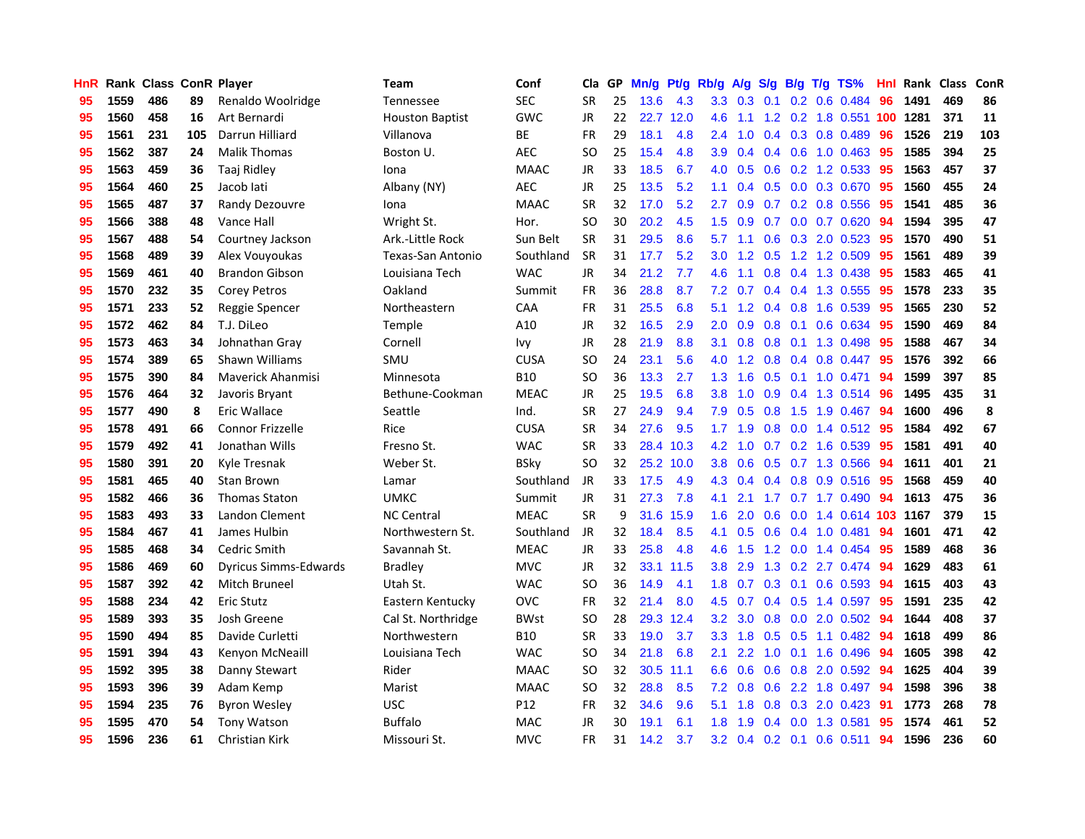| HnR |      | Rank Class ConR Player |     |                              | <b>Team</b>            | Conf            | Cla           |    | GP Mn/g Pt/g Rb/g A/g S/g B/g T/g TS% |           |                  |                                      |               |                 |                           | Hnl | Rank Class |     | ConR |
|-----|------|------------------------|-----|------------------------------|------------------------|-----------------|---------------|----|---------------------------------------|-----------|------------------|--------------------------------------|---------------|-----------------|---------------------------|-----|------------|-----|------|
| 95  | 1559 | 486                    | 89  | Renaldo Woolridge            | Tennessee              | <b>SEC</b>      | <b>SR</b>     | 25 | 13.6                                  | 4.3       | 3.3              | 0.3                                  | 0.1           | 0.2             | 0.6 0.484                 | 96  | 1491       | 469 | 86   |
| 95  | 1560 | 458                    | 16  | Art Bernardi                 | <b>Houston Baptist</b> | <b>GWC</b>      | <b>JR</b>     | 22 |                                       | 22.7 12.0 | 4.6              | 1.1                                  |               | $1.2 \quad 0.2$ | 1.8 0.551 100             |     | 1281       | 371 | 11   |
| 95  | 1561 | 231                    | 105 | Darrun Hilliard              | Villanova              | ВE              | <b>FR</b>     | 29 | 18.1                                  | 4.8       | 2.4              | 1.0                                  |               |                 | $0.4$ 0.3 0.8 0.489       | -96 | 1526       | 219 | 103  |
| 95  | 1562 | 387                    | 24  | <b>Malik Thomas</b>          | Boston U.              | <b>AEC</b>      | <sub>SO</sub> | 25 | 15.4                                  | 4.8       | 3.9 <sup>°</sup> | 0.4                                  |               |                 | 0.4 0.6 1.0 0.463         | 95  | 1585       | 394 | 25   |
| 95  | 1563 | 459                    | 36  | Taaj Ridley                  | Iona                   | <b>MAAC</b>     | JR            | 33 | 18.5                                  | 6.7       |                  | $4.0\quad 0.5$                       |               |                 | $0.6$ $0.2$ $1.2$ $0.533$ | -95 | 1563       | 457 | 37   |
| 95  | 1564 | 460                    | 25  | Jacob lati                   | Albany (NY)            | <b>AEC</b>      | JR            | 25 | 13.5                                  | 5.2       | 1.1              | 0.4                                  |               |                 | 0.5 0.0 0.3 0.670         | 95  | 1560       | 455 | 24   |
| 95  | 1565 | 487                    | 37  | Randy Dezouvre               | Iona                   | <b>MAAC</b>     | <b>SR</b>     | 32 | 17.0                                  | 5.2       | 2.7              | 0.9                                  |               |                 | $0.7$ $0.2$ $0.8$ $0.556$ | 95  | 1541       | 485 | 36   |
| 95  | 1566 | 388                    | 48  | Vance Hall                   | Wright St.             | Hor.            | <b>SO</b>     | 30 | 20.2                                  | 4.5       | 1.5              | 0.9                                  | 0.7           |                 | 0.0 0.7 0.620             | 94  | 1594       | 395 | 47   |
| 95  | 1567 | 488                    | 54  | Courtney Jackson             | Ark.-Little Rock       | Sun Belt        | <b>SR</b>     | 31 | 29.5                                  | 8.6       | 5.7              | 1.1                                  | 0.6           |                 | 0.3 2.0 0.523             | 95  | 1570       | 490 | 51   |
| 95  | 1568 | 489                    | 39  | Alex Vouyoukas               | Texas-San Antonio      | Southland       | <b>SR</b>     | 31 | 17.7                                  | 5.2       | 3.0              | $\cdot$<br>$\blacktriangleleft$      | 0.5           |                 | 1.2 1.2 0.509             | 95  | 1561       | 489 | 39   |
| 95  | 1569 | 461                    | 40  | <b>Brandon Gibson</b>        | Louisiana Tech         | <b>WAC</b>      | JR            | 34 | 21.2                                  | 7.7       | 4.6              | 1.1                                  |               |                 | 0.8 0.4 1.3 0.438         | 95  | 1583       | 465 | 41   |
| 95  | 1570 | 232                    | 35  | <b>Corey Petros</b>          | Oakland                | Summit          | <b>FR</b>     | 36 | 28.8                                  | 8.7       | 7.2              | 0.7                                  |               |                 | $0.4$ 0.4 1.3 0.555       | 95  | 1578       | 233 | 35   |
| 95  | 1571 | 233                    | 52  | Reggie Spencer               | Northeastern           | CAA             | <b>FR</b>     | 31 | 25.5                                  | 6.8       | 5.1              | $\mathbf{2}$<br>$\blacktriangleleft$ |               | $0.4 \quad 0.8$ | 1.6 0.539                 | 95  | 1565       | 230 | 52   |
| 95  | 1572 | 462                    | 84  | T.J. DiLeo                   | <b>Temple</b>          | A10             | JR            | 32 | 16.5                                  | 2.9       | 2.0              | 0.9                                  | 0.8           | 0.1             | 0.6 0.634                 | 95  | 1590       | 469 | 84   |
| 95  | 1573 | 463                    | 34  | Johnathan Gray               | Cornell                | Ivy             | <b>JR</b>     | 28 | 21.9                                  | 8.8       | 3.1              | 0.8                                  | 0.8           |                 | 0.1 1.3 0.498             | 95  | 1588       | 467 | 34   |
| 95  | 1574 | 389                    | 65  | Shawn Williams               | SMU                    | <b>CUSA</b>     | <b>SO</b>     | 24 | 23.1                                  | 5.6       | 4.0              | 1.2                                  |               |                 | 0.8 0.4 0.8 0.447         | -95 | 1576       | 392 | 66   |
| 95  | 1575 | 390                    | 84  | <b>Maverick Ahanmisi</b>     | Minnesota              | <b>B10</b>      | SO.           | 36 | 13.3                                  | 2.7       | 1.3 <sub>1</sub> | 1.6                                  |               |                 | 0.5 0.1 1.0 0.471         | -94 | 1599       | 397 | 85   |
| 95  | 1576 | 464                    | 32  | Javoris Bryant               | Bethune-Cookman        | <b>MEAC</b>     | JR            | 25 | 19.5                                  | 6.8       | 3.8 <sub>2</sub> | 1.0                                  |               |                 | 0.9 0.4 1.3 0.514 96      |     | 1495       | 435 | 31   |
| 95  | 1577 | 490                    | 8   | Eric Wallace                 | Seattle                | Ind.            | <b>SR</b>     | 27 | 24.9                                  | 9.4       |                  | 7.9 0.5                              |               |                 | 0.8 1.5 1.9 0.467         | -94 | 1600       | 496 | 8    |
| 95  | 1578 | 491                    | 66  | <b>Connor Frizzelle</b>      | Rice                   | <b>CUSA</b>     | <b>SR</b>     | 34 | 27.6                                  | 9.5       | 1.7 <sub>z</sub> | 1.9                                  |               |                 | $0.8$ 0.0 1.4 0.512       | -95 | 1584       | 492 | 67   |
| 95  | 1579 | 492                    | 41  | Jonathan Wills               | Fresno St.             | <b>WAC</b>      | <b>SR</b>     | 33 |                                       | 28.4 10.3 | 4.2              | 1.0                                  |               |                 | $0.7$ $0.2$ 1.6 $0.539$   | 95  | 1581       | 491 | 40   |
| 95  | 1580 | 391                    | 20  | Kyle Tresnak                 | Weber St.              | <b>BSky</b>     | <b>SO</b>     | 32 |                                       | 25.2 10.0 | 3.8              | 0.6                                  |               |                 | 0.5 0.7 1.3 0.566         | 94  | 1611       | 401 | 21   |
| 95  | 1581 | 465                    | 40  | Stan Brown                   | Lamar                  | Southland       | JR            | 33 | 17.5                                  | 4.9       | 4.3              | 0.4                                  |               |                 | $0.4$ 0.8 0.9 0.516       | -95 | 1568       | 459 | 40   |
| 95  | 1582 | 466                    | 36  | <b>Thomas Staton</b>         | <b>UMKC</b>            | Summit          | JR            | 31 | 27.3                                  | 7.8       | 4.1              | 2.1                                  | 1.7           |                 | 0.7 1.7 0.490             | -94 | 1613       | 475 | 36   |
| 95  | 1583 | 493                    | 33  | Landon Clement               | <b>NC Central</b>      | <b>MEAC</b>     | <b>SR</b>     | 9  | 31.6                                  | 15.9      | 1.6              | 2.0                                  | 0.6           | 0.0             | 1.4 0.614 103 1167        |     |            | 379 | 15   |
| 95  | 1584 | 467                    | 41  | James Hulbin                 | Northwestern St.       | Southland       | <b>JR</b>     | 32 | 18.4                                  | 8.5       | 4.1              | 0.5                                  | 0.6           | 0.4             | 1.0 0.481                 | -94 | 1601       | 471 | 42   |
| 95  | 1585 | 468                    | 34  | Cedric Smith                 | Savannah St.           | <b>MEAC</b>     | JR            | 33 | 25.8                                  | 4.8       | 4.6              | 1.5                                  | 1.2           | 0.0             | 1.4 0.454                 | -95 | 1589       | 468 | 36   |
| 95  | 1586 | 469                    | 60  | <b>Dyricus Simms-Edwards</b> | Bradley                | <b>MVC</b>      | JR            | 32 |                                       | 33.1 11.5 | 3.8              | 2.9                                  | 1.3           | 0.2             | 2.7 0.474                 | 94  | 1629       | 483 | 61   |
| 95  | 1587 | 392                    | 42  | Mitch Bruneel                | Utah St.               | <b>WAC</b>      | <b>SO</b>     | 36 | 14.9                                  | 4.1       | 1.8              | 0.7                                  |               | $0.3 \quad 0.1$ | $0.6$ 0.593               | -94 | 1615       | 403 | 43   |
| 95  | 1588 | 234                    | 42  | Eric Stutz                   | Eastern Kentucky       | <b>OVC</b>      | <b>FR</b>     | 32 | 21.4                                  | 8.0       | 4.5              | 0.7                                  |               |                 | $0.4$ 0.5 1.4 0.597       | -95 | 1591       | 235 | 42   |
| 95  | 1589 | 393                    | 35  | Josh Greene                  | Cal St. Northridge     | <b>BWst</b>     | <b>SO</b>     | 28 |                                       | 29.3 12.4 | 3.2 <sub>2</sub> | 3.0                                  |               |                 | $0.8$ $0.0$ $2.0$ $0.502$ | -94 | 1644       | 408 | 37   |
| 95  | 1590 | 494                    | 85  | Davide Curletti              | Northwestern           | <b>B10</b>      | <b>SR</b>     | 33 | 19.0                                  | 3.7       | 3.3 <sub>2</sub> | 1.8                                  |               |                 | $0.5$ $0.5$ 1.1 $0.482$   | 94  | 1618       | 499 | 86   |
| 95  | 1591 | 394                    | 43  | Kenyon McNeaill              | Louisiana Tech         | <b>WAC</b>      | <b>SO</b>     | 34 | 21.8                                  | 6.8       | 2.1              | $2.2^{\circ}$                        |               |                 | 1.0 0.1 1.6 0.496         | 94  | 1605       | 398 | 42   |
| 95  | 1592 | 395                    | 38  | Danny Stewart                | Rider                  | <b>MAAC</b>     | <b>SO</b>     | 32 |                                       | 30.5 11.1 | 6.6              | 0.6                                  |               |                 | 0.6 0.8 2.0 0.592         | 94  | 1625       | 404 | 39   |
| 95  | 1593 | 396                    | 39  | Adam Kemp                    | Marist                 | <b>MAAC</b>     | <b>SO</b>     | 32 | 28.8                                  | 8.5       | 7.2              | 0.8                                  |               |                 | 0.6 2.2 1.8 0.497         | 94  | 1598       | 396 | 38   |
| 95  | 1594 | 235                    | 76  | <b>Byron Wesley</b>          | <b>USC</b>             | P <sub>12</sub> | <b>FR</b>     | 32 | 34.6                                  | 9.6       | 5.1              | 1.8                                  | 0.8           |                 | 0.3 2.0 0.423             | 91  | 1773       | 268 | 78   |
| 95  | 1595 | 470                    | 54  | <b>Tony Watson</b>           | <b>Buffalo</b>         | MAC             | <b>JR</b>     | 30 | 19.1                                  | 6.1       | 1.8              | 1.9                                  | $0.4^{\circ}$ | 0.0             | 1.3 0.581                 | 95  | 1574       | 461 | 52   |
| 95  | 1596 | 236                    | 61  | Christian Kirk               | Missouri St.           | <b>MVC</b>      | <b>FR</b>     | 31 | 14.2                                  | 3.7       |                  | $3.2 \quad 0.4$                      |               |                 | 0.2 0.1 0.6 0.511 94      |     | 1596       | 236 | 60   |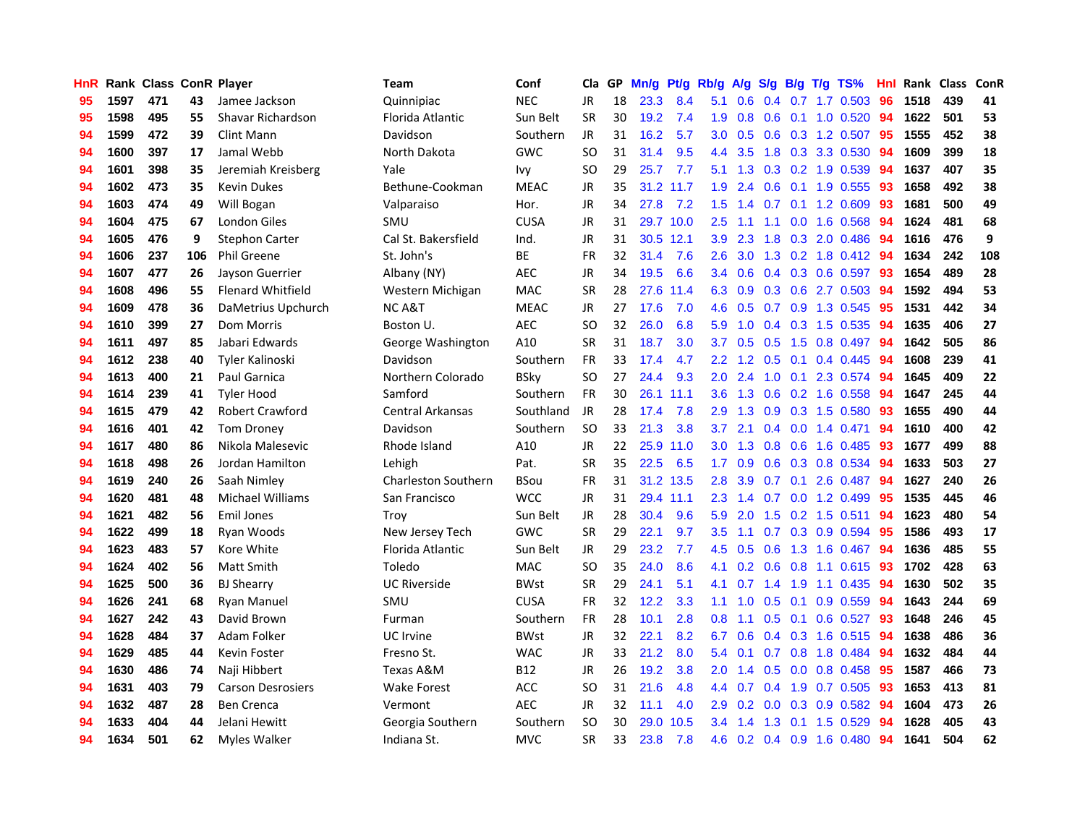| <b>HnR</b> |      | Rank Class ConR Player |     |                          | <b>Team</b>                | Conf        | Cla       |    | GP Mn/g Pt/g Rb/g A/g |           |                  |                                       |     |                 | S/g B/g T/g TS%           | Hnl |      | Rank Class | <b>ConR</b> |
|------------|------|------------------------|-----|--------------------------|----------------------------|-------------|-----------|----|-----------------------|-----------|------------------|---------------------------------------|-----|-----------------|---------------------------|-----|------|------------|-------------|
| 95         | 1597 | 471                    | 43  | Jamee Jackson            | Quinnipiac                 | <b>NEC</b>  | JR.       | 18 | 23.3                  | 8.4       | 5.1              | 0.6                                   | 0.4 | 0.7             | 1.7 0.503                 | 96  | 1518 | 439        | 41          |
| 95         | 1598 | 495                    | 55  | Shavar Richardson        | Florida Atlantic           | Sun Belt    | <b>SR</b> | 30 | 19.2                  | 7.4       | 1.9              | 0.8                                   | 0.6 | 0.1             | 1.0 0.520                 | 94  | 1622 | 501        | 53          |
| 94         | 1599 | 472                    | 39  | Clint Mann               | Davidson                   | Southern    | <b>JR</b> | 31 | 16.2                  | 5.7       | 3.0              | 0.5                                   | 0.6 | 0.3             | 1.2 0.507                 | 95  | 1555 | 452        | 38          |
| 94         | 1600 | 397                    | 17  | Jamal Webb               | North Dakota               | <b>GWC</b>  | <b>SO</b> | 31 | 31.4                  | 9.5       | 4.4              | 3.5                                   | 1.8 |                 | 0.3 3.3 0.530             | -94 | 1609 | 399        | 18          |
| 94         | 1601 | 398                    | 35  | Jeremiah Kreisberg       | Yale                       | Ivy         | <b>SO</b> | 29 | 25.7                  | 7.7       | 5.1              | 1.3                                   |     |                 | 0.3 0.2 1.9 0.539         | -94 | 1637 | 407        | 35          |
| 94         | 1602 | 473                    | 35  | <b>Kevin Dukes</b>       | Bethune-Cookman            | <b>MEAC</b> | <b>JR</b> | 35 |                       | 31.2 11.7 | 1.9              | 2.4                                   |     |                 | 0.6 0.1 1.9 0.555         | 93  | 1658 | 492        | 38          |
| 94         | 1603 | 474                    | 49  | Will Bogan               | Valparaiso                 | Hor.        | JR        | 34 | 27.8                  | 7.2       |                  | $1.5 \quad 1.4$                       |     |                 | $0.7$ $0.1$ $1.2$ $0.609$ | 93  | 1681 | 500        | 49          |
| 94         | 1604 | 475                    | 67  | London Giles             | <b>SMU</b>                 | <b>CUSA</b> | JR        | 31 |                       | 29.7 10.0 | $2.5\,$          | 1.1                                   | 1.1 |                 | $0.0$ 1.6 $0.568$         | 94  | 1624 | 481        | 68          |
| 94         | 1605 | 476                    | 9   | <b>Stephon Carter</b>    | Cal St. Bakersfield        | Ind.        | <b>JR</b> | 31 |                       | 30.5 12.1 | 3.9              | 2.3                                   | 1.8 |                 | 0.3 2.0 0.486             | 94  | 1616 | 476        | 9           |
| 94         | 1606 | 237                    | 106 | <b>Phil Greene</b>       | St. John's                 | ВE          | <b>FR</b> | 32 | 31.4                  | 7.6       | 2.6              | 3.0                                   |     |                 | 1.3 0.2 1.8 0.412         | -94 | 1634 | 242        | 108         |
| 94         | 1607 | 477                    | 26  | Jayson Guerrier          | Albany (NY)                | <b>AEC</b>  | JR        | 34 | 19.5                  | 6.6       | 3.4              | 0.6                                   |     |                 | $0.4$ 0.3 0.6 0.597       | 93  | 1654 | 489        | 28          |
| 94         | 1608 | 496                    | 55  | <b>Flenard Whitfield</b> | Western Michigan           | <b>MAC</b>  | <b>SR</b> | 28 |                       | 27.6 11.4 | 6.3              | 0.9                                   |     |                 | $0.3$ $0.6$ 2.7 $0.503$   | -94 | 1592 | 494        | 53          |
| 94         | 1609 | 478                    | 36  | DaMetrius Upchurch       | <b>NCA&amp;T</b>           | <b>MEAC</b> | JR        | 27 | 17.6                  | 7.0       | 4.6              | 0.5                                   | 0.7 | 0.9             | 1.3 0.545                 | 95  | 1531 | 442        | 34          |
| 94         | 1610 | 399                    | 27  | Dom Morris               | Boston U.                  | <b>AEC</b>  | <b>SO</b> | 32 | 26.0                  | 6.8       | 5.9              | 1.0                                   |     | $0.4 \quad 0.3$ | 1.5 0.535                 | 94  | 1635 | 406        | 27          |
| 94         | 1611 | 497                    | 85  | Jabari Edwards           | George Washington          | A10         | <b>SR</b> | 31 | 18.7                  | 3.0       | 3.7              | 0.5                                   | 0.5 | 1.5             | 0.8 0.497                 | 94  | 1642 | 505        | 86          |
| 94         | 1612 | 238                    | 40  | <b>Tyler Kalinoski</b>   | Davidson                   | Southern    | <b>FR</b> | 33 | 17.4                  | 4.7       | 2.2 <sub>2</sub> | 1.2                                   | 0.5 | 0.1             | 0.4 0.445                 | 94  | 1608 | 239        | 41          |
| 94         | 1613 | 400                    | 21  | <b>Paul Garnica</b>      | Northern Colorado          | <b>BSky</b> | <b>SO</b> | 27 | 24.4                  | 9.3       | 2.0              | 2.4                                   | 1.0 | 0.1             | 2.3 0.574                 | -94 | 1645 | 409        | 22          |
| 94         | 1614 | 239                    | 41  | <b>Tyler Hood</b>        | Samford                    | Southern    | <b>FR</b> | 30 |                       | 26.1 11.1 | 3.6 <sup>°</sup> | 1.3                                   |     |                 | $0.6$ $0.2$ 1.6 0.558     | -94 | 1647 | 245        | 44          |
| 94         | 1615 | 479                    | 42  | <b>Robert Crawford</b>   | Central Arkansas           | Southland   | JR        | 28 | 17.4                  | 7.8       | 2.9              | 1.3                                   |     |                 | $0.9$ $0.3$ 1.5 $0.580$   | -93 | 1655 | 490        | 44          |
| 94         | 1616 | 401                    | 42  | <b>Tom Droney</b>        | Davidson                   | Southern    | <b>SO</b> | 33 | 21.3                  | 3.8       | 3.7              | 2.1                                   |     |                 | $0.4$ 0.0 1.4 0.471       | 94  | 1610 | 400        | 42          |
| 94         | 1617 | 480                    | 86  | Nikola Malesevic         | Rhode Island               | A10         | JR        | 22 |                       | 25.9 11.0 |                  | $3.0 \quad 1.3$                       |     |                 | 0.8 0.6 1.6 0.485         | -93 | 1677 | 499        | 88          |
| 94         | 1618 | 498                    | 26  | Jordan Hamilton          | Lehigh                     | Pat.        | <b>SR</b> | 35 | 22.5                  | 6.5       | 1.7 <sup>2</sup> | 0.9                                   |     |                 | 0.6 0.3 0.8 0.534         | -94 | 1633 | 503        | 27          |
| 94         | 1619 | 240                    | 26  | Saah Nimley              | <b>Charleston Southern</b> | <b>BSou</b> | <b>FR</b> | 31 |                       | 31.2 13.5 | 2.8              | 3.9                                   |     |                 | $0.7$ $0.1$ $2.6$ $0.487$ | 94  | 1627 | 240        | 26          |
| 94         | 1620 | 481                    | 48  | <b>Michael Williams</b>  | San Francisco              | <b>WCC</b>  | <b>JR</b> | 31 |                       | 29.4 11.1 | 2.3              | 1.4                                   | 0.7 |                 | 0.0 1.2 0.499             | 95  | 1535 | 445        | 46          |
| 94         | 1621 | 482                    | 56  | Emil Jones               | Troy                       | Sun Belt    | JR        | 28 | 30.4                  | 9.6       | 5.9              | 2.0                                   |     |                 | 1.5 0.2 1.5 0.511         | 94  | 1623 | 480        | 54          |
| 94         | 1622 | 499                    | 18  | Ryan Woods               | New Jersey Tech            | <b>GWC</b>  | <b>SR</b> | 29 | 22.1                  | 9.7       | 3.5              | 1.1                                   | 0.7 |                 | 0.3 0.9 0.594             | -95 | 1586 | 493        | 17          |
| 94         | 1623 | 483                    | 57  | Kore White               | Florida Atlantic           | Sun Belt    | JR.       | 29 | 23.2                  | 7.7       | 4.5              | 0.5                                   | 0.6 |                 | 1.3 1.6 0.467             | 94  | 1636 | 485        | 55          |
| 94         | 1624 | 402                    | 56  | Matt Smith               | Toledo                     | <b>MAC</b>  | <b>SO</b> | 35 | 24.0                  | 8.6       | 4.1              | 0.2                                   | 0.6 | 0.8             | 1.1 0.615                 | 93  | 1702 | 428        | 63          |
| 94         | 1625 | 500                    | 36  | <b>BJ Shearry</b>        | <b>UC Riverside</b>        | <b>BWst</b> | SR        | 29 | 24.1                  | 5.1       | 4.1              | 0.7                                   | 1.4 | 1.9             | 1.1 0.435                 | -94 | 1630 | 502        | 35          |
| 94         | 1626 | 241                    | 68  | <b>Ryan Manuel</b>       | SMU                        | <b>CUSA</b> | <b>FR</b> | 32 | 12.2                  | 3.3       | 1.1              | 1.0                                   |     | $0.5 \quad 0.1$ | 0.9 0.559                 | -94 | 1643 | 244        | 69          |
| 94         | 1627 | 242                    | 43  | David Brown              | Furman                     | Southern    | <b>FR</b> | 28 | 10.1                  | 2.8       | 0.8              | 1.1                                   |     | $0.5 \quad 0.1$ | $0.6$ 0.527               | -93 | 1648 | 246        | 45          |
| 94         | 1628 | 484                    | 37  | Adam Folker              | UC Irvine                  | <b>BWst</b> | JR        | 32 | 22.1                  | 8.2       | 6.7              | 0.6                                   |     |                 | $0.4$ 0.3 1.6 0.515       | -94 | 1638 | 486        | 36          |
| 94         | 1629 | 485                    | 44  | Kevin Foster             | Fresno St.                 | <b>WAC</b>  | JR        | 33 | 21.2                  | 8.0       |                  | 5.4 0.1                               |     |                 | 0.7 0.8 1.8 0.484         | -94 | 1632 | 484        | 44          |
| 94         | 1630 | 486                    | 74  | Naji Hibbert             | Texas A&M                  | <b>B12</b>  | <b>JR</b> | 26 | 19.2                  | 3.8       | 2.0 <sub>1</sub> | 1.4                                   |     |                 | $0.5$ 0.0 0.8 0.458       | 95  | 1587 | 466        | 73          |
| 94         | 1631 | 403                    | 79  | <b>Carson Desrosiers</b> | <b>Wake Forest</b>         | <b>ACC</b>  | <b>SO</b> | 31 | 21.6                  | 4.8       | 4.4              | 0.7                                   | 0.4 |                 | 1.9 0.7 0.505             | 93  | 1653 | 413        | 81          |
| 94         | 1632 | 487                    | 28  | <b>Ben Crenca</b>        | Vermont                    | <b>AEC</b>  | <b>JR</b> | 32 | 11.1                  | 4.0       | 2.9              | 0.2                                   |     |                 | $0.0$ $0.3$ $0.9$ $0.582$ | 94  | 1604 | 473        | 26          |
| 94         | 1633 | 404                    | 44  | Jelani Hewitt            | Georgia Southern           | Southern    | <b>SO</b> | 30 | 29.0                  | 10.5      | 3.4              | $\mathcal{A}$<br>$\blacktriangleleft$ | 1.3 | 0.1             | 1.5 0.529                 | 94  | 1628 | 405        | 43          |
| 94         | 1634 | 501                    | 62  | Myles Walker             | Indiana St.                | <b>MVC</b>  | <b>SR</b> | 33 | 23.8                  | 7.8       | 4.6              |                                       |     |                 | 0.2 0.4 0.9 1.6 0.480     | 94  | 1641 | 504        | 62          |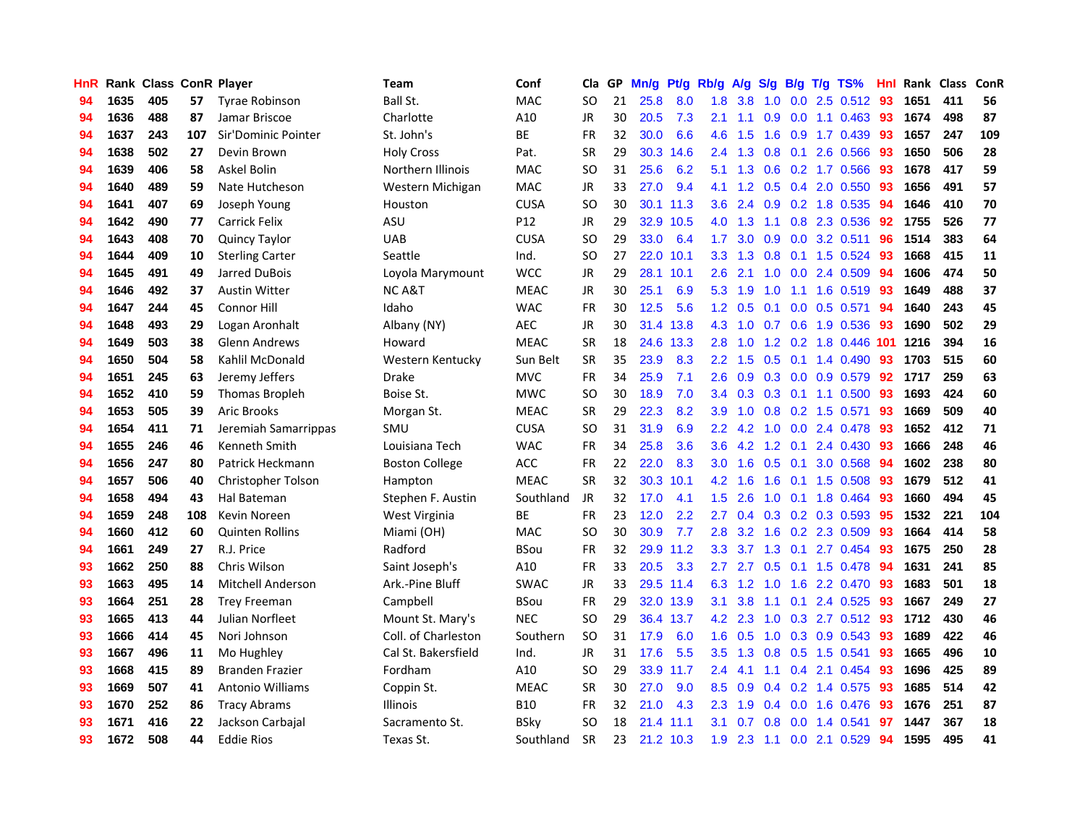| <b>HnR</b> |      | Rank Class ConR Player |     |                          | <b>Team</b>           | Conf        | Cla       |    | GP Mn/g Pt/g Rb/g |           |                  |                 |               |           | A/g S/g B/g T/g TS%                   | Hnl | Rank Class |     | ConR |
|------------|------|------------------------|-----|--------------------------|-----------------------|-------------|-----------|----|-------------------|-----------|------------------|-----------------|---------------|-----------|---------------------------------------|-----|------------|-----|------|
| 94         | 1635 | 405                    | 57  | <b>Tyrae Robinson</b>    | Ball St.              | <b>MAC</b>  | SO.       | 21 | 25.8              | 8.0       | 1.8              | 3.8             | 1.0           | 0.0       | 2.5 0.512                             | 93  | 1651       | 411 | 56   |
| 94         | 1636 | 488                    | 87  | Jamar Briscoe            | Charlotte             | A10         | <b>JR</b> | 30 | 20.5              | 7.3       | 2.1              | 1.1             | 0.9           | 0.0       | 1.1 0.463                             | 93  | 1674       | 498 | 87   |
| 94         | 1637 | 243                    | 107 | Sir'Dominic Pointer      | St. John's            | ВE          | <b>FR</b> | 32 | 30.0              | 6.6       | 4.6              | 1.5             | 1.6           | 0.9       | 1.7 0.439                             | 93  | 1657       | 247 | 109  |
| 94         | 1638 | 502                    | 27  | Devin Brown              | <b>Holy Cross</b>     | Pat.        | <b>SR</b> | 29 |                   | 30.3 14.6 |                  | $2.4$ 1.3       |               | $0.8$ 0.1 | 2.6 0.566                             | 93  | 1650       | 506 | 28   |
| 94         | 1639 | 406                    | 58  | Askel Bolin              | Northern Illinois     | <b>MAC</b>  | SO.       | 31 | 25.6              | 6.2       | 5.1              | 1.3             |               |           | 0.6 0.2 1.7 0.566                     | -93 | 1678       | 417 | 59   |
| 94         | 1640 | 489                    | 59  | Nate Hutcheson           | Western Michigan      | <b>MAC</b>  | JR        | 33 | 27.0              | 9.4       | 4.1              | 1.2             |               |           | $0.5$ $0.4$ 2.0 $0.550$               | -93 | 1656       | 491 | 57   |
| 94         | 1641 | 407                    | 69  | Joseph Young             | Houston               | <b>CUSA</b> | <b>SO</b> | 30 |                   | 30.1 11.3 | 3.6 <sup>°</sup> | 2.4             |               |           | 0.9 0.2 1.8 0.535                     | 94  | 1646       | 410 | 70   |
| 94         | 1642 | 490                    | 77  | Carrick Felix            | ASU                   | P12         | JR        | 29 |                   | 32.9 10.5 | 4.0              | 1.3             | 1.1           |           | 0.8 2.3 0.536                         | 92  | 1755       | 526 | 77   |
| 94         | 1643 | 408                    | 70  | <b>Quincy Taylor</b>     | <b>UAB</b>            | <b>CUSA</b> | <b>SO</b> | 29 | 33.0              | 6.4       | 1.7              | 3.0             | 0.9           |           | 0.0 3.2 0.511                         | 96  | 1514       | 383 | 64   |
| 94         | 1644 | 409                    | 10  | <b>Sterling Carter</b>   | Seattle               | Ind.        | <b>SO</b> | 27 | 22.0 10.1         |           | 3.3 <sub>°</sub> | 1.3             | 0.8           |           | $0.1$ 1.5 0.524                       | -93 | 1668       | 415 | 11   |
| 94         | 1645 | 491                    | 49  | Jarred DuBois            | Loyola Marymount      | <b>WCC</b>  | JR        | 29 |                   | 28.1 10.1 | 2.6              | 2.1             | 1.0           |           | 0.0 2.4 0.509                         | -94 | 1606       | 474 | 50   |
| 94         | 1646 | 492                    | 37  | <b>Austin Witter</b>     | <b>NC A&amp;T</b>     | <b>MEAC</b> | JR        | 30 | 25.1              | 6.9       | 5.3              | 1.9             | 1.0           | 1.1       | 1.6 0.519                             | 93  | 1649       | 488 | 37   |
| 94         | 1647 | 244                    | 45  | <b>Connor Hill</b>       | Idaho                 | <b>WAC</b>  | <b>FR</b> | 30 | 12.5              | 5.6       | $1.2^{\circ}$    | 0.5             | 0.1           | 0.0       | $0.5$ 0.571                           | 94  | 1640       | 243 | 45   |
| 94         | 1648 | 493                    | 29  | Logan Aronhalt           | Albany (NY)           | <b>AEC</b>  | <b>JR</b> | 30 |                   | 31.4 13.8 | 4.3              | 1.0             | 0.7           | 0.6       | 1.9 0.536                             | 93  | 1690       | 502 | 29   |
| 94         | 1649 | 503                    | 38  | <b>Glenn Andrews</b>     | Howard                | <b>MEAC</b> | <b>SR</b> | 18 |                   | 24.6 13.3 | 2.8              | 1.0             | 1.2           | 0.2       | 1.8 0.446 101                         |     | 1216       | 394 | 16   |
| 94         | 1650 | 504                    | 58  | Kahlil McDonald          | Western Kentucky      | Sun Belt    | <b>SR</b> | 35 | 23.9              | 8.3       | 2.2              | 1.5             | 0.5           | 0.1       | 1.4 0.490                             | -93 | 1703       | 515 | 60   |
| 94         | 1651 | 245                    | 63  | Jeremy Jeffers           | <b>Drake</b>          | <b>MVC</b>  | <b>FR</b> | 34 | 25.9              | 7.1       | 2.6              | 0.9             |               |           | 0.3 0.0 0.9 0.579                     | 92  | 1717       | 259 | 63   |
| 94         | 1652 | 410                    | 59  | Thomas Bropleh           | Boise St.             | <b>MWC</b>  | <b>SO</b> | 30 | 18.9              | 7.0       |                  | $3.4 \quad 0.3$ |               |           | 0.3 0.1 1.1 0.500                     | 93  | 1693       | 424 | 60   |
| 94         | 1653 | 505                    | 39  | <b>Aric Brooks</b>       | Morgan St.            | <b>MEAC</b> | <b>SR</b> | 29 | 22.3              | 8.2       |                  | $3.9$ 1.0       |               |           | 0.8 0.2 1.5 0.571 93                  |     | 1669       | 509 | 40   |
| 94         | 1654 | 411                    | 71  | Jeremiah Samarrippas     | SMU                   | <b>CUSA</b> | <b>SO</b> | 31 | 31.9              | 6.9       |                  | $2.2$ 4.2       |               |           | $1.0 \quad 0.0 \quad 2.4 \quad 0.478$ | -93 | 1652       | 412 | 71   |
| 94         | 1655 | 246                    | 46  | Kenneth Smith            | Louisiana Tech        | <b>WAC</b>  | <b>FR</b> | 34 | 25.8              | 3.6       |                  | $3.6$ 4.2       |               |           | 1.2 0.1 2.4 0.430                     | -93 | 1666       | 248 | 46   |
| 94         | 1656 | 247                    | 80  | Patrick Heckmann         | <b>Boston College</b> | ACC         | <b>FR</b> | 22 | 22.0              | 8.3       | 3.0 <sub>1</sub> | 1.6             |               |           | 0.5 0.1 3.0 0.568                     | 94  | 1602       | 238 | 80   |
| 94         | 1657 | 506                    | 40  | Christopher Tolson       | Hampton               | <b>MEAC</b> | <b>SR</b> | 32 | 30.3              | 10.1      | 4.2 <sub>1</sub> | 1.6             | 1.6           |           | 0.1 1.5 0.508                         | 93  | 1679       | 512 | 41   |
| 94         | 1658 | 494                    | 43  | Hal Bateman              | Stephen F. Austin     | Southland   | JR        | 32 | 17.0              | 4.1       | 1.5              | 2.6             | 1.0           |           | $0.1$ 1.8 0.464                       | 93  | 1660       | 494 | 45   |
| 94         | 1659 | 248                    | 108 | Kevin Noreen             | West Virginia         | BE          | FR        | 23 | 12.0              | 2.2       | 2.7              | 0.4             |               |           | $0.3$ 0.2 0.3 0.593                   | 95  | 1532       | 221 | 104  |
| 94         | 1660 | 412                    | 60  | <b>Quinten Rollins</b>   | Miami (OH)            | <b>MAC</b>  | <b>SO</b> | 30 | 30.9              | 7.7       | 2.8              | 3.2             |               |           | 1.6 0.2 2.3 0.509                     | 93  | 1664       | 414 | 58   |
| 94         | 1661 | 249                    | 27  | R.J. Price               | Radford               | <b>BSou</b> | <b>FR</b> | 32 |                   | 29.9 11.2 | 3.3              | 3.7             | 1.3           | 0.1       | 2.7 0.454                             | 93  | 1675       | 250 | 28   |
| 93         | 1662 | 250                    | 88  | Chris Wilson             | Saint Joseph's        | A10         | <b>FR</b> | 33 | 20.5              | 3.3       | 2.7              | 2.7             | 0.5           |           | $0.1$ 1.5 0.478                       | 94  | 1631       | 241 | 85   |
| 93         | 1663 | 495                    | 14  | <b>Mitchell Anderson</b> | Ark.-Pine Bluff       | <b>SWAC</b> | <b>JR</b> | 33 |                   | 29.5 11.4 | 6.3              | 1.2             | 1.0           | 1.6       | 2.2 0.470                             | -93 | 1683       | 501 | 18   |
| 93         | 1664 | 251                    | 28  | <b>Trey Freeman</b>      | Campbell              | <b>BSou</b> | <b>FR</b> | 29 |                   | 32.0 13.9 | 3.1              | 3.8             | 1.1           | 0.1       | 2.4 0.525                             | 93  | 1667       | 249 | 27   |
| 93         | 1665 | 413                    | 44  | Julian Norfleet          | Mount St. Mary's      | <b>NEC</b>  | <b>SO</b> | 29 |                   | 36.4 13.7 | 4.2              | 2.3             | 1.0           |           | $0.3$ 2.7 $0.512$                     | -93 | 1712       | 430 | 46   |
| 93         | 1666 | 414                    | 45  | Nori Johnson             | Coll. of Charleston   | Southern    | <b>SO</b> | 31 | 17.9              | 6.0       | 1.6              | 0.5             |               |           | 1.0 0.3 0.9 0.543                     | -93 | 1689       | 422 | 46   |
| 93         | 1667 | 496                    | 11  | Mo Hughley               | Cal St. Bakersfield   | Ind.        | <b>JR</b> | 31 | 17.6              | 5.5       | 3.5              | 1.3             |               |           | 0.8 0.5 1.5 0.541                     | 93  | 1665       | 496 | 10   |
| 93         | 1668 | 415                    | 89  | <b>Branden Frazier</b>   | Fordham               | A10         | <b>SO</b> | 29 |                   | 33.9 11.7 | 2.4              | 4.1             |               |           | $1.1$ 0.4 2.1 0.454                   | 93  | 1696       | 425 | 89   |
| 93         | 1669 | 507                    | 41  | <b>Antonio Williams</b>  | Coppin St.            | <b>MEAC</b> | <b>SR</b> | 30 | 27.0              | 9.0       | 8.5              | 0.9             |               |           | $0.4$ 0.2 1.4 0.575                   | 93  | 1685       | 514 | 42   |
| 93         | 1670 | 252                    | 86  | <b>Tracy Abrams</b>      | <b>Illinois</b>       | <b>B10</b>  | <b>FR</b> | 32 | 21.0              | 4.3       | 2.3              | 1.9             | $0.4^{\circ}$ | 0.0       | 1.6 0.476                             | 93  | 1676       | 251 | 87   |
| 93         | 1671 | 416                    | 22  | Jackson Carbajal         | Sacramento St.        | <b>BSky</b> | <b>SO</b> | 18 | 21.4              | 11.1      | 3.1              | 0.7             | 0.8           | 0.0       | 1.4 0.541                             | 97  | 1447       | 367 | 18   |
| 93         | 1672 | 508                    | 44  | <b>Eddie Rios</b>        | Texas St.             | Southland   | <b>SR</b> | 23 |                   | 21.2 10.3 | 1.9              | 2.3             |               |           | 1.1 0.0 2.1 0.529                     | 94  | 1595       | 495 | 41   |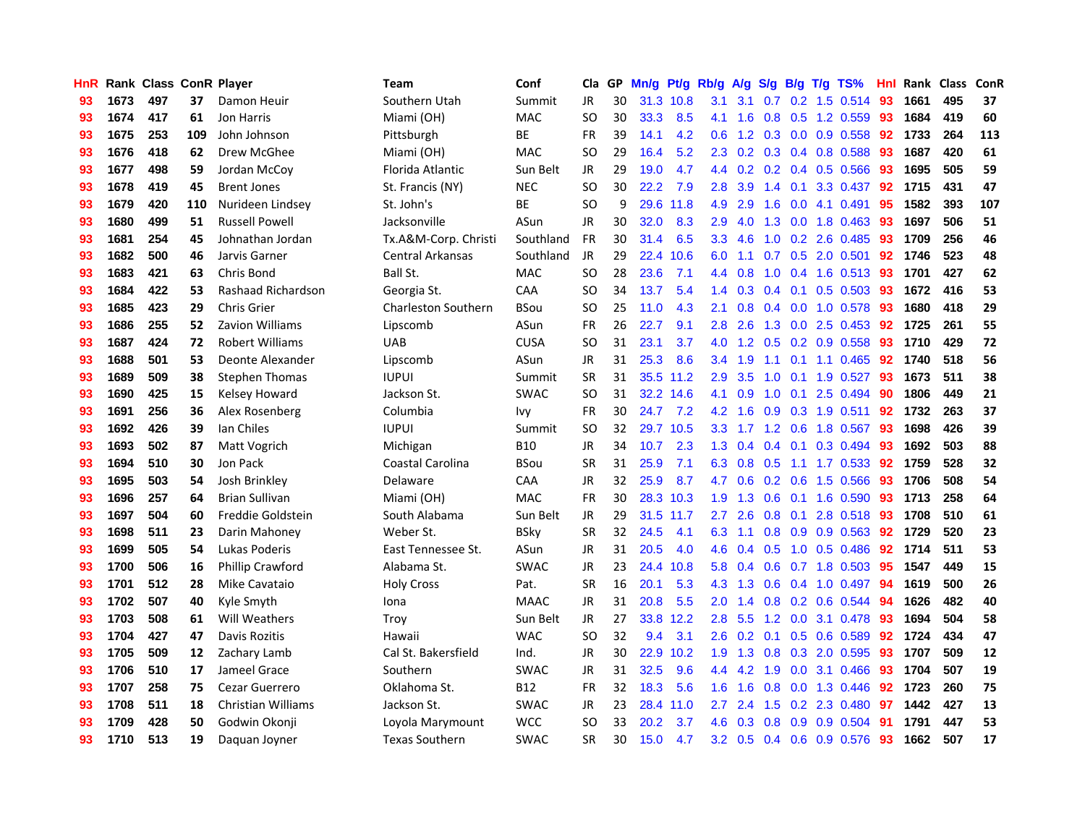| HnR |      |     |     | Rank Class ConR Player    | Team                       | Conf        | Cla       |    | GP Mn/g Pt/g Rb/g A/g |           |               |                 |     |                 | S/g B/g T/g TS%                 | Hnl |      | Rank Class | <b>ConR</b> |
|-----|------|-----|-----|---------------------------|----------------------------|-------------|-----------|----|-----------------------|-----------|---------------|-----------------|-----|-----------------|---------------------------------|-----|------|------------|-------------|
| 93  | 1673 | 497 | 37  | Damon Heuir               | Southern Utah              | Summit      | JR        | 30 |                       | 31.3 10.8 | 3.1           | 3.1             | 0.7 | 0.2             | $1.5$ 0.514                     | 93  | 1661 | 495        | 37          |
| 93  | 1674 | 417 | 61  | Jon Harris                | Miami (OH)                 | <b>MAC</b>  | SO.       | 30 | 33.3                  | 8.5       | 4.1           | 1.6             | 0.8 | 0.5             | 1.2 0.559                       | 93  | 1684 | 419        | 60          |
| 93  | 1675 | 253 | 109 | John Johnson              | Pittsburgh                 | <b>BE</b>   | <b>FR</b> | 39 | 14.1                  | 4.2       | 0.6           | 1.2             | 0.3 | 0.0             | 0.9 0.558                       | 92  | 1733 | 264        | 113         |
| 93  | 1676 | 418 | 62  | Drew McGhee               | Miami (OH)                 | <b>MAC</b>  | <b>SO</b> | 29 | 16.4                  | 5.2       | 2.3           |                 |     |                 | $0.2$ $0.3$ $0.4$ $0.8$ $0.588$ | 93  | 1687 | 420        | 61          |
| 93  | 1677 | 498 | 59  | Jordan McCoy              | Florida Atlantic           | Sun Belt    | JR        | 29 | 19.0                  | 4.7       |               |                 |     |                 | 4.4 0.2 0.2 0.4 0.5 0.566       | 93  | 1695 | 505        | 59          |
| 93  | 1678 | 419 | 45  | <b>Brent Jones</b>        | St. Francis (NY)           | <b>NEC</b>  | <b>SO</b> | 30 | 22.2                  | 7.9       | 2.8           | 3.9             |     | $1.4 \quad 0.1$ | 3.3 0.437                       | 92  | 1715 | 431        | 47          |
| 93  | 1679 | 420 | 110 | Nurideen Lindsey          | St. John's                 | <b>BE</b>   | <b>SO</b> | 9  | 29.6                  | 11.8      | 4.9           | 2.9             | 1.6 |                 | $0.0$ 4.1 $0.491$               | 95  | 1582 | 393        | 107         |
| 93  | 1680 | 499 | 51  | <b>Russell Powell</b>     | Jacksonville               | ASun        | JR        | 30 | 32.0                  | 8.3       | 2.9           | 4.0             |     |                 | 1.3 0.0 1.8 0.463               | 93  | 1697 | 506        | 51          |
| 93  | 1681 | 254 | 45  | Johnathan Jordan          | Tx.A&M-Corp. Christi       | Southland   | <b>FR</b> | 30 | 31.4                  | 6.5       | 3.3           | 4.6             | 1.0 |                 | 0.2 2.6 0.485                   | 93  | 1709 | 256        | 46          |
| 93  | 1682 | 500 | 46  | Jarvis Garner             | Central Arkansas           | Southland   | JR        | 29 | 22.4                  | 10.6      | 6.0           | 1.1             |     |                 | 0.7 0.5 2.0 0.501               | 92  | 1746 | 523        | 48          |
| 93  | 1683 | 421 | 63  | Chris Bond                | Ball St.                   | <b>MAC</b>  | SO.       | 28 | 23.6                  | 7.1       | $4.4^{\circ}$ | 0.8             | 1.0 |                 | $0.4$ 1.6 0.513                 | 93  | 1701 | 427        | 62          |
| 93  | 1684 | 422 | 53  | Rashaad Richardson        | Georgia St.                | CAA         | SO.       | 34 | 13.7                  | 5.4       | $1.4^{\circ}$ | 0.3             |     | $0.4 \quad 0.1$ | $0.5$ 0.503                     | -93 | 1672 | 416        | 53          |
| 93  | 1685 | 423 | 29  | <b>Chris Grier</b>        | <b>Charleston Southern</b> | <b>BSou</b> | SO.       | 25 | 11.0                  | 4.3       | 2.1           | 0.8             |     | $0.4\quad 0.0$  | 1.0 0.578                       | -93 | 1680 | 418        | 29          |
| 93  | 1686 | 255 | 52  | <b>Zavion Williams</b>    | Lipscomb                   | ASun        | <b>FR</b> | 26 | 22.7                  | 9.1       | 2.8           | 2.6             | 1.3 | 0.0             | 2.5 0.453                       | 92  | 1725 | 261        | 55          |
| 93  | 1687 | 424 | 72  | <b>Robert Williams</b>    | <b>UAB</b>                 | <b>CUSA</b> | SO.       | 31 | 23.1                  | 3.7       | 4.0           | 1.2             | 0.5 | 0.2             | 0.9 0.558                       | 93  | 1710 | 429        | 72          |
| 93  | 1688 | 501 | 53  | Deonte Alexander          | Lipscomb                   | ASun        | JR        | 31 | 25.3                  | 8.6       | $3.4^{\circ}$ | 1.9             | 1.1 | 0.1             | 1.1 0.465                       | 92  | 1740 | 518        | 56          |
| 93  | 1689 | 509 | 38  | <b>Stephen Thomas</b>     | <b>IUPUI</b>               | Summit      | <b>SR</b> | 31 |                       | 35.5 11.2 | 2.9           | 3.5             | 1.0 | 0.1             | 1.9 0.527                       | -93 | 1673 | 511        | 38          |
| 93  | 1690 | 425 | 15  | <b>Kelsey Howard</b>      | Jackson St.                | <b>SWAC</b> | <b>SO</b> | 31 |                       | 32.2 14.6 | 4.1           | 0.9             | 1.0 | 0.1             | 2.5 0.494                       | -90 | 1806 | 449        | 21          |
| 93  | 1691 | 256 | 36  | Alex Rosenberg            | Columbia                   | Ivy         | <b>FR</b> | 30 | 24.7                  | 7.2       |               | $4.2 \quad 1.6$ |     |                 | 0.9 0.3 1.9 0.511 92            |     | 1732 | 263        | 37          |
| 93  | 1692 | 426 | 39  | lan Chiles                | <b>IUPUI</b>               | Summit      | SO.       | 32 |                       | 29.7 10.5 |               |                 |     |                 | 3.3 1.7 1.2 0.6 1.8 0.567       | 93  | 1698 | 426        | 39          |
| 93  | 1693 | 502 | 87  | Matt Vogrich              | Michigan                   | <b>B10</b>  | <b>JR</b> | 34 | 10.7                  | 2.3       |               | $1.3 \quad 0.4$ |     |                 | $0.4$ 0.1 0.3 0.494             | 93  | 1692 | 503        | 88          |
| 93  | 1694 | 510 | 30  | Jon Pack                  | Coastal Carolina           | <b>BSou</b> | <b>SR</b> | 31 | 25.9                  | 7.1       | 6.3           | 0.8             | 0.5 |                 | 1.1 1.7 0.533                   | 92  | 1759 | 528        | 32          |
| 93  | 1695 | 503 | 54  | Josh Brinkley             | Delaware                   | CAA         | <b>JR</b> | 32 | 25.9                  | 8.7       | 4.7           | 0.6             |     |                 | $0.2$ 0.6 1.5 0.566             | 93  | 1706 | 508        | 54          |
| 93  | 1696 | 257 | 64  | <b>Brian Sullivan</b>     | Miami (OH)                 | <b>MAC</b>  | <b>FR</b> | 30 |                       | 28.3 10.3 | 1.9           | 1.3             |     |                 | 0.6 0.1 1.6 0.590               | 93  | 1713 | 258        | 64          |
| 93  | 1697 | 504 | 60  | Freddie Goldstein         | South Alabama              | Sun Belt    | JR        | 29 |                       | 31.5 11.7 | 2.7           | 2.6             |     | $0.8\ 0.1$      | 2.8 0.518                       | 93  | 1708 | 510        | 61          |
| 93  | 1698 | 511 | 23  | Darin Mahoney             | Weber St.                  | <b>BSky</b> | <b>SR</b> | 32 | 24.5                  | 4.1       | 6.3           | 1.1             |     |                 | 0.8 0.9 0.9 0.563               | 92  | 1729 | 520        | 23          |
| 93  | 1699 | 505 | 54  | Lukas Poderis             | East Tennessee St.         | ASun        | JR        | 31 | 20.5                  | 4.0       | 4.6           | 0.4             | 0.5 |                 | 1.0 0.5 0.486                   | 92  | 1714 | 511        | 53          |
| 93  | 1700 | 506 | 16  | <b>Phillip Crawford</b>   | Alabama St.                | <b>SWAC</b> | JR        | 23 |                       | 24.4 10.8 | 5.8           | 0.4             | 0.6 |                 | $0.7$ 1.8 0.503                 | 95  | 1547 | 449        | 15          |
| 93  | 1701 | 512 | 28  | Mike Cavataio             | <b>Holy Cross</b>          | Pat.        | <b>SR</b> | 16 | 20.1                  | 5.3       | 4.3           | 1.3             | 0.6 | 0.4             | 1.0 0.497                       | -94 | 1619 | 500        | 26          |
| 93  | 1702 | 507 | 40  | Kyle Smyth                | Iona                       | <b>MAAC</b> | JR        | 31 | 20.8                  | 5.5       | 2.0           | 1.4             |     | $0.8\quad 0.2$  | 0.6 0.544                       | -94 | 1626 | 482        | 40          |
| 93  | 1703 | 508 | 61  | Will Weathers             | Troy                       | Sun Belt    | JR        | 27 |                       | 33.8 12.2 | 2.8           | 5.5             |     |                 | 1.2 0.0 3.1 0.478               | -93 | 1694 | 504        | 58          |
| 93  | 1704 | 427 | 47  | Davis Rozitis             | Hawaii                     | <b>WAC</b>  | SO.       | 32 | 9.4                   | 3.1       | 2.6           |                 |     |                 | 0.2 0.1 0.5 0.6 0.589           | 92  | 1724 | 434        | 47          |
| 93  | 1705 | 509 | 12  | Zachary Lamb              | Cal St. Bakersfield        | Ind.        | JR        | 30 | 22.9                  | 10.2      | 1.9           | 1.3             |     |                 | 0.8 0.3 2.0 0.595               | 93  | 1707 | 509        | 12          |
| 93  | 1706 | 510 | 17  | Jameel Grace              | Southern                   | <b>SWAC</b> | JR        | 31 | 32.5                  | 9.6       | 4.4           | 4.2             | 1.9 | 0.0             | 3.1 0.466                       | 93  | 1704 | 507        | 19          |
| 93  | 1707 | 258 | 75  | Cezar Guerrero            | Oklahoma St.               | <b>B12</b>  | FR        | 32 | 18.3                  | 5.6       | 1.6           | 1.6             | 0.8 |                 | 0.0 1.3 0.446                   | 92  | 1723 | 260        | 75          |
| 93  | 1708 | 511 | 18  | <b>Christian Williams</b> | Jackson St.                | <b>SWAC</b> | JR        | 23 |                       | 28.4 11.0 | $2.7^{\circ}$ | 2.4             | 1.5 | 0.2             | 2.3 0.480                       | 97  | 1442 | 427        | 13          |
| 93  | 1709 | 428 | 50  | Godwin Okonji             | Loyola Marymount           | <b>WCC</b>  | SO.       | 33 | 20.2                  | 3.7       | 4.6           | 0.3             | 0.8 | 0.9             | 0.9 0.504                       | 91  | 1791 | 447        | 53          |
| 93  | 1710 | 513 | 19  | Daguan Joyner             | <b>Texas Southern</b>      | <b>SWAC</b> | <b>SR</b> | 30 | 15.0                  | 4.7       |               |                 |     |                 | 3.2 0.5 0.4 0.6 0.9 0.576       | 93  | 1662 | 507        | 17          |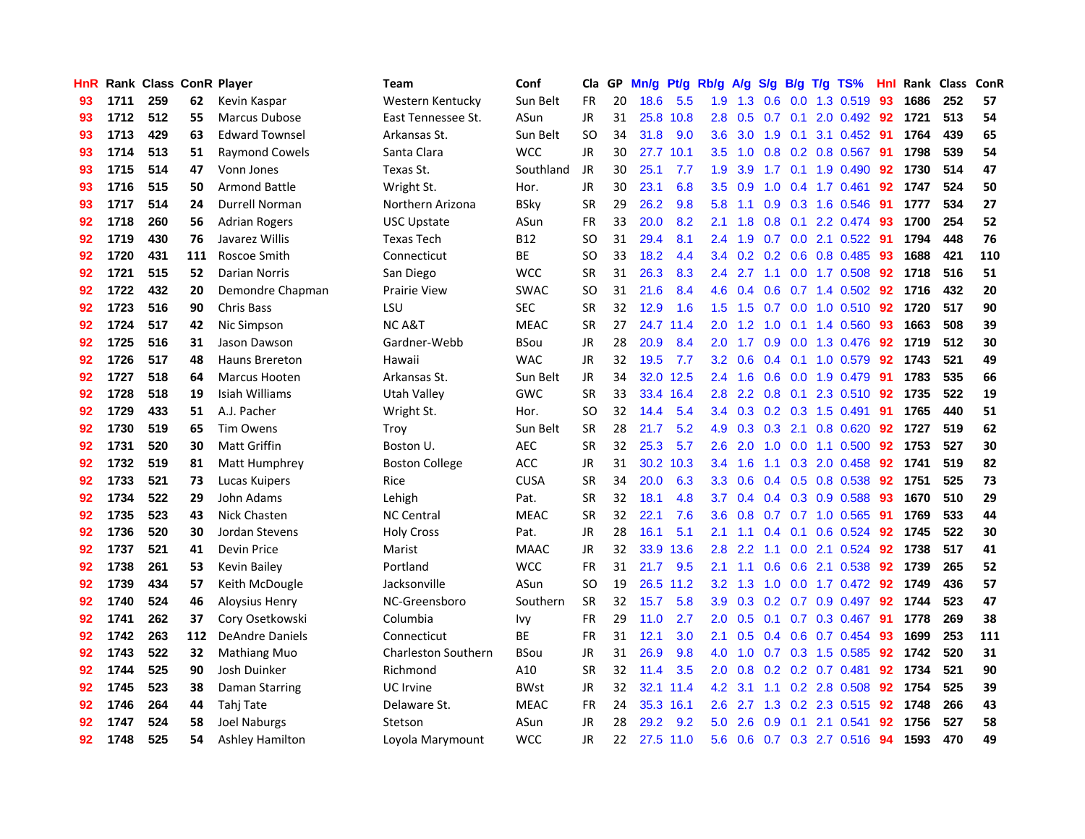| HnR |      | Rank Class ConR Player |     |                        | Team                       | Conf        | Cla       |    | GP Mn/g Pt/g Rb/g A/g |           |                  |                 |     |                 | S/g B/g T/g TS%                       | Hnl |      | Rank Class | <b>ConR</b> |
|-----|------|------------------------|-----|------------------------|----------------------------|-------------|-----------|----|-----------------------|-----------|------------------|-----------------|-----|-----------------|---------------------------------------|-----|------|------------|-------------|
| 93  | 1711 | 259                    | 62  | Kevin Kaspar           | Western Kentucky           | Sun Belt    | <b>FR</b> | 20 | 18.6                  | 5.5       | 1.9              | 1.3             | 0.6 | 0.0             | 1.3 0.519                             | 93  | 1686 | 252        | 57          |
| 93  | 1712 | 512                    | 55  | <b>Marcus Dubose</b>   | East Tennessee St.         | ASun        | <b>JR</b> | 31 |                       | 25.8 10.8 | 2.8              | 0.5             | 0.7 | 0.1             | 2.0 0.492                             | 92  | 1721 | 513        | 54          |
| 93  | 1713 | 429                    | 63  | <b>Edward Townsel</b>  | Arkansas St.               | Sun Belt    | <b>SO</b> | 34 | 31.8                  | 9.0       | 3.6              | 3.0             | 1.9 | 0.1             | 3.1 0.452                             | -91 | 1764 | 439        | 65          |
| 93  | 1714 | 513                    | 51  | <b>Raymond Cowels</b>  | Santa Clara                | <b>WCC</b>  | JR        | 30 | 27.7                  | 10.1      | 3.5              | 1.0             |     |                 | 0.8 0.2 0.8 0.567                     | -91 | 1798 | 539        | 54          |
| 93  | 1715 | 514                    | 47  | Vonn Jones             | Texas St.                  | Southland   | JR        | 30 | 25.1                  | 7.7       | 1.9              | 3.9             |     |                 | 1.7 0.1 1.9 0.490                     | 92  | 1730 | 514        | 47          |
| 93  | 1716 | 515                    | 50  | <b>Armond Battle</b>   | Wright St.                 | Hor.        | <b>JR</b> | 30 | 23.1                  | 6.8       | $3.5^{\circ}$    | 0.9             |     |                 | $1.0 \quad 0.4 \quad 1.7 \quad 0.461$ | 92  | 1747 | 524        | 50          |
| 93  | 1717 | 514                    | 24  | Durrell Norman         | Northern Arizona           | <b>BSky</b> | <b>SR</b> | 29 | 26.2                  | 9.8       | $5.8^{\circ}$    | 1.1             |     |                 | $0.9$ $0.3$ 1.6 $0.546$               | -91 | 1777 | 534        | 27          |
| 92  | 1718 | 260                    | 56  | <b>Adrian Rogers</b>   | <b>USC Upstate</b>         | ASun        | <b>FR</b> | 33 | 20.0                  | 8.2       | 2.1              | 1.8             |     |                 | $0.8$ 0.1 2.2 0.474                   | 93  | 1700 | 254        | 52          |
| 92  | 1719 | 430                    | 76  | Javarez Willis         | <b>Texas Tech</b>          | B12         | <b>SO</b> | 31 | 29.4                  | 8.1       |                  | $2.4$ 1.9       |     |                 | 0.7 0.0 2.1 0.522                     | 91  | 1794 | 448        | 76          |
| 92  | 1720 | 431                    | 111 | Roscoe Smith           | Connecticut                | ВE          | <b>SO</b> | 33 | 18.2                  | 4.4       |                  | $3.4 \quad 0.2$ |     |                 | 0.2 0.6 0.8 0.485                     | 93  | 1688 | 421        | 110         |
| 92  | 1721 | 515                    | 52  | <b>Darian Norris</b>   | San Diego                  | <b>WCC</b>  | <b>SR</b> | 31 | 26.3                  | 8.3       | 2.4              | 2.7             |     |                 | 1.1 0.0 1.7 0.508                     | 92  | 1718 | 516        | 51          |
| 92  | 1722 | 432                    | 20  | Demondre Chapman       | Prairie View               | <b>SWAC</b> | <b>SO</b> | 31 | 21.6                  | 8.4       | 4.6              | 0.4             |     |                 | $0.6$ $0.7$ 1.4 $0.502$               | 92  | 1716 | 432        | 20          |
| 92  | 1723 | 516                    | 90  | <b>Chris Bass</b>      | LSU                        | <b>SEC</b>  | <b>SR</b> | 32 | 12.9                  | 1.6       |                  | $1.5$ 1.5       | 0.7 | 0.0             | 1.0 0.510                             | 92  | 1720 | 517        | 90          |
| 92  | 1724 | 517                    | 42  | Nic Simpson            | <b>NCA&amp;T</b>           | <b>MEAC</b> | <b>SR</b> | 27 |                       | 24.7 11.4 | 2.0              | 1.2             | 1.0 |                 | $0.1$ 1.4 $0.560$                     | 93  | 1663 | 508        | 39          |
| 92  | 1725 | 516                    | 31  | Jason Dawson           | Gardner-Webb               | <b>BSou</b> | <b>JR</b> | 28 | 20.9                  | 8.4       | 2.0              | 1.7             | 0.9 | 0.0             | 1.3 0.476                             | 92  | 1719 | 512        | 30          |
| 92  | 1726 | 517                    | 48  | <b>Hauns Brereton</b>  | Hawaii                     | <b>WAC</b>  | <b>JR</b> | 32 | 19.5                  | 7.7       | $3.2\phantom{0}$ | 0.6             |     | $0.4 \quad 0.1$ | 1.0 0.579                             | 92  | 1743 | 521        | 49          |
| 92  | 1727 | 518                    | 64  | <b>Marcus Hooten</b>   | Arkansas St.               | Sun Belt    | JR        | 34 | 32.0                  | 12.5      | 2.4              | 1.6             |     | $0.6\quad 0.0$  | 1.9 0.479                             | -91 | 1783 | 535        | 66          |
| 92  | 1728 | 518                    | 19  | Isiah Williams         | Utah Valley                | <b>GWC</b>  | <b>SR</b> | 33 |                       | 33.4 16.4 |                  |                 |     |                 | 2.8 2.2 0.8 0.1 2.3 0.510 92          |     | 1735 | 522        | 19          |
| 92  | 1729 | 433                    | 51  | A.J. Pacher            | Wright St.                 | Hor.        | <b>SO</b> | 32 | 14.4                  | 5.4       |                  |                 |     |                 | 3.4 0.3 0.2 0.3 1.5 0.491 91          |     | 1765 | 440        | 51          |
| 92  | 1730 | 519                    | 65  | <b>Tim Owens</b>       | Troy                       | Sun Belt    | <b>SR</b> | 28 | 21.7                  | 5.2       |                  | $4.9 \t0.3$     |     |                 | $0.3$ 2.1 0.8 0.620                   | 92  | 1727 | 519        | 62          |
| 92  | 1731 | 520                    | 30  | <b>Matt Griffin</b>    | Boston U.                  | <b>AEC</b>  | <b>SR</b> | 32 | 25.3                  | 5.7       | 2.6              | 2.0             |     |                 | $1.0\quad 0.0\quad 1.1\quad 0.500$    | 92  | 1753 | 527        | 30          |
| 92  | 1732 | 519                    | 81  | Matt Humphrey          | <b>Boston College</b>      | ACC         | JR        | 31 |                       | 30.2 10.3 |                  | $3.4$ 1.6       |     |                 | 1.1 0.3 2.0 0.458                     | 92  | 1741 | 519        | 82          |
| 92  | 1733 | 521                    | 73  | Lucas Kuipers          | Rice                       | <b>CUSA</b> | <b>SR</b> | 34 | 20.0                  | 6.3       | 3.3 <sub>2</sub> | 0.6             |     |                 | 0.4 0.5 0.8 0.538                     | 92  | 1751 | 525        | 73          |
| 92  | 1734 | 522                    | 29  | John Adams             | Lehigh                     | Pat.        | <b>SR</b> | 32 | 18.1                  | 4.8       | 3.7              | 0.4             |     |                 | 0.4 0.3 0.9 0.588                     | 93  | 1670 | 510        | 29          |
| 92  | 1735 | 523                    | 43  | Nick Chasten           | <b>NC Central</b>          | <b>MEAC</b> | <b>SR</b> | 32 | 22.1                  | 7.6       | 3.6              | 0.8             |     |                 | $0.7$ $0.7$ $1.0$ $0.565$             | -91 | 1769 | 533        | 44          |
| 92  | 1736 | 520                    | 30  | Jordan Stevens         | <b>Holy Cross</b>          | Pat.        | <b>JR</b> | 28 | 16.1                  | 5.1       | 2.1              | 1.1             | 0.4 | 0.1             | $0.6$ 0.524                           | 92  | 1745 | 522        | 30          |
| 92  | 1737 | 521                    | 41  | Devin Price            | Marist                     | <b>MAAC</b> | JR.       | 32 |                       | 33.9 13.6 | 2.8              | 2.2             |     | $1.1 \quad 0.0$ | 2.1 0.524                             | 92  | 1738 | 517        | 41          |
| 92  | 1738 | 261                    | 53  | <b>Kevin Bailey</b>    | Portland                   | <b>WCC</b>  | <b>FR</b> | 31 | 21.7                  | 9.5       | 2.1              | 1.1             | 0.6 | 0.6             | 2.1 0.538                             | 92  | 1739 | 265        | 52          |
| 92  | 1739 | 434                    | 57  | Keith McDougle         | Jacksonville               | ASun        | <b>SO</b> | 19 |                       | 26.5 11.2 | 3.2              | 1.3             | 1.0 | 0.0             | $1.7$ 0.472                           | 92  | 1749 | 436        | 57          |
| 92  | 1740 | 524                    | 46  | <b>Aloysius Henry</b>  | NC-Greensboro              | Southern    | <b>SR</b> | 32 | 15.7                  | 5.8       | 3.9              | 0.3             |     |                 | $0.2$ 0.7 0.9 0.497                   | 92  | 1744 | 523        | 47          |
| 92  | 1741 | 262                    | 37  | Cory Osetkowski        | Columbia                   | <b>Ivy</b>  | <b>FR</b> | 29 | 11.0                  | 2.7       | 2.0              | 0.5             |     |                 | $0.1$ $0.7$ $0.3$ $0.467$             | -91 | 1778 | 269        | 38          |
| 92  | 1742 | 263                    | 112 | <b>DeAndre Daniels</b> | Connecticut                | ВE          | <b>FR</b> | 31 | 12.1                  | 3.0       | 2.1              | 0.5             |     |                 | 0.4 0.6 0.7 0.454                     | -93 | 1699 | 253        | 111         |
| 92  | 1743 | 522                    | 32  | Mathiang Muo           | <b>Charleston Southern</b> | <b>BSou</b> | <b>JR</b> | 31 | 26.9                  | 9.8       |                  | $4.0 \quad 1.0$ |     |                 | 0.7 0.3 1.5 0.585                     | 92  | 1742 | 520        | 31          |
| 92  | 1744 | 525                    | 90  | Josh Duinker           | Richmond                   | A10         | <b>SR</b> | 32 | 11.4                  | 3.5       | $2.0^{\circ}$    | 0.8             |     |                 | $0.2$ $0.2$ $0.7$ $0.481$             | 92  | 1734 | 521        | 90          |
| 92  | 1745 | 523                    | 38  | Daman Starring         | <b>UC</b> Irvine           | <b>BWst</b> | JR        | 32 |                       | 32.1 11.4 | 4.2              | 3.1             |     |                 | 1.1 0.2 2.8 0.508                     | 92  | 1754 | 525        | 39          |
| 92  | 1746 | 264                    | 44  | Tahj Tate              | Delaware St.               | <b>MEAC</b> | <b>FR</b> | 24 |                       | 35.3 16.1 | 2.6              | 2.7             |     |                 | 1.3 0.2 2.3 0.515                     | 92  | 1748 | 266        | 43          |
| 92  | 1747 | 524                    | 58  | <b>Joel Naburgs</b>    | Stetson                    | ASun        | <b>JR</b> | 28 | 29.2                  | 9.2       | 5.0              | 2.6             | 0.9 | 0.1             | 2.1 0.541                             | 92  | 1756 | 527        | 58          |
| 92  | 1748 | 525                    | 54  | <b>Ashley Hamilton</b> | Loyola Marymount           | WCC         | JR        | 22 |                       | 27.5 11.0 | 5.6              | 0.6             |     |                 | 0.7 0.3 2.7 0.516                     | 94  | 1593 | 470        | 49          |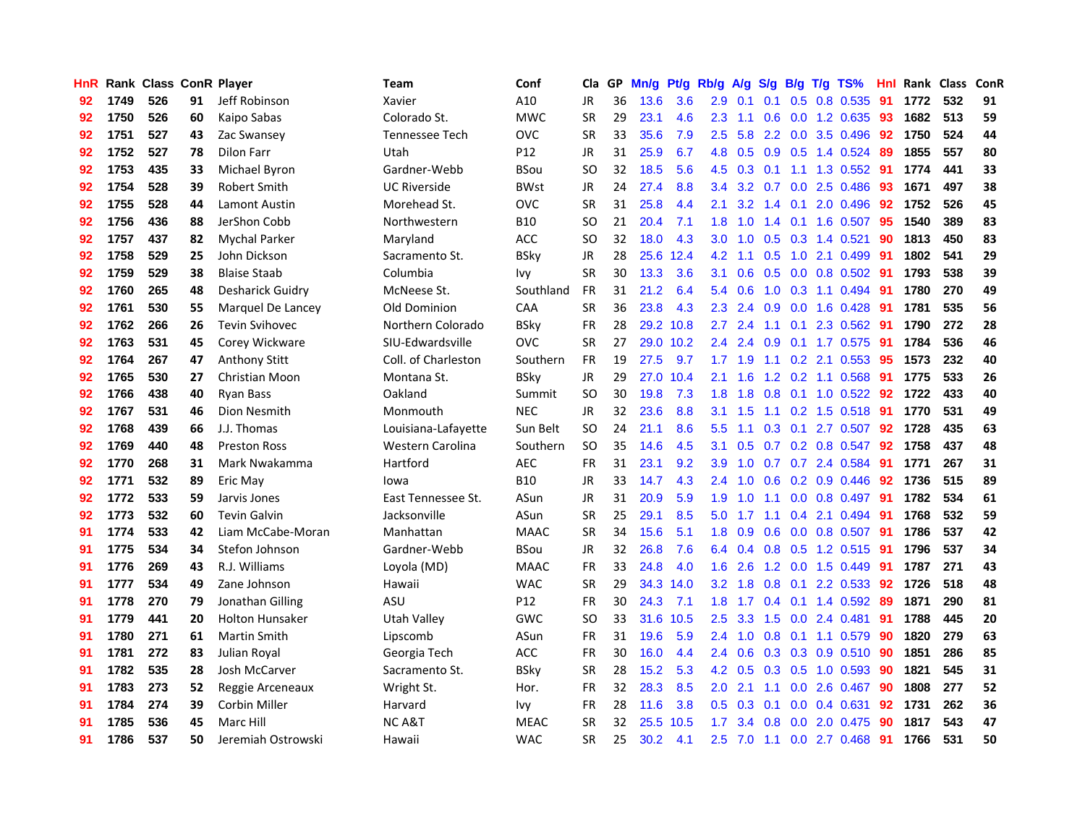| HnR |      |     |    | Rank Class ConR Player | <b>Team</b>             | Conf            | Cla           |    | GP Mn/g Pt/g Rb/g A/g S/g B/g T/g TS% |           |               |           |     |                  |                           | Hnl | Rank Class |     | ConR |
|-----|------|-----|----|------------------------|-------------------------|-----------------|---------------|----|---------------------------------------|-----------|---------------|-----------|-----|------------------|---------------------------|-----|------------|-----|------|
| 92  | 1749 | 526 | 91 | Jeff Robinson          | Xavier                  | A10             | JR            | 36 | 13.6                                  | 3.6       | 2.9           | 0.1       | 0.1 | 0.5              | 0.8 0.535                 | 91  | 1772       | 532 | 91   |
| 92  | 1750 | 526 | 60 | Kaipo Sabas            | Colorado St.            | <b>MWC</b>      | <b>SR</b>     | 29 | 23.1                                  | 4.6       | 2.3           | 1.1       | 0.6 | 0.0              | 1.2 0.635                 | 93  | 1682       | 513 | 59   |
| 92  | 1751 | 527 | 43 | Zac Swansey            | Tennessee Tech          | <b>OVC</b>      | <b>SR</b>     | 33 | 35.6                                  | 7.9       | 2.5           | 5.8       | 2.2 | 0.0              | 3.5 0.496                 | 92  | 1750       | 524 | 44   |
| 92  | 1752 | 527 | 78 | <b>Dilon Farr</b>      | Utah                    | P12             | JR            | 31 | 25.9                                  | 6.7       | 4.8           | 0.5       |     |                  | 0.9 0.5 1.4 0.524         | -89 | 1855       | 557 | 80   |
| 92  | 1753 | 435 | 33 | Michael Byron          | Gardner-Webb            | <b>BSou</b>     | <b>SO</b>     | 32 | 18.5                                  | 5.6       |               | $4.5$ 0.3 | 0.1 |                  | 1.1 1.3 0.552             | -91 | 1774       | 441 | 33   |
| 92  | 1754 | 528 | 39 | <b>Robert Smith</b>    | <b>UC Riverside</b>     | <b>BWst</b>     | JR            | 24 | 27.4                                  | 8.8       | 3.4           | 3.2       |     |                  | 0.7 0.0 2.5 0.486         | -93 | 1671       | 497 | 38   |
| 92  | 1755 | 528 | 44 | <b>Lamont Austin</b>   | Morehead St.            | <b>OVC</b>      | <b>SR</b>     | 31 | 25.8                                  | 4.4       | 2.1           | 3.2       |     |                  | 1.4 0.1 2.0 0.496         | 92  | 1752       | 526 | 45   |
| 92  | 1756 | 436 | 88 | JerShon Cobb           | Northwestern            | <b>B10</b>      | <sub>SO</sub> | 21 | 20.4                                  | 7.1       | 1.8           | 1.0       |     |                  | 1.4 0.1 1.6 0.507         | 95  | 1540       | 389 | 83   |
| 92  | 1757 | 437 | 82 | <b>Mychal Parker</b>   | Maryland                | ACC             | <b>SO</b>     | 32 | 18.0                                  | 4.3       | 3.0           | 1.0       |     |                  | 0.5 0.3 1.4 0.521         | 90  | 1813       | 450 | 83   |
| 92  | 1758 | 529 | 25 | John Dickson           | Sacramento St.          | <b>BSky</b>     | JR            | 28 | 25.6                                  | 12.4      | 4.2           | 1.1       | 0.5 |                  | 1.0 2.1 0.499             | 91  | 1802       | 541 | 29   |
| 92  | 1759 | 529 | 38 | <b>Blaise Staab</b>    | Columbia                | Ivy             | <b>SR</b>     | 30 | 13.3                                  | 3.6       | 3.1           | 0.6       |     |                  | 0.5 0.0 0.8 0.502         | 91  | 1793       | 538 | 39   |
| 92  | 1760 | 265 | 48 | Desharick Guidry       | McNeese St.             | Southland       | <b>FR</b>     | 31 | 21.2                                  | 6.4       | 5.4           | 0.6       | 1.0 | 0.3              | 1.1 0.494                 | -91 | 1780       | 270 | 49   |
| 92  | 1761 | 530 | 55 | Marquel De Lancey      | Old Dominion            | CAA             | <b>SR</b>     | 36 | 23.8                                  | 4.3       | 2.3           | 2.4       | 0.9 | 0.0              | 1.6 0.428                 | -91 | 1781       | 535 | 56   |
| 92  | 1762 | 266 | 26 | <b>Tevin Svihovec</b>  | Northern Colorado       | <b>BSky</b>     | <b>FR</b>     | 28 |                                       | 29.2 10.8 | 2.7           | 2.4       | 1.1 | 0.1              | 2.3 0.562                 | 91  | 1790       | 272 | 28   |
| 92  | 1763 | 531 | 45 | Corey Wickware         | SIU-Edwardsville        | <b>OVC</b>      | <b>SR</b>     | 27 |                                       | 29.0 10.2 | 2.4           | 2.4       | 0.9 |                  | $0.1$ 1.7 $0.575$         | 91  | 1784       | 536 | 46   |
| 92  | 1764 | 267 | 47 | <b>Anthony Stitt</b>   | Coll. of Charleston     | Southern        | <b>FR</b>     | 19 | 27.5                                  | 9.7       | 1.7           | 1.9       | 1.1 |                  | $0.2$ 2.1 $0.553$         | -95 | 1573       | 232 | 40   |
| 92  | 1765 | 530 | 27 | Christian Moon         | Montana St.             | <b>BSky</b>     | JR            | 29 | 27.0                                  | 10.4      | 2.1           | 1.6       |     |                  | 1.2 0.2 1.1 0.568         | -91 | 1775       | 533 | 26   |
| 92  | 1766 | 438 | 40 | <b>Ryan Bass</b>       | Oakland                 | Summit          | <sub>SO</sub> | 30 | 19.8                                  | 7.3       |               | $1.8$ 1.8 |     |                  | 0.8 0.1 1.0 0.522 92      |     | 1722       | 433 | 40   |
| 92  | 1767 | 531 | 46 | Dion Nesmith           | Monmouth                | <b>NEC</b>      | <b>JR</b>     | 32 | 23.6                                  | 8.8       | 3.1           | 1.5       |     |                  | $1.1$ 0.2 1.5 0.518       | -91 | 1770       | 531 | 49   |
| 92  | 1768 | 439 | 66 | J.J. Thomas            | Louisiana-Lafayette     | Sun Belt        | SO.           | 24 | 21.1                                  | 8.6       | 5.5           | 1.1       |     |                  | $0.3$ 0.1 2.7 0.507       | 92  | 1728       | 435 | 63   |
| 92  | 1769 | 440 | 48 | <b>Preston Ross</b>    | <b>Western Carolina</b> | Southern        | <b>SO</b>     | 35 | 14.6                                  | 4.5       | 3.1           | 0.5       |     |                  | $0.7$ $0.2$ $0.8$ $0.547$ | 92  | 1758       | 437 | 48   |
| 92  | 1770 | 268 | 31 | Mark Nwakamma          | Hartford                | <b>AEC</b>      | <b>FR</b>     | 31 | 23.1                                  | 9.2       | 3.9           | 1.0       |     |                  | 0.7 0.7 2.4 0.584         | 91  | 1771       | 267 | 31   |
| 92  | 1771 | 532 | 89 | Eric May               | lowa                    | <b>B10</b>      | <b>JR</b>     | 33 | 14.7                                  | 4.3       | 2.4           | 1.0       |     |                  | 0.6 0.2 0.9 0.446         | 92  | 1736       | 515 | 89   |
| 92  | 1772 | 533 | 59 | Jarvis Jones           | East Tennessee St.      | ASun            | JR            | 31 | 20.9                                  | 5.9       | 1.9           | 1.0       | 1.1 |                  | $0.0$ 0.8 0.497           | 91  | 1782       | 534 | 61   |
| 92  | 1773 | 532 | 60 | <b>Tevin Galvin</b>    | Jacksonville            | ASun            | <b>SR</b>     | 25 | 29.1                                  | 8.5       | 5.0           | 1.7       | 1.1 | $0.4^{\circ}$    | 2.1 0.494                 | -91 | 1768       | 532 | 59   |
| 91  | 1774 | 533 | 42 | Liam McCabe-Moran      | Manhattan               | <b>MAAC</b>     | <b>SR</b>     | 34 | 15.6                                  | 5.1       | 1.8           | 0.9       | 0.6 | 0.0              | 0.8 0.507                 | 91  | 1786       | 537 | 42   |
| 91  | 1775 | 534 | 34 | Stefon Johnson         | Gardner-Webb            | <b>BSou</b>     | JR            | 32 | 26.8                                  | 7.6       | 6.4           | 0.4       | 0.8 | 0.5              | 1.2 0.515                 | 91  | 1796       | 537 | 34   |
| 91  | 1776 | 269 | 43 | R.J. Williams          | Loyola (MD)             | <b>MAAC</b>     | <b>FR</b>     | 33 | 24.8                                  | 4.0       | 1.6           | 2.6       |     | $1.2 \quad 0.0$  | 1.5 0.449                 | -91 | 1787       | 271 | 43   |
| 91  | 1777 | 534 | 49 | Zane Johnson           | Hawaii                  | <b>WAC</b>      | <b>SR</b>     | 29 | 34.3                                  | 14.0      | 3.2           | 1.8       | 0.8 | 0.1              | 2.2 0.533                 | 92  | 1726       | 518 | 48   |
| 91  | 1778 | 270 | 79 | Jonathan Gilling       | ASU                     | P <sub>12</sub> | <b>FR</b>     | 30 | 24.3                                  | 7.1       | 1.8           | 1.7       |     | $0.4 \quad 0.1$  | 1.4 0.592                 | -89 | 1871       | 290 | 81   |
| 91  | 1779 | 441 | 20 | <b>Holton Hunsaker</b> | Utah Valley             | <b>GWC</b>      | <b>SO</b>     | 33 | 31.6                                  | 10.5      | 2.5           | 3.3       |     |                  | 1.5 0.0 2.4 0.481         | -91 | 1788       | 445 | 20   |
| 91  | 1780 | 271 | 61 | <b>Martin Smith</b>    | Lipscomb                | ASun            | <b>FR</b>     | 31 | 19.6                                  | 5.9       | $2.4\,$       | 1.0       |     |                  | 0.8 0.1 1.1 0.579         | -90 | 1820       | 279 | 63   |
| 91  | 1781 | 272 | 83 | Julian Royal           | Georgia Tech            | ACC             | <b>FR</b>     | 30 | 16.0                                  | 4.4       | $2.4^{\circ}$ | 0.6       |     |                  | $0.3$ $0.3$ $0.9$ $0.510$ | -90 | 1851       | 286 | 85   |
| 91  | 1782 | 535 | 28 | Josh McCarver          | Sacramento St.          | <b>BSky</b>     | <b>SR</b>     | 28 | 15.2                                  | 5.3       | 4.2           | 0.5       |     |                  | $0.3$ $0.5$ 1.0 $0.593$   | 90  | 1821       | 545 | 31   |
| 91  | 1783 | 273 | 52 | Reggie Arceneaux       | Wright St.              | Hor.            | <b>FR</b>     | 32 | 28.3                                  | 8.5       | 2.0           | 2.1       | 1.1 | 0.0 <sub>1</sub> | 2.6 0.467                 | 90  | 1808       | 277 | 52   |
| 91  | 1784 | 274 | 39 | <b>Corbin Miller</b>   | Harvard                 | Ivy             | <b>FR</b>     | 28 | 11.6                                  | 3.8       | 0.5           | 0.3       | 0.1 | 0.0              | 0.4 0.631                 | 92  | 1731       | 262 | 36   |
| 91  | 1785 | 536 | 45 | Marc Hill              | NC A&T                  | <b>MEAC</b>     | <b>SR</b>     | 32 | 25.5                                  | 10.5      | 1.7           | 3.4       | 0.8 | 0.0              | 2.0 0.475                 | 90  | 1817       | 543 | 47   |
| 91  | 1786 | 537 | 50 | Jeremiah Ostrowski     | Hawaii                  | <b>WAC</b>      | <b>SR</b>     | 25 | 30.2                                  | 4.1       | 2.5           | 7.0       |     |                  | 1.1 0.0 2.7 0.468         | -91 | 1766       | 531 | 50   |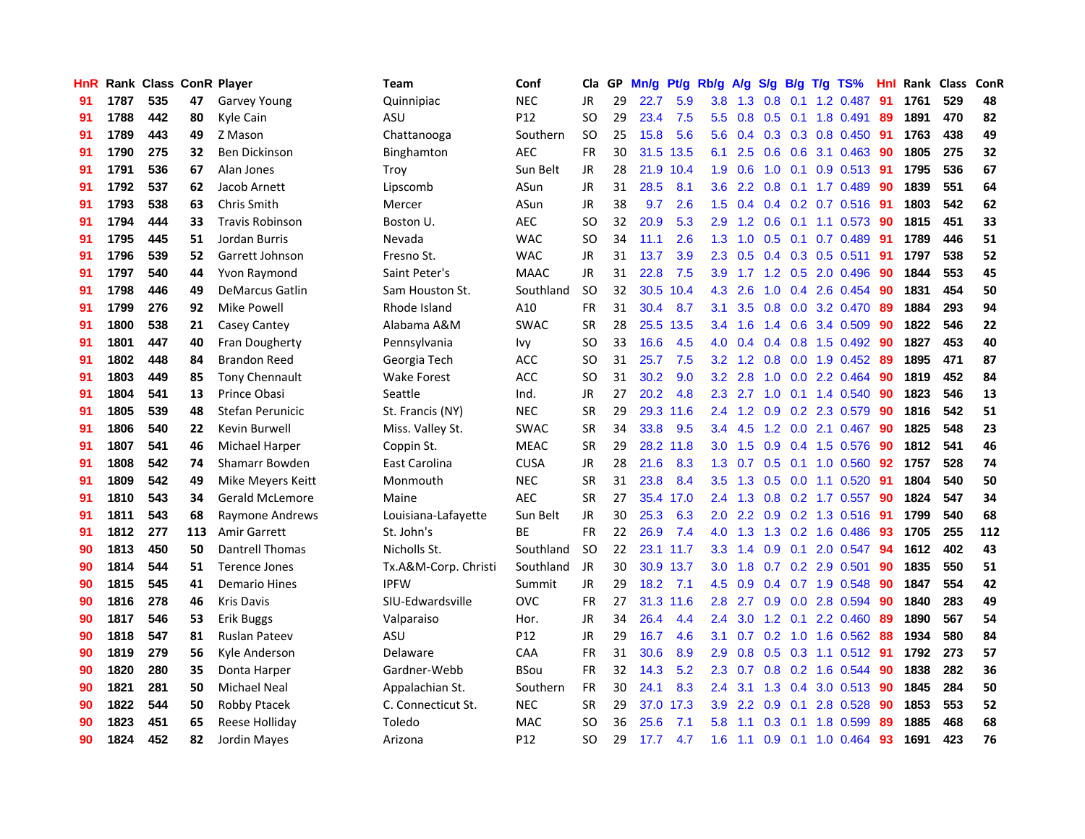| HnR |      |     |     | Rank Class ConR Player | <b>Team</b>          | Conf        | Cla       |    | GP Mn/g Pt/g Rb/g |           |                  | A/g       |     |                 | S/g B/g T/g TS%           | Hnl |      | Rank Class | ConR |
|-----|------|-----|-----|------------------------|----------------------|-------------|-----------|----|-------------------|-----------|------------------|-----------|-----|-----------------|---------------------------|-----|------|------------|------|
| 91  | 1787 | 535 | 47  | Garvey Young           | Quinnipiac           | <b>NEC</b>  | <b>JR</b> | 29 | 22.7              | 5.9       | 3.8              | 1.3       | 0.8 | 0.1             | 1.2 0.487                 | 91  | 1761 | 529        | 48   |
| 91  | 1788 | 442 | 80  | Kyle Cain              | ASU                  | P12         | <b>SO</b> | 29 | 23.4              | 7.5       | 5.5              | 0.8       | 0.5 | 0.1             | 1.8 0.491                 | 89  | 1891 | 470        | 82   |
| 91  | 1789 | 443 | 49  | Z Mason                | Chattanooga          | Southern    | <b>SO</b> | 25 | 15.8              | 5.6       | 5.6              | 0.4       |     | $0.3 \quad 0.3$ | $0.8$ 0.450               | 91  | 1763 | 438        | 49   |
| 91  | 1790 | 275 | 32  | <b>Ben Dickinson</b>   | Binghamton           | <b>AEC</b>  | <b>FR</b> | 30 |                   | 31.5 13.5 | 6.1              | 2.5       |     | $0.6\quad 0.6$  | 3.1 0.463                 | -90 | 1805 | 275        | 32   |
| 91  | 1791 | 536 | 67  | Alan Jones             | Troy                 | Sun Belt    | JR        | 28 |                   | 21.9 10.4 | 1.9 <sup>°</sup> | 0.6       |     |                 | 1.0 0.1 0.9 0.513 91      |     | 1795 | 536        | 67   |
| 91  | 1792 | 537 | 62  | Jacob Arnett           | Lipscomb             | ASun        | JR        | 31 | 28.5              | 8.1       | 3.6 <sup>2</sup> | 2.2       |     |                 | 0.8 0.1 1.7 0.489         | -90 | 1839 | 551        | 64   |
| 91  | 1793 | 538 | 63  | Chris Smith            | Mercer               | ASun        | JR        | 38 | 9.7               | 2.6       | 1.5              | 0.4       |     |                 | $0.4$ 0.2 0.7 0.516       | 91  | 1803 | 542        | 62   |
| 91  | 1794 | 444 | 33  | <b>Travis Robinson</b> | Boston U.            | AEC         | SO.       | 32 | 20.9              | 5.3       | 2.9              | 1.2       |     |                 | 0.6 0.1 1.1 0.573         | 90  | 1815 | 451        | 33   |
| 91  | 1795 | 445 | 51  | Jordan Burris          | Nevada               | <b>WAC</b>  | <b>SO</b> | 34 | 11.1              | 2.6       | 1.3              | 1.0       |     | $0.5 \quad 0.1$ | 0.7 0.489                 | 91  | 1789 | 446        | 51   |
| 91  | 1796 | 539 | 52  | Garrett Johnson        | Fresno St.           | <b>WAC</b>  | JR        | 31 | 13.7              | 3.9       | $2.3\phantom{0}$ | 0.5       |     |                 | $0.4$ 0.3 0.5 0.511       | 91  | 1797 | 538        | 52   |
| 91  | 1797 | 540 | 44  | Yvon Raymond           | Saint Peter's        | <b>MAAC</b> | JR        | 31 | 22.8              | 7.5       | 3.9              | 1.7       |     | $1.2 \quad 0.5$ | 2.0 0.496                 | -90 | 1844 | 553        | 45   |
| 91  | 1798 | 446 | 49  | <b>DeMarcus Gatlin</b> | Sam Houston St.      | Southland   | <b>SO</b> | 32 |                   | 30.5 10.4 | 4.3              | 2.6       | 1.0 | 0.4             | 2.6 0.454                 | 90  | 1831 | 454        | 50   |
| 91  | 1799 | 276 | 92  | <b>Mike Powell</b>     | Rhode Island         | A10         | <b>FR</b> | 31 | 30.4              | 8.7       | 3.1              | 3.5       | 0.8 | 0.0             | 3.2 0.470                 | -89 | 1884 | 293        | 94   |
| 91  | 1800 | 538 | 21  | Casey Cantey           | Alabama A&M          | <b>SWAC</b> | <b>SR</b> | 28 |                   | 25.5 13.5 | 3.4              | 1.6       |     | $1.4 \quad 0.6$ | 3.4 0.509                 | 90  | 1822 | 546        | 22   |
| 91  | 1801 | 447 | 40  | <b>Fran Dougherty</b>  | Pennsylvania         | <b>Ivy</b>  | SO.       | 33 | 16.6              | 4.5       | 4.0              | 0.4       |     | $0.4 \quad 0.8$ | 1.5 0.492                 | 90  | 1827 | 453        | 40   |
| 91  | 1802 | 448 | 84  | <b>Brandon Reed</b>    | Georgia Tech         | <b>ACC</b>  | <b>SO</b> | 31 | 25.7              | 7.5       | 3.2 <sub>2</sub> | 1.2       | 0.8 | 0.0             | 1.9 0.452                 | -89 | 1895 | 471        | 87   |
| 91  | 1803 | 449 | 85  | Tony Chennault         | <b>Wake Forest</b>   | <b>ACC</b>  | <b>SO</b> | 31 | 30.2              | 9.0       | 3.2 <sub>2</sub> | 2.8       |     |                 | 1.0 0.0 2.2 0.464         | -90 | 1819 | 452        | 84   |
| 91  | 1804 | 541 | 13  | Prince Obasi           | Seattle              | Ind.        | JR        | 27 | 20.2              | 4.8       |                  | $2.3$ 2.7 |     |                 | 1.0 0.1 1.4 0.540         | -90 | 1823 | 546        | 13   |
| 91  | 1805 | 539 | 48  | Stefan Perunicic       | St. Francis (NY)     | <b>NEC</b>  | <b>SR</b> | 29 |                   | 29.3 11.6 |                  |           |     |                 | 2.4 1.2 0.9 0.2 2.3 0.579 | -90 | 1816 | 542        | 51   |
| 91  | 1806 | 540 | 22  | Kevin Burwell          | Miss. Valley St.     | <b>SWAC</b> | <b>SR</b> | 34 | 33.8              | 9.5       |                  | $3.4$ 4.5 |     |                 | 1.2 0.0 2.1 0.467         | -90 | 1825 | 548        | 23   |
| 91  | 1807 | 541 | 46  | Michael Harper         | Coppin St.           | <b>MEAC</b> | <b>SR</b> | 29 |                   | 28.2 11.8 |                  | $3.0$ 1.5 |     |                 | 0.9 0.4 1.5 0.576         | 90  | 1812 | 541        | 46   |
| 91  | 1808 | 542 | 74  | Shamarr Bowden         | East Carolina        | <b>CUSA</b> | JR        | 28 | 21.6              | 8.3       | 1.3              | 0.7       |     |                 | $0.5$ 0.1 1.0 0.560       | 92  | 1757 | 528        | 74   |
| 91  | 1809 | 542 | 49  | Mike Meyers Keitt      | Monmouth             | <b>NEC</b>  | <b>SR</b> | 31 | 23.8              | 8.4       | $3.5^{\circ}$    | 1.3       |     |                 | 0.5 0.0 1.1 0.520         | -91 | 1804 | 540        | 50   |
| 91  | 1810 | 543 | 34  | <b>Gerald McLemore</b> | Maine                | <b>AEC</b>  | <b>SR</b> | 27 |                   | 35.4 17.0 | 2.4              | 1.3       |     |                 | $0.8$ 0.2 1.7 0.557       | 90  | 1824 | 547        | 34   |
| 91  | 1811 | 543 | 68  | Raymone Andrews        | Louisiana-Lafayette  | Sun Belt    | <b>JR</b> | 30 | 25.3              | 6.3       | $2.0^{\circ}$    | 2.2       |     |                 | 0.9 0.2 1.3 0.516         | -91 | 1799 | 540        | 68   |
| 91  | 1812 | 277 | 113 | <b>Amir Garrett</b>    | St. John's           | BE          | <b>FR</b> | 22 | 26.9              | 7.4       | 4.0              | 1.3       |     |                 | 1.3 0.2 1.6 0.486         | 93  | 1705 | 255        | 112  |
| 90  | 1813 | 450 | 50  | Dantrell Thomas        | Nicholls St.         | Southland   | -SO       | 22 |                   | 23.1 11.7 | 3.3 <sub>1</sub> | 1.4       | 0.9 | 0.1             | 2.0 0.547                 | 94  | 1612 | 402        | 43   |
| 90  | 1814 | 544 | 51  | Terence Jones          | Tx.A&M-Corp. Christi | Southland   | JR        | 30 |                   | 30.9 13.7 | 3.0              | 1.8       | 0.7 |                 | 0.2 2.9 0.501             | 90  | 1835 | 550        | 51   |
| 90  | 1815 | 545 | 41  | Demario Hines          | <b>IPFW</b>          | Summit      | <b>JR</b> | 29 | 18.2              | 7.1       | 4.5              | 0.9       |     |                 | $0.4$ 0.7 1.9 0.548       | 90  | 1847 | 554        | 42   |
| 90  | 1816 | 278 | 46  | <b>Kris Davis</b>      | SIU-Edwardsville     | <b>OVC</b>  | <b>FR</b> | 27 |                   | 31.3 11.6 | 2.8              | 2.7       |     | $0.9\quad 0.0$  | 2.8 0.594                 | -90 | 1840 | 283        | 49   |
| 90  | 1817 | 546 | 53  | <b>Erik Buggs</b>      | Valparaiso           | Hor.        | JR        | 34 | 26.4              | 4.4       | 2.4              | 3.0       |     | $1.2 \quad 0.1$ | 2.2 0.460                 | -89 | 1890 | 567        | 54   |
| 90  | 1818 | 547 | 81  | Ruslan Pateev          | ASU                  | P12         | JR        | 29 | 16.7              | 4.6       | 3.1              | 0.7       |     |                 | $0.2$ 1.0 1.6 0.562       | -88 | 1934 | 580        | 84   |
| 90  | 1819 | 279 | 56  | Kyle Anderson          | Delaware             | CAA         | <b>FR</b> | 31 | 30.6              | 8.9       | 2.9              | 0.8       |     |                 | 0.5 0.3 1.1 0.512 91      |     | 1792 | 273        | 57   |
| 90  | 1820 | 280 | 35  | Donta Harper           | Gardner-Webb         | <b>BSou</b> | <b>FR</b> | 32 | 14.3              | 5.2       | 2.3              | 0.7       |     |                 | 0.8 0.2 1.6 0.544         | 90  | 1838 | 282        | 36   |
| 90  | 1821 | 281 | 50  | <b>Michael Neal</b>    | Appalachian St.      | Southern    | <b>FR</b> | 30 | 24.1              | 8.3       | 2.4              | 3.1       |     | $1.3 \quad 0.4$ | 3.0 0.513                 | 90  | 1845 | 284        | 50   |
| 90  | 1822 | 544 | 50  | Robby Ptacek           | C. Connecticut St.   | <b>NEC</b>  | <b>SR</b> | 29 |                   | 37.0 17.3 | 3.9              | 2.2       | 0.9 | 0.1             | 2.8 0.528                 | 90  | 1853 | 553        | 52   |
| 90  | 1823 | 451 | 65  | Reese Holliday         | Toledo               | <b>MAC</b>  | <b>SO</b> | 36 | 25.6              | 7.1       | 5.8              | 1.1       | 0.3 | 0.1             | 1.8 0.599                 | 89  | 1885 | 468        | 68   |
| 90  | 1824 | 452 | 82  | Jordin Mayes           | Arizona              | P12         | SO.       | 29 | 17.7              | 4.7       | 1.6              | 1.1       |     |                 | $0.9$ 0.1 1.0 0.464       | 93  | 1691 | 423        | 76   |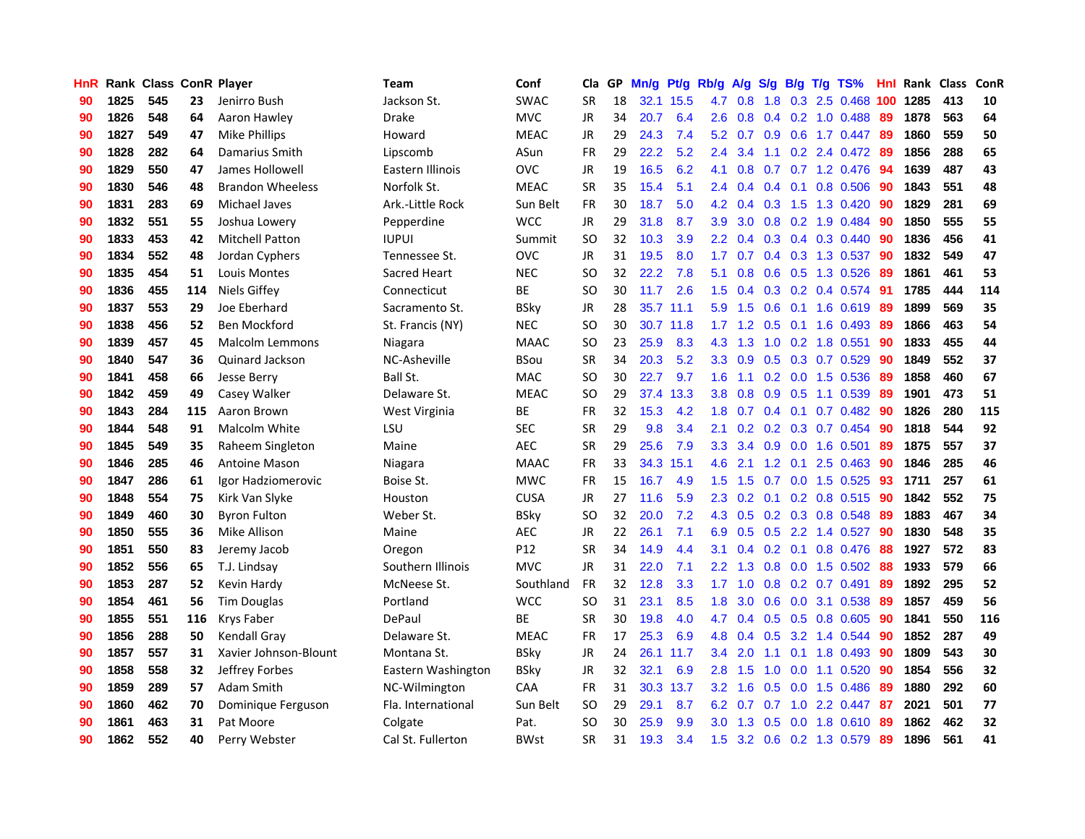| HnR |      | Rank Class ConR Player |     |                         | <b>Team</b>        | Conf        | Cla       | GP | Mn/g Pt/g Rb/g A/g S/g B/g T/g TS% |           |                  |                |                  |                 |                           | Hnl | Rank Class |     | ConR |
|-----|------|------------------------|-----|-------------------------|--------------------|-------------|-----------|----|------------------------------------|-----------|------------------|----------------|------------------|-----------------|---------------------------|-----|------------|-----|------|
| 90  | 1825 | 545                    | 23  | Jenirro Bush            | Jackson St.        | <b>SWAC</b> | <b>SR</b> | 18 |                                    | 32.1 15.5 | 4.7              | 0.8            | 1.8              | 0.3             | 2.5 0.468                 | 100 | 1285       | 413 | 10   |
| 90  | 1826 | 548                    | 64  | Aaron Hawley            | <b>Drake</b>       | <b>MVC</b>  | <b>JR</b> | 34 | 20.7                               | 6.4       | 2.6              | 0.8            |                  | $0.4 \quad 0.2$ | 1.0 0.488                 | 89  | 1878       | 563 | 64   |
| 90  | 1827 | 549                    | 47  | Mike Phillips           | Howard             | <b>MEAC</b> | <b>JR</b> | 29 | 24.3                               | 7.4       | 5.2 <sub>1</sub> | 0.7            | 0.9 <sup>°</sup> | 0.6             | 1.7 0.447                 | -89 | 1860       | 559 | 50   |
| 90  | 1828 | 282                    | 64  | Damarius Smith          | Lipscomb           | ASun        | <b>FR</b> | 29 | 22.2                               | 5.2       | 2.4              | 3.4            | 1.1              |                 | $0.2$ 2.4 $0.472$         | -89 | 1856       | 288 | 65   |
| 90  | 1829 | 550                    | 47  | James Hollowell         | Eastern Illinois   | <b>OVC</b>  | <b>JR</b> | 19 | 16.5                               | 6.2       | 4.1              | 0.8            |                  |                 | 0.7 0.7 1.2 0.476 94      |     | 1639       | 487 | 43   |
| 90  | 1830 | 546                    | 48  | <b>Brandon Wheeless</b> | Norfolk St.        | <b>MEAC</b> | <b>SR</b> | 35 | 15.4                               | 5.1       | $2.4^{\circ}$    | 0.4            |                  |                 | $0.4$ 0.1 0.8 0.506       | 90  | 1843       | 551 | 48   |
| 90  | 1831 | 283                    | 69  | Michael Javes           | Ark.-Little Rock   | Sun Belt    | <b>FR</b> | 30 | 18.7                               | 5.0       | 4.2              | 0.4            |                  |                 | 0.3 1.5 1.3 0.420         | -90 | 1829       | 281 | 69   |
| 90  | 1832 | 551                    | 55  | Joshua Lowery           | Pepperdine         | <b>WCC</b>  | <b>JR</b> | 29 | 31.8                               | 8.7       | 3.9              | 3.0            |                  |                 | 0.8 0.2 1.9 0.484         | 90  | 1850       | 555 | 55   |
| 90  | 1833 | 453                    | 42  | <b>Mitchell Patton</b>  | <b>IUPUI</b>       | Summit      | <b>SO</b> | 32 | 10.3                               | 3.9       | $2.2\,$          | 0.4            |                  |                 | 0.3 0.4 0.3 0.440         | 90  | 1836       | 456 | 41   |
| 90  | 1834 | 552                    | 48  | Jordan Cyphers          | Tennessee St.      | <b>OVC</b>  | JR        | 31 | 19.5                               | 8.0       | 1.7              | 0.7            |                  |                 | $0.4$ $0.3$ $1.3$ $0.537$ | 90  | 1832       | 549 | 47   |
| 90  | 1835 | 454                    | 51  | Louis Montes            | Sacred Heart       | <b>NEC</b>  | <b>SO</b> | 32 | 22.2                               | 7.8       | 5.1              | 0.8            |                  |                 | 0.6 0.5 1.3 0.526         | 89  | 1861       | 461 | 53   |
| 90  | 1836 | 455                    | 114 | <b>Niels Giffey</b>     | Connecticut        | <b>BE</b>   | <b>SO</b> | 30 | 11.7                               | 2.6       | 1.5              | 0.4            |                  |                 | 0.3 0.2 0.4 0.574         | 91  | 1785       | 444 | 114  |
| 90  | 1837 | 553                    | 29  | Joe Eberhard            | Sacramento St.     | <b>BSky</b> | <b>JR</b> | 28 |                                    | 35.7 11.1 | 5.9              | 1.5            | 0.6              |                 | 0.1 1.6 0.619             | 89  | 1899       | 569 | 35   |
| 90  | 1838 | 456                    | 52  | Ben Mockford            | St. Francis (NY)   | <b>NEC</b>  | <b>SO</b> | 30 |                                    | 30.7 11.8 | $1.7^{\circ}$    | 1.2            | 0.5              |                 | $0.1$ 1.6 0.493           | 89  | 1866       | 463 | 54   |
| 90  | 1839 | 457                    | 45  | Malcolm Lemmons         | Niagara            | <b>MAAC</b> | <b>SO</b> | 23 | 25.9                               | 8.3       | 4.3              | 1.3            | 1.0              | 0.2             | 1.8 0.551                 | -90 | 1833       | 455 | 44   |
| 90  | 1840 | 547                    | 36  | Quinard Jackson         | NC-Asheville       | <b>BSou</b> | <b>SR</b> | 34 | 20.3                               | 5.2       | 3.3              | 0.9            |                  |                 | 0.5 0.3 0.7 0.529         | -90 | 1849       | 552 | 37   |
| 90  | 1841 | 458                    | 66  | Jesse Berry             | Ball St.           | <b>MAC</b>  | <b>SO</b> | 30 | 22.7                               | 9.7       | 1.6              | 1.1            |                  |                 | 0.2 0.0 1.5 0.536         | -89 | 1858       | 460 | 67   |
| 90  | 1842 | 459                    | 49  | Casey Walker            | Delaware St.       | <b>MEAC</b> | <b>SO</b> | 29 |                                    | 37.4 13.3 | 3.8              | 0.8            |                  |                 | $0.9$ $0.5$ 1.1 $0.539$   | -89 | 1901       | 473 | 51   |
| 90  | 1843 | 284                    | 115 | Aaron Brown             | West Virginia      | <b>BE</b>   | <b>FR</b> | 32 | 15.3                               | 4.2       |                  | $1.8\quad 0.7$ |                  |                 | $0.4$ 0.1 0.7 0.482       | -90 | 1826       | 280 | 115  |
| 90  | 1844 | 548                    | 91  | Malcolm White           | LSU                | <b>SEC</b>  | <b>SR</b> | 29 | 9.8                                | 3.4       | 2.1              | 0.2            |                  |                 | 0.2 0.3 0.7 0.454         | 90  | 1818       | 544 | 92   |
| 90  | 1845 | 549                    | 35  | Raheem Singleton        | Maine              | <b>AEC</b>  | <b>SR</b> | 29 | 25.6                               | 7.9       | 3.3 <sub>1</sub> | 3.4            |                  |                 | 0.9 0.0 1.6 0.501         | 89  | 1875       | 557 | 37   |
| 90  | 1846 | 285                    | 46  | <b>Antoine Mason</b>    | Niagara            | <b>MAAC</b> | FR        | 33 |                                    | 34.3 15.1 | 4.6              | 2.1            |                  | $1.2 \quad 0.1$ | 2.5 0.463                 | 90  | 1846       | 285 | 46   |
| 90  | 1847 | 286                    | 61  | Igor Hadziomerovic      | Boise St.          | <b>MWC</b>  | <b>FR</b> | 15 | 16.7                               | 4.9       | 1.5              | 1.5            | 0.7              |                 | $0.0$ 1.5 $0.525$         | 93  | 1711       | 257 | 61   |
| 90  | 1848 | 554                    | 75  | Kirk Van Slyke          | Houston            | <b>CUSA</b> | JR        | 27 | 11.6                               | 5.9       | $2.3\phantom{0}$ | 0.2            | 0.1              |                 | $0.2$ 0.8 0.515           | -90 | 1842       | 552 | 75   |
| 90  | 1849 | 460                    | 30  | <b>Byron Fulton</b>     | Weber St.          | <b>BSky</b> | SO.       | 32 | 20.0                               | 7.2       | 4.3              | 0.5            |                  |                 | 0.2 0.3 0.8 0.548         | -89 | 1883       | 467 | 34   |
| 90  | 1850 | 555                    | 36  | <b>Mike Allison</b>     | Maine              | <b>AEC</b>  | JR        | 22 | 26.1                               | 7.1       | 6.9              | 0.5            |                  |                 | 0.5 2.2 1.4 0.527         | 90  | 1830       | 548 | 35   |
| 90  | 1851 | 550                    | 83  | Jeremy Jacob            | Oregon             | P12         | <b>SR</b> | 34 | 14.9                               | 4.4       | 3.1              | 0.4            |                  | $0.2 \quad 0.1$ | 0.8 0.476                 | 88  | 1927       | 572 | 83   |
| 90  | 1852 | 556                    | 65  | T.J. Lindsay            | Southern Illinois  | <b>MVC</b>  | JR        | 31 | 22.0                               | 7.1       | $2.2\phantom{0}$ | 1.3            | 0.8              | 0.0             | 1.5 0.502                 | 88  | 1933       | 579 | 66   |
| 90  | 1853 | 287                    | 52  | Kevin Hardy             | McNeese St.        | Southland   | <b>FR</b> | 32 | 12.8                               | 3.3       | 1.7              | 1.0            | 0.8              |                 | 0.2 0.7 0.491             | 89  | 1892       | 295 | 52   |
| 90  | 1854 | 461                    | 56  | <b>Tim Douglas</b>      | Portland           | <b>WCC</b>  | <b>SO</b> | 31 | 23.1                               | 8.5       | 1.8              | 3.0            | 0.6              |                 | 0.0 3.1 0.538             | -89 | 1857       | 459 | 56   |
| 90  | 1855 | 551                    | 116 | Krys Faber              | DePaul             | <b>BE</b>   | <b>SR</b> | 30 | 19.8                               | 4.0       | 4.7              | 0.4            |                  |                 | 0.5 0.5 0.8 0.605         | 90  | 1841       | 550 | 116  |
| 90  | 1856 | 288                    | 50  | Kendall Gray            | Delaware St.       | <b>MEAC</b> | <b>FR</b> | 17 | 25.3                               | 6.9       |                  | 4.8 0.4        |                  |                 | 0.5 3.2 1.4 0.544         | 90  | 1852       | 287 | 49   |
| 90  | 1857 | 557                    | 31  | Xavier Johnson-Blount   | Montana St.        | <b>BSky</b> | JR        | 24 |                                    | 26.1 11.7 | $3.4^{\circ}$    | 2.0            | 1.1              |                 | $0.1$ 1.8 0.493           | 90  | 1809       | 543 | 30   |
| 90  | 1858 | 558                    | 32  | Jeffrey Forbes          | Eastern Washington | <b>BSky</b> | <b>JR</b> | 32 | 32.1                               | 6.9       | 2.8              | 1.5            | 1.0              | 0.0             | 1.1 0.520                 | 90  | 1854       | 556 | 32   |
| 90  | 1859 | 289                    | 57  | Adam Smith              | NC-Wilmington      | CAA         | FR        | 31 |                                    | 30.3 13.7 | 3.2              | 1.6            | 0.5              | 0.0             | 1.5 0.486                 | 89  | 1880       | 292 | 60   |
| 90  | 1860 | 462                    | 70  | Dominique Ferguson      | Fla. International | Sun Belt    | <b>SO</b> | 29 | 29.1                               | 8.7       | 6.2              | 0.7            | 0.7              | 1.0             | 2.2 0.447                 | 87  | 2021       | 501 | 77   |
| 90  | 1861 | 463                    | 31  | Pat Moore               | Colgate            | Pat.        | <b>SO</b> | 30 | 25.9                               | 9.9       | 3.0              | 1.3            | 0.5              | 0.0             | 1.8 0.610                 | 89  | 1862       | 462 | 32   |
| 90  | 1862 | 552                    | 40  | Perry Webster           | Cal St. Fullerton  | <b>BWst</b> | SR        | 31 | 19.3                               | 3.4       | 1.5              |                |                  |                 | 3.2 0.6 0.2 1.3 0.579     | -89 | 1896       | 561 | 41   |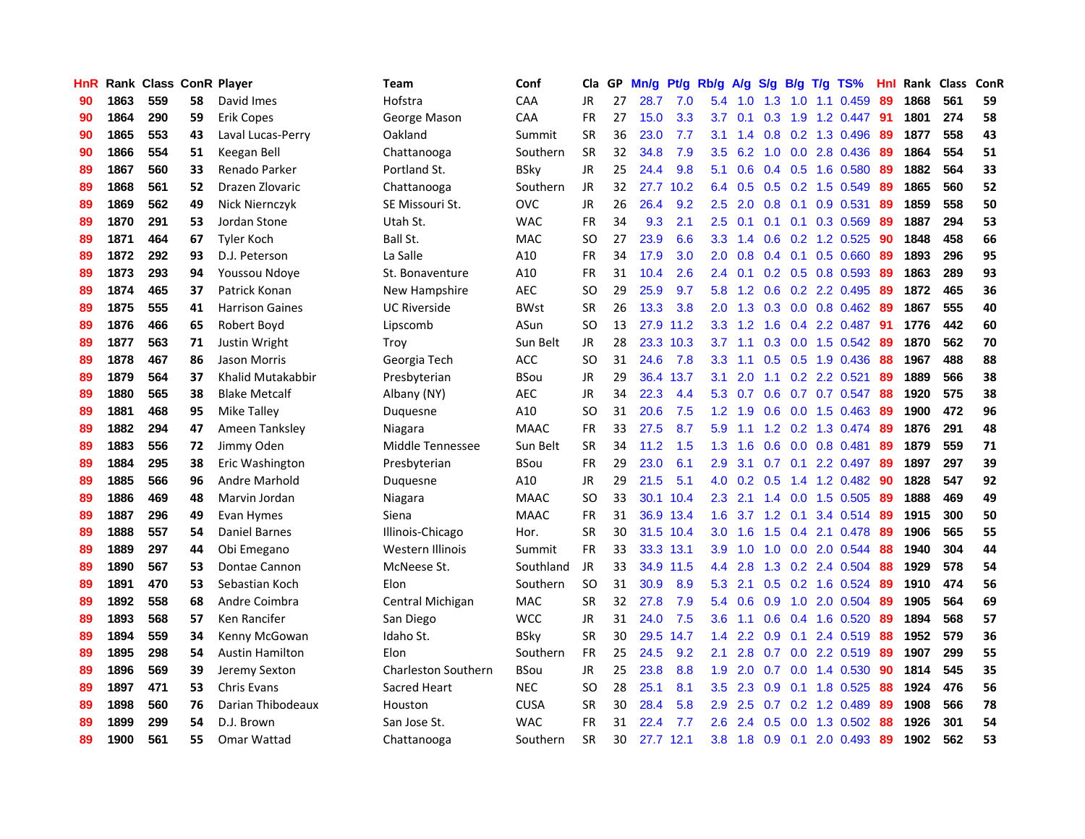| HnR |      | Rank Class ConR Player |    |                        | <b>Team</b>                | Conf        | Cla       |     | GP Mn/g Pt/g Rb/g A/g S/g B/g T/g TS% |           |                  |                 |     |                 |                           | Hnl |      | Rank Class | ConR |
|-----|------|------------------------|----|------------------------|----------------------------|-------------|-----------|-----|---------------------------------------|-----------|------------------|-----------------|-----|-----------------|---------------------------|-----|------|------------|------|
| 90  | 1863 | 559                    | 58 | David Imes             | Hofstra                    | CAA         | JR        | 27  | 28.7                                  | 7.0       | 5.4              | 1.0             | 1.3 | 1.0             | 1.1 0.459                 | 89  | 1868 | 561        | 59   |
| 90  | 1864 | 290                    | 59 | Erik Copes             | George Mason               | CAA         | <b>FR</b> | 27  | 15.0                                  | 3.3       | 3.7              | 0.1             | 0.3 | 1.9             | 1.2 0.447                 | -91 | 1801 | 274        | 58   |
| 90  | 1865 | 553                    | 43 | Laval Lucas-Perry      | Oakland                    | Summit      | <b>SR</b> | 36  | 23.0                                  | 7.7       | 3.1              | 1.4             | 0.8 | 0.2             | 1.3 0.496                 | -89 | 1877 | 558        | 43   |
| 90  | 1866 | 554                    | 51 | Keegan Bell            | Chattanooga                | Southern    | <b>SR</b> | 32  | 34.8                                  | 7.9       | 3.5              | 6.2             |     |                 | 1.0 0.0 2.8 0.436         | -89 | 1864 | 554        | 51   |
| 89  | 1867 | 560                    | 33 | Renado Parker          | Portland St.               | <b>BSky</b> | JR        | 25  | 24.4                                  | 9.8       | 5.1              | 0.6             |     |                 | 0.4 0.5 1.6 0.580         | -89 | 1882 | 564        | 33   |
| 89  | 1868 | 561                    | 52 | Drazen Zlovaric        | Chattanooga                | Southern    | JR        | 32. | 27.7                                  | 10.2      | 6.4              | 0.5             |     |                 | $0.5$ $0.2$ 1.5 $0.549$   | 89  | 1865 | 560        | 52   |
| 89  | 1869 | 562                    | 49 | Nick Niernczyk         | SE Missouri St.            | <b>OVC</b>  | <b>JR</b> | 26  | 26.4                                  | 9.2       | $2.5\,$          | 2.0             |     |                 | 0.8 0.1 0.9 0.531         | 89  | 1859 | 558        | 50   |
| 89  | 1870 | 291                    | 53 | Jordan Stone           | Utah St.                   | <b>WAC</b>  | FR        | 34  | 9.3                                   | 2.1       | 2.5              | 0.1             | 0.1 |                 | 0.1 0.3 0.569             | 89  | 1887 | 294        | 53   |
| 89  | 1871 | 464                    | 67 | <b>Tyler Koch</b>      | Ball St.                   | MAC         | <b>SO</b> | 27  | 23.9                                  | 6.6       | 3.3              | 1.4             |     |                 | 0.6 0.2 1.2 0.525         | 90  | 1848 | 458        | 66   |
| 89  | 1872 | 292                    | 93 | D.J. Peterson          | La Salle                   | A10         | <b>FR</b> | 34  | 17.9                                  | 3.0       | 2.0              | 0.8             |     | $0.4 \quad 0.1$ | 0.5 0.660                 | 89  | 1893 | 296        | 95   |
| 89  | 1873 | 293                    | 94 | Youssou Ndoye          | St. Bonaventure            | A10         | FR        | 31  | 10.4                                  | 2.6       | 2.4              | 0.1             |     |                 | $0.2$ 0.5 0.8 0.593       | 89  | 1863 | 289        | 93   |
| 89  | 1874 | 465                    | 37 | Patrick Konan          | New Hampshire              | <b>AEC</b>  | <b>SO</b> | 29  | 25.9                                  | 9.7       | 5.8              | 1.2             |     |                 | 0.6 0.2 2.2 0.495         | 89  | 1872 | 465        | 36   |
| 89  | 1875 | 555                    | 41 | <b>Harrison Gaines</b> | <b>UC Riverside</b>        | <b>BWst</b> | <b>SR</b> | 26  | 13.3                                  | 3.8       | 2.0              | 1.3             | 0.3 | 0.0             | 0.8 0.462                 | 89  | 1867 | 555        | 40   |
| 89  | 1876 | 466                    | 65 | Robert Boyd            | Lipscomb                   | ASun        | <b>SO</b> | 13  |                                       | 27.9 11.2 | 3.3 <sub>1</sub> | 1.2             | 1.6 | 0.4             | 2.2 0.487                 | 91  | 1776 | 442        | 60   |
| 89  | 1877 | 563                    | 71 | Justin Wright          | Troy                       | Sun Belt    | JR        | 28  |                                       | 23.3 10.3 | 3.7              | 1.1             | 0.3 | 0.0             | 1.5 0.542                 | 89  | 1870 | 562        | 70   |
| 89  | 1878 | 467                    | 86 | Jason Morris           | Georgia Tech               | ACC         | <b>SO</b> | 31  | 24.6                                  | 7.8       | 3.3              | 1.1             | 0.5 | 0.5             | 1.9 0.436                 | -88 | 1967 | 488        | 88   |
| 89  | 1879 | 564                    | 37 | Khalid Mutakabbir      | Presbyterian               | <b>BSou</b> | <b>JR</b> | 29  | 36.4                                  | 13.7      | 3.1              | 2.0             | 1.1 |                 | $0.2$ 2.2 $0.521$         | 89  | 1889 | 566        | 38   |
| 89  | 1880 | 565                    | 38 | <b>Blake Metcalf</b>   | Albany (NY)                | <b>AEC</b>  | JR        | 34  | 22.3                                  | 4.4       | 5.3              | 0.7             |     |                 | 0.6 0.7 0.7 0.547         | 88  | 1920 | 575        | 38   |
| 89  | 1881 | 468                    | 95 | Mike Talley            | Duguesne                   | A10         | SO.       | 31  | 20.6                                  | 7.5       |                  | $1.2 \quad 1.9$ |     |                 | $0.6$ $0.0$ 1.5 $0.463$   | -89 | 1900 | 472        | 96   |
| 89  | 1882 | 294                    | 47 | Ameen Tanksley         | Niagara                    | <b>MAAC</b> | <b>FR</b> | 33  | 27.5                                  | 8.7       | 5.9              | 1.1             |     |                 | 1.2 0.2 1.3 0.474         | -89 | 1876 | 291        | 48   |
| 89  | 1883 | 556                    | 72 | Jimmy Oden             | Middle Tennessee           | Sun Belt    | <b>SR</b> | 34  | 11.2                                  | 1.5       | 1.3              | 1.6             |     |                 | $0.6$ $0.0$ $0.8$ $0.481$ | -89 | 1879 | 559        | 71   |
| 89  | 1884 | 295                    | 38 | Eric Washington        | Presbyterian               | <b>BSou</b> | <b>FR</b> | 29  | 23.0                                  | 6.1       | 2.9              | 3.1             |     |                 | 0.7 0.1 2.2 0.497         | -89 | 1897 | 297        | 39   |
| 89  | 1885 | 566                    | 96 | Andre Marhold          | Duguesne                   | A10         | <b>JR</b> | 29  | 21.5                                  | 5.1       | 4.0              | 0.2             | 0.5 |                 | 1.4 1.2 0.482             | 90  | 1828 | 547        | 92   |
| 89  | 1886 | 469                    | 48 | Marvin Jordan          | Niagara                    | <b>MAAC</b> | <b>SO</b> | 33  |                                       | 30.1 10.4 | $2.3\,$          | 2.1             |     |                 | 1.4 0.0 1.5 0.505         | 89  | 1888 | 469        | 49   |
| 89  | 1887 | 296                    | 49 | Evan Hymes             | Siena                      | <b>MAAC</b> | FR        | 31  |                                       | 36.9 13.4 | 1.6              | 3.7             |     | $1.2 \quad 0.1$ | 3.4 0.514                 | -89 | 1915 | 300        | 50   |
| 89  | 1888 | 557                    | 54 | <b>Daniel Barnes</b>   | Illinois-Chicago           | Hor.        | <b>SR</b> | 30  |                                       | 31.5 10.4 | 3.0              | 1.6             | 1.5 | 0.4             | 2.1 0.478                 | -89 | 1906 | 565        | 55   |
| 89  | 1889 | 297                    | 44 | Obi Emegano            | Western Illinois           | Summit      | <b>FR</b> | 33  |                                       | 33.3 13.1 | 3.9              | 1.0             | 1.0 | 0.0             | 2.0 0.544                 | 88  | 1940 | 304        | 44   |
| 89  | 1890 | 567                    | 53 | Dontae Cannon          | McNeese St.                | Southland   | JR        | 33  |                                       | 34.9 11.5 | 4.4              | 2.8             | 1.3 | 0.2             | 2.4 0.504                 | 88  | 1929 | 578        | 54   |
| 89  | 1891 | 470                    | 53 | Sebastian Koch         | Elon                       | Southern    | <b>SO</b> | 31  | 30.9                                  | 8.9       | 5.3              | 2.1             |     | $0.5$ 0.2       | 1.6 0.524                 | -89 | 1910 | 474        | 56   |
| 89  | 1892 | 558                    | 68 | Andre Coimbra          | Central Michigan           | <b>MAC</b>  | <b>SR</b> | 32  | 27.8                                  | 7.9       | 5.4              | 0.6             | 0.9 | 1.0             | 2.0 0.504                 | -89 | 1905 | 564        | 69   |
| 89  | 1893 | 568                    | 57 | Ken Rancifer           | San Diego                  | <b>WCC</b>  | <b>JR</b> | 31  | 24.0                                  | 7.5       | 3.6              | 1.1             |     |                 | 0.6 0.4 1.6 0.520         | -89 | 1894 | 568        | 57   |
| 89  | 1894 | 559                    | 34 | Kenny McGowan          | Idaho St.                  | <b>BSky</b> | <b>SR</b> | 30  |                                       | 29.5 14.7 | 1.4              | $2.2^{\circ}$   |     | $0.9\quad 0.1$  | 2.4 0.519                 | -88 | 1952 | 579        | 36   |
| 89  | 1895 | 298                    | 54 | <b>Austin Hamilton</b> | Elon                       | Southern    | <b>FR</b> | 25  | 24.5                                  | 9.2       | 2.1              | 2.8             | 0.7 |                 | $0.0$ 2.2 $0.519$         | -89 | 1907 | 299        | 55   |
| 89  | 1896 | 569                    | 39 | Jeremy Sexton          | <b>Charleston Southern</b> | <b>BSou</b> | <b>JR</b> | 25  | 23.8                                  | 8.8       | 1.9              | 2.0             | 0.7 | 0.0             | 1.4 0.530                 | -90 | 1814 | 545        | 35   |
| 89  | 1897 | 471                    | 53 | Chris Evans            | Sacred Heart               | <b>NEC</b>  | <b>SO</b> | 28  | 25.1                                  | 8.1       | 3.5              | 2.3             | 0.9 |                 | 0.1 1.8 0.525             | 88  | 1924 | 476        | 56   |
| 89  | 1898 | 560                    | 76 | Darian Thibodeaux      | Houston                    | <b>CUSA</b> | <b>SR</b> | 30  | 28.4                                  | 5.8       | 2.9              | 2.5             | 0.7 | 0.2             | 1.2 0.489                 | 89  | 1908 | 566        | 78   |
| 89  | 1899 | 299                    | 54 | D.J. Brown             | San Jose St.               | <b>WAC</b>  | <b>FR</b> | 31  | 22.4                                  | 7.7       | 2.6              | 2.4             | 0.5 | 0.0             | 1.3 0.502                 | 88  | 1926 | 301        | 54   |
| 89  | 1900 | 561                    | 55 | Omar Wattad            | Chattanooga                | Southern    | <b>SR</b> | 30  |                                       | 27.7 12.1 | 3.8              | 1.8             |     |                 | $0.9$ 0.1 2.0 0.493       | -89 | 1902 | 562        | 53   |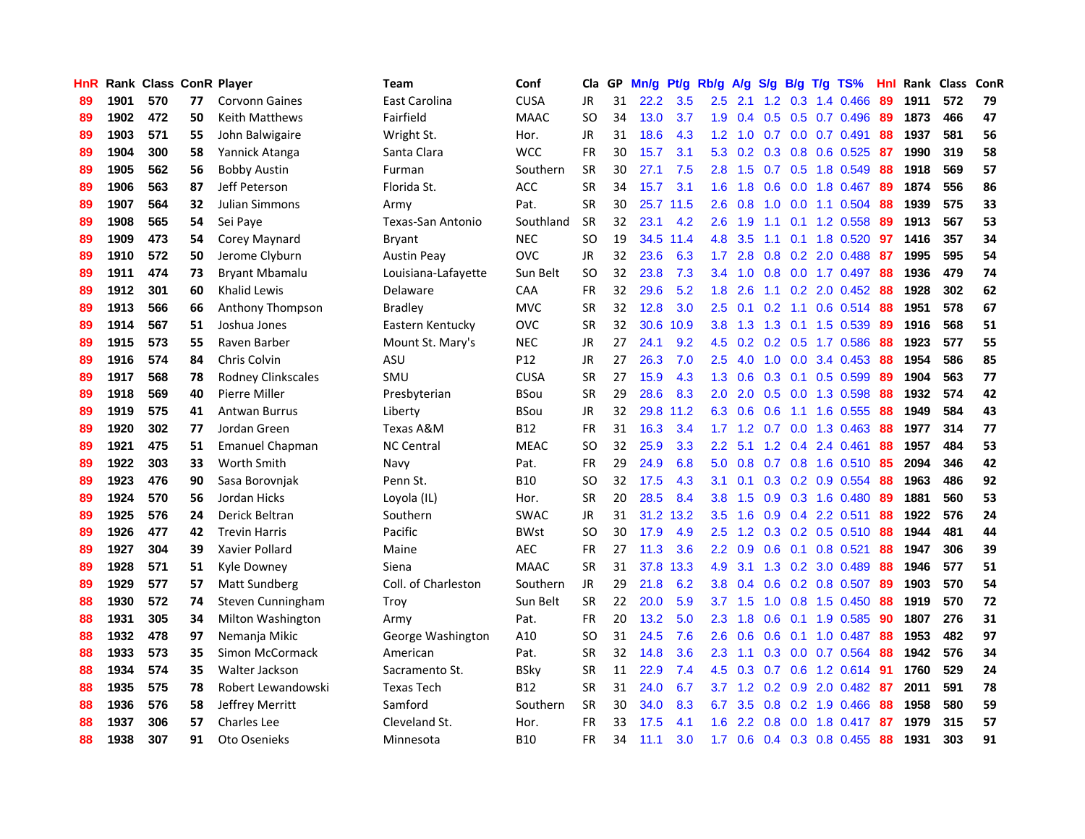| HnR |      | Rank Class ConR Player |    |                           | Team                | Conf        | Cla       |     | GP Mn/g Pt/g Rb/g |           |                  | A/g       |               |                 | S/g B/g T/g TS%         | Hnl | Rank Class |     | ConR |
|-----|------|------------------------|----|---------------------------|---------------------|-------------|-----------|-----|-------------------|-----------|------------------|-----------|---------------|-----------------|-------------------------|-----|------------|-----|------|
| 89  | 1901 | 570                    | 77 | Corvonn Gaines            | East Carolina       | <b>CUSA</b> | JR        | 31  | 22.2              | 3.5       | 2.5              | 2.1       | $1.2^{\circ}$ | 0.3             | 1.4 0.466               | 89  | 1911       | 572 | 79   |
| 89  | 1902 | 472                    | 50 | Keith Matthews            | Fairfield           | <b>MAAC</b> | <b>SO</b> | 34  | 13.0              | 3.7       | 1.9              | 0.4       | 0.5           | 0.5             | 0.7 0.496               | 89  | 1873       | 466 | 47   |
| 89  | 1903 | 571                    | 55 | John Balwigaire           | Wright St.          | Hor.        | <b>JR</b> | 31  | 18.6              | 4.3       | 1.2 <sub>1</sub> | 1.0       | 0.7           | 0.0             | $0.7$ 0.491             | 88  | 1937       | 581 | 56   |
| 89  | 1904 | 300                    | 58 | Yannick Atanga            | Santa Clara         | <b>WCC</b>  | <b>FR</b> | 30  | 15.7              | 3.1       | 5.3              | 0.2       |               |                 | 0.3 0.8 0.6 0.525       | 87  | 1990       | 319 | 58   |
| 89  | 1905 | 562                    | 56 | <b>Bobby Austin</b>       | Furman              | Southern    | <b>SR</b> | 30  | 27.1              | 7.5       |                  | $2.8$ 1.5 |               |                 | 0.7 0.5 1.8 0.549       | 88  | 1918       | 569 | 57   |
| 89  | 1906 | 563                    | 87 | Jeff Peterson             | Florida St.         | ACC         | <b>SR</b> | 34  | 15.7              | 3.1       |                  | $1.6$ 1.8 | 0.6           |                 | $0.0$ 1.8 $0.467$       | -89 | 1874       | 556 | 86   |
| 89  | 1907 | 564                    | 32 | <b>Julian Simmons</b>     | Army                | Pat.        | <b>SR</b> | 30  |                   | 25.7 11.5 | $2.6^{\circ}$    | 0.8       | 1.0           |                 | 0.0 1.1 0.504           | 88  | 1939       | 575 | 33   |
| 89  | 1908 | 565                    | 54 | Sei Paye                  | Texas-San Antonio   | Southland   | <b>SR</b> | 32  | 23.1              | 4.2       | 2.6              | 1.9       | 1.1           |                 | $0.1$ 1.2 $0.558$       | 89  | 1913       | 567 | 53   |
| 89  | 1909 | 473                    | 54 | Corey Maynard             | Bryant              | <b>NEC</b>  | <b>SO</b> | 19  |                   | 34.5 11.4 | 4.8              | 3.5       | 1.1           | 0.1             | 1.8 0.520               | 97  | 1416       | 357 | 34   |
| 89  | 1910 | 572                    | 50 | Jerome Clyburn            | <b>Austin Peay</b>  | <b>OVC</b>  | JR.       | 32  | 23.6              | 6.3       | 1.7              | 2.8       | 0.8           |                 | $0.2$ 2.0 $0.488$       | 87  | 1995       | 595 | 54   |
| 89  | 1911 | 474                    | 73 | <b>Bryant Mbamalu</b>     | Louisiana-Lafayette | Sun Belt    | <b>SO</b> | 32  | 23.8              | 7.3       | 3.4              | 1.0       | 0.8           |                 | $0.0$ 1.7 $0.497$       | 88  | 1936       | 479 | 74   |
| 89  | 1912 | 301                    | 60 | <b>Khalid Lewis</b>       | Delaware            | CAA         | <b>FR</b> | 32  | 29.6              | 5.2       | 1.8              | 2.6       | 1.1           | 0.2             | 2.0 0.452               | 88  | 1928       | 302 | 62   |
| 89  | 1913 | 566                    | 66 | Anthony Thompson          | <b>Bradley</b>      | <b>MVC</b>  | <b>SR</b> | 32  | 12.8              | 3.0       | 2.5              | 0.1       | 0.2           | 1.1             | $0.6$ $0.514$           | 88  | 1951       | 578 | 67   |
| 89  | 1914 | 567                    | 51 | Joshua Jones              | Eastern Kentucky    | <b>OVC</b>  | <b>SR</b> | 32  | 30.6              | 10.9      | 3.8              | 1.3       | 1.3           |                 | $0.1$ 1.5 0.539         | 89  | 1916       | 568 | 51   |
| 89  | 1915 | 573                    | 55 | Raven Barber              | Mount St. Mary's    | <b>NEC</b>  | JR        | 27  | 24.1              | 9.2       | 4.5              | 0.2       | 0.2           | 0.5             | 1.7 0.586               | 88  | 1923       | 577 | 55   |
| 89  | 1916 | 574                    | 84 | Chris Colvin              | ASU                 | P12         | <b>JR</b> | 27  | 26.3              | 7.0       | $2.5\,$          | 4.0       | 1.0           | 0.0             | 3.4 0.453               | 88  | 1954       | 586 | 85   |
| 89  | 1917 | 568                    | 78 | <b>Rodney Clinkscales</b> | SMU                 | <b>CUSA</b> | <b>SR</b> | 27  | 15.9              | 4.3       | 1.3              | 0.6       |               | $0.3 \quad 0.1$ | 0.5 0.599               | -89 | 1904       | 563 | 77   |
| 89  | 1918 | 569                    | 40 | Pierre Miller             | Presbyterian        | <b>BSou</b> | <b>SR</b> | 29  | 28.6              | 8.3       | 2.0              | 2.0       |               |                 | 0.5 0.0 1.3 0.598       | 88  | 1932       | 574 | 42   |
| 89  | 1919 | 575                    | 41 | Antwan Burrus             | Liberty             | <b>BSou</b> | JR        | 32. |                   | 29.8 11.2 |                  | 6.3 0.6   | 0.6           |                 | 1.1 1.6 0.555           | 88  | 1949       | 584 | 43   |
| 89  | 1920 | 302                    | 77 | Jordan Green              | Texas A&M           | B12         | <b>FR</b> | 31  | 16.3              | 3.4       | 1.7 <sub>1</sub> | 1.2       |               |                 | $0.7$ 0.0 1.3 0.463     | 88  | 1977       | 314 | 77   |
| 89  | 1921 | 475                    | 51 | Emanuel Chapman           | <b>NC Central</b>   | <b>MEAC</b> | <b>SO</b> | 32  | 25.9              | 3.3       | 2.2 <sub>2</sub> | 5.1       |               |                 | 1.2 0.4 2.4 0.461       | 88  | 1957       | 484 | 53   |
| 89  | 1922 | 303                    | 33 | Worth Smith               | Navy                | Pat.        | FR        | 29  | 24.9              | 6.8       | 5.0              | 0.8       |               |                 | 0.7 0.8 1.6 0.510       | 85  | 2094       | 346 | 42   |
| 89  | 1923 | 476                    | 90 | Sasa Borovnjak            | Penn St.            | <b>B10</b>  | SO.       | 32  | 17.5              | 4.3       | 3.1              | 0.1       |               |                 | $0.3$ 0.2 0.9 0.554     | 88  | 1963       | 486 | 92   |
| 89  | 1924 | 570                    | 56 | Jordan Hicks              | Loyola (IL)         | Hor.        | <b>SR</b> | 20  | 28.5              | 8.4       | 3.8              | 1.5       |               |                 | $0.9$ $0.3$ 1.6 $0.480$ | 89  | 1881       | 560 | 53   |
| 89  | 1925 | 576                    | 24 | Derick Beltran            | Southern            | <b>SWAC</b> | <b>JR</b> | 31  |                   | 31.2 13.2 | $3.5\,$          | 1.6       |               |                 | $0.9$ 0.4 2.2 0.511     | 88  | 1922       | 576 | 24   |
| 89  | 1926 | 477                    | 42 | <b>Trevin Harris</b>      | Pacific             | <b>BWst</b> | <b>SO</b> | 30  | 17.9              | 4.9       | 2.5              | 1.2       |               |                 | $0.3$ 0.2 0.5 0.510     | -88 | 1944       | 481 | 44   |
| 89  | 1927 | 304                    | 39 | Xavier Pollard            | Maine               | AEC         | <b>FR</b> | 27  | 11.3              | 3.6       | $2.2^{\circ}$    | 0.9       | 0.6           | 0.1             | 0.8 0.521               | 88  | 1947       | 306 | 39   |
| 89  | 1928 | 571                    | 51 | Kyle Downey               | Siena               | <b>MAAC</b> | <b>SR</b> | 31  | 37.8              | 13.3      | 4.9              | 3.1       | 1.3           | 0.2             | 3.0 0.489               | 88  | 1946       | 577 | 51   |
| 89  | 1929 | 577                    | 57 | Matt Sundberg             | Coll. of Charleston | Southern    | <b>JR</b> | 29  | 21.8              | 6.2       | 3.8              | 0.4       | 0.6           | 0.2             | 0.8 0.507               | -89 | 1903       | 570 | 54   |
| 88  | 1930 | 572                    | 74 | Steven Cunningham         | Troy                | Sun Belt    | <b>SR</b> | 22  | 20.0              | 5.9       | 3.7              | 1.5       | 1.0           | 0.8             | 1.5 0.450               | 88  | 1919       | 570 | 72   |
| 88  | 1931 | 305                    | 34 | Milton Washington         | Army                | Pat.        | <b>FR</b> | 20  | 13.2              | 5.0       | $2.3\phantom{0}$ | 1.8       | 0.6           | 0.1             | 1.9 0.585               | 90  | 1807       | 276 | 31   |
| 88  | 1932 | 478                    | 97 | Nemanja Mikic             | George Washington   | A10         | <b>SO</b> | 31  | 24.5              | 7.6       | 2.6              | 0.6       |               |                 | 0.6 0.1 1.0 0.487       | 88  | 1953       | 482 | 97   |
| 88  | 1933 | 573                    | 35 | Simon McCormack           | American            | Pat.        | <b>SR</b> | 32  | 14.8              | 3.6       | 2.3              | 1.1       |               |                 | 0.3 0.0 0.7 0.564       | 88  | 1942       | 576 | 34   |
| 88  | 1934 | 574                    | 35 | <b>Walter Jackson</b>     | Sacramento St.      | <b>BSky</b> | <b>SR</b> | 11  | 22.9              | 7.4       | 4.5              | 0.3       | 0.7           | 0.6             | 1.2 0.614               | -91 | 1760       | 529 | 24   |
| 88  | 1935 | 575                    | 78 | Robert Lewandowski        | <b>Texas Tech</b>   | B12         | <b>SR</b> | 31  | 24.0              | 6.7       | 3.7              | 1.2       |               | $0.2 \quad 0.9$ | 2.0 0.482               | 87  | 2011       | 591 | 78   |
| 88  | 1936 | 576                    | 58 | Jeffrey Merritt           | Samford             | Southern    | <b>SR</b> | 30  | 34.0              | 8.3       | 6.7              | 3.5       | 0.8           | 0.2             | 1.9 0.466               | 88  | 1958       | 580 | 59   |
| 88  | 1937 | 306                    | 57 | <b>Charles Lee</b>        | Cleveland St.       | Hor.        | FR        | 33  | 17.5              | 4.1       | 1.6              | 2.2       | 0.8           | 0.0             | 1.8 0.417               | 87  | 1979       | 315 | 57   |
| 88  | 1938 | 307                    | 91 | Oto Osenieks              | Minnesota           | <b>B10</b>  | FR.       | 34  | 11.1              | 3.0       | 1.7 <sub>2</sub> | 0.6       |               |                 | $0.4$ 0.3 0.8 0.455     | 88  | 1931       | 303 | 91   |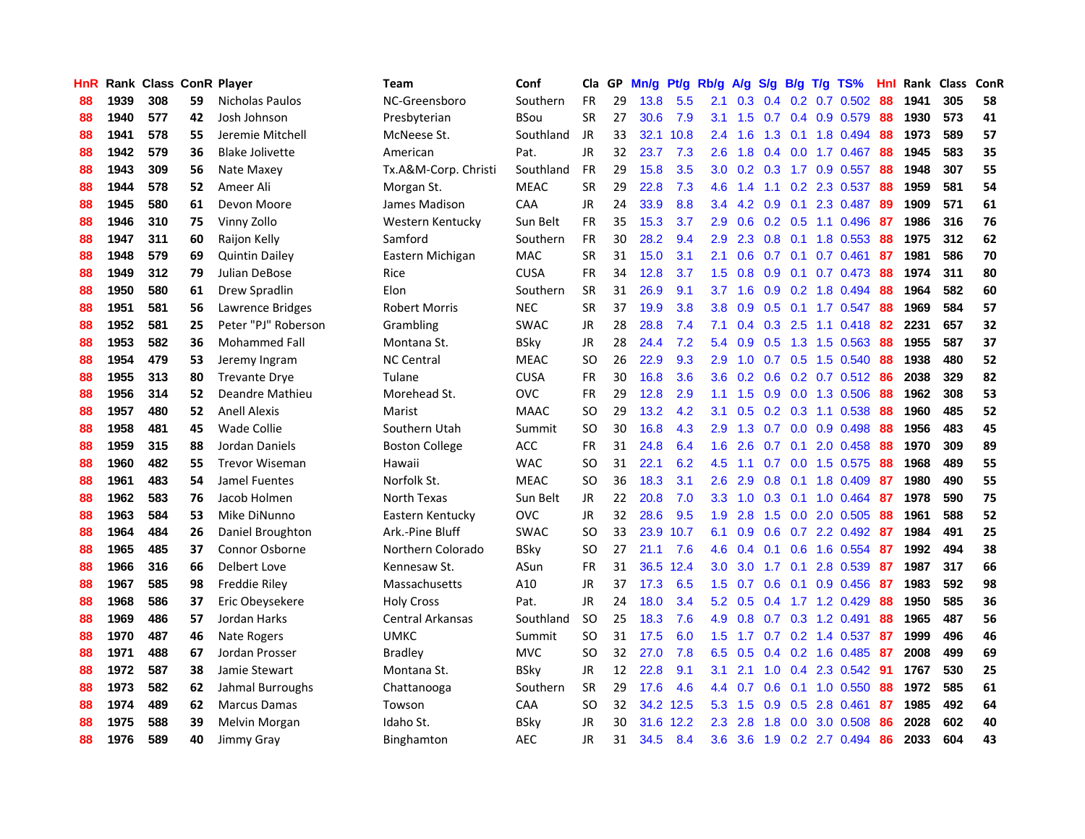| <b>HnR</b> |      | Rank Class ConR Player |     |                        | Team                    | Conf        | Cla       |    | GP Mn/g Pt/g |           | Rb/g             | A/g             |                 |                 | S/g B/g T/g TS%         | Hnl |      | Rank Class | <b>ConR</b> |
|------------|------|------------------------|-----|------------------------|-------------------------|-------------|-----------|----|--------------|-----------|------------------|-----------------|-----------------|-----------------|-------------------------|-----|------|------------|-------------|
| 88         | 1939 | 308                    | 59  | Nicholas Paulos        | NC-Greensboro           | Southern    | FR.       | 29 | 13.8         | 5.5       | 2.1              | 0.3             | 0.4             | 0.2             | 0.7 0.502               | 88  | 1941 | 305        | 58          |
| 88         | 1940 | 577                    | 42  | Josh Johnson           | Presbyterian            | <b>BSou</b> | <b>SR</b> | 27 | 30.6         | 7.9       | 3.1              | 1.5             | 0.7             | 0.4             | 0.9 0.579               | 88  | 1930 | 573        | 41          |
| 88         | 1941 | 578                    | 55  | Jeremie Mitchell       | McNeese St.             | Southland   | <b>JR</b> | 33 | 32.1         | 10.8      | 2.4              | 1.6             | 1.3             | 0.1             | 1.8 0.494               | 88  | 1973 | 589        | 57          |
| 88         | 1942 | 579                    | 36  | <b>Blake Jolivette</b> | American                | Pat.        | <b>JR</b> | 32 | 23.7         | 7.3       | 2.6              | 1.8             |                 |                 | 0.4 0.0 1.7 0.467       | -88 | 1945 | 583        | 35          |
| 88         | 1943 | 309                    | 56  | Nate Maxey             | Tx.A&M-Corp. Christi    | Southland   | FR        | 29 | 15.8         | 3.5       | 3.0 <sub>2</sub> |                 |                 |                 | 0.2 0.3 1.7 0.9 0.557   | -88 | 1948 | 307        | 55          |
| 88         | 1944 | 578                    | 52. | Ameer Ali              | Morgan St.              | <b>MEAC</b> | <b>SR</b> | 29 | 22.8         | 7.3       | 4.6              | 1.4             |                 |                 | $1.1$ 0.2 2.3 0.537     | 88  | 1959 | 581        | 54          |
| 88         | 1945 | 580                    | 61  | Devon Moore            | James Madison           | <b>CAA</b>  | JR        | 24 | 33.9         | 8.8       | $3.4^{\circ}$    | 4.2             |                 |                 | $0.9$ 0.1 2.3 0.487     | -89 | 1909 | 571        | 61          |
| 88         | 1946 | 310                    | 75  | Vinny Zollo            | Western Kentucky        | Sun Belt    | <b>FR</b> | 35 | 15.3         | 3.7       | 2.9              | 0.6             |                 |                 | $0.2$ 0.5 1.1 0.496     | -87 | 1986 | 316        | 76          |
| 88         | 1947 | 311                    | 60  | Raijon Kelly           | Samford                 | Southern    | <b>FR</b> | 30 | 28.2         | 9.4       | 2.9              | 2.3             |                 |                 | 0.8 0.1 1.8 0.553       | 88  | 1975 | 312        | 62          |
| 88         | 1948 | 579                    | 69  | <b>Quintin Dailey</b>  | Eastern Michigan        | <b>MAC</b>  | <b>SR</b> | 31 | 15.0         | 3.1       | 2.1              | 0.6             | 0.7             | 0.1             | $0.7$ $0.461$           | 87  | 1981 | 586        | 70          |
| 88         | 1949 | 312                    | 79  | Julian DeBose          | Rice                    | <b>CUSA</b> | <b>FR</b> | 34 | 12.8         | 3.7       | 1.5              | 0.8             | 0.9             | 0.1             | 0.7 0.473               | 88  | 1974 | 311        | 80          |
| 88         | 1950 | 580                    | 61  | Drew Spradlin          | Elon                    | Southern    | <b>SR</b> | 31 | 26.9         | 9.1       | 3.7              | 1.6             |                 |                 | 0.9 0.2 1.8 0.494       | 88  | 1964 | 582        | 60          |
| 88         | 1951 | 581                    | 56  | Lawrence Bridges       | Robert Morris           | <b>NEC</b>  | <b>SR</b> | 37 | 19.9         | 3.8       | 3.8              | 0.9             | 0.5             | 0.1             | 1.7 0.547               | 88  | 1969 | 584        | 57          |
| 88         | 1952 | 581                    | 25  | Peter "PJ" Roberson    | Grambling               | <b>SWAC</b> | <b>JR</b> | 28 | 28.8         | 7.4       | 7.1              | 0.4             | 0.3             | 2.5             | $1.1 \quad 0.418$       | 82  | 2231 | 657        | 32          |
| 88         | 1953 | 582                    | 36  | Mohammed Fall          | Montana St.             | <b>BSky</b> | JR        | 28 | 24.4         | 7.2       | 5.4              | 0.9             | 0.5             | 1.3             | 1.5 0.563               | 88  | 1955 | 587        | 37          |
| 88         | 1954 | 479                    | 53  | Jeremy Ingram          | <b>NC Central</b>       | <b>MEAC</b> | <b>SO</b> | 26 | 22.9         | 9.3       | 2.9              | 1.0             | 0.7             | 0.5             | 1.5 0.540               | 88  | 1938 | 480        | 52          |
| 88         | 1955 | 313                    | 80  | <b>Trevante Drye</b>   | Tulane                  | <b>CUSA</b> | <b>FR</b> | 30 | 16.8         | 3.6       | 3.6 <sup>°</sup> |                 | $0.2 \quad 0.6$ |                 | $0.2$ 0.7 0.512         | -86 | 2038 | 329        | 82          |
| 88         | 1956 | 314                    | 52  | Deandre Mathieu        | Morehead St.            | <b>OVC</b>  | FR        | 29 | 12.8         | 2.9       | 1.1              | 1.5             |                 |                 | 0.9 0.0 1.3 0.506       | -88 | 1962 | 308        | 53          |
| 88         | 1957 | 480                    | 52  | <b>Anell Alexis</b>    | Marist                  | <b>MAAC</b> | <b>SO</b> | 29 | 13.2         | 4.2       | 3.1              | 0.5             |                 |                 | $0.2$ 0.3 1.1 0.538     | -88 | 1960 | 485        | 52          |
| 88         | 1958 | 481                    | 45  | <b>Wade Collie</b>     | Southern Utah           | Summit      | SO.       | 30 | 16.8         | 4.3       | 2.9              | 1.3             |                 |                 | 0.7 0.0 0.9 0.498       | 88  | 1956 | 483        | 45          |
| 88         | 1959 | 315                    | 88  | Jordan Daniels         | <b>Boston College</b>   | <b>ACC</b>  | <b>FR</b> | 31 | 24.8         | 6.4       | 1.6 <sup>°</sup> | 2.6             |                 |                 | 0.7 0.1 2.0 0.458       | -88 | 1970 | 309        | 89          |
| 88         | 1960 | 482                    | 55  | <b>Trevor Wiseman</b>  | Hawaii                  | <b>WAC</b>  | SO.       | 31 | 22.1         | 6.2       | 4.5              | 1.1             |                 |                 | $0.7$ $0.0$ 1.5 $0.575$ | 88  | 1968 | 489        | 55          |
| 88         | 1961 | 483                    | 54  | Jamel Fuentes          | Norfolk St.             | <b>MEAC</b> | <b>SO</b> | 36 | 18.3         | 3.1       | 2.6              | 2.9             | 0.8             |                 | $0.1$ 1.8 0.409         | 87  | 1980 | 490        | 55          |
| 88         | 1962 | 583                    | 76  | Jacob Holmen           | North Texas             | Sun Belt    | <b>JR</b> | 22 | 20.8         | 7.0       | 3.3              | 1.0             |                 | $0.3 \quad 0.1$ | 1.0 0.464               | -87 | 1978 | 590        | 75          |
| 88         | 1963 | 584                    | 53  | Mike DiNunno           | Eastern Kentucky        | <b>OVC</b>  | <b>JR</b> | 32 | 28.6         | 9.5       | 1.9              | 2.8             |                 |                 | 1.5 0.0 2.0 0.505       | 88  | 1961 | 588        | 52          |
| 88         | 1964 | 484                    | 26  | Daniel Broughton       | Ark.-Pine Bluff         | <b>SWAC</b> | SO.       | 33 |              | 23.9 10.7 | 6.1              | 0.9             |                 |                 | $0.6$ $0.7$ 2.2 $0.492$ | -87 | 1984 | 491        | 25          |
| 88         | 1965 | 485                    | 37  | <b>Connor Osborne</b>  | Northern Colorado       | <b>BSky</b> | SO.       | 27 | 21.1         | 7.6       | 4.6              | 0.4             | 0.1             | 0.6             | 1.6 0.554               | -87 | 1992 | 494        | 38          |
| 88         | 1966 | 316                    | 66  | Delbert Love           | Kennesaw St.            | ASun        | FR.       | 31 | 36.5         | 12.4      | 3.0              | 3.0             | 1.7             | 0.1             | 2.8 0.539               | 87  | 1987 | 317        | 66          |
| 88         | 1967 | 585                    | 98  | Freddie Riley          | Massachusetts           | A10         | <b>JR</b> | 37 | 17.3         | 6.5       | 1.5              | 0.7             | 0.6             | 0.1             | 0.9 0.456               | 87  | 1983 | 592        | 98          |
| 88         | 1968 | 586                    | 37  | Eric Obeysekere        | <b>Holy Cross</b>       | Pat.        | <b>JR</b> | 24 | 18.0         | 3.4       | 5.2              | 0.5             | 0.4             |                 | 1.7 1.2 0.429           | 88  | 1950 | 585        | 36          |
| 88         | 1969 | 486                    | 57  | Jordan Harks           | <b>Central Arkansas</b> | Southland   | <b>SO</b> | 25 | 18.3         | 7.6       | 4.9              | 0.8             |                 |                 | $0.7$ $0.3$ 1.2 $0.491$ | 88  | 1965 | 487        | 56          |
| 88         | 1970 | 487                    | 46  | Nate Rogers            | UMKC                    | Summit      | SO.       | 31 | 17.5         | 6.0       |                  | $1.5$ 1.7       |                 |                 | $0.7$ $0.2$ 1.4 $0.537$ | -87 | 1999 | 496        | 46          |
| 88         | 1971 | 488                    | 67  | Jordan Prosser         | Bradley                 | <b>MVC</b>  | <b>SO</b> | 32 | 27.0         | 7.8       |                  | $6.5 \quad 0.5$ |                 |                 | $0.4$ 0.2 1.6 0.485     | -87 | 2008 | 499        | 69          |
| 88         | 1972 | 587                    | 38  | Jamie Stewart          | Montana St.             | <b>BSky</b> | JR        | 12 | 22.8         | 9.1       | 3.1              | 2.1             |                 |                 | 1.0 0.4 2.3 0.542       | 91  | 1767 | 530        | 25          |
| 88         | 1973 | 582                    | 62  | Jahmal Burroughs       | Chattanooga             | Southern    | <b>SR</b> | 29 | 17.6         | 4.6       | 4.4              | 0.7             | 0.6             |                 | 0.1 1.0 0.550           | 88  | 1972 | 585        | 61          |
| 88         | 1974 | 489                    | 62  | <b>Marcus Damas</b>    | Towson                  | <b>CAA</b>  | <b>SO</b> | 32 |              | 34.2 12.5 | 5.3              | 1.5             | 0.9             | 0.5             | 2.8 0.461               | 87  | 1985 | 492        | 64          |
| 88         | 1975 | 588                    | 39  | Melvin Morgan          | Idaho St.               | <b>BSky</b> | JR        | 30 | 31.6         | 12.2      | 2.3              | 2.8             | 1.8             | 0.0             | 3.0 0.508               | 86  | 2028 | 602        | 40          |
| 88         | 1976 | 589                    | 40  | Jimmy Gray             | <b>Binghamton</b>       | AEC         | JR        | 31 | 34.5         | 8.4       | 3.6              | 3.6             |                 |                 | 1.9 0.2 2.7 0.494       | 86  | 2033 | 604        | 43          |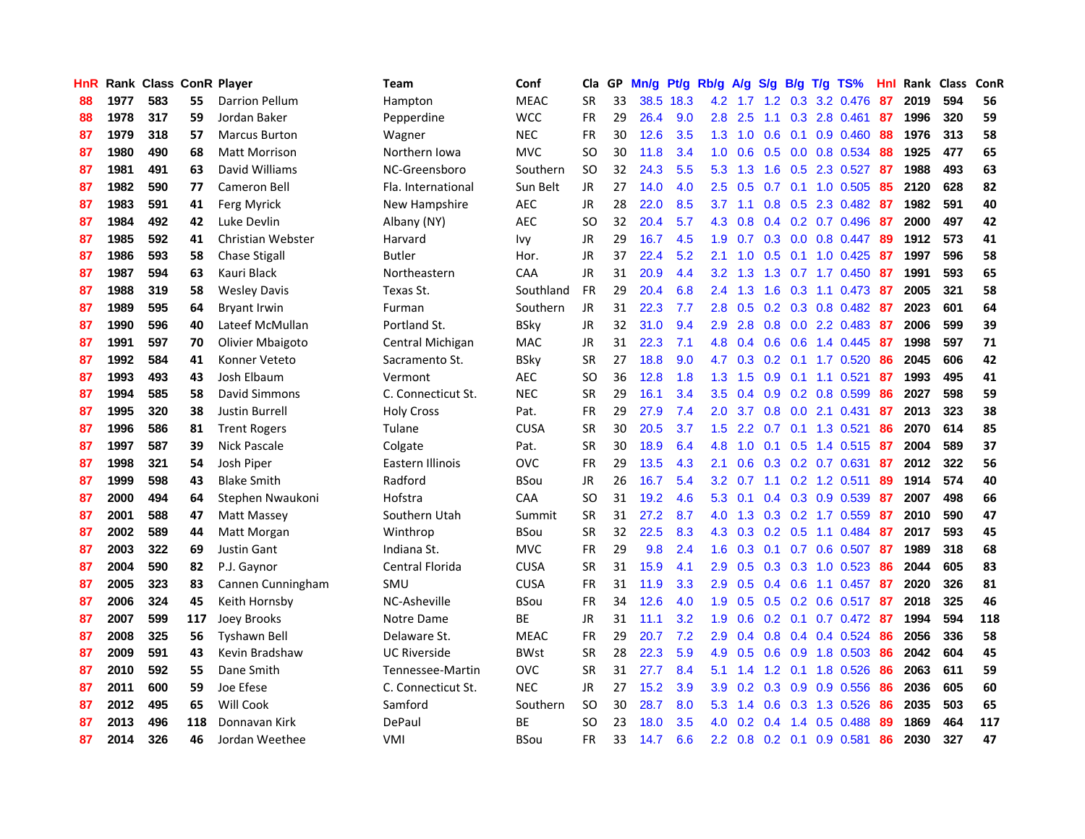| HnR |      |     |     | Rank Class ConR Player | <b>Team</b>         | Conf        | Cla       | GP | Mn/g Pt/g Rb/g A/g S/g B/g T/g TS% |           |                  |                 |     |                 |                           | Hnl | Rank Class |     | ConR |
|-----|------|-----|-----|------------------------|---------------------|-------------|-----------|----|------------------------------------|-----------|------------------|-----------------|-----|-----------------|---------------------------|-----|------------|-----|------|
| 88  | 1977 | 583 | 55  | <b>Darrion Pellum</b>  | Hampton             | <b>MEAC</b> | <b>SR</b> | 33 |                                    | 38.5 18.3 | 4.2              | 1.7             | 1.2 | 0.3             | 3.2 0.476                 | 87  | 2019       | 594 | 56   |
| 88  | 1978 | 317 | 59  | Jordan Baker           | Pepperdine          | <b>WCC</b>  | <b>FR</b> | 29 | 26.4                               | 9.0       | 2.8              | 2.5             | 1.1 | 0.3             | 2.8 0.461                 | -87 | 1996       | 320 | 59   |
| 87  | 1979 | 318 | 57  | <b>Marcus Burton</b>   | Wagner              | <b>NEC</b>  | <b>FR</b> | 30 | 12.6                               | 3.5       | 1.3              | 1.0             | 0.6 | 0.1             | $0.9$ $0.460$             | -88 | 1976       | 313 | 58   |
| 87  | 1980 | 490 | 68  | <b>Matt Morrison</b>   | Northern Iowa       | <b>MVC</b>  | <b>SO</b> | 30 | 11.8                               | 3.4       | 1.0 <sub>1</sub> | 0.6             |     |                 | 0.5 0.0 0.8 0.534         | -88 | 1925       | 477 | 65   |
| 87  | 1981 | 491 | 63  | David Williams         | NC-Greensboro       | Southern    | <b>SO</b> | 32 | 24.3                               | 5.5       | 5.3              | 1.3             |     |                 | 1.6 0.5 2.3 0.527         | -87 | 1988       | 493 | 63   |
| 87  | 1982 | 590 | 77  | Cameron Bell           | Fla. International  | Sun Belt    | JR        | 27 | 14.0                               | 4.0       | 2.5              | 0.5             | 0.7 |                 | $0.1$ 1.0 0.505           | -85 | 2120       | 628 | 82   |
| 87  | 1983 | 591 | 41  | Ferg Myrick            | New Hampshire       | <b>AEC</b>  | <b>JR</b> | 28 | 22.0                               | 8.5       | 3.7 <sub>2</sub> | 1.1             |     |                 | 0.8 0.5 2.3 0.482         | 87  | 1982       | 591 | 40   |
| 87  | 1984 | 492 | 42  | Luke Devlin            | Albany (NY)         | <b>AEC</b>  | <b>SO</b> | 32 | 20.4                               | 5.7       | 4.3              | 0.8             |     |                 | $0.4$ 0.2 0.7 0.496       | -87 | 2000       | 497 | 42   |
| 87  | 1985 | 592 | 41  | Christian Webster      | Harvard             | Ivy         | JR        | 29 | 16.7                               | 4.5       | 1.9              | 0.7             |     |                 | 0.3 0.0 0.8 0.447         | 89  | 1912       | 573 | 41   |
| 87  | 1986 | 593 | 58  | <b>Chase Stigall</b>   | Butler              | Hor.        | JR        | 37 | 22.4                               | 5.2       | 2.1              | 1.0             | 0.5 |                 | $0.1$ 1.0 0.425           | -87 | 1997       | 596 | 58   |
| 87  | 1987 | 594 | 63  | Kauri Black            | Northeastern        | CAA         | JR        | 31 | 20.9                               | 4.4       | 3.2 <sub>2</sub> | 1.3             | 1.3 |                 | $0.7$ 1.7 0.450           | -87 | 1991       | 593 | 65   |
| 87  | 1988 | 319 | 58  | <b>Wesley Davis</b>    | Texas St.           | Southland   | <b>FR</b> | 29 | 20.4                               | 6.8       | 2.4              | 1.3             | 1.6 | 0.3             | 1.1 0.473                 | 87  | 2005       | 321 | 58   |
| 87  | 1989 | 595 | 64  | <b>Bryant Irwin</b>    | Furman              | Southern    | <b>JR</b> | 31 | 22.3                               | 7.7       | 2.8              | 0.5             | 0.2 | 0.3             | 0.8 0.482                 | -87 | 2023       | 601 | 64   |
| 87  | 1990 | 596 | 40  | Lateef McMullan        | Portland St.        | <b>BSky</b> | JR        | 32 | 31.0                               | 9.4       | 2.9              | 2.8             | 0.8 | 0.0             | 2.2 0.483                 | 87  | 2006       | 599 | 39   |
| 87  | 1991 | 597 | 70  | Olivier Mbaigoto       | Central Michigan    | MAC         | JR        | 31 | 22.3                               | 7.1       | 4.8              | 0.4             | 0.6 | 0.6             | 1.4 0.445                 | -87 | 1998       | 597 | 71   |
| 87  | 1992 | 584 | 41  | Konner Veteto          | Sacramento St.      | <b>BSky</b> | <b>SR</b> | 27 | 18.8                               | 9.0       | 4.7              | 0.3             |     | $0.2 \quad 0.1$ | 1.7 0.520                 | -86 | 2045       | 606 | 42   |
| 87  | 1993 | 493 | 43  | Josh Elbaum            | Vermont             | <b>AEC</b>  | <b>SO</b> | 36 | 12.8                               | 1.8       | 1.3              | 1.5             | 0.9 |                 | $0.1$ 1.1 0.521           | 87  | 1993       | 495 | 41   |
| 87  | 1994 | 585 | 58  | David Simmons          | C. Connecticut St.  | <b>NEC</b>  | <b>SR</b> | 29 | 16.1                               | 3.4       | 3.5              | 0.4             |     |                 | $0.9$ $0.2$ $0.8$ $0.599$ | 86  | 2027       | 598 | 59   |
| 87  | 1995 | 320 | 38  | <b>Justin Burrell</b>  | <b>Holy Cross</b>   | Pat.        | <b>FR</b> | 29 | 27.9                               | 7.4       | $2.0^{\circ}$    | 3.7             |     |                 | $0.8$ $0.0$ 2.1 $0.431$   | 87  | 2013       | 323 | 38   |
| 87  | 1996 | 586 | 81  | <b>Trent Rogers</b>    | Tulane              | <b>CUSA</b> | <b>SR</b> | 30 | 20.5                               | 3.7       | 1.5              | $2.2^{\circ}$   |     |                 | $0.7$ 0.1 1.3 0.521       | 86  | 2070       | 614 | 85   |
| 87  | 1997 | 587 | 39  | <b>Nick Pascale</b>    | Colgate             | Pat.        | <b>SR</b> | 30 | 18.9                               | 6.4       | 4.8              | 1.0             |     |                 | $0.1$ $0.5$ $1.4$ $0.515$ | -87 | 2004       | 589 | 37   |
| 87  | 1998 | 321 | 54  | Josh Piper             | Eastern Illinois    | <b>OVC</b>  | FR        | 29 | 13.5                               | 4.3       | 2.1              | 0.6             |     |                 | 0.3 0.2 0.7 0.631         | -87 | 2012       | 322 | 56   |
| 87  | 1999 | 598 | 43  | <b>Blake Smith</b>     | Radford             | <b>BSou</b> | <b>JR</b> | 26 | 16.7                               | 5.4       | 3.2 <sub>2</sub> | 0.7             |     |                 | 1.1 0.2 1.2 0.511         | 89  | 1914       | 574 | 40   |
| 87  | 2000 | 494 | 64  | Stephen Nwaukoni       | Hofstra             | CAA         | <b>SO</b> | 31 | 19.2                               | 4.6       | 5.3              | 0.1             |     |                 | $0.4$ 0.3 0.9 0.539       | 87  | 2007       | 498 | 66   |
| 87  | 2001 | 588 | 47  | Matt Massey            | Southern Utah       | Summit      | <b>SR</b> | 31 | 27.2                               | 8.7       | 4.0              | 1.3             |     |                 | 0.3 0.2 1.7 0.559         | 87  | 2010       | 590 | 47   |
| 87  | 2002 | 589 | 44  | Matt Morgan            | Winthrop            | <b>BSou</b> | <b>SR</b> | 32 | 22.5                               | 8.3       | 4.3              | 0.3             |     | $0.2 \quad 0.5$ | 1.1 0.484                 | -87 | 2017       | 593 | 45   |
| 87  | 2003 | 322 | 69  | Justin Gant            | Indiana St.         | <b>MVC</b>  | <b>FR</b> | 29 | 9.8                                | 2.4       | 1.6              | 0.3             | 0.1 | 0.7             | 0.6 0.507                 | -87 | 1989       | 318 | 68   |
| 87  | 2004 | 590 | 82  | P.J. Gaynor            | Central Florida     | <b>CUSA</b> | <b>SR</b> | 31 | 15.9                               | 4.1       | 2.9              | 0.5             | 0.3 | 0.3             | 1.0 0.523                 | -86 | 2044       | 605 | 83   |
| 87  | 2005 | 323 | 83  | Cannen Cunningham      | SMU                 | <b>CUSA</b> | <b>FR</b> | 31 | 11.9                               | 3.3       | 2.9              | 0.5             |     | $0.4\quad 0.6$  | 1.1 0.457                 | -87 | 2020       | 326 | 81   |
| 87  | 2006 | 324 | 45  | Keith Hornsby          | NC-Asheville        | <b>BSou</b> | <b>FR</b> | 34 | 12.6                               | 4.0       | 1.9              | 0.5             |     |                 | $0.5$ $0.2$ $0.6$ $0.517$ | -87 | 2018       | 325 | 46   |
| 87  | 2007 | 599 | 117 | Joey Brooks            | Notre Dame          | <b>BE</b>   | <b>JR</b> | 31 | 11.1                               | 3.2       | 1.9              | 0.6             |     | $0.2 \quad 0.1$ | 0.7 0.472 87              |     | 1994       | 594 | 118  |
| 87  | 2008 | 325 | 56  | <b>Tyshawn Bell</b>    | Delaware St.        | <b>MEAC</b> | <b>FR</b> | 29 | 20.7                               | 7.2       | 2.9 <sup>°</sup> | 0.4             |     |                 | $0.8$ 0.4 0.4 0.524       | -86 | 2056       | 336 | 58   |
| 87  | 2009 | 591 | 43  | Kevin Bradshaw         | <b>UC Riverside</b> | <b>BWst</b> | <b>SR</b> | 28 | 22.3                               | 5.9       | 4.9              | 0.5             |     |                 | $0.6$ $0.9$ 1.8 $0.503$   | -86 | 2042       | 604 | 45   |
| 87  | 2010 | 592 | 55  | Dane Smith             | Tennessee-Martin    | <b>OVC</b>  | <b>SR</b> | 31 | 27.7                               | 8.4       | 5.1              | 1.4             |     |                 | 1.2 0.1 1.8 0.526         | 86  | 2063       | 611 | 59   |
| 87  | 2011 | 600 | 59  | Joe Efese              | C. Connecticut St.  | <b>NEC</b>  | JR        | 27 | 15.2                               | 3.9       | 3.9              | 0.2             | 0.3 |                 | 0.9 0.9 0.556             | 86  | 2036       | 605 | 60   |
| 87  | 2012 | 495 | 65  | Will Cook              | Samford             | Southern    | <b>SO</b> | 30 | 28.7                               | 8.0       | 5.3              | 1.4             | 0.6 |                 | 0.3 1.3 0.526             | 86  | 2035       | 503 | 65   |
| 87  | 2013 | 496 | 118 | Donnavan Kirk          | DePaul              | <b>BE</b>   | <b>SO</b> | 23 | 18.0                               | 3.5       | 4.0              | 0.2             | 0.4 | 1.4             | $0.5$ 0.488               | 89  | 1869       | 464 | 117  |
| 87  | 2014 | 326 | 46  | Jordan Weethee         | VMI                 | <b>BSou</b> | <b>FR</b> | 33 | 14.7                               | 6.6       |                  | $2.2 \quad 0.8$ |     |                 | $0.2$ 0.1 0.9 0.581       | 86  | 2030       | 327 | 47   |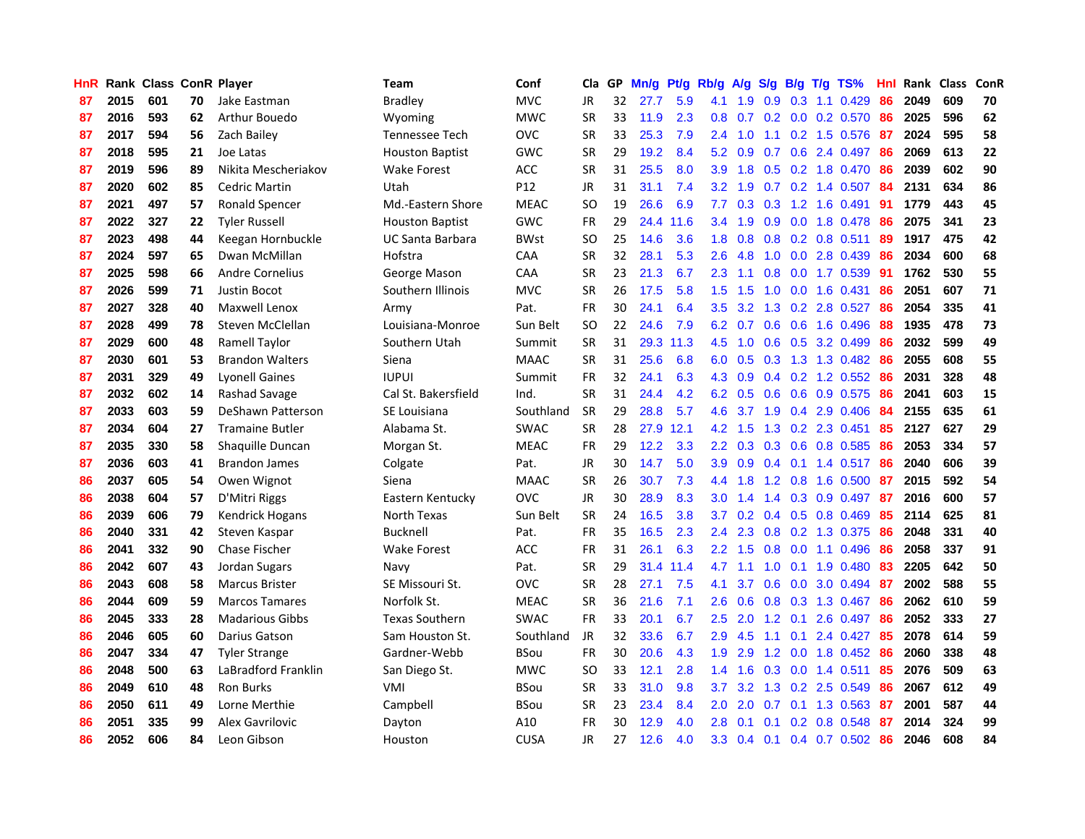| HnR |      | Rank Class ConR Player |    |                        | <b>Team</b>            | Conf        | Cla       |    | GP Mn/g | Pt/g Rb/g |                  | A/g             |     |                  | S/g B/g T/g TS%      | Hnl | Rank Class |     | ConR |
|-----|------|------------------------|----|------------------------|------------------------|-------------|-----------|----|---------|-----------|------------------|-----------------|-----|------------------|----------------------|-----|------------|-----|------|
| 87  | 2015 | 601                    | 70 | Jake Eastman           | <b>Bradley</b>         | <b>MVC</b>  | JR        | 32 | 27.7    | 5.9       | 4.1              | 1.9             | 0.9 | 0.3              | 1.1 0.429            | 86  | 2049       | 609 | 70   |
| 87  | 2016 | 593                    | 62 | Arthur Bouedo          | Wyoming                | <b>MWC</b>  | <b>SR</b> | 33 | 11.9    | 2.3       | 0.8              | 0.7             |     | $0.2 \quad 0.0$  | 0.2 0.570            | 86  | 2025       | 596 | 62   |
| 87  | 2017 | 594                    | 56 | Zach Bailey            | Tennessee Tech         | <b>OVC</b>  | <b>SR</b> | 33 | 25.3    | 7.9       | 2.4              | 1.0             | 1.1 |                  | $0.2$ 1.5 0.576      | -87 | 2024       | 595 | 58   |
| 87  | 2018 | 595                    | 21 | Joe Latas              | <b>Houston Baptist</b> | <b>GWC</b>  | <b>SR</b> | 29 | 19.2    | 8.4       |                  | $5.2\quad0.9$   |     |                  | 0.7 0.6 2.4 0.497    | -86 | 2069       | 613 | 22   |
| 87  | 2019 | 596                    | 89 | Nikita Mescheriakov    | <b>Wake Forest</b>     | <b>ACC</b>  | <b>SR</b> | 31 | 25.5    | 8.0       |                  | $3.9$ 1.8       |     |                  | 0.5 0.2 1.8 0.470 86 |     | 2039       | 602 | 90   |
| 87  | 2020 | 602                    | 85 | Cedric Martin          | Utah                   | P12         | JR        | 31 | 31.1    | 7.4       |                  | $3.2 \quad 1.9$ |     |                  | 0.7 0.2 1.4 0.507    | 84  | 2131       | 634 | 86   |
| 87  | 2021 | 497                    | 57 | Ronald Spencer         | Md.-Eastern Shore      | <b>MEAC</b> | SO.       | 19 | 26.6    | 6.9       | 7.7              | 0.3             | 0.3 |                  | 1.2 1.6 0.491        | 91  | 1779       | 443 | 45   |
| 87  | 2022 | 327                    | 22 | <b>Tyler Russell</b>   | <b>Houston Baptist</b> | <b>GWC</b>  | <b>FR</b> | 29 |         | 24.4 11.6 | 3.4              | 1.9             |     |                  | 0.9 0.0 1.8 0.478    | 86  | 2075       | 341 | 23   |
| 87  | 2023 | 498                    | 44 | Keegan Hornbuckle      | UC Santa Barbara       | <b>BWst</b> | <b>SO</b> | 25 | 14.6    | 3.6       | 1.8              | 0.8             |     |                  | 0.8 0.2 0.8 0.511    | 89  | 1917       | 475 | 42   |
| 87  | 2024 | 597                    | 65 | Dwan McMillan          | Hofstra                | CAA         | <b>SR</b> | 32 | 28.1    | 5.3       | 2.6              | 4.8             | 1.0 |                  | 0.0 2.8 0.439        | 86  | 2034       | 600 | 68   |
| 87  | 2025 | 598                    | 66 | <b>Andre Cornelius</b> | George Mason           | CAA         | <b>SR</b> | 23 | 21.3    | 6.7       | 2.3              | 1.1             | 0.8 |                  | 0.0 1.7 0.539        | 91  | 1762       | 530 | 55   |
| 87  | 2026 | 599                    | 71 | Justin Bocot           | Southern Illinois      | <b>MVC</b>  | <b>SR</b> | 26 | 17.5    | 5.8       | 1.5              | 1.5             | 1.0 | 0.0              | $1.6 \t0.431$        | 86  | 2051       | 607 | 71   |
| 87  | 2027 | 328                    | 40 | Maxwell Lenox          | Army                   | Pat.        | <b>FR</b> | 30 | 24.1    | 6.4       | 3.5              | 3.2             | 1.3 | 0.2              | 2.8 0.527            | 86  | 2054       | 335 | 41   |
| 87  | 2028 | 499                    | 78 | Steven McClellan       | Louisiana-Monroe       | Sun Belt    | <b>SO</b> | 22 | 24.6    | 7.9       | 6.2              | 0.7             | 0.6 | 0.6              | 1.6 0.496            | 88  | 1935       | 478 | 73   |
| 87  | 2029 | 600                    | 48 | Ramell Taylor          | Southern Utah          | Summit      | <b>SR</b> | 31 |         | 29.3 11.3 | 4.5              | 1.0             | 0.6 | 0.5              | 3.2 0.499            | 86  | 2032       | 599 | 49   |
| 87  | 2030 | 601                    | 53 | <b>Brandon Walters</b> | Siena                  | <b>MAAC</b> | <b>SR</b> | 31 | 25.6    | 6.8       | 6.0              | 0.5             | 0.3 |                  | 1.3 1.3 0.482        | 86  | 2055       | 608 | 55   |
| 87  | 2031 | 329                    | 49 | <b>Lyonell Gaines</b>  | <b>IUPUI</b>           | Summit      | FR        | 32 | 24.1    | 6.3       | 4.3              | 0.9             |     |                  | $0.4$ 0.2 1.2 0.552  | -86 | 2031       | 328 | 48   |
| 87  | 2032 | 602                    | 14 | Rashad Savage          | Cal St. Bakersfield    | Ind.        | <b>SR</b> | 31 | 24.4    | 4.2       |                  | $6.2\quad0.5$   |     |                  | 0.6 0.6 0.9 0.575    | -86 | 2041       | 603 | 15   |
| 87  | 2033 | 603                    | 59 | DeShawn Patterson      | SE Louisiana           | Southland   | <b>SR</b> | 29 | 28.8    | 5.7       | 4.6              | 3.7             |     |                  | 1.9 0.4 2.9 0.406    | -84 | 2155       | 635 | 61   |
| 87  | 2034 | 604                    | 27 | <b>Tramaine Butler</b> | Alabama St.            | <b>SWAC</b> | <b>SR</b> | 28 | 27.9    | 12.1      |                  | 4.2 1.5         |     |                  | 1.3 0.2 2.3 0.451    | 85  | 2127       | 627 | 29   |
| 87  | 2035 | 330                    | 58 | Shaquille Duncan       | Morgan St.             | <b>MEAC</b> | <b>FR</b> | 29 | 12.2    | 3.3       | $2.2\,$          | 0.3             |     |                  | 0.3 0.6 0.8 0.585    | 86  | 2053       | 334 | 57   |
| 87  | 2036 | 603                    | 41 | <b>Brandon James</b>   | Colgate                | Pat.        | <b>JR</b> | 30 | 14.7    | 5.0       | 3.9              | 0.9             |     | $0.4 \quad 0.1$  | 1.4 0.517            | 86  | 2040       | 606 | 39   |
| 86  | 2037 | 605                    | 54 | Owen Wignot            | Siena                  | <b>MAAC</b> | <b>SR</b> | 26 | 30.7    | 7.3       | 4.4              | 1.8             |     |                  | 1.2 0.8 1.6 0.500    | -87 | 2015       | 592 | 54   |
| 86  | 2038 | 604                    | 57 | D'Mitri Riggs          | Eastern Kentucky       | <b>OVC</b>  | JR        | 30 | 28.9    | 8.3       | 3.0              | 1.4             | 1.4 |                  | 0.3 0.9 0.497        | -87 | 2016       | 600 | 57   |
| 86  | 2039 | 606                    | 79 | Kendrick Hogans        | North Texas            | Sun Belt    | <b>SR</b> | 24 | 16.5    | 3.8       | 3.7              | 0.2             |     |                  | 0.4 0.5 0.8 0.469    | 85  | 2114       | 625 | 81   |
| 86  | 2040 | 331                    | 42 | Steven Kaspar          | <b>Bucknell</b>        | Pat.        | <b>FR</b> | 35 | 16.5    | 2.3       | 2.4              | 2.3             | 0.8 | 0.2              | 1.3 0.375            | -86 | 2048       | 331 | 40   |
| 86  | 2041 | 332                    | 90 | Chase Fischer          | <b>Wake Forest</b>     | ACC         | <b>FR</b> | 31 | 26.1    | 6.3       | $2.2^{\circ}$    | 1.5             | 0.8 | 0.0              | 1.1 0.496            | 86  | 2058       | 337 | 91   |
| 86  | 2042 | 607                    | 43 | Jordan Sugars          | Navy                   | Pat.        | SR        | 29 |         | 31.4 11.4 | 4.7              | 1.1             | 1.0 | 0.1              | 1.9 0.480            | 83  | 2205       | 642 | 50   |
| 86  | 2043 | 608                    | 58 | <b>Marcus Brister</b>  | SE Missouri St.        | <b>OVC</b>  | <b>SR</b> | 28 | 27.1    | 7.5       | 4.1              | 3.7             | 0.6 | 0.0              | 3.0 0.494            | -87 | 2002       | 588 | 55   |
| 86  | 2044 | 609                    | 59 | <b>Marcos Tamares</b>  | Norfolk St.            | <b>MEAC</b> | <b>SR</b> | 36 | 21.6    | 7.1       | 2.6              | 0.6             |     |                  | $0.8$ 0.3 1.3 0.467  | -86 | 2062       | 610 | 59   |
| 86  | 2045 | 333                    | 28 | <b>Madarious Gibbs</b> | <b>Texas Southern</b>  | <b>SWAC</b> | <b>FR</b> | 33 | 20.1    | 6.7       | $2.5\,$          | 2.0             |     | $1.2 \quad 0.1$  | 2.6 0.497            | 86  | 2052       | 333 | 27   |
| 86  | 2046 | 605                    | 60 | Darius Gatson          | Sam Houston St.        | Southland   | JR        | 32 | 33.6    | 6.7       | 2.9              | 4.5             | 1.1 | 0.1              | 2.4 0.427            | 85  | 2078       | 614 | 59   |
| 86  | 2047 | 334                    | 47 | <b>Tyler Strange</b>   | Gardner-Webb           | <b>BSou</b> | <b>FR</b> | 30 | 20.6    | 4.3       | 1.9              | 2.9             |     |                  | 1.2 0.0 1.8 0.452    | 86  | 2060       | 338 | 48   |
| 86  | 2048 | 500                    | 63 | LaBradford Franklin    | San Diego St.          | <b>MWC</b>  | <b>SO</b> | 33 | 12.1    | 2.8       | 1.4              | 1.6             | 0.3 | 0.0              | 1.4 0.511            | 85  | 2076       | 509 | 63   |
| 86  | 2049 | 610                    | 48 | <b>Ron Burks</b>       | <b>VMI</b>             | <b>BSou</b> | <b>SR</b> | 33 | 31.0    | 9.8       | 3.7 <sub>2</sub> | 3.2             |     |                  | 1.3 0.2 2.5 0.549    | 86  | 2067       | 612 | 49   |
| 86  | 2050 | 611                    | 49 | Lorne Merthie          | Campbell               | <b>BSou</b> | <b>SR</b> | 23 | 23.4    | 8.4       | 2.0              | 2.0             | 0.7 | 0.1              | 1.3 0.563            | 87  | 2001       | 587 | 44   |
| 86  | 2051 | 335                    | 99 | <b>Alex Gavrilovic</b> | Dayton                 | A10         | FR        | 30 | 12.9    | 4.0       | 2.8              | 0.1             | 0.1 | 0.2 <sub>0</sub> | 0.8 0.548            | 87  | 2014       | 324 | 99   |
| 86  | 2052 | 606                    | 84 | Leon Gibson            | Houston                | <b>CUSA</b> | <b>JR</b> | 27 | 12.6    | 4.0       |                  | $3.3 \quad 0.4$ |     |                  | 0.1 0.4 0.7 0.502    | 86  | 2046       | 608 | 84   |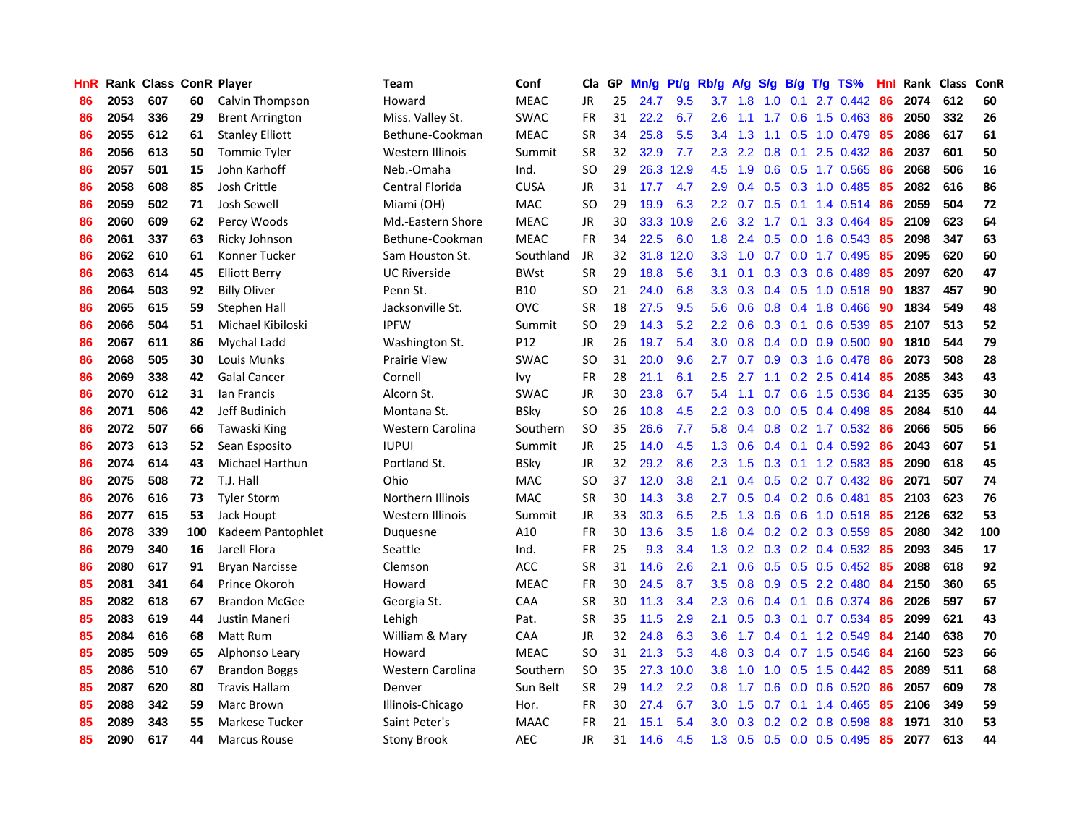| <b>HnR</b> |      | <b>Rank Class ConR Player</b> |     |                        | <b>Team</b>         | Conf            | Cla       |    | GP Mn/g Pt/g |           | Rb/g             | A/g             |                  |                 | S/g B/g T/g TS%           | Hnl | Rank Class |     | ConR |
|------------|------|-------------------------------|-----|------------------------|---------------------|-----------------|-----------|----|--------------|-----------|------------------|-----------------|------------------|-----------------|---------------------------|-----|------------|-----|------|
| 86         | 2053 | 607                           | 60  | Calvin Thompson        | Howard              | <b>MEAC</b>     | JR        | 25 | 24.7         | 9.5       | 3.7              | 1.8             | 1.0              | 0.1             | 2.7 0.442                 | 86  | 2074       | 612 | 60   |
| 86         | 2054 | 336                           | 29  | <b>Brent Arrington</b> | Miss. Valley St.    | <b>SWAC</b>     | <b>FR</b> | 31 | 22.2         | 6.7       | 2.6              | 1.1             | 1.7              | 0.6             | $1.5 \t0.463$             | 86  | 2050       | 332 | 26   |
| 86         | 2055 | 612                           | 61  | <b>Stanley Elliott</b> | Bethune-Cookman     | <b>MEAC</b>     | <b>SR</b> | 34 | 25.8         | 5.5       | 3.4              | 1.3             | 1.1              | 0.5             | 1.0 0.479                 | -85 | 2086       | 617 | 61   |
| 86         | 2056 | 613                           | 50  | <b>Tommie Tyler</b>    | Western Illinois    | Summit          | <b>SR</b> | 32 | 32.9         | 7.7       |                  | $2.3$ 2.2       | 0.8              | 0.1             | 2.5 0.432                 | -86 | 2037       | 601 | 50   |
| 86         | 2057 | 501                           | 15  | John Karhoff           | Neb.-Omaha          | Ind.            | SO.       | 29 |              | 26.3 12.9 | 4.5              | 1.9             |                  |                 | 0.6 0.5 1.7 0.565         | -86 | 2068       | 506 | 16   |
| 86         | 2058 | 608                           | 85  | Josh Crittle           | Central Florida     | <b>CUSA</b>     | JR        | 31 | 17.7         | 4.7       | 2.9              | 0.4             |                  |                 | $0.5$ $0.3$ 1.0 $0.485$   | -85 | 2082       | 616 | 86   |
| 86         | 2059 | 502                           | 71  | <b>Josh Sewell</b>     | Miami (OH)          | <b>MAC</b>      | <b>SO</b> | 29 | 19.9         | 6.3       | $2.2^{\circ}$    | 0.7             |                  |                 | $0.5$ 0.1 1.4 0.514       | 86  | 2059       | 504 | 72   |
| 86         | 2060 | 609                           | 62  | Percy Woods            | Md.-Eastern Shore   | <b>MEAC</b>     | JR        | 30 |              | 33.3 10.9 | 2.6              | 3.2             |                  |                 | 1.7 0.1 3.3 0.464         | 85  | 2109       | 623 | 64   |
| 86         | 2061 | 337                           | 63  | Ricky Johnson          | Bethune-Cookman     | <b>MEAC</b>     | FR        | 34 | 22.5         | 6.0       | 1.8              | 2.4             | 0.5              | 0.0             | 1.6 0.543                 | 85  | 2098       | 347 | 63   |
| 86         | 2062 | 610                           | 61  | Konner Tucker          | Sam Houston St.     | Southland       | JR        | 32 | 31.8         | 12.0      | 3.3 <sub>1</sub> | 1.0             | 0.7              |                 | 0.0 1.7 0.495             | 85  | 2095       | 620 | 60   |
| 86         | 2063 | 614                           | 45  | <b>Elliott Berry</b>   | <b>UC Riverside</b> | <b>BWst</b>     | <b>SR</b> | 29 | 18.8         | 5.6       | 3.1              | 0.1             |                  |                 | $0.3$ $0.3$ $0.6$ $0.489$ | 85  | 2097       | 620 | 47   |
| 86         | 2064 | 503                           | 92  | <b>Billy Oliver</b>    | Penn St.            | <b>B10</b>      | <b>SO</b> | 21 | 24.0         | 6.8       | 3.3              | 0.3             |                  |                 | 0.4 0.5 1.0 0.518         | 90  | 1837       | 457 | 90   |
| 86         | 2065 | 615                           | 59  | Stephen Hall           | Jacksonville St.    | <b>OVC</b>      | <b>SR</b> | 18 | 27.5         | 9.5       | 5.6              | 0.6             | 0.8              | 0.4             | 1.8 0.466                 | 90  | 1834       | 549 | 48   |
| 86         | 2066 | 504                           | 51  | Michael Kibiloski      | <b>IPFW</b>         | Summit          | <b>SO</b> | 29 | 14.3         | 5.2       | $2.2^{\circ}$    | 0.6             | 0.3              | 0.1             | 0.6 0.539                 | 85  | 2107       | 513 | 52   |
| 86         | 2067 | 611                           | 86  | Mychal Ladd            | Washington St.      | P <sub>12</sub> | JR        | 26 | 19.7         | 5.4       | 3.0              | 0.8             |                  | $0.4\quad 0.0$  | 0.9 0.500                 | 90  | 1810       | 544 | 79   |
| 86         | 2068 | 505                           | 30  | Louis Munks            | Prairie View        | <b>SWAC</b>     | <b>SO</b> | 31 | 20.0         | 9.6       | 2.7              | 0.7             | 0.9 <sub>o</sub> |                 | 0.3 1.6 0.478             | 86  | 2073       | 508 | 28   |
| 86         | 2069 | 338                           | 42  | <b>Galal Cancer</b>    | Cornell             | Ivy             | <b>FR</b> | 28 | 21.1         | 6.1       | 2.5              | 2.7             | 1.1              |                 | $0.2$ 2.5 0.414           | 85  | 2085       | 343 | 43   |
| 86         | 2070 | 612                           | 31  | lan Francis            | Alcorn St.          | SWAC            | JR        | 30 | 23.8         | 6.7       |                  | $5.4$ 1.1       |                  |                 | $0.7$ $0.6$ 1.5 $0.536$   | -84 | 2135       | 635 | 30   |
| 86         | 2071 | 506                           | 42  | Jeff Budinich          | Montana St.         | <b>BSky</b>     | <b>SO</b> | 26 | 10.8         | 4.5       |                  | $2.2 \quad 0.3$ |                  |                 | $0.0$ $0.5$ $0.4$ $0.498$ | -85 | 2084       | 510 | 44   |
| 86         | 2072 | 507                           | 66  | Tawaski King           | Western Carolina    | Southern        | <b>SO</b> | 35 | 26.6         | 7.7       |                  | 5.8 0.4         |                  |                 | $0.8$ 0.2 1.7 0.532       | -86 | 2066       | 505 | 66   |
| 86         | 2073 | 613                           | 52  | Sean Esposito          | <b>IUPUI</b>        | Summit          | <b>JR</b> | 25 | 14.0         | 4.5       | 1.3              | 0.6             |                  |                 | $0.4$ 0.1 0.4 0.592       | 86  | 2043       | 607 | 51   |
| 86         | 2074 | 614                           | 43  | Michael Harthun        | Portland St.        | <b>BSky</b>     | JR        | 32 | 29.2         | 8.6       | 2.3              | 1.5             |                  |                 | 0.3 0.1 1.2 0.583         | 85  | 2090       | 618 | 45   |
| 86         | 2075 | 508                           | 72  | T.J. Hall              | Ohio                | <b>MAC</b>      | SO.       | 37 | 12.0         | 3.8       | 2.1              | 0.4             |                  |                 | $0.5$ $0.2$ $0.7$ $0.432$ | 86  | 2071       | 507 | 74   |
| 86         | 2076 | 616                           | 73  | <b>Tyler Storm</b>     | Northern Illinois   | <b>MAC</b>      | <b>SR</b> | 30 | 14.3         | 3.8       | 2.7              | 0.5             |                  |                 | $0.4$ 0.2 0.6 0.481       | 85  | 2103       | 623 | 76   |
| 86         | 2077 | 615                           | 53  | Jack Houpt             | Western Illinois    | Summit          | JR        | 33 | 30.3         | 6.5       | 2.5              | 1.3             |                  |                 | 0.6 0.6 1.0 0.518         | 85  | 2126       | 632 | 53   |
| 86         | 2078 | 339                           | 100 | Kadeem Pantophlet      | Duquesne            | A10             | FR        | 30 | 13.6         | 3.5       | 1.8              | 0.4             |                  |                 | $0.2$ 0.2 0.3 0.559       | -85 | 2080       | 342 | 100  |
| 86         | 2079 | 340                           | 16  | Jarell Flora           | Seattle             | Ind.            | FR        | 25 | 9.3          | 3.4       | 1.3              | 0.2             |                  |                 | $0.3$ $0.2$ $0.4$ $0.532$ | 85  | 2093       | 345 | 17   |
| 86         | 2080 | 617                           | 91  | <b>Bryan Narcisse</b>  | Clemson             | <b>ACC</b>      | <b>SR</b> | 31 | 14.6         | 2.6       | 2.1              | 0.6             |                  |                 | $0.5$ $0.5$ $0.5$ $0.452$ | 85  | 2088       | 618 | 92   |
| 85         | 2081 | 341                           | 64  | Prince Okoroh          | Howard              | <b>MEAC</b>     | <b>FR</b> | 30 | 24.5         | 8.7       | 3.5              | 0.8             |                  | $0.9\quad 0.5$  | 2.2 0.480                 | 84  | 2150       | 360 | 65   |
| 85         | 2082 | 618                           | 67  | <b>Brandon McGee</b>   | Georgia St.         | CAA             | <b>SR</b> | 30 | 11.3         | 3.4       | 2.3              | 0.6             |                  | $0.4 \quad 0.1$ | 0.6 0.374                 | -86 | 2026       | 597 | 67   |
| 85         | 2083 | 619                           | 44  | Justin Maneri          | Lehigh              | Pat.            | <b>SR</b> | 35 | 11.5         | 2.9       | 2.1              | 0.5             |                  | $0.3 \quad 0.1$ | 0.7 0.534                 | 85  | 2099       | 621 | 43   |
| 85         | 2084 | 616                           | 68  | Matt Rum               | William & Mary      | CAA             | JR        | 32 | 24.8         | 6.3       | 3.6 <sup>°</sup> | 1.7             |                  |                 | 0.4 0.1 1.2 0.549         | 84  | 2140       | 638 | 70   |
| 85         | 2085 | 509                           | 65  | Alphonso Leary         | Howard              | <b>MEAC</b>     | <b>SO</b> | 31 | 21.3         | 5.3       |                  | $4.8\quad 0.3$  |                  |                 | 0.4 0.7 1.5 0.546         | 84  | 2160       | 523 | 66   |
| 85         | 2086 | 510                           | 67  | <b>Brandon Boggs</b>   | Western Carolina    | Southern        | <b>SO</b> | 35 | 27.3         | 10.0      | 3.8 <sup>°</sup> | 1.0             |                  | $1.0 \quad 0.5$ | 1.5 0.442                 | 85  | 2089       | 511 | 68   |
| 85         | 2087 | 620                           | 80  | <b>Travis Hallam</b>   | Denver              | Sun Belt        | <b>SR</b> | 29 | 14.2         | 2.2       | 0.8 <sub>0</sub> | 1.7             | 0.6              |                 | $0.0$ 0.6 0.520           | 86  | 2057       | 609 | 78   |
| 85         | 2088 | 342                           | 59  | Marc Brown             | Illinois-Chicago    | Hor.            | <b>FR</b> | 30 | 27.4         | 6.7       | 3.0 <sub>2</sub> | 1.5             | 0.7              | 0.1             | 1.4 0.465                 | 85  | 2106       | 349 | 59   |
| 85         | 2089 | 343                           | 55  | Markese Tucker         | Saint Peter's       | <b>MAAC</b>     | <b>FR</b> | 21 | 15.1         | 5.4       | 3.0 <sub>2</sub> | 0.3             | 0.2              | 0.2             | 0.8 0.598                 | 88  | 1971       | 310 | 53   |
| 85         | 2090 | 617                           | 44  | <b>Marcus Rouse</b>    | <b>Stony Brook</b>  | AEC             | JR        | 31 | 14.6         | 4.5       | 1.3 <sup>1</sup> |                 |                  |                 | 0.5 0.5 0.0 0.5 0.495     | 85  | 2077       | 613 | 44   |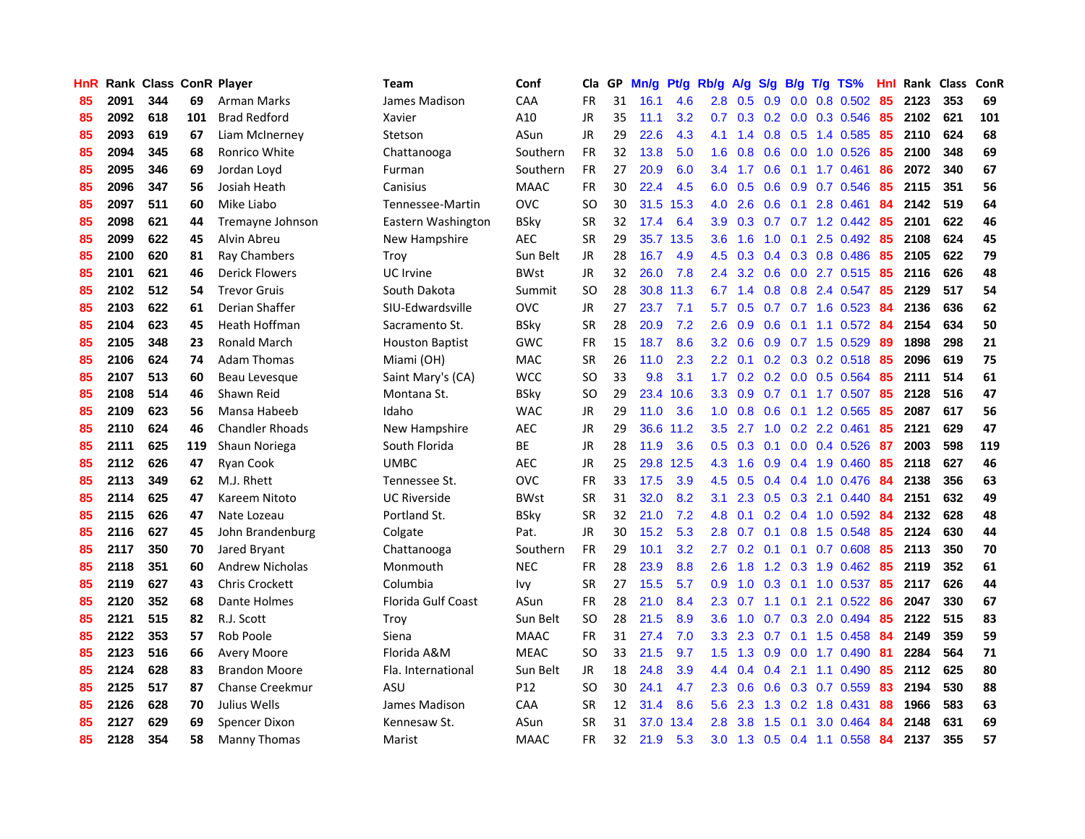| <b>HnR</b> |      | Rank Class ConR Player |     |                        | Team                   | Conf        | Cla       |    | GP Mn/g Pt/g |           | Rb/g             | A/g             |           |                 | S/g B/g T/g TS%          | Hnl | Rank Class |     | <b>ConR</b> |
|------------|------|------------------------|-----|------------------------|------------------------|-------------|-----------|----|--------------|-----------|------------------|-----------------|-----------|-----------------|--------------------------|-----|------------|-----|-------------|
| 85         | 2091 | 344                    | 69  | Arman Marks            | James Madison          | CAA         | FR        | 31 | 16.1         | 4.6       | 2.8              | 0.5             | 0.9       | 0.0             | 0.8 0.502                | 85  | 2123       | 353 | 69          |
| 85         | 2092 | 618                    | 101 | <b>Brad Redford</b>    | Xavier                 | A10         | JR        | 35 | 11.1         | 3.2       | 0.7              | 0.3             | 0.2       | 0.0             | 0.3 0.546                | 85  | 2102       | 621 | 101         |
| 85         | 2093 | 619                    | 67  | Liam McInerney         | Stetson                | ASun        | <b>JR</b> | 29 | 22.6         | 4.3       | 4.1              | 1.4             | 0.8       | 0.5             | 1.4 0.585                | 85  | 2110       | 624 | 68          |
| 85         | 2094 | 345                    | 68  | Ronrico White          | Chattanooga            | Southern    | <b>FR</b> | 32 | 13.8         | 5.0       | 1.6              | 0.8             | 0.6       | 0.0             | 1.0 0.526                | 85  | 2100       | 348 | 69          |
| 85         | 2095 | 346                    | 69  | Jordan Loyd            | Furman                 | Southern    | FR        | 27 | 20.9         | 6.0       |                  | $3.4$ 1.7       |           |                 | 0.6 0.1 1.7 0.461        | 86  | 2072       | 340 | 67          |
| 85         | 2096 | 347                    | 56  | Josiah Heath           | Canisius               | <b>MAAC</b> | <b>FR</b> | 30 | 22.4         | 4.5       | 6.0              | 0.5             |           |                 | 0.6 0.9 0.7 0.546        | 85  | 2115       | 351 | 56          |
| 85         | 2097 | 511                    | 60  | Mike Liabo             | Tennessee-Martin       | <b>OVC</b>  | SO.       | 30 |              | 31.5 15.3 | 4.0              | 2.6             |           |                 | $0.6$ $0.1$ 2.8 $0.461$  | 84  | 2142       | 519 | 64          |
| 85         | 2098 | 621                    | 44  | Tremayne Johnson       | Eastern Washington     | BSkv        | <b>SR</b> | 32 | 17.4         | 6.4       | 3.9              | 0.3             |           |                 | $0.7$ $0.7$ 1.2 $0.442$  | 85  | 2101       | 622 | 46          |
| 85         | 2099 | 622                    | 45  | Alvin Abreu            | New Hampshire          | <b>AEC</b>  | <b>SR</b> | 29 |              | 35.7 13.5 | 3.6              | 1.6             | 1.0       | 0.1             | 2.5 0.492                | 85  | 2108       | 624 | 45          |
| 85         | 2100 | 620                    | 81  | Ray Chambers           | Troy                   | Sun Belt    | JR        | 28 | 16.7         | 4.9       | 4.5              | 0.3             |           |                 | 0.4 0.3 0.8 0.486        | 85  | 2105       | 622 | 79          |
| 85         | 2101 | 621                    | 46  | <b>Derick Flowers</b>  | <b>UC</b> Irvine       | <b>BWst</b> | JR        | 32 | 26.0         | 7.8       | $2.4^{\circ}$    | 3.2             |           |                 | $0.6$ $0.0$ 2.7 $0.515$  | 85  | 2116       | 626 | 48          |
| 85         | 2102 | 512                    | 54  | <b>Trevor Gruis</b>    | South Dakota           | Summit      | <b>SO</b> | 28 |              | 30.8 11.3 | 6.7              | 1.4             |           |                 | 0.8 0.8 2.4 0.547        | 85  | 2129       | 517 | 54          |
| 85         | 2103 | 622                    | 61  | Derian Shaffer         | SIU-Edwardsville       | <b>OVC</b>  | <b>JR</b> | 27 | 23.7         | 7.1       | 5.7              | 0.5             | 0.7       |                 | $0.7$ 1.6 0.523          | 84  | 2136       | 636 | 62          |
| 85         | 2104 | 623                    | 45  | <b>Heath Hoffman</b>   | Sacramento St.         | <b>BSky</b> | <b>SR</b> | 28 | 20.9         | 7.2       | 2.6              | 0.9             | 0.6       |                 | $0.1$ 1.1 $0.572$        | 84  | 2154       | 634 | 50          |
| 85         | 2105 | 348                    | 23  | Ronald March           | <b>Houston Baptist</b> | GWC         | FR        | 15 | 18.7         | 8.6       | 3.2 <sub>2</sub> | 0.6             | 0.9       |                 | $0.7$ 1.5 $0.529$        | 89  | 1898       | 298 | 21          |
| 85         | 2106 | 624                    | 74  | <b>Adam Thomas</b>     | Miami (OH)             | <b>MAC</b>  | <b>SR</b> | 26 | 11.0         | 2.3       | $2.2^{\circ}$    | 0.1             |           | $0.2 \quad 0.3$ | $0.2$ 0.518              | 85  | 2096       | 619 | 75          |
| 85         | 2107 | 513                    | 60  | Beau Levesque          | Saint Mary's (CA)      | <b>WCC</b>  | SO.       | 33 | 9.8          | 3.1       | 1.7 <sup>2</sup> |                 |           |                 | $0.2$ 0.2 0.0 0.5 0.564  | -85 | 2111       | 514 | 61          |
| 85         | 2108 | 514                    | 46  | Shawn Reid             | Montana St.            | <b>BSky</b> | <b>SO</b> | 29 | 23.4         | 10.6      | 3.3 <sub>2</sub> | 0.9             |           |                 | $0.7$ 0.1 1.7 0.507      | -85 | 2128       | 516 | 47          |
| 85         | 2109 | 623                    | 56  | Mansa Habeeb           | Idaho                  | <b>WAC</b>  | JR        | 29 | 11.0         | 3.6       |                  | $1.0 \t0.8$     |           |                 | 0.6 0.1 1.2 0.565        | 85  | 2087       | 617 | 56          |
| 85         | 2110 | 624                    | 46  | <b>Chandler Rhoads</b> | New Hampshire          | <b>AEC</b>  | JR        | 29 | 36.6         | 11.2      | 3.5              | 2.7             |           |                 | 1.0 0.2 2.2 0.461        | 85  | 2121       | 629 | 47          |
| 85         | 2111 | 625                    | 119 | Shaun Noriega          | South Florida          | <b>BE</b>   | JR        | 28 | 11.9         | 3.6       |                  | $0.5 \quad 0.3$ |           |                 | 0.1 0.0 0.4 0.526        | -87 | 2003       | 598 | 119         |
| 85         | 2112 | 626                    | 47  | <b>Ryan Cook</b>       | <b>UMBC</b>            | AEC         | JR        | 25 | 29.8         | 12.5      | 4.3              | 1.6             |           |                 | $0.9$ 0.4 1.9 0.460      | -85 | 2118       | 627 | 46          |
| 85         | 2113 | 349                    | 62  | M.J. Rhett             | Tennessee St.          | <b>OVC</b>  | <b>FR</b> | 33 | $17.5$       | 3.9       | 4.5              | 0.5             |           |                 | $0.4$ 0.4 1.0 0.476      | 84  | 2138       | 356 | 63          |
| 85         | 2114 | 625                    | 47  | Kareem Nitoto          | <b>UC Riverside</b>    | <b>BWst</b> | <b>SR</b> | 31 | 32.0         | 8.2       | 3.1              | 2.3             |           |                 | $0.5$ $0.3$ 2.1 $0.440$  | -84 | 2151       | 632 | 49          |
| 85         | 2115 | 626                    | 47  | Nate Lozeau            | Portland St.           | <b>BSky</b> | <b>SR</b> | 32 | 21.0         | 7.2       | 4.8              | 0.1             |           |                 | $0.2$ 0.4 1.0 0.592      | 84  | 2132       | 628 | 48          |
| 85         | 2116 | 627                    | 45  | John Brandenburg       | Colgate                | Pat.        | JR        | 30 | 15.2         | 5.3       | 2.8              | 0.7             | 0.1       |                 | 0.8 1.5 0.548            | 85  | 2124       | 630 | 44          |
| 85         | 2117 | 350                    | 70  | Jared Bryant           | Chattanooga            | Southern    | <b>FR</b> | 29 | 10.1         | 3.2       | 2.7              | 0.2             | 0.1       | 0.1             | 0.7 0.608                | 85  | 2113       | 350 | 70          |
| 85         | 2118 | 351                    | 60  | Andrew Nicholas        | Monmouth               | <b>NEC</b>  | <b>FR</b> | 28 | 23.9         | 8.8       | 2.6              | 1.8             |           |                 | 1.2 0.3 1.9 0.462        | 85  | 2119       | 352 | 61          |
| 85         | 2119 | 627                    | 43  | <b>Chris Crockett</b>  | Columbia               | Ivy         | <b>SR</b> | 27 | 15.5         | 5.7       | 0.9              | 1.0             | 0.3       | 0.1             | 1.0 0.537                | 85  | 2117       | 626 | 44          |
| 85         | 2120 | 352                    | 68  | Dante Holmes           | Florida Gulf Coast     | ASun        | FR        | 28 | 21.0         | 8.4       | $2.3^{\circ}$    | 0.7             | 1.1       | 0.1             | 2.1 0.522                | 86  | 2047       | 330 | 67          |
| 85         | 2121 | 515                    | 82  | R.J. Scott             | Troy                   | Sun Belt    | <b>SO</b> | 28 | 21.5         | 8.9       | 3.6              | 1.0             | 0.7       |                 | 0.3 2.0 0.494            | 85  | 2122       | 515 | 83          |
| 85         | 2122 | 353                    | 57  | Rob Poole              | Siena                  | <b>MAAC</b> | <b>FR</b> | 31 | 27.4         | 7.0       | 3.3 <sub>2</sub> | 2.3             |           |                 | 0.7 0.1 1.5 0.458        | -84 | 2149       | 359 | 59          |
| 85         | 2123 | 516                    | 66  | <b>Avery Moore</b>     | Florida A&M            | <b>MEAC</b> | SO.       | 33 | 21.5         | 9.7       | 1.5 <sup>1</sup> |                 |           |                 | 1.3 0.9 0.0 1.7 0.490 81 |     | 2284       | 564 | 71          |
| 85         | 2124 | 628                    | 83  | <b>Brandon Moore</b>   | Fla. International     | Sun Belt    | JR        | 18 | 24.8         | 3.9       |                  | 4.4 0.4         | $0.4$ 2.1 |                 | 1.1 0.490                | 85  | 2112       | 625 | 80          |
| 85         | 2125 | 517                    | 87  | <b>Chanse Creekmur</b> | ASU                    | P12         | SO.       | 30 | 24.1         | 4.7       | $2.3^{\circ}$    | 0.6             |           |                 | 0.6 0.3 0.7 0.559        | 83  | 2194       | 530 | 88          |
| 85         | 2126 | 628                    | 70  | Julius Wells           | James Madison          | CAA         | <b>SR</b> | 12 | 31.4         | 8.6       | 5.6              | 2.3             | 1.3       | 0.2             | 1.8 0.431                | 88  | 1966       | 583 | 63          |
| 85         | 2127 | 629                    | 69  | Spencer Dixon          | Kennesaw St.           | ASun        | <b>SR</b> | 31 | 37.0         | 13.4      | 2.8              | 3.8             | 1.5       | 0.1             | 3.0 0.464                | 84  | 2148       | 631 | 69          |
| 85         | 2128 | 354                    | 58  | Manny Thomas           | Marist                 | <b>MAAC</b> | FR        | 32 | 21.9         | 5.3       | 3.0 <sub>1</sub> |                 |           |                 | 1.3 0.5 0.4 1.1 0.558    | 84  | 2137       | 355 | 57          |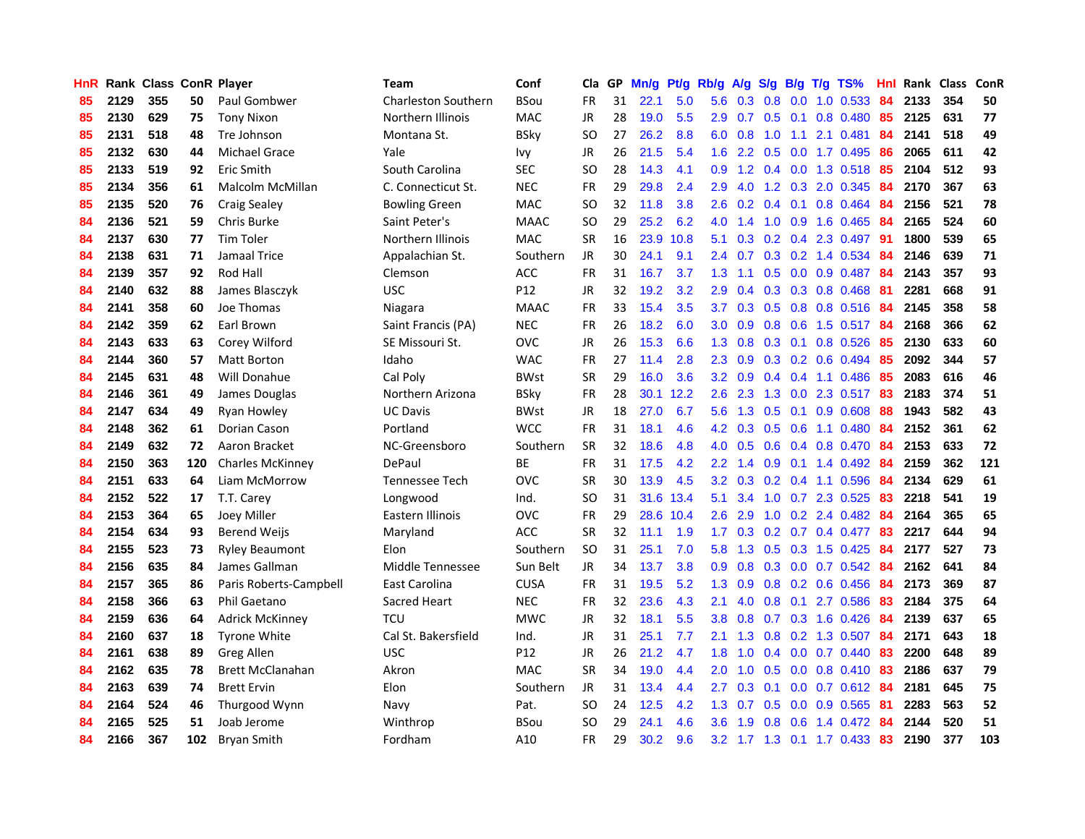| <b>HnR</b> |      | Rank Class ConR Player |     |                         | Team                       | Conf        |           |    | Cla GP Mn/g Pt/g Rb/g A/g S/g B/g T/g TS% |           |                  |                 |     |                 |                              | Hnl | Rank Class |     | ConR |
|------------|------|------------------------|-----|-------------------------|----------------------------|-------------|-----------|----|-------------------------------------------|-----------|------------------|-----------------|-----|-----------------|------------------------------|-----|------------|-----|------|
| 85         | 2129 | 355                    | 50  | Paul Gombwer            | <b>Charleston Southern</b> | <b>BSou</b> | <b>FR</b> | 31 | 22.1                                      | 5.0       | 5.6              | 0.3             | 0.8 | 0.0             | 1.0 0.533                    | 84  | 2133       | 354 | 50   |
| 85         | 2130 | 629                    | 75  | <b>Tony Nixon</b>       | Northern Illinois          | <b>MAC</b>  | <b>JR</b> | 28 | 19.0                                      | 5.5       | 2.9              | 0.7             | 0.5 | 0.1             | 0.8 0.480                    | 85  | 2125       | 631 | 77   |
| 85         | 2131 | 518                    | 48  | Tre Johnson             | Montana St.                | <b>BSky</b> | <b>SO</b> | 27 | 26.2                                      | 8.8       | 6.0              | 0.8             | 1.0 | 1.1             | 2.1 0.481                    | 84  | 2141       | 518 | 49   |
| 85         | 2132 | 630                    | 44  | <b>Michael Grace</b>    | Yale                       | Ivy         | JR        | 26 | 21.5                                      | 5.4       |                  | $1.6$ 2.2       |     |                 | 0.5 0.0 1.7 0.495            | -86 | 2065       | 611 | 42   |
| 85         | 2133 | 519                    | 92  | Eric Smith              | South Carolina             | <b>SEC</b>  | <b>SO</b> | 28 | 14.3                                      | 4.1       |                  |                 |     |                 | 0.9 1.2 0.4 0.0 1.3 0.518 85 |     | 2104       | 512 | 93   |
| 85         | 2134 | 356                    | 61  | Malcolm McMillan        | C. Connecticut St.         | <b>NEC</b>  | <b>FR</b> | 29 | 29.8                                      | 2.4       | 2.9              | 4.0             |     |                 | 1.2 0.3 2.0 0.345            | -84 | 2170       | 367 | 63   |
| 85         | 2135 | 520                    | 76  | <b>Craig Sealey</b>     | <b>Bowling Green</b>       | <b>MAC</b>  | <b>SO</b> | 32 | 11.8                                      | 3.8       | $2.6\,$          | 0.2             |     |                 | $0.4$ 0.1 0.8 0.464          | 84  | 2156       | 521 | 78   |
| 84         | 2136 | 521                    | 59  | Chris Burke             | Saint Peter's              | <b>MAAC</b> | <b>SO</b> | 29 | 25.2                                      | 6.2       | 4.0              | 1.4             |     |                 | 1.0 0.9 1.6 0.465            | 84  | 2165       | 524 | 60   |
| 84         | 2137 | 630                    | 77  | <b>Tim Toler</b>        | Northern Illinois          | <b>MAC</b>  | <b>SR</b> | 16 | 23.9                                      | 10.8      | 5.1              | 0.3             |     |                 | 0.2 0.4 2.3 0.497            | 91  | 1800       | 539 | 65   |
| 84         | 2138 | 631                    | 71  | Jamaal Trice            | Appalachian St.            | Southern    | JR        | 30 | 24.1                                      | 9.1       | 2.4              | 0.7             |     |                 | 0.3 0.2 1.4 0.534            | 84  | 2146       | 639 | 71   |
| 84         | 2139 | 357                    | 92  | Rod Hall                | Clemson                    | ACC         | <b>FR</b> | 31 | 16.7                                      | 3.7       | 1.3              | 1.1             |     |                 | $0.5$ 0.0 0.9 0.487          | 84  | 2143       | 357 | 93   |
| 84         | 2140 | 632                    | 88  | James Blasczyk          | <b>USC</b>                 | P12         | <b>JR</b> | 32 | 19.2                                      | 3.2       | 2.9              | 0.4             |     |                 | $0.3$ $0.3$ $0.8$ $0.468$    | -81 | 2281       | 668 | 91   |
| 84         | 2141 | 358                    | 60  | Joe Thomas              | Niagara                    | <b>MAAC</b> | <b>FR</b> | 33 | 15.4                                      | 3.5       | 3.7              | 0.3             | 0.5 | 0.8             | 0.8 0.516                    | -84 | 2145       | 358 | 58   |
| 84         | 2142 | 359                    | 62  | Earl Brown              | Saint Francis (PA)         | <b>NEC</b>  | <b>FR</b> | 26 | 18.2                                      | 6.0       | 3.0              | 0.9             | 0.8 | 0.6             | 1.5 0.517                    | 84  | 2168       | 366 | 62   |
| 84         | 2143 | 633                    | 63  | Corey Wilford           | SE Missouri St.            | <b>OVC</b>  | JR        | 26 | 15.3                                      | 6.6       | 1.3              | 0.8             |     | $0.3 \quad 0.1$ | 0.8 0.526                    | 85  | 2130       | 633 | 60   |
| 84         | 2144 | 360                    | 57  | <b>Matt Borton</b>      | Idaho                      | <b>WAC</b>  | <b>FR</b> | 27 | 11.4                                      | 2.8       | $2.3\phantom{0}$ | 0.9             |     |                 | $0.3$ 0.2 0.6 0.494          | -85 | 2092       | 344 | 57   |
| 84         | 2145 | 631                    | 48  | Will Donahue            | Cal Poly                   | <b>BWst</b> | <b>SR</b> | 29 | 16.0                                      | 3.6       |                  | $3.2 \quad 0.9$ |     |                 | $0.4$ 0.4 1.1 0.486          | -85 | 2083       | 616 | 46   |
| 84         | 2146 | 361                    | 49  | James Douglas           | Northern Arizona           | <b>BSky</b> | FR        | 28 |                                           | 30.1 12.2 |                  | $2.6$ 2.3       |     |                 | 1.3 0.0 2.3 0.517 83         |     | 2183       | 374 | 51   |
| 84         | 2147 | 634                    | 49  | Ryan Howley             | <b>UC Davis</b>            | <b>BWst</b> | <b>JR</b> | 18 | 27.0                                      | 6.7       |                  |                 |     |                 | 5.6 1.3 0.5 0.1 0.9 0.608    | 88  | 1943       | 582 | 43   |
| 84         | 2148 | 362                    | 61  | Dorian Cason            | Portland                   | <b>WCC</b>  | <b>FR</b> | 31 | 18.1                                      | 4.6       |                  | $4.2 \quad 0.3$ |     |                 | $0.5$ 0.6 1.1 0.480          | -84 | 2152       | 361 | 62   |
| 84         | 2149 | 632                    | 72  | Aaron Bracket           | NC-Greensboro              | Southern    | <b>SR</b> | 32 | 18.6                                      | 4.8       | 4.0              | 0.5             |     |                 | $0.6$ $0.4$ $0.8$ $0.470$    | -84 | 2153       | 633 | 72   |
| 84         | 2150 | 363                    | 120 | <b>Charles McKinney</b> | DePaul                     | BE          | <b>FR</b> | 31 | 17.5                                      | 4.2       | $2.2^{\circ}$    | 1.4             |     |                 | $0.9$ 0.1 1.4 0.492          | 84  | 2159       | 362 | 121  |
| 84         | 2151 | 633                    | 64  | Liam McMorrow           | Tennessee Tech             | <b>OVC</b>  | <b>SR</b> | 30 | 13.9                                      | 4.5       | 3.2              | 0.3             |     |                 | $0.2$ $0.4$ 1.1 0.596        | 84  | 2134       | 629 | 61   |
| 84         | 2152 | 522                    | 17  | T.T. Carey              | Longwood                   | Ind.        | SO.       | 31 |                                           | 31.6 13.4 | 5.1              | 3.4             |     |                 | 1.0 0.7 2.3 0.525            | 83  | 2218       | 541 | 19   |
| 84         | 2153 | 364                    | 65  | Joey Miller             | Eastern Illinois           | <b>OVC</b>  | FR        | 29 |                                           | 28.6 10.4 | 2.6              | 2.9             |     |                 | 1.0 0.2 2.4 0.482            | -84 | 2164       | 365 | 65   |
| 84         | 2154 | 634                    | 93  | <b>Berend Weijs</b>     | Maryland                   | <b>ACC</b>  | <b>SR</b> | 32 | 11.1                                      | 1.9       | 1.7 <sup>2</sup> | 0.3             |     |                 | $0.2$ 0.7 0.4 0.477          | 83  | 2217       | 644 | 94   |
| 84         | 2155 | 523                    | 73  | <b>Ryley Beaumont</b>   | Elon                       | Southern    | <b>SO</b> | 31 | 25.1                                      | 7.0       | 5.8              | 1.3             | 0.5 |                 | $0.3$ 1.5 0.425              | 84  | 2177       | 527 | 73   |
| 84         | 2156 | 635                    | 84  | James Gallman           | Middle Tennessee           | Sun Belt    | <b>JR</b> | 34 | 13.7                                      | 3.8       | 0.9              | 0.8             |     |                 | 0.3 0.0 0.7 0.542            | -84 | 2162       | 641 | 84   |
| 84         | 2157 | 365                    | 86  | Paris Roberts-Campbell  | East Carolina              | <b>CUSA</b> | <b>FR</b> | 31 | 19.5                                      | 5.2       | 1.3              | 0.9             |     |                 | $0.8$ 0.2 0.6 0.456          | 84  | 2173       | 369 | 87   |
| 84         | 2158 | 366                    | 63  | Phil Gaetano            | Sacred Heart               | <b>NEC</b>  | <b>FR</b> | 32 | 23.6                                      | 4.3       | 2.1              | 4.0             |     |                 | 0.8 0.1 2.7 0.586            | 83  | 2184       | 375 | 64   |
| 84         | 2159 | 636                    | 64  | <b>Adrick McKinney</b>  | TCU                        | <b>MWC</b>  | JR        | 32 | 18.1                                      | 5.5       | 3.8              | 0.8             |     |                 | 0.7 0.3 1.6 0.426            | -84 | 2139       | 637 | 65   |
| 84         | 2160 | 637                    | 18  | <b>Tyrone White</b>     | Cal St. Bakersfield        | Ind.        | JR        | 31 | 25.1                                      | 7.7       | 2.1              | 1.3             |     |                 | 0.8 0.2 1.3 0.507            | -84 | 2171       | 643 | 18   |
| 84         | 2161 | 638                    | 89  | <b>Greg Allen</b>       | <b>USC</b>                 | P12         | <b>JR</b> | 26 | 21.2                                      | 4.7       | $1.8-$           | 1.0             |     |                 | $0.4$ 0.0 0.7 0.440          | 83  | 2200       | 648 | 89   |
| 84         | 2162 | 635                    | 78  | <b>Brett McClanahan</b> | Akron                      | <b>MAC</b>  | <b>SR</b> | 34 | 19.0                                      | 4.4       | 2.0 <sub>1</sub> | 1.0             |     |                 | $0.5$ 0.0 0.8 0.410          | 83  | 2186       | 637 | 79   |
| 84         | 2163 | 639                    | 74  | <b>Brett Ervin</b>      | Elon                       | Southern    | <b>JR</b> | 31 | 13.4                                      | 4.4       | 2.7              | 0.3             | 0.1 |                 | $0.0$ 0.7 0.612              | -84 | 2181       | 645 | 75   |
| 84         | 2164 | 524                    | 46  | Thurgood Wynn           | Navy                       | Pat.        | <b>SO</b> | 24 | 12.5                                      | 4.2       | 1.3              | 0.7             | 0.5 | 0.0             | 0.9 0.565                    | 81  | 2283       | 563 | 52   |
| 84         | 2165 | 525                    | 51  | Joab Jerome             | Winthrop                   | <b>BSou</b> | <b>SO</b> | 29 | 24.1                                      | 4.6       | 3.6              | 1.9             | 0.8 | 0.6             | 1.4 0.472                    | 84  | 2144       | 520 | 51   |
| 84         | 2166 | 367                    | 102 | <b>Bryan Smith</b>      | Fordham                    | A10         | FR        | 29 | 30.2                                      | 9.6       |                  |                 |     |                 | 3.2 1.7 1.3 0.1 1.7 0.433    | 83  | 2190       | 377 | 103  |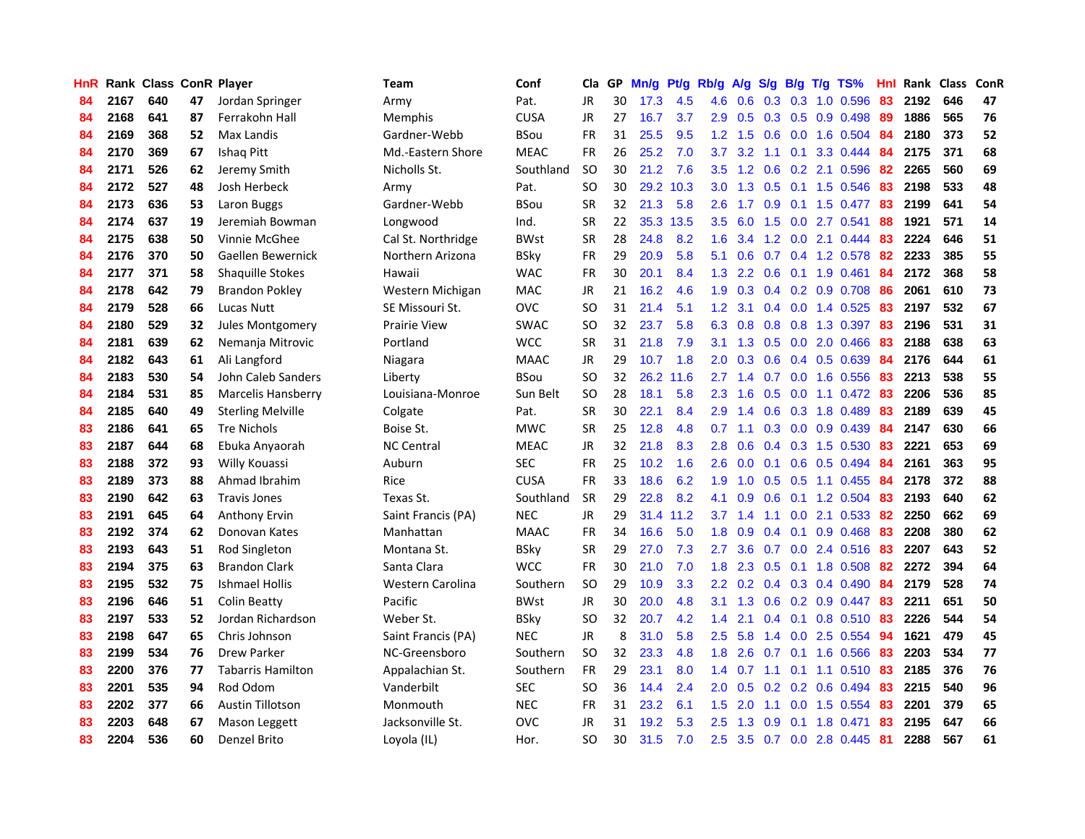| <b>HnR</b> |      | Rank Class ConR Player |    |                          | Team                | Conf        | Cla       |    | GP Mn/g Pt/g |           | Rb/g             | A/g                 |     |                 | S/g B/g T/g TS%           | Hnl | Rank Class |     | ConR |
|------------|------|------------------------|----|--------------------------|---------------------|-------------|-----------|----|--------------|-----------|------------------|---------------------|-----|-----------------|---------------------------|-----|------------|-----|------|
| 84         | 2167 | 640                    | 47 | Jordan Springer          | Army                | Pat.        | JR        | 30 | 17.3         | 4.5       | 4.6              | 0.6                 | 0.3 | 0.3             | 1.0 0.596                 | 83  | 2192       | 646 | 47   |
| 84         | 2168 | 641                    | 87 | Ferrakohn Hall           | <b>Memphis</b>      | <b>CUSA</b> | JR        | 27 | 16.7         | 3.7       | 2.9              | 0.5                 | 0.3 | 0.5             | 0.9 0.498                 | 89  | 1886       | 565 | 76   |
| 84         | 2169 | 368                    | 52 | Max Landis               | Gardner-Webb        | <b>BSou</b> | <b>FR</b> | 31 | 25.5         | 9.5       | 1.2              | 1.5                 | 0.6 | 0.0             | 1.6 0.504                 | 84  | 2180       | 373 | 52   |
| 84         | 2170 | 369                    | 67 | <b>Ishaq Pitt</b>        | Md.-Eastern Shore   | <b>MEAC</b> | <b>FR</b> | 26 | 25.2         | 7.0       | 3.7              | 3.2                 | 1.1 | 0.1             | 3.3 0.444                 | 84  | 2175       | 371 | 68   |
| 84         | 2171 | 526                    | 62 | Jeremy Smith             | Nicholls St.        | Southland   | <b>SO</b> | 30 | 21.2         | 7.6       |                  |                     |     |                 | 3.5 1.2 0.6 0.2 2.1 0.596 | 82  | 2265       | 560 | 69   |
| 84         | 2172 | 527                    | 48 | Josh Herbeck             | Army                | Pat.        | <b>SO</b> | 30 |              | 29.2 10.3 |                  |                     |     |                 | 3.0 1.3 0.5 0.1 1.5 0.546 | 83  | 2198       | 533 | 48   |
| 84         | 2173 | 636                    | 53 | Laron Buggs              | Gardner-Webb        | <b>BSou</b> | <b>SR</b> | 32 | 21.3         | 5.8       | 2.6              |                     |     |                 | 1.7 0.9 0.1 1.5 0.477     | 83  | 2199       | 641 | 54   |
| 84         | 2174 | 637                    | 19 | Jeremiah Bowman          | Longwood            | Ind.        | <b>SR</b> | 22 |              | 35.3 13.5 | 3.5              | 6.0                 |     |                 | 1.5 0.0 2.7 0.541         | 88  | 1921       | 571 | 14   |
| 84         | 2175 | 638                    | 50 | Vinnie McGhee            | Cal St. Northridge  | <b>BWst</b> | <b>SR</b> | 28 | 24.8         | 8.2       | 1.6              | 3.4                 |     |                 | 1.2 0.0 2.1 0.444         | 83  | 2224       | 646 | 51   |
| 84         | 2176 | 370                    | 50 | Gaellen Bewernick        | Northern Arizona    | <b>BSky</b> | <b>FR</b> | 29 | 20.9         | 5.8       | 5.1              | 0.6                 | 0.7 |                 | 0.4 1.2 0.578             | 82  | 2233       | 385 | 55   |
| 84         | 2177 | 371                    | 58 | <b>Shaquille Stokes</b>  | Hawaii              | <b>WAC</b>  | FR        | 30 | 20.1         | 8.4       | 1.3              | 2.2                 | 0.6 | 0.1             | 1.9 0.461                 | 84  | 2172       | 368 | 58   |
| 84         | 2178 | 642                    | 79 | <b>Brandon Pokley</b>    | Western Michigan    | <b>MAC</b>  | JR        | 21 | 16.2         | 4.6       | 1.9              | 0.3                 |     |                 | $0.4$ 0.2 0.9 0.708       | 86  | 2061       | 610 | 73   |
| 84         | 2179 | 528                    | 66 | Lucas Nutt               | SE Missouri St.     | <b>OVC</b>  | SO.       | 31 | 21.4         | 5.1       | 1.2              | 3.1                 | 0.4 | 0.0             | 1.4 0.525                 | 83  | 2197       | 532 | 67   |
| 84         | 2180 | 529                    | 32 | Jules Montgomery         | <b>Prairie View</b> | <b>SWAC</b> | SO.       | 32 | 23.7         | 5.8       | 6.3              | 0.8                 | 0.8 | 0.8             | 1.3 0.397                 | 83  | 2196       | 531 | 31   |
| 84         | 2181 | 639                    | 62 | Nemanja Mitrovic         | Portland            | <b>WCC</b>  | <b>SR</b> | 31 | 21.8         | 7.9       | 3.1              | 1.3                 | 0.5 | 0.0             | 2.0 0.466                 | 83  | 2188       | 638 | 63   |
| 84         | 2182 | 643                    | 61 | Ali Langford             | Niagara             | <b>MAAC</b> | JR        | 29 | 10.7         | 1.8       | 2.0              | 0.3                 | 0.6 | 0.4             | 0.5 0.639                 | 84  | 2176       | 644 | 61   |
| 84         | 2183 | 530                    | 54 | John Caleb Sanders       | Liberty             | <b>BSou</b> | <b>SO</b> | 32 | 26.2         | 11.6      |                  | $2.7 \quad 1.4$     |     |                 | 0.7 0.0 1.6 0.556         | 83  | 2213       | 538 | 55   |
| 84         | 2184 | 531                    | 85 | Marcelis Hansberry       | Louisiana-Monroe    | Sun Belt    | <b>SO</b> | 28 | 18.1         | 5.8       |                  | $2.3$ 1.6           |     |                 | 0.5 0.0 1.1 0.472 83      |     | 2206       | 536 | 85   |
| 84         | 2185 | 640                    | 49 | <b>Sterling Melville</b> | Colgate             | Pat.        | <b>SR</b> | 30 | 22.1         | 8.4       | 2.9 <sup>°</sup> | 1.4                 |     |                 | $0.6$ $0.3$ 1.8 $0.489$   | 83  | 2189       | 639 | 45   |
| 83         | 2186 | 641                    | 65 | <b>Tre Nichols</b>       | Boise St.           | <b>MWC</b>  | <b>SR</b> | 25 | 12.8         | 4.8       | 0.7              | 1.1                 |     |                 | $0.3$ 0.0 0.9 0.439       | 84  | 2147       | 630 | 66   |
| 83         | 2187 | 644                    | 68 | Ebuka Anyaorah           | <b>NC Central</b>   | <b>MEAC</b> | JR        | 32 | 21.8         | 8.3       | 2.8              | 0.6                 |     |                 | $0.4$ 0.3 1.5 0.530       | 83  | 2221       | 653 | 69   |
| 83         | 2188 | 372                    | 93 | Willy Kouassi            | Auburn              | <b>SEC</b>  | <b>FR</b> | 25 | 10.2         | 1.6       | 2.6              | 0.0                 | 0.1 |                 | $0.6$ 0.5 0.494           | 84  | 2161       | 363 | 95   |
| 83         | 2189 | 373                    | 88 | Ahmad Ibrahim            | Rice                | <b>CUSA</b> | <b>FR</b> | 33 | 18.6         | 6.2       | 1.9              | 1.0                 |     | $0.5 \quad 0.5$ | 1.1 0.455                 | -84 | 2178       | 372 | 88   |
| 83         | 2190 | 642                    | 63 | <b>Travis Jones</b>      | Texas St.           | Southland   | <b>SR</b> | 29 | 22.8         | 8.2       | 4.1              | 0.9                 | 0.6 | 0.1             | 1.2 0.504                 | 83  | 2193       | 640 | 62   |
| 83         | 2191 | 645                    | 64 | <b>Anthony Ervin</b>     | Saint Francis (PA)  | <b>NEC</b>  | <b>JR</b> | 29 | 31.4         | 11.2      | 3.7              | 1.4                 | 1.1 |                 | $0.0$ 2.1 $0.533$         | 82  | 2250       | 662 | 69   |
| 83         | 2192 | 374                    | 62 | Donovan Kates            | Manhattan           | <b>MAAC</b> | FR        | 34 | 16.6         | 5.0       | 1.8              | 0.9                 | 0.4 | 0.1             | 0.9 0.468                 | 83  | 2208       | 380 | 62   |
| 83         | 2193 | 643                    | 51 | Rod Singleton            | Montana St.         | <b>BSky</b> | <b>SR</b> | 29 | 27.0         | 7.3       | 2.7              | 3.6                 | 0.7 | 0.0             | 2.4 0.516                 | 83  | 2207       | 643 | 52   |
| 83         | 2194 | 375                    | 63 | <b>Brandon Clark</b>     | Santa Clara         | <b>WCC</b>  | <b>FR</b> | 30 | 21.0         | 7.0       | 1.8              | 2.3                 | 0.5 |                 | 0.1 1.8 0.508             | 82  | 2272       | 394 | 64   |
| 83         | 2195 | 532                    | 75 | Ishmael Hollis           | Western Carolina    | Southern    | <b>SO</b> | 29 | 10.9         | 3.3       | $2.2^{\circ}$    | 0.2                 |     |                 | $0.4$ 0.3 0.4 0.490       | 84  | 2179       | 528 | 74   |
| 83         | 2196 | 646                    | 51 | <b>Colin Beatty</b>      | Pacific             | <b>BWst</b> | JR        | 30 | 20.0         | 4.8       | 3.1              | 1.3                 |     |                 | $0.6$ $0.2$ $0.9$ $0.447$ | -83 | 2211       | 651 | 50   |
| 83         | 2197 | 533                    | 52 | Jordan Richardson        | Weber St.           | <b>BSky</b> | <b>SO</b> | 32 | 20.7         | 4.2       | 1.4              | 2.1                 |     | $0.4 \quad 0.1$ | 0.8 0.510                 | 83  | 2226       | 544 | 54   |
| 83         | 2198 | 647                    | 65 | Chris Johnson            | Saint Francis (PA)  | <b>NEC</b>  | <b>JR</b> | 8  | 31.0         | 5.8       | 2.5              | 5.8                 |     |                 | 1.4 0.0 2.5 0.554         | 94  | 1621       | 479 | 45   |
| 83         | 2199 | 534                    | 76 | <b>Drew Parker</b>       | NC-Greensboro       | Southern    | <b>SO</b> | 32 | 23.3         | 4.8       | 1.8              | 2.6                 |     |                 | 0.7 0.1 1.6 0.566         | 83  | 2203       | 534 | 77   |
| 83         | 2200 | 376                    | 77 | <b>Tabarris Hamilton</b> | Appalachian St.     | Southern    | <b>FR</b> | 29 | 23.1         | 8.0       | $1.4^{\circ}$    | 0.7                 | 1.1 |                 | $0.1$ 1.1 0.510           | 83  | 2185       | 376 | 76   |
| 83         | 2201 | 535                    | 94 | Rod Odom                 | Vanderbilt          | <b>SEC</b>  | <b>SO</b> | 36 | 14.4         | 2.4       | 2.0              | 0.5                 |     | $0.2 \quad 0.2$ | 0.6 0.494                 | 83  | 2215       | 540 | 96   |
| 83         | 2202 | 377                    | 66 | <b>Austin Tillotson</b>  | Monmouth            | <b>NEC</b>  | <b>FR</b> | 31 | 23.2         | 6.1       | 1.5              | 2.0                 | 1.1 | 0.0             | 1.5 0.554                 | 83  | 2201       | 379 | 65   |
| 83         | 2203 | 648                    | 67 | Mason Leggett            | Jacksonville St.    | <b>OVC</b>  | <b>JR</b> | 31 | 19.2         | 5.3       | 2.5              | $\mathbf{.3}$<br>-1 | 0.9 | 0.1             | 1.8 0.471                 | 83  | 2195       | 647 | 66   |
| 83         | 2204 | 536                    | 60 | Denzel Brito             | Loyola (IL)         | Hor.        | SO.       | 30 | 31.5         | 7.0       | 2.5              | 3.5                 |     |                 | 0.7 0.0 2.8 0.445         | -81 | 2288       | 567 | 61   |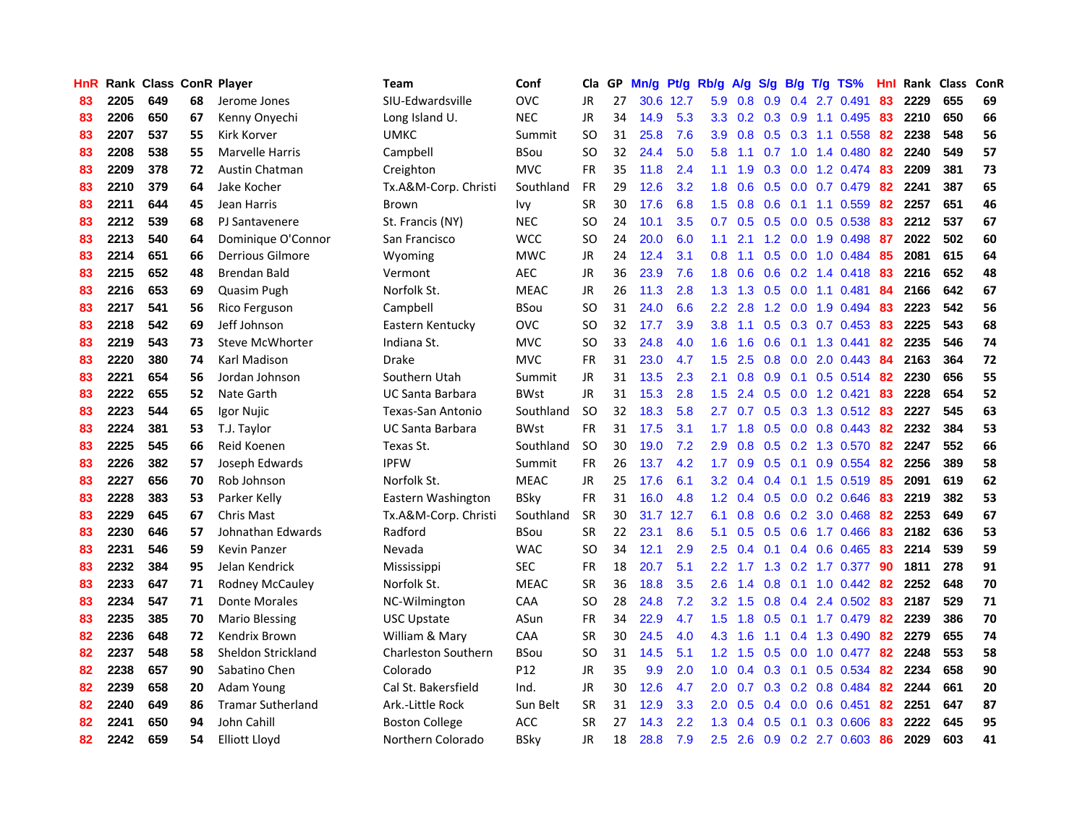| <b>HnR</b> |      | Rank Class ConR Player |    |                           | Team                       | Conf        | Cla       |    | GP Mn/g Pt/g |      | Rb/g A/g         |                 |     |                 | S/g B/g T/g TS%           | Hnl | Rank Class |     | <b>ConR</b> |
|------------|------|------------------------|----|---------------------------|----------------------------|-------------|-----------|----|--------------|------|------------------|-----------------|-----|-----------------|---------------------------|-----|------------|-----|-------------|
| 83         | 2205 | 649                    | 68 | Jerome Jones              | SIU-Edwardsville           | <b>OVC</b>  | JR        | 27 | 30.6         | 12.7 | 5.9              | 0.8             | 0.9 | 0.4             | 2.7 0.491                 | 83  | 2229       | 655 | 69          |
| 83         | 2206 | 650                    | 67 | Kenny Onyechi             | Long Island U.             | <b>NEC</b>  | JR        | 34 | 14.9         | 5.3  | 3.3 <sub>2</sub> | 0.2             | 0.3 | 0.9             | 1.1 0.495                 | 83  | 2210       | 650 | 66          |
| 83         | 2207 | 537                    | 55 | Kirk Korver               | <b>UMKC</b>                | Summit      | <b>SO</b> | 31 | 25.8         | 7.6  | 3.9              | 0.8             | 0.5 | 0.3             | 1.1 0.558                 | 82  | 2238       | 548 | 56          |
| 83         | 2208 | 538                    | 55 | <b>Marvelle Harris</b>    | Campbell                   | <b>BSou</b> | <b>SO</b> | 32 | 24.4         | 5.0  | 5.8              | 1.1             | 0.7 | 1.0             | 1.4 0.480                 | 82  | 2240       | 549 | 57          |
| 83         | 2209 | 378                    | 72 | <b>Austin Chatman</b>     | Creighton                  | <b>MVC</b>  | FR        | 35 | 11.8         | 2.4  | 1.1              | 1.9             |     |                 | 0.3 0.0 1.2 0.474         | 83  | 2209       | 381 | 73          |
| 83         | 2210 | 379                    | 64 | Jake Kocher               | Tx.A&M-Corp. Christi       | Southland   | <b>FR</b> | 29 | 12.6         | 3.2  |                  | $1.8 \quad 0.6$ |     |                 | 0.5 0.0 0.7 0.479 82      |     | 2241       | 387 | 65          |
| 83         | 2211 | 644                    | 45 | Jean Harris               | Brown                      | <b>Ivy</b>  | <b>SR</b> | 30 | 17.6         | 6.8  |                  | $1.5 \t0.8$     |     |                 | $0.6$ 0.1 1.1 0.559       | 82  | 2257       | 651 | 46          |
| 83         | 2212 | 539                    | 68 | PJ Santavenere            | St. Francis (NY)           | <b>NEC</b>  | <b>SO</b> | 24 | 10.1         | 3.5  | 0.7              | 0.5             |     |                 | $0.5$ 0.0 0.5 0.538       | 83  | 2212       | 537 | 67          |
| 83         | 2213 | 540                    | 64 | Dominique O'Connor        | San Francisco              | <b>WCC</b>  | <b>SO</b> | 24 | 20.0         | 6.0  | 1.1              | 2.1             |     |                 | 1.2 0.0 1.9 0.498         | 87  | 2022       | 502 | 60          |
| 83         | 2214 | 651                    | 66 | <b>Derrious Gilmore</b>   | Wyoming                    | <b>MWC</b>  | JR        | 24 | 12.4         | 3.1  | 0.8              | 1.1             | 0.5 | 0.0             | 1.0 0.484                 | 85  | 2081       | 615 | 64          |
| 83         | 2215 | 652                    | 48 | Brendan Bald              | Vermont                    | <b>AEC</b>  | JR        | 36 | 23.9         | 7.6  | 1.8              | 0.6             | 0.6 |                 | $0.2$ 1.4 0.418           | 83  | 2216       | 652 | 48          |
| 83         | 2216 | 653                    | 69 | Quasim Pugh               | Norfolk St.                | <b>MEAC</b> | JR        | 26 | 11.3         | 2.8  | 1.3 <sub>1</sub> | 1.3             | 0.5 |                 | $0.0$ 1.1 $0.481$         | 84  | 2166       | 642 | 67          |
| 83         | 2217 | 541                    | 56 | Rico Ferguson             | Campbell                   | <b>BSou</b> | <b>SO</b> | 31 | 24.0         | 6.6  | $2.2\phantom{0}$ | 2.8             | 1.2 | 0.0             | 1.9 0.494                 | 83  | 2223       | 542 | 56          |
| 83         | 2218 | 542                    | 69 | Jeff Johnson              | Eastern Kentucky           | <b>OVC</b>  | <b>SO</b> | 32 | 17.7         | 3.9  | 3.8 <sup>°</sup> | 1.1             | 0.5 | 0.3             | 0.7 0.453                 | 83  | 2225       | 543 | 68          |
| 83         | 2219 | 543                    | 73 | <b>Steve McWhorter</b>    | Indiana St.                | <b>MVC</b>  | SO.       | 33 | 24.8         | 4.0  | 1.6              | 1.6             | 0.6 | 0.1             | 1.3 0.441                 | 82  | 2235       | 546 | 74          |
| 83         | 2220 | 380                    | 74 | Karl Madison              | <b>Drake</b>               | <b>MVC</b>  | <b>FR</b> | 31 | 23.0         | 4.7  | $1.5^{\circ}$    | 2.5             | 0.8 | 0.0             | 2.0 0.443                 | 84  | 2163       | 364 | 72          |
| 83         | 2221 | 654                    | 56 | Jordan Johnson            | Southern Utah              | Summit      | JR        | 31 | 13.5         | 2.3  | 2.1              | 0.8             | 0.9 | 0.1             | $0.5$ 0.514               | 82  | 2230       | 656 | 55          |
| 83         | 2222 | 655                    | 52 | Nate Garth                | <b>UC Santa Barbara</b>    | <b>BWst</b> | JR        | 31 | 15.3         | 2.8  | 1.5              | 2.4             | 0.5 |                 | $0.0$ 1.2 0.421           | 83  | 2228       | 654 | 52          |
| 83         | 2223 | 544                    | 65 | Igor Nujic                | Texas-San Antonio          | Southland   | <b>SO</b> | 32 | 18.3         | 5.8  | $2.7^{\circ}$    | 0.7             |     |                 | 0.5 0.3 1.3 0.512 83      |     | 2227       | 545 | 63          |
| 83         | 2224 | 381                    | 53 | T.J. Taylor               | UC Santa Barbara           | <b>BWst</b> | <b>FR</b> | 31 | 17.5         | 3.1  |                  | $1.7$ $1.8$     |     |                 | 0.5 0.0 0.8 0.443 82      |     | 2232       | 384 | 53          |
| 83         | 2225 | 545                    | 66 | Reid Koenen               | Texas St.                  | Southland   | <b>SO</b> | 30 | 19.0         | 7.2  | 2.9              | 0.8             |     |                 | $0.5$ 0.2 1.3 0.570       | 82  | 2247       | 552 | 66          |
| 83         | 2226 | 382                    | 57 | Joseph Edwards            | <b>IPFW</b>                | Summit      | FR        | 26 | 13.7         | 4.2  | 1.7 <sup>2</sup> | 0.9             |     |                 | 0.5 0.1 0.9 0.554         | 82  | 2256       | 389 | 58          |
| 83         | 2227 | 656                    | 70 | Rob Johnson               | Norfolk St.                | <b>MEAC</b> | JR        | 25 | 17.6         | 6.1  | $3.2\,$          | 0.4             |     |                 | $0.4$ 0.1 1.5 0.519       | 85  | 2091       | 619 | 62          |
| 83         | 2228 | 383                    | 53 | Parker Kelly              | Eastern Washington         | <b>BSky</b> | <b>FR</b> | 31 | 16.0         | 4.8  | 1.2              | 0.4             |     |                 | 0.5 0.0 0.2 0.646         | 83  | 2219       | 382 | 53          |
| 83         | 2229 | 645                    | 67 | <b>Chris Mast</b>         | Tx.A&M-Corp. Christi       | Southland   | <b>SR</b> | 30 | 31.7         | 12.7 | 6.1              | 0.8             |     |                 | $0.6$ $0.2$ $3.0$ $0.468$ | -82 | 2253       | 649 | 67          |
| 83         | 2230 | 646                    | 57 | Johnathan Edwards         | Radford                    | <b>BSou</b> | <b>SR</b> | 22 | 23.1         | 8.6  | 5.1              | 0.5             |     |                 | 0.5 0.6 1.7 0.466         | 83  | 2182       | 636 | 53          |
| 83         | 2231 | 546                    | 59 | <b>Kevin Panzer</b>       | Nevada                     | <b>WAC</b>  | SO.       | 34 | 12.1         | 2.9  | 2.5              | 0.4             | 0.1 |                 | $0.4$ 0.6 0.465           | 83  | 2214       | 539 | 59          |
| 83         | 2232 | 384                    | 95 | Jelan Kendrick            | Mississippi                | <b>SEC</b>  | <b>FR</b> | 18 | 20.7         | 5.1  | $2.2^{\circ}$    | 1.7             |     |                 | 1.3 0.2 1.7 0.377         | 90  | 1811       | 278 | 91          |
| 83         | 2233 | 647                    | 71 | Rodney McCauley           | Norfolk St.                | <b>MEAC</b> | <b>SR</b> | 36 | 18.8         | 3.5  | 2.6              | 1.4             | 0.8 | 0.1             | $1.0 \ \ 0.442$           | 82  | 2252       | 648 | 70          |
| 83         | 2234 | 547                    | 71 | Donte Morales             | NC-Wilmington              | CAA         | <b>SO</b> | 28 | 24.8         | 7.2  | 3.2              | 1.5             | 0.8 | 0.4             | 2.4 0.502                 | 83  | 2187       | 529 | 71          |
| 83         | 2235 | 385                    | 70 | <b>Mario Blessing</b>     | <b>USC Upstate</b>         | ASun        | <b>FR</b> | 34 | 22.9         | 4.7  | 1.5              | 1.8             | 0.5 | 0.1             | 1.7 0.479                 | 82  | 2239       | 386 | 70          |
| 82         | 2236 | 648                    | 72 | Kendrix Brown             | William & Mary             | CAA         | <b>SR</b> | 30 | 24.5         | 4.0  | 4.3              | 1.6             | 1.1 |                 | $0.4$ 1.3 0.490           | 82  | 2279       | 655 | 74          |
| 82         | 2237 | 548                    | 58 | <b>Sheldon Strickland</b> | <b>Charleston Southern</b> | <b>BSou</b> | SO.       | 31 | 14.5         | 5.1  |                  | $1.2 \quad 1.5$ |     |                 | $0.5$ 0.0 1.0 0.477       | 82  | 2248       | 553 | 58          |
| 82         | 2238 | 657                    | 90 | Sabatino Chen             | Colorado                   | P12         | <b>JR</b> | 35 | 9.9          | 2.0  | 1.0 <sub>1</sub> | 0.4             |     |                 | $0.3$ 0.1 0.5 0.534       | 82  | 2234       | 658 | 90          |
| 82         | 2239 | 658                    | 20 | Adam Young                | Cal St. Bakersfield        | Ind.        | JR        | 30 | 12.6         | 4.7  | 2.0 <sub>1</sub> | 0.7             |     |                 | 0.3 0.2 0.8 0.484         | 82  | 2244       | 661 | 20          |
| 82         | 2240 | 649                    | 86 | <b>Tramar Sutherland</b>  | Ark.-Little Rock           | Sun Belt    | <b>SR</b> | 31 | 12.9         | 3.3  | 2.0              | 0.5             |     | $0.4 \quad 0.0$ | $0.6$ 0.451               | 82  | 2251       | 647 | 87          |
| 82         | 2241 | 650                    | 94 | John Cahill               | Boston College             | ACC         | <b>SR</b> | 27 | 14.3         | 2.2  | 1.3              | 0.4             | 0.5 | 0.1             | 0.3 0.606                 | 83  | 2222       | 645 | 95          |
| 82         | 2242 | 659                    | 54 | <b>Elliott Lloyd</b>      | Northern Colorado          | BSkv        | JR        | 18 | 28.8         | 7.9  | $2.5^{\circ}$    | 2.6             |     |                 | $0.9$ $0.2$ $2.7$ $0.603$ | 86  | 2029       | 603 | 41          |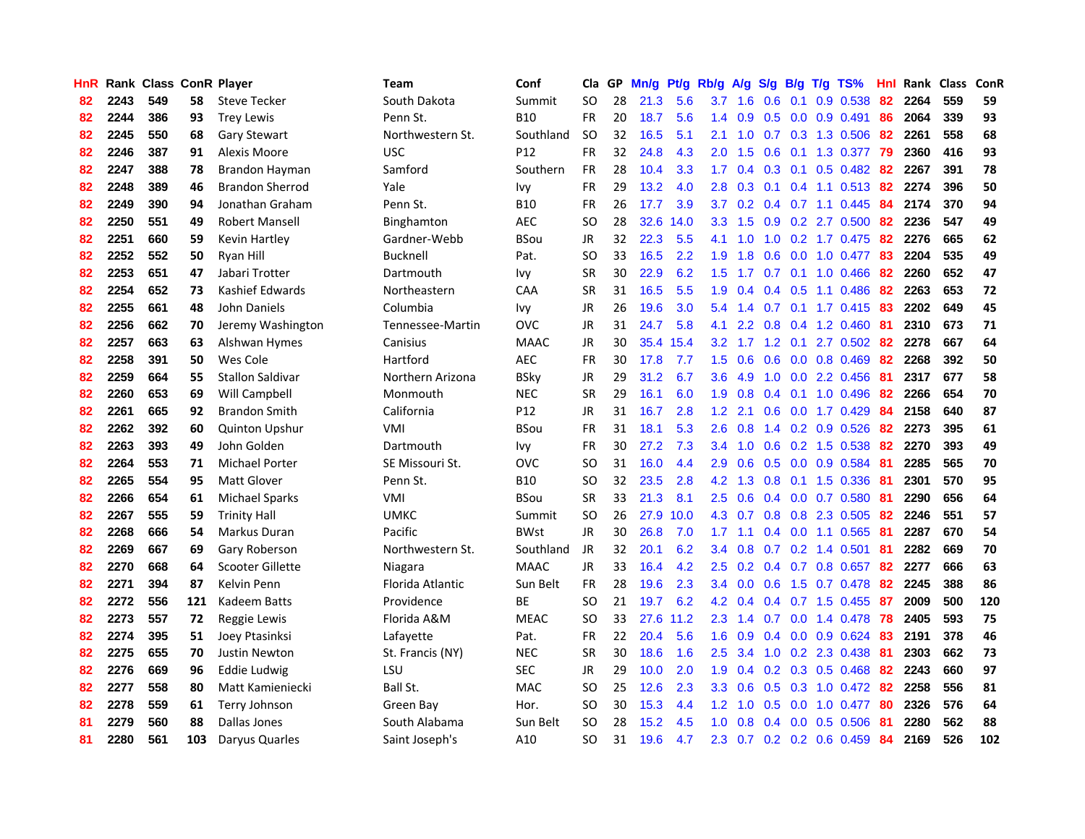| <b>HnR</b> |      | Rank Class ConR Player |     |                         | <b>Team</b>      | Conf        | Cla       |    | GP Mn/g Pt/g Rb/g A/g |           |                  |                  |     |                 | S/g B/g T/g TS%           | Hnl | Rank Class |     | <b>ConR</b> |
|------------|------|------------------------|-----|-------------------------|------------------|-------------|-----------|----|-----------------------|-----------|------------------|------------------|-----|-----------------|---------------------------|-----|------------|-----|-------------|
| 82         | 2243 | 549                    | 58  | Steve Tecker            | South Dakota     | Summit      | <b>SO</b> | 28 | 21.3                  | 5.6       | 3.7              | 1.6              | 0.6 | 0.1             | 0.9 0.538                 | 82  | 2264       | 559 | 59          |
| 82         | 2244 | 386                    | 93  | <b>Trey Lewis</b>       | Penn St.         | <b>B10</b>  | <b>FR</b> | 20 | 18.7                  | 5.6       | 1.4              | 0.9              | 0.5 | 0.0             | 0.9 0.491                 | 86  | 2064       | 339 | 93          |
| 82         | 2245 | 550                    | 68  | <b>Gary Stewart</b>     | Northwestern St. | Southland   | <b>SO</b> | 32 | 16.5                  | 5.1       | 2.1              | 1.0              | 0.7 | 0.3             | 1.3 0.506                 | 82  | 2261       | 558 | 68          |
| 82         | 2246 | 387                    | 91  | Alexis Moore            | <b>USC</b>       | P12         | <b>FR</b> | 32 | 24.8                  | 4.3       | 2.0 <sub>1</sub> | 1.5              |     | $0.6 \quad 0.1$ | 1.3 0.377                 | -79 | 2360       | 416 | 93          |
| 82         | 2247 | 388                    | 78  | Brandon Hayman          | Samford          | Southern    | <b>FR</b> | 28 | 10.4                  | 3.3       |                  | $1.7 \quad 0.4$  |     |                 | 0.3 0.1 0.5 0.482         | -82 | 2267       | 391 | 78          |
| 82         | 2248 | 389                    | 46  | <b>Brandon Sherrod</b>  | Yale             | <b>Ivy</b>  | <b>FR</b> | 29 | 13.2                  | 4.0       | 2.8              | 0.3              |     |                 | $0.1$ 0.4 1.1 0.513 82    |     | 2274       | 396 | 50          |
| 82         | 2249 | 390                    | 94  | Jonathan Graham         | Penn St.         | <b>B10</b>  | <b>FR</b> | 26 | 17.7                  | 3.9       | 3.7              |                  |     |                 | $0.2$ 0.4 0.7 1.1 0.445   | -84 | 2174       | 370 | 94          |
| 82         | 2250 | 551                    | 49  | <b>Robert Mansell</b>   | Binghamton       | <b>AEC</b>  | <b>SO</b> | 28 | 32.6                  | 14.0      | 3.3 <sup>°</sup> | 1.5              |     |                 | $0.9$ $0.2$ $2.7$ $0.500$ | 82  | 2236       | 547 | 49          |
| 82         | 2251 | 660                    | 59  | Kevin Hartley           | Gardner-Webb     | <b>BSou</b> | <b>JR</b> | 32 | 22.3                  | 5.5       | 4.1              | 1.0              |     |                 | 1.0 0.2 1.7 0.475         | 82  | 2276       | 665 | 62          |
| 82         | 2252 | 552                    | 50  | Ryan Hill               | Bucknell         | Pat.        | <b>SO</b> | 33 | 16.5                  | 2.2       | 1.9              | 1.8              | 0.6 |                 | $0.0$ 1.0 0.477           | 83  | 2204       | 535 | 49          |
| 82         | 2253 | 651                    | 47  | Jabari Trotter          | Dartmouth        | Ivy         | <b>SR</b> | 30 | 22.9                  | 6.2       | 1.5              | 1.7              |     |                 | 0.7 0.1 1.0 0.466         | 82  | 2260       | 652 | 47          |
| 82         | 2254 | 652                    | 73  | Kashief Edwards         | Northeastern     | CAA         | <b>SR</b> | 31 | 16.5                  | 5.5       | 1.9              | 0.4              |     |                 | $0.4$ 0.5 1.1 0.486       | 82  | 2263       | 653 | 72          |
| 82         | 2255 | 661                    | 48  | John Daniels            | Columbia         | Ivy         | <b>JR</b> | 26 | 19.6                  | 3.0       | 5.4              | 1.4              | 0.7 |                 | $0.1$ 1.7 $0.415$         | 83  | 2202       | 649 | 45          |
| 82         | 2256 | 662                    | 70  | Jeremy Washington       | Tennessee-Martin | <b>OVC</b>  | JR        | 31 | 24.7                  | 5.8       | 4.1              | $2.2\phantom{0}$ | 0.8 |                 | $0.4$ 1.2 0.460           | -81 | 2310       | 673 | 71          |
| 82         | 2257 | 663                    | 63  | Alshwan Hymes           | Canisius         | <b>MAAC</b> | <b>JR</b> | 30 |                       | 35.4 15.4 | 3.2              | 1.7              | 1.2 | 0.1             | 2.7 0.502                 | 82  | 2278       | 667 | 64          |
| 82         | 2258 | 391                    | 50  | Wes Cole                | Hartford         | <b>AEC</b>  | <b>FR</b> | 30 | 17.8                  | 7.7       | 1.5              | 0.6              | 0.6 |                 | $0.0$ 0.8 0.469           | 82  | 2268       | 392 | 50          |
| 82         | 2259 | 664                    | 55  | <b>Stallon Saldivar</b> | Northern Arizona | <b>BSky</b> | JR        | 29 | 31.2                  | 6.7       | $3.6^{\circ}$    | 4.9              |     |                 | 1.0 0.0 2.2 0.456         | -81 | 2317       | 677 | 58          |
| 82         | 2260 | 653                    | 69  | Will Campbell           | Monmouth         | <b>NEC</b>  | <b>SR</b> | 29 | 16.1                  | 6.0       | 1.9 <sup>°</sup> | 0.8              |     |                 | $0.4$ 0.1 1.0 0.496       | -82 | 2266       | 654 | 70          |
| 82         | 2261 | 665                    | 92  | <b>Brandon Smith</b>    | California       | P12         | <b>JR</b> | 31 | 16.7                  | 2.8       | 1.2 <sub>1</sub> | 2.1              |     |                 | 0.6 0.0 1.7 0.429         | -84 | 2158       | 640 | 87          |
| 82         | 2262 | 392                    | 60  | <b>Quinton Upshur</b>   | VMI              | <b>BSou</b> | <b>FR</b> | 31 | 18.1                  | 5.3       | $2.6\,$          | 0.8              |     |                 | 1.4 0.2 0.9 0.526         | 82  | 2273       | 395 | 61          |
| 82         | 2263 | 393                    | 49  | John Golden             | Dartmouth        | lvy         | <b>FR</b> | 30 | 27.2                  | 7.3       | 3.4              | 1.0              |     |                 | $0.6$ $0.2$ 1.5 0.538     | 82  | 2270       | 393 | 49          |
| 82         | 2264 | 553                    | 71  | <b>Michael Porter</b>   | SE Missouri St.  | <b>OVC</b>  | <b>SO</b> | 31 | 16.0                  | 4.4       | 2.9              | 0.6              |     |                 | 0.5 0.0 0.9 0.584         | -81 | 2285       | 565 | 70          |
| 82         | 2265 | 554                    | 95  | Matt Glover             | Penn St.         | <b>B10</b>  | <b>SO</b> | 32 | 23.5                  | 2.8       | 4.2              | 1.3              |     |                 | $0.8$ 0.1 1.5 0.336       | -81 | 2301       | 570 | 95          |
| 82         | 2266 | 654                    | 61  | <b>Michael Sparks</b>   | VMI              | <b>BSou</b> | <b>SR</b> | 33 | 21.3                  | 8.1       | 2.5              | 0.6              |     |                 | $0.4$ 0.0 0.7 0.580       | -81 | 2290       | 656 | 64          |
| 82         | 2267 | 555                    | 59  | <b>Trinity Hall</b>     | <b>UMKC</b>      | Summit      | <b>SO</b> | 26 |                       | 27.9 10.0 | 4.3              | 0.7              |     |                 | 0.8 0.8 2.3 0.505         | 82  | 2246       | 551 | 57          |
| 82         | 2268 | 666                    | 54  | Markus Duran            | Pacific          | <b>BWst</b> | <b>JR</b> | 30 | 26.8                  | 7.0       | 1.7              | 1.1              |     | $0.4\quad 0.0$  | 1.1 0.565                 | -81 | 2287       | 670 | 54          |
| 82         | 2269 | 667                    | 69  | Gary Roberson           | Northwestern St. | Southland   | JR        | 32 | 20.1                  | 6.2       | 3.4              | 0.8              |     |                 | $0.7$ $0.2$ 1.4 $0.501$   | 81  | 2282       | 669 | 70          |
| 82         | 2270 | 668                    | 64  | <b>Scooter Gillette</b> | Niagara          | <b>MAAC</b> | <b>JR</b> | 33 | 16.4                  | 4.2       | $2.5\,$          | 0.2              |     |                 | $0.4$ 0.7 0.8 0.657       | 82  | 2277       | 666 | 63          |
| 82         | 2271 | 394                    | 87  | Kelvin Penn             | Florida Atlantic | Sun Belt    | <b>FR</b> | 28 | 19.6                  | 2.3       | 3.4              | 0.0              | 0.6 |                 | 1.5 0.7 0.478             | 82  | 2245       | 388 | 86          |
| 82         | 2272 | 556                    | 121 | Kadeem Batts            | Providence       | ВE          | <b>SO</b> | 21 | 19.7                  | 6.2       |                  | $4.2 \quad 0.4$  |     |                 | $0.4$ 0.7 1.5 0.455       | -87 | 2009       | 500 | 120         |
| 82         | 2273 | 557                    | 72  | Reggie Lewis            | Florida A&M      | <b>MEAC</b> | <b>SO</b> | 33 |                       | 27.6 11.2 |                  | $2.3$ 1.4        |     |                 | 0.7 0.0 1.4 0.478         | 78  | 2405       | 593 | 75          |
| 82         | 2274 | 395                    | 51  | Joey Ptasinksi          | Lafayette        | Pat.        | <b>FR</b> | 22 | 20.4                  | 5.6       | 1.6              | 0.9              |     |                 | $0.4$ 0.0 0.9 0.624       | -83 | 2191       | 378 | 46          |
| 82         | 2275 | 655                    | 70  | Justin Newton           | St. Francis (NY) | <b>NEC</b>  | <b>SR</b> | 30 | 18.6                  | 1.6       | $2.5\,$          | 3.4              |     |                 | 1.0 0.2 2.3 0.438         | -81 | 2303       | 662 | 73          |
| 82         | 2276 | 669                    | 96  | Eddie Ludwig            | LSU              | <b>SEC</b>  | JR        | 29 | 10.0                  | 2.0       | 1.9              | 0.4              |     |                 | $0.2$ $0.3$ $0.5$ $0.468$ | 82  | 2243       | 660 | 97          |
| 82         | 2277 | 558                    | 80  | Matt Kamieniecki        | Ball St.         | <b>MAC</b>  | <b>SO</b> | 25 | 12.6                  | 2.3       | 3.3 <sub>1</sub> | 0.6              |     |                 | 0.5 0.3 1.0 0.472         | 82  | 2258       | 556 | 81          |
| 82         | 2278 | 559                    | 61  | Terry Johnson           | Green Bay        | Hor.        | <b>SO</b> | 30 | 15.3                  | 4.4       | 1.2 <sub>1</sub> | 1.0              | 0.5 | 0.0             | 1.0 0.477                 | 80  | 2326       | 576 | 64          |
| 81         | 2279 | 560                    | 88  | Dallas Jones            | South Alabama    | Sun Belt    | <b>SO</b> | 28 | 15.2                  | 4.5       | 1.0              | 0.8              | 0.4 | 0.0             | 0.5 0.506                 | -81 | 2280       | 562 | 88          |
| 81         | 2280 | 561                    | 103 | Daryus Quarles          | Saint Joseph's   | A10         | <b>SO</b> | 31 | 19.6                  | 4.7       | 2.3              |                  |     |                 | 0.7 0.2 0.2 0.6 0.459 84  |     | 2169       | 526 | 102         |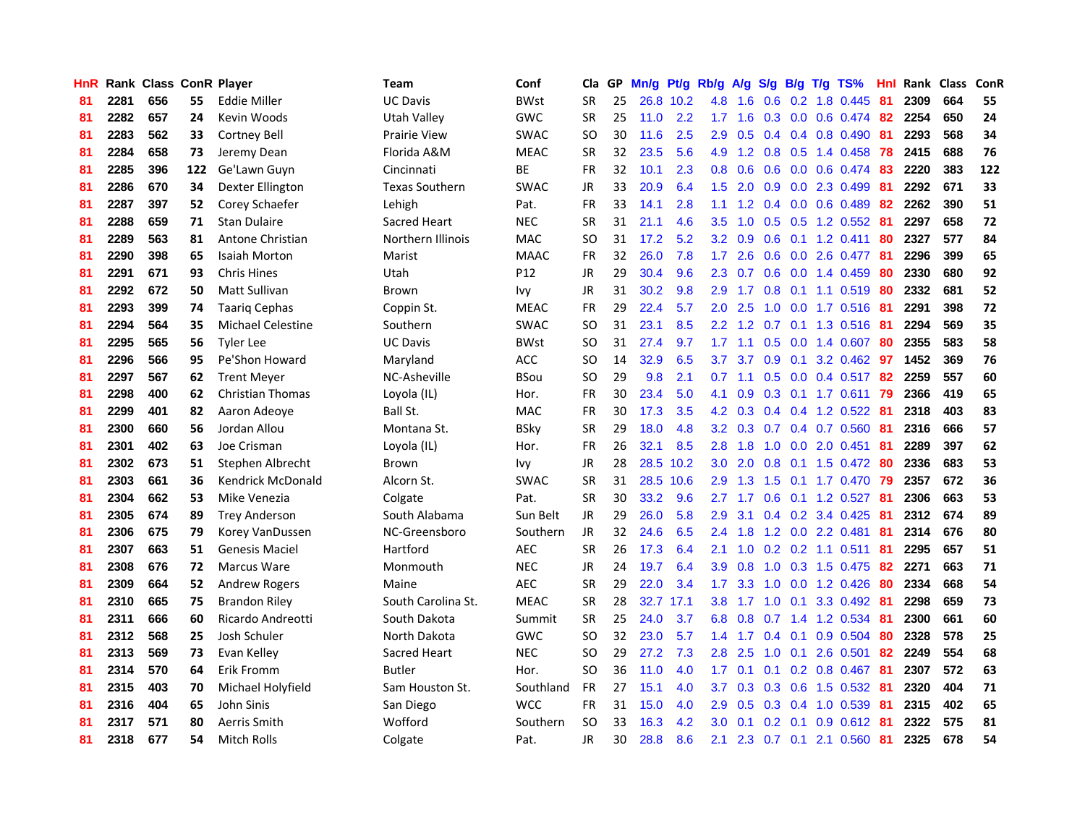| <b>HnR</b> |      |     |     | Rank Class ConR Player   | <b>Team</b>           | Conf        | Cla       |    | GP Mn/g Pt/g |           | Rb/g             | A/g             |                  |                 | S/g B/g T/g TS%           | Hnl  | Rank Class |     | ConR |
|------------|------|-----|-----|--------------------------|-----------------------|-------------|-----------|----|--------------|-----------|------------------|-----------------|------------------|-----------------|---------------------------|------|------------|-----|------|
| 81         | 2281 | 656 | 55  | Eddie Miller             | <b>UC Davis</b>       | <b>BWst</b> | <b>SR</b> | 25 |              | 26.8 10.2 | 4.8              | 1.6             | 0.6              | 0.2             | 1.8 0.445                 | 81   | 2309       | 664 | 55   |
| 81         | 2282 | 657 | 24  | Kevin Woods              | Utah Valley           | GWC         | <b>SR</b> | 25 | 11.0         | 2.2       | 1.7 <sup>2</sup> | 1.6             | 0.3              | 0.0             | 0.6 0.474                 | 82   | 2254       | 650 | 24   |
| 81         | 2283 | 562 | 33  | Cortney Bell             | Prairie View          | <b>SWAC</b> | SO.       | 30 | 11.6         | 2.5       | 2.9              | 0.5             |                  | $0.4 \quad 0.4$ | 0.8 0.490                 | -81  | 2293       | 568 | 34   |
| 81         | 2284 | 658 | 73  | Jeremy Dean              | Florida A&M           | <b>MEAC</b> | <b>SR</b> | 32 | 23.5         | 5.6       |                  |                 |                  |                 | 4.9 1.2 0.8 0.5 1.4 0.458 | 78   | 2415       | 688 | 76   |
| 81         | 2285 | 396 | 122 | Ge'Lawn Guyn             | Cincinnati            | ВE          | FR        | 32 | 10.1         | 2.3       |                  | $0.8 \quad 0.6$ |                  |                 | $0.6$ $0.0$ $0.6$ $0.474$ | -83  | 2220       | 383 | 122  |
| 81         | 2286 | 670 | 34  | Dexter Ellington         | <b>Texas Southern</b> | <b>SWAC</b> | JR        | 33 | 20.9         | 6.4       | 1.5              | 2.0             |                  |                 | 0.9 0.0 2.3 0.499         | 81   | 2292       | 671 | 33   |
| 81         | 2287 | 397 | 52  | Corey Schaefer           | Lehigh                | Pat.        | <b>FR</b> | 33 | 14.1         | 2.8       | 1.1              | 1.2             |                  |                 | $0.4$ 0.0 0.6 0.489       | 82   | 2262       | 390 | 51   |
| 81         | 2288 | 659 | 71  | <b>Stan Dulaire</b>      | Sacred Heart          | <b>NEC</b>  | <b>SR</b> | 31 | 21.1         | 4.6       | 3.5              | 1.0             |                  |                 | $0.5$ $0.5$ 1.2 $0.552$   | -81  | 2297       | 658 | 72   |
| 81         | 2289 | 563 | 81  | <b>Antone Christian</b>  | Northern Illinois     | <b>MAC</b>  | <b>SO</b> | 31 | 17.2         | 5.2       | 3.2              | 0.9             | 0.6              | 0.1             | 1.2 0.411                 | 80   | 2327       | 577 | 84   |
| 81         | 2290 | 398 | 65  | <b>Isaiah Morton</b>     | Marist                | <b>MAAC</b> | <b>FR</b> | 32 | 26.0         | 7.8       | 1.7 <sup>2</sup> | 2.6             | 0.6              |                 | 0.0 2.6 0.477             | -81  | 2296       | 399 | 65   |
| 81         | 2291 | 671 | 93  | <b>Chris Hines</b>       | Utah                  | P12         | <b>JR</b> | 29 | 30.4         | 9.6       | 2.3              | 0.7             | 0.6              |                 | 0.0 1.4 0.459             | 80   | 2330       | 680 | 92   |
| 81         | 2292 | 672 | 50  | Matt Sullivan            | Brown                 | lvy.        | JR        | 31 | 30.2         | 9.8       | 2.9              | 1.7             | 0.8              | 0.1             | 1.1 0.519                 | 80   | 2332       | 681 | 52   |
| 81         | 2293 | 399 | 74  | <b>Taarig Cephas</b>     | Coppin St.            | <b>MEAC</b> | <b>FR</b> | 29 | 22.4         | 5.7       | 2.0              | 2.5             | 1.0              | 0.0             | 1.7 0.516                 | -81  | 2291       | 398 | 72   |
| 81         | 2294 | 564 | 35  | <b>Michael Celestine</b> | Southern              | <b>SWAC</b> | SO.       | 31 | 23.1         | 8.5       | $2.2^{\circ}$    | 1.2             | 0.7              | 0.1             | 1.3 0.516                 | -81  | 2294       | 569 | 35   |
| 81         | 2295 | 565 | 56  | <b>Tyler Lee</b>         | <b>UC Davis</b>       | <b>BWst</b> | <b>SO</b> | 31 | 27.4         | 9.7       | 1.7 <sup>2</sup> | 1.1             | 0.5              | 0.0             | 1.4 0.607                 | 80   | 2355       | 583 | 58   |
| 81         | 2296 | 566 | 95  | Pe'Shon Howard           | Maryland              | <b>ACC</b>  | <b>SO</b> | 14 | 32.9         | 6.5       | 3.7 <sub>2</sub> | 3.7             | 0.9              | 0.1             | 3.2 0.462                 | 97   | 1452       | 369 | 76   |
| 81         | 2297 | 567 | 62  | <b>Trent Meyer</b>       | NC-Asheville          | <b>BSou</b> | <b>SO</b> | 29 | 9.8          | 2.1       |                  | $0.7 \quad 1.1$ |                  |                 | 0.5 0.0 0.4 0.517 82      |      | 2259       | 557 | 60   |
| 81         | 2298 | 400 | 62  | <b>Christian Thomas</b>  | Loyola (IL)           | Hor.        | FR        | 30 | 23.4         | 5.0       | 4.1              | 0.9             |                  |                 | 0.3 0.1 1.7 0.611 79      |      | 2366       | 419 | 65   |
| 81         | 2299 | 401 | 82  | Aaron Adeove             | Ball St.              | <b>MAC</b>  | <b>FR</b> | 30 | 17.3         | 3.5       |                  | $4.2 \quad 0.3$ |                  |                 | $0.4$ 0.4 1.2 0.522       | -81  | 2318       | 403 | 83   |
| 81         | 2300 | 660 | 56  | Jordan Allou             | Montana St.           | <b>BSky</b> | <b>SR</b> | 29 | 18.0         | 4.8       |                  | $3.2 \quad 0.3$ |                  |                 | 0.7 0.4 0.7 0.560         | -81  | 2316       | 666 | 57   |
| 81         | 2301 | 402 | 63  | Joe Crisman              | Loyola (IL)           | Hor.        | <b>FR</b> | 26 | 32.1         | 8.5       | 2.8              | 1.8             | 1.0              |                 | $0.0$ 2.0 $0.451$         | 81   | 2289       | 397 | 62   |
| 81         | 2302 | 673 | 51  | Stephen Albrecht         | Brown                 | Ivy         | JR        | 28 | 28.5         | 10.2      | 3.0              | 2.0             | 0.8              | 0.1             | 1.5 0.472                 | -80  | 2336       | 683 | 53   |
| 81         | 2303 | 661 | 36  | <b>Kendrick McDonald</b> | Alcorn St.            | <b>SWAC</b> | <b>SR</b> | 31 | 28.5         | 10.6      | 2.9              | 1.3             | 1.5              | 0.1             | 1.7 0.470 79              |      | 2357       | 672 | 36   |
| 81         | 2304 | 662 | 53  | Mike Venezia             | Colgate               | Pat.        | <b>SR</b> | 30 | 33.2         | 9.6       | 2.7              | 1.7             | 0.6              |                 | $0.1$ 1.2 0.527           | -81  | 2306       | 663 | 53   |
| 81         | 2305 | 674 | 89  | <b>Trey Anderson</b>     | South Alabama         | Sun Belt    | <b>JR</b> | 29 | 26.0         | 5.8       | 2.9              | 3.1             |                  |                 | $0.4$ 0.2 3.4 0.425       | -81  | 2312       | 674 | 89   |
| 81         | 2306 | 675 | 79  | Korey VanDussen          | NC-Greensboro         | Southern    | JR        | 32 | 24.6         | 6.5       | 2.4              | 1.8             |                  |                 | 1.2 0.0 2.2 0.481         | -81  | 2314       | 676 | 80   |
| 81         | 2307 | 663 | 51  | <b>Genesis Maciel</b>    | Hartford              | <b>AEC</b>  | <b>SR</b> | 26 | 17.3         | 6.4       | 2.1              | 1.0             |                  |                 | $0.2$ 0.2 1.1 0.511       | 81   | 2295       | 657 | 51   |
| 81         | 2308 | 676 | 72  | Marcus Ware              | Monmouth              | <b>NEC</b>  | JR        | 24 | 19.7         | 6.4       | 3.9              | 0.8             | 1.0              |                 | 0.3 1.5 0.475             | 82   | 2271       | 663 | 71   |
| 81         | 2309 | 664 | 52  | <b>Andrew Rogers</b>     | Maine                 | <b>AEC</b>  | <b>SR</b> | 29 | 22.0         | 3.4       | 1.7 <sup>2</sup> | 3.3             | 1.0              |                 | $0.0$ 1.2 $0.426$         | 80   | 2334       | 668 | 54   |
| 81         | 2310 | 665 | 75  | <b>Brandon Riley</b>     | South Carolina St.    | <b>MEAC</b> | <b>SR</b> | 28 |              | 32.7 17.1 | 3.8 <sup>°</sup> | 1.7             |                  |                 | 1.0 0.1 3.3 0.492 81      |      | 2298       | 659 | 73   |
| 81         | 2311 | 666 | 60  | Ricardo Andreotti        | South Dakota          | Summit      | <b>SR</b> | 25 | 24.0         | 3.7       | 6.8              | 0.8             | 0.7              |                 | 1.4 1.2 0.534             | - 81 | 2300       | 661 | 60   |
| 81         | 2312 | 568 | 25  | Josh Schuler             | North Dakota          | GWC         | <b>SO</b> | 32 | 23.0         | 5.7       |                  | $1.4$ 1.7       |                  |                 | $0.4$ 0.1 0.9 0.504       | 80   | 2328       | 578 | 25   |
| 81         | 2313 | 569 | 73  | Evan Kelley              | Sacred Heart          | <b>NEC</b>  | <b>SO</b> | 29 | 27.2         | 7.3       | 2.8              | 2.5             | 1.0              |                 | $0.1$ 2.6 0.501           | 82   | 2249       | 554 | 68   |
| 81         | 2314 | 570 | 64  | Erik Fromm               | Butler                | Hor.        | SO.       | 36 | 11.0         | 4.0       | $1.7^{\circ}$    | 0.1             |                  |                 | $0.1$ $0.2$ $0.8$ $0.467$ | 81   | 2307       | 572 | 63   |
| 81         | 2315 | 403 | 70  | Michael Holyfield        | Sam Houston St.       | Southland   | <b>FR</b> | 27 | 15.1         | 4.0       | 3.7              | 0.3             |                  | $0.3 \quad 0.6$ | 1.5 0.532                 | -81  | 2320       | 404 | 71   |
| 81         | 2316 | 404 | 65  | John Sinis               | San Diego             | <b>WCC</b>  | <b>FR</b> | 31 | 15.0         | 4.0       | 2.9              | 0.5             | 0.3              | 0.4             | 1.0 0.539                 | -81  | 2315       | 402 | 65   |
| 81         | 2317 | 571 | 80  | Aerris Smith             | Wofford               | Southern    | <b>SO</b> | 33 | 16.3         | 4.2       | 3.0              | 0.1             | 0.2 <sub>0</sub> | 0.1             | 0.9 0.612                 | -81  | 2322       | 575 | 81   |
| 81         | 2318 | 677 | 54  | <b>Mitch Rolls</b>       | Colgate               | Pat.        | <b>JR</b> | 30 | 28.8         | 8.6       | 2.1              |                 |                  |                 | 2.3 0.7 0.1 2.1 0.560 81  |      | 2325       | 678 | 54   |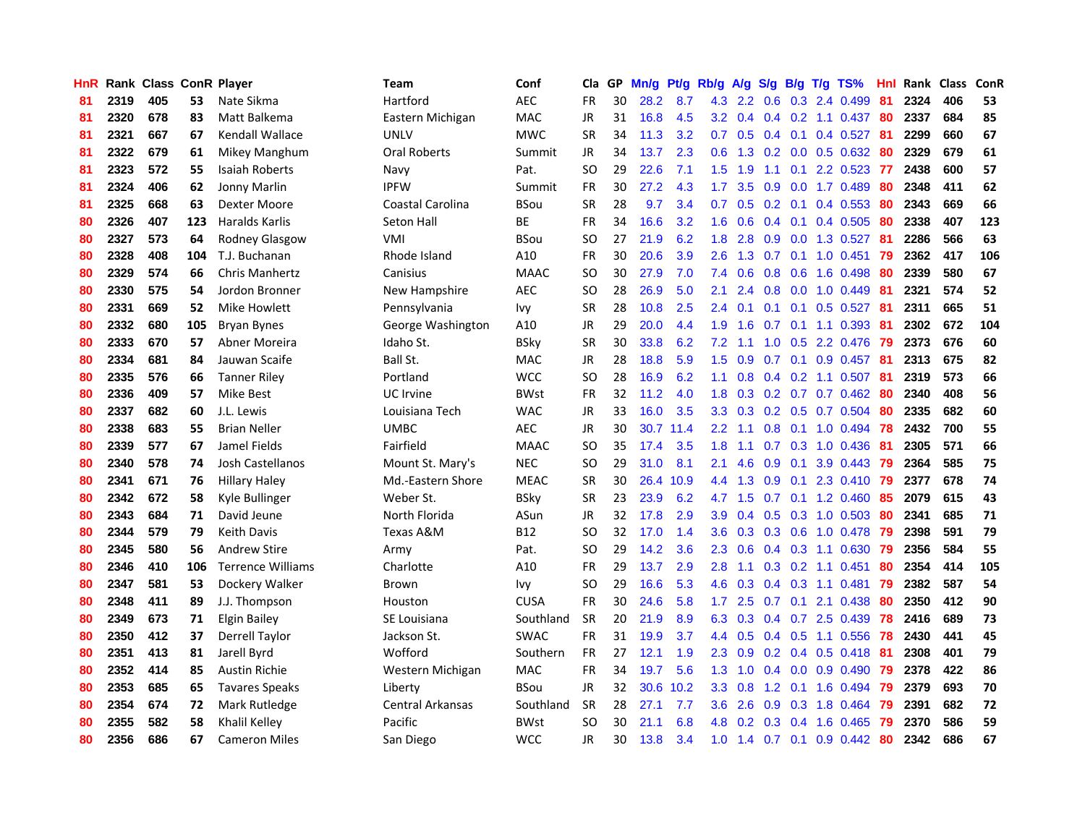| <b>HnR</b> |      | Rank Class ConR Player |     |                          | Team                    | Conf        | Cla       |    | GP Mn/g Pt/g |           | Rb/g             | A/g           |                 |                 | S/g B/g T/g TS%           | Hnl |      | Rank Class | ConR |
|------------|------|------------------------|-----|--------------------------|-------------------------|-------------|-----------|----|--------------|-----------|------------------|---------------|-----------------|-----------------|---------------------------|-----|------|------------|------|
| 81         | 2319 | 405                    | 53  | Nate Sikma               | Hartford                | <b>AEC</b>  | FR        | 30 | 28.2         | 8.7       | 4.3              | $2.2^{\circ}$ | 0.6             | 0.3             | 2.4 0.499                 | 81  | 2324 | 406        | 53   |
| 81         | 2320 | 678                    | 83  | Matt Balkema             | Eastern Michigan        | <b>MAC</b>  | JR        | 31 | 16.8         | 4.5       | 3.2              | 0.4           |                 | $0.4 \quad 0.2$ | 1.1 0.437                 | -80 | 2337 | 684        | 85   |
| 81         | 2321 | 667                    | 67  | <b>Kendall Wallace</b>   | <b>UNLV</b>             | <b>MWC</b>  | <b>SR</b> | 34 | 11.3         | 3.2       | 0.7              | 0.5           | $0.4 \quad 0.1$ |                 | 0.4 0.527                 | 81  | 2299 | 660        | 67   |
| 81         | 2322 | 679                    | 61  | Mikey Manghum            | <b>Oral Roberts</b>     | Summit      | JR        | 34 | 13.7         | 2.3       | 0.6              |               |                 |                 | 1.3 0.2 0.0 0.5 0.632     | 80  | 2329 | 679        | 61   |
| 81         | 2323 | 572                    | 55  | Isaiah Roberts           | Navy                    | Pat.        | SO.       | 29 | 22.6         | 7.1       | 1.5              | 1.9           |                 |                 | $1.1$ 0.1 2.2 0.523       | 77  | 2438 | 600        | 57   |
| 81         | 2324 | 406                    | 62  | Jonny Marlin             | <b>IPFW</b>             | Summit      | <b>FR</b> | 30 | 27.2         | 4.3       | $1.7^{\circ}$    | 3.5           |                 |                 | $0.9$ $0.0$ 1.7 $0.489$   | 80  | 2348 | 411        | 62   |
| 81         | 2325 | 668                    | 63  | Dexter Moore             | Coastal Carolina        | <b>BSou</b> | <b>SR</b> | 28 | 9.7          | 3.4       | 0.7              | 0.5           |                 |                 | $0.2$ 0.1 0.4 0.553       | 80  | 2343 | 669        | 66   |
| 80         | 2326 | 407                    | 123 | <b>Haralds Karlis</b>    | Seton Hall              | ВE          | <b>FR</b> | 34 | 16.6         | 3.2       | 1.6              | 0.6           |                 | $0.4 \quad 0.1$ | 0.4 0.505                 | 80  | 2338 | 407        | 123  |
| 80         | 2327 | 573                    | 64  | Rodney Glasgow           | VMI                     | <b>BSou</b> | <b>SO</b> | 27 | 21.9         | 6.2       | 1.8              | 2.8           | 0.9             |                 | 0.0 1.3 0.527             | -81 | 2286 | 566        | 63   |
| 80         | 2328 | 408                    | 104 | T.J. Buchanan            | Rhode Island            | A10         | <b>FR</b> | 30 | 20.6         | 3.9       | 2.6              | 1.3           | 0.7             | 0.1             | $1.0 \t0.451$             | 79  | 2362 | 417        | 106  |
| 80         | 2329 | 574                    | 66  | <b>Chris Manhertz</b>    | Canisius                | <b>MAAC</b> | SO.       | 30 | 27.9         | 7.0       | 7.4              | 0.6           | 0.8             | 0.6             | 1.6 0.498                 | 80  | 2339 | 580        | 67   |
| 80         | 2330 | 575                    | 54  | Jordon Bronner           | New Hampshire           | <b>AEC</b>  | <b>SO</b> | 28 | 26.9         | 5.0       | 2.1              | 2.4           | 0.8             | 0.0             | 1.0 0.449                 | 81  | 2321 | 574        | 52   |
| 80         | 2331 | 669                    | 52  | Mike Howlett             | Pennsylvania            | Ivy         | <b>SR</b> | 28 | 10.8         | 2.5       | 2.4              | 0.1           | 0.1             | 0.1             | $0.5$ 0.527               | -81 | 2311 | 665        | 51   |
| 80         | 2332 | 680                    | 105 | <b>Bryan Bynes</b>       | George Washington       | A10         | JR        | 29 | 20.0         | 4.4       | 1.9              | 1.6           | 0.7             |                 | $0.1$ 1.1 0.393           | 81  | 2302 | 672        | 104  |
| 80         | 2333 | 670                    | 57  | Abner Moreira            | Idaho St.               | BSkv        | <b>SR</b> | 30 | 33.8         | 6.2       | 7.2              | 1.1           | 1.0             | 0.5             | 2.2 0.476                 | -79 | 2373 | 676        | 60   |
| 80         | 2334 | 681                    | 84  | Jauwan Scaife            | Ball St.                | <b>MAC</b>  | JR        | 28 | 18.8         | 5.9       | 1.5              | 0.9           | 0.7             | 0.1             | 0.9 0.457                 | -81 | 2313 | 675        | 82   |
| 80         | 2335 | 576                    | 66  | <b>Tanner Riley</b>      | Portland                | <b>WCC</b>  | <b>SO</b> | 28 | 16.9         | 6.2       | 1.1              | 0.8           |                 |                 | $0.4$ 0.2 1.1 0.507       | -81 | 2319 | 573        | 66   |
| 80         | 2336 | 409                    | 57  | Mike Best                | UC Irvine               | <b>BWst</b> | FR        | 32 | 11.2         | 4.0       | 1.8              |               |                 |                 | 0.3 0.2 0.7 0.7 0.462     | -80 | 2340 | 408        | 56   |
| 80         | 2337 | 682                    | 60  | J.L. Lewis               | Louisiana Tech          | <b>WAC</b>  | JR        | 33 | 16.0         | 3.5       |                  |               |                 |                 | 3.3 0.3 0.2 0.5 0.7 0.504 | 80  | 2335 | 682        | 60   |
| 80         | 2338 | 683                    | 55  | <b>Brian Neller</b>      | UMBC                    | AEC         | JR        | 30 |              | 30.7 11.4 | $2.2^{\circ}$    | 1.1           |                 |                 | 0.8 0.1 1.0 0.494         | -78 | 2432 | 700        | 55   |
| 80         | 2339 | 577                    | 67  | Jamel Fields             | Fairfield               | <b>MAAC</b> | <b>SO</b> | 35 | 17.4         | 3.5       | 1.8              | 1.1           |                 |                 | $0.7$ $0.3$ $1.0$ $0.436$ | -81 | 2305 | 571        | 66   |
| 80         | 2340 | 578                    | 74  | Josh Castellanos         | Mount St. Mary's        | <b>NEC</b>  | <b>SO</b> | 29 | 31.0         | 8.1       | 2.1              | 4.6           | 0.9             | 0.1             | 3.9 0.443                 | -79 | 2364 | 585        | 75   |
| 80         | 2341 | 671                    | 76  | <b>Hillary Haley</b>     | Md.-Eastern Shore       | <b>MEAC</b> | <b>SR</b> | 30 | 26.4         | 10.9      | 4.4              | 1.3           | 0.9             | 0.1             | 2.3 0.410                 | -79 | 2377 | 678        | 74   |
| 80         | 2342 | 672                    | 58  | Kyle Bullinger           | Weber St.               | <b>BSky</b> | <b>SR</b> | 23 | 23.9         | 6.2       | 4.7              | 1.5           |                 |                 | $0.7$ 0.1 1.2 0.460       | -85 | 2079 | 615        | 43   |
| 80         | 2343 | 684                    | 71  | David Jeune              | North Florida           | ASun        | JR        | 32 | 17.8         | 2.9       | 3.9              | 0.4           |                 |                 | 0.5 0.3 1.0 0.503         | -80 | 2341 | 685        | 71   |
| 80         | 2344 | 579                    | 79  | <b>Keith Davis</b>       | Texas A&M               | <b>B12</b>  | <b>SO</b> | 32 | 17.0         | 1.4       | 3.6              | 0.3           |                 | $0.3 \quad 0.6$ | 1.0 0.478                 | -79 | 2398 | 591        | 79   |
| 80         | 2345 | 580                    | 56  | <b>Andrew Stire</b>      | Army                    | Pat.        | SO.       | 29 | 14.2         | 3.6       | 2.3              | 0.6           |                 |                 | $0.4$ 0.3 1.1 0.630       | -79 | 2356 | 584        | 55   |
| 80         | 2346 | 410                    | 106 | <b>Terrence Williams</b> | Charlotte               | A10         | <b>FR</b> | 29 | 13.7         | 2.9       | 2.8              | 1.1           |                 |                 | $0.3$ 0.2 1.1 0.451       | 80  | 2354 | 414        | 105  |
| 80         | 2347 | 581                    | 53  | Dockery Walker           | Brown                   | Ivy         | SO.       | 29 | 16.6         | 5.3       | 4.6              | 0.3           |                 | $0.4$ 0.3       | 1.1 0.481                 | -79 | 2382 | 587        | 54   |
| 80         | 2348 | 411                    | 89  | J.J. Thompson            | Houston                 | <b>CUSA</b> | <b>FR</b> | 30 | 24.6         | 5.8       | 1.7              | 2.5           | 0.7             | 0.1             | 2.1 0.438                 | 80  | 2350 | 412        | 90   |
| 80         | 2349 | 673                    | 71  | <b>Elgin Bailey</b>      | SE Louisiana            | Southland   | <b>SR</b> | 20 | 21.9         | 8.9       | 6.3              | 0.3           |                 |                 | 0.4 0.7 2.5 0.439         | 78  | 2416 | 689        | 73   |
| 80         | 2350 | 412                    | 37  | Derrell Taylor           | Jackson St.             | <b>SWAC</b> | FR        | 31 | 19.9         | 3.7       |                  | 4.4 0.5       |                 |                 | $0.4$ 0.5 1.1 0.556       | -78 | 2430 | 441        | 45   |
| 80         | 2351 | 413                    | 81  | Jarell Byrd              | Wofford                 | Southern    | <b>FR</b> | 27 | 12.1         | 1.9       | $2.3^{\circ}$    | 0.9           |                 |                 | 0.2 0.4 0.5 0.418 81      |     | 2308 | 401        | 79   |
| 80         | 2352 | 414                    | 85  | <b>Austin Richie</b>     | Western Michigan        | <b>MAC</b>  | <b>FR</b> | 34 | 19.7         | 5.6       | 1.3              | 1.0           |                 |                 | $0.4$ 0.0 0.9 0.490       | -79 | 2378 | 422        | 86   |
| 80         | 2353 | 685                    | 65  | <b>Tavares Speaks</b>    | Liberty                 | BSou        | <b>JR</b> | 32 | 30.6         | 10.2      | 3.3 <sub>2</sub> | 0.8           |                 |                 | 1.2 0.1 1.6 0.494         | 79  | 2379 | 693        | 70   |
| 80         | 2354 | 674                    | 72  | Mark Rutledge            | <b>Central Arkansas</b> | Southland   | <b>SR</b> | 28 | 27.1         | 7.7       | 3.6              | 2.6           | 0.9             |                 | $0.3$ 1.8 $0.464$         | -79 | 2391 | 682        | 72   |
| 80         | 2355 | 582                    | 58  | Khalil Kelley            | Pacific                 | <b>BWst</b> | SO.       | 30 | 21.1         | 6.8       | 4.8              | 0.2           | 0.3             | 0.4             | 1.6 0.465                 | 79  | 2370 | 586        | 59   |
| 80         | 2356 | 686                    | 67  | <b>Cameron Miles</b>     | San Diego               | <b>WCC</b>  | JR        | 30 | 13.8         | 3.4       |                  |               |                 |                 | 1.0 1.4 0.7 0.1 0.9 0.442 | -80 | 2342 | 686        | 67   |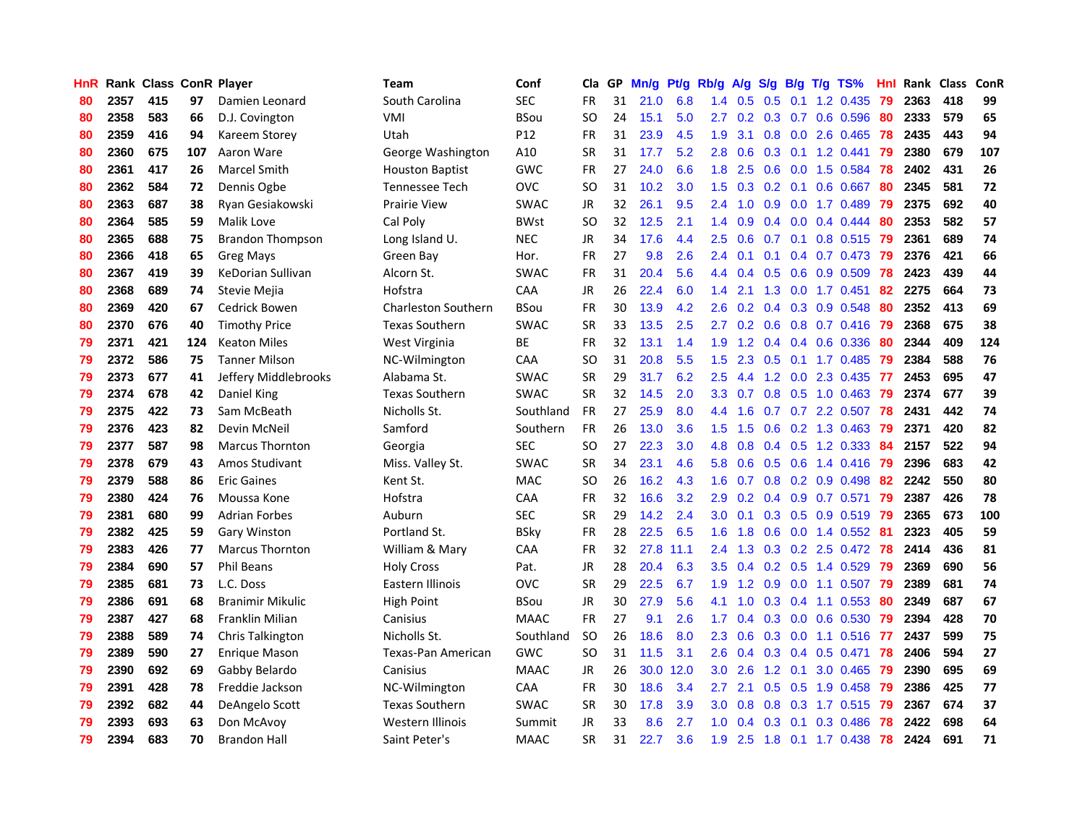| <b>HnR</b> |      | <b>Rank Class ConR Player</b> |     |                         | <b>Team</b>                | Conf        | Cla       |    | GP Mn/g | Pt/g | Rb/g             | A/g               |     |                 | S/g B/g T/g TS%           | Hnl  | Rank Class |     | ConR |
|------------|------|-------------------------------|-----|-------------------------|----------------------------|-------------|-----------|----|---------|------|------------------|-------------------|-----|-----------------|---------------------------|------|------------|-----|------|
| 80         | 2357 | 415                           | 97  | Damien Leonard          | South Carolina             | <b>SEC</b>  | FR        | 31 | 21.0    | 6.8  | 1.4              | 0.5               | 0.5 | 0.1             | 1.2 0.435                 | 79   | 2363       | 418 | 99   |
| 80         | 2358 | 583                           | 66  | D.J. Covington          | VMI                        | <b>BSou</b> | SO.       | 24 | 15.1    | 5.0  | 2.7              | 0.2               | 0.3 | 0.7             | 0.6 0.596                 | 80   | 2333       | 579 | 65   |
| 80         | 2359 | 416                           | 94  | Kareem Storey           | Utah                       | P12         | <b>FR</b> | 31 | 23.9    | 4.5  | 1.9              | 3.1               |     | $0.8\ 0.0$      | 2.6 0.465                 | -78  | 2435       | 443 | 94   |
| 80         | 2360 | 675                           | 107 | Aaron Ware              | George Washington          | A10         | <b>SR</b> | 31 | 17.7    | 5.2  | 2.8              | 0.6               |     |                 | $0.3$ 0.1 1.2 0.441       | 79   | 2380       | 679 | 107  |
| 80         | 2361 | 417                           | 26  | <b>Marcel Smith</b>     | <b>Houston Baptist</b>     | GWC         | <b>FR</b> | 27 | 24.0    | 6.6  |                  | $1.8$ 2.5         |     |                 | 0.6 0.0 1.5 0.584         | -78  | 2402       | 431 | 26   |
| 80         | 2362 | 584                           | 72  | Dennis Ogbe             | Tennessee Tech             | <b>OVC</b>  | SO.       | 31 | 10.2    | 3.0  | 1.5              | 0.3               |     |                 | $0.2$ 0.1 0.6 0.667       | 80   | 2345       | 581 | 72   |
| 80         | 2363 | 687                           | 38  | Ryan Gesiakowski        | Prairie View               | <b>SWAC</b> | JR        | 32 | 26.1    | 9.5  |                  | $2.4$ 1.0         |     |                 | 0.9 0.0 1.7 0.489         | -79  | 2375       | 692 | 40   |
| 80         | 2364 | 585                           | 59  | Malik Love              | Cal Poly                   | <b>BWst</b> | SO.       | 32 | 12.5    | 2.1  | 1.4              | 0.9               |     |                 | $0.4$ 0.0 0.4 0.444       | 80   | 2353       | 582 | 57   |
| 80         | 2365 | 688                           | 75  | <b>Brandon Thompson</b> | Long Island U.             | <b>NEC</b>  | JR        | 34 | 17.6    | 4.4  | 2.5              | 0.6               |     | $0.7 \quad 0.1$ | 0.8 0.515                 | 79   | 2361       | 689 | 74   |
| 80         | 2366 | 418                           | 65  | <b>Greg Mays</b>        | Green Bay                  | Hor.        | <b>FR</b> | 27 | 9.8     | 2.6  | 2.4              | 0.1               | 0.1 |                 | 0.4 0.7 0.473             | -79  | 2376       | 421 | 66   |
| 80         | 2367 | 419                           | 39  | KeDorian Sullivan       | Alcorn St.                 | <b>SWAC</b> | <b>FR</b> | 31 | 20.4    | 5.6  | 4.4              | 0.4               |     |                 | $0.5$ 0.6 0.9 0.509       | 78   | 2423       | 439 | 44   |
| 80         | 2368 | 689                           | 74  | Stevie Mejia            | Hofstra                    | CAA         | JR        | 26 | 22.4    | 6.0  | $1.4^{\circ}$    | 2.1               | 1.3 |                 | 0.0 1.7 0.451             | 82   | 2275       | 664 | 73   |
| 80         | 2369 | 420                           | 67  | Cedrick Bowen           | <b>Charleston Southern</b> | <b>BSou</b> | FR        | 30 | 13.9    | 4.2  | 2.6              | 0.2               | 0.4 | 0.3             | 0.9 0.548                 | 80   | 2352       | 413 | 69   |
| 80         | 2370 | 676                           | 40  | <b>Timothy Price</b>    | <b>Texas Southern</b>      | <b>SWAC</b> | <b>SR</b> | 33 | 13.5    | 2.5  | $2.7^{\circ}$    | 0.2               | 0.6 |                 | 0.8 0.7 0.416             | 79   | 2368       | 675 | 38   |
| 79         | 2371 | 421                           | 124 | <b>Keaton Miles</b>     | West Virginia              | <b>BE</b>   | <b>FR</b> | 32 | 13.1    | 1.4  | 1.9              | 1.2               |     | $0.4 \quad 0.4$ | 0.6 0.336                 | 80   | 2344       | 409 | 124  |
| 79         | 2372 | 586                           | 75  | <b>Tanner Milson</b>    | NC-Wilmington              | CAA         | <b>SO</b> | 31 | 20.8    | 5.5  | 1.5              | 2.3               | 0.5 | 0.1             | 1.7 0.485                 | -79  | 2384       | 588 | 76   |
| 79         | 2373 | 677                           | 41  | Jeffery Middlebrooks    | Alabama St.                | <b>SWAC</b> | <b>SR</b> | 29 | 31.7    | 6.2  | 2.5              | 4.4               |     |                 | 1.2 0.0 2.3 0.435         | 77   | 2453       | 695 | 47   |
| 79         | 2374 | 678                           | 42  | Daniel King             | <b>Texas Southern</b>      | <b>SWAC</b> | <b>SR</b> | 32 | 14.5    | 2.0  |                  | $3.3\quad 0.7$    |     |                 | 0.8 0.5 1.0 0.463         | -79  | 2374       | 677 | 39   |
| 79         | 2375 | 422                           | 73  | Sam McBeath             | Nicholls St.               | Southland   | FR.       | 27 | 25.9    | 8.0  |                  | $4.4$ 1.6         |     |                 | 0.7 0.7 2.2 0.507 78      |      | 2431       | 442 | 74   |
| 79         | 2376 | 423                           | 82  | Devin McNeil            | Samford                    | Southern    | <b>FR</b> | 26 | 13.0    | 3.6  |                  | $1.5$ 1.5         |     |                 | $0.6$ 0.2 1.3 0.463       | - 79 | 2371       | 420 | 82   |
| 79         | 2377 | 587                           | 98  | Marcus Thornton         | Georgia                    | <b>SEC</b>  | <b>SO</b> | 27 | 22.3    | 3.0  | 4.8              | 0.8               |     |                 | $0.4$ $0.5$ 1.2 0.333     | -84  | 2157       | 522 | 94   |
| 79         | 2378 | 679                           | 43  | Amos Studivant          | Miss. Valley St.           | <b>SWAC</b> | <b>SR</b> | 34 | 23.1    | 4.6  | 5.8              | 0.6               |     |                 | $0.5$ 0.6 1.4 0.416       | -79  | 2396       | 683 | 42   |
| 79         | 2379 | 588                           | 86  | <b>Eric Gaines</b>      | Kent St.                   | <b>MAC</b>  | SO.       | 26 | 16.2    | 4.3  | 1.6              | 0.7               |     |                 | $0.8$ 0.2 0.9 0.498       | 82   | 2242       | 550 | 80   |
| 79         | 2380 | 424                           | 76  | Moussa Kone             | Hofstra                    | <b>CAA</b>  | <b>FR</b> | 32 | 16.6    | 3.2  | 2.9              | 0.2               |     |                 | 0.4 0.9 0.7 0.571         | 79   | 2387       | 426 | 78   |
| 79         | 2381 | 680                           | 99  | <b>Adrian Forbes</b>    | Auburn                     | <b>SEC</b>  | <b>SR</b> | 29 | 14.2    | 2.4  | 3.0              | 0.1               |     |                 | 0.3 0.5 0.9 0.519         | -79  | 2365       | 673 | 100  |
| 79         | 2382 | 425                           | 59  | <b>Gary Winston</b>     | Portland St.               | <b>BSky</b> | FR        | 28 | 22.5    | 6.5  | 1.6              | 1.8               | 0.6 |                 | 0.0 1.4 0.552             | -81  | 2323       | 405 | 59   |
| 79         | 2383 | 426                           | 77  | <b>Marcus Thornton</b>  | William & Mary             | CAA         | FR        | 32 | 27.8    | 11.1 | 2.4              | 1.3               |     |                 | $0.3$ $0.2$ $2.5$ $0.472$ | 78   | 2414       | 436 | 81   |
| 79         | 2384 | 690                           | 57  | <b>Phil Beans</b>       | <b>Holy Cross</b>          | Pat.        | <b>JR</b> | 28 | 20.4    | 6.3  | 3.5              | 0.4               |     |                 | $0.2$ $0.5$ 1.4 $0.529$   | -79  | 2369       | 690 | 56   |
| 79         | 2385 | 681                           | 73  | L.C. Doss               | Eastern Illinois           | <b>OVC</b>  | <b>SR</b> | 29 | 22.5    | 6.7  | 1.9              | 1.2               | 0.9 | 0.0             | 1.1 0.507                 | -79  | 2389       | 681 | 74   |
| 79         | 2386 | 691                           | 68  | <b>Branimir Mikulic</b> | High Point                 | <b>BSou</b> | JR        | 30 | 27.9    | 5.6  | 4.1              | 1.0               |     |                 | $0.3$ $0.4$ 1.1 0.553     | 80   | 2349       | 687 | 67   |
| 79         | 2387 | 427                           | 68  | Franklin Milian         | Canisius                   | <b>MAAC</b> | <b>FR</b> | 27 | 9.1     | 2.6  | 1.7 <sub>2</sub> | 0.4               |     |                 | $0.3$ 0.0 0.6 0.530       | -79  | 2394       | 428 | 70   |
| 79         | 2388 | 589                           | 74  | Chris Talkington        | Nicholls St.               | Southland   | <b>SO</b> | 26 | 18.6    | 8.0  | $2.3^{\circ}$    | 0.6               |     |                 | 0.3 0.0 1.1 0.516 77      |      | 2437       | 599 | 75   |
| 79         | 2389 | 590                           | 27  | <b>Enrique Mason</b>    | Texas-Pan American         | GWC         | SO.       | 31 | 11.5    | 3.1  | $2.6^{\circ}$    | 0.4               |     |                 | $0.3$ 0.4 0.5 0.471       | -78  | 2406       | 594 | 27   |
| 79         | 2390 | 692                           | 69  | Gabby Belardo           | Canisius                   | <b>MAAC</b> | <b>JR</b> | 26 | 30.0    | 12.0 | 3.0              | 2.6               |     | $1.2 \quad 0.1$ | 3.0 0.465                 | -79  | 2390       | 695 | 69   |
| 79         | 2391 | 428                           | 78  | Freddie Jackson         | NC-Wilmington              | <b>CAA</b>  | FR        | 30 | 18.6    | 3.4  | 2.7              | 2.1               |     |                 | $0.5$ $0.5$ 1.9 $0.458$   | 79   | 2386       | 425 | 77   |
| 79         | 2392 | 682                           | 44  | DeAngelo Scott          | <b>Texas Southern</b>      | <b>SWAC</b> | <b>SR</b> | 30 | 17.8    | 3.9  | 3.0 <sub>2</sub> | 0.8               | 0.8 |                 | $0.3$ 1.7 0.515           | -79  | 2367       | 674 | 37   |
| 79         | 2393 | 693                           | 63  | Don McAvoy              | Western Illinois           | Summit      | JR        | 33 | 8.6     | 2.7  | 1.0              | $\mathbf{0}$<br>4 | 0.3 | 0.1             | 0.3 0.486                 | 78   | 2422       | 698 | 64   |
| 79         | 2394 | 683                           | 70  | <b>Brandon Hall</b>     | Saint Peter's              | <b>MAAC</b> | <b>SR</b> | 31 | 22.7    | 3.6  | 1.9              | 2.5               |     |                 | 1.8 0.1 1.7 0.438         | 78   | 2424       | 691 | 71   |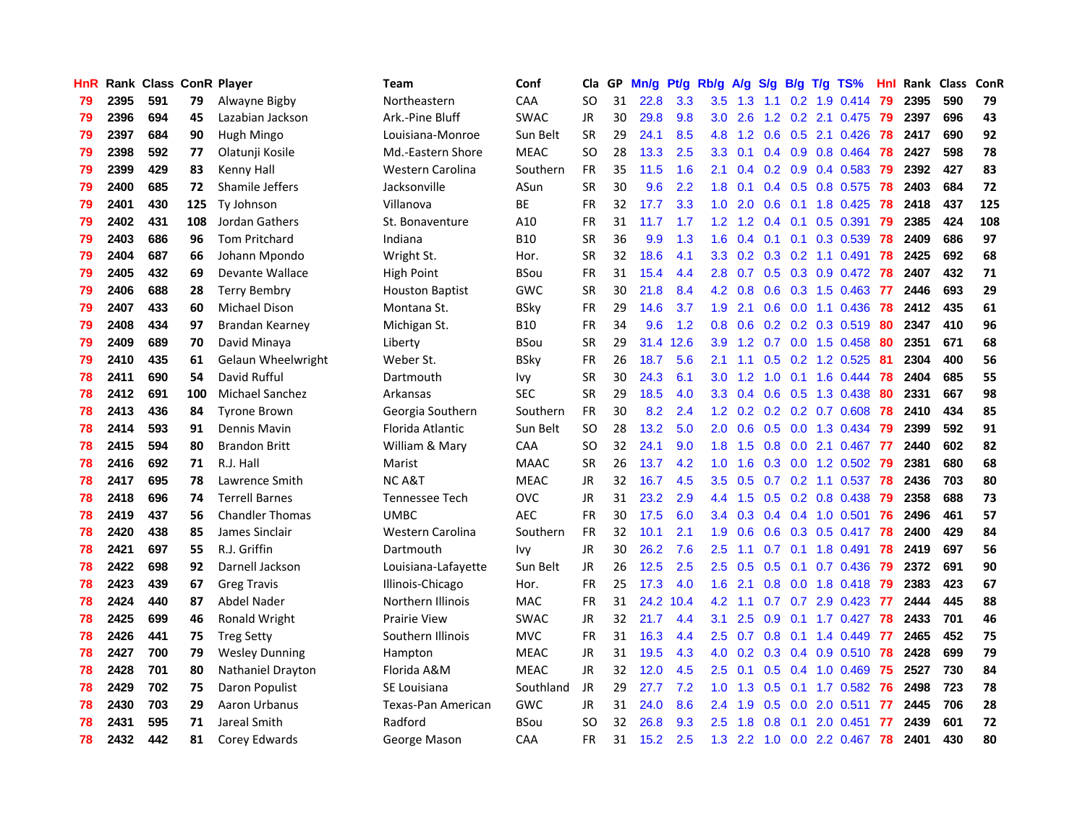| <b>HnR</b> |      | Rank Class ConR Player |     |                        | <b>Team</b>            | Conf        | Cla       |     | GP Mn/g Pt/g Rb/g A/g |           |                  |                 |     |                 | S/g B/g T/g TS%           | Hnl  |      | Rank Class | <b>ConR</b> |
|------------|------|------------------------|-----|------------------------|------------------------|-------------|-----------|-----|-----------------------|-----------|------------------|-----------------|-----|-----------------|---------------------------|------|------|------------|-------------|
| 79         | 2395 | 591                    | 79  | Alwayne Bigby          | Northeastern           | CAA         | SO.       | 31  | 22.8                  | 3.3       | 3.5              | 1.3             | 1.1 | 0.2             | 1.9 0.414                 | -79  | 2395 | 590        | 79          |
| 79         | 2396 | 694                    | 45  | Lazabian Jackson       | Ark.-Pine Bluff        | <b>SWAC</b> | <b>JR</b> | 30  | 29.8                  | 9.8       | 3.0              | 2.6             | 1.2 | 0.2             | 2.1 0.475                 | -79  | 2397 | 696        | 43          |
| 79         | 2397 | 684                    | 90  | Hugh Mingo             | Louisiana-Monroe       | Sun Belt    | <b>SR</b> | 29  | 24.1                  | 8.5       | 4.8              | 1.2             | 0.6 | 0.5             | 2.1 0.426                 | -78  | 2417 | 690        | 92          |
| 79         | 2398 | 592                    | 77  | Olatunji Kosile        | Md.-Eastern Shore      | <b>MEAC</b> | <b>SO</b> | 28  | 13.3                  | 2.5       | 3.3 <sub>2</sub> | 0.1             |     | $0.4 \quad 0.9$ | 0.8 0.464                 | 78   | 2427 | 598        | 78          |
| 79         | 2399 | 429                    | 83  | Kenny Hall             | Western Carolina       | Southern    | FR        | 35  | 11.5                  | 1.6       | 2.1              | 0.4             |     |                 | $0.2$ $0.9$ $0.4$ $0.583$ | -79  | 2392 | 427        | 83          |
| 79         | 2400 | 685                    | 72  | Shamile Jeffers        | Jacksonville           | ASun        | <b>SR</b> | 30  | 9.6                   | 2.2       | 1.8              | 0.1             |     |                 | 0.4 0.5 0.8 0.575 78      |      | 2403 | 684        | 72          |
| 79         | 2401 | 430                    | 125 | <b>Ty Johnson</b>      | Villanova              | ВE          | <b>FR</b> | 32  | 17.7                  | 3.3       | 1.0 <sub>1</sub> | 2.0             |     |                 | $0.6$ $0.1$ 1.8 $0.425$   | -78  | 2418 | 437        | 125         |
| 79         | 2402 | 431                    | 108 | Jordan Gathers         | St. Bonaventure        | A10         | <b>FR</b> | 31  | 11.7                  | 1.7       |                  | $1.2 \quad 1.2$ |     |                 | $0.4$ 0.1 0.5 0.391       | -79  | 2385 | 424        | 108         |
| 79         | 2403 | 686                    | 96  | <b>Tom Pritchard</b>   | Indiana                | <b>B10</b>  | SR        | 36  | 9.9                   | 1.3       | 1.6              | 0.4             |     |                 | $0.1$ 0.1 0.3 0.539       | 78   | 2409 | 686        | 97          |
| 79         | 2404 | 687                    | 66  | Johann Mpondo          | Wright St.             | Hor.        | <b>SR</b> | 32  | 18.6                  | 4.1       | 3.3 <sub>2</sub> | 0.2             |     |                 | $0.3$ $0.2$ 1.1 $0.491$   | 78   | 2425 | 692        | 68          |
| 79         | 2405 | 432                    | 69  | Devante Wallace        | <b>High Point</b>      | <b>BSou</b> | <b>FR</b> | 31  | 15.4                  | 4.4       | 2.8              | 0.7             |     |                 | $0.5$ $0.3$ $0.9$ $0.472$ | 78   | 2407 | 432        | 71          |
| 79         | 2406 | 688                    | 28  | <b>Terry Bembry</b>    | <b>Houston Baptist</b> | <b>GWC</b>  | <b>SR</b> | 30  | 21.8                  | 8.4       | 4.2              | 0.8             |     |                 | 0.6 0.3 1.5 0.463         | -77  | 2446 | 693        | 29          |
| 79         | 2407 | 433                    | 60  | Michael Dison          | Montana St.            | <b>BSky</b> | <b>FR</b> | 29  | 14.6                  | 3.7       | 1.9              | 2.1             | 0.6 |                 | 0.0 1.1 0.436             | 78   | 2412 | 435        | 61          |
| 79         | 2408 | 434                    | 97  | Brandan Kearney        | Michigan St.           | <b>B10</b>  | <b>FR</b> | 34  | 9.6                   | 1.2       | 0.8              | 0.6             |     |                 | $0.2$ $0.2$ $0.3$ $0.519$ | 80   | 2347 | 410        | 96          |
| 79         | 2409 | 689                    | 70  | David Minaya           | Liberty                | <b>BSou</b> | <b>SR</b> | 29  |                       | 31.4 12.6 | 3.9              | 1.2             | 0.7 | 0.0             | 1.5 0.458                 | 80   | 2351 | 671        | 68          |
| 79         | 2410 | 435                    | 61  | Gelaun Wheelwright     | Weber St.              | <b>BSky</b> | <b>FR</b> | 26  | 18.7                  | 5.6       | 2.1              | 1.1             |     | $0.5 \quad 0.2$ | 1.2 0.525                 | -81  | 2304 | 400        | 56          |
| 78         | 2411 | 690                    | 54  | David Rufful           | Dartmouth              | lvy         | <b>SR</b> | 30  | 24.3                  | 6.1       | 3.0              | 1.2             | 1.0 | 0.1             | 1.6 0.444                 | 78   | 2404 | 685        | 55          |
| 78         | 2412 | 691                    | 100 | Michael Sanchez        | Arkansas               | <b>SEC</b>  | <b>SR</b> | 29  | 18.5                  | 4.0       |                  | $3.3 \quad 0.4$ |     | $0.6$ 0.5       | 1.3 0.438                 | 80   | 2331 | 667        | 98          |
| 78         | 2413 | 436                    | 84  | <b>Tyrone Brown</b>    | Georgia Southern       | Southern    | <b>FR</b> | 30  | 8.2                   | 2.4       |                  |                 |     |                 | 1.2 0.2 0.2 0.2 0.7 0.608 | -78  | 2410 | 434        | 85          |
| 78         | 2414 | 593                    | 91  | Dennis Mavin           | Florida Atlantic       | Sun Belt    | <b>SO</b> | 28  | 13.2                  | 5.0       |                  | $2.0 \quad 0.6$ |     |                 | 0.5 0.0 1.3 0.434         | - 79 | 2399 | 592        | 91          |
| 78         | 2415 | 594                    | 80  | <b>Brandon Britt</b>   | William & Mary         | CAA         | <b>SO</b> | 32  | 24.1                  | 9.0       |                  | $1.8$ 1.5       |     |                 | 0.8 0.0 2.1 0.467 77      |      | 2440 | 602        | 82          |
| 78         | 2416 | 692                    | 71  | R.J. Hall              | Marist                 | <b>MAAC</b> | <b>SR</b> | 26  | 13.7                  | 4.2       | 1.0 <sub>1</sub> | 1.6             |     |                 | $0.3$ 0.0 1.2 0.502       | -79  | 2381 | 680        | 68          |
| 78         | 2417 | 695                    | 78  | Lawrence Smith         | <b>NCA&amp;T</b>       | <b>MEAC</b> | <b>JR</b> | 32  | 16.7                  | 4.5       | 3.5              | 0.5             |     |                 | 0.7 0.2 1.1 0.537 78      |      | 2436 | 703        | 80          |
| 78         | 2418 | 696                    | 74  | <b>Terrell Barnes</b>  | Tennessee Tech         | <b>OVC</b>  | <b>JR</b> | 31  | 23.2                  | 2.9       | 4.4              | 1.5             |     |                 | $0.5$ $0.2$ $0.8$ $0.438$ | -79  | 2358 | 688        | 73          |
| 78         | 2419 | 437                    | 56  | <b>Chandler Thomas</b> | <b>UMBC</b>            | <b>AEC</b>  | <b>FR</b> | 30  | 17.5                  | 6.0       | $3.4^{\circ}$    | 0.3             |     |                 | $0.4$ 0.4 1.0 0.501       | -76  | 2496 | 461        | 57          |
| 78         | 2420 | 438                    | 85  | James Sinclair         | Western Carolina       | Southern    | FR        | 32  | 10.1                  | 2.1       | 1.9              | 0.6             |     |                 | 0.6 0.3 0.5 0.417         | 78   | 2400 | 429        | 84          |
| 78         | 2421 | 697                    | 55  | R.J. Griffin           | Dartmouth              | Ivy         | <b>JR</b> | 30  | 26.2                  | 7.6       | 2.5              | 1.1             | 0.7 |                 | $0.1$ 1.8 0.491           | 78   | 2419 | 697        | 56          |
| 78         | 2422 | 698                    | 92  | Darnell Jackson        | Louisiana-Lafayette    | Sun Belt    | JR        | 26  | 12.5                  | 2.5       | 2.5              | 0.5             | 0.5 | 0.1             | 0.7 0.436                 | -79  | 2372 | 691        | 90          |
| 78         | 2423 | 439                    | 67  | <b>Greg Travis</b>     | Illinois-Chicago       | Hor.        | <b>FR</b> | 25  | 17.3                  | 4.0       | 1.6              | 2.1             | 0.8 | 0.0             | 1.8 0.418                 | -79  | 2383 | 423        | 67          |
| 78         | 2424 | 440                    | 87  | Abdel Nader            | Northern Illinois      | MAC         | <b>FR</b> | 31  | 24.2                  | 10.4      | 4.2              | 1.1             | 0.7 |                 | 0.7 2.9 0.423             | -77  | 2444 | 445        | 88          |
| 78         | 2425 | 699                    | 46  | Ronald Wright          | <b>Prairie View</b>    | <b>SWAC</b> | <b>JR</b> | 32  | 21.7                  | 4.4       | 3.1              | 2.5             | 0.9 | 0.1             | 1.7 0.427                 | 78   | 2433 | 701        | 46          |
| 78         | 2426 | 441                    | 75  | <b>Treg Setty</b>      | Southern Illinois      | <b>MVC</b>  | <b>FR</b> | 31  | 16.3                  | 4.4       | $2.5\,$          | 0.7             |     |                 | $0.8$ 0.1 1.4 0.449       | - 77 | 2465 | 452        | 75          |
| 78         | 2427 | 700                    | 79  | <b>Wesley Dunning</b>  | Hampton                | <b>MEAC</b> | JR        | 31  | 19.5                  | 4.3       |                  | $4.0 \quad 0.2$ |     |                 | 0.3 0.4 0.9 0.510 78      |      | 2428 | 699        | 79          |
| 78         | 2428 | 701                    | 80  | Nathaniel Drayton      | Florida A&M            | <b>MEAC</b> | JR        | 32. | 12.0                  | 4.5       | $2.5^{\circ}$    | 0.1             |     |                 | $0.5$ 0.4 1.0 0.469       | -75  | 2527 | 730        | 84          |
| 78         | 2429 | 702                    | 75  | Daron Populist         | SE Louisiana           | Southland   | JR        | 29  | 27.7                  | 7.2       | 1.0 <sub>1</sub> | 1.3             | 0.5 |                 | $0.1$ 1.7 0.582           | 76   | 2498 | 723        | 78          |
| 78         | 2430 | 703                    | 29  | Aaron Urbanus          | Texas-Pan American     | <b>GWC</b>  | JR        | 31  | 24.0                  | 8.6       | $2.4^{\circ}$    | 1.9             | 0.5 | 0.0             | $2.0$ 0.511               | 77   | 2445 | 706        | 28          |
| 78         | 2431 | 595                    | 71  | Jareal Smith           | Radford                | <b>BSou</b> | <b>SO</b> | 32  | 26.8                  | 9.3       | 2.5              | 1.8             | 0.8 | 0.1             | 2.0 0.451                 | 77   | 2439 | 601        | 72          |
| 78         | 2432 | 442                    | 81  | Corey Edwards          | George Mason           | CAA         | FR        | 31  | 15.2                  | 2.5       |                  |                 |     |                 | 1.3 2.2 1.0 0.0 2.2 0.467 | 78   | 2401 | 430        | 80          |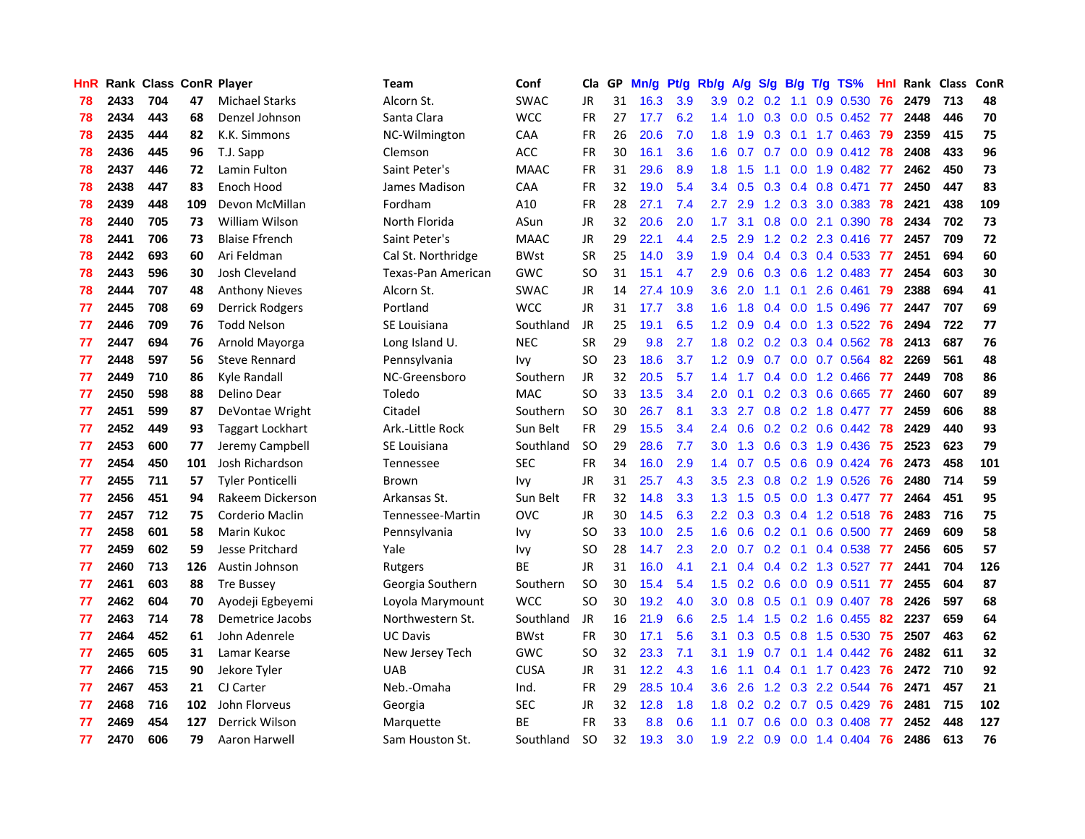| HnR |      |     |     | Rank Class ConR Player  | <b>Team</b>        | Conf        | Cla           |    | GP Mn/g Pt/g Rb/g A/g S/g B/g T/g TS% |           |                  |             |     |                 |                            | Hnl  | Rank Class |     | ConR |
|-----|------|-----|-----|-------------------------|--------------------|-------------|---------------|----|---------------------------------------|-----------|------------------|-------------|-----|-----------------|----------------------------|------|------------|-----|------|
| 78  | 2433 | 704 | 47  | <b>Michael Starks</b>   | Alcorn St.         | <b>SWAC</b> | JR            | 31 | 16.3                                  | 3.9       | 3.9              | 0.2         | 0.2 | 1.1             | 0.9 0.530                  | 76   | 2479       | 713 | 48   |
| 78  | 2434 | 443 | 68  | Denzel Johnson          | Santa Clara        | <b>WCC</b>  | <b>FR</b>     | 27 | 17.7                                  | 6.2       | 1.4              | 1.0         | 0.3 | 0.0             | $0.5$ 0.452                | -77  | 2448       | 446 | 70   |
| 78  | 2435 | 444 | 82  | K.K. Simmons            | NC-Wilmington      | CAA         | <b>FR</b>     | 26 | 20.6                                  | 7.0       | 1.8              | 1.9         | 0.3 | 0.1             | 1.7 0.463                  | 79   | 2359       | 415 | 75   |
| 78  | 2436 | 445 | 96  | T.J. Sapp               | Clemson            | <b>ACC</b>  | FR            | 30 | 16.1                                  | 3.6       | 1.6              | 0.7         | 0.7 |                 | 0.0 0.9 0.412 78           |      | 2408       | 433 | 96   |
| 78  | 2437 | 446 | 72  | Lamin Fulton            | Saint Peter's      | <b>MAAC</b> | <b>FR</b>     | 31 | 29.6                                  | 8.9       |                  | $1.8$ 1.5   | 1.1 |                 | 0.0 1.9 0.482 77           |      | 2462       | 450 | 73   |
| 78  | 2438 | 447 | 83  | Enoch Hood              | James Madison      | CAA         | <b>FR</b>     | 32 | 19.0                                  | 5.4       | 3.4              | 0.5         |     |                 | 0.3 0.4 0.8 0.471 77       |      | 2450       | 447 | 83   |
| 78  | 2439 | 448 | 109 | Devon McMillan          | Fordham            | A10         | <b>FR</b>     | 28 | 27.1                                  | 7.4       | $2.7^{\circ}$    | 2.9         |     |                 | 1.2 0.3 3.0 0.383          | 78   | 2421       | 438 | 109  |
| 78  | 2440 | 705 | 73  | William Wilson          | North Florida      | ASun        | JR            | 32 | 20.6                                  | 2.0       | 1.7              | 3.1         |     | $0.8\ 0.0$      | 2.1 0.390                  | 78   | 2434       | 702 | 73   |
| 78  | 2441 | 706 | 73  | <b>Blaise Ffrench</b>   | Saint Peter's      | <b>MAAC</b> | <b>JR</b>     | 29 | 22.1                                  | 4.4       | $2.5\,$          | 2.9         |     |                 | 1.2 0.2 2.3 0.416          | 77   | 2457       | 709 | 72   |
| 78  | 2442 | 693 | 60  | Ari Feldman             | Cal St. Northridge | <b>BWst</b> | <b>SR</b>     | 25 | 14.0                                  | 3.9       | 1.9              | 0.4         |     |                 | 0.4 0.3 0.4 0.533          | -77  | 2451       | 694 | 60   |
| 78  | 2443 | 596 | 30  | Josh Cleveland          | Texas-Pan American | <b>GWC</b>  | <b>SO</b>     | 31 | 15.1                                  | 4.7       | 2.9              | 0.6         |     |                 | 0.3 0.6 1.2 0.483          | 77   | 2454       | 603 | 30   |
| 78  | 2444 | 707 | 48  | <b>Anthony Nieves</b>   | Alcorn St.         | <b>SWAC</b> | JR            | 14 |                                       | 27.4 10.9 | 3.6              | 2.0         | 1.1 | 0.1             | 2.6 0.461                  | 79   | 2388       | 694 | 41   |
| 77  | 2445 | 708 | 69  | Derrick Rodgers         | Portland           | <b>WCC</b>  | <b>JR</b>     | 31 | 17.7                                  | 3.8       | 1.6              | 1.8         | 0.4 | 0.0             | 1.5 0.496                  | -77  | 2447       | 707 | 69   |
| 77  | 2446 | 709 | 76  | <b>Todd Nelson</b>      | SE Louisiana       | Southland   | JR            | 25 | 19.1                                  | 6.5       | $1.2^{\circ}$    | 0.9         |     | $0.4\quad 0.0$  | 1.3 0.522                  | -76  | 2494       | 722 | 77   |
| 77  | 2447 | 694 | 76  | Arnold Mayorga          | Long Island U.     | <b>NEC</b>  | <b>SR</b>     | 29 | 9.8                                   | 2.7       | 1.8              | 0.2         | 0.2 | 0.3             | 0.4 0.562                  | 78   | 2413       | 687 | 76   |
| 77  | 2448 | 597 | 56  | <b>Steve Rennard</b>    | Pennsylvania       | Ivy         | <sub>SO</sub> | 23 | 18.6                                  | 3.7       | 1.2 <sub>2</sub> | 0.9         | 0.7 | 0.0             | 0.7 0.564                  | 82   | 2269       | 561 | 48   |
| 77  | 2449 | 710 | 86  | Kyle Randall            | NC-Greensboro      | Southern    | <b>JR</b>     | 32 | 20.5                                  | 5.7       | $1.4^{\circ}$    | 1.7         |     | $0.4 \quad 0.0$ | 1.2 0.466                  | 77   | 2449       | 708 | 86   |
| 77  | 2450 | 598 | 88  | Delino Dear             | Toledo             | <b>MAC</b>  | <b>SO</b>     | 33 | 13.5                                  | 3.4       | 2.0              | 0.1         |     |                 | $0.2$ $0.3$ $0.6$ $0.665$  | -77  | 2460       | 607 | 89   |
| 77  | 2451 | 599 | 87  | DeVontae Wright         | Citadel            | Southern    | <b>SO</b>     | 30 | 26.7                                  | 8.1       |                  | $3.3$ $2.7$ |     |                 | $0.8$ $0.2$ 1.8 $0.477$ 77 |      | 2459       | 606 | 88   |
| 77  | 2452 | 449 | 93  | <b>Taggart Lockhart</b> | Ark.-Little Rock   | Sun Belt    | <b>FR</b>     | 29 | 15.5                                  | 3.4       | 2.4              | 0.6         |     |                 | $0.2$ $0.2$ $0.6$ $0.442$  | 78   | 2429       | 440 | 93   |
| 77  | 2453 | 600 | 77  | Jeremy Campbell         | SE Louisiana       | Southland   | <b>SO</b>     | 29 | 28.6                                  | 7.7       | 3.0 <sub>1</sub> | 1.3         |     |                 | 0.6 0.3 1.9 0.436          | - 75 | 2523       | 623 | 79   |
| 77  | 2454 | 450 | 101 | Josh Richardson         | Tennessee          | <b>SEC</b>  | <b>FR</b>     | 34 | 16.0                                  | 2.9       | $1.4^{\circ}$    | 0.7         |     |                 | 0.5 0.6 0.9 0.424 76       |      | 2473       | 458 | 101  |
| 77  | 2455 | 711 | 57  | <b>Tyler Ponticelli</b> | <b>Brown</b>       | Ivy         | JR            | 31 | 25.7                                  | 4.3       | 3.5              | 2.3         |     |                 | 0.8 0.2 1.9 0.526          | 76   | 2480       | 714 | 59   |
| 77  | 2456 | 451 | 94  | Rakeem Dickerson        | Arkansas St.       | Sun Belt    | <b>FR</b>     | 32 | 14.8                                  | 3.3       | 1.3              | 1.5         |     |                 | 0.5 0.0 1.3 0.477          | 77   | 2464       | 451 | 95   |
| 77  | 2457 | 712 | 75  | Corderio Maclin         | Tennessee-Martin   | <b>OVC</b>  | JR            | 30 | 14.5                                  | 6.3       | 2.2 <sub>2</sub> | 0.3         |     |                 | $0.3$ $0.4$ 1.2 $0.518$    | -76  | 2483       | 716 | 75   |
| 77  | 2458 | 601 | 58  | Marin Kukoc             | Pennsylvania       | Ivy         | <b>SO</b>     | 33 | 10.0                                  | 2.5       | 1.6              | 0.6         |     | $0.2 \quad 0.1$ | 0.6 0.500                  | -77  | 2469       | 609 | 58   |
| 77  | 2459 | 602 | 59  | Jesse Pritchard         | Yale               | Ivy         | <b>SO</b>     | 28 | 14.7                                  | 2.3       | 2.0              | 0.7         |     | $0.2 \quad 0.1$ | 0.4 0.538                  | -77  | 2456       | 605 | 57   |
| 77  | 2460 | 713 | 126 | Austin Johnson          | Rutgers            | <b>BE</b>   | <b>JR</b>     | 31 | 16.0                                  | 4.1       | 2.1              | 0.4         |     |                 | 0.4 0.2 1.3 0.527          | 77   | 2441       | 704 | 126  |
| 77  | 2461 | 603 | 88  | <b>Tre Bussey</b>       | Georgia Southern   | Southern    | <b>SO</b>     | 30 | 15.4                                  | 5.4       | 1.5              | 0.2         | 0.6 | 0.0             | $0.9$ $0.511$              | 77   | 2455       | 604 | 87   |
| 77  | 2462 | 604 | 70  | Ayodeji Egbeyemi        | Loyola Marymount   | <b>WCC</b>  | <b>SO</b>     | 30 | 19.2                                  | 4.0       | 3.0              | 0.8         | 0.5 | 0.1             | 0.9 0.407                  | -78  | 2426       | 597 | 68   |
| 77  | 2463 | 714 | 78  | Demetrice Jacobs        | Northwestern St.   | Southland   | <b>JR</b>     | 16 | 21.9                                  | 6.6       | 2.5              | 1.4         | 1.5 | 0.2             | 1.6 0.455                  | 82   | 2237       | 659 | 64   |
| 77  | 2464 | 452 | 61  | John Adenrele           | <b>UC Davis</b>    | <b>BWst</b> | FR            | 30 | 17.1                                  | 5.6       | 3.1              | 0.3         |     |                 | 0.5 0.8 1.5 0.530          | 75   | 2507       | 463 | 62   |
| 77  | 2465 | 605 | 31  | Lamar Kearse            | New Jersey Tech    | <b>GWC</b>  | <b>SO</b>     | 32 | 23.3                                  | 7.1       | 3.1              | 1.9         |     |                 | $0.7$ $0.1$ $1.4$ $0.442$  | 76   | 2482       | 611 | 32   |
| 77  | 2466 | 715 | 90  | Jekore Tyler            | <b>UAB</b>         | <b>CUSA</b> | <b>JR</b>     | 31 | 12.2                                  | 4.3       | 1.6              | 1.1         |     |                 | $0.4$ 0.1 1.7 0.423        | 76   | 2472       | 710 | 92   |
| 77  | 2467 | 453 | 21  | CJ Carter               | Neb.-Omaha         | Ind.        | <b>FR</b>     | 29 | 28.5                                  | 10.4      | 3.6              | 2.6         |     |                 | 1.2 0.3 2.2 0.544          | 76   | 2471       | 457 | 21   |
| 77  | 2468 | 716 | 102 | John Florveus           | Georgia            | <b>SEC</b>  | JR            | 32 | 12.8                                  | 1.8       | 1.8              | 0.2         | 0.2 |                 | 0.7 0.5 0.429              | 76   | 2481       | 715 | 102  |
| 77  | 2469 | 454 | 127 | Derrick Wilson          | Marquette          | BE          | <b>FR</b>     | 33 | 8.8                                   | 0.6       | 1.1              | 0.7         | 0.6 | 0.0             | 0.3 0.408                  | 77   | 2452       | 448 | 127  |
| 77  | 2470 | 606 | 79  | Aaron Harwell           | Sam Houston St.    | Southland   | SO.           | 32 | 19.3                                  | 3.0       | 1.9              | 2.2         |     |                 | $0.9$ $0.0$ 1.4 $0.404$    | -76  | 2486       | 613 | 76   |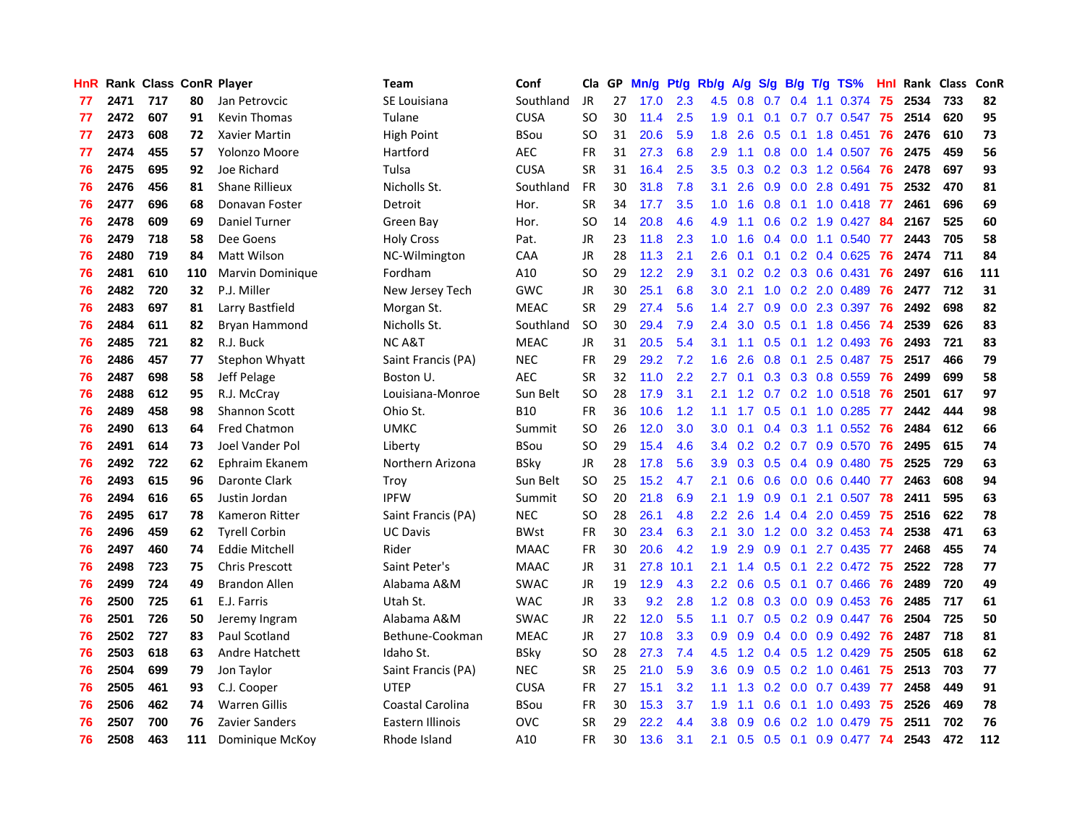| <b>HnR</b> |      | <b>Rank Class ConR Player</b> |     |                         | <b>Team</b>        | Conf        |           |    | Cla GP Mn/g Pt/g Rb/g A/g S/g B/g T/g TS% |      |                  |                 |     |             |                           | Hnl  | Rank Class ConR |     |     |
|------------|------|-------------------------------|-----|-------------------------|--------------------|-------------|-----------|----|-------------------------------------------|------|------------------|-----------------|-----|-------------|---------------------------|------|-----------------|-----|-----|
| 77         | 2471 | 717                           | 80  | Jan Petrovcic           | SE Louisiana       | Southland   | JR        | 27 | 17.0                                      | 2.3  | 4.5              | 0.8             | 0.7 | 0.4         | 1.1 0.374                 | 75   | 2534            | 733 | 82  |
| 77         | 2472 | 607                           | 91  | <b>Kevin Thomas</b>     | Tulane             | <b>CUSA</b> | SO.       | 30 | 11.4                                      | 2.5  | 1.9              | 0.1             | 0.1 |             | $0.7$ 0.7 0.547           | 75   | 2514            | 620 | 95  |
| 77         | 2473 | 608                           | 72  | Xavier Martin           | <b>High Point</b>  | <b>BSou</b> | SO.       | 31 | 20.6                                      | 5.9  | 1.8              | 2.6             | 0.5 | 0.1         | 1.8 0.451                 | -76  | 2476            | 610 | 73  |
| 77         | 2474 | 455                           | 57  | Yolonzo Moore           | Hartford           | AEC         | <b>FR</b> | 31 | 27.3                                      | 6.8  | 2.9              | 1.1             | 0.8 | 0.0         | 1.4 0.507                 | 76   | 2475            | 459 | 56  |
| 76         | 2475 | 695                           | 92  | Joe Richard             | Tulsa              | <b>CUSA</b> | <b>SR</b> | 31 | 16.4                                      | 2.5  | 3.5              | 0.3             |     |             | 0.2 0.3 1.2 0.564         | 76   | 2478            | 697 | 93  |
| 76         | 2476 | 456                           | 81  | <b>Shane Rillieux</b>   | Nicholls St.       | Southland   | FR        | 30 | 31.8                                      | 7.8  | 3.1              | 2.6             |     |             | 0.9 0.0 2.8 0.491         | -75  | 2532            | 470 | 81  |
| 76         | 2477 | 696                           | 68  | Donavan Foster          | Detroit            | Hor.        | <b>SR</b> | 34 | 17.7                                      | 3.5  | 1.0 <sub>1</sub> | 1.6             |     |             | 0.8 0.1 1.0 0.418 77      |      | 2461            | 696 | 69  |
| 76         | 2478 | 609                           | 69  | <b>Daniel Turner</b>    | Green Bay          | Hor.        | <b>SO</b> | 14 | 20.8                                      | 4.6  | 4.9              | 1.1             |     |             | 0.6 0.2 1.9 0.427         | -84  | 2167            | 525 | 60  |
| 76         | 2479 | 718                           | 58  | Dee Goens               | <b>Holy Cross</b>  | Pat.        | JR        | 23 | 11.8                                      | 2.3  | 1.0 <sub>1</sub> | 1.6             |     |             | 0.4 0.0 1.1 0.540 77      |      | 2443            | 705 | 58  |
| 76         | 2480 | 719                           | 84  | <b>Matt Wilson</b>      | NC-Wilmington      | CAA         | JR        | 28 | 11.3                                      | 2.1  | 2.6              | 0.1             |     |             | $0.1$ $0.2$ $0.4$ $0.625$ | -76  | 2474            | 711 | 84  |
| 76         | 2481 | 610                           | 110 | <b>Marvin Dominique</b> | Fordham            | A10         | <b>SO</b> | 29 | 12.2                                      | 2.9  | 3.1              | 0.2             |     |             | 0.2 0.3 0.6 0.431         | 76   | 2497            | 616 | 111 |
| 76         | 2482 | 720                           | 32  | P.J. Miller             | New Jersey Tech    | GWC         | JR        | 30 | 25.1                                      | 6.8  | 3.0              | 2.1             |     |             | 1.0 0.2 2.0 0.489         | 76   | 2477            | 712 | 31  |
| 76         | 2483 | 697                           | 81  | Larry Bastfield         | Morgan St.         | <b>MEAC</b> | <b>SR</b> | 29 | 27.4                                      | 5.6  | 1.4              | 2.7             |     |             | 0.9 0.0 2.3 0.397         | 76   | 2492            | 698 | 82  |
| 76         | 2484 | 611                           | 82  | Bryan Hammond           | Nicholls St.       | Southland   | <b>SO</b> | 30 | 29.4                                      | 7.9  | 2.4              | 3.0             | 0.5 |             | $0.1$ 1.8 0.456           | -74  | 2539            | 626 | 83  |
| 76         | 2485 | 721                           | 82  | R.J. Buck               | NC A&T             | <b>MEAC</b> | JR        | 31 | 20.5                                      | 5.4  | 3.1              | 1.1             | 0.5 |             | $0.1$ 1.2 0.493           | -76  | 2493            | 721 | 83  |
| 76         | 2486 | 457                           | 77  | Stephon Whyatt          | Saint Francis (PA) | <b>NEC</b>  | <b>FR</b> | 29 | 29.2                                      | 7.2  | 1.6              | 2.6             | 0.8 | 0.1         | 2.5 0.487                 | 75   | 2517            | 466 | 79  |
| 76         | 2487 | 698                           | 58  | Jeff Pelage             | Boston U.          | <b>AEC</b>  | <b>SR</b> | 32 | 11.0                                      | 2.2  | 2.7              | 0.1             |     |             | 0.3 0.3 0.8 0.559         | -76  | 2499            | 699 | 58  |
| 76         | 2488 | 612                           | 95  | R.J. McCray             | Louisiana-Monroe   | Sun Belt    | <b>SO</b> | 28 | 17.9                                      | 3.1  | 2.1              | 1.2             |     |             | 0.7 0.2 1.0 0.518         | - 76 | 2501            | 617 | 97  |
| 76         | 2489 | 458                           | 98  | <b>Shannon Scott</b>    | Ohio St.           | <b>B10</b>  | <b>FR</b> | 36 | 10.6                                      | 1.2  | 1.1              | 1.7             |     |             | 0.5 0.1 1.0 0.285 77      |      | 2442            | 444 | 98  |
| 76         | 2490 | 613                           | 64  | <b>Fred Chatmon</b>     | <b>UMKC</b>        | Summit      | <b>SO</b> | 26 | 12.0                                      | 3.0  | 3.0              | 0.1             |     |             | $0.4$ 0.3 1.1 0.552 76    |      | 2484            | 612 | 66  |
| 76         | 2491 | 614                           | 73  | Joel Vander Pol         | Liberty            | <b>BSou</b> | <b>SO</b> | 29 | 15.4                                      | 4.6  |                  | $3.4 \quad 0.2$ |     |             | 0.2 0.7 0.9 0.570 76      |      | 2495            | 615 | 74  |
| 76         | 2492 | 722                           | 62  | Ephraim Ekanem          | Northern Arizona   | <b>BSkv</b> | JR        | 28 | 17.8                                      | 5.6  | 3.9              | 0.3             |     |             | 0.5 0.4 0.9 0.480 75      |      | 2525            | 729 | 63  |
| 76         | 2493 | 615                           | 96  | Daronte Clark           | Troy               | Sun Belt    | <b>SO</b> | 25 | 15.2                                      | 4.7  | 2.1              | 0.6             |     |             | 0.6 0.0 0.6 0.440 77      |      | 2463            | 608 | 94  |
| 76         | 2494 | 616                           | 65  | Justin Jordan           | <b>IPFW</b>        | Summit      | <b>SO</b> | 20 | 21.8                                      | 6.9  | 2.1              | 1.9             | 0.9 | 0.1         | 2.1 0.507                 | -78  | 2411            | 595 | 63  |
| 76         | 2495 | 617                           | 78  | <b>Kameron Ritter</b>   | Saint Francis (PA) | <b>NEC</b>  | <b>SO</b> | 28 | 26.1                                      | 4.8  | $2.2\,$          | 2.6             |     |             | 1.4 0.4 2.0 0.459         | -75  | 2516            | 622 | 78  |
| 76         | 2496 | 459                           | 62  | <b>Tyrell Corbin</b>    | <b>UC Davis</b>    | <b>BWst</b> | FR        | 30 | 23.4                                      | 6.3  | 2.1              | 3.0             |     |             | 1.2 0.0 3.2 0.453         | -74  | 2538            | 471 | 63  |
| 76         | 2497 | 460                           | 74  | <b>Eddie Mitchell</b>   | Rider              | <b>MAAC</b> | <b>FR</b> | 30 | 20.6                                      | 4.2  | 1.9              | 2.9             | 0.9 | 0.1         | 2.7 0.435                 | 77   | 2468            | 455 | 74  |
| 76         | 2498 | 723                           | 75  | <b>Chris Prescott</b>   | Saint Peter's      | <b>MAAC</b> | JR        | 31 | 27.8                                      | 10.1 | 2.1              | 1.4             | 0.5 | 0.1         | 2.2 0.472                 | 75   | 2522            | 728 | 77  |
| 76         | 2499 | 724                           | 49  | <b>Brandon Allen</b>    | Alabama A&M        | <b>SWAC</b> | JR        | 19 | 12.9                                      | 4.3  | 2.2              | 0.6             | 0.5 | 0.1         | 0.7 0.466                 | -76  | 2489            | 720 | 49  |
| 76         | 2500 | 725                           | 61  | E.J. Farris             | Utah St.           | <b>WAC</b>  | <b>JR</b> | 33 | 9.2                                       | 2.8  | 1.2              | 0.8             |     | $0.3 \ 0.0$ | $0.9$ $0.453$             | 76   | 2485            | 717 | 61  |
| 76         | 2501 | 726                           | 50  | Jeremy Ingram           | Alabama A&M        | <b>SWAC</b> | JR        | 22 | 12.0                                      | 5.5  | 1.1              | 0.7             |     |             | $0.5$ 0.2 0.9 0.447       | -76  | 2504            | 725 | 50  |
| 76         | 2502 | 727                           | 83  | Paul Scotland           | Bethune-Cookman    | <b>MEAC</b> | JR        | 27 | 10.8                                      | 3.3  | 0.9 <sup>°</sup> | 0.9             |     |             | $0.4$ 0.0 0.9 0.492       | -76  | 2487            | 718 | 81  |
| 76         | 2503 | 618                           | 63  | Andre Hatchett          | Idaho St.          | <b>BSky</b> | <b>SO</b> | 28 | 27.3                                      | 7.4  | 4.5              | 1.2             |     |             | 0.4 0.5 1.2 0.429 75      |      | 2505            | 618 | 62  |
| 76         | 2504 | 699                           | 79  | Jon Taylor              | Saint Francis (PA) | <b>NEC</b>  | <b>SR</b> | 25 | 21.0                                      | 5.9  | 3.6              | 0.9             |     |             | $0.5$ $0.2$ 1.0 $0.461$   | 75   | 2513            | 703 | 77  |
| 76         | 2505 | 461                           | 93  | C.J. Cooper             | <b>UTEP</b>        | <b>CUSA</b> | FR        | 27 | 15.1                                      | 3.2  | 1.1              | 1.3             |     |             | $0.2$ 0.0 0.7 0.439       | 77   | 2458            | 449 | 91  |
| 76         | 2506 | 462                           | 74  | <b>Warren Gillis</b>    | Coastal Carolina   | <b>BSou</b> | <b>FR</b> | 30 | 15.3                                      | 3.7  | 1.9              | 1.1             | 0.6 | 0.1         | 1.0 0.493                 | 75   | 2526            | 469 | 78  |
| 76         | 2507 | 700                           | 76  | Zavier Sanders          | Eastern Illinois   | <b>OVC</b>  | <b>SR</b> | 29 | 22.2                                      | 4.4  | 3.8              | 0.9             | 0.6 | 0.2         | 1.0 0.479                 | 75   | 2511            | 702 | 76  |
| 76         | 2508 | 463                           | 111 | Dominique McKoy         | Rhode Island       | A10         | <b>FR</b> | 30 | 13.6                                      | 3.1  | 2.1              | 0.5             |     |             | 0.5 0.1 0.9 0.477 74      |      | 2543            | 472 | 112 |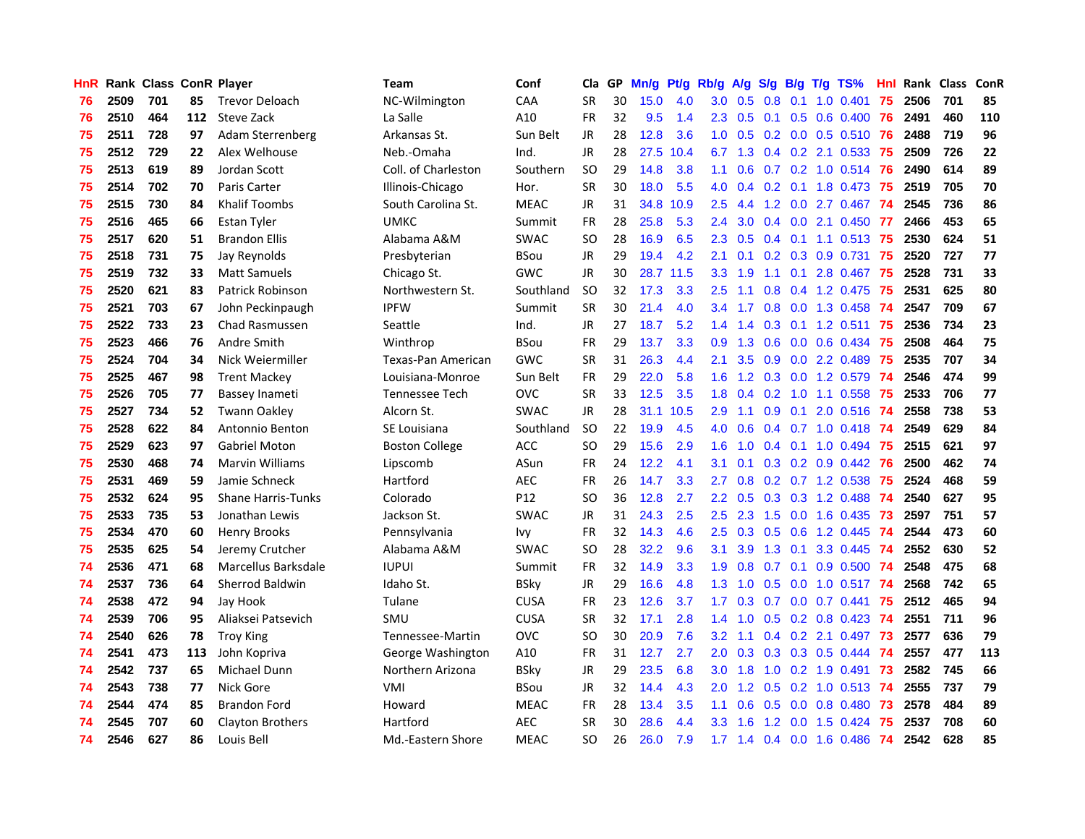| HnR. |      |     |     | Rank Class ConR Player    | Team                      | Conf        | Cla           | GP. | Mn/g Pt/g Rb/g A/g |           |                  |                  |                  |                 | S/g B/g T/g TS%           | Hnl  |      | Rank Class | <b>ConR</b> |
|------|------|-----|-----|---------------------------|---------------------------|-------------|---------------|-----|--------------------|-----------|------------------|------------------|------------------|-----------------|---------------------------|------|------|------------|-------------|
| 76   | 2509 | 701 | 85  | <b>Trevor Deloach</b>     | NC-Wilmington             | CAA         | <b>SR</b>     | 30  | 15.0               | 4.0       | 3.0              | 0.5              | 0.8              | 0.1             | 1.0 0.401                 | 75   | 2506 | 701        | 85          |
| 76   | 2510 | 464 | 112 | Steve Zack                | La Salle                  | A10         | <b>FR</b>     | 32  | 9.5                | 1.4       | $2.3\phantom{0}$ | 0.5              | 0.1              | 0.5             | $0.6$ 0.400               | -76  | 2491 | 460        | 110         |
| 75   | 2511 | 728 | 97  | Adam Sterrenberg          | Arkansas St.              | Sun Belt    | <b>JR</b>     | 28  | 12.8               | 3.6       | 1.0              | 0.5              |                  | $0.2 \quad 0.0$ | $0.5$ $0.510$             | 76   | 2488 | 719        | 96          |
| 75   | 2512 | 729 | 22  | Alex Welhouse             | Neb.-Omaha                | Ind.        | <b>JR</b>     | 28  | 27.5               | 10.4      | 6.7              | 1.3              |                  |                 | $0.4$ $0.2$ 2.1 0.533     | - 75 | 2509 | 726        | 22          |
| 75   | 2513 | 619 | 89  | Jordan Scott              | Coll. of Charleston       | Southern    | <sub>SO</sub> | 29  | 14.8               | 3.8       | 1.1              | 0.6              |                  |                 | 0.7 0.2 1.0 0.514 76      |      | 2490 | 614        | 89          |
| 75   | 2514 | 702 | 70  | Paris Carter              | Illinois-Chicago          | Hor.        | <b>SR</b>     | 30  | 18.0               | 5.5       |                  | $4.0 \quad 0.4$  |                  |                 | 0.2 0.1 1.8 0.473 75      |      | 2519 | 705        | 70          |
| 75   | 2515 | 730 | 84  | Khalif Toombs             | South Carolina St.        | <b>MEAC</b> | JR            | 31  | 34.8               | 10.9      | 2.5              | 4.4              |                  |                 | 1.2 0.0 2.7 0.467 74      |      | 2545 | 736        | 86          |
| 75   | 2516 | 465 | 66  | Estan Tyler               | <b>UMKC</b>               | Summit      | <b>FR</b>     | 28  | 25.8               | 5.3       | $2.4\,$          | 3.0              |                  |                 | 0.4 0.0 2.1 0.450 77      |      | 2466 | 453        | 65          |
| 75   | 2517 | 620 | 51  | <b>Brandon Ellis</b>      | Alabama A&M               | <b>SWAC</b> | <sub>SO</sub> | 28  | 16.9               | 6.5       | 2.3              | 0.5              |                  |                 | $0.4$ 0.1 1.1 0.513       | -75  | 2530 | 624        | 51          |
| 75   | 2518 | 731 | 75  | Jay Reynolds              | Presbyterian              | <b>BSou</b> | <b>JR</b>     | 29  | 19.4               | 4.2       | 2.1              | 0.1              |                  |                 | 0.2 0.3 0.9 0.731         | 75   | 2520 | 727        | 77          |
| 75   | 2519 | 732 | 33  | <b>Matt Samuels</b>       | Chicago St.               | <b>GWC</b>  | JR            | 30  |                    | 28.7 11.5 | 3.3              | 1.9              | 1.1              | 0.1             | 2.8 0.467                 | 75   | 2528 | 731        | 33          |
| 75   | 2520 | 621 | 83  | <b>Patrick Robinson</b>   | Northwestern St.          | Southland   | <b>SO</b>     | 32  | 17.3               | 3.3       | 2.5              | 1.1              | 0.8 <sub>0</sub> |                 | 0.4 1.2 0.475             | 75   | 2531 | 625        | 80          |
| 75   | 2521 | 703 | 67  | John Peckinpaugh          | <b>IPFW</b>               | Summit      | <b>SR</b>     | 30  | 21.4               | 4.0       | 3.4              | 1.7              |                  | $0.8\ 0.0$      | 1.3 0.458                 | 74   | 2547 | 709        | 67          |
| 75   | 2522 | 733 | 23  | Chad Rasmussen            | Seattle                   | Ind.        | <b>JR</b>     | 27  | 18.7               | 5.2       | 1.4              | 1.4              | 0.3              |                 | $0.1$ 1.2 0.511           | 75   | 2536 | 734        | 23          |
| 75   | 2523 | 466 | 76  | Andre Smith               | Winthrop                  | <b>BSou</b> | <b>FR</b>     | 29  | 13.7               | 3.3       | 0.9              | 1.3              | 0.6              | 0.0             | 0.6 0.434                 | -75  | 2508 | 464        | 75          |
| 75   | 2524 | 704 | 34  | Nick Weiermiller          | <b>Texas-Pan American</b> | <b>GWC</b>  | <b>SR</b>     | 31  | 26.3               | 4.4       | 2.1              | 3.5              | 0.9              | 0.0             | 2.2 0.489                 | 75   | 2535 | 707        | 34          |
| 75   | 2525 | 467 | 98  | <b>Trent Mackey</b>       | Louisiana-Monroe          | Sun Belt    | <b>FR</b>     | 29  | 22.0               | 5.8       | 1.6              | 1.2              |                  | $0.3 \quad 0.0$ | 1.2 0.579                 | -74  | 2546 | 474        | 99          |
| 75   | 2526 | 705 | 77  | Bassey Inameti            | Tennessee Tech            | <b>OVC</b>  | <b>SR</b>     | 33  | 12.5               | 3.5       |                  | $1.8 \quad 0.4$  |                  | $0.2 \quad 1.0$ | 1.1 0.558                 | - 75 | 2533 | 706        | 77          |
| 75   | 2527 | 734 | 52  | <b>Twann Oakley</b>       | Alcorn St.                | <b>SWAC</b> | <b>JR</b>     | 28  |                    | 31.1 10.5 | 2.9              | 1.1              |                  |                 | 0.9 0.1 2.0 0.516 74      |      | 2558 | 738        | 53          |
| 75   | 2528 | 622 | 84  | Antonnio Benton           | SE Louisiana              | Southland   | <b>SO</b>     | 22  | 19.9               | 4.5       | 4.0              | 0.6              |                  |                 | 0.4 0.7 1.0 0.418 74      |      | 2549 | 629        | 84          |
| 75   | 2529 | 623 | 97  | <b>Gabriel Moton</b>      | <b>Boston College</b>     | <b>ACC</b>  | SO.           | 29  | 15.6               | 2.9       | 1.6              | 1.0              |                  |                 | $0.4$ 0.1 1.0 0.494 75    |      | 2515 | 621        | 97          |
| 75   | 2530 | 468 | 74  | <b>Marvin Williams</b>    | Lipscomb                  | ASun        | <b>FR</b>     | 24  | 12.2               | 4.1       | 3.1              | 0.1              |                  |                 | $0.3$ 0.2 0.9 0.442       | 76   | 2500 | 462        | 74          |
| 75   | 2531 | 469 | 59  | Jamie Schneck             | Hartford                  | <b>AEC</b>  | <b>FR</b>     | 26  | 14.7               | 3.3       | 2.7              | 0.8              |                  |                 | $0.2$ 0.7 1.2 0.538       | 75   | 2524 | 468        | 59          |
| 75   | 2532 | 624 | 95  | <b>Shane Harris-Tunks</b> | Colorado                  | P12         | <b>SO</b>     | 36  | 12.8               | 2.7       | 2.2              | 0.5              |                  |                 | 0.3 0.3 1.2 0.488         | 74   | 2540 | 627        | 95          |
| 75   | 2533 | 735 | 53  | Jonathan Lewis            | Jackson St.               | <b>SWAC</b> | JR            | 31  | 24.3               | 2.5       | 2.5              | 2.3              | 1.5              | 0.0             | 1.6 0.435                 | 73   | 2597 | 751        | 57          |
| 75   | 2534 | 470 | 60  | <b>Henry Brooks</b>       | Pennsylvania              | Ivy         | FR            | 32  | 14.3               | 4.6       | 2.5              | 0.3              | 0.5              | 0.6             | 1.2 0.445                 | 74   | 2544 | 473        | 60          |
| 75   | 2535 | 625 | 54  | Jeremy Crutcher           | Alabama A&M               | <b>SWAC</b> | SO.           | 28  | 32.2               | 9.6       | 3.1              | 3.9 <sup>°</sup> | 1.3              | 0.1             | 3.3 0.445                 | -74  | 2552 | 630        | 52          |
| 74   | 2536 | 471 | 68  | Marcellus Barksdale       | <b>IUPUI</b>              | Summit      | <b>FR</b>     | 32  | 14.9               | 3.3       | 1.9              | 0.8              | 0.7              | 0.1             | 0.9 0.500                 | -74  | 2548 | 475        | 68          |
| 74   | 2537 | 736 | 64  | Sherrod Baldwin           | Idaho St.                 | <b>BSky</b> | <b>JR</b>     | 29  | 16.6               | 4.8       | 1.3              | 1.0              | 0.5              | 0.0             | $1.0$ 0.517               | -74  | 2568 | 742        | 65          |
| 74   | 2538 | 472 | 94  | Jay Hook                  | Tulane                    | <b>CUSA</b> | <b>FR</b>     | 23  | 12.6               | 3.7       | 1.7              | 0.3              | 0.7              | 0.0             | $0.7$ 0.441               | 75   | 2512 | 465        | 94          |
| 74   | 2539 | 706 | 95  | Aliaksei Patsevich        | SMU                       | <b>CUSA</b> | <b>SR</b>     | 32  | 17.1               | 2.8       | 1.4              | 1.0              |                  |                 | $0.5$ $0.2$ $0.8$ $0.423$ | -74  | 2551 | 711        | 96          |
| 74   | 2540 | 626 | 78  | <b>Troy King</b>          | Tennessee-Martin          | <b>OVC</b>  | <b>SO</b>     | 30  | 20.9               | 7.6       | 3.2              | 1.1              |                  |                 | $0.4$ 0.2 2.1 0.497       | 73   | 2577 | 636        | 79          |
| 74   | 2541 | 473 | 113 | John Kopriva              | George Washington         | A10         | <b>FR</b>     | 31  | 12.7               | 2.7       | 2.0 <sub>1</sub> | 0.3              |                  |                 | 0.3 0.3 0.5 0.444         | -74  | 2557 | 477        | 113         |
| 74   | 2542 | 737 | 65  | <b>Michael Dunn</b>       | Northern Arizona          | <b>BSky</b> | <b>JR</b>     | 29  | 23.5               | 6.8       | 3.0 <sub>1</sub> | 1.8              |                  |                 | 1.0 0.2 1.9 0.491         | -73  | 2582 | 745        | 66          |
| 74   | 2543 | 738 | 77  | Nick Gore                 | VMI                       | <b>BSou</b> | JR            | 32  | 14.4               | 4.3       | 2.0 <sub>1</sub> | 1.2              |                  |                 | 0.5 0.2 1.0 0.513 74      |      | 2555 | 737        | 79          |
| 74   | 2544 | 474 | 85  | <b>Brandon Ford</b>       | Howard                    | <b>MEAC</b> | <b>FR</b>     | 28  | 13.4               | 3.5       | 1.1              | 0.6              | 0.5              | 0.0             | 0.8 0.480                 | 73   | 2578 | 484        | 89          |
| 74   | 2545 | 707 | 60  | <b>Clayton Brothers</b>   | Hartford                  | <b>AEC</b>  | <b>SR</b>     | 30  | 28.6               | 4.4       | 3.3              | 1.6              | 1.2              | 0.0             | 1.5 0.424                 | 75   | 2537 | 708        | 60          |
| 74   | 2546 | 627 | 86  | Louis Bell                | Md.-Eastern Shore         | <b>MEAC</b> | SΟ            | 26  | 26.0               | 7.9       |                  |                  |                  |                 | 1.7 1.4 0.4 0.0 1.6 0.486 | -74  | 2542 | 628        | 85          |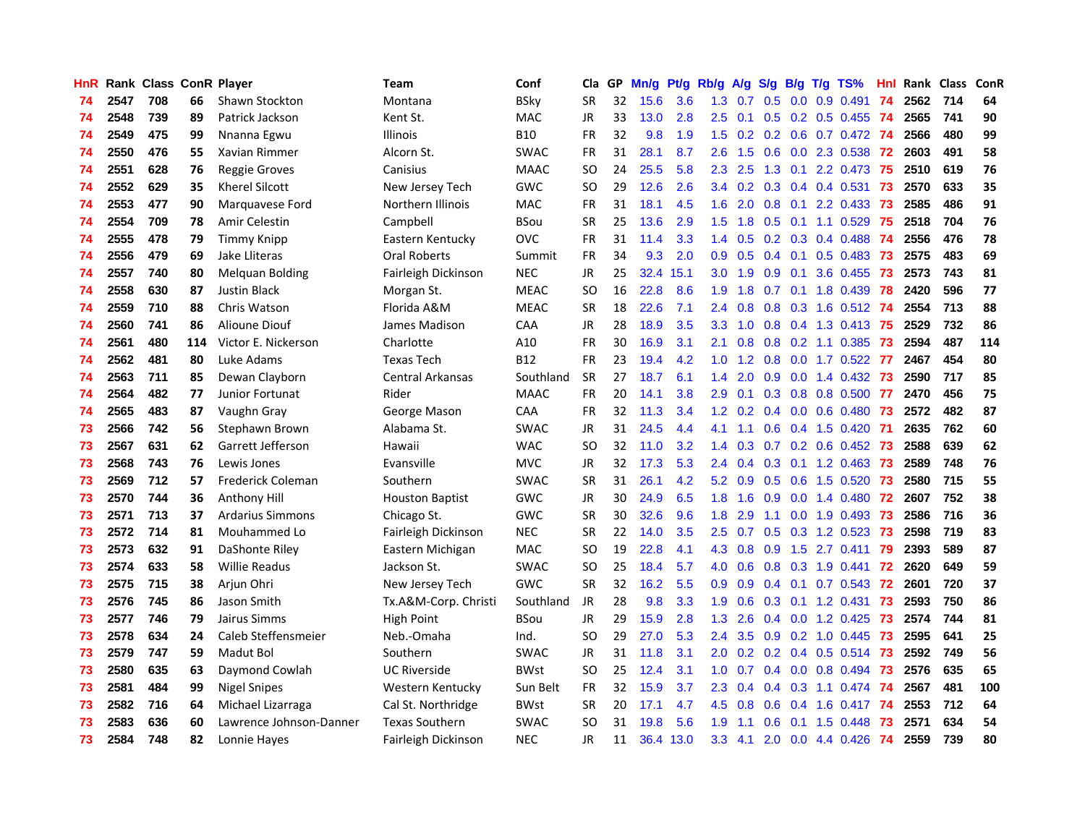| HnR |      | Rank Class ConR Player |     |                          | Team                    | Conf        | <b>Cla</b> |    | GP Mn/g Pt/g Rb/g A/g S/g B/g T/g TS% |           |                  |                 |                  |                 |                              | Hnl |      | Rank Class | ConR |
|-----|------|------------------------|-----|--------------------------|-------------------------|-------------|------------|----|---------------------------------------|-----------|------------------|-----------------|------------------|-----------------|------------------------------|-----|------|------------|------|
| 74  | 2547 | 708                    | 66  | <b>Shawn Stockton</b>    | Montana                 | <b>BSky</b> | <b>SR</b>  | 32 | 15.6                                  | 3.6       | 1.3              | 0.7             | 0.5              | 0.0             | 0.9 0.491                    | -74 | 2562 | 714        | 64   |
| 74  | 2548 | 739                    | 89  | Patrick Jackson          | Kent St.                | <b>MAC</b>  | <b>JR</b>  | 33 | 13.0                                  | 2.8       | 2.5              | 0.1             |                  |                 | $0.5$ $0.2$ $0.5$ $0.455$    | -74 | 2565 | 741        | 90   |
| 74  | 2549 | 475                    | 99  | Nnanna Egwu              | <b>Illinois</b>         | <b>B10</b>  | <b>FR</b>  | 32 | 9.8                                   | 1.9       | 1.5              | 0.2             |                  | $0.2 \quad 0.6$ | $0.7$ 0.472                  | -74 | 2566 | 480        | 99   |
| 74  | 2550 | 476                    | 55  | Xavian Rimmer            | Alcorn St.              | <b>SWAC</b> | FR         | 31 | 28.1                                  | 8.7       | 2.6              | 1.5             |                  |                 | 0.6 0.0 2.3 0.538            | 72  | 2603 | 491        | 58   |
| 74  | 2551 | 628                    | 76  | <b>Reggie Groves</b>     | Canisius                | <b>MAAC</b> | SO.        | 24 | 25.5                                  | 5.8       | 2.3              | 2.5             |                  |                 | 1.3 0.1 2.2 0.473 75         |     | 2510 | 619        | 76   |
| 74  | 2552 | 629                    | 35  | <b>Kherel Silcott</b>    | New Jersey Tech         | <b>GWC</b>  | SO.        | 29 | 12.6                                  | 2.6       | 3.4              | 0.2             |                  |                 | $0.3$ 0.4 0.4 0.531          | -73 | 2570 | 633        | 35   |
| 74  | 2553 | 477                    | 90  | Marquavese Ford          | Northern Illinois       | <b>MAC</b>  | <b>FR</b>  | 31 | 18.1                                  | 4.5       | 1.6              | 2.0             |                  |                 | $0.8$ 0.1 2.2 0.433          | -73 | 2585 | 486        | 91   |
| 74  | 2554 | 709                    | 78  | Amir Celestin            | Campbell                | <b>BSou</b> | <b>SR</b>  | 25 | 13.6                                  | 2.9       | 1.5              | 1.8             | 0.5              |                 | 0.1 1.1 0.529                | 75  | 2518 | 704        | 76   |
| 74  | 2555 | 478                    | 79  | Timmy Knipp              | Eastern Kentucky        | <b>OVC</b>  | <b>FR</b>  | 31 | 11.4                                  | 3.3       | 1.4              | 0.5             |                  |                 | $0.2$ $0.3$ $0.4$ $0.488$    | -74 | 2556 | 476        | 78   |
| 74  | 2556 | 479                    | 69  | Jake Lliteras            | <b>Oral Roberts</b>     | Summit      | <b>FR</b>  | 34 | 9.3                                   | 2.0       | 0.9              | 0.5             |                  | $0.4 \quad 0.1$ | $0.5$ 0.483                  | 73  | 2575 | 483        | 69   |
| 74  | 2557 | 740                    | 80  | <b>Melguan Bolding</b>   | Fairleigh Dickinson     | <b>NEC</b>  | JR         | 25 |                                       | 32.4 15.1 | 3.0              | 1.9             |                  | $0.9$ 0.1       | 3.6 0.455                    | 73  | 2573 | 743        | 81   |
| 74  | 2558 | 630                    | 87  | <b>Justin Black</b>      | Morgan St.              | <b>MEAC</b> | <b>SO</b>  | 16 | 22.8                                  | 8.6       | 1.9              | 1.8             | 0.7              |                 | 0.1 1.8 0.439                | -78 | 2420 | 596        | 77   |
| 74  | 2559 | 710                    | 88  | Chris Watson             | Florida A&M             | <b>MEAC</b> | <b>SR</b>  | 18 | 22.6                                  | 7.1       | 2.4              | 0.8             | 0.8              | 0.3             | 1.6 0.512                    | -74 | 2554 | 713        | 88   |
| 74  | 2560 | 741                    | 86  | Alioune Diouf            | James Madison           | CAA         | JR         | 28 | 18.9                                  | 3.5       | 3.3              | 1.0             | 0.8              |                 | $0.4$ 1.3 0.413              | -75 | 2529 | 732        | 86   |
| 74  | 2561 | 480                    | 114 | Victor E. Nickerson      | Charlotte               | A10         | FR         | 30 | 16.9                                  | 3.1       | 2.1              | 0.8             | 0.8              | 0.2             | 1.1 0.385                    | 73  | 2594 | 487        | 114  |
| 74  | 2562 | 481                    | 80  | Luke Adams               | <b>Texas Tech</b>       | <b>B12</b>  | <b>FR</b>  | 23 | 19.4                                  | 4.2       | 1.0              | 1.2             | 0.8              | 0.0             | 1.7 0.522                    | -77 | 2467 | 454        | 80   |
| 74  | 2563 | 711                    | 85  | Dewan Clayborn           | <b>Central Arkansas</b> | Southland   | <b>SR</b>  | 27 | 18.7                                  | 6.1       | 1.4              | 2.0             |                  | $0.9\quad 0.0$  | 1.4 0.432                    | -73 | 2590 | 717        | 85   |
| 74  | 2564 | 482                    | 77  | Junior Fortunat          | Rider                   | <b>MAAC</b> | <b>FR</b>  | 20 | 14.1                                  | 3.8       | 2.9              | 0.1             |                  |                 | 0.3 0.8 0.8 0.500 77         |     | 2470 | 456        | 75   |
| 74  | 2565 | 483                    | 87  | Vaughn Gray              | George Mason            | CAA         | <b>FR</b>  | 32 | 11.3                                  | 3.4       |                  | $1.2 \quad 0.2$ |                  |                 | 0.4 0.0 0.6 0.480 73         |     | 2572 | 482        | 87   |
| 73  | 2566 | 742                    | 56  | Stephawn Brown           | Alabama St.             | <b>SWAC</b> | JR         | 31 | 24.5                                  | 4.4       | 4.1              | 1.1             |                  |                 | 0.6 0.4 1.5 0.420 71         |     | 2635 | 762        | 60   |
| 73  | 2567 | 631                    | 62  | Garrett Jefferson        | Hawaii                  | <b>WAC</b>  | SO.        | 32 | 11.0                                  | 3.2       | 1.4              | 0.3             |                  |                 | $0.7$ $0.2$ $0.6$ $0.452$ 73 |     | 2588 | 639        | 62   |
| 73  | 2568 | 743                    | 76  | Lewis Jones              | Evansville              | <b>MVC</b>  | JR         | 32 | 17.3                                  | 5.3       | $2.4\,$          | 0.4             |                  |                 | 0.3 0.1 1.2 0.463 73         |     | 2589 | 748        | 76   |
| 73  | 2569 | 712                    | 57  | <b>Frederick Coleman</b> | Southern                | <b>SWAC</b> | <b>SR</b>  | 31 | 26.1                                  | 4.2       | 5.2              | 0.9             |                  |                 | 0.5 0.6 1.5 0.520            | 73  | 2580 | 715        | 55   |
| 73  | 2570 | 744                    | 36  | Anthony Hill             | <b>Houston Baptist</b>  | <b>GWC</b>  | <b>JR</b>  | 30 | 24.9                                  | 6.5       | 1.8              | 1.6             | 0.9 <sup>°</sup> |                 | $0.0$ 1.4 $0.480$            | 72  | 2607 | 752        | 38   |
| 73  | 2571 | 713                    | 37  | <b>Ardarius Simmons</b>  | Chicago St.             | <b>GWC</b>  | <b>SR</b>  | 30 | 32.6                                  | 9.6       | 1.8              | 2.9             | 1.1              |                 | $0.0$ 1.9 $0.493$            | 73  | 2586 | 716        | 36   |
| 73  | 2572 | 714                    | 81  | Mouhammed Lo             | Fairleigh Dickinson     | <b>NEC</b>  | <b>SR</b>  | 22 | 14.0                                  | 3.5       | 2.5              | 0.7             |                  |                 | 0.5 0.3 1.2 0.523            | -73 | 2598 | 719        | 83   |
| 73  | 2573 | 632                    | 91  | DaShonte Riley           | Eastern Michigan        | <b>MAC</b>  | <b>SO</b>  | 19 | 22.8                                  | 4.1       | 4.3              | 0.8             | 0.9 <sub>0</sub> | 1.5             | $2.7$ 0.411                  | -79 | 2393 | 589        | 87   |
| 73  | 2574 | 633                    | 58  | <b>Willie Readus</b>     | Jackson St.             | <b>SWAC</b> | <b>SO</b>  | 25 | 18.4                                  | 5.7       | 4.0              | 0.6             | 0.8              |                 | 0.3 1.9 0.441 72             |     | 2620 | 649        | 59   |
| 73  | 2575 | 715                    | 38  | Arjun Ohri               | New Jersey Tech         | <b>GWC</b>  | <b>SR</b>  | 32 | 16.2                                  | 5.5       | 0.9              | 0.9             |                  | $0.4 \quad 0.1$ | $0.7$ 0.543                  | 72  | 2601 | 720        | 37   |
| 73  | 2576 | 745                    | 86  | Jason Smith              | Tx.A&M-Corp. Christi    | Southland   | <b>JR</b>  | 28 | 9.8                                   | 3.3       | 1.9              | 0.6             | 0.3              |                 | $0.1$ 1.2 0.431              | -73 | 2593 | 750        | 86   |
| 73  | 2577 | 746                    | 79  | Jairus Simms             | <b>High Point</b>       | <b>BSou</b> | <b>JR</b>  | 29 | 15.9                                  | 2.8       | 1.3              | 2.6             |                  | $0.4\quad 0.0$  | 1.2 0.425                    | 73  | 2574 | 744        | 81   |
| 73  | 2578 | 634                    | 24  | Caleb Steffensmeier      | Neb.-Omaha              | Ind.        | <b>SO</b>  | 29 | 27.0                                  | 5.3       | 2.4              | 3.5             |                  |                 | $0.9$ $0.2$ 1.0 $0.445$      | 73  | 2595 | 641        | 25   |
| 73  | 2579 | 747                    | 59  | <b>Madut Bol</b>         | Southern                | <b>SWAC</b> | JR         | 31 | 11.8                                  | 3.1       |                  | $2.0 \t 0.2$    |                  |                 | 0.2 0.4 0.5 0.514 73         |     | 2592 | 749        | 56   |
| 73  | 2580 | 635                    | 63  | Daymond Cowlah           | <b>UC Riverside</b>     | <b>BWst</b> | SO.        | 25 | 12.4                                  | 3.1       | 1.0 <sub>1</sub> | 0.7             |                  |                 | $0.4$ 0.0 0.8 0.494          | -73 | 2576 | 635        | 65   |
| 73  | 2581 | 484                    | 99  | <b>Nigel Snipes</b>      | Western Kentucky        | Sun Belt    | <b>FR</b>  | 32 | 15.9                                  | 3.7       | 2.3              | 0.4             |                  |                 | $0.4$ 0.3 1.1 0.474          | -74 | 2567 | 481        | 100  |
| 73  | 2582 | 716                    | 64  | Michael Lizarraga        | Cal St. Northridge      | <b>BWst</b> | <b>SR</b>  | 20 | 17.1                                  | 4.7       | 4.5              | 0.8             | 0.6              |                 | $0.4$ 1.6 0.417              | -74 | 2553 | 712        | 64   |
| 73  | 2583 | 636                    | 60  | Lawrence Johnson-Danner  | <b>Texas Southern</b>   | <b>SWAC</b> | <b>SO</b>  | 31 | 19.8                                  | 5.6       | 1.9              | 1.1             | 0.6              | 0.1             | 1.5 0.448                    | 73  | 2571 | 634        | 54   |
| 73  | 2584 | 748                    | 82  | Lonnie Hayes             | Fairleigh Dickinson     | <b>NEC</b>  | JR         | 11 |                                       | 36.4 13.0 | 3.3              | 4.1             |                  |                 | 2.0 0.0 4.4 0.426            | -74 | 2559 | 739        | 80   |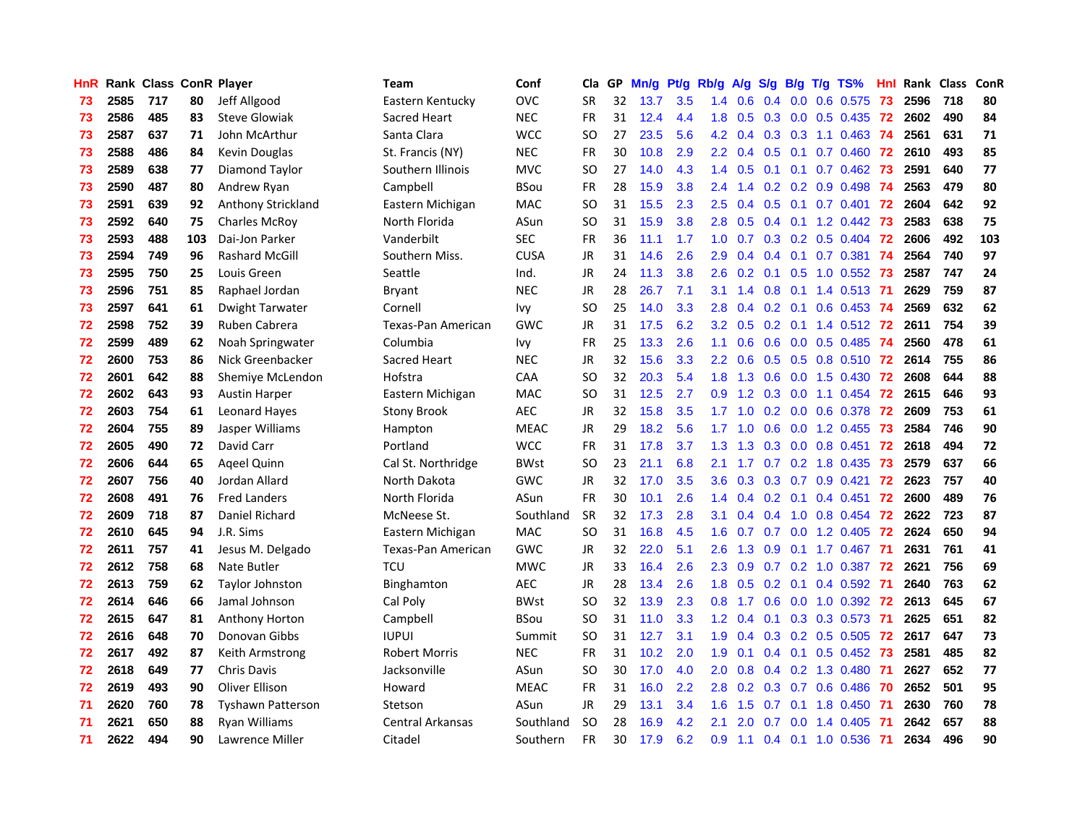| HnR |      | Rank Class ConR Player |     |                          | <b>Team</b>               | Conf        | Cla           |    | GP Mn/g Pt/g Rb/g A/g S/g B/g T/g TS% |     |                  |                 |               |                 |     |                           | Hnl  | Rank Class |     | ConR |
|-----|------|------------------------|-----|--------------------------|---------------------------|-------------|---------------|----|---------------------------------------|-----|------------------|-----------------|---------------|-----------------|-----|---------------------------|------|------------|-----|------|
| 73  | 2585 | 717                    | 80  | Jeff Allgood             | Eastern Kentucky          | <b>OVC</b>  | <b>SR</b>     | 32 | 13.7                                  | 3.5 | 1.4              | 0.6             | $0.4^{\circ}$ | 0.0             |     | 0.6 0.575                 | 73   | 2596       | 718 | 80   |
| 73  | 2586 | 485                    | 83  | <b>Steve Glowiak</b>     | Sacred Heart              | <b>NEC</b>  | <b>FR</b>     | 31 | 12.4                                  | 4.4 | 1.8              | 0.5             |               | $0.3 \quad 0.0$ |     | $0.5$ 0.435               | -72  | 2602       | 490 | 84   |
| 73  | 2587 | 637                    | 71  | John McArthur            | Santa Clara               | <b>WCC</b>  | <b>SO</b>     | 27 | 23.5                                  | 5.6 | 4.2              | 0.4             |               | $0.3$ 0.3       |     | 1.1 0.463                 | -74  | 2561       | 631 | 71   |
| 73  | 2588 | 486                    | 84  | Kevin Douglas            | St. Francis (NY)          | <b>NEC</b>  | FR            | 30 | 10.8                                  | 2.9 |                  | $2.2 \quad 0.4$ |               | $0.5 \quad 0.1$ |     | $0.7 \quad 0.460$         | 72   | 2610       | 493 | 85   |
| 73  | 2589 | 638                    | 77  | Diamond Taylor           | Southern Illinois         | <b>MVC</b>  | <b>SO</b>     | 27 | 14.0                                  | 4.3 |                  | $1.4 \quad 0.5$ |               |                 |     | $0.1$ 0.1 0.7 0.462       | 73   | 2591       | 640 | 77   |
| 73  | 2590 | 487                    | 80  | Andrew Ryan              | Campbell                  | <b>BSou</b> | <b>FR</b>     | 28 | 15.9                                  | 3.8 | $2.4\,$          | 1.4             |               |                 |     | $0.2$ $0.2$ $0.9$ $0.498$ | -74  | 2563       | 479 | 80   |
| 73  | 2591 | 639                    | 92  | Anthony Strickland       | Eastern Michigan          | <b>MAC</b>  | <sub>SO</sub> | 31 | 15.5                                  | 2.3 | 2.5              | 0.4             |               |                 |     | 0.5 0.1 0.7 0.401 72      |      | 2604       | 642 | 92   |
| 73  | 2592 | 640                    | 75  | <b>Charles McRoy</b>     | North Florida             | ASun        | <sub>SO</sub> | 31 | 15.9                                  | 3.8 | 2.8              | 0.5             |               |                 |     | $0.4$ 0.1 1.2 0.442       | 73   | 2583       | 638 | 75   |
| 73  | 2593 | 488                    | 103 | Dai-Jon Parker           | Vanderbilt                | <b>SEC</b>  | <b>FR</b>     | 36 | 11.1                                  | 1.7 | 1.0              | 0.7             |               |                 |     | $0.3$ 0.2 0.5 0.404       | 72   | 2606       | 492 | 103  |
| 73  | 2594 | 749                    | 96  | <b>Rashard McGill</b>    | Southern Miss.            | <b>CUSA</b> | JR            | 31 | 14.6                                  | 2.6 | 2.9              | 0.4             |               | $0.4 \quad 0.1$ |     | $0.7$ $0.381$             | -74  | 2564       | 740 | 97   |
| 73  | 2595 | 750                    | 25  | Louis Green              | Seattle                   | Ind.        | JR            | 24 | 11.3                                  | 3.8 | 2.6              | 0.2             | 0.1           |                 |     | $0.5$ 1.0 0.552           | 73   | 2587       | 747 | 24   |
| 73  | 2596 | 751                    | 85  | Raphael Jordan           | Bryant                    | <b>NEC</b>  | JR            | 28 | 26.7                                  | 7.1 | 3.1              | 1.4             |               |                 |     | 0.8 0.1 1.4 0.513         | -71  | 2629       | 759 | 87   |
| 73  | 2597 | 641                    | 61  | Dwight Tarwater          | Cornell                   | Ivy         | <b>SO</b>     | 25 | 14.0                                  | 3.3 | 2.8              | 0.4             | 0.2           | 0.1             |     | $0.6$ 0.453               | -74  | 2569       | 632 | 62   |
| 72  | 2598 | 752                    | 39  | Ruben Cabrera            | <b>Texas-Pan American</b> | <b>GWC</b>  | JR            | 31 | 17.5                                  | 6.2 | 3.2 <sub>2</sub> | 0.5             | 0.2           |                 |     | $0.1$ 1.4 $0.512$         | 72   | 2611       | 754 | 39   |
| 72  | 2599 | 489                    | 62  | Noah Springwater         | Columbia                  | Ivy         | <b>FR</b>     | 25 | 13.3                                  | 2.6 | 1.1              | 0.6             | 0.6           | 0.0             |     | $0.5$ 0.485               | -74  | 2560       | 478 | 61   |
| 72  | 2600 | 753                    | 86  | Nick Greenbacker         | Sacred Heart              | <b>NEC</b>  | <b>JR</b>     | 32 | 15.6                                  | 3.3 | 2.2              | 0.6             | 0.5           | 0.5             |     | 0.8 0.510                 | -72  | 2614       | 755 | 86   |
| 72  | 2601 | 642                    | 88  | Shemiye McLendon         | Hofstra                   | CAA         | <sub>SO</sub> | 32 | 20.3                                  | 5.4 | 1.8              | 1.3             | 0.6           | 0.0             |     | 1.5 0.430 72              |      | 2608       | 644 | 88   |
| 72  | 2602 | 643                    | 93  | <b>Austin Harper</b>     | Eastern Michigan          | MAC         | <b>SO</b>     | 31 | 12.5                                  | 2.7 | 0.9              | 1.2             |               |                 |     | $0.3$ 0.0 1.1 0.454 72    |      | 2615       | 646 | 93   |
| 72  | 2603 | 754                    | 61  | Leonard Hayes            | <b>Stony Brook</b>        | <b>AEC</b>  | JR            | 32 | 15.8                                  | 3.5 | 1.7 <sup>2</sup> | 1.0             |               |                 |     | $0.2$ $0.0$ $0.6$ $0.378$ | - 72 | 2609       | 753 | 61   |
| 72  | 2604 | 755                    | 89  | Jasper Williams          | Hampton                   | <b>MEAC</b> | JR            | 29 | 18.2                                  | 5.6 | 1.7 <sub>2</sub> | 1.0             |               |                 |     | 0.6 0.0 1.2 0.455 73      |      | 2584       | 746 | 90   |
| 72  | 2605 | 490                    | 72  | David Carr               | Portland                  | <b>WCC</b>  | <b>FR</b>     | 31 | 17.8                                  | 3.7 | 1.3              | 1.3             |               |                 |     | 0.3 0.0 0.8 0.451 72      |      | 2618       | 494 | 72   |
| 72  | 2606 | 644                    | 65  | Ageel Quinn              | Cal St. Northridge        | <b>BWst</b> | <sub>SO</sub> | 23 | 21.1                                  | 6.8 | 2.1              | 1.7             |               |                 |     | $0.7$ $0.2$ 1.8 $0.435$   | -73  | 2579       | 637 | 66   |
| 72  | 2607 | 756                    | 40  | Jordan Allard            | North Dakota              | <b>GWC</b>  | <b>JR</b>     | 32 | 17.0                                  | 3.5 | 3.6              | 0.3             |               |                 |     | $0.3$ $0.7$ $0.9$ $0.421$ | -72  | 2623       | 757 | 40   |
| 72  | 2608 | 491                    | 76  | <b>Fred Landers</b>      | North Florida             | ASun        | <b>FR</b>     | 30 | 10.1                                  | 2.6 | 1.4              | 0.4             |               | $0.2 \quad 0.1$ |     | $0.4$ 0.451               | -72  | 2600       | 489 | 76   |
| 72  | 2609 | 718                    | 87  | Daniel Richard           | McNeese St.               | Southland   | <b>SR</b>     | 32 | 17.3                                  | 2.8 | 3.1              | 0.4             | 0.4           |                 |     | 1.0 0.8 0.454             | -72  | 2622       | 723 | 87   |
| 72  | 2610 | 645                    | 94  | J.R. Sims                | Eastern Michigan          | <b>MAC</b>  | <b>SO</b>     | 31 | 16.8                                  | 4.5 | 1.6              | 0.7             | 0.7           | 0.0             |     | 1.2 0.405                 | 72   | 2624       | 650 | 94   |
| 72  | 2611 | 757                    | 41  | Jesus M. Delgado         | Texas-Pan American        | <b>GWC</b>  | JR            | 32 | 22.0                                  | 5.1 | 2.6              | 1.3             | 0.9           |                 |     | $0.1$ 1.7 $0.467$         | -71  | 2631       | 761 | 41   |
| 72  | 2612 | 758                    | 68  | Nate Butler              | TCU                       | <b>MWC</b>  | JR            | 33 | 16.4                                  | 2.6 | 2.3              | 0.9             | 0.7           |                 |     | $0.2$ 1.0 0.387           | 72   | 2621       | 756 | 69   |
| 72  | 2613 | 759                    | 62  | <b>Taylor Johnston</b>   | Binghamton                | AEC         | <b>JR</b>     | 28 | 13.4                                  | 2.6 | 1.8              | 0.5             | 0.2           | 0.1             |     | 0.4 0.592                 | -71  | 2640       | 763 | 62   |
| 72  | 2614 | 646                    | 66  | Jamal Johnson            | Cal Poly                  | <b>BWst</b> | <b>SO</b>     | 32 | 13.9                                  | 2.3 | 0.8              | 1.7             |               | $0.6\quad 0.0$  |     | 1.0 0.392                 | -72  | 2613       | 645 | 67   |
| 72  | 2615 | 647                    | 81  | <b>Anthony Horton</b>    | Campbell                  | <b>BSou</b> | <b>SO</b>     | 31 | 11.0                                  | 3.3 | 1.2 <sub>1</sub> | 0.4             | 0.1           |                 |     | 0.3 0.3 0.573             | -71  | 2625       | 651 | 82   |
| 72  | 2616 | 648                    | 70  | Donovan Gibbs            | <b>IUPUI</b>              | Summit      | <b>SO</b>     | 31 | 12.7                                  | 3.1 |                  | $1.9 \quad 0.4$ |               |                 |     | $0.3$ $0.2$ $0.5$ $0.505$ | -72  | 2617       | 647 | 73   |
| 72  | 2617 | 492                    | 87  | Keith Armstrong          | <b>Robert Morris</b>      | <b>NEC</b>  | <b>FR</b>     | 31 | 10.2                                  | 2.0 | 1.9              | 0.1             |               |                 |     | $0.4$ 0.1 0.5 0.452       | -73  | 2581       | 485 | 82   |
| 72  | 2618 | 649                    | 77  | <b>Chris Davis</b>       | Jacksonville              | ASun        | <sub>SO</sub> | 30 | 17.0                                  | 4.0 | 2.0              | 0.8             |               |                 |     | $0.4$ 0.2 1.3 0.480       | -71  | 2627       | 652 | 77   |
| 72  | 2619 | 493                    | 90  | Oliver Ellison           | Howard                    | <b>MEAC</b> | FR            | 31 | 16.0                                  | 2.2 | 2.8              | 0.2             | 0.3           |                 |     | 0.7 0.6 0.486             | 70   | 2652       | 501 | 95   |
| 71  | 2620 | 760                    | 78  | <b>Tyshawn Patterson</b> | Stetson                   | ASun        | <b>JR</b>     | 29 | 13.1                                  | 3.4 | 1.6              | 1.5             | 0.7           | 0.1             |     | 1.8 0.450                 | -71  | 2630       | 760 | 78   |
| 71  | 2621 | 650                    | 88  | Ryan Williams            | <b>Central Arkansas</b>   | Southland   | <b>SO</b>     | 28 | 16.9                                  | 4.2 | 2.1              | 2.0             | 0.7           | 0.0             | 1.4 | 0.405                     | -71  | 2642       | 657 | 88   |
| 71  | 2622 | 494                    | 90  | Lawrence Miller          | Citadel                   | Southern    | <b>FR</b>     | 30 | 17.9                                  | 6.2 | 0.9              | 1.1             |               |                 |     | $0.4$ 0.1 1.0 0.536       | -71  | 2634       | 496 | 90   |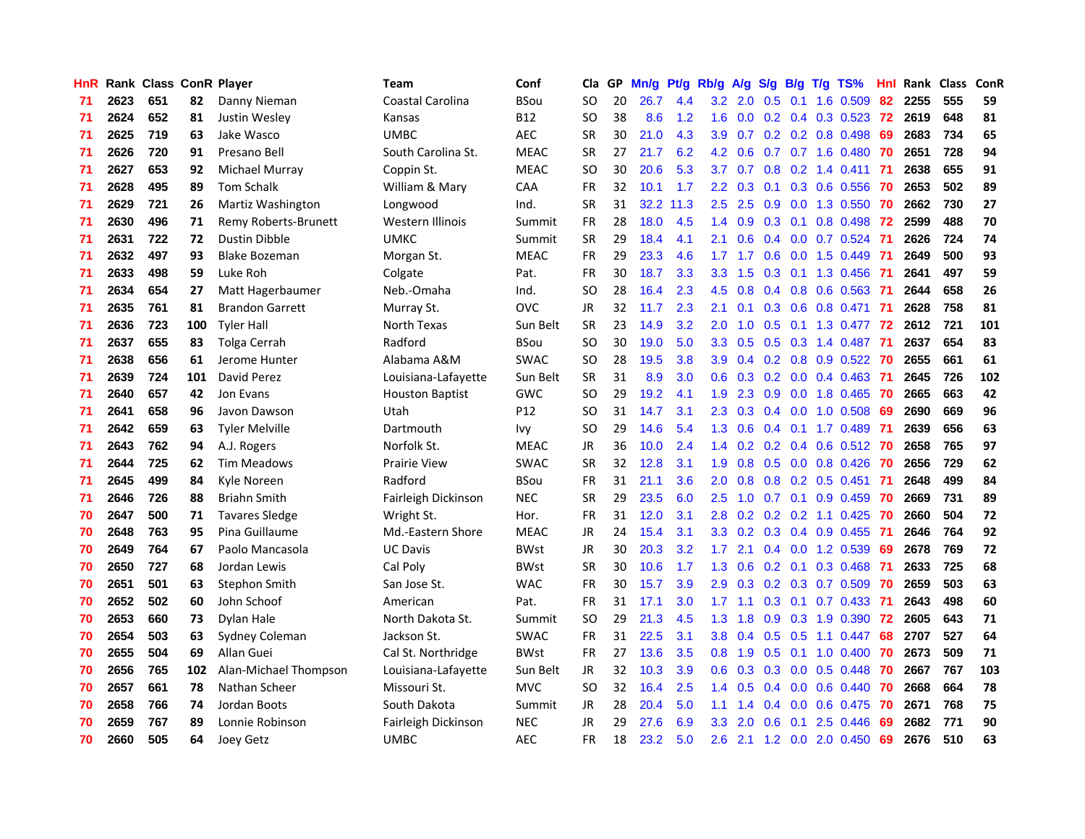| HnR. |      | Rank Class ConR Player |     |                        | <b>Team</b>            | Conf        | Cla       | GP. | Mn/g Pt/g Rb/g A/g S/g B/g T/g TS% |           |                  |                 |                  |                 |                           | Hnl  | Rank Class |     | ConR |
|------|------|------------------------|-----|------------------------|------------------------|-------------|-----------|-----|------------------------------------|-----------|------------------|-----------------|------------------|-----------------|---------------------------|------|------------|-----|------|
| 71   | 2623 | 651                    | 82  | Danny Nieman           | Coastal Carolina       | <b>BSou</b> | <b>SO</b> | 20  | 26.7                               | 4.4       | 3.2              | 2.0             | 0.5              | 0.1             | 1.6 0.509                 | 82   | 2255       | 555 | 59   |
| 71   | 2624 | 652                    | 81  | Justin Wesley          | Kansas                 | <b>B12</b>  | <b>SO</b> | 38  | 8.6                                | 1.2       | 1.6              | 0.0             |                  |                 | $0.2$ 0.4 0.3 0.523       | 72   | 2619       | 648 | 81   |
| 71   | 2625 | 719                    | 63  | Jake Wasco             | <b>UMBC</b>            | <b>AEC</b>  | <b>SR</b> | 30  | 21.0                               | 4.3       | 3.9              | 0.7             |                  |                 | $0.2$ 0.2 0.8 0.498       | 69   | 2683       | 734 | 65   |
| 71   | 2626 | 720                    | 91  | Presano Bell           | South Carolina St.     | <b>MEAC</b> | <b>SR</b> | 27  | 21.7                               | 6.2       | 4.2              | 0.6             |                  |                 | $0.7$ $0.7$ 1.6 $0.480$   | -70  | 2651       | 728 | 94   |
| 71   | 2627 | 653                    | 92  | Michael Murray         | Coppin St.             | <b>MEAC</b> | <b>SO</b> | 30  | 20.6                               | 5.3       | 3.7              | 0.7             |                  |                 | 0.8 0.2 1.4 0.411 71      |      | 2638       | 655 | 91   |
| 71   | 2628 | 495                    | 89  | <b>Tom Schalk</b>      | William & Mary         | CAA         | <b>FR</b> | 32  | 10.1                               | 1.7       | 2.2 <sub>2</sub> | 0.3             |                  |                 | $0.1$ $0.3$ $0.6$ $0.556$ | -70  | 2653       | 502 | 89   |
| 71   | 2629 | 721                    | 26  | Martiz Washington      | Longwood               | Ind.        | <b>SR</b> | 31  |                                    | 32.2 11.3 | 2.5              | 2.5             |                  |                 | $0.9$ $0.0$ 1.3 $0.550$   | -70  | 2662       | 730 | 27   |
| 71   | 2630 | 496                    | 71  | Remy Roberts-Brunett   | Western Illinois       | Summit      | <b>FR</b> | 28  | 18.0                               | 4.5       | 1.4              | 0.9             |                  |                 | $0.3$ 0.1 0.8 0.498       | -72  | 2599       | 488 | 70   |
| 71   | 2631 | 722                    | 72  | Dustin Dibble          | <b>UMKC</b>            | Summit      | SR        | 29  | 18.4                               | 4.1       | 2.1              | 0.6             |                  |                 | 0.4 0.0 0.7 0.524         | -71  | 2626       | 724 | 74   |
| 71   | 2632 | 497                    | 93  | <b>Blake Bozeman</b>   | Morgan St.             | <b>MEAC</b> | <b>FR</b> | 29  | 23.3                               | 4.6       | 1.7              | 1.7             |                  | $0.6\quad 0.0$  | 1.5 0.449                 | -71  | 2649       | 500 | 93   |
| 71   | 2633 | 498                    | 59  | Luke Roh               | Colgate                | Pat.        | <b>FR</b> | 30  | 18.7                               | 3.3       | 3.3              | 1.5             | 0.3              |                 | $0.1$ 1.3 0.456           | -71  | 2641       | 497 | 59   |
| 71   | 2634 | 654                    | 27  | Matt Hagerbaumer       | Neb.-Omaha             | Ind.        | <b>SO</b> | 28  | 16.4                               | 2.3       | 4.5              | 0.8             |                  |                 | 0.4 0.8 0.6 0.563         | -71  | 2644       | 658 | 26   |
| 71   | 2635 | 761                    | 81  | <b>Brandon Garrett</b> | Murray St.             | <b>OVC</b>  | <b>JR</b> | 32  | 11.7                               | 2.3       | 2.1              | 0.1             |                  | $0.3 \quad 0.6$ | 0.8 0.471                 | -71  | 2628       | 758 | 81   |
| 71   | 2636 | 723                    | 100 | <b>Tyler Hall</b>      | North Texas            | Sun Belt    | <b>SR</b> | 23  | 14.9                               | 3.2       | 2.0              | 1.0             | 0.5              |                 | $0.1$ 1.3 0.477           | 72   | 2612       | 721 | 101  |
| 71   | 2637 | 655                    | 83  | Tolga Cerrah           | Radford                | <b>BSou</b> | <b>SO</b> | 30  | 19.0                               | 5.0       | 3.3              | 0.5             | 0.5              | 0.3             | 1.4 0.487                 | -71  | 2637       | 654 | 83   |
| 71   | 2638 | 656                    | 61  | Jerome Hunter          | Alabama A&M            | <b>SWAC</b> | <b>SO</b> | 28  | 19.5                               | 3.8       | 3.9              | 0.4             |                  | $0.2 \quad 0.8$ | $0.9$ $0.522$             | -70  | 2655       | 661 | 61   |
| 71   | 2639 | 724                    | 101 | David Perez            | Louisiana-Lafayette    | Sun Belt    | <b>SR</b> | 31  | 8.9                                | 3.0       | 0.6              | 0.3             |                  |                 | $0.2$ 0.0 0.4 0.463       | -71  | 2645       | 726 | 102  |
| 71   | 2640 | 657                    | 42  | Jon Evans              | <b>Houston Baptist</b> | <b>GWC</b>  | <b>SO</b> | 29  | 19.2                               | 4.1       | 1.9 <sup>°</sup> | 2.3             |                  |                 | $0.9$ $0.0$ 1.8 $0.465$   | -70  | 2665       | 663 | 42   |
| 71   | 2641 | 658                    | 96  | Javon Dawson           | Utah                   | P12         | <b>SO</b> | 31  | 14.7                               | 3.1       |                  | $2.3$ 0.3       |                  |                 | $0.4$ 0.0 1.0 0.508       | -69  | 2690       | 669 | 96   |
| 71   | 2642 | 659                    | 63  | <b>Tyler Melville</b>  | Dartmouth              | Ivy         | <b>SO</b> | 29  | 14.6                               | 5.4       |                  | $1.3 \quad 0.6$ |                  |                 | 0.4 0.1 1.7 0.489 71      |      | 2639       | 656 | 63   |
| 71   | 2643 | 762                    | 94  | A.J. Rogers            | Norfolk St.            | <b>MEAC</b> | JR        | 36  | 10.0                               | 2.4       |                  | $1.4 \quad 0.2$ |                  |                 | 0.2 0.4 0.6 0.512 70      |      | 2658       | 765 | 97   |
| 71   | 2644 | 725                    | 62  | <b>Tim Meadows</b>     | Prairie View           | <b>SWAC</b> | <b>SR</b> | 32  | 12.8                               | 3.1       | 1.9              | 0.8             |                  |                 | $0.5$ 0.0 0.8 0.426       | -70  | 2656       | 729 | 62   |
| 71   | 2645 | 499                    | 84  | Kyle Noreen            | Radford                | <b>BSou</b> | <b>FR</b> | 31  | 21.1                               | 3.6       | 2.0              | 0.8             |                  |                 | $0.8$ 0.2 0.5 0.451       | - 71 | 2648       | 499 | 84   |
| 71   | 2646 | 726                    | 88  | <b>Briahn Smith</b>    | Fairleigh Dickinson    | <b>NEC</b>  | <b>SR</b> | 29  | 23.5                               | 6.0       | 2.5              | 1.0             | 0.7              |                 | $0.1$ 0.9 0.459           | 70   | 2669       | 731 | 89   |
| 70   | 2647 | 500                    | 71  | <b>Tavares Sledge</b>  | Wright St.             | Hor.        | <b>FR</b> | 31  | 12.0                               | 3.1       | 2.8              | 0.2             |                  |                 | $0.2$ $0.2$ 1.1 $0.425$   | 70   | 2660       | 504 | 72   |
| 70   | 2648 | 763                    | 95  | Pina Guillaume         | Md.-Eastern Shore      | <b>MEAC</b> | JR        | 24  | 15.4                               | 3.1       | 3.3 <sub>2</sub> | 0.2             |                  |                 | $0.3$ $0.4$ $0.9$ $0.455$ | -71  | 2646       | 764 | 92   |
| 70   | 2649 | 764                    | 67  | Paolo Mancasola        | <b>UC Davis</b>        | <b>BWst</b> | JR        | 30  | 20.3                               | 3.2       | 1.7              | 2.1             |                  | $0.4\quad 0.0$  | 1.2 0.539                 | -69  | 2678       | 769 | 72   |
| 70   | 2650 | 727                    | 68  | Jordan Lewis           | Cal Poly               | <b>BWst</b> | <b>SR</b> | 30  | 10.6                               | 1.7       | 1.3              | 0.6             |                  | $0.2 \quad 0.1$ | 0.3 0.468                 | -71  | 2633       | 725 | 68   |
| 70   | 2651 | 501                    | 63  | Stephon Smith          | San Jose St.           | <b>WAC</b>  | <b>FR</b> | 30  | 15.7                               | 3.9       | 2.9              | 0.3             |                  | $0.2 \quad 0.3$ | 0.7 0.509                 | 70   | 2659       | 503 | 63   |
| 70   | 2652 | 502                    | 60  | John Schoof            | American               | Pat.        | <b>FR</b> | 31  | 17.1                               | 3.0       | 1.7              | 1.1             |                  | $0.3 \quad 0.1$ | 0.7 0.433                 | -71  | 2643       | 498 | 60   |
| 70   | 2653 | 660                    | 73  | Dylan Hale             | North Dakota St.       | Summit      | <b>SO</b> | 29  | 21.3                               | 4.5       | 1.3              | 1.8             | 0.9 <sup>°</sup> |                 | 0.3 1.9 0.390             | 72   | 2605       | 643 | 71   |
| 70   | 2654 | 503                    | 63  | Sydney Coleman         | Jackson St.            | <b>SWAC</b> | <b>FR</b> | 31  | 22.5                               | 3.1       | 3.8 <sup>°</sup> | 0.4             |                  |                 | $0.5$ $0.5$ 1.1 $0.447$   | 68   | 2707       | 527 | 64   |
| 70   | 2655 | 504                    | 69  | Allan Guei             | Cal St. Northridge     | <b>BWst</b> | <b>FR</b> | 27  | 13.6                               | 3.5       | $0.8\,$          | 1.9             |                  |                 | $0.5$ 0.1 1.0 0.400       | - 70 | 2673       | 509 | 71   |
| 70   | 2656 | 765                    | 102 | Alan-Michael Thompson  | Louisiana-Lafayette    | Sun Belt    | <b>JR</b> | 32  | 10.3                               | 3.9       | 0.6              | 0.3             |                  | $0.3 \ 0.0$     | 0.5 0.448                 | 70   | 2667       | 767 | 103  |
| 70   | 2657 | 661                    | 78  | Nathan Scheer          | Missouri St.           | <b>MVC</b>  | <b>SO</b> | 32  | 16.4                               | 2.5       | $1.4^{\circ}$    | 0.5             |                  |                 | 0.4 0.0 0.6 0.440         | 70   | 2668       | 664 | 78   |
| 70   | 2658 | 766                    | 74  | Jordan Boots           | South Dakota           | Summit      | <b>JR</b> | 28  | 20.4                               | 5.0       | 1.1              | 1.4             | 0.4              | 0.0             | 0.6 0.475                 | 70   | 2671       | 768 | 75   |
| 70   | 2659 | 767                    | 89  | Lonnie Robinson        | Fairleigh Dickinson    | <b>NEC</b>  | <b>JR</b> | 29  | 27.6                               | 6.9       | 3.3              | 2.0             | 0.6              | 0.1             | 2.5 0.446                 | 69   | 2682       | 771 | 90   |
| 70   | 2660 | 505                    | 64  | Joey Getz              | <b>UMBC</b>            | AEC         | FR        | 18  | 23.2                               | 5.0       | 2.6              | 2.1             |                  |                 | 1.2 0.0 2.0 0.450         | -69  | 2676       | 510 | 63   |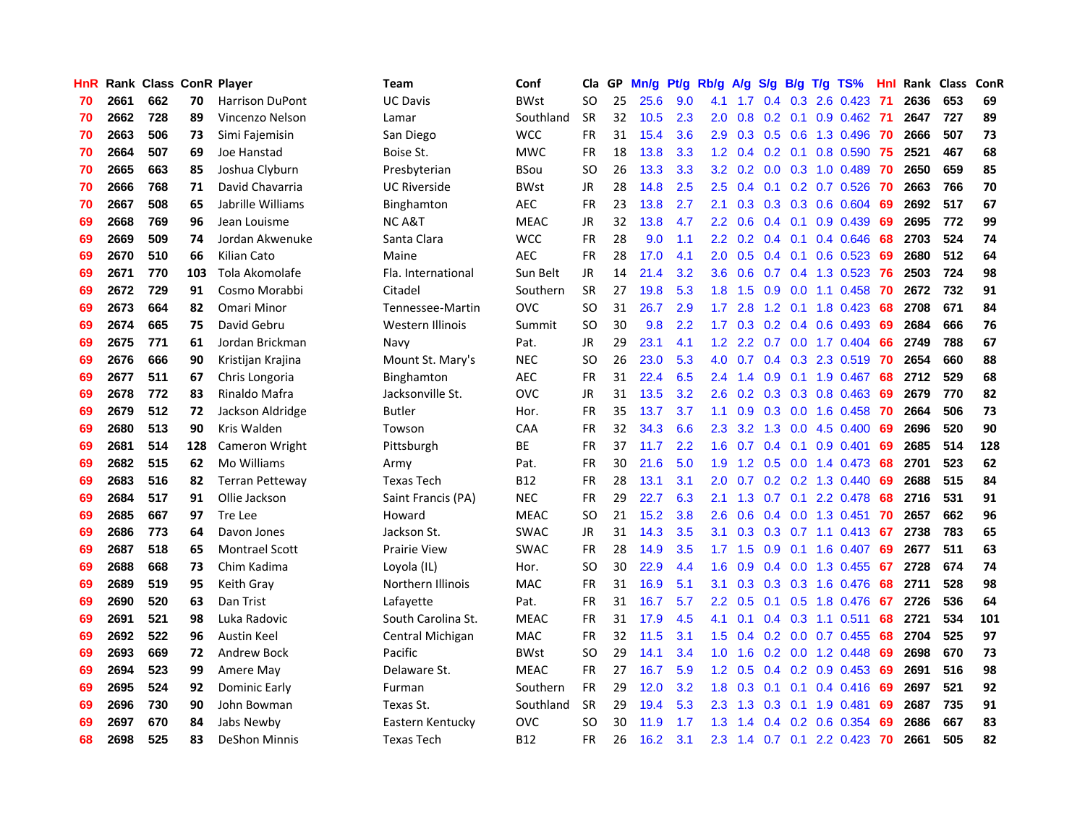| <b>HnR</b> |      | Rank Class ConR Player |     |                        | Team                | Conf        | Cla       |    | GP Mn/g Pt/g Rb/g |     |                  | A/g                           |               |                 | S/g B/g T/g TS%           | Hnl  | Rank Class |     | ConR |
|------------|------|------------------------|-----|------------------------|---------------------|-------------|-----------|----|-------------------|-----|------------------|-------------------------------|---------------|-----------------|---------------------------|------|------------|-----|------|
| 70         | 2661 | 662                    | 70  | <b>Harrison DuPont</b> | <b>UC Davis</b>     | <b>BWst</b> | SO.       | 25 | 25.6              | 9.0 | 4.1              | 1.7                           | 0.4           | 0.3             | 2.6 0.423                 | 71   | 2636       | 653 | 69   |
| 70         | 2662 | 728                    | 89  | Vincenzo Nelson        | Lamar               | Southland   | <b>SR</b> | 32 | 10.5              | 2.3 | 2.0              | 0.8                           | 0.2           | 0.1             | $0.9$ $0.462$             | -71  | 2647       | 727 | 89   |
| 70         | 2663 | 506                    | 73  | Simi Fajemisin         | San Diego           | <b>WCC</b>  | <b>FR</b> | 31 | 15.4              | 3.6 | 2.9              | 0.3                           |               | $0.5 \quad 0.6$ | 1.3 0.496                 | -70  | 2666       | 507 | 73   |
| 70         | 2664 | 507                    | 69  | Joe Hanstad            | Boise St.           | <b>MWC</b>  | FR        | 18 | 13.8              | 3.3 |                  | $1.2 \quad 0.4$               |               | $0.2 \quad 0.1$ | 0.8 0.590                 | -75  | 2521       | 467 | 68   |
| 70         | 2665 | 663                    | 85  | Joshua Clyburn         | Presbyterian        | <b>BSou</b> | SO.       | 26 | 13.3              | 3.3 |                  | $3.2 \quad 0.2$               |               |                 | $0.0$ $0.3$ 1.0 $0.489$   | -70  | 2650       | 659 | 85   |
| 70         | 2666 | 768                    | 71  | David Chavarria        | <b>UC Riverside</b> | <b>BWst</b> | JR        | 28 | 14.8              | 2.5 | 2.5              | 0.4                           |               |                 | $0.1$ $0.2$ $0.7$ $0.526$ | -70  | 2663       | 766 | 70   |
| 70         | 2667 | 508                    | 65  | Jabrille Williams      | Binghamton          | <b>AEC</b>  | <b>FR</b> | 23 | 13.8              | 2.7 | 2.1              | 0.3                           |               |                 | 0.3 0.3 0.6 0.604         | -69  | 2692       | 517 | 67   |
| 69         | 2668 | 769                    | 96  | Jean Louisme           | <b>NC A&amp;T</b>   | <b>MEAC</b> | <b>JR</b> | 32 | 13.8              | 4.7 | $2.2\phantom{0}$ | 0.6                           |               | $0.4 \quad 0.1$ | 0.9 0.439                 | 69   | 2695       | 772 | 99   |
| 69         | 2669 | 509                    | 74  | Jordan Akwenuke        | Santa Clara         | <b>WCC</b>  | <b>FR</b> | 28 | 9.0               | 1.1 | $2.2^{\circ}$    | 0.2                           |               | $0.4$ 0.1       | 0.4 0.646                 | 68   | 2703       | 524 | 74   |
| 69         | 2670 | 510                    | 66  | Kilian Cato            | Maine               | <b>AEC</b>  | FR        | 28 | 17.0              | 4.1 | 2.0              | 0.5                           |               | $0.4 \quad 0.1$ | $0.6$ $0.523$             | -69  | 2680       | 512 | 64   |
| 69         | 2671 | 770                    | 103 | Tola Akomolafe         | Fla. International  | Sun Belt    | JR        | 14 | 21.4              | 3.2 | 3.6              | 0.6                           | 0.7           |                 | 0.4 1.3 0.523             | 76   | 2503       | 724 | 98   |
| 69         | 2672 | 729                    | 91  | Cosmo Morabbi          | Citadel             | Southern    | <b>SR</b> | 27 | 19.8              | 5.3 | 1.8              | 1.5                           | 0.9           | 0.0             | 1.1 0.458                 | 70   | 2672       | 732 | 91   |
| 69         | 2673 | 664                    | 82  | Omari Minor            | Tennessee-Martin    | <b>OVC</b>  | <b>SO</b> | 31 | 26.7              | 2.9 | 1.7              | 2.8                           | 1.2           | 0.1             | 1.8 0.423                 | 68   | 2708       | 671 | 84   |
| 69         | 2674 | 665                    | 75  | David Gebru            | Western Illinois    | Summit      | <b>SO</b> | 30 | 9.8               | 2.2 | 1.7              | 0.3                           | 0.2           |                 | $0.4$ 0.6 0.493           | -69  | 2684       | 666 | 76   |
| 69         | 2675 | 771                    | 61  | Jordan Brickman        | Navy                | Pat.        | JR        | 29 | 23.1              | 4.1 | 1.2 <sub>1</sub> | 2.2                           | 0.7           | 0.0             | 1.7 0.404                 | 66   | 2749       | 788 | 67   |
| 69         | 2676 | 666                    | 90  | Kristijan Krajina      | Mount St. Mary's    | <b>NEC</b>  | <b>SO</b> | 26 | 23.0              | 5.3 | 4.0              | 0.7                           |               |                 | 0.4 0.3 2.3 0.519         | -70  | 2654       | 660 | 88   |
| 69         | 2677 | 511                    | 67  | Chris Longoria         | <b>Binghamton</b>   | <b>AEC</b>  | <b>FR</b> | 31 | 22.4              | 6.5 |                  | $2.4$ 1.4                     |               | $0.9\quad 0.1$  | 1.9 0.467                 | -68  | 2712       | 529 | 68   |
| 69         | 2678 | 772                    | 83  | Rinaldo Mafra          | Jacksonville St.    | <b>OVC</b>  | JR        | 31 | 13.5              | 3.2 | 2.6              | 0.2                           |               |                 | $0.3$ $0.3$ $0.8$ $0.463$ | -69  | 2679       | 770 | 82   |
| 69         | 2679 | 512                    | 72  | Jackson Aldridge       | <b>Butler</b>       | Hor.        | <b>FR</b> | 35 | 13.7              | 3.7 | 1.1              | 0.9                           |               |                 | $0.3$ 0.0 1.6 0.458       | - 70 | 2664       | 506 | 73   |
| 69         | 2680 | 513                    | 90  | Kris Walden            | Towson              | CAA         | <b>FR</b> | 32 | 34.3              | 6.6 | 2.3              | 3.2                           |               | $1.3 \quad 0.0$ | 4.5 0.400                 | -69  | 2696       | 520 | 90   |
| 69         | 2681 | 514                    | 128 | Cameron Wright         | Pittsburgh          | ВE          | <b>FR</b> | 37 | 11.7              | 2.2 | 1.6              | 0.7                           |               |                 | $0.4$ 0.1 0.9 0.401       | 69   | 2685       | 514 | 128  |
| 69         | 2682 | 515                    | 62  | Mo Williams            | Army                | Pat.        | FR        | 30 | 21.6              | 5.0 | 1.9              | 1.2                           |               |                 | 0.5 0.0 1.4 0.473         | 68   | 2701       | 523 | 62   |
| 69         | 2683 | 516                    | 82  | <b>Terran Petteway</b> | <b>Texas Tech</b>   | B12         | <b>FR</b> | 28 | 13.1              | 3.1 | 2.0              | 0.7                           |               |                 | $0.2$ $0.2$ 1.3 $0.440$   | 69   | 2688       | 515 | 84   |
| 69         | 2684 | 517                    | 91  | Ollie Jackson          | Saint Francis (PA)  | <b>NEC</b>  | <b>FR</b> | 29 | 22.7              | 6.3 | 2.1              | 1.3                           | 0.7           |                 | $0.1$ 2.2 0.478           | 68   | 2716       | 531 | 91   |
| 69         | 2685 | 667                    | 97  | Tre Lee                | Howard              | <b>MEAC</b> | SO        | 21 | 15.2              | 3.8 | 2.6              | 0.6                           |               |                 | 0.4 0.0 1.3 0.451         | 70   | 2657       | 662 | 96   |
| 69         | 2686 | 773                    | 64  | Davon Jones            | Jackson St.         | <b>SWAC</b> | JR        | 31 | 14.3              | 3.5 | 3.1              | 0.3                           |               |                 | $0.3$ 0.7 1.1 0.413       | -67  | 2738       | 783 | 65   |
| 69         | 2687 | 518                    | 65  | <b>Montrael Scott</b>  | <b>Prairie View</b> | <b>SWAC</b> | <b>FR</b> | 28 | 14.9              | 3.5 | 1.7 <sup>2</sup> | 1.5                           | 0.9           | 0.1             | 1.6 0.407                 | -69  | 2677       | 511 | 63   |
| 69         | 2688 | 668                    | 73  | Chim Kadima            | Loyola (IL)         | Hor.        | <b>SO</b> | 30 | 22.9              | 4.4 | 1.6              | 0.9                           |               | $0.4\quad 0.0$  | 1.3 0.455                 | -67  | 2728       | 674 | 74   |
| 69         | 2689 | 519                    | 95  | Keith Gray             | Northern Illinois   | <b>MAC</b>  | <b>FR</b> | 31 | 16.9              | 5.1 | 3.1              | 0.3                           |               | $0.3 \quad 0.3$ | 1.6 0.476                 | 68   | 2711       | 528 | 98   |
| 69         | 2690 | 520                    | 63  | Dan Trist              | Lafayette           | Pat.        | <b>FR</b> | 31 | 16.7              | 5.7 | $2.2\phantom{0}$ | 0.5                           | 0.1           | 0.5             | 1.8 0.476                 | 67   | 2726       | 536 | 64   |
| 69         | 2691 | 521                    | 98  | Luka Radovic           | South Carolina St.  | <b>MEAC</b> | <b>FR</b> | 31 | 17.9              | 4.5 | 4.1              | 0.1                           |               |                 | $0.4$ 0.3 1.1 0.511       | 68   | 2721       | 534 | 101  |
| 69         | 2692 | 522                    | 96  | Austin Keel            | Central Michigan    | <b>MAC</b>  | <b>FR</b> | 32 | 11.5              | 3.1 | 1.5 <sub>1</sub> | 0.4                           |               |                 | $0.2$ 0.0 0.7 0.455       | -68  | 2704       | 525 | 97   |
| 69         | 2693 | 669                    | 72  | Andrew Bock            | Pacific             | <b>BWst</b> | SO.       | 29 | 14.1              | 3.4 | 1.0              | 1.6                           |               |                 | 0.2 0.0 1.2 0.448         | 69   | 2698       | 670 | 73   |
| 69         | 2694 | 523                    | 99  | Amere May              | Delaware St.        | <b>MEAC</b> | <b>FR</b> | 27 | 16.7              | 5.9 | $1.2^{\circ}$    | 0.5                           |               |                 | $0.4$ 0.2 0.9 0.453       | 69   | 2691       | 516 | 98   |
| 69         | 2695 | 524                    | 92  | Dominic Early          | Furman              | Southern    | FR        | 29 | 12.0              | 3.2 | 1.8              | 0.3                           | 0.1           |                 | $0.1$ 0.4 0.416           | 69   | 2697       | 521 | 92   |
| 69         | 2696 | 730                    | 90  | John Bowman            | Texas St.           | Southland   | <b>SR</b> | 29 | 19.4              | 5.3 | 2.3              | 1.3                           | 0.3           | 0.1             | 1.9 0.481                 | 69   | 2687       | 735 | 91   |
| 69         | 2697 | 670                    | 84  | Jabs Newby             | Eastern Kentucky    | <b>OVC</b>  | SO.       | 30 | 11.9              | 1.7 | 1.3              | 1<br>$\overline{\mathcal{A}}$ | $0.4^{\circ}$ |                 | 0.2 0.6 0.354             | 69   | 2686       | 667 | 83   |
| 68         | 2698 | 525                    | 83  | DeShon Minnis          | <b>Texas Tech</b>   | <b>B12</b>  | FR.       | 26 | 16.2              | 3.1 | $2.3\phantom{0}$ |                               |               |                 | 1.4 0.7 0.1 2.2 0.423     | 70   | 2661       | 505 | 82   |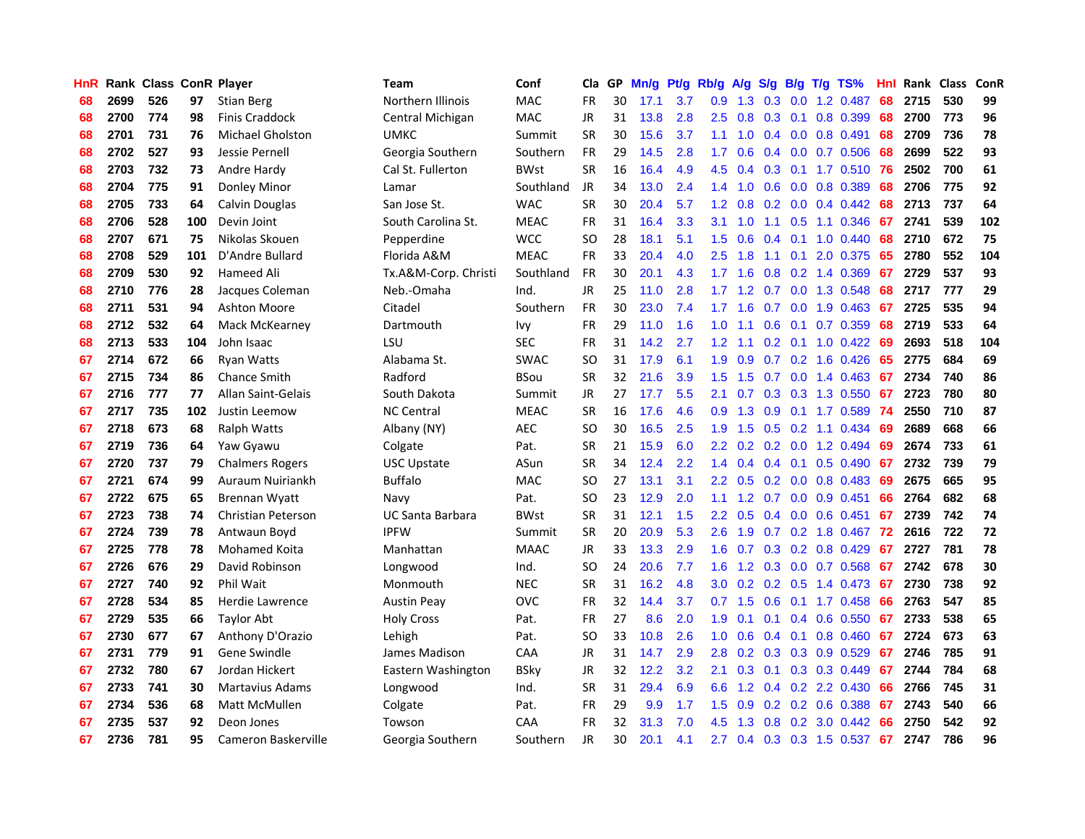| HnR. |      | <b>Rank Class ConR Player</b> |     |                           | Team                    | Conf        | Cla       | GP. | Mn/g Pt/g |     | Rb/g A/g         |                 |                  |     | S/g B/g T/g TS%           | Hnl | Rank Class |     | <b>ConR</b> |
|------|------|-------------------------------|-----|---------------------------|-------------------------|-------------|-----------|-----|-----------|-----|------------------|-----------------|------------------|-----|---------------------------|-----|------------|-----|-------------|
| 68   | 2699 | 526                           | 97  | <b>Stian Berg</b>         | Northern Illinois       | <b>MAC</b>  | <b>FR</b> | 30  | 17.1      | 3.7 | 0.9              | 1.3             | 0.3              | 0.0 | 1.2 0.487                 | 68  | 2715       | 530 | 99          |
| 68   | 2700 | 774                           | 98  | <b>Finis Craddock</b>     | Central Michigan        | <b>MAC</b>  | JR        | 31  | 13.8      | 2.8 | 2.5              | 0.8             | 0.3              | 0.1 | 0.8 0.399                 | 68  | 2700       | 773 | 96          |
| 68   | 2701 | 731                           | 76  | <b>Michael Gholston</b>   | UMKC                    | Summit      | <b>SR</b> | 30  | 15.6      | 3.7 | 1.1              | 1.0             | $0.4^{\circ}$    | 0.0 | 0.8 0.491                 | 68  | 2709       | 736 | 78          |
| 68   | 2702 | 527                           | 93  | Jessie Pernell            | Georgia Southern        | Southern    | <b>FR</b> | 29  | 14.5      | 2.8 | 1.7              | 0.6             | 0.4              | 0.0 | 0.7 0.506                 | 68  | 2699       | 522 | 93          |
| 68   | 2703 | 732                           | 73  | Andre Hardy               | Cal St. Fullerton       | <b>BWst</b> | <b>SR</b> | 16  | 16.4      | 4.9 | 4.5              | 0.4             |                  |     | 0.3 0.1 1.7 0.510 76      |     | 2502       | 700 | 61          |
| 68   | 2704 | 775                           | 91  | Donley Minor              | Lamar                   | Southland   | <b>JR</b> | 34  | 13.0      | 2.4 |                  |                 |                  |     | 1.4 1.0 0.6 0.0 0.8 0.389 | -68 | 2706       | 775 | 92          |
| 68   | 2705 | 733                           | 64  | Calvin Douglas            | San Jose St.            | <b>WAC</b>  | <b>SR</b> | 30  | 20.4      | 5.7 |                  | $1.2 \quad 0.8$ |                  |     | $0.2$ 0.0 0.4 0.442       | 68  | 2713       | 737 | 64          |
| 68   | 2706 | 528                           | 100 | Devin Joint               | South Carolina St.      | <b>MEAC</b> | FR        | 31  | 16.4      | 3.3 | 3.1              | 1.0             | 1.1              |     | $0.5$ 1.1 0.346           | -67 | 2741       | 539 | 102         |
| 68   | 2707 | 671                           | 75  | Nikolas Skouen            | Pepperdine              | <b>WCC</b>  | SO        | 28  | 18.1      | 5.1 | 1.5              | 0.6             |                  |     | 0.4 0.1 1.0 0.440         | 68  | 2710       | 672 | 75          |
| 68   | 2708 | 529                           | 101 | D'Andre Bullard           | Florida A&M             | <b>MEAC</b> | <b>FR</b> | 33  | 20.4      | 4.0 | 2.5              | 1.8             | 1.1              | 0.1 | 2.0 0.375                 | 65  | 2780       | 552 | 104         |
| 68   | 2709 | 530                           | 92  | <b>Hameed Ali</b>         | Tx.A&M-Corp. Christi    | Southland   | <b>FR</b> | 30  | 20.1      | 4.3 | 1.7              | 1.6             | 0.8              |     | $0.2$ 1.4 0.369           | 67  | 2729       | 537 | 93          |
| 68   | 2710 | 776                           | 28  | Jacques Coleman           | Neb.-Omaha              | Ind.        | JR        | 25  | 11.0      | 2.8 | 1.7              | 1.2             | 0.7              |     | $0.0$ 1.3 0.548           | 68  | 2717       | 777 | 29          |
| 68   | 2711 | 531                           | 94  | <b>Ashton Moore</b>       | Citadel                 | Southern    | <b>FR</b> | 30  | 23.0      | 7.4 | 1.7              | 1.6             | 0.7              |     | $0.0$ 1.9 $0.463$         | 67  | 2725       | 535 | 94          |
| 68   | 2712 | 532                           | 64  | Mack McKearney            | Dartmouth               | <b>Ivy</b>  | <b>FR</b> | 29  | 11.0      | 1.6 | 1.0              | 1.1             | 0.6              | 0.1 | 0.7 0.359                 | 68  | 2719       | 533 | 64          |
| 68   | 2713 | 533                           | 104 | John Isaac                | LSU                     | <b>SEC</b>  | <b>FR</b> | 31  | 14.2      | 2.7 | 1.2 <sub>1</sub> | 1.1             | 0.2 <sub>0</sub> |     | $0.1$ 1.0 $0.422$         | 69  | 2693       | 518 | 104         |
| 67   | 2714 | 672                           | 66  | <b>Rvan Watts</b>         | Alabama St.             | <b>SWAC</b> | SO        | 31  | 17.9      | 6.1 | 1.9              | 0.9             | 0.7              | 0.2 | 1.6 0.426                 | 65  | 2775       | 684 | 69          |
| 67   | 2715 | 734                           | 86  | <b>Chance Smith</b>       | Radford                 | <b>BSou</b> | <b>SR</b> | 32  | 21.6      | 3.9 | 1.5              | 1.5             | 0.7              | 0.0 | 1.4 0.463                 | 67  | 2734       | 740 | 86          |
| 67   | 2716 | 777                           | 77  | Allan Saint-Gelais        | South Dakota            | Summit      | JR        | 27  | 17.7      | 5.5 | 2.1              | 0.7             |                  |     | $0.3$ $0.3$ $1.3$ $0.550$ | 67  | 2723       | 780 | 80          |
| 67   | 2717 | 735                           | 102 | Justin Leemow             | <b>NC Central</b>       | <b>MEAC</b> | SR        | 16  | 17.6      | 4.6 | 0.9 <sub>0</sub> |                 |                  |     | 1.3 0.9 0.1 1.7 0.589     | 74  | 2550       | 710 | 87          |
| 67   | 2718 | 673                           | 68  | <b>Ralph Watts</b>        | Albany (NY)             | <b>AEC</b>  | SO        | 30  | 16.5      | 2.5 | 1.9              | 1.5             |                  |     | $0.5$ 0.2 1.1 0.434       | -69 | 2689       | 668 | 66          |
| 67   | 2719 | 736                           | 64  | Yaw Gyawu                 | Colgate                 | Pat.        | <b>SR</b> | 21  | 15.9      | 6.0 | $2.2^{\circ}$    |                 |                  |     | 0.2 0.2 0.0 1.2 0.494     | 69  | 2674       | 733 | 61          |
| 67   | 2720 | 737                           | 79  | <b>Chalmers Rogers</b>    | USC Upstate             | ASun        | <b>SR</b> | 34  | 12.4      | 2.2 |                  | $1.4 \quad 0.4$ |                  |     | $0.4$ 0.1 0.5 0.490 67    |     | 2732       | 739 | 79          |
| 67   | 2721 | 674                           | 99  | Auraum Nuiriankh          | <b>Buffalo</b>          | <b>MAC</b>  | SO        | 27  | 13.1      | 3.1 | $2.2^{\circ}$    | 0.5             |                  |     | $0.2$ 0.0 0.8 0.483       | -69 | 2675       | 665 | 95          |
| 67   | 2722 | 675                           | 65  | <b>Brennan Wyatt</b>      | Navy                    | Pat.        | SO        | 23  | 12.9      | 2.0 | 1.1              | 1.2             | 0.7              |     | $0.0$ $0.9$ $0.451$       | 66  | 2764       | 682 | 68          |
| 67   | 2723 | 738                           | 74  | <b>Christian Peterson</b> | <b>UC Santa Barbara</b> | <b>BWst</b> | <b>SR</b> | 31  | 12.1      | 1.5 | $2.2^{\circ}$    | 0.5             | 0.4              |     | $0.0$ $0.6$ $0.451$       | 67  | 2739       | 742 | 74          |
| 67   | 2724 | 739                           | 78  | Antwaun Boyd              | <b>IPFW</b>             | Summit      | <b>SR</b> | 20  | 20.9      | 5.3 | 2.6              | 1.9             |                  |     | $0.7$ $0.2$ 1.8 $0.467$   | 72  | 2616       | 722 | 72          |
| 67   | 2725 | 778                           | 78  | <b>Mohamed Koita</b>      | Manhattan               | <b>MAAC</b> | <b>JR</b> | 33  | 13.3      | 2.9 | 1.6              | 0.7             |                  |     | $0.3$ $0.2$ $0.8$ $0.429$ | 67  | 2727       | 781 | 78          |
| 67   | 2726 | 676                           | 29  | David Robinson            | Longwood                | Ind.        | SO        | 24  | 20.6      | 7.7 | 1.6              | 1.2             |                  |     | $0.3$ 0.0 0.7 0.568       | 67  | 2742       | 678 | 30          |
| 67   | 2727 | 740                           | 92  | Phil Wait                 | Monmouth                | <b>NEC</b>  | <b>SR</b> | 31  | 16.2      | 4.8 | 3.0 <sub>2</sub> | 0.2             | 0.2              | 0.5 | 1.4 0.473                 | 67  | 2730       | 738 | 92          |
| 67   | 2728 | 534                           | 85  | Herdie Lawrence           | <b>Austin Peay</b>      | <b>OVC</b>  | FR        | 32  | 14.4      | 3.7 | 0.7              | 1.5             | 0.6              |     | $0.1$ 1.7 $0.458$         | 66  | 2763       | 547 | 85          |
| 67   | 2729 | 535                           | 66  | <b>Taylor Abt</b>         | <b>Holy Cross</b>       | Pat.        | FR        | 27  | 8.6       | 2.0 | 1.9              | 0.1             | 0.1              | 0.4 | 0.6 0.550                 | 67  | 2733       | 538 | 65          |
| 67   | 2730 | 677                           | 67  | Anthony D'Orazio          | Lehigh                  | Pat.        | <b>SO</b> | 33  | 10.8      | 2.6 | 1.0 <sub>1</sub> | 0.6             | $0.4 \quad 0.1$  |     | 0.8 0.460                 | 67  | 2724       | 673 | 63          |
| 67   | 2731 | 779                           | 91  | Gene Swindle              | James Madison           | CAA         | JR        | 31  | 14.7      | 2.9 | 2.8 <sub>1</sub> |                 |                  |     | $0.2$ 0.3 0.3 0.9 0.529   | 67  | 2746       | 785 | 91          |
| 67   | 2732 | 780                           | 67  | Jordan Hickert            | Eastern Washington      | <b>BSky</b> | <b>JR</b> | 32  | 12.2      | 3.2 | 2.1              |                 |                  |     | 0.3 0.1 0.3 0.3 0.449     | 67  | 2744       | 784 | 68          |
| 67   | 2733 | 741                           | 30  | Martavius Adams           | Longwood                | Ind.        | <b>SR</b> | 31  | 29.4      | 6.9 | 6.6              |                 |                  |     | 1.2 0.4 0.2 2.2 0.430     | 66  | 2766       | 745 | 31          |
| 67   | 2734 | 536                           | 68  | Matt McMullen             | Colgate                 | Pat.        | FR        | 29  | 9.9       | 1.7 | $1.5^{\circ}$    | 0.9             |                  |     | $0.2$ 0.2 0.6 0.388       | 67  | 2743       | 540 | 66          |
| 67   | 2735 | 537                           | 92  | Deon Jones                | Towson                  | CAA         | <b>FR</b> | 32  | 31.3      | 7.0 | 4.5              | 1.3             | 0.8              | 0.2 | 3.0 0.442                 | 66  | 2750       | 542 | 92          |
| 67   | 2736 | 781                           | 95  | Cameron Baskerville       | Georgia Southern        | Southern    | JR        | 30  | 20.1      | 4.1 | $2.7^{\circ}$    |                 |                  |     | $0.4$ 0.3 0.3 1.5 0.537   | 67  | 2747       | 786 | 96          |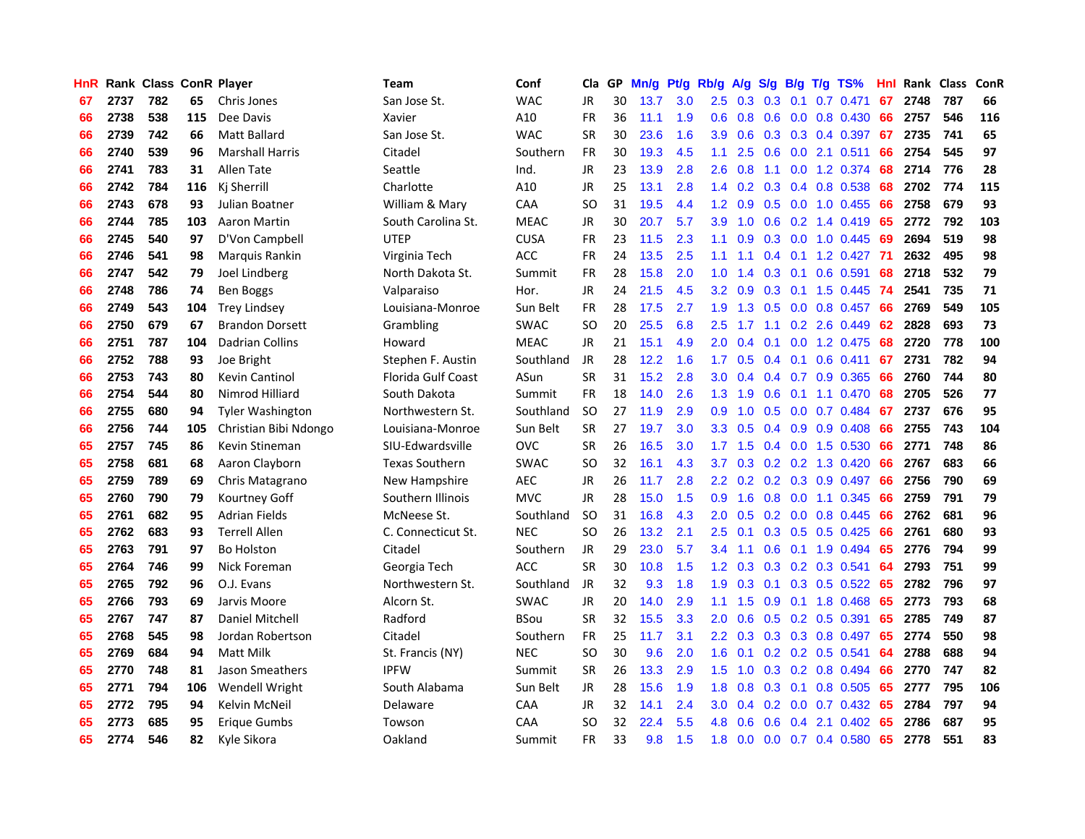| <b>HnR</b> |      | Rank Class ConR Player |     |                         | Team                  | Conf        | Cla       |    | GP Mn/g Pt/g |     | Rb/g A/g         |                 |     |                 | S/g B/g T/g TS%                 | Hnl |      | Rank Class | <b>ConR</b> |
|------------|------|------------------------|-----|-------------------------|-----------------------|-------------|-----------|----|--------------|-----|------------------|-----------------|-----|-----------------|---------------------------------|-----|------|------------|-------------|
| 67         | 2737 | 782                    | 65  | Chris Jones             | San Jose St.          | <b>WAC</b>  | JR        | 30 | 13.7         | 3.0 | 2.5              | 0.3             | 0.3 | 0.1             | 0.7 0.471                       | 67  | 2748 | 787        | 66          |
| 66         | 2738 | 538                    | 115 | Dee Davis               | Xavier                | A10         | <b>FR</b> | 36 | 11.1         | 1.9 | 0.6              | 0.8             | 0.6 | 0.0             | 0.8 0.430                       | 66  | 2757 | 546        | 116         |
| 66         | 2739 | 742                    | 66  | Matt Ballard            | San Jose St.          | <b>WAC</b>  | <b>SR</b> | 30 | 23.6         | 1.6 | 3.9              | 0.6             | 0.3 |                 | $0.3$ 0.4 0.397                 | 67  | 2735 | 741        | 65          |
| 66         | 2740 | 539                    | 96  | <b>Marshall Harris</b>  | Citadel               | Southern    | <b>FR</b> | 30 | 19.3         | 4.5 | 1.1              | 2.5             | 0.6 |                 | $0.0$ 2.1 $0.511$               | 66  | 2754 | 545        | 97          |
| 66         | 2741 | 783                    | 31  | Allen Tate              | Seattle               | Ind.        | JR        | 23 | 13.9         | 2.8 | 2.6              | 0.8             |     |                 | 1.1 0.0 1.2 0.374               | 68  | 2714 | 776        | 28          |
| 66         | 2742 | 784                    | 116 | Ki Sherrill             | Charlotte             | A10         | JR        | 25 | 13.1         | 2.8 |                  |                 |     |                 | 1.4 0.2 0.3 0.4 0.8 0.538       | 68  | 2702 | 774        | 115         |
| 66         | 2743 | 678                    | 93  | Julian Boatner          | William & Mary        | CAA         | SO.       | 31 | 19.5         | 4.4 |                  | $1.2 \quad 0.9$ |     |                 | $0.5$ 0.0 1.0 0.455             | -66 | 2758 | 679        | 93          |
| 66         | 2744 | 785                    | 103 | Aaron Martin            | South Carolina St.    | <b>MEAC</b> | JR        | 30 | 20.7         | 5.7 | 3.9              | 1.0             |     |                 | $0.6$ $0.2$ 1.4 $0.419$         | 65  | 2772 | 792        | 103         |
| 66         | 2745 | 540                    | 97  | D'Von Campbell          | <b>UTEP</b>           | <b>CUSA</b> | FR        | 23 | 11.5         | 2.3 | 1.1              | 0.9             |     |                 | 0.3 0.0 1.0 0.445               | 69  | 2694 | 519        | 98          |
| 66         | 2746 | 541                    | 98  | Marquis Rankin          | Virginia Tech         | <b>ACC</b>  | FR        | 24 | 13.5         | 2.5 | 1.1              | 1.1             |     | $0.4$ 0.1       | 1.2 0.427                       | -71 | 2632 | 495        | 98          |
| 66         | 2747 | 542                    | 79  | Joel Lindberg           | North Dakota St.      | Summit      | FR        | 28 | 15.8         | 2.0 | 1.0              | 1.4             | 0.3 | 0.1             | 0.6 0.591                       | 68  | 2718 | 532        | 79          |
| 66         | 2748 | 786                    | 74  | <b>Ben Boggs</b>        | Valparaiso            | Hor.        | JR        | 24 | 21.5         | 4.5 | 3.2              | 0.9             |     | $0.3 \quad 0.1$ | 1.5 0.445                       | -74 | 2541 | 735        | 71          |
| 66         | 2749 | 543                    | 104 | <b>Trey Lindsey</b>     | Louisiana-Monroe      | Sun Belt    | FR        | 28 | 17.5         | 2.7 | 1.9              | 1.3             | 0.5 | 0.0             | 0.8 0.457                       | 66  | 2769 | 549        | 105         |
| 66         | 2750 | 679                    | 67  | <b>Brandon Dorsett</b>  | Grambling             | <b>SWAC</b> | <b>SO</b> | 20 | 25.5         | 6.8 | 2.5              | 1.7             | 1.1 | 0.2             | 2.6 0.449                       | 62  | 2828 | 693        | 73          |
| 66         | 2751 | 787                    | 104 | <b>Dadrian Collins</b>  | Howard                | <b>MEAC</b> | JR        | 21 | 15.1         | 4.9 | 2.0              | 0.4             | 0.1 | 0.0             | 1.2 0.475                       | 68  | 2720 | 778        | 100         |
| 66         | 2752 | 788                    | 93  | Joe Bright              | Stephen F. Austin     | Southland   | JR        | 28 | 12.2         | 1.6 | $1.7^{\circ}$    | 0.5             |     | $0.4 \quad 0.1$ | $0.6$ 0.411                     | 67  | 2731 | 782        | 94          |
| 66         | 2753 | 743                    | 80  | <b>Kevin Cantinol</b>   | Florida Gulf Coast    | ASun        | <b>SR</b> | 31 | 15.2         | 2.8 | 3.0 <sub>1</sub> | 0.4             |     |                 | $0.4$ 0.7 0.9 0.365             | -66 | 2760 | 744        | 80          |
| 66         | 2754 | 544                    | 80  | Nimrod Hilliard         | South Dakota          | Summit      | FR        | 18 | 14.0         | 2.6 |                  | $1.3$ $1.9$     | 0.6 | 0.1             | 1.1 0.470                       | -68 | 2705 | 526        | 77          |
| 66         | 2755 | 680                    | 94  | <b>Tyler Washington</b> | Northwestern St.      | Southland   | <b>SO</b> | 27 | 11.9         | 2.9 | 0.9 <sup>°</sup> | 1.0             |     |                 | 0.5 0.0 0.7 0.484               | 67  | 2737 | 676        | 95          |
| 66         | 2756 | 744                    | 105 | Christian Bibi Ndongo   | Louisiana-Monroe      | Sun Belt    | <b>SR</b> | 27 | 19.7         | 3.0 |                  | $3.3 \quad 0.5$ |     |                 | $0.4$ 0.9 0.9 0.408             | 66  | 2755 | 743        | 104         |
| 65         | 2757 | 745                    | 86  | Kevin Stineman          | SIU-Edwardsville      | <b>OVC</b>  | <b>SR</b> | 26 | 16.5         | 3.0 |                  | $1.7$ $1.5$     |     |                 | $0.4$ 0.0 1.5 0.530             | 66  | 2771 | 748        | 86          |
| 65         | 2758 | 681                    | 68  | Aaron Clayborn          | <b>Texas Southern</b> | <b>SWAC</b> | SO.       | 32 | 16.1         | 4.3 | 3.7              | 0.3             |     |                 | $0.2$ 0.2 1.3 0.420             | 66  | 2767 | 683        | 66          |
| 65         | 2759 | 789                    | 69  | Chris Matagrano         | New Hampshire         | <b>AEC</b>  | <b>JR</b> | 26 | 11.7         | 2.8 | $2.2^{\circ}$    | 0.2             |     |                 | $0.2$ $0.3$ $0.9$ $0.497$       | 66  | 2756 | 790        | 69          |
| 65         | 2760 | 790                    | 79  | Kourtney Goff           | Southern Illinois     | <b>MVC</b>  | <b>JR</b> | 28 | 15.0         | 1.5 | 0.9              | 1.6             | 0.8 |                 | 0.0 1.1 0.345                   | 66  | 2759 | 791        | 79          |
| 65         | 2761 | 682                    | 95  | <b>Adrian Fields</b>    | McNeese St.           | Southland   | <b>SO</b> | 31 | 16.8         | 4.3 | 2.0              | 0.5             |     |                 | $0.2$ 0.0 0.8 0.445             | 66  | 2762 | 681        | 96          |
| 65         | 2762 | 683                    | 93  | <b>Terrell Allen</b>    | C. Connecticut St.    | <b>NEC</b>  | SO.       | 26 | 13.2         | 2.1 | 2.5              | 0.1             |     |                 | $0.3$ $0.5$ $0.5$ $0.425$       | 66  | 2761 | 680        | 93          |
| 65         | 2763 | 791                    | 97  | <b>Bo Holston</b>       | Citadel               | Southern    | JR        | 29 | 23.0         | 5.7 | 3.4              | 1.1             | 0.6 |                 | $0.1$ 1.9 0.494                 | 65  | 2776 | 794        | 99          |
| 65         | 2764 | 746                    | 99  | Nick Foreman            | Georgia Tech          | <b>ACC</b>  | <b>SR</b> | 30 | 10.8         | 1.5 | 1.2 <sub>1</sub> | 0.3             |     |                 | $0.3$ $0.2$ $0.3$ $0.541$       | 64  | 2793 | 751        | 99          |
| 65         | 2765 | 792                    | 96  | O.J. Evans              | Northwestern St.      | Southland   | JR        | 32 | 9.3          | 1.8 | 1.9              | 0.3             | 0.1 |                 | $0.3$ 0.5 0.522                 | 65  | 2782 | 796        | 97          |
| 65         | 2766 | 793                    | 69  | Jarvis Moore            | Alcorn St.            | <b>SWAC</b> | JR        | 20 | 14.0         | 2.9 | 1.1              | 1.5             | 0.9 | 0.1             | 1.8 0.468                       | 65  | 2773 | 793        | 68          |
| 65         | 2767 | 747                    | 87  | Daniel Mitchell         | Radford               | <b>BSou</b> | <b>SR</b> | 32 | 15.5         | 3.3 | 2.0              | 0.6             |     |                 | $0.5$ $0.2$ $0.5$ $0.391$       | 65  | 2785 | 749        | 87          |
| 65         | 2768 | 545                    | 98  | Jordan Robertson        | Citadel               | Southern    | <b>FR</b> | 25 | 11.7         | 3.1 |                  | $2.2 \quad 0.3$ |     |                 | $0.3$ $0.3$ $0.8$ $0.497$       | 65  | 2774 | 550        | 98          |
| 65         | 2769 | 684                    | 94  | Matt Milk               | St. Francis (NY)      | <b>NEC</b>  | SO.       | 30 | 9.6          | 2.0 |                  | $1.6 \quad 0.1$ |     |                 | $0.2$ $0.2$ $0.5$ $0.541$       | 64  | 2788 | 688        | 94          |
| 65         | 2770 | 748                    | 81  | <b>Jason Smeathers</b>  | <b>IPFW</b>           | Summit      | <b>SR</b> | 26 | 13.3         | 2.9 | 1.5 <sub>1</sub> | 1.0             |     |                 | $0.3$ $0.2$ $0.8$ $0.494$       | 66  | 2770 | 747        | 82          |
| 65         | 2771 | 794                    | 106 | Wendell Wright          | South Alabama         | Sun Belt    | JR        | 28 | 15.6         | 1.9 | 1.8 <sup>°</sup> | 0.8             |     |                 | $0.3$ 0.1 0.8 0.505             | 65  | 2777 | 795        | 106         |
| 65         | 2772 | 795                    | 94  | Kelvin McNeil           | Delaware              | CAA         | JR        | 32 | 14.1         | 2.4 | 3.0 <sub>2</sub> | 0.4             | 0.2 |                 | $0.0$ 0.7 0.432                 | 65  | 2784 | 797        | 94          |
| 65         | 2773 | 685                    | 95  | Erigue Gumbs            | Towson                | CAA         | SO.       | 32 | 22.4         | 5.5 | 4.8              | 0.6             | 0.6 | 0.4             | 2.1 0.402                       | 65  | 2786 | 687        | 95          |
| 65         | 2774 | 546                    | 82  | Kyle Sikora             | Oakland               | Summit      | FR        | 33 | 9.8          | 1.5 | 1.8              |                 |     |                 | $0.0$ $0.0$ $0.7$ $0.4$ $0.580$ | 65  | 2778 | 551        | 83          |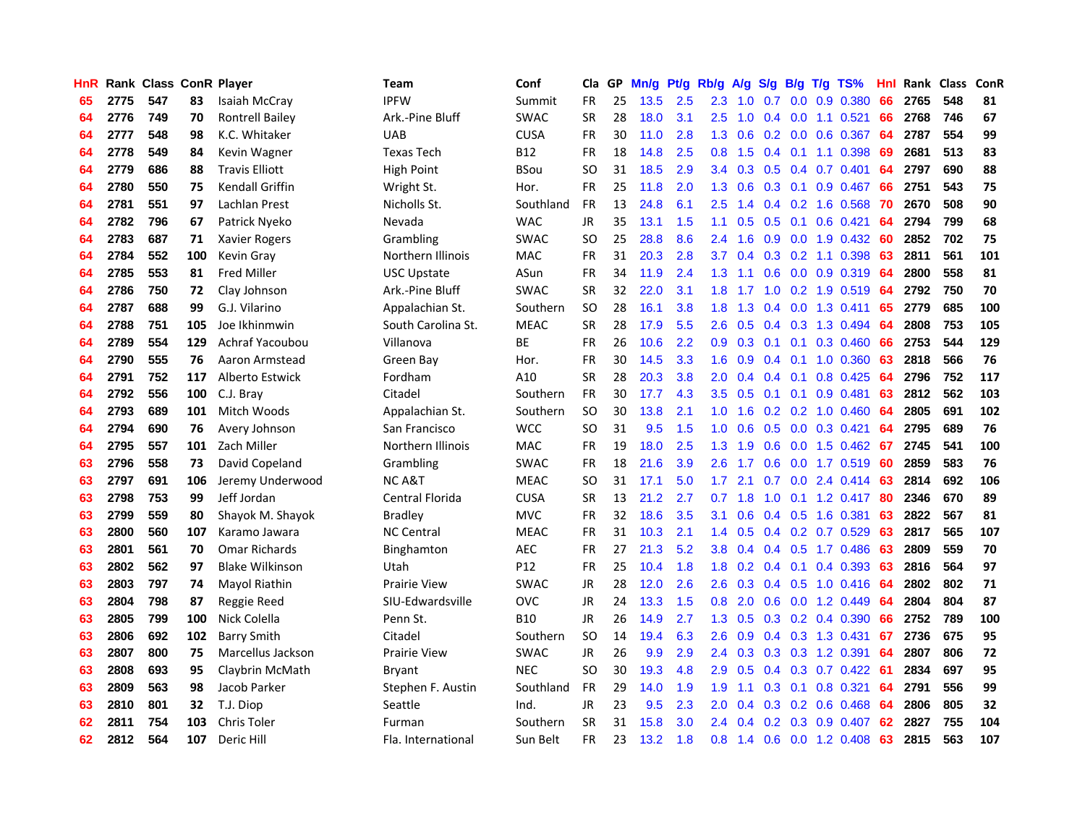| <b>HnR</b> |      | Rank Class ConR Player |     |                        | Team               | Conf        | Cla           |    | GP Mn/g Pt/g Rb/g A/g |     |                  |                 |                 |                 | S/g B/g T/g TS%           | Hnl | Rank Class |     | <b>ConR</b> |
|------------|------|------------------------|-----|------------------------|--------------------|-------------|---------------|----|-----------------------|-----|------------------|-----------------|-----------------|-----------------|---------------------------|-----|------------|-----|-------------|
| 65         | 2775 | 547                    | 83  | Isaiah McCray          | <b>IPFW</b>        | Summit      | FR.           | 25 | 13.5                  | 2.5 | 2.3              | 1.0             | 0.7             | 0.0             | 0.9 0.380                 | 66  | 2765       | 548 | 81          |
| 64         | 2776 | 749                    | 70  | <b>Rontrell Bailey</b> | Ark.-Pine Bluff    | <b>SWAC</b> | <b>SR</b>     | 28 | 18.0                  | 3.1 | 2.5              | 1.0             |                 | $0.4\quad 0.0$  | 1.1 0.521                 | 66  | 2768       | 746 | 67          |
| 64         | 2777 | 548                    | 98  | K.C. Whitaker          | <b>UAB</b>         | <b>CUSA</b> | <b>FR</b>     | 30 | 11.0                  | 2.8 | 1.3              | 0.6             |                 | $0.2\quad 0.0$  | 0.6 0.367                 | 64  | 2787       | 554 | 99          |
| 64         | 2778 | 549                    | 84  | Kevin Wagner           | <b>Texas Tech</b>  | <b>B12</b>  | <b>FR</b>     | 18 | 14.8                  | 2.5 | 0.8              | 1.5             |                 | $0.4 \quad 0.1$ | 1.1 0.398                 | 69  | 2681       | 513 | 83          |
| 64         | 2779 | 686                    | 88  | <b>Travis Elliott</b>  | High Point         | <b>BSou</b> | SO.           | 31 | 18.5                  | 2.9 |                  |                 |                 |                 | 3.4 0.3 0.5 0.4 0.7 0.401 | -64 | 2797       | 690 | 88          |
| 64         | 2780 | 550                    | 75  | <b>Kendall Griffin</b> | Wright St.         | Hor.        | <b>FR</b>     | 25 | 11.8                  | 2.0 |                  | $1.3 \quad 0.6$ |                 |                 | 0.3 0.1 0.9 0.467         | 66  | 2751       | 543 | 75          |
| 64         | 2781 | 551                    | 97  | Lachlan Prest          | Nicholls St.       | Southland   | <b>FR</b>     | 13 | 24.8                  | 6.1 | $2.5^{\circ}$    | 1.4             |                 |                 | $0.4$ 0.2 1.6 0.568       | 70  | 2670       | 508 | 90          |
| 64         | 2782 | 796                    | 67  | Patrick Nyeko          | Nevada             | <b>WAC</b>  | JR            | 35 | 13.1                  | 1.5 | 1.1              | 0.5             |                 |                 | $0.5$ 0.1 0.6 0.421       | 64  | 2794       | 799 | 68          |
| 64         | 2783 | 687                    | 71  | <b>Xavier Rogers</b>   | Grambling          | <b>SWAC</b> | <b>SO</b>     | 25 | 28.8                  | 8.6 | $2.4^{\circ}$    | 1.6             |                 |                 | 0.9 0.0 1.9 0.432         | 60  | 2852       | 702 | 75          |
| 64         | 2784 | 552                    | 100 | <b>Kevin Gray</b>      | Northern Illinois  | <b>MAC</b>  | FR            | 31 | 20.3                  | 2.8 | 3.7              | 0.4             |                 |                 | 0.3 0.2 1.1 0.398         | 63  | 2811       | 561 | 101         |
| 64         | 2785 | 553                    | 81  | <b>Fred Miller</b>     | USC Upstate        | ASun        | <b>FR</b>     | 34 | 11.9                  | 2.4 | 1.3              | 1.1             | 0.6             |                 | $0.0$ $0.9$ $0.319$       | 64  | 2800       | 558 | 81          |
| 64         | 2786 | 750                    | 72  | Clay Johnson           | Ark.-Pine Bluff    | <b>SWAC</b> | <b>SR</b>     | 32 | 22.0                  | 3.1 | 1.8              | 1.7             |                 |                 | $1.0$ $0.2$ $1.9$ $0.519$ | 64  | 2792       | 750 | 70          |
| 64         | 2787 | 688                    | 99  | G.J. Vilarino          | Appalachian St.    | Southern    | <b>SO</b>     | 28 | 16.1                  | 3.8 | 1.8              | 1.3             | $0.4^{\circ}$   | 0.0             | 1.3 0.411                 | 65  | 2779       | 685 | 100         |
| 64         | 2788 | 751                    | 105 | Joe Ikhinmwin          | South Carolina St. | <b>MEAC</b> | <b>SR</b>     | 28 | 17.9                  | 5.5 | 2.6              | 0.5             |                 | $0.4 \quad 0.3$ | 1.3 0.494                 | 64  | 2808       | 753 | 105         |
| 64         | 2789 | 554                    | 129 | Achraf Yacoubou        | Villanova          | ВE          | FR            | 26 | 10.6                  | 2.2 | 0.9              | 0.3             | 0.1             | 0.1             | $0.3$ 0.460               | 66  | 2753       | 544 | 129         |
| 64         | 2790 | 555                    | 76  | Aaron Armstead         | Green Bay          | Hor.        | <b>FR</b>     | 30 | 14.5                  | 3.3 | 1.6              | 0.9             |                 | $0.4 \quad 0.1$ | 1.0 0.360                 | 63  | 2818       | 566 | 76          |
| 64         | 2791 | 752                    | 117 | <b>Alberto Estwick</b> | Fordham            | A10         | <b>SR</b>     | 28 | 20.3                  | 3.8 | 2.0 <sub>1</sub> | 0.4             | $0.4 \quad 0.1$ |                 | 0.8 0.425                 | -64 | 2796       | 752 | 117         |
| 64         | 2792 | 556                    | 100 | C.J. Bray              | Citadel            | Southern    | <b>FR</b>     | 30 | 17.7                  | 4.3 | 3.5              | 0.5             |                 | $0.1 \quad 0.1$ | $0.9$ 0.481               | 63  | 2812       | 562 | 103         |
| 64         | 2793 | 689                    | 101 | Mitch Woods            | Appalachian St.    | Southern    | <sub>SO</sub> | 30 | 13.8                  | 2.1 |                  | $1.0 \quad 1.6$ |                 |                 | 0.2 0.2 1.0 0.460 64      |     | 2805       | 691 | 102         |
| 64         | 2794 | 690                    | 76  | Avery Johnson          | San Francisco      | <b>WCC</b>  | SO.           | 31 | 9.5                   | 1.5 |                  | $1.0 \t0.6$     |                 |                 | $0.5$ 0.0 0.3 0.421       | 64  | 2795       | 689 | 76          |
| 64         | 2795 | 557                    | 101 | Zach Miller            | Northern Illinois  | <b>MAC</b>  | FR            | 19 | 18.0                  | 2.5 |                  | $1.3 \quad 1.9$ |                 |                 | $0.6$ $0.0$ 1.5 $0.462$   | 67  | 2745       | 541 | 100         |
| 63         | 2796 | 558                    | 73  | David Copeland         | Grambling          | <b>SWAC</b> | FR            | 18 | 21.6                  | 3.9 | 2.6              | 1.7             | 0.6             |                 | $0.0$ 1.7 0.519           | -60 | 2859       | 583 | 76          |
| 63         | 2797 | 691                    | 106 | Jeremy Underwood       | <b>NCA&amp;T</b>   | <b>MEAC</b> | SO.           | 31 | 17.1                  | 5.0 | 1.7 <sup>2</sup> | 2.1             |                 |                 | $0.7$ $0.0$ 2.4 $0.414$   | -63 | 2814       | 692 | 106         |
| 63         | 2798 | 753                    | 99  | Jeff Jordan            | Central Florida    | <b>CUSA</b> | <b>SR</b>     | 13 | 21.2                  | 2.7 | 0.7              | 1.8             | 1.0             |                 | $0.1$ 1.2 0.417           | -80 | 2346       | 670 | 89          |
| 63         | 2799 | 559                    | 80  | Shayok M. Shayok       | <b>Bradley</b>     | <b>MVC</b>  | FR            | 32 | 18.6                  | 3.5 | 3.1              | 0.6             |                 |                 | 0.4 0.5 1.6 0.381         | 63  | 2822       | 567 | 81          |
| 63         | 2800 | 560                    | 107 | Karamo Jawara          | <b>NC Central</b>  | <b>MEAC</b> | <b>FR</b>     | 31 | 10.3                  | 2.1 | $1.4^{\circ}$    | 0.5             |                 |                 | $0.4$ 0.2 0.7 0.529       | 63  | 2817       | 565 | 107         |
| 63         | 2801 | 561                    | 70  | <b>Omar Richards</b>   | Binghamton         | <b>AEC</b>  | FR            | 27 | 21.3                  | 5.2 | 3.8              | 0.4             |                 | $0.4 \quad 0.5$ | 1.7 0.486                 | 63  | 2809       | 559 | 70          |
| 63         | 2802 | 562                    | 97  | <b>Blake Wilkinson</b> | Utah               | P12         | <b>FR</b>     | 25 | 10.4                  | 1.8 | 1.8 <sup>°</sup> | 0.2             |                 |                 | $0.4$ 0.1 0.4 0.393       | -63 | 2816       | 564 | 97          |
| 63         | 2803 | 797                    | 74  | Mayol Riathin          | Prairie View       | <b>SWAC</b> | <b>JR</b>     | 28 | 12.0                  | 2.6 | 2.6              | 0.3             |                 |                 | 0.4 0.5 1.0 0.416         | 64  | 2802       | 802 | 71          |
| 63         | 2804 | 798                    | 87  | Reggie Reed            | SIU-Edwardsville   | <b>OVC</b>  | JR            | 24 | 13.3                  | 1.5 | 0.8 <sub>0</sub> | 2.0             |                 | $0.6\quad 0.0$  | 1.2 0.449                 | 64  | 2804       | 804 | 87          |
| 63         | 2805 | 799                    | 100 | Nick Colella           | Penn St.           | <b>B10</b>  | JR            | 26 | 14.9                  | 2.7 | 1.3              | 0.5             |                 |                 | $0.3$ $0.2$ $0.4$ $0.390$ | 66  | 2752       | 789 | 100         |
| 63         | 2806 | 692                    | 102 | <b>Barry Smith</b>     | Citadel            | Southern    | SO.           | 14 | 19.4                  | 6.3 | 2.6              | 0.9             |                 |                 | 0.4 0.3 1.3 0.431         | 67  | 2736       | 675 | 95          |
| 63         | 2807 | 800                    | 75  | Marcellus Jackson      | Prairie View       | <b>SWAC</b> | <b>JR</b>     | 26 | 9.9                   | 2.9 |                  |                 |                 |                 | 2.4 0.3 0.3 0.3 1.2 0.391 | 64  | 2807       | 806 | 72          |
| 63         | 2808 | 693                    | 95  | Claybrin McMath        | Bryant             | <b>NEC</b>  | <b>SO</b>     | 30 | 19.3                  | 4.8 | 2.9              | 0.5             |                 |                 | $0.4$ $0.3$ $0.7$ $0.422$ | 61  | 2834       | 697 | 95          |
| 63         | 2809 | 563                    | 98  | Jacob Parker           | Stephen F. Austin  | Southland   | FR            | 29 | 14.0                  | 1.9 | 1.9              | 1.1             |                 |                 | 0.3 0.1 0.8 0.321         | 64  | 2791       | 556 | 99          |
| 63         | 2810 | 801                    | 32  | T.J. Diop              | Seattle            | Ind.        | <b>JR</b>     | 23 | 9.5                   | 2.3 | 2.0              | 0.4             |                 |                 | $0.3$ $0.2$ $0.6$ $0.468$ | 64  | 2806       | 805 | 32          |
| 62         | 2811 | 754                    | 103 | Chris Toler            | Furman             | Southern    | <b>SR</b>     | 31 | 15.8                  | 3.0 | 2.4              | 0.4             |                 | $0.2 \quad 0.3$ | 0.9 0.407                 | 62  | 2827       | 755 | 104         |
| 62         | 2812 | 564                    | 107 | Deric Hill             | Fla. International | Sun Belt    | FR            | 23 | 13.2                  | 1.8 | 0.8              | 1.4             |                 |                 | $0.6$ 0.0 1.2 0.408       | 63  | 2815       | 563 | 107         |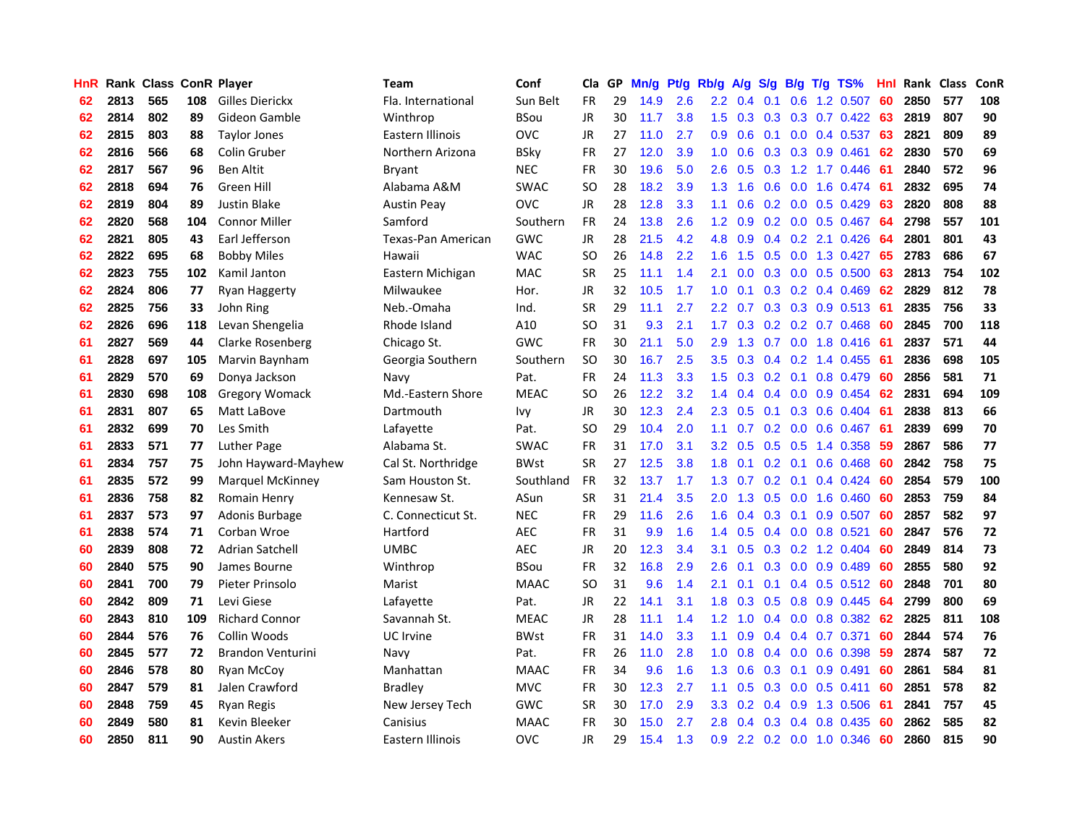| <b>HnR</b> |      | Rank Class ConR Player |     |                          | Team               | Conf        | Cla       | GP. | Mn/g Pt/g Rb/g A/g |     |                  |                 |     |                 | S/g B/g T/g TS%           | Hnl |      | Rank Class | <b>ConR</b> |
|------------|------|------------------------|-----|--------------------------|--------------------|-------------|-----------|-----|--------------------|-----|------------------|-----------------|-----|-----------------|---------------------------|-----|------|------------|-------------|
| 62         | 2813 | 565                    | 108 | Gilles Dierickx          | Fla. International | Sun Belt    | <b>FR</b> | 29  | 14.9               | 2.6 | 2.2              | 0.4             | 0.1 | 0.6             | 1.2 0.507                 | 60  | 2850 | 577        | 108         |
| 62         | 2814 | 802                    | 89  | Gideon Gamble            | Winthrop           | <b>BSou</b> | <b>JR</b> | 30  | 11.7               | 3.8 | 1.5              | 0.3             | 0.3 | 0.3             | $0.7$ 0.422               | 63  | 2819 | 807        | 90          |
| 62         | 2815 | 803                    | 88  | Taylor Jones             | Eastern Illinois   | <b>OVC</b>  | <b>JR</b> | 27  | 11.0               | 2.7 | 0.9              | 0.6             | 0.1 | 0.0             | 0.4 0.537                 | 63  | 2821 | 809        | 89          |
| 62         | 2816 | 566                    | 68  | Colin Gruber             | Northern Arizona   | <b>BSky</b> | <b>FR</b> | 27  | 12.0               | 3.9 | 1.0              | 0.6             |     |                 | $0.3$ $0.3$ $0.9$ $0.461$ | 62  | 2830 | 570        | 69          |
| 62         | 2817 | 567                    | 96  | <b>Ben Altit</b>         | <b>Bryant</b>      | <b>NEC</b>  | FR        | 30  | 19.6               | 5.0 | 2.6              | 0.5             |     |                 | 0.3 1.2 1.7 0.446         | -61 | 2840 | 572        | 96          |
| 62         | 2818 | 694                    | 76  | Green Hill               | Alabama A&M        | <b>SWAC</b> | SO.       | 28  | 18.2               | 3.9 |                  | $1.3 \quad 1.6$ |     |                 | $0.6$ $0.0$ 1.6 $0.474$   | -61 | 2832 | 695        | 74          |
| 62         | 2819 | 804                    | 89  | Justin Blake             | <b>Austin Peav</b> | <b>OVC</b>  | JR        | 28  | 12.8               | 3.3 | 1.1              | 0.6             |     |                 | $0.2$ 0.0 0.5 0.429       | 63  | 2820 | 808        | 88          |
| 62         | 2820 | 568                    | 104 | <b>Connor Miller</b>     | Samford            | Southern    | <b>FR</b> | 24  | 13.8               | 2.6 | 1.2 <sub>1</sub> | 0.9             |     |                 | $0.2$ 0.0 0.5 0.467       | 64  | 2798 | 557        | 101         |
| 62         | 2821 | 805                    | 43  | Earl Jefferson           | Texas-Pan American | GWC         | <b>JR</b> | 28  | 21.5               | 4.2 | 4.8              | 0.9             |     |                 | 0.4 0.2 2.1 0.426         | 64  | 2801 | 801        | 43          |
| 62         | 2822 | 695                    | 68  | <b>Bobby Miles</b>       | Hawaii             | <b>WAC</b>  | <b>SO</b> | 26  | 14.8               | 2.2 | 1.6              | 1.5             |     | $0.5\ 0.0$      | 1.3 0.427                 | 65  | 2783 | 686        | 67          |
| 62         | 2823 | 755                    | 102 | Kamil Janton             | Eastern Michigan   | <b>MAC</b>  | <b>SR</b> | 25  | 11.1               | 1.4 | 2.1              | 0.0             |     |                 | $0.3$ 0.0 0.5 0.500       | 63  | 2813 | 754        | 102         |
| 62         | 2824 | 806                    | 77  | Ryan Haggerty            | Milwaukee          | Hor.        | JR        | 32  | 10.5               | 1.7 | 1.0              | 0.1             |     |                 | 0.3 0.2 0.4 0.469         | 62  | 2829 | 812        | 78          |
| 62         | 2825 | 756                    | 33  | John Ring                | Neb.-Omaha         | Ind.        | <b>SR</b> | 29  | 11.1               | 2.7 | $2.2\,$          | 0.7             |     |                 | $0.3$ $0.3$ $0.9$ $0.513$ | -61 | 2835 | 756        | 33          |
| 62         | 2826 | 696                    | 118 | Levan Shengelia          | Rhode Island       | A10         | <b>SO</b> | 31  | 9.3                | 2.1 | 1.7              | 0.3             |     |                 | $0.2$ $0.2$ $0.7$ $0.468$ | -60 | 2845 | 700        | 118         |
| 61         | 2827 | 569                    | 44  | Clarke Rosenberg         | Chicago St.        | <b>GWC</b>  | FR        | 30  | 21.1               | 5.0 | 2.9              | 1.3             | 0.7 | 0.0             | 1.8 0.416                 | -61 | 2837 | 571        | 44          |
| 61         | 2828 | 697                    | 105 | Marvin Baynham           | Georgia Southern   | Southern    | <b>SO</b> | 30  | 16.7               | 2.5 | 3.5              | 0.3             |     | $0.4 \quad 0.2$ | 1.4 0.455                 | -61 | 2836 | 698        | 105         |
| 61         | 2829 | 570                    | 69  | Donya Jackson            | Navy               | Pat.        | <b>FR</b> | 24  | 11.3               | 3.3 | 1.5              | 0.3             |     | $0.2 \quad 0.1$ | 0.8 0.479                 | -60 | 2856 | 581        | 71          |
| 61         | 2830 | 698                    | 108 | <b>Gregory Womack</b>    | Md.-Eastern Shore  | <b>MEAC</b> | <b>SO</b> | 26  | 12.2               | 3.2 |                  | $1.4 \quad 0.4$ |     |                 | $0.4$ 0.0 0.9 0.454       | -62 | 2831 | 694        | 109         |
| 61         | 2831 | 807                    | 65  | Matt LaBove              | Dartmouth          | Ivy         | JR        | 30  | 12.3               | 2.4 |                  | $2.3$ 0.5       |     |                 | 0.1 0.3 0.6 0.404 61      |     | 2838 | 813        | 66          |
| 61         | 2832 | 699                    | 70  | Les Smith                | Lafayette          | Pat.        | <b>SO</b> | 29  | 10.4               | 2.0 | 1.1              | 0.7             |     |                 | 0.2 0.0 0.6 0.467 61      |     | 2839 | 699        | 70          |
| 61         | 2833 | 571                    | 77  | Luther Page              | Alabama St.        | <b>SWAC</b> | <b>FR</b> | 31  | 17.0               | 3.1 | 3.2 <sub>2</sub> | 0.5             |     |                 | $0.5$ $0.5$ 1.4 $0.358$   | -59 | 2867 | 586        | 77          |
| 61         | 2834 | 757                    | 75  | John Hayward-Mayhew      | Cal St. Northridge | BWst        | <b>SR</b> | 27  | 12.5               | 3.8 | 1.8              | 0.1             |     |                 | $0.2$ 0.1 0.6 0.468       | 60  | 2842 | 758        | 75          |
| 61         | 2835 | 572                    | 99  | Marquel McKinney         | Sam Houston St.    | Southland   | <b>FR</b> | 32  | 13.7               | 1.7 | 1.3              | 0.7             |     | $0.2 \quad 0.1$ | 0.4 0.424                 | 60  | 2854 | 579        | 100         |
| 61         | 2836 | 758                    | 82  | Romain Henry             | Kennesaw St.       | ASun        | <b>SR</b> | 31  | 21.4               | 3.5 | 2.0              | 1.3             |     |                 | 0.5 0.0 1.6 0.460         | 60  | 2853 | 759        | 84          |
| 61         | 2837 | 573                    | 97  | Adonis Burbage           | C. Connecticut St. | <b>NEC</b>  | FR        | 29  | 11.6               | 2.6 | 1.6              | 0.4             |     | $0.3 \quad 0.1$ | 0.9 0.507                 | 60  | 2857 | 582        | 97          |
| 61         | 2838 | 574                    | 71  | Corban Wroe              | Hartford           | <b>AEC</b>  | <b>FR</b> | 31  | 9.9                | 1.6 | 1.4              | 0.5             |     |                 | $0.4$ 0.0 0.8 0.521       | 60  | 2847 | 576        | 72          |
| 60         | 2839 | 808                    | 72  | <b>Adrian Satchell</b>   | <b>UMBC</b>        | AEC         | JR        | 20  | 12.3               | 3.4 | 3.1              | 0.5             |     |                 | $0.3$ $0.2$ 1.2 $0.404$   | 60  | 2849 | 814        | 73          |
| 60         | 2840 | 575                    | 90  | James Bourne             | Winthrop           | <b>BSou</b> | FR        | 32  | 16.8               | 2.9 | 2.6              | 0.1             | 0.3 |                 | $0.0\quad 0.9\quad 0.489$ | -60 | 2855 | 580        | 92          |
| 60         | 2841 | 700                    | 79  | Pieter Prinsolo          | Marist             | <b>MAAC</b> | <b>SO</b> | 31  | 9.6                | 1.4 | 2.1              | 0.1             | 0.1 | 0.4             | $0.5$ 0.512               | 60  | 2848 | 701        | 80          |
| 60         | 2842 | 809                    | 71  | Levi Giese               | Lafayette          | Pat.        | <b>JR</b> | 22  | 14.1               | 3.1 | 1.8              | 0.3             | 0.5 | 0.8             | 0.9 0.445                 | 64  | 2799 | 800        | 69          |
| 60         | 2843 | 810                    | 109 | <b>Richard Connor</b>    | Savannah St.       | <b>MEAC</b> | <b>JR</b> | 28  | 11.1               | 1.4 | 1.2 <sub>1</sub> | 1.0             |     |                 | $0.4$ 0.0 0.8 0.382       | 62  | 2825 | 811        | 108         |
| 60         | 2844 | 576                    | 76  | Collin Woods             | UC Irvine          | <b>BWst</b> | <b>FR</b> | 31  | 14.0               | 3.3 | 1.1              | 0.9             |     |                 | 0.4 0.4 0.7 0.371         | 60  | 2844 | 574        | 76          |
| 60         | 2845 | 577                    | 72  | <b>Brandon Venturini</b> | Navy               | Pat.        | <b>FR</b> | 26  | 11.0               | 2.8 | 1.0 <sub>1</sub> | 0.8             |     |                 | $0.4$ 0.0 0.6 0.398       | -59 | 2874 | 587        | 72          |
| 60         | 2846 | 578                    | 80  | Ryan McCoy               | Manhattan          | <b>MAAC</b> | <b>FR</b> | 34  | 9.6                | 1.6 | 1.3              | 0.6             |     | $0.3 \quad 0.1$ | 0.9 0.491                 | 60  | 2861 | 584        | 81          |
| 60         | 2847 | 579                    | 81  | Jalen Crawford           | <b>Bradley</b>     | <b>MVC</b>  | FR        | 30  | 12.3               | 2.7 | 1.1              | 0.5             |     |                 | $0.3$ 0.0 0.5 0.411       | 60  | 2851 | 578        | 82          |
| 60         | 2848 | 759                    | 45  | Ryan Regis               | New Jersey Tech    | <b>GWC</b>  | <b>SR</b> | 30  | 17.0               | 2.9 | 3.3 <sub>2</sub> | 0.2             | 0.4 | 0.9             | 1.3 0.506                 | -61 | 2841 | 757        | 45          |
| 60         | 2849 | 580                    | 81  | Kevin Bleeker            | Canisius           | <b>MAAC</b> | FR        | 30  | 15.0               | 2.7 | 2.8              | 0.4             | 0.3 | 0.4             | 0.8 0.435                 | 60  | 2862 | 585        | 82          |
| 60         | 2850 | 811                    | 90  | Austin Akers             | Eastern Illinois   | <b>OVC</b>  | JR        | 29  | 15.4               | 1.3 | 0.9              |                 |     |                 | 2.2 0.2 0.0 1.0 0.346     | -60 | 2860 | 815        | 90          |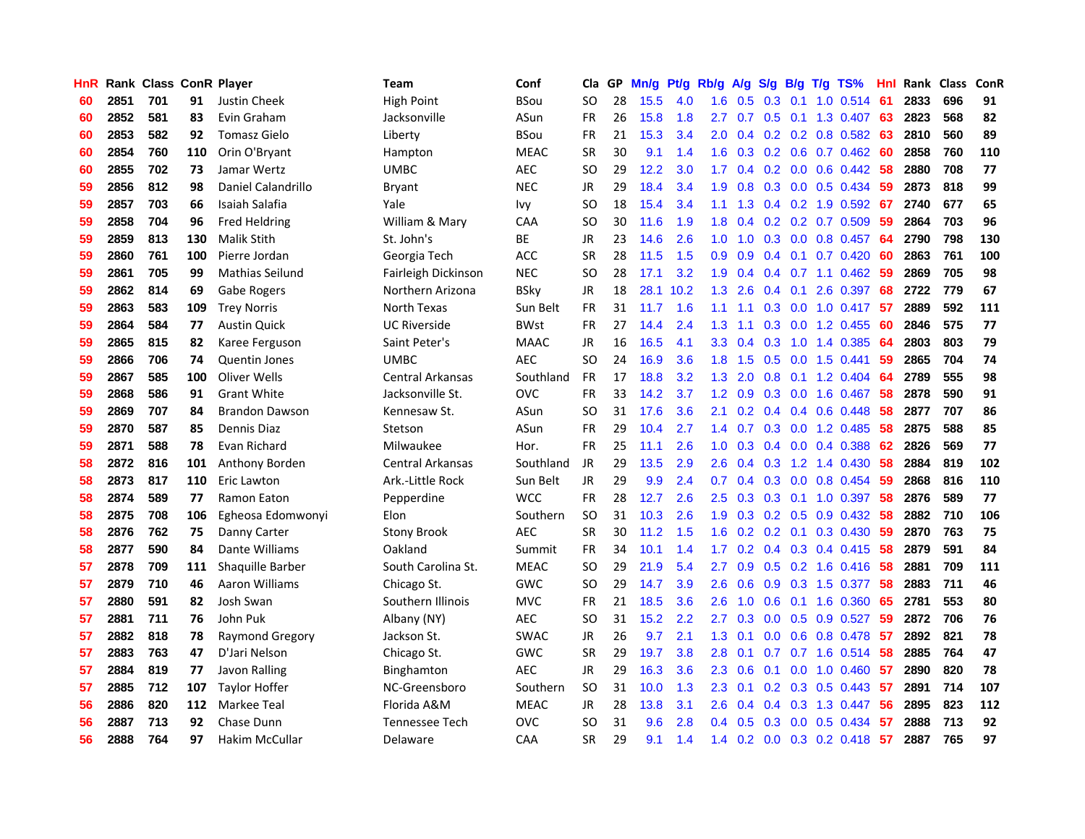| <b>HnR</b> |      |     |     | Rank Class ConR Player | Team                    | Conf        | Cla       |    | GP Mn/g | Pt/g | Rb/g             | A/g             |                  |                 | S/g B/g T/g TS%           | Hnl |      | Rank Class | <b>ConR</b> |
|------------|------|-----|-----|------------------------|-------------------------|-------------|-----------|----|---------|------|------------------|-----------------|------------------|-----------------|---------------------------|-----|------|------------|-------------|
| 60         | 2851 | 701 | 91  | Justin Cheek           | <b>High Point</b>       | BSou        | SO.       | 28 | 15.5    | 4.0  | 1.6              | 0.5             | 0.3              | 0.1             | 1.0 0.514                 | 61  | 2833 | 696        | 91          |
| 60         | 2852 | 581 | 83  | Evin Graham            | Jacksonville            | ASun        | <b>FR</b> | 26 | 15.8    | 1.8  | 2.7              | 0.7             | 0.5              | 0.1             | 1.3 0.407                 | 63  | 2823 | 568        | 82          |
| 60         | 2853 | 582 | 92  | <b>Tomasz Gielo</b>    | Liberty                 | <b>BSou</b> | <b>FR</b> | 21 | 15.3    | 3.4  | 2.0              | 0.4             |                  | $0.2 \quad 0.2$ | 0.8 0.582                 | 63  | 2810 | 560        | 89          |
| 60         | 2854 | 760 | 110 | Orin O'Bryant          | Hampton                 | <b>MEAC</b> | <b>SR</b> | 30 | 9.1     | 1.4  | 1.6              | 0.3             |                  |                 | 0.2 0.6 0.7 0.462         | 60  | 2858 | 760        | 110         |
| 60         | 2855 | 702 | 73  | Jamar Wertz            | UMBC                    | <b>AEC</b>  | SO.       | 29 | 12.2    | 3.0  | 1.7 <sup>2</sup> |                 |                  |                 | 0.4 0.2 0.0 0.6 0.442     | -58 | 2880 | 708        | 77          |
| 59         | 2856 | 812 | 98  | Daniel Calandrillo     | Bryant                  | <b>NEC</b>  | JR        | 29 | 18.4    | 3.4  | 1.9 <sup>°</sup> | 0.8             |                  |                 | $0.3$ 0.0 0.5 0.434       | 59  | 2873 | 818        | 99          |
| 59         | 2857 | 703 | 66  | Isaiah Salafia         | Yale                    | Ivy         | SO.       | 18 | 15.4    | 3.4  | 1.1              | 1.3             |                  |                 | $0.4$ 0.2 1.9 0.592       | -67 | 2740 | 677        | 65          |
| 59         | 2858 | 704 | 96  | <b>Fred Heldring</b>   | William & Mary          | <b>CAA</b>  | <b>SO</b> | 30 | 11.6    | 1.9  | 1.8 <sup>°</sup> | 0.4             |                  |                 | $0.2$ $0.2$ $0.7$ $0.509$ | -59 | 2864 | 703        | 96          |
| 59         | 2859 | 813 | 130 | <b>Malik Stith</b>     | St. John's              | ВE          | JR        | 23 | 14.6    | 2.6  | 1.0              | 1.0             |                  |                 | 0.3 0.0 0.8 0.457         | -64 | 2790 | 798        | 130         |
| 59         | 2860 | 761 | 100 | Pierre Jordan          | Georgia Tech            | <b>ACC</b>  | <b>SR</b> | 28 | 11.5    | 1.5  | 0.9              | 0.9             |                  | $0.4$ 0.1       | $0.7$ $0.420$             | 60  | 2863 | 761        | 100         |
| 59         | 2861 | 705 | 99  | Mathias Seilund        | Fairleigh Dickinson     | <b>NEC</b>  | SO.       | 28 | 17.1    | 3.2  | 1.9              | 0.4             |                  |                 | $0.4$ 0.7 1.1 0.462       | 59  | 2869 | 705        | 98          |
| 59         | 2862 | 814 | 69  | Gabe Rogers            | Northern Arizona        | <b>BSky</b> | JR        | 18 | 28.1    | 10.2 | 1.3              | 2.6             |                  | $0.4 \quad 0.1$ | 2.6 0.397                 | 68  | 2722 | 779        | 67          |
| 59         | 2863 | 583 | 109 | <b>Trey Norris</b>     | North Texas             | Sun Belt    | <b>FR</b> | 31 | 11.7    | 1.6  | 1.1              | 1.1             | 0.3 <sub>0</sub> | 0.0             | $1.0 \t0.417$             | 57  | 2889 | 592        | 111         |
| 59         | 2864 | 584 | 77  | <b>Austin Quick</b>    | <b>UC Riverside</b>     | <b>BWst</b> | <b>FR</b> | 27 | 14.4    | 2.4  | 1.3              | 1.1             | 0.3 <sub>0</sub> | 0.0             | 1.2 0.455                 | -60 | 2846 | 575        | 77          |
| 59         | 2865 | 815 | 82  | Karee Ferguson         | Saint Peter's           | <b>MAAC</b> | JR        | 16 | 16.5    | 4.1  | 3.3              | 0.4             | 0.3              | 1.0             | 1.4 0.385                 | 64  | 2803 | 803        | 79          |
| 59         | 2866 | 706 | 74  | <b>Quentin Jones</b>   | <b>UMBC</b>             | <b>AEC</b>  | <b>SO</b> | 24 | 16.9    | 3.6  | 1.8              | 1.5             | 0.5              | 0.0             | 1.5 0.441                 | 59  | 2865 | 704        | 74          |
| 59         | 2867 | 585 | 100 | Oliver Wells           | <b>Central Arkansas</b> | Southland   | <b>FR</b> | 17 | 18.8    | 3.2  | 1.3 <sub>1</sub> | 2.0             | 0.8              | 0.1             | 1.2 0.404                 | -64 | 2789 | 555        | 98          |
| 59         | 2868 | 586 | 91  | <b>Grant White</b>     | Jacksonville St.        | <b>OVC</b>  | <b>FR</b> | 33 | 14.2    | 3.7  |                  | $1.2 \quad 0.9$ |                  | $0.3 \ 0.0$     | 1.6 0.467                 | -58 | 2878 | 590        | 91          |
| 59         | 2869 | 707 | 84  | <b>Brandon Dawson</b>  | Kennesaw St.            | ASun        | <b>SO</b> | 31 | 17.6    | 3.6  | 2.1              |                 |                  |                 | $0.2$ 0.4 0.4 0.6 0.448   | -58 | 2877 | 707        | 86          |
| 59         | 2870 | 587 | 85  | Dennis Diaz            | Stetson                 | ASun        | <b>FR</b> | 29 | 10.4    | 2.7  |                  | $1.4 \quad 0.7$ |                  |                 | 0.3 0.0 1.2 0.485         | 58  | 2875 | 588        | 85          |
| 59         | 2871 | 588 | 78  | Evan Richard           | Milwaukee               | Hor.        | <b>FR</b> | 25 | 11.1    | 2.6  | 1.0 <sub>1</sub> | 0.3             |                  |                 | $0.4$ 0.0 0.4 0.388       | 62  | 2826 | 569        | 77          |
| 58         | 2872 | 816 | 101 | Anthony Borden         | <b>Central Arkansas</b> | Southland   | JR        | 29 | 13.5    | 2.9  | 2.6              | 0.4             | 0.3              |                 | 1.2 1.4 0.430             | 58  | 2884 | 819        | 102         |
| 58         | 2873 | 817 | 110 | Eric Lawton            | Ark.-Little Rock        | Sun Belt    | <b>JR</b> | 29 | 9.9     | 2.4  | 0.7              | 0.4             |                  |                 | $0.3$ 0.0 0.8 0.454       | 59  | 2868 | 816        | 110         |
| 58         | 2874 | 589 | 77  | Ramon Eaton            | Pepperdine              | <b>WCC</b>  | <b>FR</b> | 28 | 12.7    | 2.6  | 2.5              | 0.3             |                  | $0.3 \quad 0.1$ | 1.0 0.397                 | 58  | 2876 | 589        | 77          |
| 58         | 2875 | 708 | 106 | Egheosa Edomwonyi      | Elon                    | Southern    | <b>SO</b> | 31 | 10.3    | 2.6  | 1.9              | 0.3             |                  |                 | $0.2$ $0.5$ $0.9$ $0.432$ | 58  | 2882 | 710        | 106         |
| 58         | 2876 | 762 | 75  | Danny Carter           | <b>Stony Brook</b>      | <b>AEC</b>  | <b>SR</b> | 30 | 11.2    | 1.5  | 1.6              | 0.2             | $0.2 \quad 0.1$  |                 | 0.3 0.430                 | -59 | 2870 | 763        | 75          |
| 58         | 2877 | 590 | 84  | Dante Williams         | Oakland                 | Summit      | <b>FR</b> | 34 | 10.1    | 1.4  | 1.7              | 0.2             |                  |                 | $0.4$ $0.3$ $0.4$ $0.415$ | -58 | 2879 | 591        | 84          |
| 57         | 2878 | 709 | 111 | Shaquille Barber       | South Carolina St.      | <b>MEAC</b> | <b>SO</b> | 29 | 21.9    | 5.4  | 2.7              | 0.9             |                  |                 | $0.5$ $0.2$ 1.6 $0.416$   | -58 | 2881 | 709        | 111         |
| 57         | 2879 | 710 | 46  | Aaron Williams         | Chicago St.             | GWC         | <b>SO</b> | 29 | 14.7    | 3.9  | 2.6              | 0.6             | 0.9              | 0.3             | 1.5 0.377                 | 58  | 2883 | 711        | 46          |
| 57         | 2880 | 591 | 82  | Josh Swan              | Southern Illinois       | <b>MVC</b>  | <b>FR</b> | 21 | 18.5    | 3.6  | 2.6              | 1.0             | 0.6              | 0.1             | 1.6 0.360                 | 65  | 2781 | 553        | 80          |
| 57         | 2881 | 711 | 76  | John Puk               | Albany (NY)             | <b>AEC</b>  | SO.       | 31 | 15.2    | 2.2  | 2.7              | 0.3             | 0.0              | 0.5             | 0.9 0.527                 | -59 | 2872 | 706        | 76          |
| 57         | 2882 | 818 | 78  | <b>Raymond Gregory</b> | Jackson St.             | <b>SWAC</b> | JR        | 26 | 9.7     | 2.1  | 1.3 <sup>2</sup> | 0.1             |                  |                 | $0.0$ $0.6$ $0.8$ $0.478$ | -57 | 2892 | 821        | 78          |
| 57         | 2883 | 763 | 47  | D'Jari Nelson          | Chicago St.             | GWC         | <b>SR</b> | 29 | 19.7    | 3.8  | 2.8              | 0.1             |                  |                 | $0.7$ $0.7$ 1.6 $0.514$   | -58 | 2885 | 764        | 47          |
| 57         | 2884 | 819 | 77  | Javon Ralling          | Binghamton              | <b>AEC</b>  | JR        | 29 | 16.3    | 3.6  | 2.3              | 0.6             | 0.1              | 0.0             | 1.0 0.460                 | -57 | 2890 | 820        | 78          |
| 57         | 2885 | 712 | 107 | <b>Taylor Hoffer</b>   | NC-Greensboro           | Southern    | <b>SO</b> | 31 | 10.0    | 1.3  | 2.3              | 0.1             |                  |                 | $0.2$ $0.3$ $0.5$ $0.443$ | 57  | 2891 | 714        | 107         |
| 56         | 2886 | 820 | 112 | Markee Teal            | Florida A&M             | <b>MEAC</b> | JR        | 28 | 13.8    | 3.1  | $2.6\,$          | 0.4             | $0.4^{\circ}$    |                 | 0.3 1.3 0.447             | 56  | 2895 | 823        | 112         |
| 56         | 2887 | 713 | 92  | Chase Dunn             | <b>Tennessee Tech</b>   | <b>OVC</b>  | SO.       | 31 | 9.6     | 2.8  | $0.4^{\circ}$    | 0.5             | 0.3              | 0.0             | $0.5$ 0.434               | 57  | 2888 | 713        | 92          |
| 56         | 2888 | 764 | 97  | <b>Hakim McCullar</b>  | Delaware                | <b>CAA</b>  | <b>SR</b> | 29 | 9.1     | 1.4  |                  |                 |                  |                 | 1.4 0.2 0.0 0.3 0.2 0.418 | -57 | 2887 | 765        | 97          |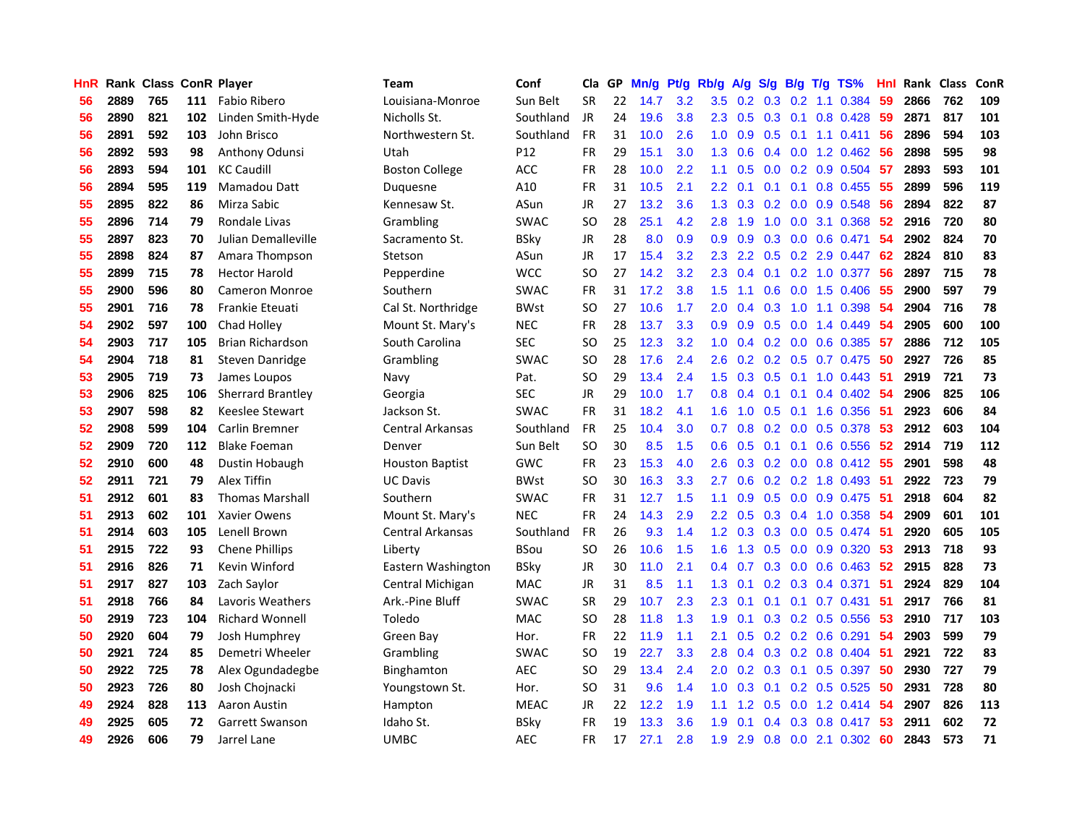| HnR              |      | Rank Class ConR Player |     |                          | <b>Team</b>             | Conf        | Cla       | GP | Mn/g | Pt/g | Rb/g             | A/g             |                  |                 | S/g B/g T/g TS%           | Hnl |      | Rank Class | <b>ConR</b> |
|------------------|------|------------------------|-----|--------------------------|-------------------------|-------------|-----------|----|------|------|------------------|-----------------|------------------|-----------------|---------------------------|-----|------|------------|-------------|
| 56               | 2889 | 765                    | 111 | Fabio Ribero             | Louisiana-Monroe        | Sun Belt    | <b>SR</b> | 22 | 14.7 | 3.2  | 3.5              | 0.2             | 0.3              | 0.2             | 1.1 0.384                 | 59  | 2866 | 762        | 109         |
| 56               | 2890 | 821                    | 102 | Linden Smith-Hyde        | Nicholls St.            | Southland   | JR        | 24 | 19.6 | 3.8  | $2.3^{\circ}$    | 0.5             | 0.3              | 0.1             | 0.8 0.428                 | 59  | 2871 | 817        | 101         |
| 56               | 2891 | 592                    | 103 | John Brisco              | Northwestern St.        | Southland   | <b>FR</b> | 31 | 10.0 | 2.6  | 1.0              | 0.9             | 0.5              | 0.1             | $1.1 \quad 0.411$         | 56  | 2896 | 594        | 103         |
| 56               | 2892 | 593                    | 98  | Anthony Odunsi           | Utah                    | P12         | <b>FR</b> | 29 | 15.1 | 3.0  | 1.3              | 0.6             |                  |                 | $0.4$ 0.0 1.2 0.462       | 56  | 2898 | 595        | 98          |
| 56               | 2893 | 594                    | 101 | <b>KC Caudill</b>        | <b>Boston College</b>   | <b>ACC</b>  | FR        | 28 | 10.0 | 2.2  | 1.1              | 0.5             |                  |                 | $0.0$ $0.2$ $0.9$ $0.504$ | -57 | 2893 | 593        | 101         |
| 56               | 2894 | 595                    | 119 | Mamadou Datt             | Duquesne                | A10         | <b>FR</b> | 31 | 10.5 | 2.1  | $2.2^{\circ}$    | 0.1             |                  |                 | $0.1$ 0.1 0.8 0.455       | 55  | 2899 | 596        | 119         |
| 55               | 2895 | 822                    | 86  | Mirza Sabic              | Kennesaw St.            | ASun        | JR        | 27 | 13.2 | 3.6  |                  | $1.3 \quad 0.3$ |                  |                 | $0.2$ 0.0 0.9 0.548       | 56  | 2894 | 822        | 87          |
| 55               | 2896 | 714                    | 79  | Rondale Livas            | Grambling               | <b>SWAC</b> | <b>SO</b> | 28 | 25.1 | 4.2  | 2.8              | 1.9             | 1.0              |                 | 0.0 3.1 0.368             | 52  | 2916 | 720        | 80          |
| 55               | 2897 | 823                    | 70  | Julian Demalleville      | Sacramento St.          | <b>BSky</b> | JR        | 28 | 8.0  | 0.9  | 0.9              | 0.9             | 0.3              |                 | 0.0 0.6 0.471             | 54  | 2902 | 824        | 70          |
| 55               | 2898 | 824                    | 87  | Amara Thompson           | Stetson                 | ASun        | JR        | 17 | 15.4 | 3.2  | 2.3              | 2.2             | 0.5              |                 | $0.2$ 2.9 $0.447$         | 62  | 2824 | 810        | 83          |
| 55               | 2899 | 715                    | 78  | <b>Hector Harold</b>     | Pepperdine              | <b>WCC</b>  | SO.       | 27 | 14.2 | 3.2  | 2.3              | 0.4             | 0.1              |                 | 0.2 1.0 0.377             | 56  | 2897 | 715        | 78          |
| 55               | 2900 | 596                    | 80  | Cameron Monroe           | Southern                | <b>SWAC</b> | FR        | 31 | 17.2 | 3.8  | 1.5              | 1.1             | 0.6              |                 | $0.0$ 1.5 $0.406$         | 55  | 2900 | 597        | 79          |
| 55               | 2901 | 716                    | 78  | <b>Frankie Eteuati</b>   | Cal St. Northridge      | <b>BWst</b> | <b>SO</b> | 27 | 10.6 | 1.7  | 2.0              | 0.4             | 0.3              | 1.0             | 1.1 0.398                 | 54  | 2904 | 716        | 78          |
| 54               | 2902 | 597                    | 100 | Chad Holley              | Mount St. Mary's        | <b>NEC</b>  | <b>FR</b> | 28 | 13.7 | 3.3  | 0.9              | 0.9             | 0.5              | 0.0             | 1.4 0.449                 | 54  | 2905 | 600        | 100         |
| 54               | 2903 | 717                    | 105 | <b>Brian Richardson</b>  | South Carolina          | <b>SEC</b>  | SO.       | 25 | 12.3 | 3.2  | 1.0              | 0.4             | 0.2              | 0.0             | 0.6 0.385                 | -57 | 2886 | 712        | 105         |
| 54               | 2904 | 718                    | 81  | <b>Steven Danridge</b>   | Grambling               | <b>SWAC</b> | <b>SO</b> | 28 | 17.6 | 2.4  | 2.6              | 0.2             | 0.2              | 0.5             | 0.7 0.475                 | 50  | 2927 | 726        | 85          |
| 53               | 2905 | 719                    | 73  | James Loupos             | Navy                    | Pat.        | <b>SO</b> | 29 | 13.4 | 2.4  | 1.5              | 0.3             | 0.5              | 0.1             | $1.0 \t0.443$             | 51  | 2919 | 721        | 73          |
| 53               | 2906 | 825                    | 106 | <b>Sherrard Brantley</b> | Georgia                 | <b>SEC</b>  | JR        | 29 | 10.0 | 1.7  | 0.8              | 0.4             | 0.1              | 0.1             | 0.4 0.402                 | -54 | 2906 | 825        | 106         |
| 53               | 2907 | 598                    | 82  | Keeslee Stewart          | Jackson St.             | <b>SWAC</b> | FR        | 31 | 18.2 | 4.1  | 1.6              | 1.0             |                  |                 | 0.5 0.1 1.6 0.356 51      |     | 2923 | 606        | 84          |
| $52\phantom{.0}$ | 2908 | 599                    | 104 | Carlin Bremner           | <b>Central Arkansas</b> | Southland   | <b>FR</b> | 25 | 10.4 | 3.0  | 0.7              | 0.8             |                  |                 | 0.2 0.0 0.5 0.378         | -53 | 2912 | 603        | 104         |
| 52               | 2909 | 720                    | 112 | <b>Blake Foeman</b>      | Denver                  | Sun Belt    | <b>SO</b> | 30 | 8.5  | 1.5  | 0.6              | 0.5             |                  |                 | $0.1$ 0.1 0.6 0.556       | 52  | 2914 | 719        | 112         |
| 52               | 2910 | 600                    | 48  | Dustin Hobaugh           | <b>Houston Baptist</b>  | GWC         | FR        | 23 | 15.3 | 4.0  | 2.6              | 0.3             |                  |                 | $0.2$ 0.0 0.8 0.412       | -55 | 2901 | 598        | 48          |
| 52               | 2911 | 721                    | 79  | Alex Tiffin              | <b>UC Davis</b>         | <b>BWst</b> | SO.       | 30 | 16.3 | 3.3  | 2.7              | 0.6             |                  |                 | $0.2$ 0.2 1.8 0.493       | -51 | 2922 | 723        | 79          |
| 51               | 2912 | 601                    | 83  | <b>Thomas Marshall</b>   | Southern                | SWAC        | <b>FR</b> | 31 | 12.7 | 1.5  | 1.1              | 0.9             | 0.5              |                 | $0.0$ 0.9 0.475           | 51  | 2918 | 604        | 82          |
| 51               | 2913 | 602                    | 101 | <b>Xavier Owens</b>      | Mount St. Mary's        | <b>NEC</b>  | <b>FR</b> | 24 | 14.3 | 2.9  | $2.2^{\circ}$    | 0.5             |                  |                 | 0.3 0.4 1.0 0.358         | -54 | 2909 | 601        | 101         |
| 51               | 2914 | 603                    | 105 | Lenell Brown             | Central Arkansas        | Southland   | FR        | 26 | 9.3  | 1.4  | 1.2 <sub>2</sub> | 0.3             |                  |                 | 0.3 0.0 0.5 0.474         | -51 | 2920 | 605        | 105         |
| 51               | 2915 | 722                    | 93  | <b>Chene Phillips</b>    | Liberty                 | <b>BSou</b> | <b>SO</b> | 26 | 10.6 | 1.5  | 1.6              | 1.3             | 0.5              | 0.0             | 0.9 0.320                 | 53  | 2913 | 718        | 93          |
| 51               | 2916 | 826                    | 71  | Kevin Winford            | Eastern Washington      | <b>BSky</b> | JR        | 30 | 11.0 | 2.1  | $0.4^{\circ}$    | 0.7             |                  | $0.3 \quad 0.0$ | 0.6 0.463                 | 52  | 2915 | 828        | 73          |
| 51               | 2917 | 827                    | 103 | Zach Saylor              | Central Michigan        | MAC         | JR        | 31 | 8.5  | 1.1  | 1.3              | 0.1             | 0.2 <sub>0</sub> | 0.3             | 0.4 0.371                 | 51  | 2924 | 829        | 104         |
| 51               | 2918 | 766                    | 84  | Lavoris Weathers         | Ark.-Pine Bluff         | <b>SWAC</b> | <b>SR</b> | 29 | 10.7 | 2.3  | 2.3              | 0.1             | 0.1              | 0.1             | 0.7 0.431                 | 51  | 2917 | 766        | 81          |
| 50               | 2919 | 723                    | 104 | <b>Richard Wonnell</b>   | Toledo                  | <b>MAC</b>  | <b>SO</b> | 28 | 11.8 | 1.3  | 1.9              | 0.1             |                  | $0.3 \quad 0.2$ | 0.5 0.556                 | 53  | 2910 | 717        | 103         |
| 50               | 2920 | 604                    | 79  | Josh Humphrey            | Green Bay               | Hor.        | <b>FR</b> | 22 | 11.9 | 1.1  | 2.1              | 0.5             |                  |                 | $0.2$ 0.2 0.6 0.291       | 54  | 2903 | 599        | 79          |
| 50               | 2921 | 724                    | 85  | Demetri Wheeler          | Grambling               | <b>SWAC</b> | SO.       | 19 | 22.7 | 3.3  | 2.8              | 0.4             |                  |                 | $0.3$ 0.2 0.8 0.404       | -51 | 2921 | 722        | 83          |
| 50               | 2922 | 725                    | 78  | Alex Ogundadegbe         | Binghamton              | <b>AEC</b>  | SO.       | 29 | 13.4 | 2.4  | 2.0              |                 |                  |                 | $0.2$ 0.3 0.1 0.5 0.397   | 50  | 2930 | 727        | 79          |
| 50               | 2923 | 726                    | 80  | Josh Chojnacki           | Youngstown St.          | Hor.        | SO.       | 31 | 9.6  | 1.4  | 1.0              | 0.3             | 0.1              |                 | $0.2$ 0.5 0.525           | 50  | 2931 | 728        | 80          |
| 49               | 2924 | 828                    | 113 | Aaron Austin             | Hampton                 | <b>MEAC</b> | JR        | 22 | 12.2 | 1.9  | 1.1              | 1.2             | 0.5              | 0.0             | 1.2 0.414                 | 54  | 2907 | 826        | 113         |
| 49               | 2925 | 605                    | 72  | <b>Garrett Swanson</b>   | Idaho St.               | <b>BSky</b> | <b>FR</b> | 19 | 13.3 | 3.6  | 1.9              | 0.1             | 0.4              |                 | $0.3$ 0.8 0.417           | 53  | 2911 | 602        | 72          |
| 49               | 2926 | 606                    | 79  | Jarrel Lane              | <b>UMBC</b>             | <b>AEC</b>  | FR        | 17 | 27.1 | 2.8  | 1.9              | 2.9             |                  |                 | $0.8$ $0.0$ 2.1 $0.302$   | 60  | 2843 | 573        | 71          |